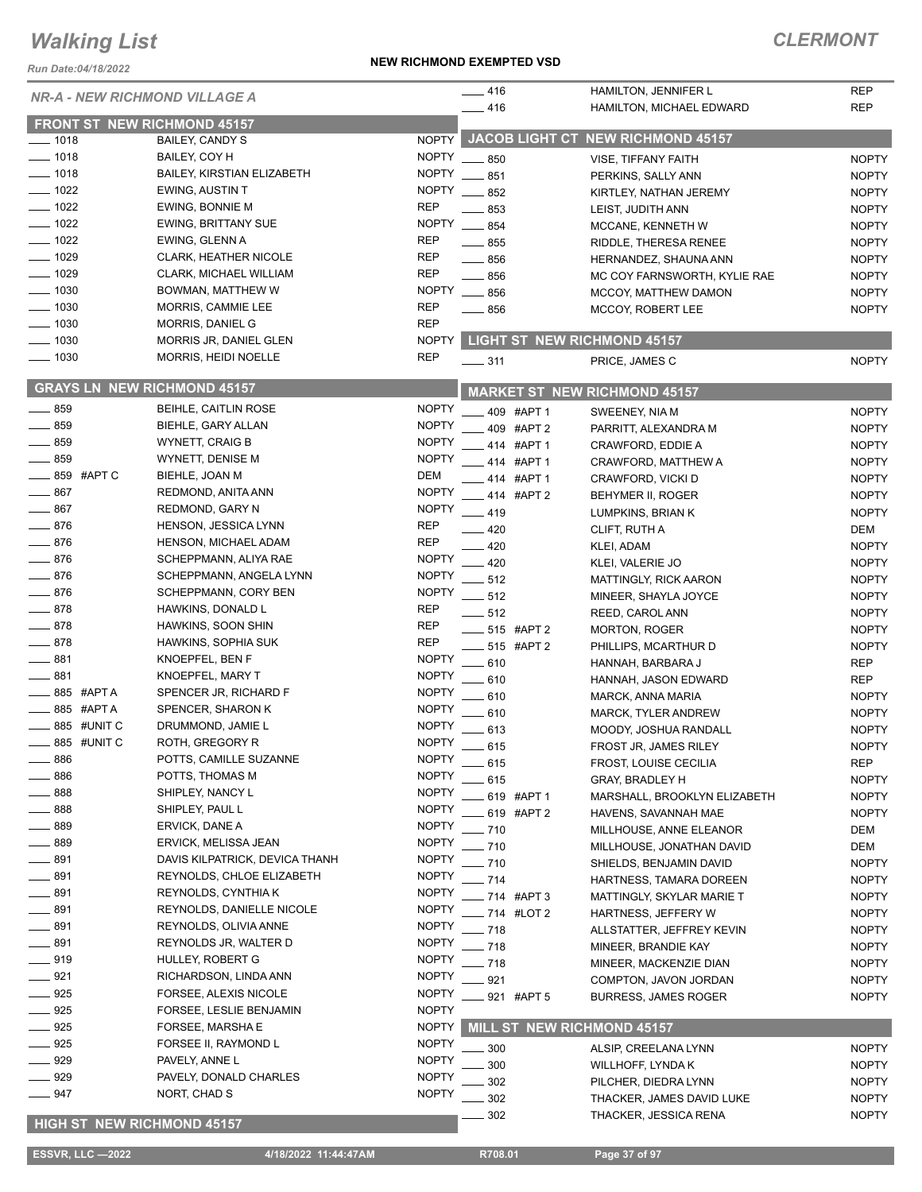*Run Date:04/18/2022*

#### **NEW RICHMOND EXEMPTED VSD**

### *CLERMONT*

|                            | <b>NR-A - NEW RICHMOND VILLAGE A</b> |              | $-416$            | <b>HAMILTON, JENNIFER L</b>             | <b>REP</b>   |
|----------------------------|--------------------------------------|--------------|-------------------|-----------------------------------------|--------------|
|                            |                                      |              | $-416$            | HAMILTON, MICHAEL EDWARD                | <b>REP</b>   |
|                            | <b>FRONT ST NEW RICHMOND 45157</b>   |              |                   |                                         |              |
| $- 1018$                   | BAILEY, CANDY S                      |              |                   | NOPTY JACOB LIGHT CT NEW RICHMOND 45157 |              |
| $- 1018$                   | BAILEY, COY H                        |              | NOPTY __ 850      | VISE, TIFFANY FAITH                     | <b>NOPTY</b> |
| $- 1018$                   | BAILEY, KIRSTIAN ELIZABETH           |              | NOPTY __ 851      | PERKINS, SALLY ANN                      | <b>NOPTY</b> |
| $-1022$                    | EWING, AUSTIN T                      | <b>NOPTY</b> | $-852$            | KIRTLEY, NATHAN JEREMY                  | <b>NOPTY</b> |
| $= 1022$                   | EWING, BONNIE M                      | <b>REP</b>   | . 853             | LEIST, JUDITH ANN                       | <b>NOPTY</b> |
| $-1022$                    | <b>EWING, BRITTANY SUE</b>           | <b>NOPTY</b> | $\frac{1}{2}$ 854 | MCCANE, KENNETH W                       | <b>NOPTY</b> |
| $-1022$                    | EWING, GLENN A                       | <b>REP</b>   | $\frac{1}{2}$ 855 | RIDDLE, THERESA RENEE                   | <b>NOPTY</b> |
| $-1029$                    | CLARK, HEATHER NICOLE                | <b>REP</b>   | $\frac{1}{2}$ 856 | HERNANDEZ, SHAUNA ANN                   | <b>NOPTY</b> |
| $-1029$                    | <b>CLARK, MICHAEL WILLIAM</b>        | <b>REP</b>   | $\frac{1}{2}$ 856 | MC COY FARNSWORTH, KYLIE RAE            | <b>NOPTY</b> |
| $- 1030$                   | BOWMAN, MATTHEW W                    | <b>NOPTY</b> | $\frac{1}{2}$ 856 | MCCOY, MATTHEW DAMON                    | <b>NOPTY</b> |
| $-1030$                    | MORRIS, CAMMIE LEE                   | <b>REP</b>   | $- 856$           | MCCOY, ROBERT LEE                       | <b>NOPTY</b> |
| $-1030$                    | <b>MORRIS, DANIEL G</b>              | <b>REP</b>   |                   |                                         |              |
| $-1030$                    | MORRIS JR, DANIEL GLEN               |              |                   | NOPTY LIGHT ST NEW RICHMOND 45157       |              |
| $-1030$                    | MORRIS, HEIDI NOELLE                 | <b>REP</b>   | $\frac{1}{2}$ 311 | PRICE, JAMES C                          | <b>NOPTY</b> |
|                            | <b>GRAYS LN NEW RICHMOND 45157</b>   |              |                   |                                         |              |
|                            |                                      |              |                   | <b>MARKET ST NEW RICHMOND 45157</b>     |              |
| 859                        | BEIHLE, CAITLIN ROSE                 | <b>NOPTY</b> | 409 #APT 1        | SWEENEY, NIA M                          | <b>NOPTY</b> |
| 859                        | BIEHLE, GARY ALLAN                   | <b>NOPTY</b> | 409 #APT 2        | PARRITT, ALEXANDRA M                    | <b>NOPTY</b> |
| 859                        | <b>WYNETT, CRAIG B</b>               | <b>NOPTY</b> | 414 #APT 1        | CRAWFORD, EDDIE A                       | <b>NOPTY</b> |
| 859                        | WYNETT, DENISE M                     | <b>NOPTY</b> | 414 #APT 1        | CRAWFORD, MATTHEW A                     | <b>NOPTY</b> |
| 859 #APT C                 | BIEHLE, JOAN M                       | <b>DEM</b>   | 414 #APT 1        | CRAWFORD, VICKI D                       | <b>NOPTY</b> |
| 867                        | REDMOND, ANITA ANN                   | <b>NOPTY</b> | 414 #APT 2        | <b>BEHYMER II, ROGER</b>                | <b>NOPTY</b> |
| 867                        | <b>REDMOND, GARY N</b>               | <b>NOPTY</b> | $-419$            | LUMPKINS, BRIAN K                       | <b>NOPTY</b> |
| 876                        | HENSON, JESSICA LYNN                 | <b>REP</b>   | $-420$            | CLIFT, RUTH A                           | DEM          |
| 876                        | HENSON, MICHAEL ADAM                 | <b>REP</b>   | 420               | KLEI, ADAM                              | <b>NOPTY</b> |
| 876                        | SCHEPPMANN, ALIYA RAE                | <b>NOPTY</b> | $-420$            | KLEI, VALERIE JO                        | <b>NOPTY</b> |
| $-876$                     | SCHEPPMANN, ANGELA LYNN              | <b>NOPTY</b> | $-512$            | <b>MATTINGLY, RICK AARON</b>            | <b>NOPTY</b> |
| $-876$                     | SCHEPPMANN, CORY BEN                 | <b>NOPTY</b> | 512               | MINEER, SHAYLA JOYCE                    | <b>NOPTY</b> |
| $-878$                     | HAWKINS, DONALD L                    | <b>REP</b>   | $= 512$           | REED, CAROL ANN                         | <b>NOPTY</b> |
| $-878$                     | HAWKINS, SOON SHIN                   | <b>REP</b>   | $-515$ #APT 2     | <b>MORTON, ROGER</b>                    | <b>NOPTY</b> |
| $-878$                     | HAWKINS, SOPHIA SUK                  | REP          | 515 #APT 2        | PHILLIPS, MCARTHUR D                    | <b>NOPTY</b> |
| 881                        | KNOEPFEL, BEN F                      | <b>NOPTY</b> | $-610$            | HANNAH, BARBARA J                       | <b>REP</b>   |
| 881                        | KNOEPFEL, MARY T                     | <b>NOPTY</b> | $-610$            | HANNAH, JASON EDWARD                    | <b>REP</b>   |
| 885 #APT A                 | SPENCER JR, RICHARD F                | <b>NOPTY</b> | $-610$            | MARCK, ANNA MARIA                       | <b>NOPTY</b> |
| 885 #APT A                 | SPENCER, SHARON K                    | <b>NOPTY</b> | .610              | <b>MARCK, TYLER ANDREW</b>              | <b>NOPTY</b> |
| 885 #UNIT C                | DRUMMOND, JAMIE L                    | <b>NOPTY</b> | $-613$            | MOODY, JOSHUA RANDALL                   | <b>NOPTY</b> |
| 885 #UNIT C                | ROTH, GREGORY R                      | <b>NOPTY</b> | $-615$            | FROST JR, JAMES RILEY                   | <b>NOPTY</b> |
| 886                        | POTTS, CAMILLE SUZANNE               | NOPTY        | _ 615             | <b>FROST, LOUISE CECILIA</b>            | <b>REP</b>   |
| 886                        | POTTS, THOMAS M                      | <b>NOPTY</b> | 615               | <b>GRAY, BRADLEY H</b>                  | <b>NOPTY</b> |
| 888                        | SHIPLEY, NANCY L                     | <b>NOPTY</b> | 619 #APT 1        | MARSHALL, BROOKLYN ELIZABETH            | <b>NOPTY</b> |
| 888                        | SHIPLEY, PAUL L                      | <b>NOPTY</b> | 619 #APT 2        | HAVENS, SAVANNAH MAE                    | <b>NOPTY</b> |
| 889                        | ERVICK, DANE A                       | <b>NOPTY</b> | - 710             | MILLHOUSE, ANNE ELEANOR                 | DEM          |
| 889                        | ERVICK, MELISSA JEAN                 | <b>NOPTY</b> | $-710$            | MILLHOUSE, JONATHAN DAVID               | DEM          |
| 891                        | DAVIS KILPATRICK, DEVICA THANH       | <b>NOPTY</b> | - 710             | SHIELDS, BENJAMIN DAVID                 | <b>NOPTY</b> |
| 891                        | REYNOLDS, CHLOE ELIZABETH            | <b>NOPTY</b> | $-714$            | HARTNESS, TAMARA DOREEN                 | <b>NOPTY</b> |
| $-891$                     | REYNOLDS, CYNTHIA K                  | <b>NOPTY</b> | 714 #APT 3        | MATTINGLY, SKYLAR MARIE T               | <b>NOPTY</b> |
| $\frac{1}{2}$ 891          | REYNOLDS, DANIELLE NICOLE            | <b>NOPTY</b> | _ 714 #LOT 2      | HARTNESS, JEFFERY W                     | <b>NOPTY</b> |
| _ 891                      | REYNOLDS, OLIVIA ANNE                | <b>NOPTY</b> | - 718             | ALLSTATTER, JEFFREY KEVIN               | <b>NOPTY</b> |
| $-891$                     | REYNOLDS JR, WALTER D                | <b>NOPTY</b> | - 718             | MINEER, BRANDIE KAY                     | <b>NOPTY</b> |
| ____ 919                   | HULLEY, ROBERT G                     | <b>NOPTY</b> | $-718$            | MINEER, MACKENZIE DIAN                  | <b>NOPTY</b> |
| $-921$                     | RICHARDSON, LINDA ANN                | <b>NOPTY</b> | 921               | COMPTON, JAVON JORDAN                   | <b>NOPTY</b> |
| 925                        | FORSEE, ALEXIS NICOLE                | <b>NOPTY</b> | 921 #APT 5        | <b>BURRESS, JAMES ROGER</b>             | <b>NOPTY</b> |
| 925                        | FORSEE, LESLIE BENJAMIN              | <b>NOPTY</b> |                   |                                         |              |
| 925                        | FORSEE, MARSHA E                     | <b>NOPTY</b> |                   | <b>MILL ST NEW RICHMOND 45157</b>       |              |
| 925                        | FORSEE II, RAYMOND L                 | <b>NOPTY</b> | 300               | ALSIP, CREELANA LYNN                    | <b>NOPTY</b> |
| 929                        | PAVELY, ANNE L                       | <b>NOPTY</b> | 300               | WILLHOFF, LYNDA K                       | <b>NOPTY</b> |
| 929                        | PAVELY, DONALD CHARLES               | <b>NOPTY</b> | 302               | PILCHER, DIEDRA LYNN                    | <b>NOPTY</b> |
| $-947$                     | NORT, CHAD S                         | <b>NOPTY</b> | 302               | THACKER, JAMES DAVID LUKE               | <b>NOPTY</b> |
|                            |                                      |              | $-302$            | THACKER, JESSICA RENA                   | <b>NOPTY</b> |
| HIGH ST NEW RICHMOND 45157 |                                      |              |                   |                                         |              |

 **ESSVR, LLC —2022 4/18/2022 11:44:47AM R708.01 Page 37 of 97**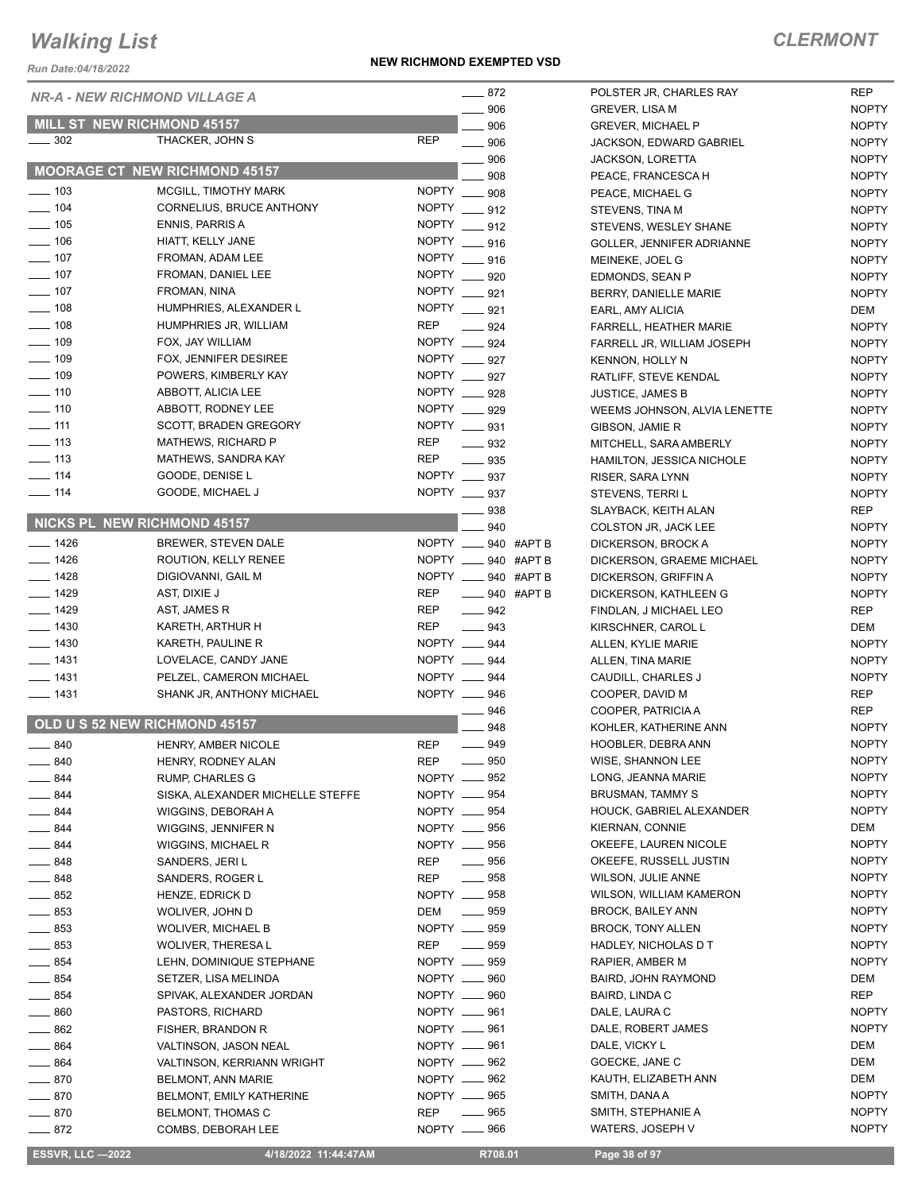*Run Date:04/18/2022*

#### **NEW RICHMOND EXEMPTED VSD**

|                    | <b>NR-A - NEW RICHMOND VILLAGE A</b> | $-872$                            | POLSTER JR, CHARLES RAY       | <b>REP</b>   |
|--------------------|--------------------------------------|-----------------------------------|-------------------------------|--------------|
|                    |                                      | $-906$                            | <b>GREVER, LISA M</b>         | <b>NOPTY</b> |
|                    | MILL ST NEW RICHMOND 45157           | 906                               | <b>GREVER, MICHAEL P</b>      | <b>NOPTY</b> |
| $\frac{1}{2}$ 302  | THACKER, JOHN S                      | <b>REP</b><br>$\frac{1}{2}$ 906   | JACKSON, EDWARD GABRIEL       | <b>NOPTY</b> |
|                    |                                      | 906                               | <b>JACKSON, LORETTA</b>       | <b>NOPTY</b> |
|                    | MOORAGE CT NEW RICHMOND 45157        | 908                               | PEACE, FRANCESCA H            | <b>NOPTY</b> |
| $\frac{1}{2}$ 103  | MCGILL, TIMOTHY MARK                 | NOPTY __ 908                      | PEACE, MICHAEL G              | <b>NOPTY</b> |
| $\frac{1}{2}$ 104  | CORNELIUS, BRUCE ANTHONY             | NOPTY __ 912                      | STEVENS, TINA M               | <b>NOPTY</b> |
| $\frac{1}{2}$ 105  | <b>ENNIS, PARRIS A</b>               | NOPTY ____ 912                    | STEVENS, WESLEY SHANE         | <b>NOPTY</b> |
| $- 106$            | HIATT, KELLY JANE                    | NOPTY __ 916                      | GOLLER, JENNIFER ADRIANNE     | <b>NOPTY</b> |
| $\frac{1}{2}$ 107  | FROMAN, ADAM LEE                     | NOPTY __ 916                      | MEINEKE, JOEL G               | <b>NOPTY</b> |
| $- 107$            | FROMAN, DANIEL LEE                   | NOPTY __ 920                      | EDMONDS, SEAN P               | <b>NOPTY</b> |
| $\frac{1}{2}$ 107  | FROMAN, NINA                         | NOPTY __ 921                      | BERRY, DANIELLE MARIE         | <b>NOPTY</b> |
| $\frac{1}{2}$ 108  | HUMPHRIES, ALEXANDER L               | NOPTY __ 921                      | EARL, AMY ALICIA              | DEM          |
| $\frac{1}{2}$ 108  | HUMPHRIES JR, WILLIAM                | <b>REP</b><br>$-924$              | <b>FARRELL, HEATHER MARIE</b> | <b>NOPTY</b> |
| $\frac{1}{2}$ 109  | FOX, JAY WILLIAM                     | NOPTY __ 924                      | FARRELL JR, WILLIAM JOSEPH    | <b>NOPTY</b> |
| $- 109$            | FOX, JENNIFER DESIREE                | NOPTY __ 927                      | <b>KENNON, HOLLY N</b>        | <b>NOPTY</b> |
| $\frac{1}{2}$ 109  | POWERS, KIMBERLY KAY                 | NOPTY __ 927                      | RATLIFF, STEVE KENDAL         | <b>NOPTY</b> |
| $\frac{1}{2}$ 110  | ABBOTT, ALICIA LEE                   | NOPTY __ 928                      | <b>JUSTICE, JAMES B</b>       | <b>NOPTY</b> |
| $\frac{1}{2}$ 110  | ABBOTT, RODNEY LEE                   | NOPTY __ 929                      |                               |              |
| $\frac{1}{2}$ 111  | SCOTT, BRADEN GREGORY                | NOPTY __ 931                      | WEEMS JOHNSON, ALVIA LENETTE  | <b>NOPTY</b> |
| $\equiv$ 113       | <b>MATHEWS, RICHARD P</b>            | <b>REP</b>                        | GIBSON, JAMIE R               | <b>NOPTY</b> |
| $\frac{1}{2}$ 113  | MATHEWS, SANDRA KAY                  | $\equiv$ 932<br><b>REP</b>        | MITCHELL, SARA AMBERLY        | <b>NOPTY</b> |
|                    |                                      | $\frac{1}{2}$ 935                 | HAMILTON, JESSICA NICHOLE     | <b>NOPTY</b> |
| $- 114$            | GOODE, DENISE L                      | NOPTY ___ 937                     | RISER, SARA LYNN              | <b>NOPTY</b> |
| $\frac{1}{2}$ 114  | GOODE, MICHAEL J                     | NOPTY __ 937                      | STEVENS, TERRI L              | <b>NOPTY</b> |
|                    | NICKS PL NEW RICHMOND 45157          | - 938                             | SLAYBACK, KEITH ALAN          | <b>REP</b>   |
|                    |                                      | 940                               | COLSTON JR, JACK LEE          | <b>NOPTY</b> |
| $- 1426$           | BREWER, STEVEN DALE                  | NOPTY __ 940 #APT B               | DICKERSON, BROCK A            | <b>NOPTY</b> |
| $\frac{1}{2}$ 1426 | ROUTION, KELLY RENEE                 | NOPTY __ 940 #APT B               | DICKERSON, GRAEME MICHAEL     | <b>NOPTY</b> |
| $- 1428$           | DIGIOVANNI, GAIL M                   | NOPTY __ 940 #APT B               | DICKERSON, GRIFFIN A          | <b>NOPTY</b> |
| $- 1429$           | AST, DIXIE J                         | <b>REP</b><br>$\equiv$ 940 #APT B | DICKERSON, KATHLEEN G         | <b>NOPTY</b> |
| $- 1429$           | AST, JAMES R                         | <b>REP</b><br>$- 942$             | FINDLAN, J MICHAEL LEO        | <b>REP</b>   |
| $- 1430$           | KARETH, ARTHUR H                     | <b>REP</b><br>$\equiv$ 943        | KIRSCHNER, CAROL L            | DEM          |
| $\frac{1}{2}$ 1430 | KARETH, PAULINE R                    | NOPTY __ 944                      | ALLEN, KYLIE MARIE            | <b>NOPTY</b> |
| $- 1431$           | LOVELACE, CANDY JANE                 | NOPTY __ 944                      | ALLEN, TINA MARIE             | <b>NOPTY</b> |
| $- 1431$           | PELZEL, CAMERON MICHAEL              | NOPTY __ 944                      | CAUDILL, CHARLES J            | <b>NOPTY</b> |
| $- 1431$           | SHANK JR, ANTHONY MICHAEL            | NOPTY __ 946                      | COOPER, DAVID M               | <b>REP</b>   |
|                    |                                      | —— 946                            | COOPER, PATRICIA A            | <b>REP</b>   |
|                    | OLD U S 52 NEW RICHMOND 45157        | 948                               | KOHLER, KATHERINE ANN         | <b>NOPTY</b> |
| 840                | HENRY, AMBER NICOLE                  | 949<br><b>REP</b>                 | HOOBLER, DEBRA ANN            | <b>NOPTY</b> |
| $-840$             | HENRY, RODNEY ALAN                   | $\frac{1}{2}$ 950<br><b>REP</b>   | WISE, SHANNON LEE             | <b>NOPTY</b> |
| 844                | <b>RUMP, CHARLES G</b>               | NOPTY __ 952                      | LONG, JEANNA MARIE            | <b>NOPTY</b> |
| $-844$             | SISKA, ALEXANDER MICHELLE STEFFE     | NOPTY __ 954                      | BRUSMAN, TAMMY S              | <b>NOPTY</b> |
| $-844$             | WIGGINS, DEBORAH A                   | NOPTY __ 954                      | HOUCK, GABRIEL ALEXANDER      | <b>NOPTY</b> |
| $-844$             | WIGGINS, JENNIFER N                  | NOPTY __ 956                      | KIERNAN, CONNIE               | DEM          |
| $-844$             | WIGGINS, MICHAEL R                   | NOPTY __ 956                      | OKEEFE, LAUREN NICOLE         | <b>NOPTY</b> |
| $-848$             | SANDERS, JERI L                      | REP<br>$- 956$                    | OKEEFE, RUSSELL JUSTIN        | <b>NOPTY</b> |
| $- 848$            | SANDERS, ROGER L                     | <b>REP</b><br>$\_\_958$           | <b>WILSON, JULIE ANNE</b>     | <b>NOPTY</b> |
| $- 852$            | HENZE, EDRICK D                      | NOPTY __ 958                      | WILSON, WILLIAM KAMERON       | <b>NOPTY</b> |
| $\frac{1}{2}$ 853  | WOLIVER, JOHN D                      | $\sim$ 959<br>DEM                 | BROCK, BAILEY ANN             | <b>NOPTY</b> |
| $\frac{1}{2}$ 853  | <b>WOLIVER, MICHAEL B</b>            | NOPTY __ 959                      | <b>BROCK, TONY ALLEN</b>      | <b>NOPTY</b> |
| $\frac{1}{2}$ 853  | WOLIVER, THERESA L                   | REP __ 959                        | HADLEY, NICHOLAS D T          | <b>NOPTY</b> |
| $\frac{1}{2}$ 854  | LEHN, DOMINIQUE STEPHANE             | NOPTY __ 959                      | RAPIER, AMBER M               | <b>NOPTY</b> |
| $\equiv$ 854       | SETZER, LISA MELINDA                 | NOPTY __ 960                      | BAIRD, JOHN RAYMOND           | DEM          |
| $-854$             | SPIVAK, ALEXANDER JORDAN             | NOPTY __ 960                      | BAIRD, LINDA C                | REP          |
| $\equiv$ 860       | PASTORS, RICHARD                     | NOPTY __ 961                      | DALE, LAURA C                 | <b>NOPTY</b> |
| $=$ 862            | FISHER, BRANDON R                    | NOPTY __ 961                      | DALE, ROBERT JAMES            | <b>NOPTY</b> |
| $-864$             | VALTINSON, JASON NEAL                | NOPTY __ 961                      | DALE, VICKY L                 | DEM          |
| $-864$             | VALTINSON, KERRIANN WRIGHT           | NOPTY __ 962                      | GOECKE, JANE C                | DEM          |
| $-870$             | BELMONT, ANN MARIE                   | NOPTY __ 962                      | KAUTH, ELIZABETH ANN          | DEM          |
| $- 870$            | BELMONT, EMILY KATHERINE             | NOPTY __ 965                      | SMITH, DANA A                 | <b>NOPTY</b> |
| $-870$             | BELMONT, THOMAS C                    | REP<br>$- 965$                    | SMITH, STEPHANIE A            | <b>NOPTY</b> |
| 872                | COMBS, DEBORAH LEE                   | $N$ OPTY $\_\_\_\$ 966            | WATERS, JOSEPH V              | <b>NOPTY</b> |
|                    |                                      |                                   |                               |              |

 **ESSVR, LLC —2022 4/18/2022 11:44:47AM R708.01 Page 38 of 97**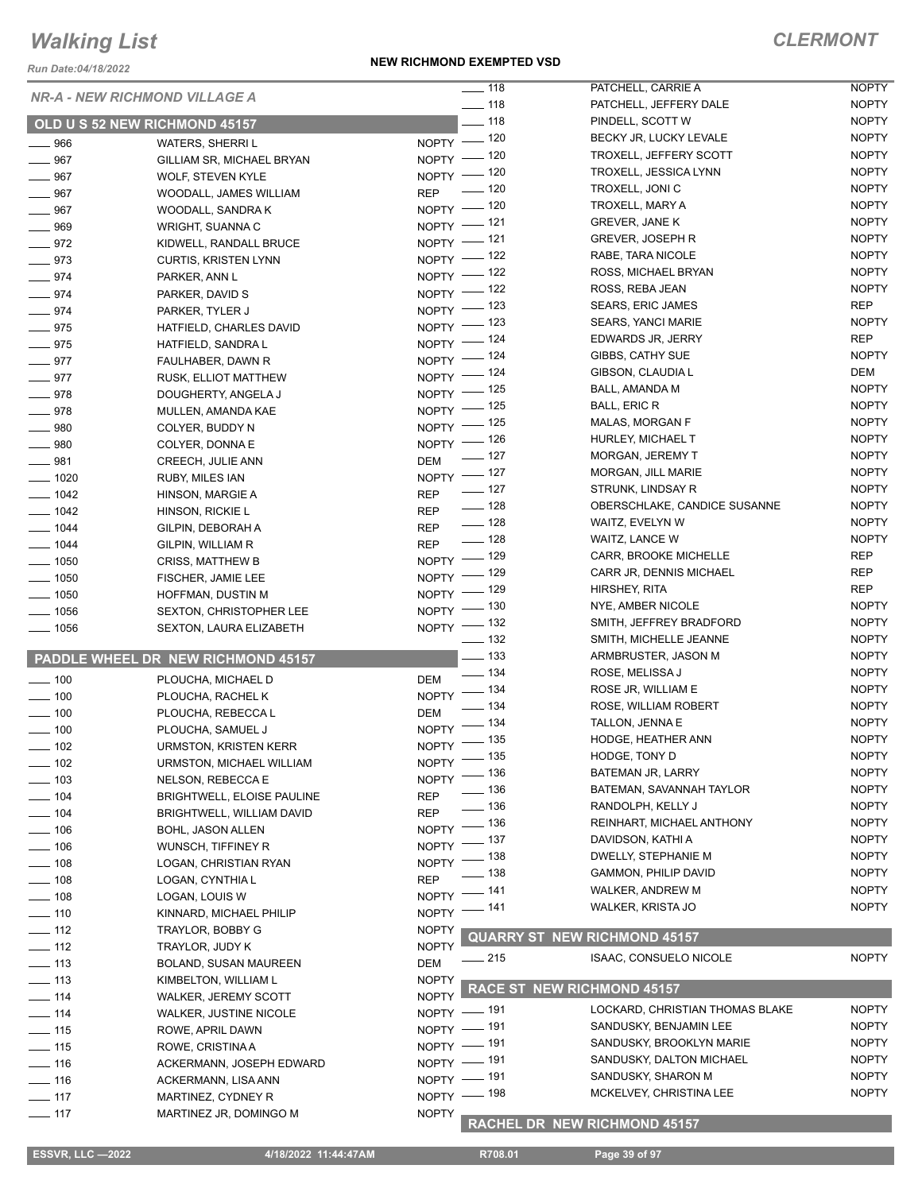*Run Date:04/18/2022*

#### **NEW RICHMOND EXEMPTED VSD**

|                    |                                      | $\frac{1}{2}$ 118               | PATCHELL, CARRIE A                  | <b>NOPTY</b> |
|--------------------|--------------------------------------|---------------------------------|-------------------------------------|--------------|
|                    | <b>NR-A - NEW RICHMOND VILLAGE A</b> | $- 118$                         | PATCHELL, JEFFERY DALE              | <b>NOPTY</b> |
|                    | OLD U S 52 NEW RICHMOND 45157        | $-118$                          | PINDELL, SCOTT W                    | <b>NOPTY</b> |
| $- 966$            | <b>WATERS, SHERRIL</b>               | NOPTY - 120                     | BECKY JR, LUCKY LEVALE              | <b>NOPTY</b> |
| $- 967$            | GILLIAM SR, MICHAEL BRYAN            | NOPTY - 120                     | TROXELL, JEFFERY SCOTT              | <b>NOPTY</b> |
| $- 967$            |                                      | NOPTY - 120                     | TROXELL, JESSICA LYNN               | <b>NOPTY</b> |
| $- 967$            | <b>WOLF, STEVEN KYLE</b>             | $\frac{1}{2}$ 120<br><b>REP</b> | TROXELL, JONI C                     | <b>NOPTY</b> |
| $-967$             | WOODALL, JAMES WILLIAM               | NOPTY - 120                     | TROXELL, MARY A                     | <b>NOPTY</b> |
|                    | WOODALL, SANDRA K                    | NOPTY - 121                     | <b>GREVER, JANE K</b>               | <b>NOPTY</b> |
| $- 969$            | WRIGHT, SUANNA C                     | NOPTY -121                      | <b>GREVER, JOSEPH R</b>             | <b>NOPTY</b> |
| $-972$             | KIDWELL, RANDALL BRUCE               | NOPTY - 122                     | RABE, TARA NICOLE                   | <b>NOPTY</b> |
| $-973$             | <b>CURTIS, KRISTEN LYNN</b>          | NOPTY - 122                     | ROSS, MICHAEL BRYAN                 | <b>NOPTY</b> |
| $-974$             | PARKER, ANN L                        | NOPTY - 122                     | ROSS, REBA JEAN                     | <b>NOPTY</b> |
| $- 974$            | PARKER, DAVID S                      |                                 | <b>SEARS, ERIC JAMES</b>            | <b>REP</b>   |
| $- 974$            | PARKER, TYLER J                      | NOPTY - 123                     | <b>SEARS, YANCI MARIE</b>           | <b>NOPTY</b> |
| $- 975$            | HATFIELD, CHARLES DAVID              | NOPTY - 123                     | EDWARDS JR, JERRY                   | <b>REP</b>   |
| $- 975$            | HATFIELD, SANDRA L                   | NOPTY - 124                     |                                     |              |
| $-977$             | FAULHABER, DAWN R                    | NOPTY - 124                     | GIBBS, CATHY SUE                    | <b>NOPTY</b> |
| $-977$             | RUSK, ELLIOT MATTHEW                 | NOPTY - 124                     | GIBSON, CLAUDIA L                   | DEM          |
| $-978$             | DOUGHERTY, ANGELA J                  | NOPTY - 125                     | BALL, AMANDA M                      | <b>NOPTY</b> |
| $- 978$            | MULLEN, AMANDA KAE                   | NOPTY - 125                     | <b>BALL, ERIC R</b>                 | <b>NOPTY</b> |
| $- 980$            | COLYER, BUDDY N                      | NOPTY - 125                     | MALAS, MORGAN F                     | <b>NOPTY</b> |
| $- 980$            | COLYER, DONNA E                      | NOPTY - 126                     | HURLEY, MICHAEL T                   | <b>NOPTY</b> |
| $- 981$            | CREECH, JULIE ANN                    | $\frac{1}{2}$ 127<br><b>DEM</b> | MORGAN, JEREMY T                    | <b>NOPTY</b> |
| $- 1020$           | RUBY, MILES IAN                      | NOPTY - 127                     | MORGAN, JILL MARIE                  | <b>NOPTY</b> |
| $- 1042$           | HINSON, MARGIE A                     | $- 127$<br><b>REP</b>           | STRUNK, LINDSAY R                   | <b>NOPTY</b> |
| $- 1042$           | HINSON, RICKIE L                     | $- 128$<br><b>REP</b>           | OBERSCHLAKE, CANDICE SUSANNE        | <b>NOPTY</b> |
| $- 1044$           | GILPIN, DEBORAH A                    | $\frac{1}{2}$ 128<br><b>REP</b> | WAITZ, EVELYN W                     | <b>NOPTY</b> |
| $- 1044$           | GILPIN, WILLIAM R                    | $- 128$<br><b>REP</b>           | WAITZ, LANCE W                      | <b>NOPTY</b> |
| $- 1050$           | <b>CRISS, MATTHEW B</b>              | NOPTY - 129                     | CARR, BROOKE MICHELLE               | REP          |
| $\frac{1}{2}$ 1050 | FISCHER, JAMIE LEE                   | NOPTY - 129                     | CARR JR, DENNIS MICHAEL             | <b>REP</b>   |
| $\frac{1}{2}$ 1050 | HOFFMAN, DUSTIN M                    | NOPTY - 129                     | HIRSHEY, RITA                       | <b>REP</b>   |
| $- 1056$           | <b>SEXTON, CHRISTOPHER LEE</b>       | NOPTY - 130                     | NYE, AMBER NICOLE                   | <b>NOPTY</b> |
| $- 1056$           | SEXTON, LAURA ELIZABETH              | NOPTY - 132                     | SMITH, JEFFREY BRADFORD             | <b>NOPTY</b> |
|                    |                                      | $\frac{1}{2}$ 132               | SMITH, MICHELLE JEANNE              | <b>NOPTY</b> |
|                    | PADDLE WHEEL DR NEW RICHMOND 45157   | $\equiv$ 133                    | ARMBRUSTER, JASON M                 | <b>NOPTY</b> |
| $- 100$            | PLOUCHA, MICHAEL D                   | $- 134$<br>DEM                  | ROSE, MELISSA J                     | <b>NOPTY</b> |
| $\frac{1}{2}$ 100  |                                      | NOPTY - 134                     | ROSE JR, WILLIAM E                  | <b>NOPTY</b> |
| $- 100$            | PLOUCHA, RACHEL K                    | $-134$<br><b>DEM</b>            | ROSE, WILLIAM ROBERT                | <b>NOPTY</b> |
| $\frac{1}{2}$ 100  | PLOUCHA, REBECCA L                   | NOPTY - 134                     | TALLON, JENNA E                     | <b>NOPTY</b> |
|                    | PLOUCHA, SAMUEL J                    | NOPTY - 135                     | HODGE, HEATHER ANN                  | <b>NOPTY</b> |
| $- 102$            | <b>URMSTON, KRISTEN KERR</b>         | NOPTY $-$ 135                   | HODGE, TONY D                       | <b>NOPTY</b> |
| $- 102$            | URMSTON, MICHAEL WILLIAM             | NOPTY - 136                     | BATEMAN JR, LARRY                   | <b>NOPTY</b> |
| $- 103$            | NELSON, REBECCA E                    | _ 136                           | BATEMAN, SAVANNAH TAYLOR            | <b>NOPTY</b> |
| $- 104$            | BRIGHTWELL, ELOISE PAULINE           | <b>REP</b><br>_ 136             | RANDOLPH, KELLY J                   | <b>NOPTY</b> |
| $- 104$            | BRIGHTWELL, WILLIAM DAVID            | <b>REP</b><br>$-136$            | REINHART, MICHAEL ANTHONY           | <b>NOPTY</b> |
| $- 106$            | BOHL, JASON ALLEN                    | $N$ OPTY $-$<br>_ 137           | DAVIDSON, KATHI A                   | <b>NOPTY</b> |
| $- 106$            | WUNSCH, TIFFINEY R                   | $NOPTY$ -<br>_ 138              | DWELLY, STEPHANIE M                 | <b>NOPTY</b> |
| $- 108$            | LOGAN, CHRISTIAN RYAN                | $N$ OPTY $-$<br>138             | GAMMON, PHILIP DAVID                | <b>NOPTY</b> |
| $- 108$            | LOGAN, CYNTHIA L                     | <b>REP</b><br>_ 141             | WALKER, ANDREW M                    | <b>NOPTY</b> |
| $\frac{1}{2}$ 108  | LOGAN, LOUIS W                       | <b>NOPTY</b>                    | WALKER, KRISTA JO                   | <b>NOPTY</b> |
| $\frac{1}{2}$ 110  | KINNARD, MICHAEL PHILIP              | _ 141<br>NOPTY <sup>-</sup>     |                                     |              |
| $\frac{1}{2}$ 112  | TRAYLOR, BOBBY G                     | <b>NOPTY</b>                    | <b>QUARRY ST NEW RICHMOND 45157</b> |              |
| $-112$             | TRAYLOR, JUDY K                      | <b>NOPTY</b>                    |                                     |              |
| $\frac{1}{2}$ 113  | BOLAND, SUSAN MAUREEN                | _ 215<br><b>DEM</b>             | ISAAC, CONSUELO NICOLE              | <b>NOPTY</b> |
| $\frac{1}{2}$ 113  | KIMBELTON, WILLIAM L                 | <b>NOPTY</b>                    |                                     |              |
| $\frac{1}{2}$ 114  | WALKER, JEREMY SCOTT                 | <b>NOPTY</b>                    | <b>RACE ST NEW RICHMOND 45157</b>   |              |
| $\frac{1}{114}$    | WALKER, JUSTINE NICOLE               | NOPTY - 191                     | LOCKARD, CHRISTIAN THOMAS BLAKE     | <b>NOPTY</b> |
| $- 115$            | ROWE, APRIL DAWN                     | NOPTY - 191                     | SANDUSKY, BENJAMIN LEE              | <b>NOPTY</b> |
| $\frac{1}{15}$     | ROWE, CRISTINA A                     | NOPTY - 191                     | SANDUSKY, BROOKLYN MARIE            | <b>NOPTY</b> |
| $- 116$            | ACKERMANN, JOSEPH EDWARD             | NOPTY - 191                     | SANDUSKY, DALTON MICHAEL            | <b>NOPTY</b> |
| $\frac{1}{16}$     | ACKERMANN, LISA ANN                  | NOPTY - 191                     | SANDUSKY, SHARON M                  | <b>NOPTY</b> |
| $-117$             | MARTINEZ, CYDNEY R                   | NOPTY - 198                     | MCKELVEY, CHRISTINA LEE             | <b>NOPTY</b> |
| $-117$             | MARTINEZ JR, DOMINGO M               | <b>NOPTY</b>                    |                                     |              |
|                    |                                      |                                 | RACHEL DR NEW RICHMOND 45157        |              |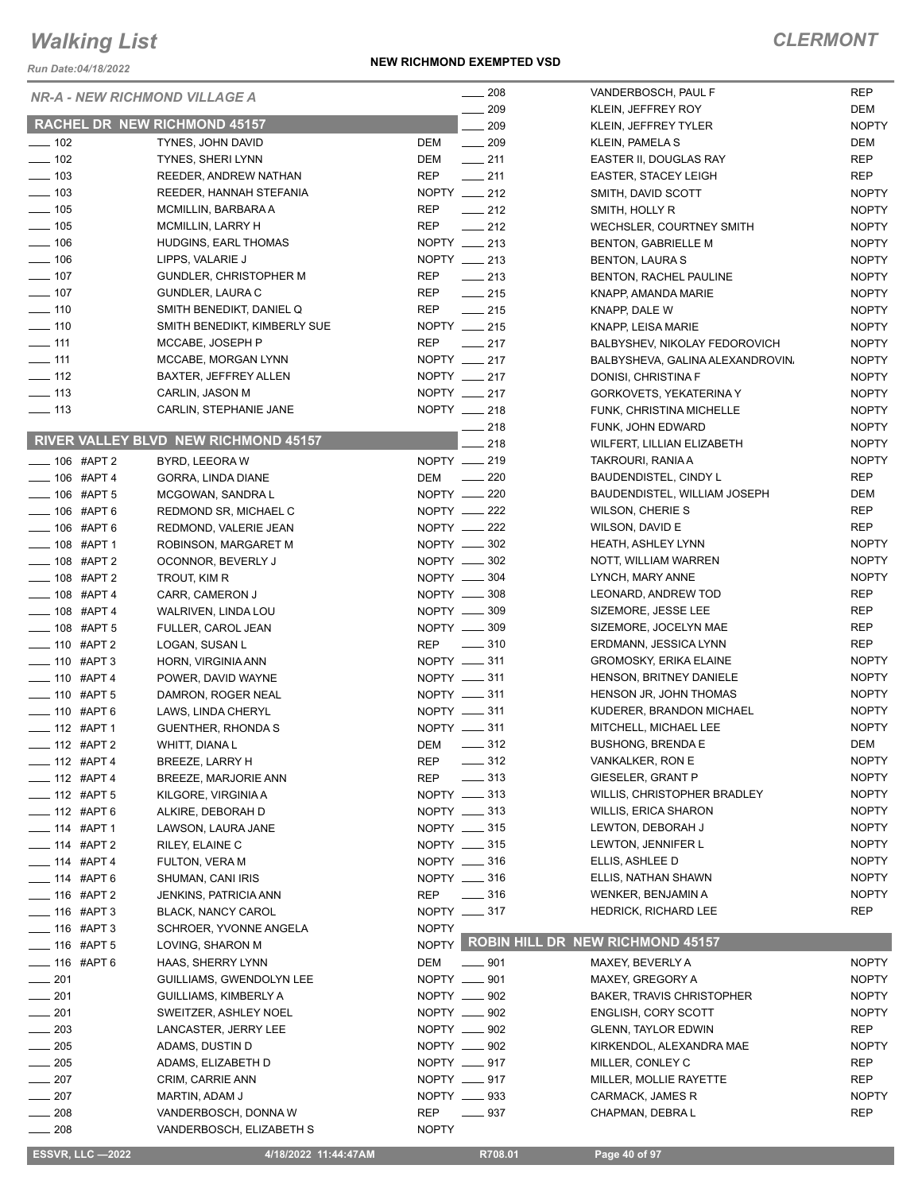*Run Date:04/18/2022*

#### **NEW RICHMOND EXEMPTED VSD**

|                          | <b>NR-A - NEW RICHMOND VILLAGE A</b>                      | $\frac{1}{208}$                 | VANDERBOSCH, PAUL F                    | <b>REP</b>   |
|--------------------------|-----------------------------------------------------------|---------------------------------|----------------------------------------|--------------|
|                          |                                                           | $\sim$ 209                      | KLEIN, JEFFREY ROY                     | DEM          |
|                          | <b>RACHEL DR NEW RICHMOND 45157</b>                       | 209                             | KLEIN, JEFFREY TYLER                   | <b>NOPTY</b> |
| $\frac{1}{2}$ 102        | TYNES, JOHN DAVID                                         | DEM<br>$\frac{1}{209}$          | KLEIN, PAMELA S                        | DEM          |
| $\frac{1}{2}$ 102        | TYNES, SHERI LYNN                                         | DEM<br>$-211$                   | EASTER II, DOUGLAS RAY                 | <b>REP</b>   |
| $\frac{1}{2}$ 103        | REEDER, ANDREW NATHAN                                     | <b>REP</b><br>$\frac{1}{211}$   | <b>EASTER, STACEY LEIGH</b>            | REP          |
| $\frac{1}{2}$ 103        | REEDER, HANNAH STEFANIA                                   | NOPTY $-212$                    | SMITH, DAVID SCOTT                     | <b>NOPTY</b> |
| $\frac{1}{2}$ 105        | MCMILLIN, BARBARA A                                       | <b>REP</b><br>$\frac{1}{212}$   | SMITH, HOLLY R                         | <b>NOPTY</b> |
| $- 105$                  | <b>MCMILLIN, LARRY H</b>                                  | $\frac{1}{212}$<br><b>REP</b>   | WECHSLER, COURTNEY SMITH               | <b>NOPTY</b> |
| $\frac{1}{2}$ 106        | HUDGINS, EARL THOMAS                                      | NOPTY __ 213                    | <b>BENTON, GABRIELLE M</b>             | <b>NOPTY</b> |
| $- 106$                  | LIPPS, VALARIE J                                          | NOPTY __ 213                    | <b>BENTON, LAURA S</b>                 | <b>NOPTY</b> |
| $\frac{1}{2}$ 107        | <b>GUNDLER, CHRISTOPHER M</b>                             | <b>REP</b><br>$\frac{1}{213}$   | BENTON, RACHEL PAULINE                 | <b>NOPTY</b> |
| $- 107$                  | <b>GUNDLER, LAURA C</b>                                   | REP<br>$\frac{1}{215}$          | KNAPP, AMANDA MARIE                    | <b>NOPTY</b> |
| $\frac{1}{10}$ 110       | SMITH BENEDIKT, DANIEL Q                                  | REP<br>$\frac{1}{215}$          | KNAPP, DALE W                          | <b>NOPTY</b> |
| $- 110$                  | SMITH BENEDIKT, KIMBERLY SUE                              | NOPTY __ 215                    | KNAPP, LEISA MARIE                     | <b>NOPTY</b> |
| $- 111$                  | MCCABE, JOSEPH P                                          | <b>REP</b><br>$\frac{1}{217}$   | BALBYSHEV, NIKOLAY FEDOROVICH          | <b>NOPTY</b> |
| $-111$                   | MCCABE, MORGAN LYNN                                       | NOPTY __ 217                    | BALBYSHEVA, GALINA ALEXANDROVIN,       | <b>NOPTY</b> |
| $\frac{1}{2}$ 112        | <b>BAXTER, JEFFREY ALLEN</b>                              | NOPTY __ 217                    | DONISI, CHRISTINA F                    | <b>NOPTY</b> |
| $\frac{1}{2}$ 113        | CARLIN, JASON M                                           | NOPTY __ 217                    | <b>GORKOVETS, YEKATERINA Y</b>         | <b>NOPTY</b> |
| $\frac{1}{2}$ 113        | CARLIN, STEPHANIE JANE                                    | NOPTY __ 218                    | FUNK, CHRISTINA MICHELLE               | <b>NOPTY</b> |
|                          |                                                           | 218                             | FUNK, JOHN EDWARD                      | <b>NOPTY</b> |
|                          | RIVER VALLEY BLVD NEW RICHMOND 45157                      | 218                             | WILFERT, LILLIAN ELIZABETH             | <b>NOPTY</b> |
| $-106$ #APT 2            | BYRD, LEEORA W                                            | NOPTY __ 219                    | TAKROURI, RANIA A                      | <b>NOPTY</b> |
| $-106$ #APT 4            | GORRA, LINDA DIANE                                        | DEM __ 220                      | <b>BAUDENDISTEL, CINDY L</b>           | REP          |
| $-$ 106 #APT 5           | MCGOWAN, SANDRA L                                         | NOPTY __ 220                    | BAUDENDISTEL, WILLIAM JOSEPH           | DEM          |
| $- 106$ #APT 6           | REDMOND SR, MICHAEL C                                     | NOPTY __ 222                    | WILSON, CHERIE S                       | REP          |
| -06 #APT 6               | REDMOND, VALERIE JEAN                                     | NOPTY -222                      | WILSON, DAVID E                        | REP          |
| $- 108$ #APT 1           | ROBINSON, MARGARET M                                      | NOPTY -802                      | <b>HEATH, ASHLEY LYNN</b>              | <b>NOPTY</b> |
| $\frac{1}{2}$ 108 #APT 2 | OCONNOR, BEVERLY J                                        | NOPTY __ 302                    | NOTT, WILLIAM WARREN                   | <b>NOPTY</b> |
| $-$ 108 #APT 2           | TROUT, KIM R                                              | NOPTY -804                      | LYNCH, MARY ANNE                       | <b>NOPTY</b> |
| $\frac{1}{2}$ 108 #APT 4 | CARR, CAMERON J                                           | NOPTY __ 308                    | LEONARD, ANDREW TOD                    | REP          |
| $- 108$ #APT 4           | WALRIVEN, LINDA LOU                                       | NOPTY __ 309                    | SIZEMORE, JESSE LEE                    | REP          |
| $- 108$ #APT 5           | FULLER, CAROL JEAN                                        | NOPTY __ 309                    | SIZEMORE, JOCELYN MAE                  | REP          |
| $- 110$ #APT 2           | LOGAN, SUSAN L                                            | REP __ 310                      | ERDMANN, JESSICA LYNN                  | REP          |
| $-$ 110 #APT 3           | HORN, VIRGINIA ANN                                        | NOPTY __ 311                    | <b>GROMOSKY, ERIKA ELAINE</b>          | <b>NOPTY</b> |
| $- 110$ #APT 4           | POWER, DAVID WAYNE                                        | NOPTY __ 311                    | HENSON, BRITNEY DANIELE                | <b>NOPTY</b> |
| $-$ 110 #APT 5           | DAMRON, ROGER NEAL                                        | NOPTY __ 311                    | HENSON JR, JOHN THOMAS                 | <b>NOPTY</b> |
| $-$ 110 #APT 6           | LAWS, LINDA CHERYL                                        | NOPTY __ 311                    | KUDERER, BRANDON MICHAEL               | <b>NOPTY</b> |
| -112 #APT 1              | <b>GUENTHER, RHONDA S</b>                                 | NOPTY __ 311                    | MITCHELL, MICHAEL LEE                  | <b>NOPTY</b> |
| 112 #APT 2               | WHITT, DIANA L                                            | DEM _______ 312                 | <b>BUSHONG, BRENDA E</b>               | DEM          |
| $\frac{1}{2}$ 112 #APT 4 | BREEZE, LARRY H                                           | $\frac{1}{2}$ 312<br>REP        | VANKALKER, RON E                       | <b>NOPTY</b> |
| $- 112$ #APT 4           | BREEZE, MARJORIE ANN                                      | $-313$<br><b>REP</b>            | GIESELER, GRANT P                      | <b>NOPTY</b> |
| $-$ 112 #APT 5           | KILGORE, VIRGINIA A                                       | NOPTY __ 313                    | WILLIS, CHRISTOPHER BRADLEY            | <b>NOPTY</b> |
| $-$ 112 #APT 6           | ALKIRE, DEBORAH D                                         | NOPTY __ 313                    | <b>WILLIS, ERICA SHARON</b>            | <b>NOPTY</b> |
| $-$ 114 #APT 1           | LAWSON, LAURA JANE                                        | NOPTY __ 315                    | LEWTON, DEBORAH J                      | <b>NOPTY</b> |
| $- 114$ #APT 2           | RILEY, ELAINE C                                           | NOPTY __ 315                    | LEWTON, JENNIFER L                     | <b>NOPTY</b> |
| $- 114$ #APT 4           | <b>FULTON, VERA M</b>                                     | NOPTY $- 316$                   | ELLIS, ASHLEE D                        | <b>NOPTY</b> |
| $- 114$ #APT 6           | SHUMAN, CANI IRIS                                         | NOPTY __ 316                    | ELLIS, NATHAN SHAWN                    | <b>NOPTY</b> |
| $- 116$ #APT 2           |                                                           | $\frac{1}{2}$ 316<br><b>REP</b> | WENKER, BENJAMIN A                     | <b>NOPTY</b> |
| $-$ 116 #APT 3           | <b>JENKINS, PATRICIA ANN</b><br><b>BLACK, NANCY CAROL</b> | NOPTY __ 317                    | <b>HEDRICK, RICHARD LEE</b>            | REP          |
|                          |                                                           |                                 |                                        |              |
| $- 116$ #APT 3           | SCHROER, YVONNE ANGELA                                    | <b>NOPTY</b>                    | NOPTY ROBIN HILL DR NEW RICHMOND 45157 |              |
| $- 116$ #APT 5           | LOVING, SHARON M                                          |                                 |                                        |              |
| $- 116$ #APT 6           | HAAS, SHERRY LYNN                                         | DEM<br>$- 901$                  | MAXEY, BEVERLY A                       | <b>NOPTY</b> |
| $\frac{1}{201}$          | GUILLIAMS, GWENDOLYN LEE                                  | NOPTY __ 901                    | MAXEY, GREGORY A                       | <b>NOPTY</b> |
| $-201$                   | GUILLIAMS, KIMBERLY A                                     | NOPTY __ 902                    | <b>BAKER, TRAVIS CHRISTOPHER</b>       | <b>NOPTY</b> |
| $-201$                   | SWEITZER, ASHLEY NOEL                                     | NOPTY __ 902                    | <b>ENGLISH, CORY SCOTT</b>             | <b>NOPTY</b> |
| 203                      | LANCASTER, JERRY LEE                                      | NOPTY __ 902                    | <b>GLENN, TAYLOR EDWIN</b>             | REP          |
| $=205$                   | ADAMS, DUSTIN D                                           | NOPTY __ 902                    | KIRKENDOL, ALEXANDRA MAE               | <b>NOPTY</b> |
| $-205$                   | ADAMS, ELIZABETH D                                        | NOPTY __ 917                    | MILLER, CONLEY C                       | REP          |
| 207                      | CRIM, CARRIE ANN                                          | NOPTY __ 917                    | MILLER, MOLLIE RAYETTE                 | REP          |
| $-207$                   | MARTIN, ADAM J                                            | NOPTY __ 933                    | CARMACK, JAMES R                       | <b>NOPTY</b> |
| 208                      | VANDERBOSCH, DONNA W                                      | <b>REP</b><br>$=937$            | CHAPMAN, DEBRA L                       | <b>REP</b>   |
| $-208$                   | VANDERBOSCH, ELIZABETH S                                  | <b>NOPTY</b>                    |                                        |              |

 **ESSVR, LLC —2022 4/18/2022 11:44:47AM R708.01 Page 40 of 97**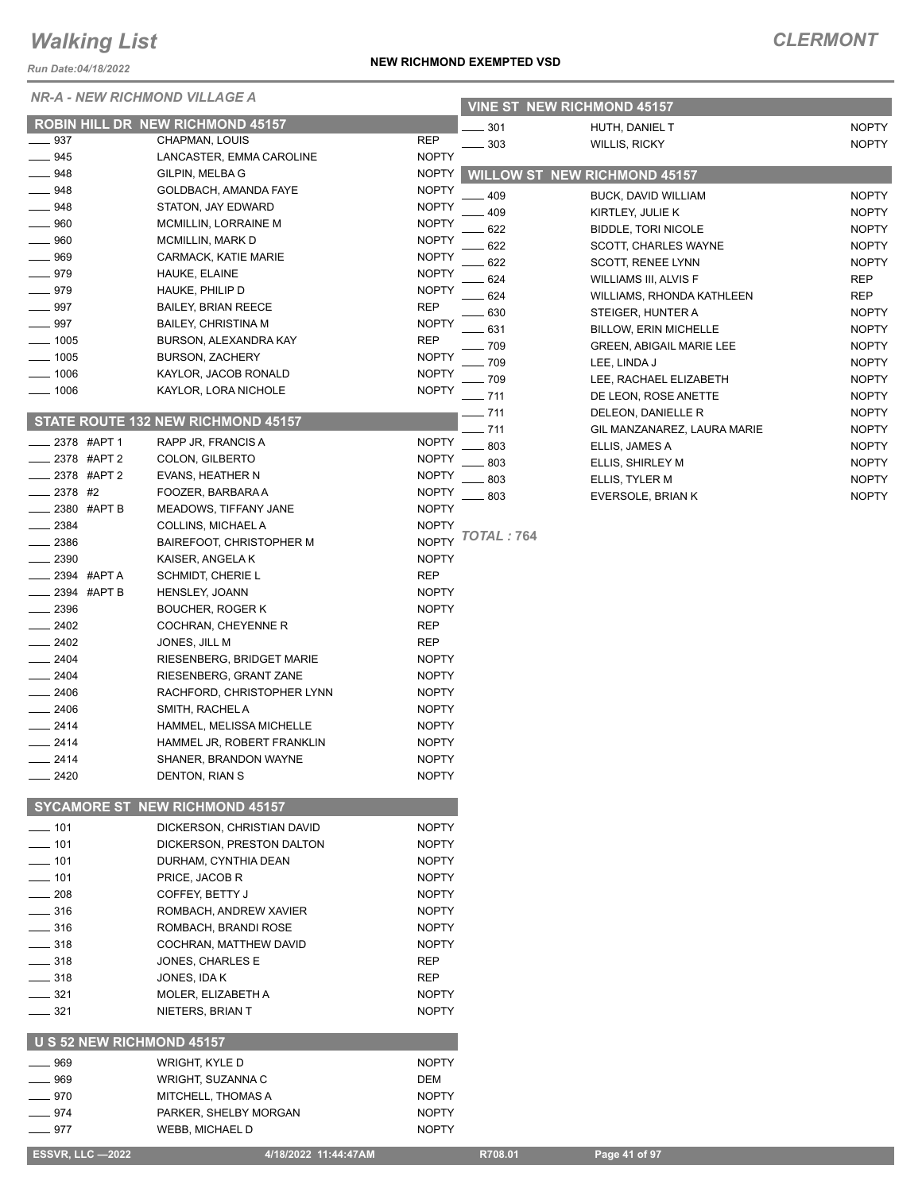*Run Date:04/18/2022*

#### *NR-A - NEW RICHMOND VILLAGE A*

| NUII DAIC.04/10/ZUZZ      |                                          |                              |                   |                                     |                              |
|---------------------------|------------------------------------------|------------------------------|-------------------|-------------------------------------|------------------------------|
|                           | <b>NR-A - NEW RICHMOND VILLAGE A</b>     |                              |                   | <b>VINE ST NEW RICHMOND 45157</b>   |                              |
|                           | <b>ROBIN HILL DR NEW RICHMOND 45157</b>  |                              | 301               | HUTH, DANIEL T                      | <b>NOPTY</b>                 |
| $\frac{1}{2}$ 937         | CHAPMAN, LOUIS                           | <b>REP</b>                   | 303               | <b>WILLIS, RICKY</b>                | <b>NOPTY</b>                 |
| $- 945$                   | LANCASTER, EMMA CAROLINE                 | <b>NOPTY</b>                 |                   |                                     |                              |
| $-948$                    | GILPIN, MELBA G                          | <b>NOPTY</b>                 |                   | <b>WILLOW ST NEW RICHMOND 45157</b> |                              |
| $-948$                    | GOLDBACH, AMANDA FAYE                    | <b>NOPTY</b>                 | 409               | BUCK, DAVID WILLIAM                 | <b>NOPTY</b>                 |
| _ 948                     | STATON, JAY EDWARD                       | <b>NOPTY</b>                 | 409               | KIRTLEY, JULIE K                    | <b>NOPTY</b>                 |
| $-960$                    | MCMILLIN, LORRAINE M                     | <b>NOPTY</b>                 | 622               | <b>BIDDLE, TORI NICOLE</b>          | <b>NOPTY</b>                 |
| $- 960$<br>969            | MCMILLIN, MARK D<br>CARMACK, KATIE MARIE | <b>NOPTY</b><br><b>NOPTY</b> | 622               | <b>SCOTT, CHARLES WAYNE</b>         | <b>NOPTY</b>                 |
| $- 979$                   | HAUKE, ELAINE                            | <b>NOPTY</b>                 | 622               | <b>SCOTT, RENEE LYNN</b>            | <b>NOPTY</b>                 |
| ____ 979                  | HAUKE, PHILIP D                          | <b>NOPTY</b>                 | 624               | <b>WILLIAMS III, ALVIS F</b>        | <b>REP</b>                   |
| $\frac{1}{2}$ 997         | <b>BAILEY, BRIAN REECE</b>               | <b>REP</b>                   | 624               | WILLIAMS, RHONDA KATHLEEN           | <b>REP</b>                   |
| $- 997$                   | <b>BAILEY, CHRISTINA M</b>               | <b>NOPTY</b>                 | 630               | STEIGER, HUNTER A                   | <b>NOPTY</b>                 |
| $- 1005$                  | BURSON, ALEXANDRA KAY                    | <b>REP</b>                   | 631               | <b>BILLOW, ERIN MICHELLE</b>        | <b>NOPTY</b>                 |
| $\frac{1}{2}$ 1005        | <b>BURSON, ZACHERY</b>                   | <b>NOPTY</b>                 | 709               | <b>GREEN, ABIGAIL MARIE LEE</b>     | <b>NOPTY</b>                 |
| $- 1006$                  | KAYLOR, JACOB RONALD                     | <b>NOPTY</b>                 | 709               | LEE, LINDA J                        | <b>NOPTY</b>                 |
| $- 1006$                  | KAYLOR, LORA NICHOLE                     | <b>NOPTY</b>                 | 709               | LEE, RACHAEL ELIZABETH              | <b>NOPTY</b>                 |
|                           |                                          |                              | $-711$            | DE LEON, ROSE ANETTE                | <b>NOPTY</b>                 |
|                           | STATE ROUTE 132 NEW RICHMOND 45157       |                              | 711               | DELEON, DANIELLE R                  | <b>NOPTY</b>                 |
| 2378 #APT 1               | RAPP JR, FRANCIS A                       | <b>NOPTY</b>                 | 711<br>803        | GIL MANZANAREZ, LAURA MARIE         | <b>NOPTY</b>                 |
| 2378 #APT 2               | COLON, GILBERTO                          | <b>NOPTY</b>                 |                   | ELLIS, JAMES A                      | <b>NOPTY</b>                 |
| 2378 #APT 2               | EVANS, HEATHER N                         | <b>NOPTY</b>                 | 803<br>803        | ELLIS, SHIRLEY M                    | <b>NOPTY</b>                 |
| 2378 #2                   | FOOZER, BARBARA A                        | <b>NOPTY</b>                 | 803               | ELLIS, TYLER M                      | <b>NOPTY</b><br><b>NOPTY</b> |
| 2380 #APT B               | MEADOWS, TIFFANY JANE                    | <b>NOPTY</b>                 |                   | EVERSOLE, BRIAN K                   |                              |
| 2384                      | COLLINS, MICHAEL A                       | <b>NOPTY</b>                 |                   |                                     |                              |
| 2386                      | BAIREFOOT, CHRISTOPHER M                 | <b>NOPTY</b>                 | <b>TOTAL: 764</b> |                                     |                              |
| $-2390$                   | KAISER, ANGELA K                         | <b>NOPTY</b>                 |                   |                                     |                              |
| <sub>–</sub> 2394 #APT A  | SCHMIDT, CHERIE L                        | <b>REP</b>                   |                   |                                     |                              |
| <b>______ 2394 #APT B</b> | <b>HENSLEY, JOANN</b>                    | <b>NOPTY</b>                 |                   |                                     |                              |
| 2396                      | <b>BOUCHER, ROGER K</b>                  | <b>NOPTY</b>                 |                   |                                     |                              |
| $-2402$                   | COCHRAN, CHEYENNE R                      | <b>REP</b>                   |                   |                                     |                              |
| $-2402$                   | JONES, JILL M                            | <b>REP</b>                   |                   |                                     |                              |
| 2404                      | RIESENBERG, BRIDGET MARIE                | <b>NOPTY</b>                 |                   |                                     |                              |
| $-2404$                   | RIESENBERG, GRANT ZANE                   | <b>NOPTY</b>                 |                   |                                     |                              |
| 2406                      | RACHFORD, CHRISTOPHER LYNN               | <b>NOPTY</b>                 |                   |                                     |                              |
| $-2406$                   | SMITH, RACHEL A                          | <b>NOPTY</b>                 |                   |                                     |                              |
| 2414                      | HAMMEL, MELISSA MICHELLE                 | <b>NOPTY</b>                 |                   |                                     |                              |
| 2414                      | HAMMEL JR. ROBERT FRANKLIN               | <b>NOPTY</b>                 |                   |                                     |                              |
| $-2414$                   | SHANER, BRANDON WAYNE                    | <b>NOPTY</b>                 |                   |                                     |                              |
| $-2420$                   | DENTON, RIAN S                           | <b>NOPTY</b>                 |                   |                                     |                              |
|                           | <b>SYCAMORE ST NEW RICHMOND 45157</b>    |                              |                   |                                     |                              |
| $\rule{1em}{0.15mm}$ 101  | DICKERSON, CHRISTIAN DAVID               | <b>NOPTY</b>                 |                   |                                     |                              |
| $\frac{1}{2}$ 101         | DICKERSON, PRESTON DALTON                | <b>NOPTY</b>                 |                   |                                     |                              |
| $\frac{1}{2}$ 101         | DURHAM, CYNTHIA DEAN                     | <b>NOPTY</b>                 |                   |                                     |                              |
| $\frac{1}{2}$ 101         | PRICE, JACOB R                           | <b>NOPTY</b>                 |                   |                                     |                              |
| $\frac{1}{208}$           | COFFEY, BETTY J                          | <b>NOPTY</b>                 |                   |                                     |                              |
| $- 316$                   | ROMBACH, ANDREW XAVIER                   | <b>NOPTY</b>                 |                   |                                     |                              |
| $- 316$                   | ROMBACH, BRANDI ROSE                     | <b>NOPTY</b>                 |                   |                                     |                              |
| $\frac{1}{2}$ 318         | COCHRAN, MATTHEW DAVID                   | <b>NOPTY</b>                 |                   |                                     |                              |
| $\frac{1}{2}$ 318         | JONES, CHARLES E                         | REP                          |                   |                                     |                              |
| $\frac{1}{2}$ 318         | JONES, IDA K                             | REP                          |                   |                                     |                              |
| $- 321$                   | MOLER, ELIZABETH A                       | <b>NOPTY</b>                 |                   |                                     |                              |
| $\frac{1}{2}$ 321         | NIETERS, BRIAN T                         | <b>NOPTY</b>                 |                   |                                     |                              |
| U S 52 NEW RICHMOND 45157 |                                          |                              |                   |                                     |                              |
| _____ 969                 | WRIGHT, KYLE D                           | <b>NOPTY</b>                 |                   |                                     |                              |
| $- 969$                   | WRIGHT, SUZANNA C                        | DEM                          |                   |                                     |                              |
| $- 970$                   | MITCHELL, THOMAS A                       | <b>NOPTY</b>                 |                   |                                     |                              |
| $-974$                    | PARKER, SHELBY MORGAN                    | <b>NOPTY</b>                 |                   |                                     |                              |
| 977                       | <b>WEBB, MICHAEL D</b>                   | <b>NOPTY</b>                 |                   |                                     |                              |

**NEW RICHMOND EXEMPTED VSD**

 **ESSVR, LLC —2022 4/18/2022 11:44:47AM R708.01 Page 41 of 97**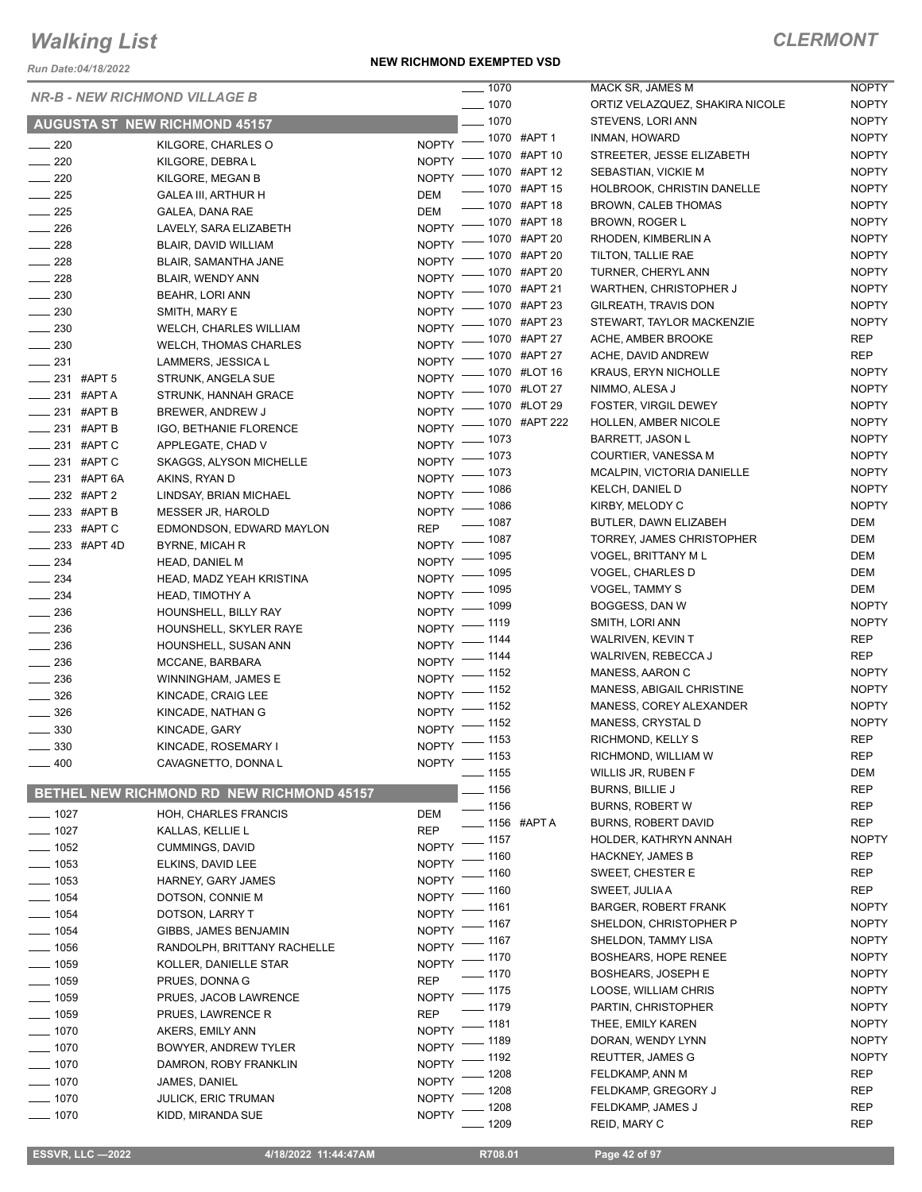*Run Date:04/18/2022*

#### **NEW RICHMOND EXEMPTED VSD**

|                           | <b>NR-B - NEW RICHMOND VILLAGE B</b>      | $- 1070$                      |                         | MACK SR, JAMES M                | <b>NOPTY</b> |
|---------------------------|-------------------------------------------|-------------------------------|-------------------------|---------------------------------|--------------|
|                           |                                           | $- 1070$                      |                         | ORTIZ VELAZQUEZ, SHAKIRA NICOLE | <b>NOPTY</b> |
|                           | <b>AUGUSTA ST NEW RICHMOND 45157</b>      | $\frac{1}{2}$ 1070            |                         | STEVENS, LORI ANN               | <b>NOPTY</b> |
| $\sim$ 220                | KILGORE, CHARLES O                        | NOPTY - 1070 #APT 1           |                         | INMAN, HOWARD                   | <b>NOPTY</b> |
| $\frac{1}{220}$           | KILGORE, DEBRA L                          | NOPTY - 1070 #APT 10          |                         | STREETER, JESSE ELIZABETH       | <b>NOPTY</b> |
| $\sim$ 220                | KILGORE, MEGAN B                          | NOPTY - 1070 #APT 12          |                         | SEBASTIAN, VICKIE M             | <b>NOPTY</b> |
| $\frac{1}{225}$           | <b>GALEA III, ARTHUR H</b>                | <b>DEM</b>                    | -070 #APT 15            | HOLBROOK, CHRISTIN DANELLE      | <b>NOPTY</b> |
| $\frac{1}{225}$           | GALEA, DANA RAE                           | <b>DEM</b>                    | ___ 1070 #APT 18        | <b>BROWN, CALEB THOMAS</b>      | <b>NOPTY</b> |
| $\frac{1}{226}$           | LAVELY, SARA ELIZABETH                    | NOPTY - 1070 #APT 18          |                         | <b>BROWN, ROGER L</b>           | <b>NOPTY</b> |
| $\frac{228}{2}$           | BLAIR, DAVID WILLIAM                      | NOPTY - 1070 #APT 20          |                         | RHODEN, KIMBERLIN A             | <b>NOPTY</b> |
| $\frac{1}{228}$           | BLAIR, SAMANTHA JANE                      | NOPTY - 1070 #APT 20          |                         | TILTON, TALLIE RAE              | <b>NOPTY</b> |
| 228                       | BLAIR, WENDY ANN                          | NOPTY - 1070 #APT 20          |                         | TURNER, CHERYL ANN              | <b>NOPTY</b> |
| $\frac{1}{2}$ 230         | BEAHR, LORI ANN                           | NOPTY - 1070 #APT 21          |                         | WARTHEN, CHRISTOPHER J          | <b>NOPTY</b> |
| $-230$                    | SMITH, MARY E                             | NOPTY - 1070 #APT 23          |                         | GILREATH, TRAVIS DON            | <b>NOPTY</b> |
| $\sim$ 230                | <b>WELCH, CHARLES WILLIAM</b>             | NOPTY - 1070 #APT 23          |                         | STEWART, TAYLOR MACKENZIE       | <b>NOPTY</b> |
| $\sim$ 230                | WELCH, THOMAS CHARLES                     | NOPTY - 1070 #APT 27          |                         | ACHE, AMBER BROOKE              | REP          |
| $\frac{1}{2}$ 231         | LAMMERS, JESSICA L                        | NOPTY - 1070 #APT 27          |                         | ACHE, DAVID ANDREW              | REP          |
| $-231$ #APT 5             | STRUNK, ANGELA SUE                        | NOPTY - 1070 #LOT 16          |                         | <b>KRAUS, ERYN NICHOLLE</b>     | <b>NOPTY</b> |
| $\frac{1}{231}$ #APT A    | STRUNK, HANNAH GRACE                      | NOPTY - 1070 #LOT 27          |                         | NIMMO, ALESA J                  | <b>NOPTY</b> |
| $\frac{1}{231}$ #APT B    | BREWER, ANDREW J                          | NOPTY - 1070 #LOT 29          |                         | FOSTER, VIRGIL DEWEY            | <b>NOPTY</b> |
| $\frac{1}{2}$ 231 #APT B  | IGO, BETHANIE FLORENCE                    | NOPTY - 1070 #APT 222         |                         | HOLLEN, AMBER NICOLE            | <b>NOPTY</b> |
| ____ 231 #APT C           | APPLEGATE, CHAD V                         | $-1073$<br>$NOPTY =$          |                         | <b>BARRETT, JASON L</b>         | <b>NOPTY</b> |
| ____ 231 #APT C           | <b>SKAGGS, ALYSON MICHELLE</b>            | NOPTY - 1073                  |                         | COURTIER, VANESSA M             | <b>NOPTY</b> |
| ____ 231 #APT 6A          | AKINS, RYAN D                             | NOPTY - 1073                  |                         | MCALPIN, VICTORIA DANIELLE      | <b>NOPTY</b> |
| $\frac{1}{2}$ 232 #APT 2  | LINDSAY, BRIAN MICHAEL                    | NOPTY - 1086                  |                         | KELCH, DANIEL D                 | <b>NOPTY</b> |
| $\frac{1}{2}$ 233 #APT B  | MESSER JR, HAROLD                         | NOPTY - 1086                  |                         | KIRBY, MELODY C                 | <b>NOPTY</b> |
| $\_\_\_\$ 233 #APT C      | EDMONDSON, EDWARD MAYLON                  | $- 1087$<br><b>REP</b>        |                         | BUTLER, DAWN ELIZABEH           | DEM          |
| $\frac{1}{2}$ 233 #APT 4D | <b>BYRNE, MICAH R</b>                     | NOPTY - 1087                  |                         | TORREY, JAMES CHRISTOPHER       | DEM          |
| $\frac{1}{2}$ 234         | HEAD, DANIEL M                            | NOPTY - 1095                  |                         | VOGEL, BRITTANY M L             | DEM          |
| $\frac{234}{2}$           | HEAD, MADZ YEAH KRISTINA                  | NOPTY - 1095                  |                         | VOGEL, CHARLES D                | DEM          |
| $\frac{1}{2}$ 234         | HEAD, TIMOTHY A                           | NOPTY - 1095                  |                         | VOGEL, TAMMY S                  | DEM          |
| $\frac{1}{2}$ 236         | HOUNSHELL, BILLY RAY                      | NOPTY - 1099                  |                         | BOGGESS, DAN W                  | <b>NOPTY</b> |
| $\frac{1}{2}$ 236         | HOUNSHELL, SKYLER RAYE                    | NOPTY - 1119                  |                         | SMITH, LORI ANN                 | <b>NOPTY</b> |
| $\frac{1}{2}$ 236         | HOUNSHELL, SUSAN ANN                      | NOPTY - 1144                  |                         | <b>WALRIVEN, KEVIN T</b>        | REP          |
| $\frac{236}{2}$           | MCCANE, BARBARA                           | NOPTY - 1144                  |                         | WALRIVEN, REBECCA J             | <b>REP</b>   |
| $\frac{1}{2}$ 236         | WINNINGHAM, JAMES E                       | NOPTY - 1152                  |                         | MANESS, AARON C                 | <b>NOPTY</b> |
| 326                       | KINCADE, CRAIG LEE                        | NOPTY - 1152                  |                         | MANESS, ABIGAIL CHRISTINE       | <b>NOPTY</b> |
| $\frac{1}{2}$ 326         | KINCADE, NATHAN G                         | NOPTY - 1152                  |                         | MANESS, COREY ALEXANDER         | <b>NOPTY</b> |
| $\frac{1}{2}$ 330         | KINCADE, GARY                             | NOPTY - 1152                  |                         | MANESS, CRYSTAL D               | <b>NOPTY</b> |
| $\frac{1}{2}$ 330         | KINCADE, ROSEMARY I                       | NOPTY - 1153                  |                         | RICHMOND, KELLY S               | <b>REP</b>   |
| $- 400$                   | CAVAGNETTO, DONNA L                       | NOPTY - 1153                  |                         | RICHMOND, WILLIAM W             | <b>REP</b>   |
|                           |                                           | $-1155$                       |                         | WILLIS JR, RUBEN F              | DEM          |
|                           | BETHEL NEW RICHMOND RD NEW RICHMOND 45157 | $-1156$                       |                         | <b>BURNS, BILLIE J</b>          | <b>REP</b>   |
| $- 1027$                  | HOH, CHARLES FRANCIS                      | $\frac{1}{156}$<br>DEM        |                         | <b>BURNS, ROBERT W</b>          | <b>REP</b>   |
| $- 1027$                  | KALLAS, KELLIE L                          | <b>REP</b>                    | <b>____ 1156 #APT A</b> | <b>BURNS, ROBERT DAVID</b>      | <b>REP</b>   |
| 1052                      | <b>CUMMINGS, DAVID</b>                    | $-1157$<br><b>NOPTY</b>       |                         | HOLDER, KATHRYN ANNAH           | <b>NOPTY</b> |
| $-1053$                   | ELKINS, DAVID LEE                         | _ 1160<br><b>NOPTY</b>        |                         | <b>HACKNEY, JAMES B</b>         | REP          |
| $-1053$                   | HARNEY, GARY JAMES                        | . 1160<br><b>NOPTY</b>        |                         | SWEET, CHESTER E                | <b>REP</b>   |
| $- 1054$                  | DOTSON, CONNIE M                          | $-1160$<br><b>NOPTY</b>       |                         | SWEET, JULIA A                  | <b>REP</b>   |
| $- 1054$                  | DOTSON, LARRY T                           | $-1161$<br><b>NOPTY</b>       |                         | <b>BARGER, ROBERT FRANK</b>     | <b>NOPTY</b> |
| $- 1054$                  | GIBBS, JAMES BENJAMIN                     | NOPTY - 1167                  |                         | SHELDON, CHRISTOPHER P          | <b>NOPTY</b> |
| $- 1056$                  | RANDOLPH, BRITTANY RACHELLE               | $-1167$<br>NOPTY <sup>-</sup> |                         | SHELDON, TAMMY LISA             | <b>NOPTY</b> |
| $-1059$                   | KOLLER, DANIELLE STAR                     | NOPTY - 1170                  |                         | BOSHEARS, HOPE RENEE            | <b>NOPTY</b> |
| $\frac{1}{2}$ 1059        | PRUES, DONNA G                            | $-1170$<br><b>REP</b>         |                         | <b>BOSHEARS, JOSEPH E</b>       | <b>NOPTY</b> |
| $\frac{1}{2}$ 1059        | PRUES, JACOB LAWRENCE                     | $-1175$<br><b>NOPTY</b>       |                         | LOOSE, WILLIAM CHRIS            | <b>NOPTY</b> |
| $- 1059$                  | PRUES, LAWRENCE R                         | $-1179$<br><b>REP</b>         |                         | PARTIN, CHRISTOPHER             | <b>NOPTY</b> |
| $- 1070$                  | AKERS, EMILY ANN                          | _ 1181<br><b>NOPTY</b>        |                         | THEE, EMILY KAREN               | <b>NOPTY</b> |
| $-1070$                   | <b>BOWYER, ANDREW TYLER</b>               | $-1189$<br><b>NOPTY</b>       |                         | DORAN, WENDY LYNN               | <b>NOPTY</b> |
| $-1070$                   | DAMRON, ROBY FRANKLIN                     | - 1192<br><b>NOPTY</b>        |                         | <b>REUTTER, JAMES G</b>         | <b>NOPTY</b> |
| 1070                      | JAMES, DANIEL                             | _ 1208<br><b>NOPTY</b>        |                         | FELDKAMP, ANN M                 | <b>REP</b>   |
| $-1070$                   | <b>JULICK, ERIC TRUMAN</b>                | $-1208$<br><b>NOPTY</b>       |                         | FELDKAMP, GREGORY J             | <b>REP</b>   |
| $- 1070$                  | KIDD, MIRANDA SUE                         | $-1208$<br><b>NOPTY</b>       |                         | FELDKAMP, JAMES J               | <b>REP</b>   |
|                           |                                           | . 1209                        |                         | REID, MARY C                    | <b>REP</b>   |
|                           |                                           |                               |                         |                                 |              |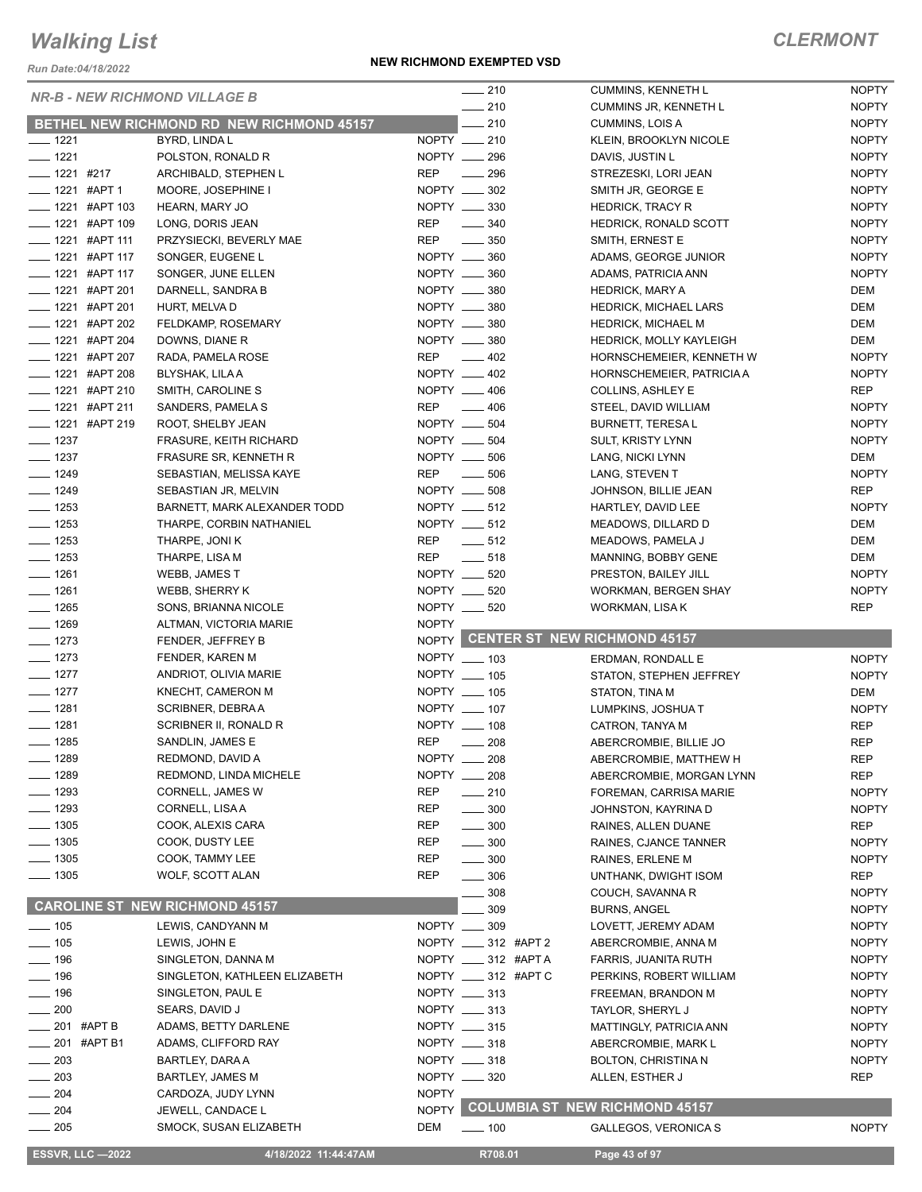*Run Date:04/18/2022*

|                             |                                           |              | $-210$                 | <b>CUMMINS, KENNETH L</b>            | <b>NOPTY</b> |
|-----------------------------|-------------------------------------------|--------------|------------------------|--------------------------------------|--------------|
|                             | <b>NR-B - NEW RICHMOND VILLAGE B</b>      |              | $\frac{1}{210}$        |                                      | <b>NOPTY</b> |
|                             |                                           |              |                        | <b>CUMMINS JR, KENNETH L</b>         |              |
|                             | BETHEL NEW RICHMOND RD NEW RICHMOND 45157 |              | $-210$                 | CUMMINS, LOIS A                      | <b>NOPTY</b> |
| $- 1221$                    | BYRD, LINDA L                             |              | NOPTY __ 210           | KLEIN, BROOKLYN NICOLE               | <b>NOPTY</b> |
| $- 1221$                    | POLSTON, RONALD R                         |              | NOPTY __ 296           | DAVIS, JUSTIN L                      | <b>NOPTY</b> |
| $- 1221$ #217               | ARCHIBALD, STEPHEN L                      | <b>REP</b>   | $\frac{1}{296}$        | STREZESKI, LORI JEAN                 | <b>NOPTY</b> |
| $\frac{1}{2}$ 1221 #APT 1   | MOORE, JOSEPHINE I                        |              | NOPTY __ 302           | SMITH JR, GEORGE E                   | <b>NOPTY</b> |
| $\frac{1}{2}$ 1221 #APT 103 | HEARN, MARY JO                            |              | NOPTY __ 330           | <b>HEDRICK, TRACY R</b>              | <b>NOPTY</b> |
| -1221 #APT 109              | LONG, DORIS JEAN                          | <b>REP</b>   | $\frac{1}{2}$ 340      | HEDRICK, RONALD SCOTT                | <b>NOPTY</b> |
| $\frac{1}{2}$ 1221 #APT 111 | PRZYSIECKI, BEVERLY MAE                   | REP          | $\frac{1}{2}$ 350      | SMITH, ERNEST E                      | <b>NOPTY</b> |
| ____ 1221 #APT 117          | SONGER, EUGENE L                          |              | NOPTY __ 360           | ADAMS, GEORGE JUNIOR                 | <b>NOPTY</b> |
| ___ 1221 #APT 117           | SONGER, JUNE ELLEN                        |              | NOPTY __ 360           | ADAMS, PATRICIA ANN                  | <b>NOPTY</b> |
| <b>_____ 1221 #APT 201</b>  |                                           |              | NOPTY __ 380           |                                      | DEM          |
|                             | DARNELL, SANDRA B                         |              |                        | <b>HEDRICK, MARY A</b>               |              |
| $\frac{1}{2}$ 1221 #APT 201 | HURT, MELVA D                             |              | NOPTY __ 380           | HEDRICK, MICHAEL LARS                | DEM          |
| <b>_____ 1221 #APT 202</b>  | FELDKAMP, ROSEMARY                        |              | NOPTY __ 380           | <b>HEDRICK, MICHAEL M</b>            | DEM          |
| ___ 1221 #APT 204           | DOWNS, DIANE R                            |              | NOPTY __ 380           | <b>HEDRICK, MOLLY KAYLEIGH</b>       | DEM          |
| ____ 1221 #APT 207          | RADA, PAMELA ROSE                         | <b>REP</b>   | $\frac{1}{2}$ 402      | HORNSCHEMEIER, KENNETH W             | <b>NOPTY</b> |
| ____ 1221 #APT 208          | BLYSHAK, LILA A                           |              | NOPTY __ 402           | HORNSCHEMEIER, PATRICIA A            | <b>NOPTY</b> |
| ____ 1221 #APT 210          | SMITH, CAROLINE S                         |              | NOPTY __ 406           | <b>COLLINS, ASHLEY E</b>             | REP          |
| ____ 1221 #APT 211          | SANDERS, PAMELA S                         |              | REP 406                | STEEL, DAVID WILLIAM                 | <b>NOPTY</b> |
| L__ 1221 #APT 219           | ROOT, SHELBY JEAN                         |              | NOPTY __ 504           | <b>BURNETT, TERESAL</b>              | <b>NOPTY</b> |
| $\frac{1}{2}$ 1237          | FRASURE, KEITH RICHARD                    |              | NOPTY __ 504           | <b>SULT, KRISTY LYNN</b>             | <b>NOPTY</b> |
| $\frac{1}{2}$ 1237          | <b>FRASURE SR, KENNETH R</b>              |              | NOPTY __ 506           | LANG, NICKI LYNN                     | DEM          |
|                             |                                           |              | $-506$                 |                                      | <b>NOPTY</b> |
| $- 1249$                    | SEBASTIAN, MELISSA KAYE                   | <b>REP</b>   |                        | LANG, STEVEN T                       |              |
| $- 1249$                    | SEBASTIAN JR, MELVIN                      |              | NOPTY __ 508           | JOHNSON, BILLIE JEAN                 | <b>REP</b>   |
| $- 1253$                    | BARNETT, MARK ALEXANDER TODD              |              | NOPTY __ 512           | HARTLEY, DAVID LEE                   | <b>NOPTY</b> |
| $- 1253$                    | THARPE, CORBIN NATHANIEL                  |              | NOPTY __ 512           | MEADOWS, DILLARD D                   | DEM          |
| $- 1253$                    | THARPE, JONI K                            | REP          | $-512$                 | MEADOWS, PAMELA J                    | DEM          |
| $- 1253$                    | THARPE, LISA M                            | REP          | $\frac{1}{2}$ 518      | MANNING, BOBBY GENE                  | DEM          |
| $- 1261$                    | WEBB, JAMES T                             |              | NOPTY __ 520           | PRESTON, BAILEY JILL                 | <b>NOPTY</b> |
| $- 1261$                    | WEBB, SHERRY K                            |              | NOPTY __ 520           | <b>WORKMAN, BERGEN SHAY</b>          | <b>NOPTY</b> |
| $- 1265$                    | SONS, BRIANNA NICOLE                      |              | NOPTY __ 520           | WORKMAN, LISA K                      | <b>REP</b>   |
| $- 1269$                    | ALTMAN, VICTORIA MARIE                    | <b>NOPTY</b> |                        |                                      |              |
| $- 1273$                    |                                           |              |                        | NOPTY CENTER ST NEW RICHMOND 45157   |              |
|                             | FENDER, JEFFREY B                         |              |                        |                                      |              |
| $- 1273$                    | FENDER, KAREN M                           |              | NOPTY __ 103           | ERDMAN, RONDALL E                    | <b>NOPTY</b> |
| $- 1277$                    | ANDRIOT, OLIVIA MARIE                     |              | NOPTY __ 105           | STATON, STEPHEN JEFFREY              | <b>NOPTY</b> |
| $- 1277$                    | KNECHT, CAMERON M                         |              | NOPTY __ 105           | STATON, TINA M                       | DEM          |
| $- 1281$                    | SCRIBNER, DEBRA A                         |              | NOPTY __ 107           | LUMPKINS, JOSHUA T                   | <b>NOPTY</b> |
| $- 1281$                    | SCRIBNER II, RONALD R                     |              | NOPTY __ 108           | CATRON, TANYA M                      | <b>REP</b>   |
|                             |                                           |              |                        |                                      |              |
| $- 1285$                    | SANDLIN, JAMES E                          | <b>REP</b>   | $\sim$ 208             | ABERCROMBIE, BILLIE JO               | <b>REP</b>   |
|                             |                                           |              |                        |                                      |              |
| ___ 1289                    | REDMOND, DAVID A                          |              | NOPTY __ 208           | ABERCROMBIE, MATTHEW H               | REP          |
| $- 1289$                    | REDMOND, LINDA MICHELE                    |              | NOPTY __ 208           | ABERCROMBIE, MORGAN LYNN             | <b>REP</b>   |
| $- 1293$                    | <b>CORNELL, JAMES W</b>                   | <b>REP</b>   | $-210$                 | FOREMAN, CARRISA MARIE               | <b>NOPTY</b> |
| $- 1293$                    | CORNELL, LISAA                            | <b>REP</b>   | $\frac{1}{2}$ 300      | JOHNSTON, KAYRINA D                  | <b>NOPTY</b> |
| $- 1305$                    | COOK, ALEXIS CARA                         | <b>REP</b>   | $\frac{1}{2}$ 300      | RAINES, ALLEN DUANE                  | <b>REP</b>   |
| $\frac{1}{2}$ 1305          | COOK, DUSTY LEE                           | REP          | $\sim$ 300             | RAINES, CJANCE TANNER                | <b>NOPTY</b> |
| $\frac{1}{2}$ 1305          | COOK, TAMMY LEE                           | <b>REP</b>   | $\frac{1}{2}$ 300      | RAINES, ERLENE M                     | <b>NOPTY</b> |
| $\frac{1}{2}$ 1305          | WOLF, SCOTT ALAN                          | <b>REP</b>   | $\frac{1}{2}$ 306      | UNTHANK, DWIGHT ISOM                 | REP          |
|                             |                                           |              | 308                    | COUCH, SAVANNA R                     | <b>NOPTY</b> |
|                             | <b>CAROLINE ST NEW RICHMOND 45157</b>     |              | 309                    | <b>BURNS, ANGEL</b>                  | <b>NOPTY</b> |
| $- 105$                     | LEWIS, CANDYANN M                         |              | NOPTY __ 309           | LOVETT, JEREMY ADAM                  | <b>NOPTY</b> |
|                             |                                           |              |                        |                                      |              |
| $- 105$                     | LEWIS, JOHN E                             |              | NOPTY _____ 312 #APT 2 | ABERCROMBIE, ANNA M                  | <b>NOPTY</b> |
| $- 196$                     | SINGLETON, DANNA M                        |              | NOPTY __ 312 #APT A    | <b>FARRIS, JUANITA RUTH</b>          | <b>NOPTY</b> |
| $- 196$                     | SINGLETON, KATHLEEN ELIZABETH             |              | NOPTY _____ 312 #APT C | PERKINS, ROBERT WILLIAM              | <b>NOPTY</b> |
| $- 196$                     | SINGLETON, PAUL E                         |              | NOPTY __ 313           | FREEMAN, BRANDON M                   | <b>NOPTY</b> |
| $\frac{1}{200}$             | SEARS, DAVID J                            |              | NOPTY __ 313           | TAYLOR, SHERYL J                     | <b>NOPTY</b> |
| $\frac{1}{201}$ #APT B      | ADAMS, BETTY DARLENE                      |              | NOPTY __ 315           | MATTINGLY, PATRICIA ANN              | <b>NOPTY</b> |
| $= 201$ #APT B1             | ADAMS, CLIFFORD RAY                       |              | NOPTY __ 318           | ABERCROMBIE, MARK L                  | <b>NOPTY</b> |
| $-203$                      | BARTLEY, DARA A                           |              | NOPTY __ 318           | <b>BOLTON, CHRISTINA N</b>           | <b>NOPTY</b> |
| $\sim$ 203                  | <b>BARTLEY, JAMES M</b>                   |              | NOPTY __ 320           | ALLEN, ESTHER J                      | REP          |
| $-204$                      | CARDOZA, JUDY LYNN                        | <b>NOPTY</b> |                        |                                      |              |
|                             |                                           |              |                        |                                      |              |
| $\frac{1}{204}$             | JEWELL, CANDACE L                         |              |                        | NOPTY COLUMBIA ST NEW RICHMOND 45157 |              |
| $\equiv$ 205                | SMOCK, SUSAN ELIZABETH                    | DEM          | $\frac{1}{2}$ 100      | GALLEGOS, VERONICA S                 | <b>NOPTY</b> |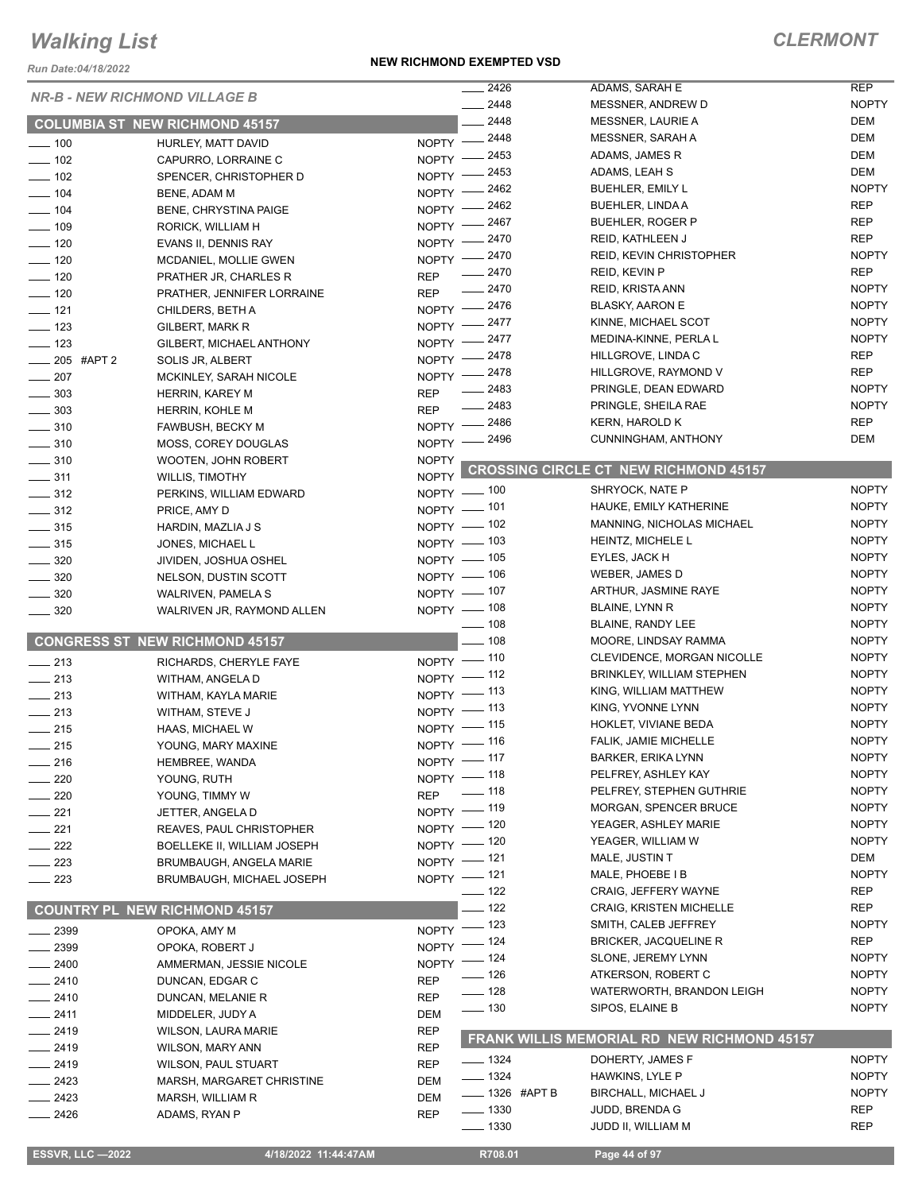*Run Date:04/18/2022*

#### **NEW RICHMOND EXEMPTED VSD**

### *CLERMONT*

| <b>NR-B - NEW RICHMOND VILLAGE B</b> |                                       |              | 2426               | ADAMS, SARAH E                                     | <b>REP</b>   |
|--------------------------------------|---------------------------------------|--------------|--------------------|----------------------------------------------------|--------------|
|                                      |                                       |              | $-2448$            | MESSNER, ANDREW D                                  | <b>NOPTY</b> |
|                                      | <b>COLUMBIA ST NEW RICHMOND 45157</b> |              | 2448               | MESSNER, LAURIE A                                  | DEM          |
| $\frac{1}{2}$ 100                    | HURLEY, MATT DAVID                    |              | NOPTY -2448        | <b>MESSNER, SARAH A</b>                            | <b>DEM</b>   |
| $- 102$                              | CAPURRO, LORRAINE C                   | $N$ OPTY $-$ | _ 2453             | ADAMS, JAMES R                                     | <b>DEM</b>   |
| $\frac{1}{2}$ 102                    | SPENCER, CHRISTOPHER D                | NOPTY -      | . 2453             | ADAMS, LEAH S                                      | <b>DEM</b>   |
| $- 104$                              | BENE, ADAM M                          | <b>NOPTY</b> | $-2462$            | <b>BUEHLER, EMILY L</b>                            | <b>NOPTY</b> |
| $- 104$                              | <b>BENE, CHRYSTINA PAIGE</b>          | <b>NOPTY</b> | 2462               | BUEHLER, LINDA A                                   | <b>REP</b>   |
| $\frac{1}{2}$ 109                    | RORICK, WILLIAM H                     | $NOPTY$ -    | 2467               | <b>BUEHLER, ROGER P</b>                            | <b>REP</b>   |
| $- 120$                              | EVANS II, DENNIS RAY                  | $N$ OPTY $-$ | $-2470$            | <b>REID, KATHLEEN J</b>                            | <b>REP</b>   |
| $\frac{1}{2}$ 120                    | MCDANIEL, MOLLIE GWEN                 | $N$ OPTY $-$ | _ 2470             | <b>REID, KEVIN CHRISTOPHER</b>                     | <b>NOPTY</b> |
| $\frac{1}{2}$ 120                    | PRATHER JR, CHARLES R                 | <b>REP</b>   | $-2470$            | REID, KEVIN P                                      | <b>REP</b>   |
| $\frac{1}{2}$ 120                    | PRATHER, JENNIFER LORRAINE            | <b>REP</b>   | $-2470$            | REID, KRISTA ANN                                   | <b>NOPTY</b> |
| $\frac{1}{2}$ 121                    | CHILDERS, BETH A                      |              | NOPTY -2476        | <b>BLASKY, AARON E</b>                             | <b>NOPTY</b> |
| $\frac{1}{2}$ 123                    | GILBERT, MARK R                       |              | NOPTY -2477        | KINNE, MICHAEL SCOT                                | <b>NOPTY</b> |
| $\frac{1}{2}$ 123                    | GILBERT, MICHAEL ANTHONY              |              | NOPTY -2477        | MEDINA-KINNE, PERLA L                              | <b>NOPTY</b> |
| $\frac{1}{205}$ #APT 2               | SOLIS JR, ALBERT                      |              | NOPTY -2478        | HILLGROVE, LINDA C                                 | <b>REP</b>   |
| $-207$                               | MCKINLEY, SARAH NICOLE                |              | NOPTY -2478        | HILLGROVE, RAYMOND V                               | <b>REP</b>   |
| $\frac{1}{2}$ 303                    | HERRIN, KAREY M                       | <b>REP</b>   | $-2483$            | PRINGLE, DEAN EDWARD                               | <b>NOPTY</b> |
| $\frac{1}{2}$ 303                    | HERRIN, KOHLE M                       | <b>REP</b>   | $-2483$            | PRINGLE, SHEILA RAE                                | <b>NOPTY</b> |
| $\frac{1}{2}$ 310                    | FAWBUSH, BECKY M                      |              | NOPTY -2486        | <b>KERN, HAROLD K</b>                              | <b>REP</b>   |
| $- 310$                              | MOSS, COREY DOUGLAS                   |              | NOPTY -2496        | CUNNINGHAM, ANTHONY                                | DEM          |
| $\frac{1}{2}$ 310                    | WOOTEN, JOHN ROBERT                   | <b>NOPTY</b> |                    |                                                    |              |
| $- 311$                              | <b>WILLIS, TIMOTHY</b>                | <b>NOPTY</b> |                    | <b>CROSSING CIRCLE CT NEW RICHMOND 45157</b>       |              |
| $\frac{1}{2}$ 312                    | PERKINS, WILLIAM EDWARD               |              | NOPTY - 100        | SHRYOCK, NATE P                                    | <b>NOPTY</b> |
| $\frac{1}{2}$ 312                    | PRICE, AMY D                          |              | NOPTY - 101        | HAUKE, EMILY KATHERINE                             | <b>NOPTY</b> |
| $\frac{1}{2}$ 315                    | HARDIN, MAZLIA J S                    |              | NOPTY - 102        | MANNING, NICHOLAS MICHAEL                          | <b>NOPTY</b> |
| $\frac{1}{2}$ 315                    | JONES, MICHAEL L                      |              | NOPTY - 103        | HEINTZ, MICHELE L                                  | <b>NOPTY</b> |
| $\frac{1}{2}$ 320                    | JIVIDEN, JOSHUA OSHEL                 |              | NOPTY - 105        | EYLES, JACK H                                      | <b>NOPTY</b> |
| $\frac{1}{2}$ 320                    | NELSON, DUSTIN SCOTT                  |              | NOPTY - 106        | WEBER, JAMES D                                     | <b>NOPTY</b> |
| $\frac{1}{2}$ 320                    | <b>WALRIVEN, PAMELA S</b>             |              | NOPTY - 107        | ARTHUR, JASMINE RAYE                               | <b>NOPTY</b> |
| $\frac{1}{2}$ 320                    | WALRIVEN JR, RAYMOND ALLEN            |              | NOPTY - 108        | BLAINE, LYNN R                                     | <b>NOPTY</b> |
|                                      |                                       |              | $- 108$            | BLAINE, RANDY LEE                                  | <b>NOPTY</b> |
|                                      | <b>CONGRESS ST NEW RICHMOND 45157</b> |              | $-108$             | MOORE, LINDSAY RAMMA                               | <b>NOPTY</b> |
|                                      |                                       |              | NOPTY - 110        | CLEVIDENCE, MORGAN NICOLLE                         | <b>NOPTY</b> |
| $\frac{1}{213}$                      | RICHARDS, CHERYLE FAYE                |              | NOPTY - 112        | BRINKLEY, WILLIAM STEPHEN                          | <b>NOPTY</b> |
| $\frac{1}{213}$                      | WITHAM, ANGELA D                      |              | NOPTY -113         | KING, WILLIAM MATTHEW                              | <b>NOPTY</b> |
| $-213$                               | WITHAM, KAYLA MARIE                   |              | NOPTY - 113        | KING, YVONNE LYNN                                  | <b>NOPTY</b> |
| $\frac{1}{213}$                      | WITHAM, STEVE J                       |              | NOPTY - 115        | HOKLET, VIVIANE BEDA                               | <b>NOPTY</b> |
| $\frac{1}{215}$                      | HAAS, MICHAEL W                       |              | NOPTY - 116        | FALIK, JAMIE MICHELLE                              | <b>NOPTY</b> |
| 215                                  | YOUNG, MARY MAXINE                    |              | NOPTY -117         | <b>BARKER, ERIKA LYNN</b>                          | <b>NOPTY</b> |
| $-216$                               | HEMBREE, WANDA                        |              | NOPTY - 118        | PELFREY, ASHLEY KAY                                | <b>NOPTY</b> |
| 220                                  | YOUNG, RUTH                           |              | REP -118           | PELFREY, STEPHEN GUTHRIE                           | <b>NOPTY</b> |
| 220                                  | YOUNG, TIMMY W                        |              |                    | <b>MORGAN, SPENCER BRUCE</b>                       | <b>NOPTY</b> |
| 221                                  | JETTER, ANGELA D                      |              | NOPTY -119         | YEAGER, ASHLEY MARIE                               | <b>NOPTY</b> |
| $- 221$                              | REAVES, PAUL CHRISTOPHER              |              | NOPTY - 120        | YEAGER, WILLIAM W                                  | <b>NOPTY</b> |
| $-222$                               | BOELLEKE II, WILLIAM JOSEPH           |              | NOPTY - 120        | MALE, JUSTIN T                                     | DEM          |
| — 223                                | <b>BRUMBAUGH, ANGELA MARIE</b>        |              | NOPTY - 121        | MALE, PHOEBE I B                                   | <b>NOPTY</b> |
| $\sim$ 223                           | <b>BRUMBAUGH, MICHAEL JOSEPH</b>      |              | NOPTY - 121        |                                                    |              |
|                                      |                                       |              | $- 122$            | CRAIG, JEFFERY WAYNE                               | <b>REP</b>   |
|                                      | <b>COUNTRY PL NEW RICHMOND 45157</b>  |              | $-122$             | <b>CRAIG, KRISTEN MICHELLE</b>                     | REP          |
| __ 2399                              | OPOKA, AMY M                          |              | NOPTY $-$ 123      | SMITH, CALEB JEFFREY                               | <b>NOPTY</b> |
| $- 2399$                             | OPOKA, ROBERT J                       |              | NOPTY - 124        | BRICKER, JACQUELINE R                              | <b>REP</b>   |
| $-2400$                              | AMMERMAN, JESSIE NICOLE               |              | NOPTY - 124        | SLONE, JEREMY LYNN                                 | <b>NOPTY</b> |
| $-2410$                              | DUNCAN, EDGAR C                       | <b>REP</b>   | ____ 126           | ATKERSON, ROBERT C                                 | <b>NOPTY</b> |
| ___ 2410                             | DUNCAN, MELANIE R                     | <b>REP</b>   | $\frac{1}{2}$ 128  | WATERWORTH, BRANDON LEIGH                          | <b>NOPTY</b> |
| $-2411$                              | MIDDELER, JUDY A                      | DEM          | $\frac{1}{2}$ 130  | SIPOS, ELAINE B                                    | <b>NOPTY</b> |
| $-2419$                              | <b>WILSON, LAURA MARIE</b>            | <b>REP</b>   |                    |                                                    |              |
| __ 2419                              | <b>WILSON, MARY ANN</b>               | <b>REP</b>   |                    | <b>FRANK WILLIS MEMORIAL RD NEW RICHMOND 45157</b> |              |
| $-2419$                              | <b>WILSON, PAUL STUART</b>            | <b>REP</b>   | $- 1324$           | DOHERTY, JAMES F                                   | <b>NOPTY</b> |
| __ 2423                              | MARSH, MARGARET CHRISTINE             | <b>DEM</b>   | $- 1324$           | HAWKINS, LYLE P                                    | <b>NOPTY</b> |
| __ 2423                              | MARSH, WILLIAM R                      | DEM          | ____ 1326 #APT B   | BIRCHALL, MICHAEL J                                | <b>NOPTY</b> |
| $-2426$                              | ADAMS, RYAN P                         | <b>REP</b>   | $- 1330$           | JUDD, BRENDA G                                     | <b>REP</b>   |
|                                      |                                       |              | $\frac{1}{2}$ 1330 | JUDD II, WILLIAM M                                 | <b>REP</b>   |
|                                      |                                       |              |                    |                                                    |              |

 **ESSVR, LLC —2022 4/18/2022 11:44:47AM R708.01 Page 44 of 97**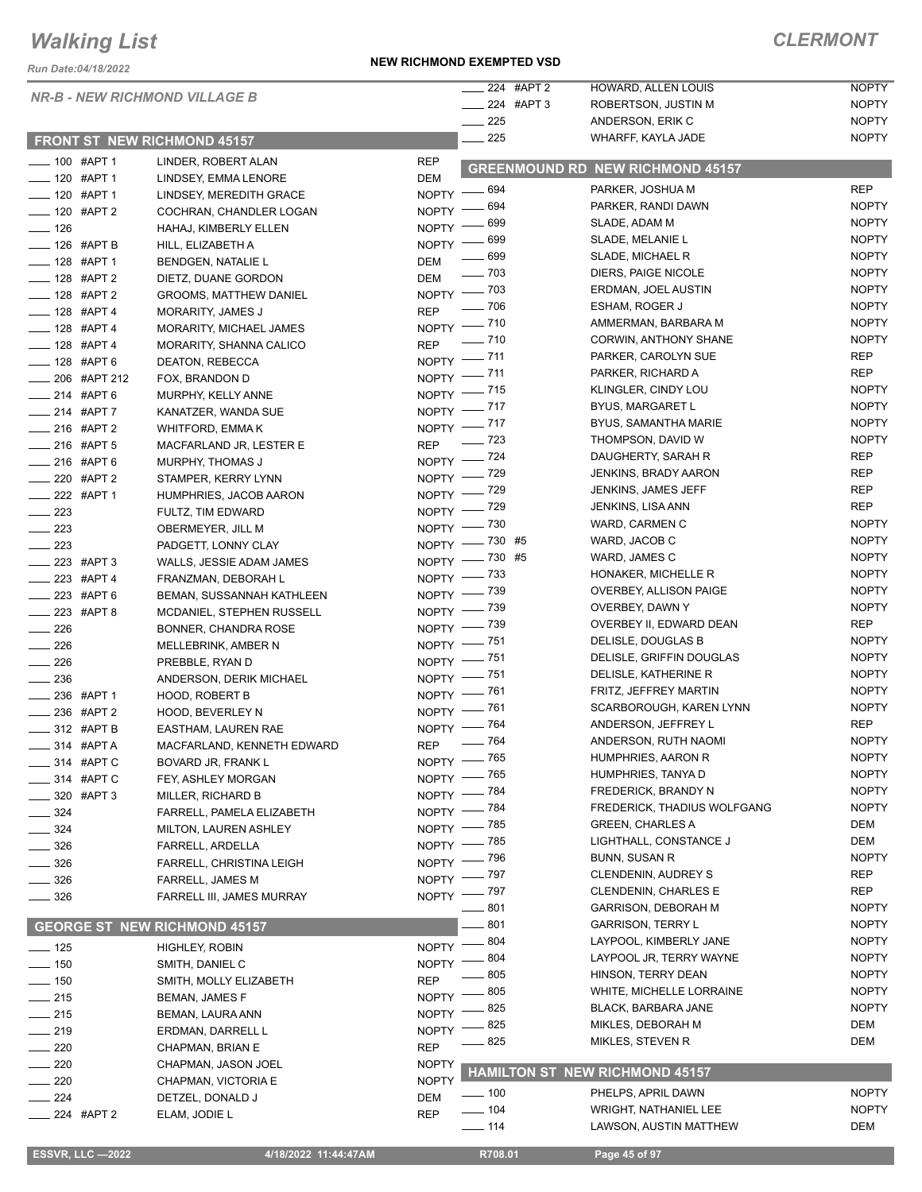*Run Date:04/18/2022*

#### *NR-B - NEW RICHMOND VILLAGE B*

#### **FRONT ST NEW RICHMOND 45157**

#### **NEW RICHMOND EXEMPTED VSD**

| $\frac{1}{224}$ #AF |  |
|---------------------|--|
| ____ 224 #Al        |  |
| $\sim$ 225          |  |
|                     |  |

|     | 224 #APT 2 | <b>HOWARD, ALLEN LOUIS</b> | <b>NOPTY</b> |
|-----|------------|----------------------------|--------------|
|     | 224 #APT 3 | ROBERTSON, JUSTIN M        | <b>NOPTY</b> |
| 225 |            | ANDERSON, ERIK C           | <b>NOPTY</b> |
| 225 |            | WHARFF, KAYLA JADE         | <b>NOPTY</b> |
|     |            |                            |              |

| -00 #APT 1                |                         | LINDER, ROBERT ALAN                 | <b>REP</b>         |                    | <b>GREENMOUND RD NEW RICHMOND 45157</b> |              |
|---------------------------|-------------------------|-------------------------------------|--------------------|--------------------|-----------------------------------------|--------------|
| $- 120$ #APT 1            |                         | LINDSEY, EMMA LENORE                | <b>DEM</b>         |                    | PARKER, JOSHUA M                        | <b>REP</b>   |
| $- 120$ #APT 1            |                         | LINDSEY, MEREDITH GRACE             |                    | NOPTY - 694        |                                         |              |
| $- 120$ #APT 2            |                         | COCHRAN, CHANDLER LOGAN             | $N$ OPTY -         | — 694              | PARKER, RANDI DAWN                      | <b>NOPTY</b> |
| $\frac{1}{2}$ 126         |                         | HAHAJ, KIMBERLY ELLEN               |                    | NOPTY - 699        | SLADE, ADAM M                           | <b>NOPTY</b> |
| - 126 #APT B              |                         | HILL, ELIZABETH A                   |                    | NOPTY - 699        | SLADE, MELANIE L                        | <b>NOPTY</b> |
| -128 #APT 1               |                         | <b>BENDGEN, NATALIE L</b>           | <b>DEM</b>         | $\frac{1}{2}$ 699  | SLADE, MICHAEL R                        | <b>NOPTY</b> |
| ___ 128 #APT 2            |                         | DIETZ, DUANE GORDON                 | <b>DEM</b>         | $\frac{1}{2}$ 703  | DIERS, PAIGE NICOLE                     | <b>NOPTY</b> |
| -128 #APT 2               |                         | <b>GROOMS, MATTHEW DANIEL</b>       |                    | NOPTY - 703        | ERDMAN, JOEL AUSTIN                     | <b>NOPTY</b> |
| $- 128$ #APT 4            |                         | MORARITY, JAMES J                   | <b>REP</b>         | $\frac{1}{2}$ 706  | ESHAM, ROGER J                          | <b>NOPTY</b> |
| $- 128$ #APT 4            |                         | <b>MORARITY, MICHAEL JAMES</b>      |                    | NOPTY - 710        | AMMERMAN, BARBARA M                     | <b>NOPTY</b> |
| -128 #APT 4               |                         | MORARITY, SHANNA CALICO             | <b>REP</b>         | $- 710$            | CORWIN, ANTHONY SHANE                   | <b>NOPTY</b> |
| -128 #APT 6               |                         | DEATON, REBECCA                     |                    | NOPTY - 711        | PARKER, CAROLYN SUE                     | REP          |
|                           | ___ 206 #APT 212        | FOX, BRANDON D                      |                    | NOPTY - 711        | PARKER, RICHARD A                       | <b>REP</b>   |
| $-214$ #APT 6             |                         | MURPHY, KELLY ANNE                  |                    | NOPTY - 715        | KLINGLER, CINDY LOU                     | <b>NOPTY</b> |
| $-214$ #APT 7             |                         | KANATZER, WANDA SUE                 |                    | NOPTY -717         | <b>BYUS, MARGARET L</b>                 | <b>NOPTY</b> |
| $-216$ #APT 2             |                         | WHITFORD, EMMA K                    |                    | NOPTY - 717        | BYUS, SAMANTHA MARIE                    | <b>NOPTY</b> |
| -216 #APT 5               |                         | MACFARLAND JR, LESTER E             | <b>REP</b>         | $\frac{1}{2}$ 723  | THOMPSON, DAVID W                       | <b>NOPTY</b> |
| -216 #APT 6               |                         | MURPHY, THOMAS J                    |                    | NOPTY - 724        | DAUGHERTY, SARAH R                      | <b>REP</b>   |
| ___ 220 #APT 2            |                         | STAMPER, KERRY LYNN                 |                    | NOPTY - 729        | <b>JENKINS, BRADY AARON</b>             | REP          |
| -222 #APT 1               |                         | HUMPHRIES, JACOB AARON              |                    | NOPTY - 729        | <b>JENKINS, JAMES JEFF</b>              | <b>REP</b>   |
| $\frac{1}{223}$           |                         | FULTZ, TIM EDWARD                   |                    | NOPTY - 729        | JENKINS, LISA ANN                       | REP          |
| $\sim$ 223                |                         | OBERMEYER, JILL M                   |                    | NOPTY - 730        | WARD, CARMEN C                          | <b>NOPTY</b> |
| $\sim$ 223                |                         | PADGETT, LONNY CLAY                 |                    | NOPTY - 730 #5     | WARD, JACOB C                           | <b>NOPTY</b> |
| $\frac{1}{223}$ #APT 3    |                         | WALLS, JESSIE ADAM JAMES            |                    | NOPTY -730 #5      | WARD, JAMES C                           | <b>NOPTY</b> |
| -223 #APT 4               |                         | FRANZMAN, DEBORAH L                 |                    | NOPTY - 733        | HONAKER, MICHELLE R                     | <b>NOPTY</b> |
| -223 #APT 6               |                         |                                     |                    | NOPTY - 739        | OVERBEY, ALLISON PAIGE                  | <b>NOPTY</b> |
| -223 #APT 8               |                         | BEMAN, SUSSANNAH KATHLEEN           |                    | NOPTY - 739        | OVERBEY, DAWN Y                         | <b>NOPTY</b> |
|                           |                         | MCDANIEL, STEPHEN RUSSELL           |                    | NOPTY - 739        | OVERBEY II, EDWARD DEAN                 | REP          |
| $\sim$ 226                |                         | BONNER, CHANDRA ROSE                |                    | NOPTY - 751        | DELISLE, DOUGLAS B                      | <b>NOPTY</b> |
| $\frac{1}{226}$           |                         | MELLEBRINK, AMBER N                 |                    | NOPTY - 751        | DELISLE, GRIFFIN DOUGLAS                | <b>NOPTY</b> |
| $\frac{1}{226}$           |                         | PREBBLE, RYAN D                     |                    | NOPTY - 751        | DELISLE, KATHERINE R                    | <b>NOPTY</b> |
| $\frac{1}{2}$ 236         |                         | ANDERSON, DERIK MICHAEL             |                    | NOPTY - 761        | FRITZ, JEFFREY MARTIN                   | <b>NOPTY</b> |
| __ 236 #APT 1             |                         | <b>HOOD, ROBERT B</b>               |                    | NOPTY -81          | SCARBOROUGH, KAREN LYNN                 | <b>NOPTY</b> |
| ____ 236 #APT 2           |                         | HOOD, BEVERLEY N                    |                    | NOPTY - 764        | ANDERSON, JEFFREY L                     | REP          |
| ____ 312 #APT B           |                         | EASTHAM, LAUREN RAE                 |                    | REP - 764          | ANDERSON, RUTH NAOMI                    | <b>NOPTY</b> |
| $\frac{1}{2}$ 314 #APT A  |                         | MACFARLAND, KENNETH EDWARD          |                    |                    | HUMPHRIES, AARON R                      | <b>NOPTY</b> |
| $\frac{1}{2}$ 314 #APT C  |                         | BOVARD JR, FRANK L                  |                    | NOPTY - 765        | HUMPHRIES, TANYA D                      | <b>NOPTY</b> |
| ____ 314 #APT C           |                         | FEY, ASHLEY MORGAN                  |                    | NOPTY - 765        | FREDERICK, BRANDY N                     | <b>NOPTY</b> |
| -820 #APT 3               |                         | MILLER, RICHARD B                   |                    | NOPTY - 784        | FREDERICK, THADIUS WOLFGANG             | <b>NOPTY</b> |
| $\frac{1}{2}$ 324         |                         | FARRELL, PAMELA ELIZABETH           |                    | NOPTY - 784        | <b>GREEN, CHARLES A</b>                 | DEM          |
| — 324                     |                         | MILTON, LAUREN ASHLEY               |                    | NOPTY - 785        | LIGHTHALL, CONSTANCE J                  | DEM          |
| _ 326                     |                         | FARRELL, ARDELLA                    |                    | NOPTY - 785        | <b>BUNN, SUSAN R</b>                    | <b>NOPTY</b> |
| $-326$                    |                         | FARRELL, CHRISTINA LEIGH            |                    | NOPTY - 796        |                                         |              |
| — 326                     |                         | <b>FARRELL, JAMES M</b>             |                    | NOPTY - 797        | <b>CLENDENIN, AUDREY S</b>              | REP          |
| $\frac{1}{2}$ 326         |                         | FARRELL III, JAMES MURRAY           |                    | NOPTY - 797        | <b>CLENDENIN, CHARLES E</b>             | REP          |
|                           |                         |                                     |                    | $-801$             | <b>GARRISON, DEBORAH M</b>              | <b>NOPTY</b> |
|                           |                         | <b>GEORGE ST NEW RICHMOND 45157</b> |                    | 801                | <b>GARRISON, TERRY L</b>                | <b>NOPTY</b> |
| $\rule{1.5ex}{0.1ex}$ 125 |                         | HIGHLEY, ROBIN                      | NOPTY -            | 804                | LAYPOOL, KIMBERLY JANE                  | <b>NOPTY</b> |
| $\frac{1}{150}$           |                         | SMITH, DANIEL C                     | NOPTY <sup>-</sup> | 804                | LAYPOOL JR, TERRY WAYNE                 | <b>NOPTY</b> |
| $- 150$                   |                         | SMITH, MOLLY ELIZABETH              | <b>REP</b>         | 805                | HINSON, TERRY DEAN                      | <b>NOPTY</b> |
| $\frac{1}{215}$           |                         | BEMAN, JAMES F                      | <b>NOPTY</b>       | $-805$             | WHITE, MICHELLE LORRAINE                | <b>NOPTY</b> |
| $\frac{1}{215}$           |                         | BEMAN, LAURA ANN                    | <b>NOPTY</b>       | 825                | BLACK, BARBARA JANE                     | <b>NOPTY</b> |
| $-219$                    |                         | ERDMAN, DARRELL L                   | <b>NOPTY</b>       | 825                | MIKLES, DEBORAH M                       | DEM          |
| $\sim$ 220                |                         | CHAPMAN, BRIAN E                    | <b>REP</b>         | 825                | MIKLES, STEVEN R                        | DEM          |
| $-220$                    |                         | CHAPMAN, JASON JOEL                 | <b>NOPTY</b>       |                    |                                         |              |
| $\sim$ 220                |                         | CHAPMAN, VICTORIA E                 | <b>NOPTY</b>       | <b>HAMILTON ST</b> | <b>NEW RICHMOND 45157</b>               |              |
| $\frac{1}{224}$           |                         | DETZEL, DONALD J                    | <b>DEM</b>         | $\frac{1}{2}$ 100  | PHELPS, APRIL DAWN                      | <b>NOPTY</b> |
| ____ 224 #APT 2           |                         | ELAM, JODIE L                       | <b>REP</b>         | $\frac{1}{2}$ 104  | <b>WRIGHT, NATHANIEL LEE</b>            | <b>NOPTY</b> |
|                           |                         |                                     |                    | $- 114$            | LAWSON, AUSTIN MATTHEW                  | DEM          |
|                           |                         |                                     |                    |                    |                                         |              |
|                           | <b>ESSVR, LLC —2022</b> | 4/18/2022 11:44:47AM                |                    | R708.01            | Page 45 of 97                           |              |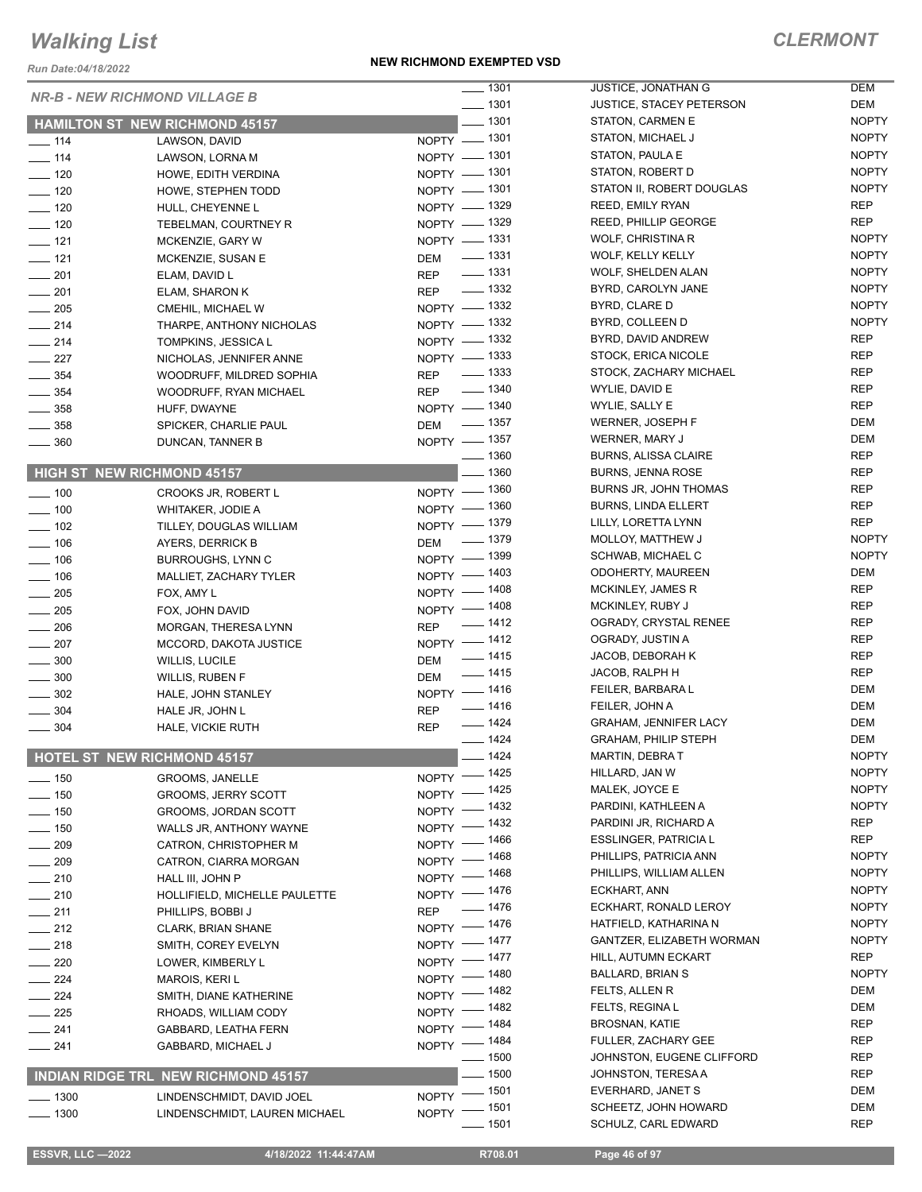*Run Date:04/18/2022*

#### **NEW RICHMOND EXEMPTED VSD**

### *CLERMONT*

|                    | <b>NR-B - NEW RICHMOND VILLAGE B</b>       | $- 1301$                  | JUSTICE, JONATHAN G             | DEM          |
|--------------------|--------------------------------------------|---------------------------|---------------------------------|--------------|
|                    |                                            | $- 1301$                  | <b>JUSTICE, STACEY PETERSON</b> | DEM          |
|                    | <b>HAMILTON ST NEW RICHMOND 45157</b>      | $- 1301$                  | STATON, CARMEN E                | <b>NOPTY</b> |
| $\frac{1}{2}$ 114  | LAWSON, DAVID                              | NOPTY - 1301              | <b>STATON, MICHAEL J</b>        | <b>NOPTY</b> |
| $- 114$            | LAWSON, LORNA M                            | NOPTY - 1301              | STATON, PAULA E                 | <b>NOPTY</b> |
| $\frac{1}{2}$ 120  | HOWE, EDITH VERDINA                        | NOPTY - 1301              | STATON, ROBERT D                | <b>NOPTY</b> |
| $\frac{1}{2}$ 120  | HOWE, STEPHEN TODD                         | NOPTY - 1301              | STATON II, ROBERT DOUGLAS       | <b>NOPTY</b> |
| $\frac{1}{2}$ 120  | HULL, CHEYENNE L                           | NOPTY - 1329              | <b>REED, EMILY RYAN</b>         | <b>REP</b>   |
| $\frac{1}{2}$ 120  | TEBELMAN, COURTNEY R                       | NOPTY - 1329              | <b>REED, PHILLIP GEORGE</b>     | <b>REP</b>   |
| $\frac{1}{2}$ 121  | MCKENZIE, GARY W                           | NOPTY - 1331              | WOLF, CHRISTINA R               | <b>NOPTY</b> |
| $\frac{1}{2}$ 121  | MCKENZIE, SUSAN E                          | DEM - 1331                | WOLF, KELLY KELLY               | <b>NOPTY</b> |
| $-201$             | ELAM, DAVID L                              | REP - 1331                | <b>WOLF, SHELDEN ALAN</b>       | <b>NOPTY</b> |
| $\frac{1}{201}$    | ELAM, SHARON K                             | REP - 1332                | BYRD, CAROLYN JANE              | <b>NOPTY</b> |
| $\frac{1}{205}$    | CMEHIL, MICHAEL W                          | NOPTY - 1332              | BYRD, CLARE D                   | <b>NOPTY</b> |
|                    |                                            | NOPTY - 1332              | BYRD, COLLEEN D                 | <b>NOPTY</b> |
| $\frac{1}{214}$    | THARPE, ANTHONY NICHOLAS                   | NOPTY - 1332              | BYRD, DAVID ANDREW              | <b>REP</b>   |
| $\frac{1}{214}$    | TOMPKINS, JESSICA L                        | NOPTY - 1333              | STOCK, ERICA NICOLE             | REP          |
| $\frac{227}{2}$    | NICHOLAS, JENNIFER ANNE                    | REP - 1333                | STOCK, ZACHARY MICHAEL          | <b>REP</b>   |
| $\frac{1}{2}$ 354  | WOODRUFF, MILDRED SOPHIA                   |                           | WYLIE, DAVID E                  | <b>REP</b>   |
| $\frac{1}{2}$ 354  | WOODRUFF, RYAN MICHAEL                     | REP - 1340                |                                 |              |
| $\frac{1}{2}$ 358  | HUFF, DWAYNE                               | NOPTY - 1340              | WYLIE, SALLY E                  | <b>REP</b>   |
| $-358$             | SPICKER, CHARLIE PAUL                      | DEM - 1357                | WERNER, JOSEPH F                | <b>DEM</b>   |
| $\frac{1}{2}$ 360  | DUNCAN, TANNER B                           | NOPTY - 1357              | WERNER, MARY J                  | <b>DEM</b>   |
|                    |                                            | $\frac{1}{2}$ 1360        | <b>BURNS, ALISSA CLAIRE</b>     | <b>REP</b>   |
|                    | HIGH ST NEW RICHMOND 45157                 | $-1360$                   | <b>BURNS, JENNA ROSE</b>        | <b>REP</b>   |
| $\frac{1}{2}$ 100  | CROOKS JR, ROBERT L                        | NOPTY - 1360              | <b>BURNS JR, JOHN THOMAS</b>    | <b>REP</b>   |
| $\frac{1}{2}$ 100  | WHITAKER, JODIE A                          | NOPTY - 1360              | <b>BURNS, LINDA ELLERT</b>      | <b>REP</b>   |
| $\frac{1}{2}$ 102  | TILLEY, DOUGLAS WILLIAM                    | NOPTY - 1379              | LILLY, LORETTA LYNN             | <b>REP</b>   |
| $- 106$            | AYERS, DERRICK B                           | DEM - 1379                | MOLLOY, MATTHEW J               | <b>NOPTY</b> |
| $- 106$            | <b>BURROUGHS, LYNN C</b>                   | NOPTY - 1399              | SCHWAB, MICHAEL C               | <b>NOPTY</b> |
| $- 106$            | MALLIET, ZACHARY TYLER                     | NOPTY - 1403              | <b>ODOHERTY, MAUREEN</b>        | DEM          |
| $\frac{1}{205}$    | FOX, AMY L                                 | NOPTY - 1408              | MCKINLEY, JAMES R               | <b>REP</b>   |
| $\frac{1}{205}$    | FOX, JOHN DAVID                            | NOPTY - 1408              | MCKINLEY, RUBY J                | <b>REP</b>   |
| $\frac{1}{206}$    | MORGAN, THERESA LYNN                       | REP - 1412                | OGRADY, CRYSTAL RENEE           | <b>REP</b>   |
| $\frac{1}{207}$    | MCCORD, DAKOTA JUSTICE                     | NOPTY -1412               | OGRADY, JUSTIN A                | <b>REP</b>   |
| $\sim$ 300         | <b>WILLIS, LUCILE</b>                      | $\frac{1}{2}$ 1415<br>DEM | JACOB, DEBORAH K                | <b>REP</b>   |
| $\frac{1}{2}$ 300  | WILLIS, RUBEN F                            | $\frac{1}{2}$ 1415<br>DEM | JACOB, RALPH H                  | <b>REP</b>   |
| $\frac{1}{2}$ 302  | HALE, JOHN STANLEY                         | NOPTY - 1416              | FEILER, BARBARA L               | <b>DEM</b>   |
| $\frac{1}{2}$ 304  | HALE JR, JOHN L                            | $- 1416$<br><b>REP</b>    | FEILER, JOHN A                  | <b>DEM</b>   |
| $\frac{1}{2}$ 304  | HALE, VICKIE RUTH                          | $- 1424$<br><b>REP</b>    | <b>GRAHAM, JENNIFER LACY</b>    | <b>DEM</b>   |
|                    |                                            | $- 1424$                  | <b>GRAHAM, PHILIP STEPH</b>     | <b>DEM</b>   |
|                    | <b>HOTEL ST NEW RICHMOND 45157</b>         | $-1424$                   | <b>MARTIN, DEBRAT</b>           | <b>NOPTY</b> |
|                    |                                            | NOPTY - 1425              | HILLARD, JAN W                  | <b>NOPTY</b> |
| $- 150$            | GROOMS, JANELLE                            | NOPTY - 1425              | MALEK, JOYCE E                  | <b>NOPTY</b> |
| $- 150$            | <b>GROOMS, JERRY SCOTT</b>                 | NOPTY - 1432              | PARDINI, KATHLEEN A             | <b>NOPTY</b> |
| $\frac{1}{2}$ 150  | GROOMS, JORDAN SCOTT                       | NOPTY - 1432              | PARDINI JR, RICHARD A           | <b>REP</b>   |
| $- 150$            | WALLS JR, ANTHONY WAYNE                    | NOPTY - 1466              | <b>ESSLINGER, PATRICIA L</b>    | <b>REP</b>   |
| $\frac{1}{209}$    | CATRON, CHRISTOPHER M                      |                           | PHILLIPS, PATRICIA ANN          | <b>NOPTY</b> |
| $- 209$            | CATRON, CIARRA MORGAN                      | NOPTY - 1468              | PHILLIPS, WILLIAM ALLEN         | <b>NOPTY</b> |
| $\frac{1}{210}$    | HALL III, JOHN P                           | NOPTY - 1468              | ECKHART, ANN                    | <b>NOPTY</b> |
| $-210$             | HOLLIFIELD, MICHELLE PAULETTE              | NOPTY - 1476              | ECKHART, RONALD LEROY           |              |
| $-211$             | PHILLIPS, BOBBI J                          | REP - 1476                |                                 | <b>NOPTY</b> |
| $-212$             | <b>CLARK, BRIAN SHANE</b>                  | NOPTY - 1476              | HATFIELD, KATHARINA N           | <b>NOPTY</b> |
| $-218$             | SMITH, COREY EVELYN                        | NOPTY - 1477              | GANTZER, ELIZABETH WORMAN       | <b>NOPTY</b> |
| $\sim$ 220         | LOWER, KIMBERLY L                          | NOPTY - 1477              | HILL, AUTUMN ECKART             | <b>REP</b>   |
| $\frac{1}{224}$    | <b>MAROIS, KERI L</b>                      | NOPTY - 1480              | <b>BALLARD, BRIAN S</b>         | <b>NOPTY</b> |
| $-224$             | SMITH, DIANE KATHERINE                     | NOPTY - 1482              | FELTS, ALLEN R                  | <b>DEM</b>   |
| $-225$             | RHOADS, WILLIAM CODY                       | NOPTY - 1482              | <b>FELTS, REGINAL</b>           | DEM          |
| $-241$             | GABBARD, LEATHA FERN                       | NOPTY - 1484              | <b>BROSNAN, KATIE</b>           | REP          |
| $-241$             | GABBARD, MICHAEL J                         | NOPTY - 1484              | FULLER, ZACHARY GEE             | <b>REP</b>   |
|                    |                                            | $\frac{1}{2}$ 1500        | JOHNSTON, EUGENE CLIFFORD       | <b>REP</b>   |
|                    | <b>INDIAN RIDGE TRL NEW RICHMOND 45157</b> | $-1500$                   | JOHNSTON, TERESA A              | REP          |
| $\frac{1}{2}$ 1300 | LINDENSCHMIDT, DAVID JOEL                  | NOPTY - 1501              | EVERHARD, JANET S               | <b>DEM</b>   |
| $- 1300$           | LINDENSCHMIDT, LAUREN MICHAEL              | NOPTY - 1501              | SCHEETZ, JOHN HOWARD            | DEM          |
|                    |                                            | $- 1501$                  | SCHULZ, CARL EDWARD             | <b>REP</b>   |
|                    |                                            |                           |                                 |              |

 **ESSVR, LLC —2022 4/18/2022 11:44:47AM R708.01 Page 46 of 97**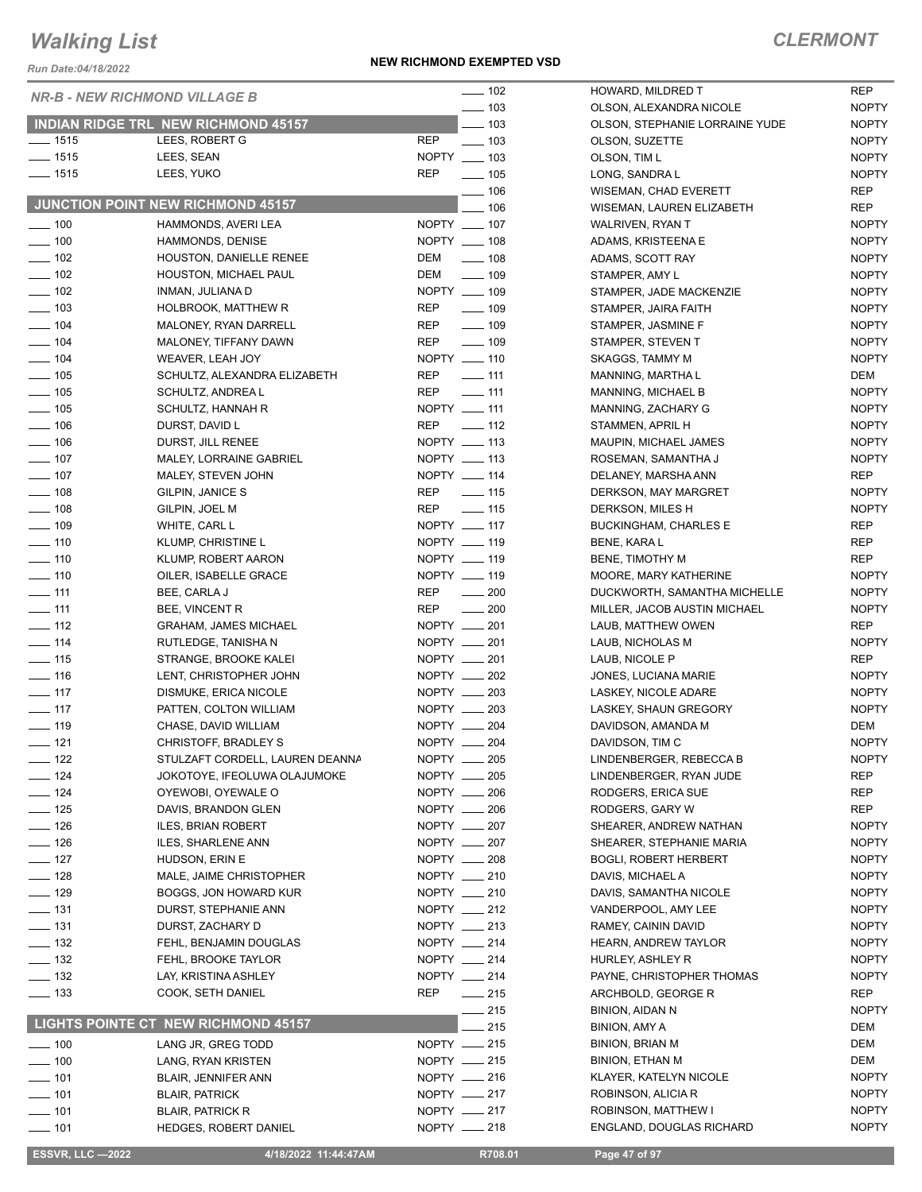*Run Date:04/18/2022*

#### **NEW RICHMOND EXEMPTED VSD**

### *CLERMONT*

NOPTY

|                   | <b>NR-B - NEW RICHMOND VILLAGE B</b>       | $\frac{1}{2}$ 102               | HOWARD, MILDRED T              | <b>REP</b>   |
|-------------------|--------------------------------------------|---------------------------------|--------------------------------|--------------|
|                   |                                            | $\frac{1}{2}$ 103               | OLSON, ALEXANDRA NICOLE        | <b>NOPTY</b> |
|                   | INDIAN RIDGE TRL NEW RICHMOND 45157        | $=$ 103                         | OLSON, STEPHANIE LORRAINE YUDE | <b>NOPTY</b> |
| $- 1515$          | LEES, ROBERT G                             | <b>REP</b><br>$\frac{1}{2}$ 103 | OLSON, SUZETTE                 | <b>NOPTY</b> |
| $- 1515$          | LEES, SEAN                                 | NOPTY __ 103                    | OLSON, TIM L                   | <b>NOPTY</b> |
| $- 1515$          | LEES, YUKO                                 | <b>REP</b><br>$\frac{1}{2}$ 105 | LONG, SANDRA L                 | <b>NOPTY</b> |
|                   |                                            | $-106$                          | <b>WISEMAN, CHAD EVERETT</b>   | <b>REP</b>   |
|                   | JUNCTION POINT NEW RICHMOND 45157          | 106                             | WISEMAN, LAUREN ELIZABETH      | <b>REP</b>   |
| $\frac{1}{2}$ 100 | HAMMONDS, AVERI LEA                        | NOPTY __ 107                    | WALRIVEN, RYAN T               | <b>NOPTY</b> |
| $- 100$           | <b>HAMMONDS, DENISE</b>                    | NOPTY __ 108                    | ADAMS, KRISTEENA E             | <b>NOPTY</b> |
| $- 102$           | HOUSTON, DANIELLE RENEE                    | DEM<br>$\frac{1}{2}$ 108        | ADAMS, SCOTT RAY               | <b>NOPTY</b> |
| $\frac{1}{2}$ 102 | HOUSTON, MICHAEL PAUL                      | DEM<br>$- 109$                  | STAMPER, AMY L                 | <b>NOPTY</b> |
| $\sim$ 102        | INMAN, JULIANA D                           | NOPTY __ 109                    | STAMPER, JADE MACKENZIE        | <b>NOPTY</b> |
| $\frac{1}{2}$ 103 | HOLBROOK, MATTHEW R                        | $\frac{1}{2}$ 109<br>REP        | STAMPER, JAIRA FAITH           | <b>NOPTY</b> |
| $- 104$           | MALONEY, RYAN DARRELL                      | <b>REP</b><br>$\frac{1}{2}$ 109 | STAMPER, JASMINE F             | <b>NOPTY</b> |
| $\frac{1}{2}$ 104 | MALONEY, TIFFANY DAWN                      | <b>REP</b><br>$\frac{1}{2}$ 109 | STAMPER, STEVEN T              | <b>NOPTY</b> |
| $- 104$           | WEAVER, LEAH JOY                           | NOPTY __ 110                    | SKAGGS, TAMMY M                | <b>NOPTY</b> |
| $\frac{1}{2}$ 105 | SCHULTZ, ALEXANDRA ELIZABETH               | <b>REP</b><br>$-111$            | MANNING, MARTHA L              | DEM          |
| $\frac{1}{2}$ 105 | SCHULTZ, ANDREA L                          | <b>REP</b><br>$-111$            | MANNING, MICHAEL B             | <b>NOPTY</b> |
| $- 105$           | SCHULTZ, HANNAH R                          | NOPTY __ 111                    | MANNING, ZACHARY G             | <b>NOPTY</b> |
| $\frac{1}{2}$ 106 | DURST, DAVID L                             | $\frac{1}{2}$ 112<br>REP        | STAMMEN, APRIL H               | <b>NOPTY</b> |
| $\frac{1}{2}$ 106 | DURST, JILL RENEE                          | NOPTY __ 113                    | MAUPIN, MICHAEL JAMES          | <b>NOPTY</b> |
| $\frac{1}{2}$ 107 | MALEY, LORRAINE GABRIEL                    | NOPTY __ 113                    | ROSEMAN, SAMANTHA J            | <b>NOPTY</b> |
| $- 107$           | MALEY, STEVEN JOHN                         | NOPTY __ 114                    | DELANEY, MARSHA ANN            | <b>REP</b>   |
| $- 108$           | GILPIN, JANICE S                           | <b>REP</b><br>$- 115$           | DERKSON, MAY MARGRET           | <b>NOPTY</b> |
| $- 108$           | GILPIN, JOEL M                             | <b>REP</b><br>$- 115$           | DERKSON, MILES H               | <b>NOPTY</b> |
| $- 109$           | WHITE, CARL L                              | NOPTY __ 117                    | <b>BUCKINGHAM, CHARLES E</b>   | <b>REP</b>   |
| $\frac{1}{2}$ 110 | KLUMP, CHRISTINE L                         | NOPTY __ 119                    | <b>BENE, KARAL</b>             | <b>REP</b>   |
| $- 110$           | KLUMP, ROBERT AARON                        | NOPTY __ 119                    | <b>BENE, TIMOTHY M</b>         | <b>REP</b>   |
| $- 110$           | OILER, ISABELLE GRACE                      | NOPTY __ 119                    | MOORE, MARY KATHERINE          | <b>NOPTY</b> |
| $\frac{1}{2}$ 111 | BEE, CARLA J                               | <b>REP</b><br>$\sim$ 200        | DUCKWORTH, SAMANTHA MICHELLE   | <b>NOPTY</b> |
| $- 111$           | <b>BEE, VINCENT R</b>                      | <b>REP</b><br>$\sim$ 200        | MILLER, JACOB AUSTIN MICHAEL   | <b>NOPTY</b> |
| $\equiv$ 112      | <b>GRAHAM, JAMES MICHAEL</b>               | NOPTY __ 201                    | LAUB, MATTHEW OWEN             | <b>REP</b>   |
| $- 114$           | RUTLEDGE, TANISHA N                        | NOPTY __ 201                    | LAUB, NICHOLAS M               | <b>NOPTY</b> |
| $- 115$           | STRANGE, BROOKE KALEI                      | NOPTY __ 201                    | LAUB, NICOLE P                 | <b>REP</b>   |
| $\frac{1}{16}$    | LENT, CHRISTOPHER JOHN                     | NOPTY __ 202                    | JONES, LUCIANA MARIE           | <b>NOPTY</b> |
| $\frac{1}{2}$ 117 | DISMUKE, ERICA NICOLE                      | NOPTY __ 203                    | LASKEY, NICOLE ADARE           | <b>NOPTY</b> |
| $- 117$           | PATTEN, COLTON WILLIAM                     | NOPTY __ 203                    | LASKEY, SHAUN GREGORY          | <b>NOPTY</b> |
| $- 119$           | CHASE, DAVID WILLIAM                       | NOPTY __ 204                    | DAVIDSON, AMANDA M             | DEM          |
| $- 121$           | CHRISTOFF, BRADLEY S                       | NOPTY __ 204                    | DAVIDSON, TIM C                | <b>NOPTY</b> |
| $- 122$           | STULZAFT CORDELL, LAUREN DEANNA            | NOPTY __ 205                    | LINDENBERGER, REBECCA B        | <b>NOPTY</b> |
| $\frac{1}{2}$ 124 | JOKOTOYE, IFEOLUWA OLAJUMOKE               | NOPTY __ 205                    | LINDENBERGER, RYAN JUDE        | <b>REP</b>   |
| $\frac{1}{2}$ 124 | OYEWOBI, OYEWALE O                         | NOPTY __ 206                    | RODGERS, ERICA SUE             | REP          |
| $\frac{1}{2}$ 125 | DAVIS, BRANDON GLEN                        | NOPTY __ 206                    | RODGERS, GARY W                | REP          |
| $- 126$           | <b>ILES, BRIAN ROBERT</b>                  | NOPTY __ 207                    | SHEARER, ANDREW NATHAN         | <b>NOPTY</b> |
| $- 126$           | ILES, SHARLENE ANN                         | NOPTY __ 207                    | SHEARER, STEPHANIE MARIA       | <b>NOPTY</b> |
| $- 127$           | HUDSON, ERIN E                             | NOPTY __ 208                    | <b>BOGLI, ROBERT HERBERT</b>   | <b>NOPTY</b> |
| $- 128$           | MALE, JAIME CHRISTOPHER                    | NOPTY __ 210                    | DAVIS, MICHAEL A               | <b>NOPTY</b> |
| $- 129$           | BOGGS, JON HOWARD KUR                      | NOPTY __ 210                    | DAVIS, SAMANTHA NICOLE         | <b>NOPTY</b> |
| $\frac{1}{2}$ 131 | DURST, STEPHANIE ANN                       | NOPTY __ 212                    | VANDERPOOL, AMY LEE            | <b>NOPTY</b> |
| $- 131$           | DURST, ZACHARY D                           | NOPTY __ 213                    | RAMEY, CAININ DAVID            | <b>NOPTY</b> |
| $\frac{1}{2}$ 132 | FEHL, BENJAMIN DOUGLAS                     | NOPTY __ 214                    | HEARN, ANDREW TAYLOR           | <b>NOPTY</b> |
| $\equiv$ 132      | FEHL, BROOKE TAYLOR                        | NOPTY __ 214                    | HURLEY, ASHLEY R               | <b>NOPTY</b> |
| $\frac{1}{2}$ 132 | LAY, KRISTINA ASHLEY                       | NOPTY __ 214                    | PAYNE, CHRISTOPHER THOMAS      | <b>NOPTY</b> |
| $\frac{1}{2}$ 133 | COOK, SETH DANIEL                          | $\frac{1}{215}$<br>REP          | ARCHBOLD, GEORGE R             | <b>REP</b>   |
|                   |                                            | —— 215                          | <b>BINION, AIDAN N</b>         | <b>NOPTY</b> |
|                   | <b>LIGHTS POINTE CT NEW RICHMOND 45157</b> | 215                             | <b>BINION, AMY A</b>           | DEM          |
| $\frac{1}{2}$ 100 | LANG JR, GREG TODD                         | NOPTY - 215                     | <b>BINION, BRIAN M</b>         | DEM          |
| $\frac{100}{100}$ | LANG, RYAN KRISTEN                         | NOPTY __ 215                    | BINION, ETHAN M                | DEM          |
| $- 101$           | <b>BLAIR, JENNIFER ANN</b>                 | NOPTY __ 216                    | KLAYER, KATELYN NICOLE         | <b>NOPTY</b> |
| $\frac{1}{2}$ 101 | <b>BLAIR, PATRICK</b>                      | NOPTY -217                      | ROBINSON, ALICIA R             | <b>NOPTY</b> |
| $- 101$           | <b>BLAIR, PATRICK R</b>                    | NOPTY __ 217                    | ROBINSON, MATTHEW I            | <b>NOPTY</b> |
| $\frac{1}{2}$ 101 | <b>HEDGES, ROBERT DANIEL</b>               | NOPTY -218                      | ENGLAND, DOUGLAS RICHARD       | <b>NOPTY</b> |
|                   |                                            |                                 |                                |              |

**ESSVR, LLC -2022 4/18/2022 11:44:47AM R708.01 Page 47 of 97**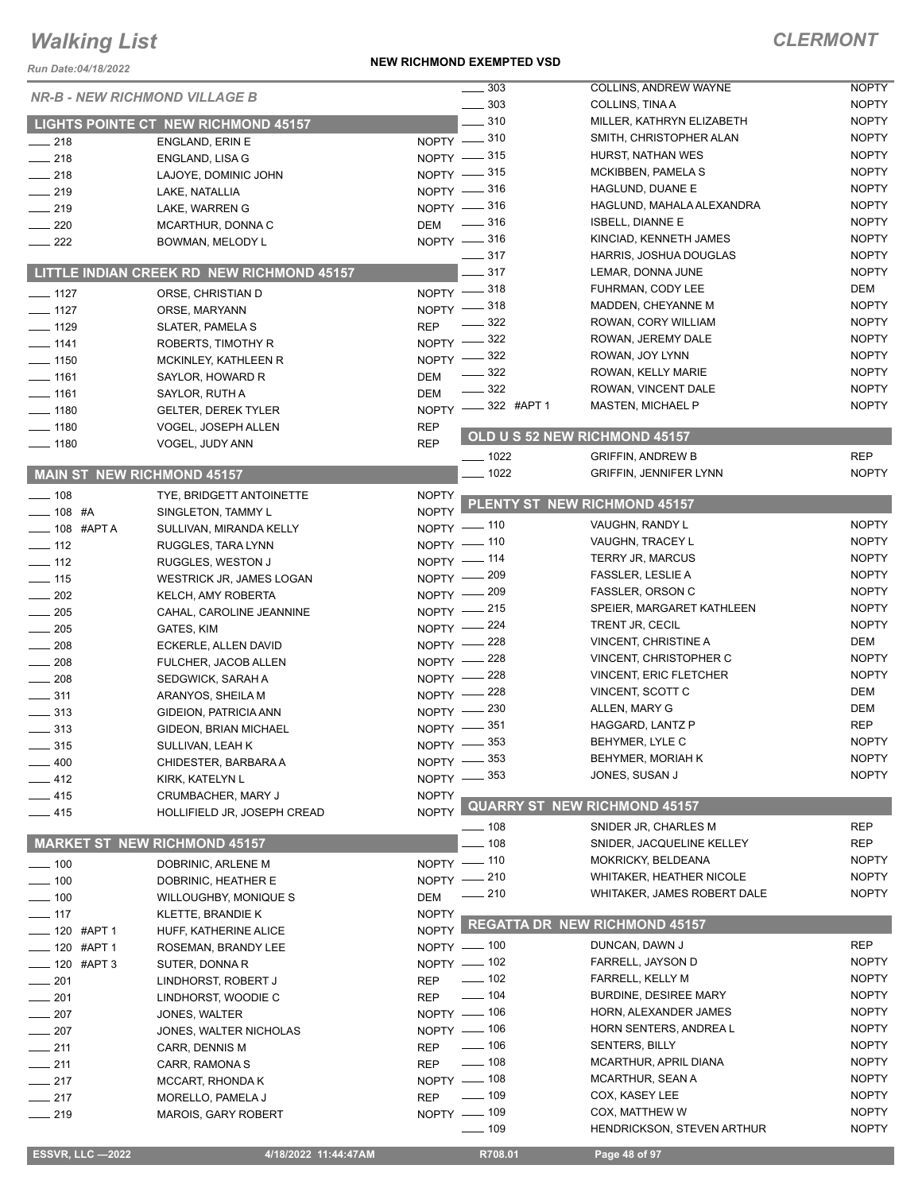#### **NEW RICHMOND EXEMPTED VSD**

| Run Date:04/18/2022               |                                            |                    | <b>NEW RICHMOND EXEMPTED VSD</b> |                                                   |                              |
|-----------------------------------|--------------------------------------------|--------------------|----------------------------------|---------------------------------------------------|------------------------------|
|                                   | <b>NR-B - NEW RICHMOND VILLAGE B</b>       |                    | 303                              | COLLINS, ANDREW WAYNE                             | <b>NOPTY</b>                 |
|                                   |                                            |                    | $\frac{1}{2}$ 303                | <b>COLLINS, TINA A</b>                            | <b>NOPTY</b>                 |
|                                   | <b>LIGHTS POINTE CT NEW RICHMOND 45157</b> |                    | $-310$                           | MILLER, KATHRYN ELIZABETH                         | <b>NOPTY</b>                 |
| $-218$                            | <b>ENGLAND, ERIN E</b>                     |                    | NOPTY -810                       | SMITH, CHRISTOPHER ALAN                           | <b>NOPTY</b>                 |
| $-218$                            | <b>ENGLAND, LISA G</b>                     |                    | NOPTY -815                       | HURST. NATHAN WES                                 | <b>NOPTY</b>                 |
| $-218$                            | LAJOYE, DOMINIC JOHN                       |                    | NOPTY -815                       | MCKIBBEN, PAMELA S                                | <b>NOPTY</b>                 |
| $\frac{1}{219}$                   | LAKE, NATALLIA                             |                    | NOPTY -816                       | HAGLUND, DUANE E                                  | <b>NOPTY</b><br><b>NOPTY</b> |
| $-219$                            | LAKE, WARREN G                             |                    | NOPTY -816                       | HAGLUND, MAHALA ALEXANDRA                         | <b>NOPTY</b>                 |
| $\sim$ 220                        | MCARTHUR, DONNA C                          | <b>DEM</b>         | $\frac{1}{2}$ 316                | <b>ISBELL, DIANNE E</b><br>KINCIAD, KENNETH JAMES | <b>NOPTY</b>                 |
| $\frac{1}{222}$                   | BOWMAN, MELODY L                           |                    | NOPTY -816<br>$-317$             | HARRIS, JOSHUA DOUGLAS                            | <b>NOPTY</b>                 |
|                                   | LITTLE INDIAN CREEK RD NEW RICHMOND 45157  |                    | $-317$                           | LEMAR, DONNA JUNE                                 | <b>NOPTY</b>                 |
|                                   |                                            |                    | NOPTY -818                       | FUHRMAN, CODY LEE                                 | DEM                          |
| $- 1127$                          | ORSE, CHRISTIAN D                          |                    | NOPTY -818                       | MADDEN, CHEYANNE M                                | <b>NOPTY</b>                 |
| $- 1127$                          | ORSE, MARYANN                              | <b>REP</b>         | $\frac{322}{2}$                  | ROWAN, CORY WILLIAM                               | <b>NOPTY</b>                 |
| $- 1129$                          | <b>SLATER, PAMELA S</b>                    | NOPTY $-$          | 322                              | ROWAN, JEREMY DALE                                | <b>NOPTY</b>                 |
| $- 1141$<br>$- 1150$              | ROBERTS, TIMOTHY R<br>MCKINLEY, KATHLEEN R | NOPTY -            | - 322                            | ROWAN, JOY LYNN                                   | <b>NOPTY</b>                 |
| $- 1161$                          | SAYLOR, HOWARD R                           | <b>DEM</b>         | 322                              | ROWAN, KELLY MARIE                                | <b>NOPTY</b>                 |
| $- 1161$                          | SAYLOR, RUTH A                             | <b>DEM</b>         | $-322$                           | ROWAN, VINCENT DALE                               | <b>NOPTY</b>                 |
| $- 1180$                          | <b>GELTER, DEREK TYLER</b>                 |                    | NOPTY -322 #APT 1                | MASTEN, MICHAEL P                                 | <b>NOPTY</b>                 |
| $- 1180$                          | VOGEL, JOSEPH ALLEN                        | <b>REP</b>         |                                  |                                                   |                              |
| $- 1180$                          | VOGEL, JUDY ANN                            | <b>REP</b>         |                                  | OLD U S 52 NEW RICHMOND 45157                     |                              |
|                                   |                                            |                    | $- 1022$                         | <b>GRIFFIN, ANDREW B</b>                          | <b>REP</b>                   |
| <b>MAIN ST NEW RICHMOND 45157</b> |                                            |                    | $-1022$                          | <b>GRIFFIN, JENNIFER LYNN</b>                     | <b>NOPTY</b>                 |
| $- 108$                           | TYE, BRIDGETT ANTOINETTE                   | <b>NOPTY</b>       |                                  | PLENTY ST NEW RICHMOND 45157                      |                              |
| $- 108$ #A                        | SINGLETON, TAMMY L                         | <b>NOPTY</b>       |                                  |                                                   |                              |
| $-$ 108 #APT A                    | SULLIVAN, MIRANDA KELLY                    |                    | NOPTY - 110                      | VAUGHN, RANDY L                                   | <b>NOPTY</b>                 |
| $-112$                            | RUGGLES, TARA LYNN                         |                    | NOPTY - 110                      | VAUGHN, TRACEY L                                  | <b>NOPTY</b>                 |
| $\frac{1}{2}$ 112                 | RUGGLES, WESTON J                          |                    | NOPTY - 114                      | TERRY JR, MARCUS                                  | <b>NOPTY</b>                 |
| $\frac{1}{2}$ 115                 | <b>WESTRICK JR, JAMES LOGAN</b>            |                    | NOPTY - 209                      | FASSLER, LESLIE A                                 | <b>NOPTY</b>                 |
| $\frac{1}{202}$                   | KELCH, AMY ROBERTA                         |                    | NOPTY - 209                      | FASSLER, ORSON C                                  | <b>NOPTY</b>                 |
| $\sim$ 205                        | CAHAL, CAROLINE JEANNINE                   |                    | NOPTY $-215$                     | SPEIER, MARGARET KATHLEEN                         | <b>NOPTY</b>                 |
| $\frac{1}{205}$                   | GATES, KIM                                 |                    | NOPTY -224                       | TRENT JR, CECIL<br><b>VINCENT, CHRISTINE A</b>    | <b>NOPTY</b><br>DEM          |
| $\equiv$ 208                      | ECKERLE, ALLEN DAVID                       |                    | NOPTY -228                       | VINCENT, CHRISTOPHER C                            | <b>NOPTY</b>                 |
| $\sim$ 208                        | FULCHER, JACOB ALLEN                       |                    | NOPTY -228<br>228                | <b>VINCENT, ERIC FLETCHER</b>                     | <b>NOPTY</b>                 |
| $\sim$ 208                        | SEDGWICK, SARAH A                          | NOPTY -            | 228                              | VINCENT, SCOTT C                                  | DEM                          |
| $\frac{1}{2}$ 311                 | ARANYOS, SHEILA M                          | $NOPTY$ -          | NOPTY -230                       | ALLEN, MARY G                                     | <b>DEM</b>                   |
| $\frac{1}{2}$ 313                 | GIDEION, PATRICIA ANN                      |                    | NOPTY -851                       | HAGGARD, LANTZ P                                  | <b>REP</b>                   |
| $\frac{1}{2}$ 313                 | GIDEON, BRIAN MICHAEL                      |                    | NOPTY -853                       | BEHYMER, LYLE C                                   | <b>NOPTY</b>                 |
| $- 315$<br>400                    | SULLIVAN, LEAH K                           | NOPTY -            | 353                              | BEHYMER, MORIAH K                                 | <b>NOPTY</b>                 |
| $-412$                            | CHIDESTER, BARBARA A                       |                    | NOPTY -853                       | JONES, SUSAN J                                    | <b>NOPTY</b>                 |
| $-415$                            | KIRK, KATELYN L<br>CRUMBACHER, MARY J      | <b>NOPTY</b>       |                                  |                                                   |                              |
| $-415$                            | HOLLIFIELD JR, JOSEPH CREAD                | NOPTY <sup>I</sup> |                                  | <b>QUARRY ST NEW RICHMOND 45157</b>               |                              |
|                                   |                                            |                    | _ 108                            | SNIDER JR, CHARLES M                              | REP                          |
|                                   | <b>MARKET ST NEW RICHMOND 45157</b>        |                    | $-108$                           | SNIDER, JACQUELINE KELLEY                         | <b>REP</b>                   |
| $\frac{1}{2}$ 100                 | DOBRINIC, ARLENE M                         |                    | NOPTY - 110                      | MOKRICKY, BELDEANA                                | <b>NOPTY</b>                 |
| $- 100$                           | DOBRINIC, HEATHER E                        |                    | NOPTY -210                       | WHITAKER, HEATHER NICOLE                          | <b>NOPTY</b>                 |
| $- 100$                           | <b>WILLOUGHBY, MONIQUE S</b>               | <b>DEM</b>         | $\frac{1}{210}$                  | WHITAKER, JAMES ROBERT DALE                       | <b>NOPTY</b>                 |
| $- 117$                           | KLETTE, BRANDIE K                          | <b>NOPTY</b>       |                                  |                                                   |                              |
| ____ 120 #APT 1                   | HUFF, KATHERINE ALICE                      | <b>NOPTY</b>       |                                  | <b>REGATTA DR NEW RICHMOND 45157</b>              |                              |
| ____ 120 #APT 1                   | ROSEMAN, BRANDY LEE                        |                    | NOPTY - 100                      | DUNCAN, DAWN J                                    | <b>REP</b>                   |
| $-$ 120 #APT 3                    | SUTER, DONNA R                             |                    | NOPTY $-$ 102                    | FARRELL, JAYSON D                                 | <b>NOPTY</b>                 |
| $\sim$ 201                        | LINDHORST, ROBERT J                        | <b>REP</b>         | $\frac{1}{2}$ 102                | FARRELL, KELLY M                                  | <b>NOPTY</b>                 |
| $-201$                            | LINDHORST, WOODIE C                        | <b>REP</b>         | $- 104$                          | BURDINE, DESIREE MARY                             | <b>NOPTY</b>                 |
| 207                               | JONES, WALTER                              |                    | NOPTY - 106                      | HORN, ALEXANDER JAMES                             | <b>NOPTY</b>                 |
| 207                               | JONES, WALTER NICHOLAS                     |                    | NOPTY - 106                      | HORN SENTERS, ANDREA L                            | <b>NOPTY</b>                 |
| $-211$                            | CARR, DENNIS M                             | <b>REP</b>         | $\frac{1}{2}$ 106                | SENTERS, BILLY                                    | <b>NOPTY</b>                 |
| $\equiv$ 211                      | CARR, RAMONA S                             | <b>REP</b>         | $\frac{1}{2}$ 108                | MCARTHUR, APRIL DIANA                             | <b>NOPTY</b>                 |
| $-217$                            | MCCART, RHONDA K                           |                    | NOPTY - 108                      | MCARTHUR, SEAN A                                  | <b>NOPTY</b>                 |
| $-217$                            | MORELLO, PAMELA J                          | <b>REP</b>         | $\frac{1}{2}$ 109                | COX, KASEY LEE                                    | <b>NOPTY</b>                 |
| $-219$                            | <b>MAROIS, GARY ROBERT</b>                 |                    | NOPTY - 109                      | COX, MATTHEW W                                    | <b>NOPTY</b>                 |
|                                   |                                            |                    | $\frac{1}{2}$ 109                | HENDRICKSON, STEVEN ARTHUR                        | <b>NOPTY</b>                 |
| <b>ESSVR, LLC -2022</b>           | 4/18/2022 11:44:47AM                       |                    | R708.01                          | Page 48 of 97                                     |                              |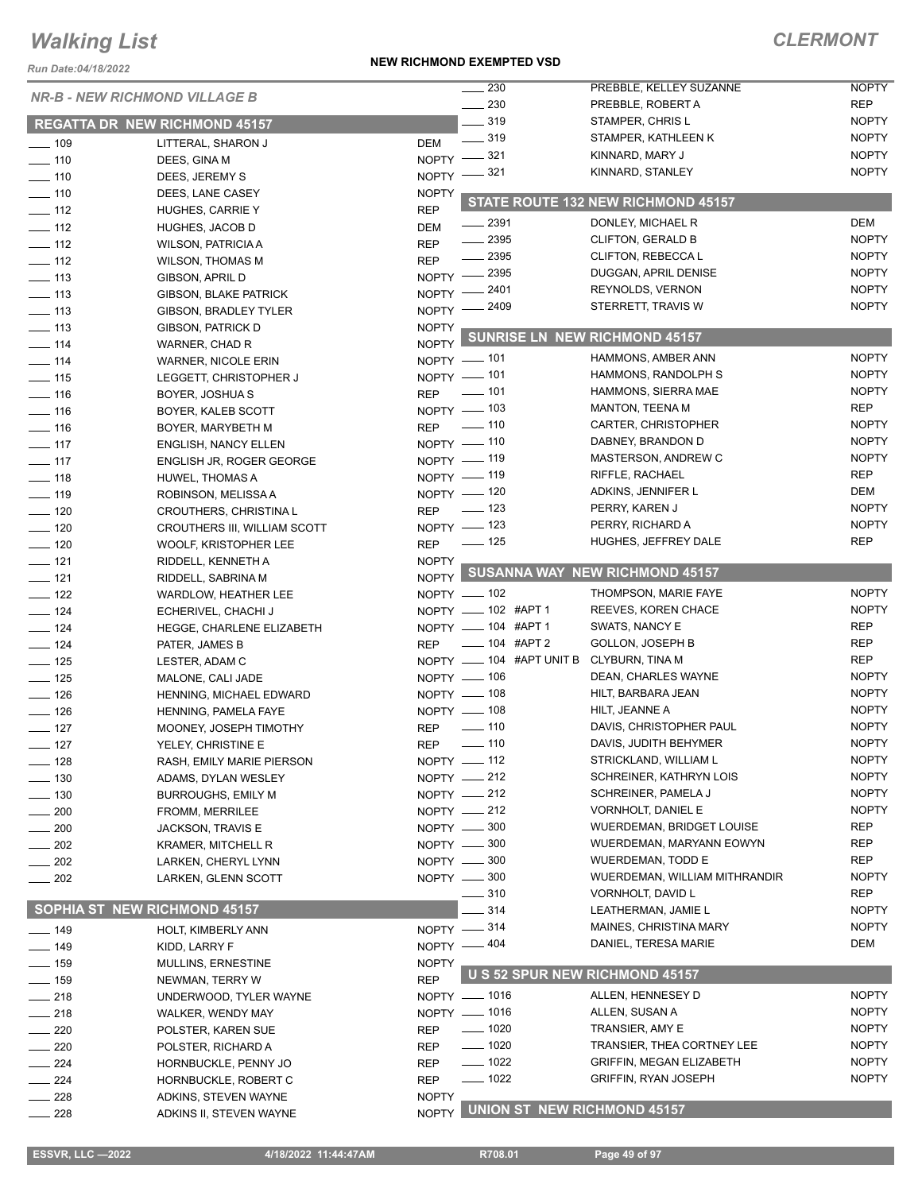*Run Date:04/18/2022*

#### **NEW RICHMOND EXEMPTED VSD**

### *CLERMONT*

|                              |                                      |                            | 230                                      | PREBBLE, KELLEY SUZANNE               | <b>NOPTY</b> |
|------------------------------|--------------------------------------|----------------------------|------------------------------------------|---------------------------------------|--------------|
|                              | <b>NR-B - NEW RICHMOND VILLAGE B</b> |                            | $-230$                                   | PREBBLE, ROBERT A                     | <b>REP</b>   |
|                              | <b>REGATTA DR NEW RICHMOND 45157</b> |                            | $\frac{1}{2}$ 319                        | STAMPER, CHRIS L                      | <b>NOPTY</b> |
|                              |                                      |                            | $\frac{1}{2}$ 319                        | STAMPER, KATHLEEN K                   | <b>NOPTY</b> |
| $\frac{1}{2}$ 109<br>$- 110$ | LITTERAL, SHARON J                   | <b>DEM</b>                 | NOPTY -821                               | KINNARD, MARY J                       | <b>NOPTY</b> |
| $\frac{1}{2}$ 110            | DEES, GINA M                         | NOPTY -                    | 321                                      | KINNARD, STANLEY                      | <b>NOPTY</b> |
| $- 110$                      | DEES, JEREMY S                       |                            |                                          |                                       |              |
| $\frac{1}{2}$ 112            | DEES, LANE CASEY                     | <b>NOPTY</b><br><b>REP</b> |                                          | STATE ROUTE 132 NEW RICHMOND 45157    |              |
| $\frac{1}{2}$ 112            | HUGHES, CARRIE Y<br>HUGHES, JACOB D  | <b>DEM</b>                 | $\frac{1}{2}$ 2391                       | DONLEY, MICHAEL R                     | <b>DEM</b>   |
| $\frac{1}{2}$ 112            | <b>WILSON, PATRICIA A</b>            | <b>REP</b>                 | $- 2395$                                 | <b>CLIFTON, GERALD B</b>              | <b>NOPTY</b> |
| $\frac{1}{2}$ 112            | <b>WILSON, THOMAS M</b>              | <b>REP</b>                 | $\frac{1}{2}$ 2395                       | CLIFTON, REBECCA L                    | <b>NOPTY</b> |
| $\frac{1}{2}$ 113            | GIBSON, APRIL D                      |                            | NOPTY -2395                              | DUGGAN, APRIL DENISE                  | <b>NOPTY</b> |
| $\frac{1}{2}$ 113            | <b>GIBSON, BLAKE PATRICK</b>         |                            | NOPTY -2401                              | REYNOLDS, VERNON                      | <b>NOPTY</b> |
| $- 113$                      | <b>GIBSON, BRADLEY TYLER</b>         |                            | NOPTY -2409                              | STERRETT, TRAVIS W                    | <b>NOPTY</b> |
| $\frac{1}{2}$ 113            | GIBSON, PATRICK D                    | <b>NOPTY</b>               |                                          |                                       |              |
| $\frac{1}{2}$ 114            | WARNER, CHAD R                       | <b>NOPTY</b>               |                                          | <b>SUNRISE LN NEW RICHMOND 45157</b>  |              |
| $- 114$                      | <b>WARNER, NICOLE ERIN</b>           |                            | NOPTY - 101                              | HAMMONS, AMBER ANN                    | <b>NOPTY</b> |
| $- 115$                      | LEGGETT, CHRISTOPHER J               |                            | NOPTY - 101                              | HAMMONS, RANDOLPH S                   | <b>NOPTY</b> |
| $- 116$                      | BOYER, JOSHUA S                      | <b>REP</b>                 | _____ 101                                | HAMMONS, SIERRA MAE                   | <b>NOPTY</b> |
| $\frac{1}{16}$               | BOYER, KALEB SCOTT                   |                            | NOPTY - 103                              | <b>MANTON, TEENA M</b>                | <b>REP</b>   |
| $- 116$                      | BOYER, MARYBETH M                    |                            | REP - 110                                | CARTER, CHRISTOPHER                   | <b>NOPTY</b> |
| $- 117$                      | <b>ENGLISH, NANCY ELLEN</b>          |                            | NOPTY - 110                              | DABNEY, BRANDON D                     | <b>NOPTY</b> |
| $\frac{1}{2}$ 117            | ENGLISH JR, ROGER GEORGE             |                            | NOPTY - 119                              | MASTERSON, ANDREW C                   | <b>NOPTY</b> |
| $\frac{1}{2}$ 118            | <b>HUWEL, THOMAS A</b>               |                            | NOPTY - 119                              | RIFFLE, RACHAEL                       | <b>REP</b>   |
| $- 119$                      | ROBINSON, MELISSA A                  |                            | NOPTY - 120                              | ADKINS, JENNIFER L                    | <b>DEM</b>   |
| $\sim$ 120                   | CROUTHERS, CHRISTINA L               | <b>REP</b>                 | $\sim$ 123                               | PERRY, KAREN J                        | <b>NOPTY</b> |
| $\frac{1}{2}$ 120            | CROUTHERS III, WILLIAM SCOTT         |                            | NOPTY - 123                              | PERRY, RICHARD A                      | <b>NOPTY</b> |
| $\frac{1}{2}$ 120            | WOOLF, KRISTOPHER LEE                | <b>REP</b>                 | $\equiv$ 125                             | HUGHES, JEFFREY DALE                  | <b>REP</b>   |
| $- 121$                      | RIDDELL, KENNETH A                   | <b>NOPTY</b>               |                                          |                                       |              |
| $- 121$                      | RIDDELL, SABRINA M                   |                            |                                          | NOPTY SUSANNA WAY NEW RICHMOND 45157  |              |
| $\frac{1}{2}$ 122            | WARDLOW, HEATHER LEE                 |                            | NOPTY - 102                              | THOMPSON, MARIE FAYE                  | <b>NOPTY</b> |
| $- 124$                      | ECHERIVEL, CHACHI J                  |                            | NOPTY - 102 #APT 1                       | REEVES, KOREN CHACE                   | <b>NOPTY</b> |
| $\frac{1}{2}$ 124            | HEGGE, CHARLENE ELIZABETH            |                            | NOPTY - 104 #APT 1                       | SWATS, NANCY E                        | <b>REP</b>   |
| $\frac{1}{2}$ 124            | PATER, JAMES B                       | <b>REP</b>                 | $\frac{1}{2}$ 104 #APT 2                 | <b>GOLLON, JOSEPH B</b>               | <b>REP</b>   |
| $\frac{1}{2}$ 125            | LESTER, ADAM C                       |                            | NOPTY __ 104 #APT UNIT B CLYBURN, TINA M |                                       | <b>REP</b>   |
| $\frac{1}{2}$ 125            | MALONE, CALI JADE                    |                            | NOPTY - 106                              | DEAN, CHARLES WAYNE                   | <b>NOPTY</b> |
| $\frac{1}{2}$ 126            | HENNING, MICHAEL EDWARD              |                            | NOPTY - 108                              | HILT, BARBARA JEAN                    | <b>NOPTY</b> |
| $\frac{1}{2}$ 126            | HENNING, PAMELA FAYE                 |                            | NOPTY - 108                              | HILT, JEANNE A                        | <b>NOPTY</b> |
| $- 127$                      | MOONEY, JOSEPH TIMOTHY               | <b>REP</b>                 | $- 110$                                  | DAVIS, CHRISTOPHER PAUL               | <b>NOPTY</b> |
| $-127$                       | YELEY, CHRISTINE E                   | <b>REP</b>                 | $- 110$                                  | DAVIS, JUDITH BEHYMER                 | <b>NOPTY</b> |
| $- 128$                      | RASH, EMILY MARIE PIERSON            |                            | NOPTY -112                               | STRICKLAND, WILLIAM L                 | <b>NOPTY</b> |
| $-130$                       | ADAMS, DYLAN WESLEY                  |                            | NOPTY $-212$                             | SCHREINER, KATHRYN LOIS               | <b>NOPTY</b> |
| $-130$                       | <b>BURROUGHS, EMILY M</b>            |                            | NOPTY -212                               | SCHREINER, PAMELA J                   | <b>NOPTY</b> |
| $-200$                       | FROMM, MERRILEE                      |                            | NOPTY - 212                              | VORNHOLT, DANIEL E                    | <b>NOPTY</b> |
| 200                          | JACKSON, TRAVIS E                    |                            | NOPTY -800                               | <b>WUERDEMAN, BRIDGET LOUISE</b>      | REP          |
| $-202$                       | KRAMER, MITCHELL R                   |                            | NOPTY - 300                              | WUERDEMAN, MARYANN EOWYN              | REP          |
| $\frac{1}{202}$              | LARKEN, CHERYL LYNN                  |                            | NOPTY -800                               | WUERDEMAN, TODD E                     | REP          |
| $-202$                       | LARKEN, GLENN SCOTT                  |                            | NOPTY -800                               | WUERDEMAN, WILLIAM MITHRANDIR         | <b>NOPTY</b> |
|                              |                                      |                            | . 310                                    | VORNHOLT, DAVID L                     | <b>REP</b>   |
|                              | SOPHIA ST NEW RICHMOND 45157         |                            | 314                                      | LEATHERMAN, JAMIE L                   | <b>NOPTY</b> |
| $- 149$                      | HOLT, KIMBERLY ANN                   |                            | NOPTY -814                               | MAINES, CHRISTINA MARY                | <b>NOPTY</b> |
| $\frac{1}{2}$ 149            | KIDD, LARRY F                        |                            | NOPTY -404                               | DANIEL, TERESA MARIE                  | DEM          |
| $\frac{1}{2}$ 159            | MULLINS, ERNESTINE                   | <b>NOPTY</b>               |                                          |                                       |              |
| $\frac{1}{2}$ 159            | NEWMAN, TERRY W                      | <b>REP</b>                 |                                          | <b>U S 52 SPUR NEW RICHMOND 45157</b> |              |
| $\frac{1}{218}$              | UNDERWOOD, TYLER WAYNE               |                            | NOPTY - 1016                             | ALLEN, HENNESEY D                     | <b>NOPTY</b> |
| $-218$                       | WALKER, WENDY MAY                    |                            | NOPTY - 1016                             | ALLEN, SUSAN A                        | <b>NOPTY</b> |
| $-220$                       | POLSTER, KAREN SUE                   | <b>REP</b>                 | $\frac{1}{2}$ 1020                       | TRANSIER, AMY E                       | <b>NOPTY</b> |
| $\sim$ 220                   | POLSTER, RICHARD A                   | REP                        | $\frac{1}{2}$ 1020                       | TRANSIER, THEA CORTNEY LEE            | <b>NOPTY</b> |
| $-224$                       | HORNBUCKLE, PENNY JO                 | <b>REP</b>                 | $- 1022$                                 | <b>GRIFFIN, MEGAN ELIZABETH</b>       | <b>NOPTY</b> |
| $\frac{1}{224}$              | HORNBUCKLE, ROBERT C                 | <b>REP</b>                 | $- 1022$                                 | <b>GRIFFIN, RYAN JOSEPH</b>           | <b>NOPTY</b> |
| 228                          | ADKINS, STEVEN WAYNE                 | <b>NOPTY</b>               |                                          |                                       |              |
| $\sim$ 228                   | ADKINS II, STEVEN WAYNE              | <b>NOPTY</b>               |                                          | <b>UNION ST NEW RICHMOND 45157</b>    |              |
|                              |                                      |                            |                                          |                                       |              |

**ESSVR, LLC -2022 4/18/2022 11:44:47AM R708.01 Page 49 of 97**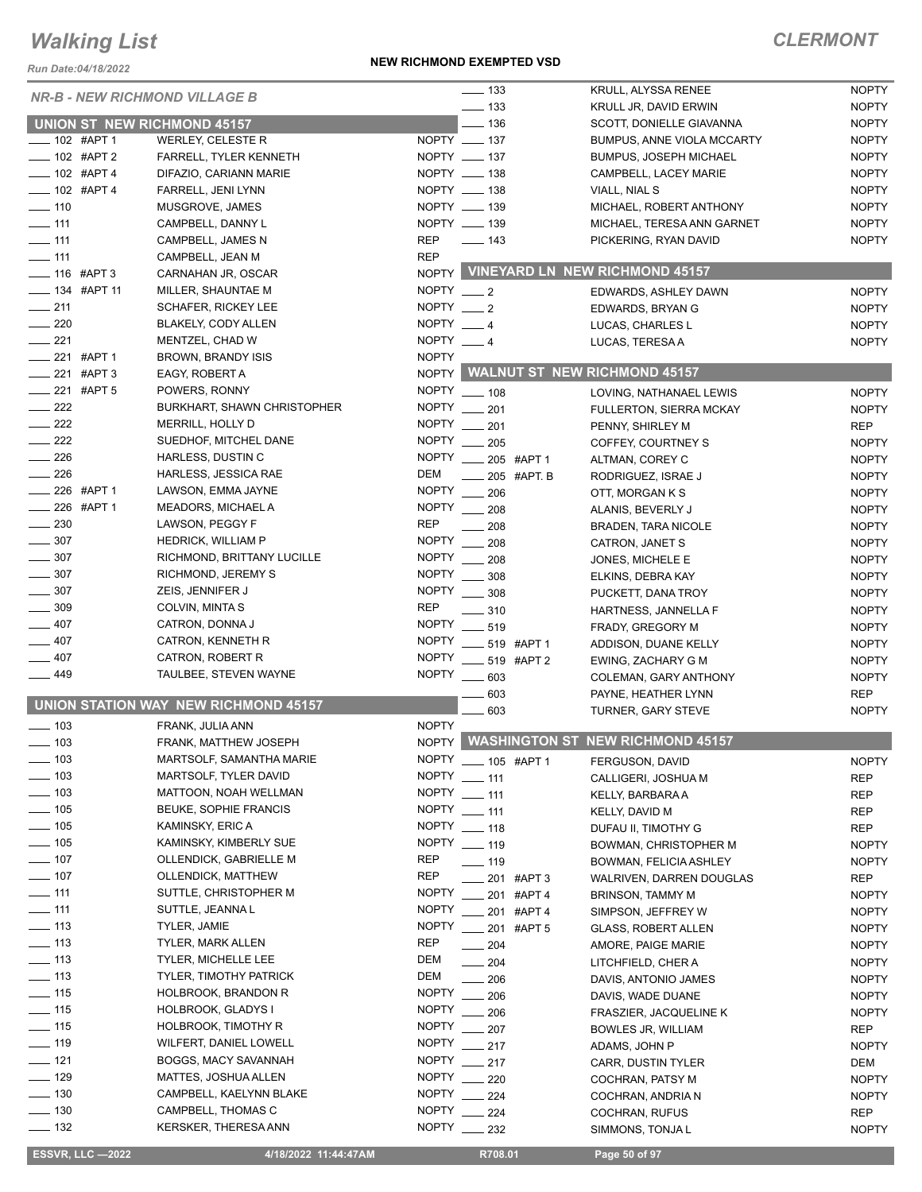*Run Date:04/18/2022*

#### **NEW RICHMOND EXEMPTED VSD**

### *CLERMONT*

|                                        | <b>NR-B - NEW RICHMOND VILLAGE B</b>       | $\frac{1}{2}$ 133                             | KRULL, ALYSSA RENEE                    | <b>NOPTY</b>               |
|----------------------------------------|--------------------------------------------|-----------------------------------------------|----------------------------------------|----------------------------|
|                                        |                                            | $\frac{1}{2}$ 133                             | KRULL JR, DAVID ERWIN                  | <b>NOPTY</b>               |
| <b>UNION ST NEW RICHMOND 45157</b>     |                                            | $\frac{1}{2}$ 136                             | SCOTT, DONIELLE GIAVANNA               | <b>NOPTY</b>               |
| $- 102$ #APT 1                         | WERLEY, CELESTE R                          | NOPTY __ 137                                  | <b>BUMPUS, ANNE VIOLA MCCARTY</b>      | <b>NOPTY</b>               |
| -02 #APT 2                             | <b>FARRELL, TYLER KENNETH</b>              | NOPTY __ 137                                  | <b>BUMPUS, JOSEPH MICHAEL</b>          | <b>NOPTY</b>               |
| $- 102$ #APT 4                         | DIFAZIO, CARIANN MARIE                     | NOPTY __ 138                                  | CAMPBELL, LACEY MARIE                  | <b>NOPTY</b>               |
| $- 102$ #APT 4                         | FARRELL, JENI LYNN                         | NOPTY __ 138                                  | VIALL, NIAL S                          | <b>NOPTY</b>               |
| $- 110$                                | MUSGROVE, JAMES                            | NOPTY __ 139                                  | MICHAEL, ROBERT ANTHONY                | <b>NOPTY</b>               |
| $-111$                                 | CAMPBELL, DANNY L                          | NOPTY __ 139                                  | MICHAEL, TERESA ANN GARNET             | <b>NOPTY</b>               |
| $- 111$                                | CAMPBELL, JAMES N                          | REP<br>$\frac{1}{2}$ 143                      | PICKERING, RYAN DAVID                  | <b>NOPTY</b>               |
| $\frac{1}{2}$ 111                      | CAMPBELL, JEAN M                           | <b>REP</b>                                    |                                        |                            |
| $- 116$ #APT 3                         | CARNAHAN JR, OSCAR                         |                                               | NOPTY VINEYARD LN NEW RICHMOND 45157   |                            |
| $\frac{1}{2}$ 134 #APT 11              | MILLER, SHAUNTAE M                         | NOPTY $-2$                                    | EDWARDS, ASHLEY DAWN                   | <b>NOPTY</b>               |
| $\frac{1}{211}$                        | <b>SCHAFER, RICKEY LEE</b>                 | NOPTY $\_\_\_2$                               | EDWARDS, BRYAN G                       | <b>NOPTY</b>               |
| $\sim$ 220                             | BLAKELY, CODY ALLEN                        | NOPTY $-4$                                    | LUCAS, CHARLES L                       | <b>NOPTY</b>               |
| $\frac{1}{221}$                        | MENTZEL, CHAD W                            | NOPTY $-4$                                    |                                        |                            |
| $\frac{1}{221}$ #APT 1                 |                                            | <b>NOPTY</b>                                  | LUCAS, TERESAA                         | <b>NOPTY</b>               |
| $-221$ #APT 3                          | <b>BROWN, BRANDY ISIS</b>                  |                                               | NOPTY WALNUT ST NEW RICHMOND 45157     |                            |
|                                        | EAGY, ROBERT A                             |                                               |                                        |                            |
| $-221$ #APT 5                          | POWERS, RONNY                              | NOPTY __ 108                                  | LOVING. NATHANAEL LEWIS                | <b>NOPTY</b>               |
| $-222$                                 | <b>BURKHART, SHAWN CHRISTOPHER</b>         | NOPTY __ 201                                  | FULLERTON, SIERRA MCKAY                | <b>NOPTY</b>               |
| $\frac{1}{222}$                        | MERRILL, HOLLY D                           | <b>NOPTY</b><br>$\frac{1}{201}$               | PENNY, SHIRLEY M                       | <b>REP</b>                 |
| $-222$                                 | SUEDHOF, MITCHEL DANE                      | <b>NOPTY</b><br>205                           | COFFEY, COURTNEY S                     | <b>NOPTY</b>               |
| $\frac{1}{226}$                        | HARLESS, DUSTIN C                          | NOPTY __ 205 #APT 1                           | ALTMAN, COREY C                        | <b>NOPTY</b>               |
| $\frac{1}{226}$                        | HARLESS, JESSICA RAE                       | DEM<br>$-205$ #APT. B                         | RODRIGUEZ, ISRAE J                     | <b>NOPTY</b>               |
| $\frac{1}{226}$ #APT 1                 | LAWSON, EMMA JAYNE                         | NOPTY 206                                     | OTT, MORGAN K S                        | <b>NOPTY</b>               |
| $\frac{1}{226}$ #APT 1                 | MEADORS, MICHAEL A                         | <b>NOPTY</b><br>$\frac{1}{208}$               | ALANIS, BEVERLY J                      | <b>NOPTY</b>               |
| $\sim$ 230                             | LAWSON, PEGGY F                            | <b>REP</b><br>208                             | <b>BRADEN, TARA NICOLE</b>             | <b>NOPTY</b>               |
| $\frac{1}{2}$ 307                      | <b>HEDRICK, WILLIAM P</b>                  | <b>NOPTY</b><br>208                           | CATRON, JANET S                        | <b>NOPTY</b>               |
| $\frac{1}{2}$ 307                      | RICHMOND, BRITTANY LUCILLE                 | <b>NOPTY</b><br>208                           | JONES, MICHELE E                       | <b>NOPTY</b>               |
| $\frac{1}{2}$ 307                      | RICHMOND, JEREMY S                         | NOPTY _____ 308                               | ELKINS, DEBRA KAY                      | <b>NOPTY</b>               |
| $\frac{1}{2}$ 307                      | ZEIS, JENNIFER J                           | NOPTY _____ 308                               | PUCKETT, DANA TROY                     | <b>NOPTY</b>               |
| $\equiv$ 309                           | COLVIN, MINTA S                            | <b>REP</b><br>$\frac{1}{2}$ 310               | HARTNESS, JANNELLA F                   | <b>NOPTY</b>               |
| $-407$                                 | CATRON, DONNA J                            | NOPTY __ 519                                  | FRADY, GREGORY M                       | <b>NOPTY</b>               |
| $-407$                                 | CATRON, KENNETH R                          | <b>NOPTY</b><br>$-519$ #APT 1                 | ADDISON, DUANE KELLY                   | <b>NOPTY</b>               |
| $-407$                                 | CATRON, ROBERT R                           | NOPTY _____ 519 #APT 2                        | EWING, ZACHARY G M                     | <b>NOPTY</b>               |
| $-449$                                 | TAULBEE, STEVEN WAYNE                      | NOPTY __ 603                                  | COLEMAN, GARY ANTHONY                  | <b>NOPTY</b>               |
|                                        |                                            | 603                                           | PAYNE, HEATHER LYNN                    | <b>REP</b>                 |
|                                        | UNION STATION WAY NEW RICHMOND 45157       | 603                                           |                                        | <b>NOPTY</b>               |
| $\frac{1}{2}$ 103                      | FRANK, JULIA ANN                           | <b>NOPTY</b>                                  | <b>TURNER, GARY STEVE</b>              |                            |
|                                        | FRANK. MATTHEW JOSEPH                      |                                               | NOPTY WASHINGTON ST NEW RICHMOND 45157 |                            |
| $- 103$                                |                                            |                                               |                                        |                            |
| $-103$                                 | MARTSOLF, SAMANTHA MARIE                   | NOPTY __ 105 #APT 1                           | FERGUSON, DAVID                        | <b>NOPTY</b>               |
| $- 103$                                | MARTSOLF, TYLER DAVID                      | NOPTY __ 111                                  | CALLIGERI, JOSHUA M                    | <b>REP</b>                 |
| $\sim$ 103                             | MATTOON, NOAH WELLMAN                      | NOPTY __ 111                                  | KELLY, BARBARA A                       | REP                        |
| $- 105$                                | <b>BEUKE, SOPHIE FRANCIS</b>               | NOPTY __ 111                                  | KELLY, DAVID M                         | REP                        |
| $\frac{1}{2}$ 105                      | KAMINSKY, ERIC A                           | NOPTY __ 118                                  | DUFAU II, TIMOTHY G                    | <b>REP</b>                 |
| $\frac{1}{2}$ 105                      | KAMINSKY, KIMBERLY SUE                     | <b>NOPTY</b><br>$- 119$                       | BOWMAN, CHRISTOPHER M                  | <b>NOPTY</b>               |
| $- 107$                                | OLLENDICK, GABRIELLE M                     | <b>REP</b><br>$- 119$                         | BOWMAN, FELICIA ASHLEY                 | <b>NOPTY</b>               |
| $- 107$                                | <b>OLLENDICK, MATTHEW</b>                  | <b>REP</b><br>201 #APT 3                      | WALRIVEN, DARREN DOUGLAS               | <b>REP</b>                 |
| $- 111$                                | SUTTLE, CHRISTOPHER M                      | <b>NOPTY</b><br>201 #APT 4                    | <b>BRINSON, TAMMY M</b>                | <b>NOPTY</b>               |
| $-111$                                 | SUTTLE, JEANNA L                           | <b>NOPTY</b><br>____ 201 #APT 4               | SIMPSON, JEFFREY W                     | <b>NOPTY</b>               |
| $\frac{1}{2}$ 113                      | TYLER, JAMIE                               | NOPTY __ 201 #APT 5                           | <b>GLASS, ROBERT ALLEN</b>             | <b>NOPTY</b>               |
| $\frac{1}{2}$ 113                      | TYLER, MARK ALLEN                          | REP<br>$-204$                                 | AMORE, PAIGE MARIE                     | <b>NOPTY</b>               |
| $\frac{1}{2}$ 113                      | <b>TYLER, MICHELLE LEE</b>                 | DEM<br>$- 204$                                | LITCHFIELD, CHER A                     | <b>NOPTY</b>               |
| $\frac{1}{2}$ 113                      | TYLER, TIMOTHY PATRICK                     | DEM<br>$\sim$ 206                             | DAVIS, ANTONIO JAMES                   | <b>NOPTY</b>               |
| $- 115$                                | <b>HOLBROOK, BRANDON R</b>                 | <b>NOPTY</b><br>206                           | DAVIS, WADE DUANE                      | <b>NOPTY</b>               |
| $\frac{1}{15}$                         | HOLBROOK, GLADYS I                         | NOPTY __ 206                                  | FRASZIER, JACQUELINE K                 | <b>NOPTY</b>               |
| $- 115$                                | HOLBROOK, TIMOTHY R                        | <b>NOPTY</b><br>$-207$                        | <b>BOWLES JR, WILLIAM</b>              | REP                        |
| $\frac{1}{2}$ 119                      | WILFERT, DANIEL LOWELL                     | NOPTY __ 217                                  |                                        | <b>NOPTY</b>               |
|                                        |                                            |                                               | ADAMS, JOHN P                          |                            |
|                                        |                                            |                                               |                                        |                            |
| $- 121$                                | BOGGS, MACY SAVANNAH                       | <b>NOPTY</b><br>$\sim$ 217                    | <b>CARR, DUSTIN TYLER</b>              | DEM                        |
| $- 129$                                | MATTES, JOSHUA ALLEN                       | NOPTY __ 220                                  | COCHRAN, PATSY M                       | <b>NOPTY</b>               |
| $- 130$                                | CAMPBELL, KAELYNN BLAKE                    | NOPTY __ 224                                  | COCHRAN, ANDRIA N                      | <b>NOPTY</b>               |
| $\frac{1}{2}$ 130<br>$\frac{1}{2}$ 132 | CAMPBELL, THOMAS C<br>KERSKER, THERESA ANN | <b>NOPTY</b><br>$-224$<br><b>NOPTY</b><br>232 | COCHRAN, RUFUS<br>SIMMONS, TONJA L     | <b>REP</b><br><b>NOPTY</b> |

 **ESSVR, LLC —2022 4/18/2022 11:44:47AM R708.01 Page 50 of 97**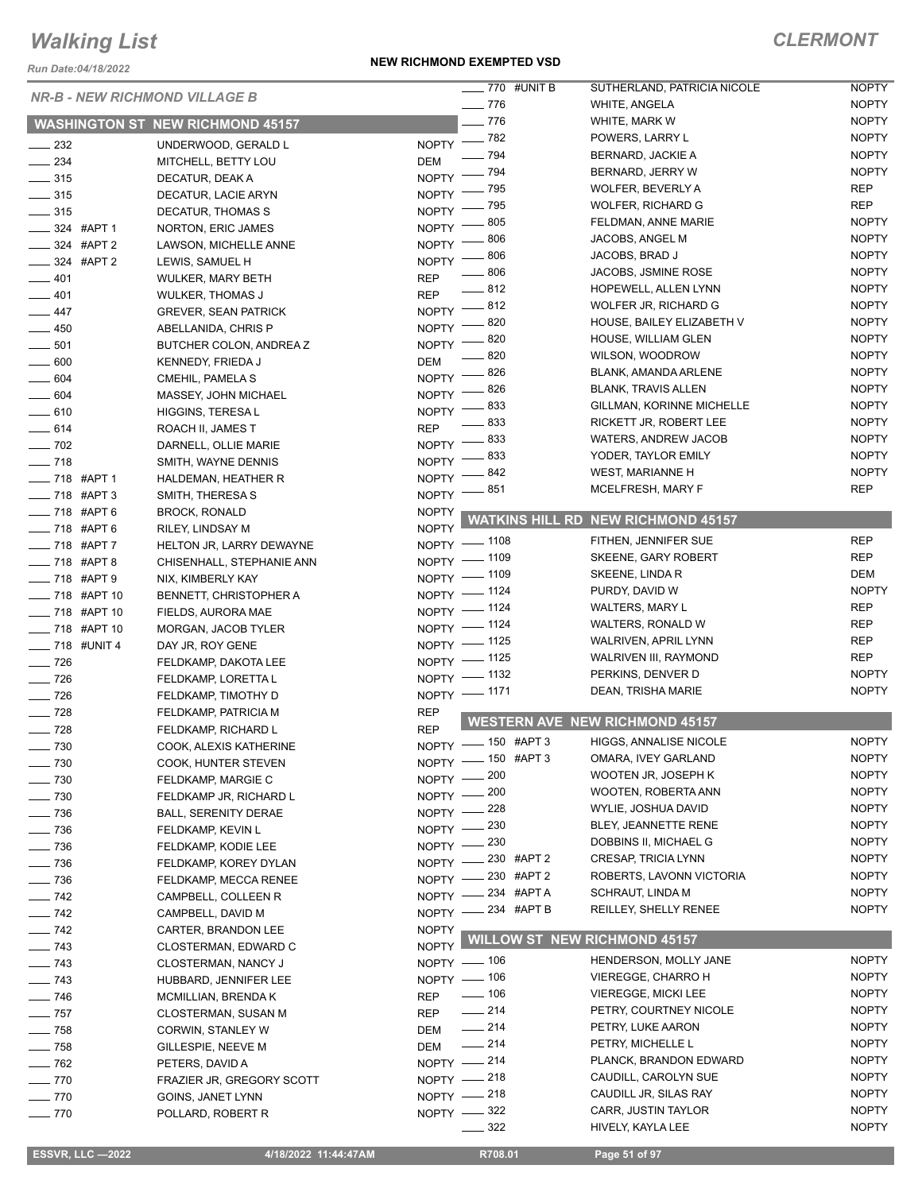*Run Date:04/18/2022*

#### **NEW RICHMOND EXEMPTED VSD**

|                          | <b>NR-B - NEW RICHMOND VILLAGE B</b>    |                                   | $\frac{1}{2}$ 770 #UNIT B | SUTHERLAND, PATRICIA NICOLE               | <b>NOPTY</b> |
|--------------------------|-----------------------------------------|-----------------------------------|---------------------------|-------------------------------------------|--------------|
|                          |                                         | $\frac{1}{2}$ 776                 |                           | WHITE, ANGELA                             | <b>NOPTY</b> |
|                          | <b>WASHINGTON ST NEW RICHMOND 45157</b> | $-776$                            |                           | WHITE, MARK W                             | <b>NOPTY</b> |
| $\frac{1}{2}$ 232        | UNDERWOOD, GERALD L                     | NOPTY $ 782$                      |                           | POWERS, LARRY L                           | <b>NOPTY</b> |
| $\frac{234}{2}$          | MITCHELL, BETTY LOU                     | - 794<br>DEM                      |                           | BERNARD, JACKIE A                         | <b>NOPTY</b> |
| $\frac{1}{2}$ 315        | DECATUR, DEAK A                         | - 794<br><b>NOPTY</b>             |                           | BERNARD, JERRY W                          | <b>NOPTY</b> |
| $\frac{1}{2}$ 315        | DECATUR, LACIE ARYN                     | - 795<br><b>NOPTY</b>             |                           | WOLFER, BEVERLY A                         | <b>REP</b>   |
| $\frac{1}{2}$ 315        | DECATUR, THOMAS S                       | 795<br><b>NOPTY</b>               |                           | WOLFER, RICHARD G                         | <b>REP</b>   |
| $\frac{1}{2}$ 324 #APT 1 | NORTON, ERIC JAMES                      | 805<br><b>NOPTY</b>               |                           | FELDMAN, ANNE MARIE                       | <b>NOPTY</b> |
| ____ 324 #APT 2          | LAWSON, MICHELLE ANNE                   | 806<br>NOPTY -                    |                           | JACOBS, ANGEL M                           | <b>NOPTY</b> |
| <b>224 #APT 2</b>        | LEWIS, SAMUEL H                         | 806<br>$NOPTY$ –                  |                           | JACOBS, BRAD J                            | <b>NOPTY</b> |
| $-401$                   | <b>WULKER, MARY BETH</b>                | $- 806$<br><b>REP</b>             |                           | JACOBS, JSMINE ROSE                       | <b>NOPTY</b> |
| $-401$                   | <b>WULKER, THOMAS J</b>                 | $-812$<br><b>REP</b>              |                           | HOPEWELL, ALLEN LYNN                      | <b>NOPTY</b> |
| $-447$                   |                                         | $-812$<br><b>NOPTY</b>            |                           | WOLFER JR, RICHARD G                      | <b>NOPTY</b> |
|                          | <b>GREVER, SEAN PATRICK</b>             | 820<br><b>NOPTY</b>               |                           | HOUSE, BAILEY ELIZABETH V                 | <b>NOPTY</b> |
| $-450$                   | ABELLANIDA, CHRIS P                     | 820<br><b>NOPTY</b>               |                           | HOUSE, WILLIAM GLEN                       | <b>NOPTY</b> |
| $\frac{1}{2}$ 501        | BUTCHER COLON, ANDREA Z                 | 820                               |                           | WILSON, WOODROW                           | <b>NOPTY</b> |
| $\frac{1}{2}$ 600        | KENNEDY, FRIEDA J                       | DEM<br>826                        |                           | BLANK, AMANDA ARLENE                      | <b>NOPTY</b> |
| $- 604$                  | CMEHIL, PAMELA S                        | <b>NOPTY</b><br>826               |                           | <b>BLANK, TRAVIS ALLEN</b>                | <b>NOPTY</b> |
| $- 604$                  | MASSEY, JOHN MICHAEL                    | <b>NOPTY</b><br>833               |                           | GILLMAN, KORINNE MICHELLE                 | <b>NOPTY</b> |
| $-610$                   | HIGGINS, TERESA L                       | NOPTY -<br>833                    |                           | RICKETT JR, ROBERT LEE                    | <b>NOPTY</b> |
| $- 614$                  | ROACH II, JAMES T                       | <b>REP</b><br>833<br><b>NOPTY</b> |                           | <b>WATERS, ANDREW JACOB</b>               | <b>NOPTY</b> |
| $- 702$                  | DARNELL, OLLIE MARIE                    | 833                               |                           | YODER, TAYLOR EMILY                       | <b>NOPTY</b> |
| $- 718$                  | SMITH, WAYNE DENNIS                     | NOPTY -<br>842                    |                           | WEST, MARIANNE H                          | <b>NOPTY</b> |
| -8 #APT 1                | HALDEMAN, HEATHER R                     | NOPTY <sup>-</sup><br>_ 851       |                           | MCELFRESH, MARY F                         | <b>REP</b>   |
| - 718 #APT 3             | SMITH, THERESA S                        | $NOPTY$ –                         |                           |                                           |              |
| $- 718$ #APT 6           | <b>BROCK, RONALD</b>                    | <b>NOPTY</b>                      |                           | <b>WATKINS HILL RD NEW RICHMOND 45157</b> |              |
| $- 718$ #APT 6           | RILEY, LINDSAY M                        | <b>NOPTY</b><br>NOPTY - 1108      |                           | FITHEN, JENNIFER SUE                      | <b>REP</b>   |
| $- 718$ #APT 7           | HELTON JR, LARRY DEWAYNE                | NOPTY - 1109                      |                           | SKEENE, GARY ROBERT                       | <b>REP</b>   |
| $- 718$ #APT 8           | CHISENHALL, STEPHANIE ANN               |                                   |                           | SKEENE, LINDA R                           | <b>DEM</b>   |
| -8 #APT 9                | NIX, KIMBERLY KAY                       | NOPTY - 1109                      |                           | PURDY, DAVID W                            | <b>NOPTY</b> |
| -8 #APT 10               | <b>BENNETT, CHRISTOPHER A</b>           | NOPTY - 1124                      |                           | <b>WALTERS, MARY L</b>                    | <b>REP</b>   |
| ___ 718 #APT 10          | FIELDS, AURORA MAE                      | NOPTY -1124                       |                           | WALTERS, RONALD W                         | <b>REP</b>   |
| ____ 718 #APT 10         | MORGAN, JACOB TYLER                     | NOPTY - 1124                      |                           | WALRIVEN, APRIL LYNN                      | <b>REP</b>   |
| $- 718$ #UNIT 4          | DAY JR, ROY GENE                        | NOPTY - 1125                      |                           | WALRIVEN III, RAYMOND                     | <b>REP</b>   |
| $- 726$                  | FELDKAMP, DAKOTA LEE                    | NOPTY - 1125                      |                           | PERKINS, DENVER D                         | <b>NOPTY</b> |
| $- 726$                  | FELDKAMP, LORETTA L                     | NOPTY - 1132                      |                           |                                           | <b>NOPTY</b> |
| $\frac{1}{2}$ 726        | FELDKAMP, TIMOTHY D                     | NOPTY - 1171                      |                           | DEAN, TRISHA MARIE                        |              |
| $\frac{1}{2}$ 728        | FELDKAMP, PATRICIA M                    | <b>REP</b>                        |                           | <b>WESTERN AVE NEW RICHMOND 45157</b>     |              |
| $\frac{1}{2}$ 728        | FELDKAMP, RICHARD L                     | <b>REP</b>                        |                           |                                           |              |
| $- 730$                  | COOK, ALEXIS KATHERINE                  | NOPTY - 150 #APT 3                |                           | HIGGS, ANNALISE NICOLE                    | <b>NOPTY</b> |
| $- 730$                  | COOK, HUNTER STEVEN                     | NOPTY - 150 #APT 3                |                           | OMARA, IVEY GARLAND                       | <b>NOPTY</b> |
| $- 730$                  | FELDKAMP, MARGIE C                      | NOPTY - 200                       |                           | WOOTEN JR, JOSEPH K                       | <b>NOPTY</b> |
| $\frac{1}{2}$ 730        | FELDKAMP JR, RICHARD L                  | NOPTY - 200                       |                           | <b>WOOTEN, ROBERTA ANN</b>                | <b>NOPTY</b> |
| $\frac{1}{2}$ 736        | <b>BALL, SERENITY DERAE</b>             | NOPTY -228                        |                           | WYLIE, JOSHUA DAVID                       | <b>NOPTY</b> |
| $\frac{1}{2}$ 736        | FELDKAMP, KEVIN L                       | NOPTY -230                        |                           | BLEY, JEANNETTE RENE                      | <b>NOPTY</b> |
| $\frac{1}{2}$ 736        | FELDKAMP, KODIE LEE                     | NOPTY - 230                       |                           | DOBBINS II, MICHAEL G                     | <b>NOPTY</b> |
| $\frac{1}{2}$ 736        | FELDKAMP, KOREY DYLAN                   | NOPTY -230 #APT 2                 |                           | CRESAP, TRICIA LYNN                       | <b>NOPTY</b> |
| $- 736$                  | FELDKAMP, MECCA RENEE                   | $N$ OPTY $-$                      | $-230$ #APT 2             | ROBERTS, LAVONN VICTORIA                  | <b>NOPTY</b> |
| $- 742$                  | CAMPBELL, COLLEEN R                     | NOPTY -234 #APTA                  |                           | SCHRAUT, LINDA M                          | <b>NOPTY</b> |
| $- 742$                  | CAMPBELL, DAVID M                       | NOPTY -234 #APT B                 |                           | REILLEY, SHELLY RENEE                     | <b>NOPTY</b> |
| $- 742$                  | CARTER, BRANDON LEE                     | <b>NOPTY</b>                      |                           |                                           |              |
| $\frac{1}{2}$ 743        | CLOSTERMAN, EDWARD C                    | NOPTY L                           |                           | <b>WILLOW ST NEW RICHMOND 45157</b>       |              |
| $\frac{1}{2}$ 743        | CLOSTERMAN, NANCY J                     | NOPTY - 106                       |                           | HENDERSON, MOLLY JANE                     | <b>NOPTY</b> |
| $\frac{1}{2}$ 743        | HUBBARD, JENNIFER LEE                   | NOPTY - 106                       |                           | VIEREGGE, CHARRO H                        | <b>NOPTY</b> |
| $\frac{1}{2}$ 746        | MCMILLIAN, BRENDA K                     | $- 106$<br><b>REP</b>             |                           | <b>VIEREGGE, MICKI LEE</b>                | <b>NOPTY</b> |
| $- 757$                  | CLOSTERMAN, SUSAN M                     | $-214$<br>REP                     |                           | PETRY, COURTNEY NICOLE                    | <b>NOPTY</b> |
| $- 758$                  | CORWIN, STANLEY W                       | $\frac{1}{214}$<br>DEM            |                           | PETRY, LUKE AARON                         | <b>NOPTY</b> |
| $- 758$                  | GILLESPIE, NEEVE M                      | $\frac{1}{214}$<br>DEM            |                           | PETRY, MICHELLE L                         | <b>NOPTY</b> |
| $- 762$                  | PETERS, DAVID A                         | NOPTY - 214                       |                           | PLANCK, BRANDON EDWARD                    | <b>NOPTY</b> |
| $- 770$                  | FRAZIER JR, GREGORY SCOTT               | NOPTY - 218                       |                           | CAUDILL, CAROLYN SUE                      | <b>NOPTY</b> |
| $- 770$                  | GOINS, JANET LYNN                       | NOPTY - 218                       |                           | CAUDILL JR, SILAS RAY                     | <b>NOPTY</b> |
| $- 770$                  | POLLARD, ROBERT R                       | NOPTY -822                        |                           | CARR, JUSTIN TAYLOR                       | <b>NOPTY</b> |
|                          |                                         | 322                               |                           | HIVELY, KAYLA LEE                         | <b>NOPTY</b> |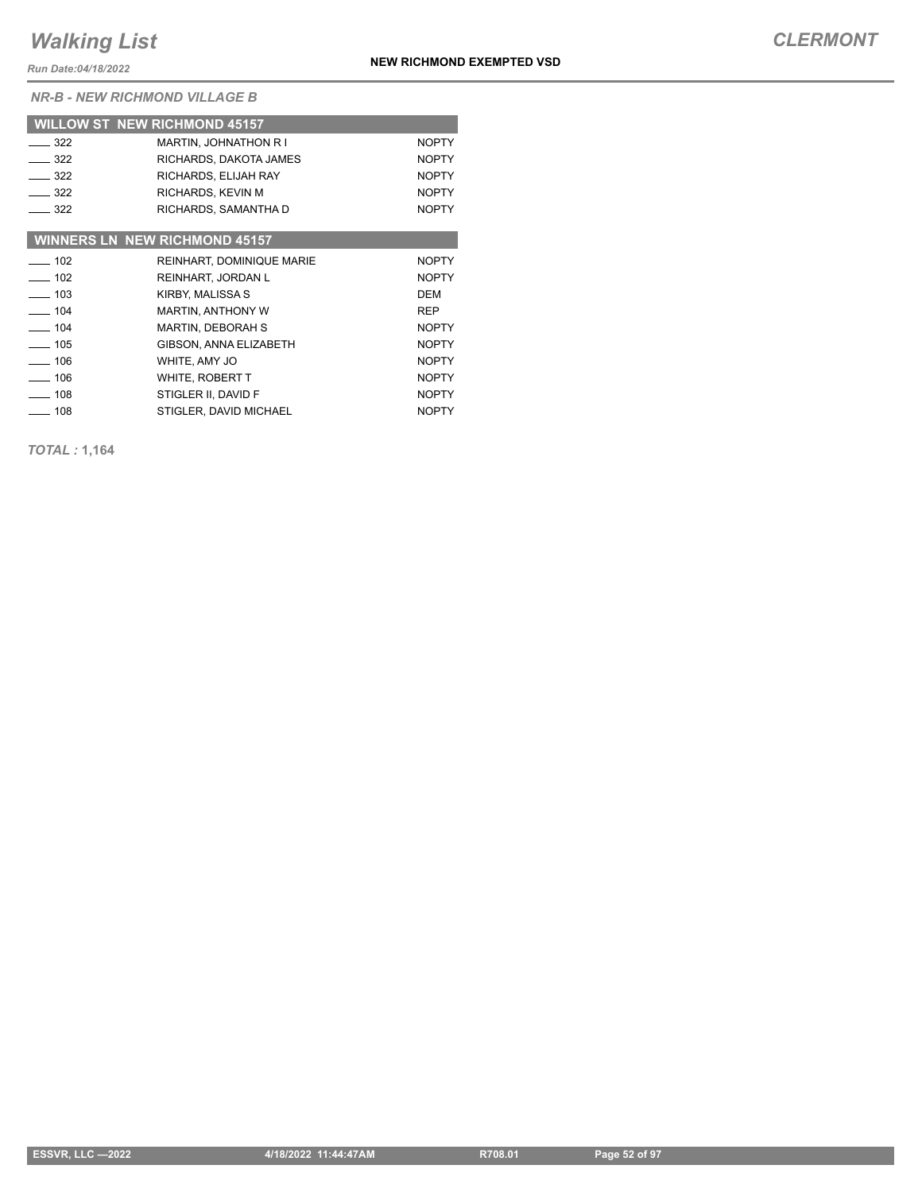*Run Date:04/18/2022*

*NR-B - NEW RICHMOND VILLAGE B*

|            | <b>WILLOW ST NEW RICHMOND 45157</b>  |              |
|------------|--------------------------------------|--------------|
| $-322$     | MARTIN, JOHNATHON R I                | <b>NOPTY</b> |
| $-322$     | RICHARDS, DAKOTA JAMES               | <b>NOPTY</b> |
| $-322$     | RICHARDS, ELIJAH RAY                 | <b>NOPTY</b> |
| $-322$     | RICHARDS, KEVIN M                    | <b>NOPTY</b> |
| $-322$     | RICHARDS, SAMANTHA D                 | <b>NOPTY</b> |
|            |                                      |              |
|            | <b>WINNERS LN NEW RICHMOND 45157</b> |              |
| $-102$     | <b>REINHART, DOMINIQUE MARIE</b>     | <b>NOPTY</b> |
| $-102$     | REINHART, JORDAN L                   | <b>NOPTY</b> |
| $\sim$ 103 | KIRBY, MALISSA S                     | <b>DEM</b>   |
| $-104$     | <b>MARTIN, ANTHONY W</b>             | <b>REP</b>   |
| $\sim$ 104 | <b>MARTIN, DEBORAH S</b>             | <b>NOPTY</b> |
| $-105$     | GIBSON, ANNA ELIZABETH               | <b>NOPTY</b> |
| $-106$     | WHITE, AMY JO                        | <b>NOPTY</b> |
| $-106$     | WHITE, ROBERT T                      | <b>NOPTY</b> |
| $-108$     | STIGLER II, DAVID F                  | <b>NOPTY</b> |
| $\sim$ 108 | STIGLER, DAVID MICHAEL               | <b>NOPTY</b> |

*TOTAL :* **1,164**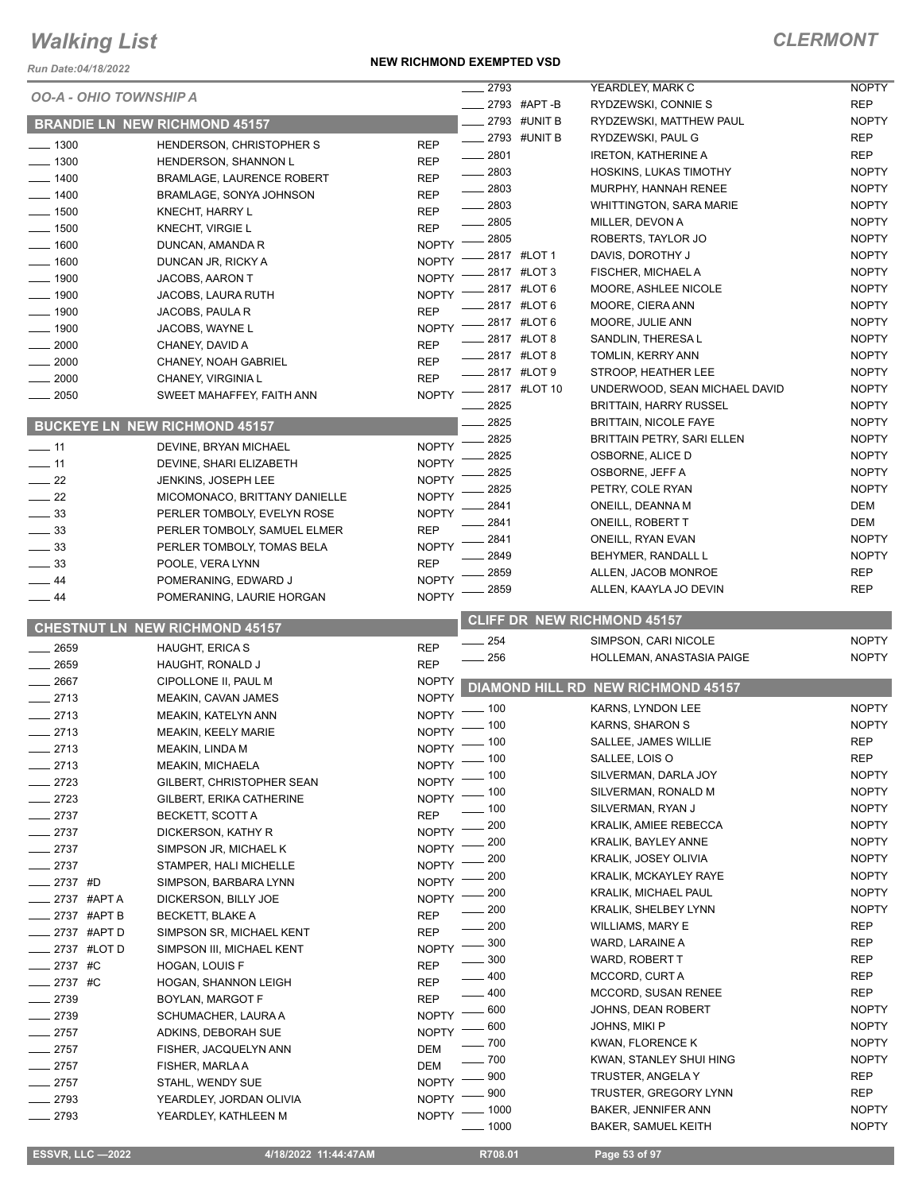*Run Date:04/18/2022*

#### **NEW RICHMOND EXEMPTED VSD**

| <i>ERMONT</i> |
|---------------|
|---------------|

|                     | <i>Run Date:04/18/2022</i>           |                            | 2793         |              |                                                                   | <b>NOPTY</b>                 |
|---------------------|--------------------------------------|----------------------------|--------------|--------------|-------------------------------------------------------------------|------------------------------|
|                     | <b>OO-A - OHIO TOWNSHIP A</b>        |                            |              | 2793 #APT-B  | YEARDLEY, MARK C<br>RYDZEWSKI, CONNIE S                           | <b>REP</b>                   |
|                     | <b>BRANDIE LN NEW RICHMOND 45157</b> |                            |              | 2793 #UNIT B | RYDZEWSKI, MATTHEW PAUL                                           | <b>NOPTY</b>                 |
| $- 1300$            | HENDERSON, CHRISTOPHER S             | <b>REP</b>                 |              | 2793 #UNIT B | RYDZEWSKI, PAUL G                                                 | <b>REP</b>                   |
| $- 1300$            | HENDERSON, SHANNON L                 | <b>REP</b>                 | 2801         |              | <b>IRETON, KATHERINE A</b>                                        | <b>REP</b>                   |
| $-1400$             | <b>BRAMLAGE, LAURENCE ROBERT</b>     | <b>REP</b>                 | 2803         |              | HOSKINS, LUKAS TIMOTHY                                            | <b>NOPTY</b>                 |
| $- 1400$            | BRAMLAGE, SONYA JOHNSON              | <b>REP</b>                 | $-2803$      |              | MURPHY, HANNAH RENEE                                              | <b>NOPTY</b>                 |
| $\frac{1}{2}$ 1500  | KNECHT, HARRY L                      | <b>REP</b>                 | 2803         |              | <b>WHITTINGTON, SARA MARIE</b>                                    | <b>NOPTY</b>                 |
| $\frac{1}{2}$ 1500  | <b>KNECHT, VIRGIE L</b>              | <b>REP</b>                 | 2805         |              | MILLER, DEVON A                                                   | <b>NOPTY</b>                 |
| $\frac{1}{2}$ 1600  | DUNCAN, AMANDA R                     | <b>NOPTY</b>               | 2805         |              | ROBERTS, TAYLOR JO                                                | <b>NOPTY</b>                 |
| $- 1600$            | DUNCAN JR, RICKY A                   | <b>NOPTY</b>               |              | 2817 #LOT 1  | DAVIS, DOROTHY J                                                  | <b>NOPTY</b>                 |
| $\frac{1}{2}$ 1900  | JACOBS, AARON T                      | <b>NOPTY</b>               |              | 2817 #LOT 3  | FISCHER, MICHAEL A                                                | <b>NOPTY</b>                 |
| $-1900$             | <b>JACOBS, LAURA RUTH</b>            | <b>NOPTY</b>               |              | 2817 #LOT 6  | MOORE, ASHLEE NICOLE                                              | <b>NOPTY</b>                 |
| $-1900$             | JACOBS, PAULA R                      | <b>REP</b>                 |              | 2817 #LOT 6  | MOORE, CIERA ANN                                                  | <b>NOPTY</b>                 |
| $-1900$             | JACOBS, WAYNE L                      | <b>NOPTY</b>               |              | 2817 #LOT 6  | MOORE, JULIE ANN                                                  | <b>NOPTY</b>                 |
| 2000                | CHANEY, DAVID A                      | <b>REP</b>                 |              | 2817 #LOT 8  | SANDLIN, THERESA L                                                | <b>NOPTY</b>                 |
| 2000                | CHANEY, NOAH GABRIEL                 | <b>REP</b>                 |              | 2817 #LOT 8  | TOMLIN, KERRY ANN                                                 | <b>NOPTY</b>                 |
| 2000                | CHANEY, VIRGINIA L                   | <b>REP</b>                 |              | 2817 #LOT 9  | STROOP, HEATHER LEE                                               | <b>NOPTY</b>                 |
| $\frac{1}{2050}$    | SWEET MAHAFFEY, FAITH ANN            | <b>NOPTY</b>               |              | 2817 #LOT 10 | UNDERWOOD, SEAN MICHAEL DAVID                                     | <b>NOPTY</b>                 |
|                     |                                      |                            | 2825         |              | <b>BRITTAIN, HARRY RUSSEL</b>                                     | <b>NOPTY</b>                 |
|                     | <b>BUCKEYE LN NEW RICHMOND 45157</b> |                            | 2825<br>2825 |              | <b>BRITTAIN, NICOLE FAYE</b><br><b>BRITTAIN PETRY, SARI ELLEN</b> | <b>NOPTY</b><br><b>NOPTY</b> |
| $-11$               | DEVINE, BRYAN MICHAEL                | <b>NOPTY</b>               | 2825         |              | OSBORNE, ALICE D                                                  | <b>NOPTY</b>                 |
| $\frac{1}{2}$ 11    | DEVINE, SHARI ELIZABETH              | <b>NOPTY</b>               | 2825         |              | OSBORNE, JEFF A                                                   | <b>NOPTY</b>                 |
| $\sim$ 22           | <b>JENKINS, JOSEPH LEE</b>           | <b>NOPTY</b>               | 2825         |              | PETRY, COLE RYAN                                                  | <b>NOPTY</b>                 |
| $\frac{1}{2}$ 22    | MICOMONACO, BRITTANY DANIELLE        | <b>NOPTY</b>               | 2841         |              | ONEILL, DEANNA M                                                  | <b>DEM</b>                   |
| $\frac{1}{2}$ 33    | PERLER TOMBOLY, EVELYN ROSE          | <b>NOPTY</b>               | 2841         |              | ONEILL, ROBERT T                                                  | <b>DEM</b>                   |
| $-33$               | PERLER TOMBOLY, SAMUEL ELMER         | <b>REP</b>                 | 2841         |              | ONEILL, RYAN EVAN                                                 | <b>NOPTY</b>                 |
| $=$ 33              | PERLER TOMBOLY, TOMAS BELA           | <b>NOPTY</b>               | 2849         |              | BEHYMER, RANDALL L                                                | <b>NOPTY</b>                 |
| 33                  | POOLE, VERA LYNN                     | <b>REP</b>                 | 2859         |              | ALLEN, JACOB MONROE                                               | <b>REP</b>                   |
| 44                  | POMERANING, EDWARD J                 | <b>NOPTY</b>               | 2859         |              | ALLEN, KAAYLA JO DEVIN                                            | <b>REP</b>                   |
| _ 44                | POMERANING, LAURIE HORGAN            | <b>NOPTY</b>               |              |              |                                                                   |                              |
|                     | CHESTNUT LN NEW RICHMOND 45157       |                            |              |              | <b>CLIFF DR NEW RICHMOND 45157</b>                                |                              |
|                     |                                      |                            |              |              |                                                                   |                              |
| 2659                | <b>HAUGHT, ERICA S</b>               | <b>REP</b>                 | 254          |              | SIMPSON, CARI NICOLE                                              | <b>NOPTY</b>                 |
| 2659                | HAUGHT, RONALD J                     | <b>REP</b>                 | 256          |              | HOLLEMAN, ANASTASIA PAIGE                                         | <b>NOPTY</b>                 |
| $-2667$             | CIPOLLONE II, PAUL M                 | <b>NOPTY</b>               |              |              |                                                                   |                              |
| $-2713$             | MEAKIN, CAVAN JAMES                  | <b>NOPTY</b>               |              |              | DIAMOND HILL RD NEW RICHMOND 45157                                |                              |
| 2713                | MEAKIN, KATELYN ANN                  | <b>NOPTY</b>               | . 100        |              | KARNS, LYNDON LEE                                                 | <b>NOPTY</b>                 |
| $-2713$             | <b>MEAKIN, KEELY MARIE</b>           | <b>NOPTY</b>               | $-100$       |              | KARNS, SHARON S                                                   | <b>NOPTY</b>                 |
| 2713                | MEAKIN, LINDA M                      | $N$ OPTY $-$               | $-100$       |              | SALLEE, JAMES WILLIE                                              | <b>REP</b>                   |
| $-2713$             | MEAKIN, MICHAELA                     |                            | NOPTY - 100  |              | SALLEE, LOIS O                                                    | <b>REP</b>                   |
| $-2723$             | GILBERT, CHRISTOPHER SEAN            | <b>NOPTY</b>               | . 100        |              | SILVERMAN, DARLA JOY                                              | <b>NOPTY</b>                 |
| $-2723$             | GILBERT, ERIKA CATHERINE             | <b>NOPTY</b>               | 100          |              | SILVERMAN, RONALD M                                               | <b>NOPTY</b>                 |
| $-2737$             | BECKETT, SCOTT A                     | <b>REP</b>                 | 100          |              | SILVERMAN, RYAN J                                                 | <b>NOPTY</b>                 |
| $-2737$             | DICKERSON, KATHY R                   | <b>NOPTY</b>               | 200          |              | <b>KRALIK, AMIEE REBECCA</b>                                      | <b>NOPTY</b>                 |
| $-2737$             | SIMPSON JR, MICHAEL K                | <b>NOPTY</b>               | 200          |              | KRALIK, BAYLEY ANNE                                               | <b>NOPTY</b>                 |
| $-2737$             | STAMPER, HALI MICHELLE               | <b>NOPTY</b>               | 200          |              | KRALIK, JOSEY OLIVIA                                              | <b>NOPTY</b>                 |
| 2737 #D             | SIMPSON, BARBARA LYNN                | <b>NOPTY</b>               | 200          |              | <b>KRALIK, MCKAYLEY RAYE</b><br>KRALIK, MICHAEL PAUL              | <b>NOPTY</b><br><b>NOPTY</b> |
| 2737 #APT A         | DICKERSON, BILLY JOE                 | <b>NOPTY</b>               | 200          |              | <b>KRALIK, SHELBEY LYNN</b>                                       | <b>NOPTY</b>                 |
| 2737 #APT B         | <b>BECKETT, BLAKE A</b>              | <b>REP</b>                 | 200<br>200   |              | WILLIAMS, MARY E                                                  | REP                          |
| _ 2737 #APT D       | SIMPSON SR, MICHAEL KENT             | <b>REP</b>                 | 300          |              | WARD, LARAINE A                                                   | REP                          |
| _ 2737 #LOT D       | SIMPSON III, MICHAEL KENT            | <b>NOPTY</b>               | 300          |              | WARD, ROBERT T                                                    | REP                          |
| 2737 #C             | HOGAN, LOUIS F                       | <b>REP</b>                 | 400          |              | MCCORD, CURT A                                                    | REP                          |
| $-2737$ #C          | HOGAN, SHANNON LEIGH                 | <b>REP</b>                 | 400          |              | <b>MCCORD, SUSAN RENEE</b>                                        | REP                          |
| $-2739$             | BOYLAN, MARGOT F                     | <b>REP</b>                 | 600          |              | JOHNS, DEAN ROBERT                                                | <b>NOPTY</b>                 |
| $-2739$             | SCHUMACHER, LAURA A                  | <b>NOPTY</b>               | 600          |              | JOHNS, MIKI P                                                     | <b>NOPTY</b>                 |
| $-2757$             | ADKINS, DEBORAH SUE                  | <b>NOPTY</b>               | 700          |              | KWAN, FLORENCE K                                                  | <b>NOPTY</b>                 |
| $-2757$             | FISHER, JACQUELYN ANN                | DEM                        | 700          |              | KWAN, STANLEY SHUI HING                                           | <b>NOPTY</b>                 |
| $= 2757$<br>$-2757$ | FISHER, MARLA A<br>STAHL, WENDY SUE  | <b>DEM</b><br><b>NOPTY</b> | 900          |              | TRUSTER, ANGELA Y                                                 | <b>REP</b>                   |
| $-2793$             | YEARDLEY, JORDAN OLIVIA              | <b>NOPTY</b>               | 900          |              | TRUSTER, GREGORY LYNN                                             | REP                          |
| $-2793$             | YEARDLEY, KATHLEEN M                 | <b>NOPTY</b>               | 1000<br>1000 |              | <b>BAKER, JENNIFER ANN</b><br><b>BAKER, SAMUEL KEITH</b>          | <b>NOPTY</b><br><b>NOPTY</b> |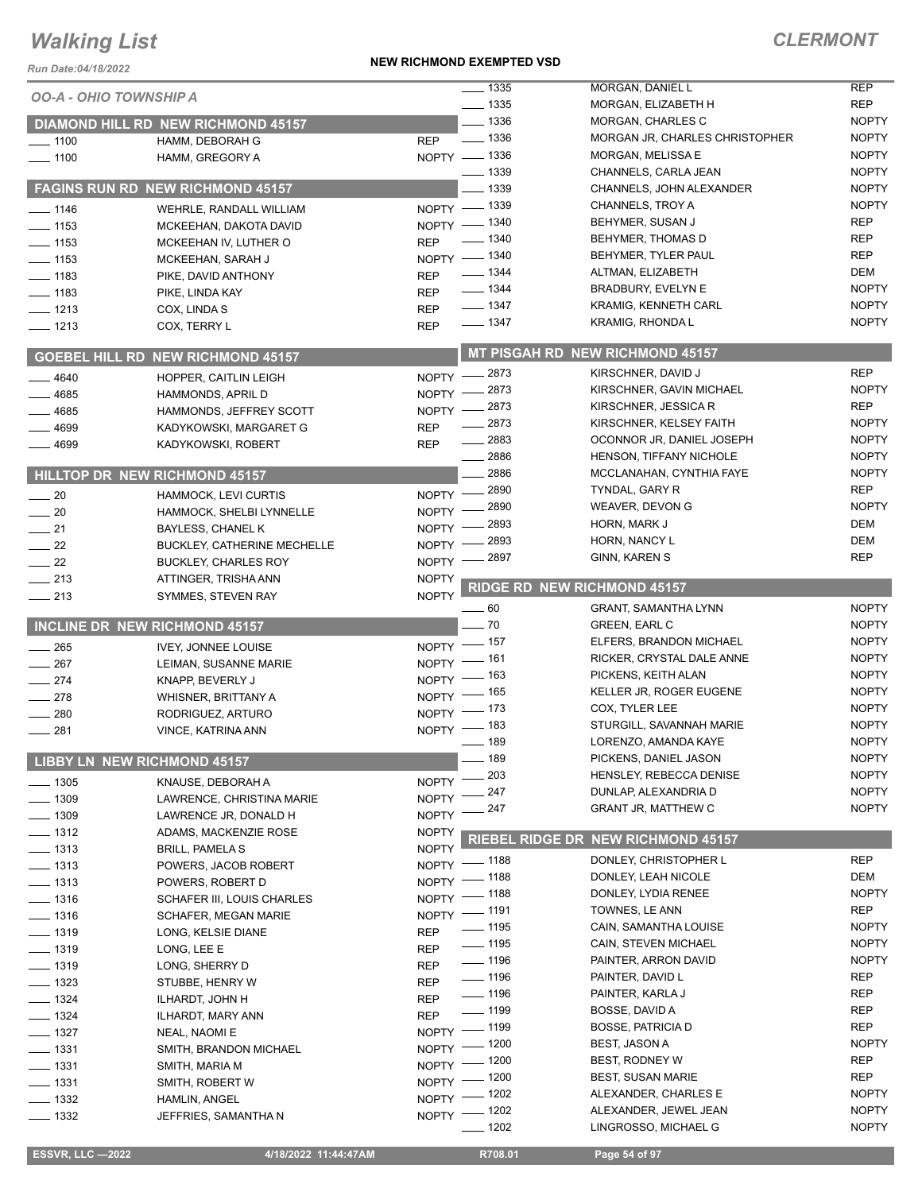#### **NEW RICHMOND EXEMPTED VSD**

| Run Date:04/18/2022           |                                                | <b>NEW RICHMOND EXEMPTED VSD</b> |                                          |                                                |                            |
|-------------------------------|------------------------------------------------|----------------------------------|------------------------------------------|------------------------------------------------|----------------------------|
| <b>OO-A - OHIO TOWNSHIP A</b> |                                                |                                  | $\frac{1}{2}$ 1335                       | MORGAN, DANIEL L                               | <b>REP</b>                 |
|                               |                                                |                                  | $- 1335$                                 | MORGAN, ELIZABETH H                            | <b>REP</b>                 |
|                               | <b>DIAMOND HILL RD NEW RICHMOND 45157</b>      |                                  | $- 1336$                                 | MORGAN, CHARLES C                              | <b>NOPTY</b>               |
| $- 1100$                      | HAMM, DEBORAH G                                | <b>REP</b>                       | $\frac{1}{2}$ 1336                       | MORGAN JR, CHARLES CHRISTOPHER                 | <b>NOPTY</b>               |
| $- 1100$                      | HAMM, GREGORY A                                |                                  | NOPTY - 1336                             | MORGAN, MELISSA E                              | <b>NOPTY</b>               |
|                               |                                                |                                  | $-1339$                                  | CHANNELS, CARLA JEAN                           | <b>NOPTY</b>               |
|                               | FAGINS RUN RD NEW RICHMOND 45157               |                                  | _ 1339                                   | CHANNELS, JOHN ALEXANDER                       | <b>NOPTY</b>               |
| $- 1146$                      | WEHRLE, RANDALL WILLIAM                        |                                  | NOPTY - 1339                             | CHANNELS, TROY A                               | <b>NOPTY</b>               |
| $-1153$                       | MCKEEHAN, DAKOTA DAVID                         |                                  | NOPTY - 1340                             | BEHYMER, SUSAN J                               | <b>REP</b>                 |
| $- 1153$                      | MCKEEHAN IV, LUTHER O                          | <b>REP</b>                       | $- 1340$                                 | BEHYMER, THOMAS D                              | <b>REP</b>                 |
| $- 1153$                      | MCKEEHAN, SARAH J                              |                                  | NOPTY - 1340                             | BEHYMER, TYLER PAUL                            | <b>REP</b>                 |
| $- 1183$                      | PIKE, DAVID ANTHONY                            | <b>REP</b>                       | $\frac{1}{2}$ 1344<br>$\frac{1}{2}$ 1344 | ALTMAN, ELIZABETH<br><b>BRADBURY, EVELYN E</b> | <b>DEM</b><br><b>NOPTY</b> |
| $- 1183$                      | PIKE, LINDA KAY                                | <b>REP</b>                       | $- 1347$                                 | <b>KRAMIG, KENNETH CARL</b>                    | <b>NOPTY</b>               |
| $- 1213$                      | COX, LINDA S                                   | <b>REP</b>                       | $- 1347$                                 | <b>KRAMIG, RHONDA L</b>                        | <b>NOPTY</b>               |
| $- 1213$                      | COX, TERRY L                                   | <b>REP</b>                       |                                          |                                                |                            |
|                               | <b>GOEBEL HILL RD NEW RICHMOND 45157</b>       |                                  |                                          | MT PISGAH RD NEW RICHMOND 45157                |                            |
| 4640                          | HOPPER, CAITLIN LEIGH                          |                                  | NOPTY -2873                              | KIRSCHNER, DAVID J                             | <b>REP</b>                 |
| 4685                          | <b>HAMMONDS, APRIL D</b>                       | $N$ OPTY $-$                     | 2873                                     | KIRSCHNER, GAVIN MICHAEL                       | <b>NOPTY</b>               |
| 4685                          | HAMMONDS, JEFFREY SCOTT                        | NOPTY -                          | 2873                                     | KIRSCHNER, JESSICA R                           | <b>REP</b>                 |
| 4699                          | KADYKOWSKI, MARGARET G                         | <b>REP</b>                       | 2873                                     | KIRSCHNER, KELSEY FAITH                        | <b>NOPTY</b>               |
| 4699                          | KADYKOWSKI, ROBERT                             | <b>REP</b>                       | $-2883$                                  | OCONNOR JR, DANIEL JOSEPH                      | <b>NOPTY</b>               |
|                               |                                                |                                  | $- 2886$                                 | HENSON, TIFFANY NICHOLE                        | <b>NOPTY</b>               |
|                               | HILLTOP DR NEW RICHMOND 45157                  |                                  | 2886                                     | MCCLANAHAN, CYNTHIA FAYE                       | <b>NOPTY</b>               |
| $\sim$ 20                     | HAMMOCK, LEVI CURTIS                           |                                  | NOPTY - 2890                             | TYNDAL, GARY R                                 | <b>REP</b>                 |
| $\sim$ 20                     | HAMMOCK, SHELBI LYNNELLE                       | NOPTY -                          | _ 2890                                   | WEAVER, DEVON G                                | <b>NOPTY</b>               |
| $\frac{1}{21}$                | BAYLESS, CHANEL K                              | NOPTY -                          | 2893                                     | HORN, MARK J                                   | <b>DEM</b>                 |
| $\frac{1}{22}$                | BUCKLEY, CATHERINE MECHELLE                    | <b>NOPTY</b>                     | 2893                                     | HORN, NANCY L                                  | <b>DEM</b><br><b>REP</b>   |
| $\sim$ 22                     | <b>BUCKLEY, CHARLES ROY</b>                    | NOPTY -                          | 2897                                     | GINN, KAREN S                                  |                            |
| $-213$                        | ATTINGER, TRISHA ANN                           | <b>NOPTY</b>                     |                                          | <b>RIDGE RD NEW RICHMOND 45157</b>             |                            |
| $\frac{1}{213}$               | SYMMES, STEVEN RAY                             | <b>NOPTY</b>                     | - 60                                     | <b>GRANT, SAMANTHA LYNN</b>                    | <b>NOPTY</b>               |
|                               | INCLINE DR NEW RICHMOND 45157                  |                                  | $-70$                                    | <b>GREEN, EARL C</b>                           | <b>NOPTY</b>               |
|                               |                                                |                                  | NOPTY - 157                              | ELFERS, BRANDON MICHAEL                        | <b>NOPTY</b>               |
| $\frac{1}{265}$               | <b>IVEY. JONNEE LOUISE</b>                     | NOPTY $-$                        | _ 161                                    | RICKER, CRYSTAL DALE ANNE                      | <b>NOPTY</b>               |
| 267<br>$-274$                 | LEIMAN, SUSANNE MARIE                          | $NOPTY =$                        | _ 163                                    | PICKENS, KEITH ALAN                            | <b>NOPTY</b>               |
| 278                           | KNAPP, BEVERLY J<br><b>WHISNER, BRITTANY A</b> |                                  | NOPTY - 165                              | KELLER JR, ROGER EUGENE                        | <b>NOPTY</b>               |
| 280                           | RODRIGUEZ, ARTURO                              |                                  | NOPTY $-$ 173                            | COX, TYLER LEE                                 | <b>NOPTY</b>               |
| 281                           | VINCE, KATRINA ANN                             |                                  | NOPTY - 183                              | STURGILL, SAVANNAH MARIE                       | <b>NOPTY</b>               |
|                               |                                                |                                  | $- 189$                                  | LORENZO, AMANDA KAYE                           | <b>NOPTY</b>               |
|                               | <b>LIBBY LN NEW RICHMOND 45157</b>             |                                  | 189                                      | PICKENS, DANIEL JASON                          | <b>NOPTY</b>               |
| $- 1305$                      | KNAUSE, DEBORAH A                              | NOPTY <sup>-</sup>               | 203                                      | HENSLEY, REBECCA DENISE                        | <b>NOPTY</b>               |
| —— 1309                       | LAWRENCE, CHRISTINA MARIE                      | <b>NOPTY</b>                     | 247                                      | DUNLAP, ALEXANDRIA D                           | <b>NOPTY</b>               |
| $-1309$                       | LAWRENCE JR, DONALD H                          | <b>NOPTY</b>                     | 247                                      | <b>GRANT JR, MATTHEW C</b>                     | <b>NOPTY</b>               |
| $- 1312$                      | ADAMS, MACKENZIE ROSE                          | <b>NOPTY</b>                     |                                          |                                                |                            |
| $\frac{1}{2}$ 1313            | <b>BRILL, PAMELA S</b>                         | <b>NOPTY</b>                     | <b>RIEBEL RIDGE DR</b>                   | <b>NEW RICHMOND 45157</b>                      |                            |
| $- 1313$                      | POWERS, JACOB ROBERT                           | <b>NOPTY</b>                     | _ 1188                                   | DONLEY, CHRISTOPHER L                          | <b>REP</b>                 |
| $- 1313$                      | POWERS, ROBERT D                               | $NOPTY =$                        | _ 1188                                   | DONLEY, LEAH NICOLE                            | DEM                        |
| $- 1316$                      | SCHAFER III, LOUIS CHARLES                     |                                  | NOPTY - 1188                             | DONLEY, LYDIA RENEE                            | <b>NOPTY</b>               |
| $- 1316$                      | SCHAFER, MEGAN MARIE                           |                                  | NOPTY - 1191                             | TOWNES, LE ANN                                 | REP                        |
| $- 1319$                      | LONG, KELSIE DIANE                             | <b>REP</b>                       | $\frac{1}{2}$ 1195                       | CAIN, SAMANTHA LOUISE                          | <b>NOPTY</b>               |
| $- 1319$                      | LONG, LEE E                                    | <b>REP</b>                       | $\frac{1}{2}$ 1195                       | CAIN, STEVEN MICHAEL                           | <b>NOPTY</b>               |
| $- 1319$                      | LONG, SHERRY D                                 | <b>REP</b>                       | $- 1196$                                 | PAINTER, ARRON DAVID                           | <b>NOPTY</b>               |
| $- 1323$                      | STUBBE, HENRY W                                | REP                              | $- 1196$                                 | PAINTER, DAVID L                               | <b>REP</b>                 |
| $\frac{1}{2}$ 1324            | ILHARDT, JOHN H                                | <b>REP</b>                       | $\frac{1}{2}$ 1196                       | PAINTER, KARLA J                               | <b>REP</b>                 |
| $- 1324$                      | ILHARDT, MARY ANN                              | <b>REP</b>                       | $\frac{1}{2}$ 1199                       | BOSSE, DAVID A                                 | <b>REP</b>                 |
| $- 1327$                      | NEAL, NAOMI E                                  |                                  | NOPTY - 1199                             | <b>BOSSE, PATRICIA D</b>                       | <b>REP</b>                 |
| $- 1331$                      | SMITH, BRANDON MICHAEL                         |                                  | NOPTY - 1200<br>_ 1200                   | BEST, JASON A<br>BEST, RODNEY W                | <b>NOPTY</b><br><b>REP</b> |
| $- 1331$                      | SMITH, MARIA M                                 | $NOPTY =$                        | _ 1200                                   | <b>BEST, SUSAN MARIE</b>                       | REP                        |
| $\frac{1}{2}$ 1331            | SMITH, ROBERT W                                | NOPTY -                          | $-1202$                                  | ALEXANDER, CHARLES E                           | <b>NOPTY</b>               |
| $\frac{1}{2}$ 1332            | HAMLIN, ANGEL                                  | NOPTY -                          | $-1202$                                  | ALEXANDER, JEWEL JEAN                          | <b>NOPTY</b>               |
| $\frac{1}{2}$ 1332            | JEFFRIES, SAMANTHA N                           | NOPTY -                          | - 1202                                   | LINGROSSO, MICHAEL G                           | <b>NOPTY</b>               |
|                               |                                                |                                  |                                          |                                                |                            |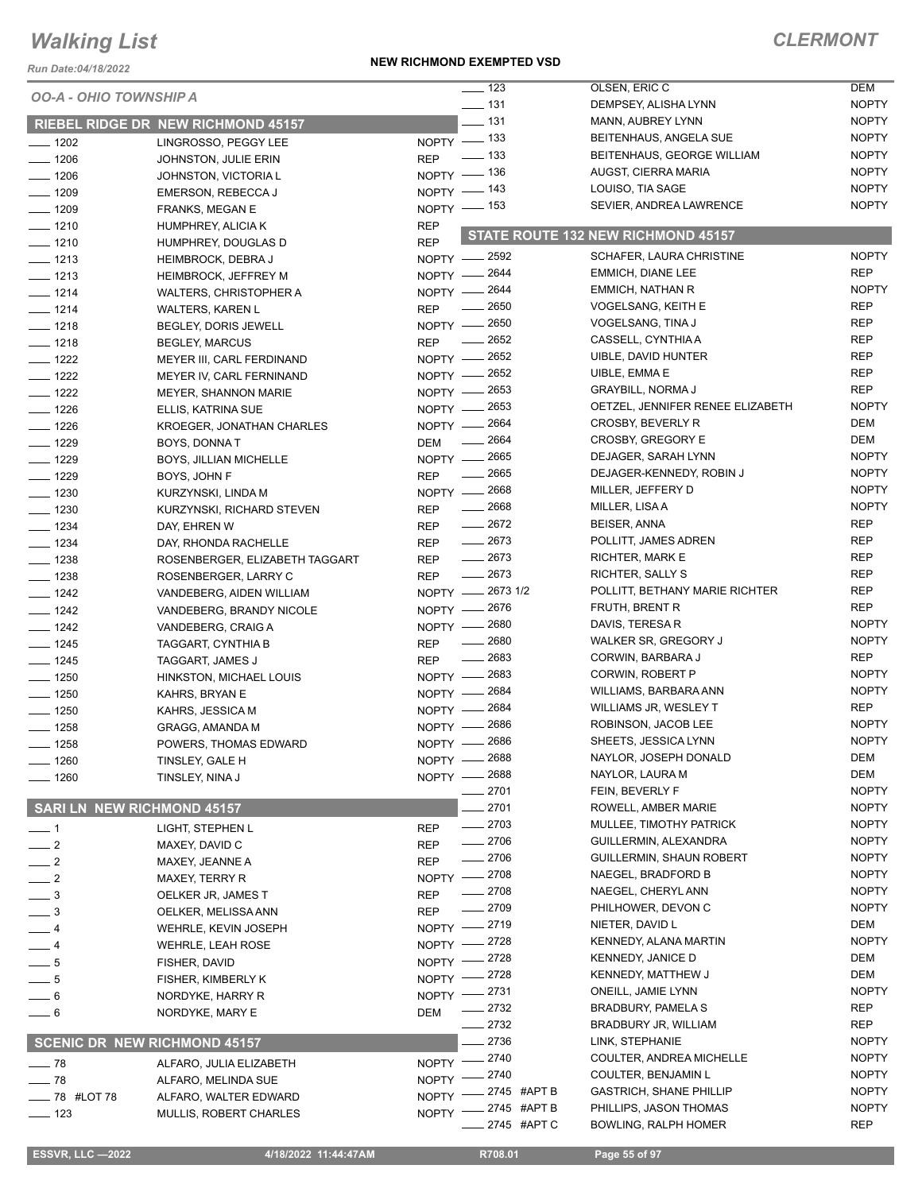*Run Date:04/18/2022*

#### **NEW RICHMOND EXEMPTED VSD**

### *CLERMONT*

|                                      |                                           |              | $\frac{1}{2}$ 123 | OLSEN, ERIC C                      | DEM          |
|--------------------------------------|-------------------------------------------|--------------|-------------------|------------------------------------|--------------|
| <i><b>OO-A - OHIO TOWNSHIP A</b></i> |                                           |              | $- 131$           | DEMPSEY, ALISHA LYNN               | <b>NOPTY</b> |
|                                      | <b>RIEBEL RIDGE DR NEW RICHMOND 45157</b> |              | $-131$            | MANN, AUBREY LYNN                  | <b>NOPTY</b> |
| $- 1202$                             | LINGROSSO, PEGGY LEE                      |              | NOPTY - 133       | BEITENHAUS, ANGELA SUE             | <b>NOPTY</b> |
| $-1206$                              | JOHNSTON, JULIE ERIN                      | <b>REP</b>   | — 133             | BEITENHAUS, GEORGE WILLIAM         | <b>NOPTY</b> |
| $- 1206$                             | JOHNSTON, VICTORIA L                      |              | NOPTY - 136       | AUGST, CIERRA MARIA                | <b>NOPTY</b> |
| $- 1209$                             | EMERSON, REBECCA J                        |              | NOPTY $-$ 143     | LOUISO, TIA SAGE                   | <b>NOPTY</b> |
| $- 1209$                             | <b>FRANKS, MEGAN E</b>                    |              | NOPTY - 153       | SEVIER, ANDREA LAWRENCE            | <b>NOPTY</b> |
| $- 1210$                             | HUMPHREY, ALICIA K                        | <b>REP</b>   |                   |                                    |              |
| $- 1210$                             | HUMPHREY, DOUGLAS D                       | <b>REP</b>   |                   | STATE ROUTE 132 NEW RICHMOND 45157 |              |
| $- 1213$                             | <b>HEIMBROCK, DEBRA J</b>                 |              | NOPTY - 2592      | SCHAFER, LAURA CHRISTINE           | <b>NOPTY</b> |
| $- 1213$                             | <b>HEIMBROCK, JEFFREY M</b>               |              | NOPTY - 2644      | EMMICH, DIANE LEE                  | <b>REP</b>   |
| $- 1214$                             | WALTERS, CHRISTOPHER A                    |              | NOPTY - 2644      | EMMICH, NATHAN R                   | <b>NOPTY</b> |
| $- 1214$                             | <b>WALTERS, KAREN L</b>                   | <b>REP</b>   | $\frac{1}{2650}$  | VOGELSANG, KEITH E                 | <b>REP</b>   |
| $- 1218$                             | BEGLEY, DORIS JEWELL                      |              | NOPTY - 2650      | VOGELSANG, TINA J                  | <b>REP</b>   |
| $- 1218$                             | <b>BEGLEY, MARCUS</b>                     | <b>REP</b>   | 2652              | CASSELL, CYNTHIA A                 | <b>REP</b>   |
| $- 1222$                             | MEYER III, CARL FERDINAND                 |              | NOPTY - 2652      | UIBLE, DAVID HUNTER                | <b>REP</b>   |
| $- 1222$                             | MEYER IV, CARL FERNINAND                  |              | NOPTY - 2652      | UIBLE, EMMA E                      | <b>REP</b>   |
| $\frac{1}{2}$ 1222                   | <b>MEYER, SHANNON MARIE</b>               |              | NOPTY - 2653      | <b>GRAYBILL, NORMA J</b>           | <b>REP</b>   |
| $- 1226$                             | ELLIS, KATRINA SUE                        |              | NOPTY - 2653      | OETZEL, JENNIFER RENEE ELIZABETH   | <b>NOPTY</b> |
| $- 1226$                             | KROEGER, JONATHAN CHARLES                 | NOPTY -      | 2664              | CROSBY, BEVERLY R                  | DEM          |
| $- 1229$                             | BOYS, DONNAT                              | DEM          | $-2664$           | CROSBY, GREGORY E                  | DEM          |
| $- 1229$                             | BOYS, JILLIAN MICHELLE                    |              | NOPTY - 2665      | DEJAGER, SARAH LYNN                | <b>NOPTY</b> |
| $- 1229$                             | BOYS, JOHN F                              | <b>REP</b>   | $-2665$           | DEJAGER-KENNEDY, ROBIN J           | <b>NOPTY</b> |
| $- 1230$                             | KURZYNSKI, LINDA M                        |              | NOPTY - 2668      | MILLER, JEFFERY D                  | <b>NOPTY</b> |
| $- 1230$                             | KURZYNSKI, RICHARD STEVEN                 | <b>REP</b>   | $- 2668$          | MILLER, LISA A                     | <b>NOPTY</b> |
| $\frac{1}{2}$ 1234                   | DAY, EHREN W                              | <b>REP</b>   | $-2672$           | BEISER, ANNA                       | <b>REP</b>   |
| $- 1234$                             | DAY, RHONDA RACHELLE                      | <b>REP</b>   | $-2673$           | POLLITT, JAMES ADREN               | <b>REP</b>   |
| $- 1238$                             | ROSENBERGER, ELIZABETH TAGGART            | <b>REP</b>   | $-2673$           | RICHTER, MARK E                    | <b>REP</b>   |
| $\frac{1}{2}$ 1238                   | ROSENBERGER, LARRY C                      | <b>REP</b>   | $-2673$           | RICHTER, SALLY S                   | <b>REP</b>   |
| $\frac{1}{2}$ 1242                   | VANDEBERG, AIDEN WILLIAM                  |              | NOPTY -2673 1/2   | POLLITT, BETHANY MARIE RICHTER     | <b>REP</b>   |
| $\frac{1242}{2}$                     | VANDEBERG, BRANDY NICOLE                  |              | NOPTY - 2676      | FRUTH, BRENT R                     | <b>REP</b>   |
| $- 1242$                             | VANDEBERG, CRAIG A                        |              | NOPTY - 2680      | DAVIS, TERESA R                    | <b>NOPTY</b> |
| $- 1245$                             | TAGGART, CYNTHIA B                        | <b>REP</b>   | $- 2680$          | WALKER SR, GREGORY J               | <b>NOPTY</b> |
| $- 1245$                             | TAGGART, JAMES J                          | <b>REP</b>   | $-2683$           | CORWIN, BARBARA J                  | <b>REP</b>   |
| $- 1250$                             | HINKSTON, MICHAEL LOUIS                   |              | NOPTY - 2683      | CORWIN, ROBERT P                   | <b>NOPTY</b> |
| $- 1250$                             | KAHRS, BRYAN E                            |              | NOPTY - 2684      | WILLIAMS, BARBARA ANN              | <b>NOPTY</b> |
| $- 1250$                             | KAHRS, JESSICA M                          |              | NOPTY - 2684      | WILLIAMS JR, WESLEY T              | <b>REP</b>   |
| $- 1258$                             | <b>GRAGG, AMANDA M</b>                    |              | NOPTY - 2686      | ROBINSON, JACOB LEE                | <b>NOPTY</b> |
| $- 1258$                             | POWERS, THOMAS EDWARD                     |              | NOPTY - 2686      | SHEETS, JESSICA LYNN               | <b>NOPTY</b> |
| $-1260$                              | TINSLEY, GALE H                           |              | NOPTY - 2688      | NAYLOR, JOSEPH DONALD              | DEM          |
| $- 1260$                             | TINSLEY, NINA J                           |              | NOPTY - 2688      | NAYLOR, LAURA M                    | DEM          |
|                                      |                                           |              | 2701              | FEIN, BEVERLY F                    | <b>NOPTY</b> |
| <b>SARI LN NEW RICHMOND 45157</b>    |                                           |              | 2701              | ROWELL, AMBER MARIE                | <b>NOPTY</b> |
| $\overline{\phantom{0}}$ 1           | LIGHT, STEPHEN L                          | <b>REP</b>   | $-2703$           | MULLEE, TIMOTHY PATRICK            | <b>NOPTY</b> |
| $\frac{1}{2}$                        | MAXEY, DAVID C                            | <b>REP</b>   | 2706              | GUILLERMIN, ALEXANDRA              | <b>NOPTY</b> |
| $\frac{1}{2}$                        | MAXEY, JEANNE A                           | <b>REP</b>   | $-2706$           | GUILLERMIN, SHAUN ROBERT           | <b>NOPTY</b> |
| $\frac{1}{2}$                        | MAXEY, TERRY R                            | <b>NOPTY</b> | $-2708$           | NAEGEL, BRADFORD B                 | <b>NOPTY</b> |
| $-3$                                 | OELKER JR, JAMES T                        | <b>REP</b>   | _ 2708            | NAEGEL, CHERYL ANN                 | <b>NOPTY</b> |
| $\frac{1}{2}$                        | OELKER, MELISSA ANN                       | <b>REP</b>   | 2709              | PHILHOWER, DEVON C                 | <b>NOPTY</b> |
| — 4                                  | WEHRLE, KEVIN JOSEPH                      | NOPTY -      | 2719              | NIETER, DAVID L                    | DEM          |
| $-4$                                 | <b>WEHRLE, LEAH ROSE</b>                  | NOPTY -      | 2728              | KENNEDY, ALANA MARTIN              | <b>NOPTY</b> |
| $-5$                                 | FISHER, DAVID                             | NOPTY -      | 2728              | KENNEDY, JANICE D                  | DEM          |
| $-5$                                 | FISHER, KIMBERLY K                        | NOPTY -      | 2728              | KENNEDY, MATTHEW J                 | DEM          |
| — 6                                  | NORDYKE, HARRY R                          | $NOPTY =$    | $-2731$           | ONEILL, JAMIE LYNN                 | <b>NOPTY</b> |
| $-6$                                 | NORDYKE, MARY E                           | DEM          | 2732              | <b>BRADBURY, PAMELA S</b>          | <b>REP</b>   |
|                                      |                                           |              | 2732              | BRADBURY JR, WILLIAM               | <b>REP</b>   |
|                                      | <b>SCENIC DR NEW RICHMOND 45157</b>       |              | 2736              | LINK, STEPHANIE                    | <b>NOPTY</b> |
| $\frac{1}{2}$ 78                     | ALFARO, JULIA ELIZABETH                   | NOPTY -      | 2740              | COULTER, ANDREA MICHELLE           | <b>NOPTY</b> |
| $-78$                                | ALFARO, MELINDA SUE                       | NOPTY -      | 2740              | COULTER, BENJAMIN L                | <b>NOPTY</b> |
| <b>____ 78 #LOT 78</b>               | ALFARO, WALTER EDWARD                     | <b>NOPTY</b> | 2745 #APT B       | <b>GASTRICH, SHANE PHILLIP</b>     | <b>NOPTY</b> |
| $\frac{1}{2}$ 123                    | <b>MULLIS, ROBERT CHARLES</b>             | <b>NOPTY</b> | 2745 #APT B       | PHILLIPS, JASON THOMAS             | <b>NOPTY</b> |
|                                      |                                           |              | 2745 #APT C       | <b>BOWLING, RALPH HOMER</b>        | <b>REP</b>   |

**ESSVR, LLC -2022 4/18/2022 11:44:47AM R708.01 Page 55 of 97**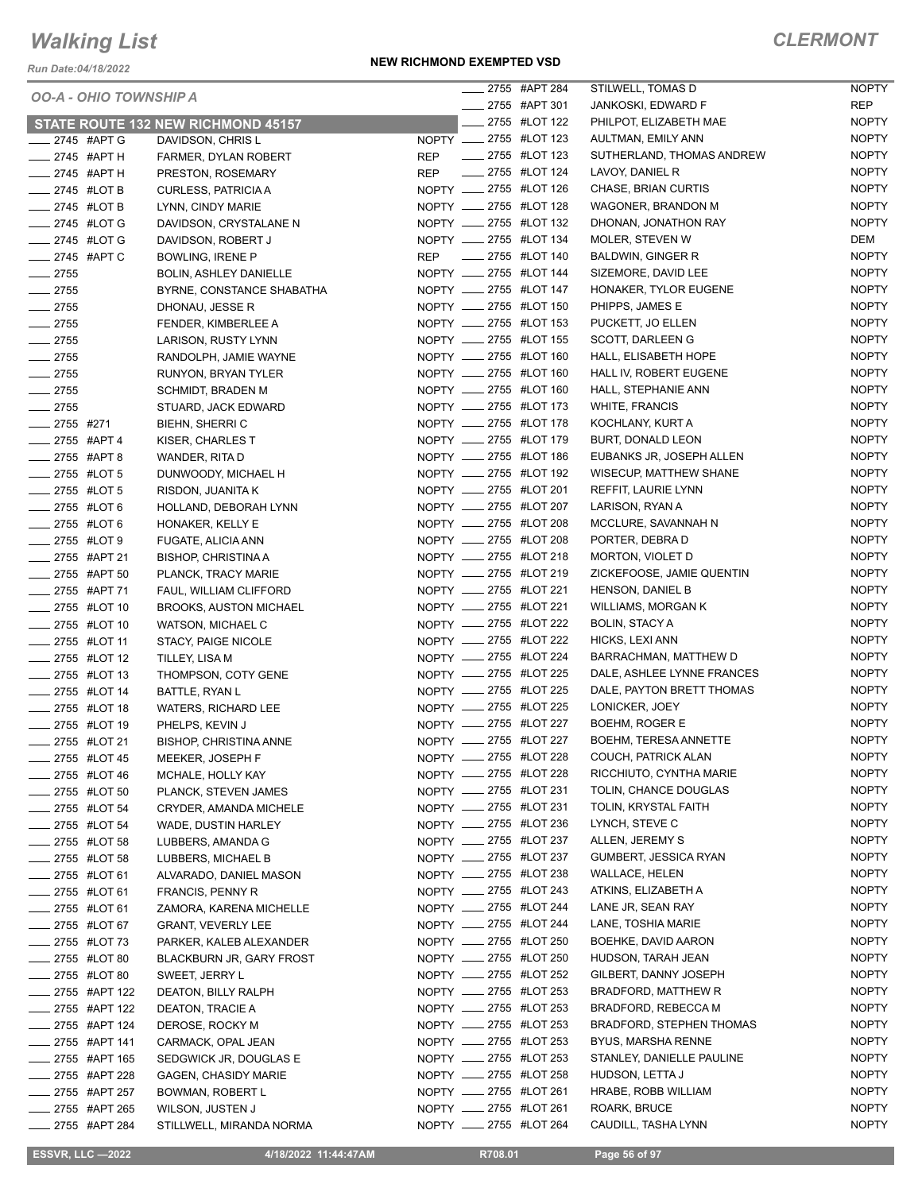*Run Date:04/18/2022*

#### **NEW RICHMOND EXEMPTED VSD**

|                               |                                    |                        | ____ 2755 #APT 284  | STILWELL, TOMAS D               | <b>NOPTY</b> |
|-------------------------------|------------------------------------|------------------------|---------------------|---------------------------------|--------------|
| <b>OO-A - OHIO TOWNSHIP A</b> |                                    |                        | ____ 2755 #APT 301  | JANKOSKI, EDWARD F              | <b>REP</b>   |
|                               | STATE ROUTE 132 NEW RICHMOND 45157 |                        | __ 2755 #LOT 122    | PHILPOT, ELIZABETH MAE          | <b>NOPTY</b> |
| 2745 #APT G                   | DAVIDSON, CHRIS L                  | NOPTY __ 2755 #LOT 123 |                     | AULTMAN, EMILY ANN              | <b>NOPTY</b> |
| $\frac{1}{2745}$ #APT H       | FARMER, DYLAN ROBERT               | REP                    | -2755 #LOT 123      | SUTHERLAND, THOMAS ANDREW       | <b>NOPTY</b> |
| $\frac{1}{2745}$ #APT H       | PRESTON, ROSEMARY                  | <b>REP</b>             | -2755 #LOT 124      | LAVOY, DANIEL R                 | <b>NOPTY</b> |
| $\frac{1}{2745}$ #LOT B       | CURLESS, PATRICIA A                | NOPTY __ 2755 #LOT 126 |                     | CHASE, BRIAN CURTIS             | <b>NOPTY</b> |
| $\frac{1}{2745}$ #LOT B       | LYNN, CINDY MARIE                  | NOPTY __ 2755 #LOT 128 |                     | WAGONER, BRANDON M              | <b>NOPTY</b> |
| $\_\_\_\$ 2745 #LOT G         | DAVIDSON, CRYSTALANE N             | NOPTY __ 2755 #LOT 132 |                     | DHONAN, JONATHON RAY            | <b>NOPTY</b> |
| ____ 2745 #LOT G              | DAVIDSON, ROBERT J                 | NOPTY __ 2755 #LOT 134 |                     | MOLER, STEVEN W                 | DEM          |
| ____ 2745 #APT C              | <b>BOWLING, IRENE P</b>            | <b>REP</b>             | _____ 2755 #LOT 140 | <b>BALDWIN, GINGER R</b>        | <b>NOPTY</b> |
| $-2755$                       | <b>BOLIN, ASHLEY DANIELLE</b>      | NOPTY __ 2755 #LOT 144 |                     | SIZEMORE, DAVID LEE             | <b>NOPTY</b> |
| $-2755$                       | BYRNE, CONSTANCE SHABATHA          | NOPTY __ 2755 #LOT 147 |                     | HONAKER, TYLOR EUGENE           | <b>NOPTY</b> |
| $-2755$                       | DHONAU, JESSE R                    | NOPTY __ 2755 #LOT 150 |                     | PHIPPS, JAMES E                 | <b>NOPTY</b> |
| $-2755$                       | FENDER, KIMBERLEE A                | NOPTY __ 2755 #LOT 153 |                     | PUCKETT, JO ELLEN               | <b>NOPTY</b> |
| $-2755$                       | LARISON, RUSTY LYNN                | NOPTY __ 2755 #LOT 155 |                     | SCOTT, DARLEEN G                | <b>NOPTY</b> |
| $-2755$                       | RANDOLPH, JAMIE WAYNE              | NOPTY __ 2755 #LOT 160 |                     | HALL, ELISABETH HOPE            | <b>NOPTY</b> |
| $-2755$                       | RUNYON, BRYAN TYLER                | NOPTY __ 2755 #LOT 160 |                     | HALL IV, ROBERT EUGENE          | <b>NOPTY</b> |
| $-2755$                       | <b>SCHMIDT, BRADEN M</b>           | NOPTY __ 2755 #LOT 160 |                     | HALL, STEPHANIE ANN             | <b>NOPTY</b> |
| $-2755$                       | STUARD, JACK EDWARD                | NOPTY __ 2755 #LOT 173 |                     | <b>WHITE, FRANCIS</b>           | <b>NOPTY</b> |
| $-2755$ #271                  | <b>BIEHN, SHERRIC</b>              | NOPTY __ 2755 #LOT 178 |                     | KOCHLANY, KURT A                | <b>NOPTY</b> |
| $\frac{1}{2755}$ #APT 4       | KISER, CHARLES T                   | NOPTY __ 2755 #LOT 179 |                     | <b>BURT, DONALD LEON</b>        | <b>NOPTY</b> |
| $\frac{1}{2755}$ #APT 8       | WANDER, RITA D                     | NOPTY __ 2755 #LOT 186 |                     | EUBANKS JR, JOSEPH ALLEN        | <b>NOPTY</b> |
| ____ 2755 #LOT 5              | DUNWOODY, MICHAEL H                | NOPTY __ 2755 #LOT 192 |                     | WISECUP, MATTHEW SHANE          | <b>NOPTY</b> |
| <b>______ 2755 #LOT 5</b>     | RISDON, JUANITA K                  | NOPTY __ 2755 #LOT 201 |                     | REFFIT, LAURIE LYNN             | <b>NOPTY</b> |
| -2755 #LOT 6                  | HOLLAND, DEBORAH LYNN              | NOPTY __ 2755 #LOT 207 |                     | LARISON, RYAN A                 | <b>NOPTY</b> |
| $\frac{1}{2755}$ #LOT 6       | HONAKER, KELLY E                   | NOPTY __ 2755 #LOT 208 |                     | MCCLURE, SAVANNAH N             | <b>NOPTY</b> |
| 2755 #LOT 9                   | FUGATE, ALICIA ANN                 | NOPTY __ 2755 #LOT 208 |                     | PORTER, DEBRA D                 | <b>NOPTY</b> |
| 2755 #APT 21                  | <b>BISHOP, CHRISTINA A</b>         | NOPTY __ 2755 #LOT 218 |                     | MORTON, VIOLET D                | <b>NOPTY</b> |
| ____ 2755 #APT 50             | PLANCK, TRACY MARIE                | NOPTY __ 2755 #LOT 219 |                     | ZICKEFOOSE, JAMIE QUENTIN       | <b>NOPTY</b> |
| ____ 2755 #APT 71             | FAUL, WILLIAM CLIFFORD             | NOPTY __ 2755 #LOT 221 |                     | <b>HENSON, DANIEL B</b>         | <b>NOPTY</b> |
| <b>_____ 2755 #LOT 10</b>     | <b>BROOKS, AUSTON MICHAEL</b>      | NOPTY __ 2755 #LOT 221 |                     | WILLIAMS, MORGAN K              | <b>NOPTY</b> |
| ___ 2755 #LOT 10              | WATSON, MICHAEL C                  | NOPTY __ 2755 #LOT 222 |                     | BOLIN, STACY A                  | <b>NOPTY</b> |
| 2755 #LOT 11                  | STACY, PAIGE NICOLE                | NOPTY __ 2755 #LOT 222 |                     | HICKS, LEXI ANN                 | <b>NOPTY</b> |
| -2755 #LOT 12                 | TILLEY, LISA M                     | NOPTY __ 2755 #LOT 224 |                     | BARRACHMAN, MATTHEW D           | <b>NOPTY</b> |
| <b>_____ 2755 #LOT 13</b>     | THOMPSON, COTY GENE                | NOPTY __ 2755 #LOT 225 |                     | DALE, ASHLEE LYNNE FRANCES      | <b>NOPTY</b> |
| ____ 2755 #LOT 14             | BATTLE, RYAN L                     | NOPTY __ 2755 #LOT 225 |                     | DALE, PAYTON BRETT THOMAS       | <b>NOPTY</b> |
| <b>______ 2755</b> #LOT 18    | <b>WATERS, RICHARD LEE</b>         | NOPTY __ 2755 #LOT 225 |                     | LONICKER, JOEY                  | <b>NOPTY</b> |
| __ 2755 #LOT 19               | PHELPS, KEVIN J                    | NOPTY __ 2755 #LOT 227 |                     | BOEHM, ROGER E                  | <b>NOPTY</b> |
| ____ 2755 #LOT 21             | <b>BISHOP, CHRISTINA ANNE</b>      | NOPTY __ 2755 #LOT 227 |                     | <b>BOEHM, TERESA ANNETTE</b>    | <b>NOPTY</b> |
| __ 2755 #LOT 45               | MEEKER, JOSEPH F                   | NOPTY __ 2755 #LOT 228 |                     | COUCH, PATRICK ALAN             | <b>NOPTY</b> |
| <b>______ 2755</b> #LOT 46    | MCHALE, HOLLY KAY                  | NOPTY __ 2755 #LOT 228 |                     | RICCHIUTO, CYNTHA MARIE         | <b>NOPTY</b> |
| <b>______ 2755</b> #LOT 50    | PLANCK, STEVEN JAMES               | NOPTY __ 2755 #LOT 231 |                     | TOLIN, CHANCE DOUGLAS           | <b>NOPTY</b> |
| ____ 2755 #LOT 54             | CRYDER, AMANDA MICHELE             | NOPTY __ 2755 #LOT 231 |                     | TOLIN, KRYSTAL FAITH            | <b>NOPTY</b> |
| -2755 #LOT 54                 | WADE, DUSTIN HARLEY                | NOPTY __ 2755 #LOT 236 |                     | LYNCH, STEVE C                  | <b>NOPTY</b> |
| <b>______ 2755</b> #LOT 58    | LUBBERS, AMANDA G                  | NOPTY __ 2755 #LOT 237 |                     | ALLEN, JEREMY S                 | <b>NOPTY</b> |
| <b>INCOLLET 2755 #LOT 58</b>  | LUBBERS, MICHAEL B                 | NOPTY __ 2755 #LOT 237 |                     | GUMBERT, JESSICA RYAN           | <b>NOPTY</b> |
| <b>EXECUTE:</b> 2755 #LOT 61  | ALVARADO, DANIEL MASON             | NOPTY __ 2755 #LOT 238 |                     | <b>WALLACE, HELEN</b>           | <b>NOPTY</b> |
| $2755$ #LOT 61                | <b>FRANCIS, PENNY R</b>            | NOPTY __ 2755 #LOT 243 |                     | ATKINS, ELIZABETH A             | <b>NOPTY</b> |
| <b>_____ 2755 #LOT 61</b>     | ZAMORA, KARENA MICHELLE            | NOPTY __ 2755 #LOT 244 |                     | LANE JR, SEAN RAY               | <b>NOPTY</b> |
| ____ 2755 #LOT 67             | <b>GRANT, VEVERLY LEE</b>          | NOPTY __ 2755 #LOT 244 |                     | LANE, TOSHIA MARIE              | <b>NOPTY</b> |
| <b>2755 #LOT 73</b>           | PARKER, KALEB ALEXANDER            | NOPTY __ 2755 #LOT 250 |                     | BOEHKE, DAVID AARON             | <b>NOPTY</b> |
| <b>______ 2755 #LOT 80</b>    | <b>BLACKBURN JR, GARY FROST</b>    | NOPTY __ 2755 #LOT 250 |                     | HUDSON, TARAH JEAN              | <b>NOPTY</b> |
| <b>LEGGLE 2755 #LOT 80</b>    | SWEET, JERRY L                     | NOPTY __ 2755 #LOT 252 |                     | GILBERT, DANNY JOSEPH           | <b>NOPTY</b> |
| _____ 2755 #APT 122           | DEATON, BILLY RALPH                | NOPTY __ 2755 #LOT 253 |                     | BRADFORD, MATTHEW R             | <b>NOPTY</b> |
| ____ 2755 #APT 122            | DEATON, TRACIE A                   | NOPTY __ 2755 #LOT 253 |                     | BRADFORD, REBECCA M             | <b>NOPTY</b> |
| _____ 2755 #APT 124           | DEROSE, ROCKY M                    | NOPTY __ 2755 #LOT 253 |                     | <b>BRADFORD, STEPHEN THOMAS</b> | <b>NOPTY</b> |
| _____ 2755 #APT 141           | CARMACK, OPAL JEAN                 | NOPTY __ 2755 #LOT 253 |                     | BYUS, MARSHA RENNE              | <b>NOPTY</b> |
| ____ 2755 #APT 165            | SEDGWICK JR, DOUGLAS E             | NOPTY __ 2755 #LOT 253 |                     | STANLEY, DANIELLE PAULINE       | <b>NOPTY</b> |
| _____ 2755 #APT 228           | <b>GAGEN, CHASIDY MARIE</b>        | NOPTY __ 2755 #LOT 258 |                     | HUDSON, LETTA J                 | <b>NOPTY</b> |
| _____ 2755 #APT 257           | BOWMAN, ROBERT L                   | NOPTY __ 2755 #LOT 261 |                     | HRABE, ROBB WILLIAM             | <b>NOPTY</b> |
| _____ 2755 #APT 265           | WILSON, JUSTEN J                   | NOPTY __ 2755 #LOT 261 |                     | ROARK, BRUCE                    | <b>NOPTY</b> |
| ____ 2755 #APT 284            | STILLWELL, MIRANDA NORMA           | NOPTY __ 2755 #LOT 264 |                     | CAUDILL, TASHA LYNN             | <b>NOPTY</b> |
|                               |                                    |                        |                     |                                 |              |

**ESSVR, LLC -2022 4/18/2022 11:44:47AM R708.01 Page 56 of 97**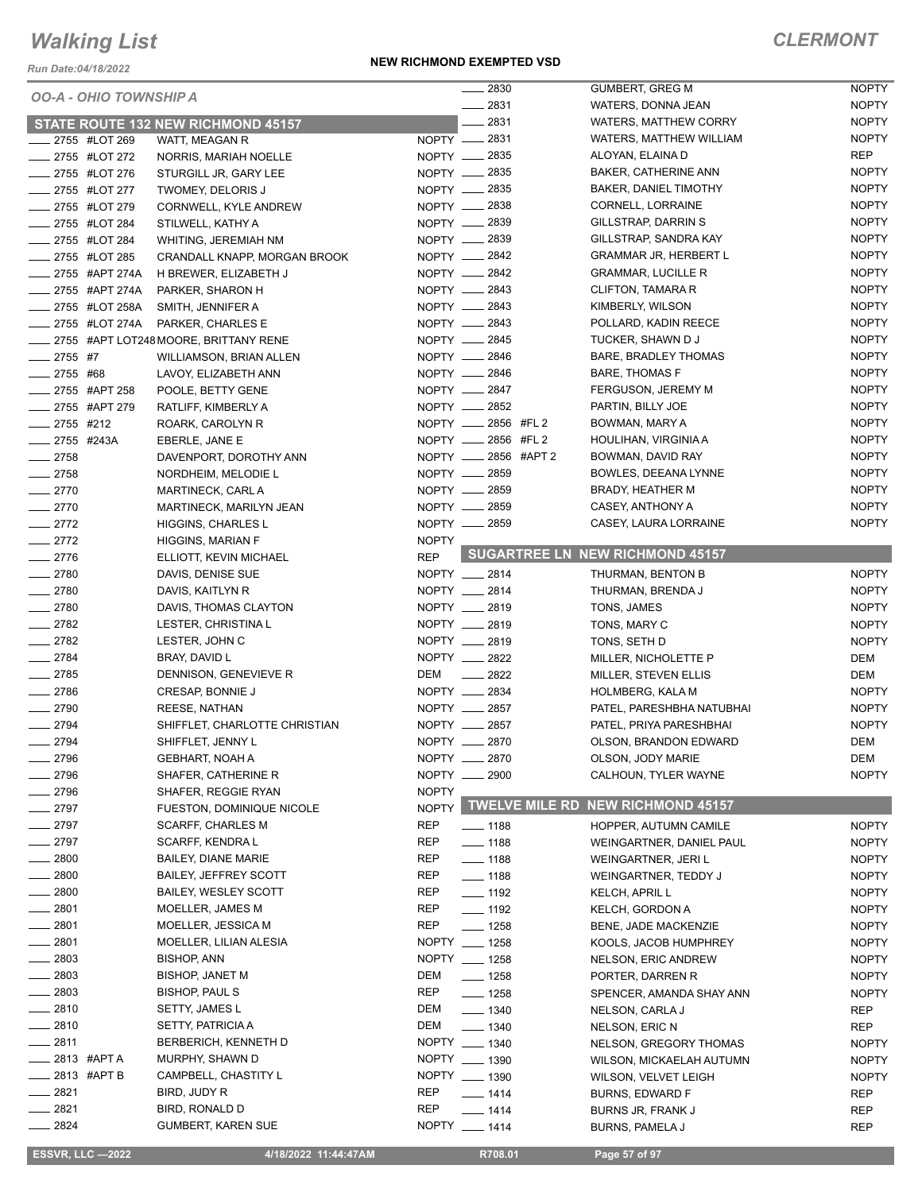*Run Date:04/18/2022*

#### **NEW RICHMOND EXEMPTED VSD**

### *CLERMONT*

|                               |                                           |              | 2830                      | GUMBERT, GREG M                         | <b>NOPTY</b> |
|-------------------------------|-------------------------------------------|--------------|---------------------------|-----------------------------------------|--------------|
| <b>OO-A - OHIO TOWNSHIP A</b> |                                           |              | 2831                      | WATERS, DONNA JEAN                      | <b>NOPTY</b> |
|                               | <b>STATE ROUTE 132 NEW RICHMOND 45157</b> |              | $-2831$                   | <b>WATERS, MATTHEW CORRY</b>            | <b>NOPTY</b> |
| 2755 #LOT 269                 | WATT, MEAGAN R                            |              | $NOPTY$ _2831             | WATERS, MATTHEW WILLIAM                 | <b>NOPTY</b> |
| 2755 #LOT 272                 | NORRIS, MARIAH NOELLE                     |              | NOPTY - 2835              | ALOYAN, ELAINA D                        | <b>REP</b>   |
| _ 2755 #LOT 276               | STURGILL JR, GARY LEE                     |              | NOPTY __ 2835             | <b>BAKER, CATHERINE ANN</b>             | <b>NOPTY</b> |
| __ 2755 #LOT 277              | TWOMEY, DELORIS J                         |              | NOPTY - 2835              | BAKER, DANIEL TIMOTHY                   | <b>NOPTY</b> |
| 2755 #LOT 279                 | CORNWELL, KYLE ANDREW                     |              | NOPTY <u>_</u> 2838       | CORNELL, LORRAINE                       | <b>NOPTY</b> |
| 2755 #LOT 284                 | STILWELL, KATHY A                         |              | NOPTY __ 2839             | GILLSTRAP, DARRIN S                     | <b>NOPTY</b> |
| _ 2755 #LOT 284               | <b>WHITING, JEREMIAH NM</b>               |              | NOPTY -2839               | GILLSTRAP, SANDRA KAY                   | <b>NOPTY</b> |
| __ 2755 #LOT 285              | CRANDALL KNAPP, MORGAN BROOK              |              | NOPTY __ 2842             | <b>GRAMMAR JR, HERBERT L</b>            | <b>NOPTY</b> |
| __ 2755 #APT 274A             | H BREWER, ELIZABETH J                     |              | NOPTY - 2842              | <b>GRAMMAR, LUCILLE R</b>               | <b>NOPTY</b> |
| -2755 #APT 274A               | PARKER, SHARON H                          |              | NOPTY __ 2843             | CLIFTON, TAMARA R                       | <b>NOPTY</b> |
| 2755 #LOT 258A                | SMITH, JENNIFER A                         |              | NOPTY __ 2843             | KIMBERLY, WILSON                        | <b>NOPTY</b> |
|                               | 2755 #LOT 274A PARKER, CHARLES E          |              | NOPTY - 2843              | POLLARD, KADIN REECE                    | <b>NOPTY</b> |
|                               | 2755 #APT LOT248 MOORE, BRITTANY RENE     |              | NOPTY __ 2845             | TUCKER, SHAWN D J                       | <b>NOPTY</b> |
| $-2755$ #7                    |                                           |              | NOPTY - 2846              | BARE, BRADLEY THOMAS                    | <b>NOPTY</b> |
| $-2755$ #68                   | WILLIAMSON, BRIAN ALLEN                   |              | NOPTY __ 2846             | <b>BARE, THOMAS F</b>                   | <b>NOPTY</b> |
|                               | LAVOY, ELIZABETH ANN                      |              | NOPTY __ 2847             |                                         | <b>NOPTY</b> |
| _ 2755 #APT 258               | POOLE, BETTY GENE                         |              |                           | FERGUSON, JEREMY M                      |              |
| ____ 2755 #APT 279            | RATLIFF, KIMBERLY A                       |              | NOPTY -2852               | PARTIN, BILLY JOE                       | <b>NOPTY</b> |
| $2755$ #212                   | ROARK, CAROLYN R                          |              | NOPTY __ 2856 #FL 2       | BOWMAN, MARY A                          | <b>NOPTY</b> |
| $-2755$ #243A                 | EBERLE, JANE E                            |              | NOPTY __ 2856 #FL 2       | HOULIHAN, VIRGINIA A                    | <b>NOPTY</b> |
| $-2758$                       | DAVENPORT, DOROTHY ANN                    |              | NOPTY __ 2856 #APT 2      | BOWMAN, DAVID RAY                       | <b>NOPTY</b> |
| $-2758$                       | NORDHEIM, MELODIE L                       |              | NOPTY __ 2859             | BOWLES, DEEANA LYNNE                    | <b>NOPTY</b> |
| $-2770$                       | MARTINECK, CARL A                         |              | NOPTY -2859               | BRADY, HEATHER M                        | <b>NOPTY</b> |
| $-2770$                       | MARTINECK, MARILYN JEAN                   |              | NOPTY __ 2859             | CASEY, ANTHONY A                        | <b>NOPTY</b> |
| $-2772$                       | HIGGINS, CHARLES L                        |              | NOPTY __ 2859             | CASEY, LAURA LORRAINE                   | <b>NOPTY</b> |
| $-2772$                       | HIGGINS, MARIAN F                         | <b>NOPTY</b> |                           |                                         |              |
| $-2776$                       | ELLIOTT, KEVIN MICHAEL                    | <b>REP</b>   |                           | <b>SUGARTREE LN NEW RICHMOND 45157</b>  |              |
| $-2780$                       | DAVIS, DENISE SUE                         |              | NOPTY __ 2814             | THURMAN, BENTON B                       | <b>NOPTY</b> |
| $-2780$                       | DAVIS, KAITLYN R                          |              | NOPTY __ 2814             | THURMAN, BRENDA J                       | <b>NOPTY</b> |
| $-2780$                       | DAVIS, THOMAS CLAYTON                     |              | NOPTY __ 2819             | TONS, JAMES                             | <b>NOPTY</b> |
| $-2782$                       | LESTER, CHRISTINA L                       |              | NOPTY __ 2819             | TONS, MARY C                            | <b>NOPTY</b> |
| $-2782$                       | LESTER, JOHN C                            |              | NOPTY __ 2819             | TONS, SETH D                            | <b>NOPTY</b> |
| $-2784$                       | BRAY, DAVID L                             |              | NOPTY __ 2822             | MILLER, NICHOLETTE P                    | DEM          |
| $-2785$                       | DENNISON, GENEVIEVE R                     | DEM          | $-2822$                   | MILLER, STEVEN ELLIS                    | DEM          |
| $-2786$                       | CRESAP, BONNIE J                          |              | NOPTY __ 2834             | <b>HOLMBERG, KALA M</b>                 | <b>NOPTY</b> |
| $-2790$                       | <b>REESE, NATHAN</b>                      |              | NOPTY __ 2857             | PATEL, PARESHBHA NATUBHAI               | <b>NOPTY</b> |
| $-2794$                       | SHIFFLET, CHARLOTTE CHRISTIAN             |              | NOPTY __ 2857             | PATEL, PRIYA PARESHBHAI                 | <b>NOPTY</b> |
| $-2794$                       | SHIFFLET, JENNY L                         |              | NOPTY __ 2870             | OLSON, BRANDON EDWARD                   | DEM          |
| 2796                          | GEBHART, NOAH A                           |              | NOPTY __ 2870             | OLSON, JODY MARIE                       | <b>DEM</b>   |
| 2796                          | SHAFER, CATHERINE R                       |              | NOPTY __ 2900             | CALHOUN, TYLER WAYNE                    | <b>NOPTY</b> |
| $-2796$                       | SHAFER, REGGIE RYAN                       | <b>NOPTY</b> |                           |                                         |              |
| $-2797$                       | FUESTON, DOMINIQUE NICOLE                 |              |                           | NOPTY TWELVE MILE RD NEW RICHMOND 45157 |              |
| $- 2797$                      | <b>SCARFF, CHARLES M</b>                  | REP          | $- 1188$                  | HOPPER, AUTUMN CAMILE                   | <b>NOPTY</b> |
| $-2797$                       | SCARFF, KENDRA L                          | <b>REP</b>   | $\frac{1}{2}$ 1188        | WEINGARTNER, DANIEL PAUL                | <b>NOPTY</b> |
| $=$ 2800                      | BAILEY, DIANE MARIE                       | REP          | $- 1188$                  | WEINGARTNER, JERI L                     | <b>NOPTY</b> |
| 2800                          | <b>BAILEY, JEFFREY SCOTT</b>              | REP          | $- 1188$                  | WEINGARTNER, TEDDY J                    | <b>NOPTY</b> |
| 2800                          | <b>BAILEY, WESLEY SCOTT</b>               | REP          | $\frac{1}{2}$ 1192        | KELCH, APRIL L                          | <b>NOPTY</b> |
| _ 2801                        | MOELLER, JAMES M                          | REP          | $\frac{1}{2}$ 1192        | KELCH, GORDON A                         | <b>NOPTY</b> |
| 2801                          | MOELLER, JESSICA M                        | <b>REP</b>   | $- 1258$                  | BENE, JADE MACKENZIE                    | <b>NOPTY</b> |
| $-2801$                       | MOELLER, LILIAN ALESIA                    |              | NOPTY __ 1258             | KOOLS, JACOB HUMPHREY                   | <b>NOPTY</b> |
| $-2803$                       | <b>BISHOP, ANN</b>                        |              | NOPTY __ 1258             | NELSON, ERIC ANDREW                     | <b>NOPTY</b> |
| 2803                          | BISHOP, JANET M                           | DEM          | $- 1258$                  | PORTER, DARREN R                        | <b>NOPTY</b> |
| $-2803$                       | <b>BISHOP, PAUL S</b>                     | REP          | $- 1258$                  | SPENCER, AMANDA SHAY ANN                | <b>NOPTY</b> |
| $-2810$                       | SETTY, JAMES L                            | DEM          | $- 1340$                  |                                         |              |
| __ 2810                       | <b>SETTY, PATRICIA A</b>                  | DEM          |                           | NELSON, CARLA J                         | REP          |
| $-2811$                       | <b>BERBERICH, KENNETH D</b>               |              | $- 1340$<br>NOPTY __ 1340 | NELSON, ERIC N                          | REP          |
| <sub>—</sub> 2813  #APT A     | MURPHY, SHAWN D                           |              | NOPTY __ 1390             | NELSON, GREGORY THOMAS                  | <b>NOPTY</b> |
|                               |                                           |              | NOPTY __ 1390             | WILSON, MICKAELAH AUTUMN                | <b>NOPTY</b> |
| <sub>—</sub> 2813 #APT B      | CAMPBELL, CHASTITY L                      |              |                           | WILSON, VELVET LEIGH                    | <b>NOPTY</b> |
| 2821                          | BIRD, JUDY R                              | REP          | $- 1414$                  | <b>BURNS, EDWARD F</b>                  | REP          |
| _ 2821                        | BIRD, RONALD D                            | REP          | $- 1414$                  | BURNS JR, FRANK J                       | REP          |
| $-2824$                       | <b>GUMBERT, KAREN SUE</b>                 |              | NOPTY __ 1414             | BURNS, PAMELA J                         | REP          |

**ESSVR, LLC -2022 4/18/2022 11:44:47AM R708.01 Page 57 of 97**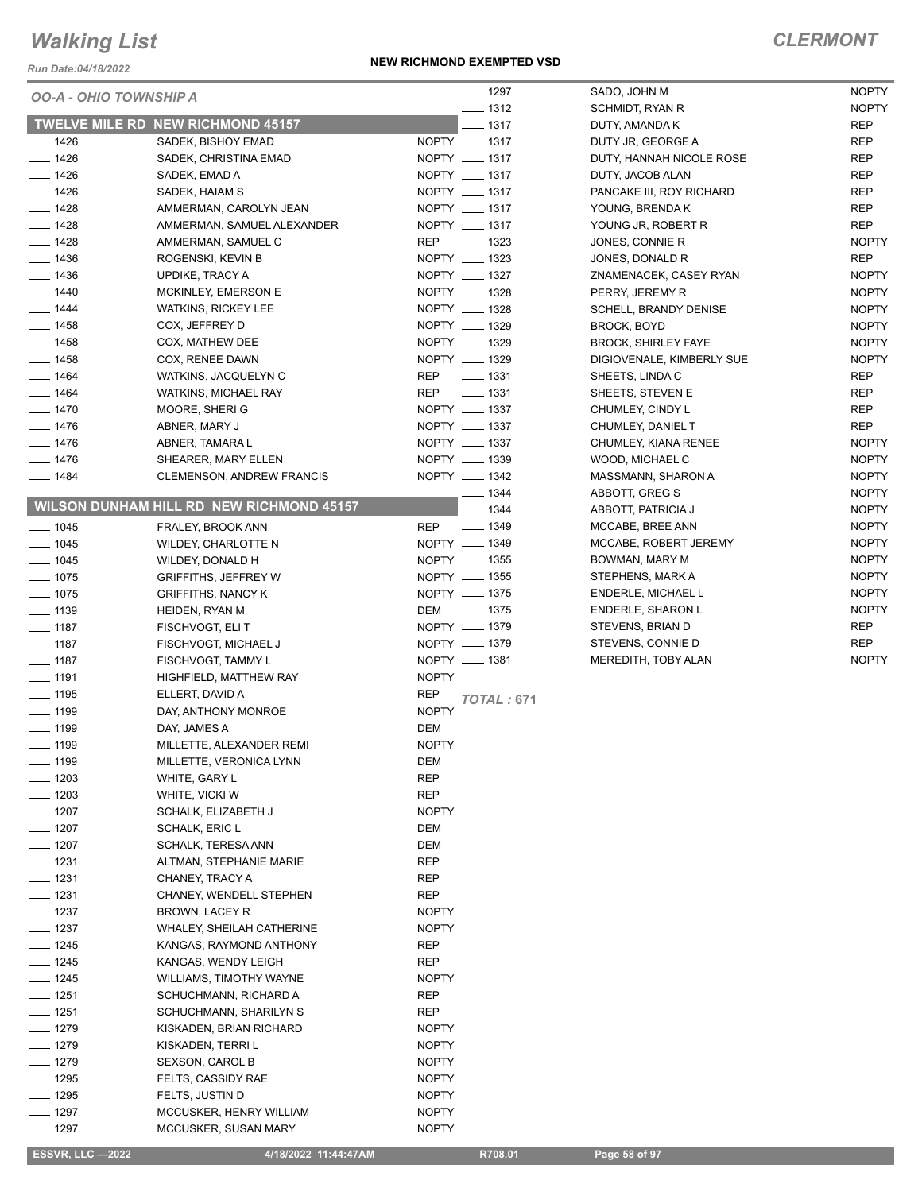*Run Date:04/18/2022*

#### **NEW RICHMOND EXEMPTED VSD**

### *CLERMONT*

| <i><b>OO-A - OHIO TOWNSHIP A</b></i> |                                                 | $- 1297$                         | SADO, JOHN M                 | <b>NOPTY</b>               |
|--------------------------------------|-------------------------------------------------|----------------------------------|------------------------------|----------------------------|
|                                      | <b>TWELVE MILE RD NEW RICHMOND 45157</b>        | $- 1312$<br>$-1317$              | SCHMIDT, RYAN R              | <b>NOPTY</b>               |
|                                      |                                                 |                                  | DUTY, AMANDA K               | <b>REP</b>                 |
| $- 1426$                             | SADEK, BISHOY EMAD                              | NOPTY __ 1317<br>NOPTY __ 1317   | DUTY JR, GEORGE A            | <b>REP</b>                 |
| $- 1426$                             | SADEK, CHRISTINA EMAD                           | NOPTY __ 1317                    | DUTY, HANNAH NICOLE ROSE     | <b>REP</b>                 |
| $- 1426$                             | SADEK, EMAD A                                   |                                  | DUTY, JACOB ALAN             | <b>REP</b>                 |
| $- 1426$                             | SADEK, HAIAM S                                  | NOPTY __ 1317                    | PANCAKE III, ROY RICHARD     | <b>REP</b>                 |
| $- 1428$                             | AMMERMAN, CAROLYN JEAN                          | NOPTY __ 1317                    | YOUNG, BRENDA K              | <b>REP</b>                 |
| $- 1428$                             | AMMERMAN, SAMUEL ALEXANDER                      | NOPTY __ 1317                    | YOUNG JR, ROBERT R           | <b>REP</b><br><b>NOPTY</b> |
| $- 1428$                             | AMMERMAN, SAMUEL C                              | <b>REP</b><br>$\frac{1}{2}$ 1323 | JONES, CONNIE R              |                            |
| $- 1436$                             | ROGENSKI, KEVIN B                               | NOPTY __ 1323<br>NOPTY __ 1327   | JONES, DONALD R              | <b>REP</b>                 |
| $- 1436$                             | UPDIKE, TRACY A                                 |                                  | ZNAMENACEK, CASEY RYAN       | <b>NOPTY</b>               |
| $- 1440$                             | <b>MCKINLEY, EMERSON E</b>                      | NOPTY __ 1328                    | PERRY, JEREMY R              | <b>NOPTY</b>               |
| $\frac{1}{2}$ 1444                   | <b>WATKINS, RICKEY LEE</b>                      | NOPTY __ 1328                    | <b>SCHELL, BRANDY DENISE</b> | <b>NOPTY</b>               |
| $- 1458$                             | COX, JEFFREY D                                  | NOPTY __ 1329                    | BROCK, BOYD                  | <b>NOPTY</b>               |
| $- 1458$                             | COX, MATHEW DEE                                 | NOPTY __ 1329                    | <b>BROCK, SHIRLEY FAYE</b>   | <b>NOPTY</b>               |
| $- 1458$                             | COX, RENEE DAWN                                 | NOPTY __ 1329                    | DIGIOVENALE, KIMBERLY SUE    | <b>NOPTY</b>               |
| $- 1464$                             | WATKINS, JACQUELYN C                            | $\frac{1}{2}$ 1331<br>REP        | SHEETS, LINDA C              | <b>REP</b>                 |
| $- 1464$                             | <b>WATKINS, MICHAEL RAY</b>                     | $\frac{1}{2}$ 1331<br>REP        | SHEETS, STEVEN E             | REP                        |
| $- 1470$                             | MOORE, SHERI G                                  | NOPTY __ 1337                    | CHUMLEY, CINDY L             | <b>REP</b>                 |
| $- 1476$                             | ABNER, MARY J                                   | NOPTY __ 1337                    | CHUMLEY, DANIEL T            | <b>REP</b>                 |
| $- 1476$                             | ABNER, TAMARA L                                 | NOPTY __ 1337                    | CHUMLEY, KIANA RENEE         | <b>NOPTY</b>               |
| $- 1476$                             | SHEARER, MARY ELLEN                             | NOPTY __ 1339                    | WOOD, MICHAEL C              | <b>NOPTY</b>               |
| $- 1484$                             | <b>CLEMENSON, ANDREW FRANCIS</b>                | NOPTY __ 1342                    | MASSMANN, SHARON A           | <b>NOPTY</b>               |
|                                      |                                                 | $- 1344$                         | ABBOTT, GREG S               | <b>NOPTY</b>               |
|                                      | <b>WILSON DUNHAM HILL RD NEW RICHMOND 45157</b> | $-1344$                          | ABBOTT, PATRICIA J           | <b>NOPTY</b>               |
| $- 1045$                             | FRALEY, BROOK ANN                               | $\frac{1}{2}$ 1349<br><b>REP</b> | MCCABE, BREE ANN             | <b>NOPTY</b>               |
| $- 1045$                             | <b>WILDEY, CHARLOTTE N</b>                      | NOPTY __ 1349                    | MCCABE, ROBERT JEREMY        | <b>NOPTY</b>               |
| $- 1045$                             | WILDEY, DONALD H                                | NOPTY __ 1355                    | BOWMAN, MARY M               | <b>NOPTY</b>               |
| $- 1075$                             | <b>GRIFFITHS, JEFFREY W</b>                     | NOPTY __ 1355                    | STEPHENS, MARK A             | <b>NOPTY</b>               |
| $- 1075$                             | <b>GRIFFITHS, NANCY K</b>                       | NOPTY - 1375                     | <b>ENDERLE, MICHAEL L</b>    | <b>NOPTY</b>               |
| $- 1139$                             | HEIDEN, RYAN M                                  | DEM - 1375                       | <b>ENDERLE, SHARON L</b>     | <b>NOPTY</b>               |
| $- 1187$                             | FISCHVOGT, ELI T                                | NOPTY __ 1379                    | STEVENS, BRIAN D             | <b>REP</b>                 |
| $\frac{1}{2}$ 1187                   | FISCHVOGT, MICHAEL J                            | NOPTY - 1379                     | STEVENS, CONNIE D            | <b>REP</b>                 |
| $\frac{1}{2}$ 1187                   | FISCHVOGT, TAMMY L                              | NOPTY __ 1381                    | MEREDITH, TOBY ALAN          | <b>NOPTY</b>               |
| $- 1191$                             | HIGHFIELD, MATTHEW RAY                          | <b>NOPTY</b>                     |                              |                            |
| $\frac{1}{2}$ 1195                   | ELLERT, DAVID A                                 | <b>REP</b><br><b>TOTAL: 671</b>  |                              |                            |
| $- 1199$                             | DAY, ANTHONY MONROE                             | <b>NOPTY</b>                     |                              |                            |
| $\frac{1}{2}$ 1199                   | DAY, JAMES A                                    | <b>DEM</b>                       |                              |                            |
| $\frac{1}{2}$ 1199                   | MILLETTE, ALEXANDER REMI                        | <b>NOPTY</b>                     |                              |                            |
| $\frac{1}{2}$ 1199                   | MILLETTE, VERONICA LYNN                         | DEM                              |                              |                            |
| $- 1203$                             | WHITE, GARY L                                   | <b>REP</b>                       |                              |                            |
| $- 1203$                             | WHITE, VICKI W                                  | REP                              |                              |                            |
| $- 1207$                             | SCHALK, ELIZABETH J                             | <b>NOPTY</b>                     |                              |                            |
| $- 1207$                             | SCHALK, ERIC L                                  | DEM                              |                              |                            |
| $- 1207$                             | <b>SCHALK, TERESA ANN</b>                       | DEM                              |                              |                            |
| $- 1231$                             | ALTMAN, STEPHANIE MARIE                         | <b>REP</b>                       |                              |                            |
| $\frac{1}{2}$ 1231                   | CHANEY, TRACY A                                 | REP                              |                              |                            |
| $\frac{1}{2}$ 1231                   | CHANEY, WENDELL STEPHEN                         | REP                              |                              |                            |
| $\frac{1}{2}$ 1237                   | BROWN, LACEY R                                  | <b>NOPTY</b>                     |                              |                            |
| $- 1237$                             | WHALEY, SHEILAH CATHERINE                       | <b>NOPTY</b>                     |                              |                            |
| $- 1245$                             | KANGAS, RAYMOND ANTHONY                         | REP                              |                              |                            |
| $- 1245$                             | KANGAS, WENDY LEIGH                             | REP                              |                              |                            |
| $- 1245$                             | <b>WILLIAMS, TIMOTHY WAYNE</b>                  | <b>NOPTY</b>                     |                              |                            |
| $- 1251$                             | SCHUCHMANN, RICHARD A                           | REP                              |                              |                            |
| $- 1251$                             | SCHUCHMANN, SHARILYN S                          | REP                              |                              |                            |
| $- 1279$                             | KISKADEN, BRIAN RICHARD                         | <b>NOPTY</b>                     |                              |                            |
| $- 1279$                             | KISKADEN, TERRI L                               | <b>NOPTY</b>                     |                              |                            |
| $- 1279$                             | SEXSON, CAROL B                                 | <b>NOPTY</b>                     |                              |                            |
| $- 1295$                             | FELTS, CASSIDY RAE                              | <b>NOPTY</b>                     |                              |                            |
| $- 1295$                             | FELTS, JUSTIN D                                 | <b>NOPTY</b>                     |                              |                            |
| $- 1297$                             | MCCUSKER, HENRY WILLIAM                         | <b>NOPTY</b>                     |                              |                            |
| _ 1297                               | MCCUSKER, SUSAN MARY                            | <b>NOPTY</b>                     |                              |                            |
|                                      |                                                 |                                  |                              |                            |

**ESSVR, LLC -2022 4/18/2022 11:44:47AM R708.01 Page 58 of 97**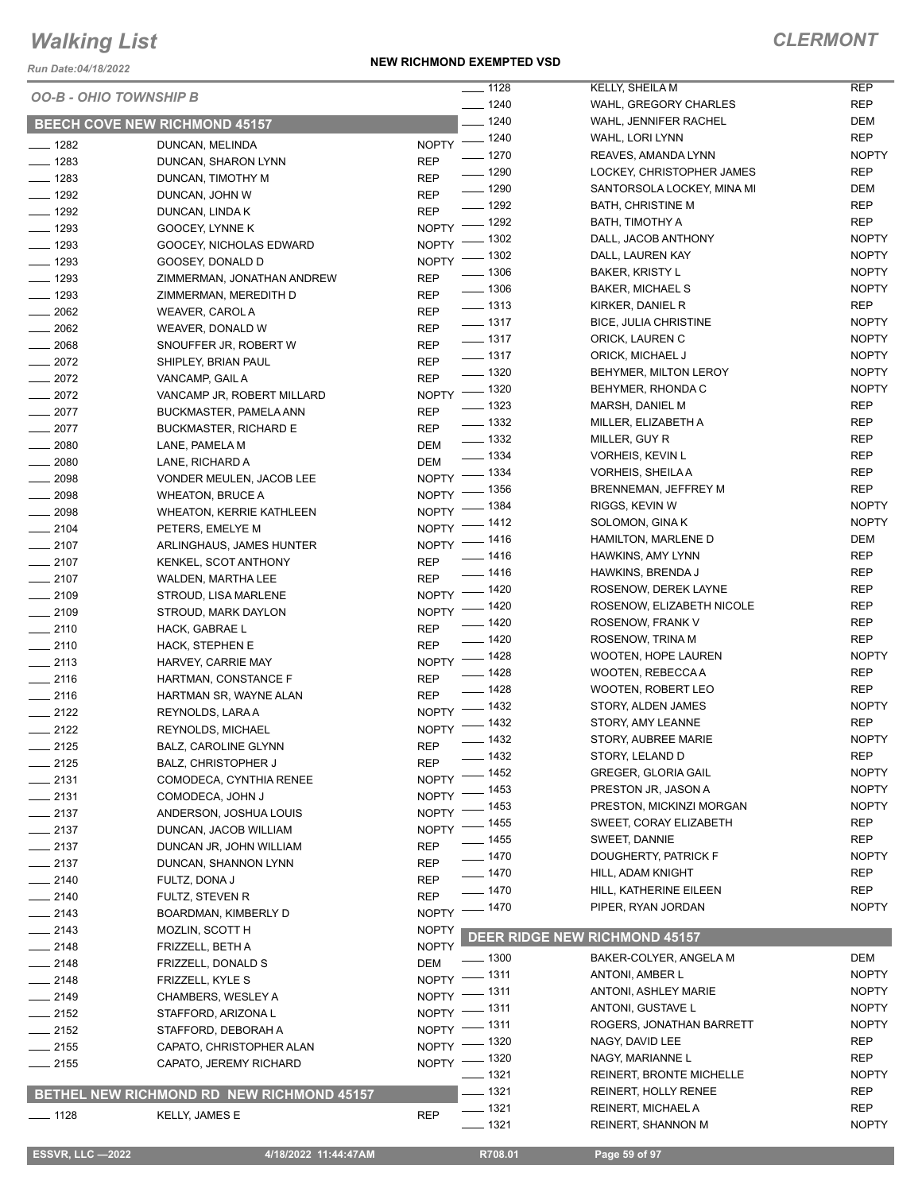*Run Date:04/18/2022*

#### **NEW RICHMOND EXEMPTED VSD**

| <i><b>OO-B - OHIO TOWNSHIP B</b></i> |                                           |                              | $- 1128$             | KELLY, SHEILA M                          | <b>REP</b>        |
|--------------------------------------|-------------------------------------------|------------------------------|----------------------|------------------------------------------|-------------------|
|                                      |                                           |                              | $- 1240$<br>$- 1240$ | WAHL, GREGORY CHARLES                    | <b>REP</b><br>DEM |
| <b>BEECH COVE NEW RICHMOND 45157</b> |                                           |                              |                      | WAHL, JENNIFER RACHEL<br>WAHL, LORI LYNN | <b>REP</b>        |
| $- 1282$                             | DUNCAN, MELINDA                           | NOPTY - 1240                 | $\frac{1}{2}$ 1270   | REAVES, AMANDA LYNN                      | <b>NOPTY</b>      |
| $- 1283$                             | DUNCAN, SHARON LYNN                       | <b>REP</b>                   | $\frac{1}{2}$ 1290   | LOCKEY, CHRISTOPHER JAMES                | <b>REP</b>        |
| $- 1283$                             | DUNCAN, TIMOTHY M                         | <b>REP</b>                   | $- 1290$             | SANTORSOLA LOCKEY, MINA MI               | DEM               |
| $- 1292$                             | DUNCAN, JOHN W                            | <b>REP</b>                   | $- 1292$             | <b>BATH, CHRISTINE M</b>                 | <b>REP</b>        |
| $- 1292$                             | DUNCAN, LINDA K                           | <b>REP</b><br>NOPTY - 1292   |                      | BATH, TIMOTHY A                          | <b>REP</b>        |
| $- 1293$                             | GOOCEY, LYNNE K                           |                              | $-1302$              | DALL, JACOB ANTHONY                      | <b>NOPTY</b>      |
| $- 1293$                             | GOOCEY, NICHOLAS EDWARD                   | $N$ OPTY $-$<br>NOPTY - 1302 |                      | DALL, LAUREN KAY                         | <b>NOPTY</b>      |
| $- 1293$                             | GOOSEY, DONALD D                          |                              | $\frac{1}{2}$ 1306   | <b>BAKER, KRISTY L</b>                   | <b>NOPTY</b>      |
| $- 1293$                             | ZIMMERMAN, JONATHAN ANDREW                | <b>REP</b>                   | $- 1306$             | <b>BAKER, MICHAEL S</b>                  | <b>NOPTY</b>      |
| $- 1293$                             | ZIMMERMAN, MEREDITH D                     | <b>REP</b>                   | $- 1313$             | KIRKER, DANIEL R                         | <b>REP</b>        |
| $\frac{1}{2062}$                     | WEAVER, CAROL A                           | <b>REP</b>                   | $- 1317$             | <b>BICE, JULIA CHRISTINE</b>             | <b>NOPTY</b>      |
| $-2062$                              | WEAVER, DONALD W                          | <b>REP</b>                   | $\frac{1}{2}$ 1317   | ORICK, LAUREN C                          | <b>NOPTY</b>      |
| $- 2068$                             | SNOUFFER JR, ROBERT W                     | <b>REP</b>                   | $\frac{1}{2}$ 1317   | ORICK, MICHAEL J                         | <b>NOPTY</b>      |
| $-2072$                              | SHIPLEY, BRIAN PAUL                       | <b>REP</b>                   | $- 1320$             | BEHYMER, MILTON LEROY                    | <b>NOPTY</b>      |
| $-2072$                              | VANCAMP, GAIL A                           | <b>REP</b><br>NOPTY - 1320   |                      | BEHYMER, RHONDA C                        | <b>NOPTY</b>      |
| $-2072$                              | VANCAMP JR, ROBERT MILLARD                |                              | $\frac{1}{2}$ 1323   | MARSH, DANIEL M                          | <b>REP</b>        |
| $-2077$                              | BUCKMASTER, PAMELA ANN                    | <b>REP</b>                   | $\frac{1}{2}$ 1332   | MILLER, ELIZABETH A                      | <b>REP</b>        |
| $-2077$                              | <b>BUCKMASTER, RICHARD E</b>              | <b>REP</b>                   | $\frac{1}{2}$ 1332   | MILLER, GUY R                            | REP               |
| $- 2080$                             | LANE, PAMELA M                            | DEM                          | $\frac{1}{334}$      | VORHEIS, KEVIN L                         | REP               |
| $- 2080$                             | LANE, RICHARD A                           | <b>DEM</b><br>NOPTY - 1334   |                      | <b>VORHEIS, SHEILA A</b>                 | <b>REP</b>        |
| $\frac{1}{2098}$                     | VONDER MEULEN, JACOB LEE                  | $NOPTY =$                    | $=$ 1356             | BRENNEMAN, JEFFREY M                     | <b>REP</b>        |
| $\frac{1}{2098}$                     | <b>WHEATON, BRUCE A</b>                   | NOPTY $-$                    | _ 1384               | RIGGS, KEVIN W                           | <b>NOPTY</b>      |
| $- 2098$                             | <b>WHEATON, KERRIE KATHLEEN</b>           | $N$ OPTY -                   | $-1412$              | SOLOMON, GINA K                          | <b>NOPTY</b>      |
| $-2104$                              | PETERS, EMELYE M                          | NOPTY - 1416                 |                      | HAMILTON, MARLENE D                      | DEM               |
| $-2107$                              | ARLINGHAUS, JAMES HUNTER                  |                              | $- 1416$             | <b>HAWKINS, AMY LYNN</b>                 | <b>REP</b>        |
| $-2107$                              | KENKEL, SCOT ANTHONY                      | <b>REP</b>                   | $- 1416$             | HAWKINS, BRENDA J                        | REP               |
| $-2107$                              | WALDEN, MARTHA LEE                        | <b>REP</b><br>NOPTY - 1420   |                      | ROSENOW, DEREK LAYNE                     | REP               |
| $-2109$                              | STROUD, LISA MARLENE                      | NOPTY - 1420                 |                      | ROSENOW, ELIZABETH NICOLE                | REP               |
| $-2109$                              | STROUD, MARK DAYLON                       |                              | $- 1420$             | ROSENOW, FRANK V                         | REP               |
| $-2110$                              | HACK, GABRAE L                            | <b>REP</b>                   | $- 1420$             | ROSENOW, TRINA M                         | <b>REP</b>        |
| $-2110$                              | <b>HACK, STEPHEN E</b>                    | <b>REP</b><br>NOPTY - 1428   |                      | <b>WOOTEN, HOPE LAUREN</b>               | <b>NOPTY</b>      |
| $-2113$                              | HARVEY, CARRIE MAY                        |                              | $- 1428$             | WOOTEN, REBECCA A                        | REP               |
| $-2116$                              | HARTMAN, CONSTANCE F                      | <b>REP</b>                   | $- 1428$             | WOOTEN, ROBERT LEO                       | <b>REP</b>        |
| $-2116$                              | HARTMAN SR, WAYNE ALAN                    | <b>REP</b><br>NOPTY - 1432   |                      | STORY, ALDEN JAMES                       | <b>NOPTY</b>      |
| $-2122$                              | REYNOLDS, LARA A                          | NOPTY - 1432                 |                      | STORY, AMY LEANNE                        | <b>REP</b>        |
| $-2122$                              | <b>REYNOLDS, MICHAEL</b>                  |                              | $-1432$              | STORY, AUBREE MARIE                      | <b>NOPTY</b>      |
| $-2125$                              | BALZ, CAROLINE GLYNN                      | <b>REP</b>                   | 1432                 | STORY, LELAND D                          | <b>REP</b>        |
| $-2125$                              | <b>BALZ, CHRISTOPHER J</b>                | REP<br>NOPTY - 1452          |                      | <b>GREGER, GLORIA GAIL</b>               | <b>NOPTY</b>      |
| $\frac{1}{2131}$                     | COMODECA, CYNTHIA RENEE                   | NOPTY - 1453                 |                      | PRESTON JR, JASON A                      | <b>NOPTY</b>      |
| $-2131$                              | COMODECA, JOHN J                          | NOPTY - 1453                 |                      | PRESTON, MICKINZI MORGAN                 | <b>NOPTY</b>      |
| $-2137$                              | ANDERSON, JOSHUA LOUIS                    | NOPTY - 1455                 |                      | SWEET, CORAY ELIZABETH                   | <b>REP</b>        |
| $-2137$                              | DUNCAN, JACOB WILLIAM                     |                              | $\frac{1}{2}$ 1455   | SWEET, DANNIE                            | REP               |
| $-2137$                              | DUNCAN JR, JOHN WILLIAM                   | <b>REP</b>                   | $- 1470$             | DOUGHERTY, PATRICK F                     | <b>NOPTY</b>      |
| $-2137$                              | DUNCAN, SHANNON LYNN                      | <b>REP</b>                   | $- 1470$             | HILL, ADAM KNIGHT                        | REP               |
| $-2140$                              | FULTZ, DONA J                             | <b>REP</b>                   | $- 1470$             | HILL, KATHERINE EILEEN                   | <b>REP</b>        |
| $-2140$                              | FULTZ, STEVEN R                           | <b>REP</b><br>NOPTY - 1470   |                      | PIPER, RYAN JORDAN                       | <b>NOPTY</b>      |
| $-2143$                              | BOARDMAN, KIMBERLY D                      |                              |                      |                                          |                   |
| $-2143$                              | MOZLIN, SCOTT H                           | <b>NOPTY</b><br><b>NOPTY</b> |                      | <b>DEER RIDGE NEW RICHMOND 45157</b>     |                   |
| $-2148$                              | FRIZZELL, BETH A                          |                              | $\frac{1}{2}$ 1300   | BAKER-COLYER, ANGELA M                   | DEM               |
| $-2148$                              | FRIZZELL, DONALD S                        | <b>DEM</b><br>NOPTY - 1311   |                      | ANTONI, AMBER L                          | <b>NOPTY</b>      |
| $-2148$                              | FRIZZELL, KYLE S                          | NOPTY - 1311                 |                      | ANTONI, ASHLEY MARIE                     | <b>NOPTY</b>      |
| $-2149$                              | CHAMBERS, WESLEY A                        | NOPTY - 1311                 |                      | ANTONI, GUSTAVE L                        | <b>NOPTY</b>      |
| $-2152$                              | STAFFORD, ARIZONA L                       | NOPTY - 1311                 |                      | ROGERS, JONATHAN BARRETT                 | <b>NOPTY</b>      |
| $-2152$                              | STAFFORD, DEBORAH A                       | NOPTY - 1320                 |                      | NAGY, DAVID LEE                          | REP               |
| $-2155$                              | CAPATO, CHRISTOPHER ALAN                  | NOPTY - 1320                 |                      | NAGY, MARIANNE L                         | REP               |
| $-2155$                              | CAPATO, JEREMY RICHARD                    |                              | $- 1321$             | <b>REINERT, BRONTE MICHELLE</b>          | <b>NOPTY</b>      |
|                                      | BETHEL NEW RICHMOND RD NEW RICHMOND 45157 |                              | $-1321$              | REINERT, HOLLY RENEE                     | REP               |
|                                      |                                           |                              | $- 1321$             | REINERT, MICHAEL A                       | <b>REP</b>        |
| $- 1128$                             | KELLY, JAMES E                            | <b>REP</b>                   | $- 1321$             | REINERT, SHANNON M                       | <b>NOPTY</b>      |
|                                      |                                           |                              |                      |                                          |                   |
| <b>ESSVR, LLC -2022</b>              | 4/18/2022 11:44:47AM                      |                              | R708.01              | Page 59 of 97                            |                   |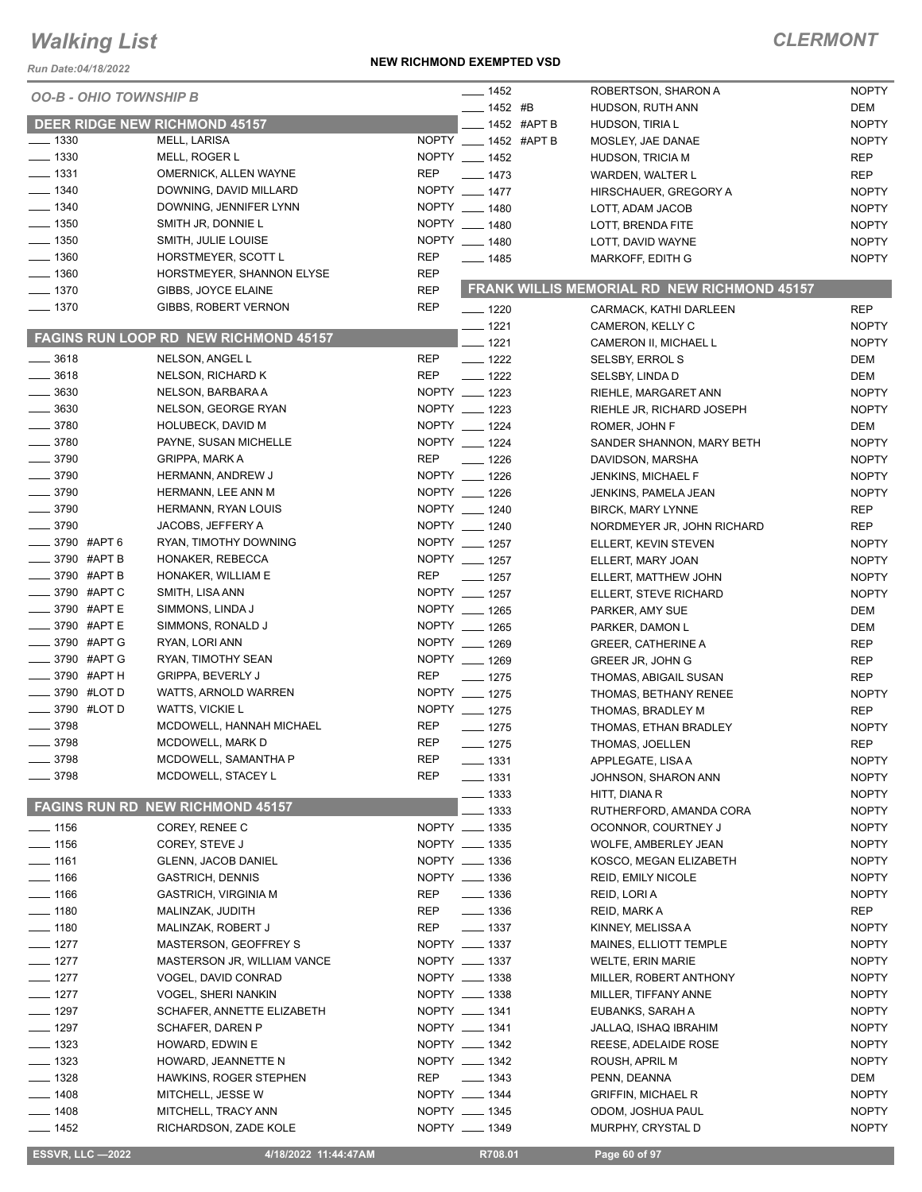*Run Date:04/18/2022*

#### **NEW RICHMOND EXEMPTED VSD**

| <b>OO-B - OHIO TOWNSHIP B</b><br>$- 1452$ #B<br>DEM<br>HUDSON, RUTH ANN<br><b>DEER RIDGE NEW RICHMOND 45157</b><br>__ 1452 #APT B<br><b>NOPTY</b><br>HUDSON, TIRIA L<br>$- 1330$<br>MELL, LARISA<br>NOPTY __ 1452 #APT B<br><b>NOPTY</b><br>MOSLEY, JAE DANAE<br>$\frac{1}{2}$ 1330<br>NOPTY __ 1452<br>MELL, ROGER L<br><b>REP</b><br><b>HUDSON, TRICIA M</b><br>$\frac{1}{2}$ 1331<br><b>REP</b><br>OMERNICK, ALLEN WAYNE<br>$- 1473$<br><b>REP</b><br><b>WARDEN, WALTER L</b><br>$- 1340$<br>NOPTY __ 1477<br>DOWNING, DAVID MILLARD<br><b>NOPTY</b><br>HIRSCHAUER, GREGORY A<br>NOPTY __ 1480<br>$- 1340$<br>DOWNING, JENNIFER LYNN<br><b>NOPTY</b><br>LOTT, ADAM JACOB<br>$- 1350$<br>NOPTY __ 1480<br>SMITH JR, DONNIE L<br>LOTT, BRENDA FITE<br><b>NOPTY</b><br>NOPTY __ 1480<br>$- 1350$<br>SMITH, JULIE LOUISE<br><b>NOPTY</b><br>LOTT, DAVID WAYNE<br><b>REP</b><br>HORSTMEYER, SCOTT L<br>$- 1485$<br><b>NOPTY</b><br>MARKOFF, EDITH G<br>HORSTMEYER, SHANNON ELYSE<br>REP<br>FRANK WILLIS MEMORIAL RD NEW RICHMOND 45157<br><b>REP</b><br>GIBBS, JOYCE ELAINE<br><b>REP</b><br>GIBBS, ROBERT VERNON<br>$- 1220$<br><b>REP</b><br>CARMACK, KATHI DARLEEN<br>$- 1221$<br><b>NOPTY</b><br>CAMERON, KELLY C<br><b>FAGINS RUN LOOP RD NEW RICHMOND 45157</b><br>$-1221$<br><b>NOPTY</b><br>CAMERON II, MICHAEL L<br>NELSON, ANGEL L<br><b>REP</b><br>$- 1222$<br><b>SELSBY, ERROL S</b><br>DEM<br>$- 3618$<br><b>REP</b><br>NELSON, RICHARD K<br>$- 1222$<br>DEM<br>SELSBY, LINDA D<br>$\frac{1}{2}$ 3630<br>NELSON, BARBARA A<br>NOPTY __ 1223<br><b>NOPTY</b><br>RIEHLE, MARGARET ANN<br>$\frac{1}{2}$ 3630<br>NOPTY __ 1223<br>NELSON, GEORGE RYAN<br><b>NOPTY</b><br>RIEHLE JR, RICHARD JOSEPH<br>$- 3780$<br>NOPTY __ 1224<br><b>HOLUBECK, DAVID M</b><br>ROMER, JOHN F<br>DEM<br>$- 3780$<br>NOPTY __ 1224<br>PAYNE, SUSAN MICHELLE<br><b>NOPTY</b><br>SANDER SHANNON, MARY BETH<br><b>REP</b><br>$\frac{1}{2}$ 3790<br>$- 1226$<br><b>GRIPPA, MARK A</b><br><b>NOPTY</b><br>DAVIDSON, MARSHA<br>$\frac{1}{2}$ 3790<br>NOPTY __ 1226<br>HERMANN, ANDREW J<br><b>NOPTY</b><br>JENKINS, MICHAEL F<br>$\frac{1}{2}$ 3790<br>NOPTY __ 1226<br>HERMANN, LEE ANN M<br><b>NOPTY</b><br>JENKINS, PAMELA JEAN<br>$- 3790$<br>HERMANN, RYAN LOUIS<br>NOPTY __ 1240<br><b>REP</b><br><b>BIRCK, MARY LYNNE</b><br>NOPTY __ 1240<br>JACOBS, JEFFERY A<br>NORDMEYER JR, JOHN RICHARD<br><b>REP</b><br>_____ 3790 #APT 6<br>NOPTY __ 1257<br>RYAN, TIMOTHY DOWNING<br><b>NOPTY</b><br>ELLERT, KEVIN STEVEN<br>NOPTY __ 1257<br>HONAKER, REBECCA<br><b>NOPTY</b><br>ELLERT, MARY JOAN<br>REP<br>$\frac{1}{2}$ 1257<br>HONAKER, WILLIAM E<br><b>NOPTY</b><br>ELLERT, MATTHEW JOHN<br>____ 3790 #APT C<br>NOPTY __ 1257<br>SMITH, LISA ANN<br><b>NOPTY</b><br>ELLERT, STEVE RICHARD<br><b>______ 3790 #APT E</b><br>NOPTY __ 1265<br>SIMMONS, LINDA J<br>DEM<br>PARKER, AMY SUE<br>_3790 #APTE<br>SIMMONS, RONALD J<br>NOPTY __ 1265<br>DEM<br>PARKER, DAMON L<br>_3790 #APT G<br>NOPTY __ 1269<br>RYAN, LORI ANN<br><b>GREER, CATHERINE A</b><br>REP<br>_3790 #APT G<br>NOPTY __ 1269<br>RYAN, TIMOTHY SEAN<br><b>REP</b><br>GREER JR, JOHN G<br>—— 3790 #APT Н<br><b>REP</b><br><b>GRIPPA, BEVERLY J</b><br>$- 1275$<br><b>REP</b><br>THOMAS, ABIGAIL SUSAN<br>$\frac{1}{2}$ 3790 #LOT D<br>NOPTY __ 1275<br>WATTS, ARNOLD WARREN<br><b>NOPTY</b><br>THOMAS, BETHANY RENEE<br><b>_____</b> 3790 #LOT D<br>NOPTY __ 1275<br>WATTS, VICKIE L<br><b>REP</b><br>THOMAS, BRADLEY M<br>$\frac{1}{2}$ 3798<br>MCDOWELL, HANNAH MICHAEL<br><b>REP</b><br>$- 1275$<br><b>NOPTY</b><br>THOMAS, ETHAN BRADLEY<br><b>REP</b><br>3798<br>MCDOWELL, MARK D<br>REP<br>$\frac{1}{2}$ 1275<br>THOMAS, JOELLEN<br>$- 3798$<br>MCDOWELL, SAMANTHA P<br>REP<br><b>NOPTY</b><br>— 1331<br>APPLEGATE, LISA A<br>$- 3798$<br><b>REP</b><br>MCDOWELL, STACEY L<br>$- 1331$<br><b>NOPTY</b><br>JOHNSON, SHARON ANN<br>$- 1333$<br><b>NOPTY</b><br>HITT, DIANA R<br><b>FAGINS RUN RD NEW RICHMOND 45157</b><br>1333<br><b>NOPTY</b><br>RUTHERFORD, AMANDA CORA<br>$- 1156$<br>NOPTY __ 1335<br><b>NOPTY</b><br>COREY, RENEE C<br>OCONNOR, COURTNEY J<br>$- 1156$<br>NOPTY __ 1335<br><b>NOPTY</b><br>COREY, STEVE J<br>WOLFE, AMBERLEY JEAN<br>$- 1161$<br><b>GLENN, JACOB DANIEL</b><br>NOPTY __ 1336<br><b>NOPTY</b><br>KOSCO, MEGAN ELIZABETH<br>$- 1166$<br>NOPTY __ 1336<br><b>NOPTY</b><br><b>GASTRICH, DENNIS</b><br>REID, EMILY NICOLE<br>$- 1166$<br>$- 1336$<br><b>GASTRICH, VIRGINIA M</b><br>REP<br>REID, LORI A<br><b>NOPTY</b><br>$- 1180$<br>$\frac{1}{2}$ 1336<br>MALINZAK, JUDITH<br>REP<br>REID, MARK A<br>REP<br>$\frac{1}{2}$ 1337<br>REP<br><b>NOPTY</b><br>$\frac{1}{2}$ 1180<br>MALINZAK, ROBERT J<br>KINNEY, MELISSA A<br>$- 1277$<br>NOPTY __ 1337<br><b>NOPTY</b><br>MASTERSON, GEOFFREY S<br>MAINES, ELLIOTT TEMPLE<br>$- 1277$<br>NOPTY __ 1337<br><b>NOPTY</b><br>WELTE, ERIN MARIE<br>MASTERSON JR, WILLIAM VANCE<br>NOPTY __ 1338<br>VOGEL, DAVID CONRAD<br>MILLER, ROBERT ANTHONY<br><b>NOPTY</b><br>NOPTY __ 1338<br>VOGEL, SHERI NANKIN<br>MILLER, TIFFANY ANNE<br><b>NOPTY</b><br>NOPTY __ 1341<br>SCHAFER, ANNETTE ELIZABETH<br>EUBANKS, SARAH A<br><b>NOPTY</b><br>NOPTY __ 1341<br>SCHAFER, DAREN P<br><b>NOPTY</b><br>JALLAQ, ISHAQ IBRAHIM<br>NOPTY __ 1342<br><b>NOPTY</b><br>HOWARD, EDWIN E<br>REESE, ADELAIDE ROSE<br>$- 1323$<br>NOPTY __ 1342<br><b>NOPTY</b><br>HOWARD, JEANNETTE N<br>ROUSH, APRIL M<br>$- 1328$<br>HAWKINS, ROGER STEPHEN<br>REP<br>$\frac{1}{2}$ 1343<br>PENN, DEANNA<br>DEM<br>$\frac{1}{2}$ 1408<br>NOPTY __ 1344<br><b>NOPTY</b><br>MITCHELL, JESSE W<br><b>GRIFFIN, MICHAEL R</b><br>$- 1408$<br>MITCHELL, TRACY ANN<br>NOPTY __ 1345<br><b>NOPTY</b><br>ODOM, JOSHUA PAUL<br>NOPTY __ 1349<br>$- 1452$<br><b>NOPTY</b><br>RICHARDSON, ZADE KOLE<br>MURPHY, CRYSTAL D<br><b>ESSVR, LLC -2022</b><br>4/18/2022 11:44:47AM<br>R708.01<br>Page 60 of 97 |                           |  |          |                     |              |
|-----------------------------------------------------------------------------------------------------------------------------------------------------------------------------------------------------------------------------------------------------------------------------------------------------------------------------------------------------------------------------------------------------------------------------------------------------------------------------------------------------------------------------------------------------------------------------------------------------------------------------------------------------------------------------------------------------------------------------------------------------------------------------------------------------------------------------------------------------------------------------------------------------------------------------------------------------------------------------------------------------------------------------------------------------------------------------------------------------------------------------------------------------------------------------------------------------------------------------------------------------------------------------------------------------------------------------------------------------------------------------------------------------------------------------------------------------------------------------------------------------------------------------------------------------------------------------------------------------------------------------------------------------------------------------------------------------------------------------------------------------------------------------------------------------------------------------------------------------------------------------------------------------------------------------------------------------------------------------------------------------------------------------------------------------------------------------------------------------------------------------------------------------------------------------------------------------------------------------------------------------------------------------------------------------------------------------------------------------------------------------------------------------------------------------------------------------------------------------------------------------------------------------------------------------------------------------------------------------------------------------------------------------------------------------------------------------------------------------------------------------------------------------------------------------------------------------------------------------------------------------------------------------------------------------------------------------------------------------------------------------------------------------------------------------------------------------------------------------------------------------------------------------------------------------------------------------------------------------------------------------------------------------------------------------------------------------------------------------------------------------------------------------------------------------------------------------------------------------------------------------------------------------------------------------------------------------------------------------------------------------------------------------------------------------------------------------------------------------------------------------------------------------------------------------------------------------------------------------------------------------------------------------------------------------------------------------------------------------------------------------------------------------------------------------------------------------------------------------------------------------------------------------------------------------------------------------------------------------------------------------------------------------------------------------------------------------------------------------------------------------------------------------------------------------------------------------------------------------------------------------------------------------------------------------------------------------------------------------------------------------------------------------------------------------------------------------------------------------------------------------------------------------------------------------------------------------------------------------------------------------------------------------------------------------------------------------------------------------------------------------------------------------------------------------------------------------------------------------------------------------------------------------------------------------------------------------------------------------------------------------------------------------------------------------------------------------------------------------------------------------------------------------------------------------------------------------------------------------------------------------------------------------------------------------------------------------------------------------------------------------------------------------------------------------------------------------------------------------------------------------------------------------------------------------------------------------------------------------------------------------------------------|---------------------------|--|----------|---------------------|--------------|
|                                                                                                                                                                                                                                                                                                                                                                                                                                                                                                                                                                                                                                                                                                                                                                                                                                                                                                                                                                                                                                                                                                                                                                                                                                                                                                                                                                                                                                                                                                                                                                                                                                                                                                                                                                                                                                                                                                                                                                                                                                                                                                                                                                                                                                                                                                                                                                                                                                                                                                                                                                                                                                                                                                                                                                                                                                                                                                                                                                                                                                                                                                                                                                                                                                                                                                                                                                                                                                                                                                                                                                                                                                                                                                                                                                                                                                                                                                                                                                                                                                                                                                                                                                                                                                                                                                                                                                                                                                                                                                                                                                                                                                                                                                                                                                                                                                                                                                                                                                                                                                                                                                                                                                                                                                                                                                                                                                                                                                                                                                                                                                                                                                                                                                                                                                                                                                                                                               |                           |  | $- 1452$ | ROBERTSON, SHARON A | <b>NOPTY</b> |
|                                                                                                                                                                                                                                                                                                                                                                                                                                                                                                                                                                                                                                                                                                                                                                                                                                                                                                                                                                                                                                                                                                                                                                                                                                                                                                                                                                                                                                                                                                                                                                                                                                                                                                                                                                                                                                                                                                                                                                                                                                                                                                                                                                                                                                                                                                                                                                                                                                                                                                                                                                                                                                                                                                                                                                                                                                                                                                                                                                                                                                                                                                                                                                                                                                                                                                                                                                                                                                                                                                                                                                                                                                                                                                                                                                                                                                                                                                                                                                                                                                                                                                                                                                                                                                                                                                                                                                                                                                                                                                                                                                                                                                                                                                                                                                                                                                                                                                                                                                                                                                                                                                                                                                                                                                                                                                                                                                                                                                                                                                                                                                                                                                                                                                                                                                                                                                                                                               |                           |  |          |                     |              |
|                                                                                                                                                                                                                                                                                                                                                                                                                                                                                                                                                                                                                                                                                                                                                                                                                                                                                                                                                                                                                                                                                                                                                                                                                                                                                                                                                                                                                                                                                                                                                                                                                                                                                                                                                                                                                                                                                                                                                                                                                                                                                                                                                                                                                                                                                                                                                                                                                                                                                                                                                                                                                                                                                                                                                                                                                                                                                                                                                                                                                                                                                                                                                                                                                                                                                                                                                                                                                                                                                                                                                                                                                                                                                                                                                                                                                                                                                                                                                                                                                                                                                                                                                                                                                                                                                                                                                                                                                                                                                                                                                                                                                                                                                                                                                                                                                                                                                                                                                                                                                                                                                                                                                                                                                                                                                                                                                                                                                                                                                                                                                                                                                                                                                                                                                                                                                                                                                               |                           |  |          |                     |              |
|                                                                                                                                                                                                                                                                                                                                                                                                                                                                                                                                                                                                                                                                                                                                                                                                                                                                                                                                                                                                                                                                                                                                                                                                                                                                                                                                                                                                                                                                                                                                                                                                                                                                                                                                                                                                                                                                                                                                                                                                                                                                                                                                                                                                                                                                                                                                                                                                                                                                                                                                                                                                                                                                                                                                                                                                                                                                                                                                                                                                                                                                                                                                                                                                                                                                                                                                                                                                                                                                                                                                                                                                                                                                                                                                                                                                                                                                                                                                                                                                                                                                                                                                                                                                                                                                                                                                                                                                                                                                                                                                                                                                                                                                                                                                                                                                                                                                                                                                                                                                                                                                                                                                                                                                                                                                                                                                                                                                                                                                                                                                                                                                                                                                                                                                                                                                                                                                                               |                           |  |          |                     |              |
|                                                                                                                                                                                                                                                                                                                                                                                                                                                                                                                                                                                                                                                                                                                                                                                                                                                                                                                                                                                                                                                                                                                                                                                                                                                                                                                                                                                                                                                                                                                                                                                                                                                                                                                                                                                                                                                                                                                                                                                                                                                                                                                                                                                                                                                                                                                                                                                                                                                                                                                                                                                                                                                                                                                                                                                                                                                                                                                                                                                                                                                                                                                                                                                                                                                                                                                                                                                                                                                                                                                                                                                                                                                                                                                                                                                                                                                                                                                                                                                                                                                                                                                                                                                                                                                                                                                                                                                                                                                                                                                                                                                                                                                                                                                                                                                                                                                                                                                                                                                                                                                                                                                                                                                                                                                                                                                                                                                                                                                                                                                                                                                                                                                                                                                                                                                                                                                                                               |                           |  |          |                     |              |
|                                                                                                                                                                                                                                                                                                                                                                                                                                                                                                                                                                                                                                                                                                                                                                                                                                                                                                                                                                                                                                                                                                                                                                                                                                                                                                                                                                                                                                                                                                                                                                                                                                                                                                                                                                                                                                                                                                                                                                                                                                                                                                                                                                                                                                                                                                                                                                                                                                                                                                                                                                                                                                                                                                                                                                                                                                                                                                                                                                                                                                                                                                                                                                                                                                                                                                                                                                                                                                                                                                                                                                                                                                                                                                                                                                                                                                                                                                                                                                                                                                                                                                                                                                                                                                                                                                                                                                                                                                                                                                                                                                                                                                                                                                                                                                                                                                                                                                                                                                                                                                                                                                                                                                                                                                                                                                                                                                                                                                                                                                                                                                                                                                                                                                                                                                                                                                                                                               |                           |  |          |                     |              |
|                                                                                                                                                                                                                                                                                                                                                                                                                                                                                                                                                                                                                                                                                                                                                                                                                                                                                                                                                                                                                                                                                                                                                                                                                                                                                                                                                                                                                                                                                                                                                                                                                                                                                                                                                                                                                                                                                                                                                                                                                                                                                                                                                                                                                                                                                                                                                                                                                                                                                                                                                                                                                                                                                                                                                                                                                                                                                                                                                                                                                                                                                                                                                                                                                                                                                                                                                                                                                                                                                                                                                                                                                                                                                                                                                                                                                                                                                                                                                                                                                                                                                                                                                                                                                                                                                                                                                                                                                                                                                                                                                                                                                                                                                                                                                                                                                                                                                                                                                                                                                                                                                                                                                                                                                                                                                                                                                                                                                                                                                                                                                                                                                                                                                                                                                                                                                                                                                               |                           |  |          |                     |              |
|                                                                                                                                                                                                                                                                                                                                                                                                                                                                                                                                                                                                                                                                                                                                                                                                                                                                                                                                                                                                                                                                                                                                                                                                                                                                                                                                                                                                                                                                                                                                                                                                                                                                                                                                                                                                                                                                                                                                                                                                                                                                                                                                                                                                                                                                                                                                                                                                                                                                                                                                                                                                                                                                                                                                                                                                                                                                                                                                                                                                                                                                                                                                                                                                                                                                                                                                                                                                                                                                                                                                                                                                                                                                                                                                                                                                                                                                                                                                                                                                                                                                                                                                                                                                                                                                                                                                                                                                                                                                                                                                                                                                                                                                                                                                                                                                                                                                                                                                                                                                                                                                                                                                                                                                                                                                                                                                                                                                                                                                                                                                                                                                                                                                                                                                                                                                                                                                                               |                           |  |          |                     |              |
|                                                                                                                                                                                                                                                                                                                                                                                                                                                                                                                                                                                                                                                                                                                                                                                                                                                                                                                                                                                                                                                                                                                                                                                                                                                                                                                                                                                                                                                                                                                                                                                                                                                                                                                                                                                                                                                                                                                                                                                                                                                                                                                                                                                                                                                                                                                                                                                                                                                                                                                                                                                                                                                                                                                                                                                                                                                                                                                                                                                                                                                                                                                                                                                                                                                                                                                                                                                                                                                                                                                                                                                                                                                                                                                                                                                                                                                                                                                                                                                                                                                                                                                                                                                                                                                                                                                                                                                                                                                                                                                                                                                                                                                                                                                                                                                                                                                                                                                                                                                                                                                                                                                                                                                                                                                                                                                                                                                                                                                                                                                                                                                                                                                                                                                                                                                                                                                                                               |                           |  |          |                     |              |
|                                                                                                                                                                                                                                                                                                                                                                                                                                                                                                                                                                                                                                                                                                                                                                                                                                                                                                                                                                                                                                                                                                                                                                                                                                                                                                                                                                                                                                                                                                                                                                                                                                                                                                                                                                                                                                                                                                                                                                                                                                                                                                                                                                                                                                                                                                                                                                                                                                                                                                                                                                                                                                                                                                                                                                                                                                                                                                                                                                                                                                                                                                                                                                                                                                                                                                                                                                                                                                                                                                                                                                                                                                                                                                                                                                                                                                                                                                                                                                                                                                                                                                                                                                                                                                                                                                                                                                                                                                                                                                                                                                                                                                                                                                                                                                                                                                                                                                                                                                                                                                                                                                                                                                                                                                                                                                                                                                                                                                                                                                                                                                                                                                                                                                                                                                                                                                                                                               |                           |  |          |                     |              |
|                                                                                                                                                                                                                                                                                                                                                                                                                                                                                                                                                                                                                                                                                                                                                                                                                                                                                                                                                                                                                                                                                                                                                                                                                                                                                                                                                                                                                                                                                                                                                                                                                                                                                                                                                                                                                                                                                                                                                                                                                                                                                                                                                                                                                                                                                                                                                                                                                                                                                                                                                                                                                                                                                                                                                                                                                                                                                                                                                                                                                                                                                                                                                                                                                                                                                                                                                                                                                                                                                                                                                                                                                                                                                                                                                                                                                                                                                                                                                                                                                                                                                                                                                                                                                                                                                                                                                                                                                                                                                                                                                                                                                                                                                                                                                                                                                                                                                                                                                                                                                                                                                                                                                                                                                                                                                                                                                                                                                                                                                                                                                                                                                                                                                                                                                                                                                                                                                               | $- 1360$                  |  |          |                     |              |
|                                                                                                                                                                                                                                                                                                                                                                                                                                                                                                                                                                                                                                                                                                                                                                                                                                                                                                                                                                                                                                                                                                                                                                                                                                                                                                                                                                                                                                                                                                                                                                                                                                                                                                                                                                                                                                                                                                                                                                                                                                                                                                                                                                                                                                                                                                                                                                                                                                                                                                                                                                                                                                                                                                                                                                                                                                                                                                                                                                                                                                                                                                                                                                                                                                                                                                                                                                                                                                                                                                                                                                                                                                                                                                                                                                                                                                                                                                                                                                                                                                                                                                                                                                                                                                                                                                                                                                                                                                                                                                                                                                                                                                                                                                                                                                                                                                                                                                                                                                                                                                                                                                                                                                                                                                                                                                                                                                                                                                                                                                                                                                                                                                                                                                                                                                                                                                                                                               | $\frac{1}{2}$ 1360        |  |          |                     |              |
|                                                                                                                                                                                                                                                                                                                                                                                                                                                                                                                                                                                                                                                                                                                                                                                                                                                                                                                                                                                                                                                                                                                                                                                                                                                                                                                                                                                                                                                                                                                                                                                                                                                                                                                                                                                                                                                                                                                                                                                                                                                                                                                                                                                                                                                                                                                                                                                                                                                                                                                                                                                                                                                                                                                                                                                                                                                                                                                                                                                                                                                                                                                                                                                                                                                                                                                                                                                                                                                                                                                                                                                                                                                                                                                                                                                                                                                                                                                                                                                                                                                                                                                                                                                                                                                                                                                                                                                                                                                                                                                                                                                                                                                                                                                                                                                                                                                                                                                                                                                                                                                                                                                                                                                                                                                                                                                                                                                                                                                                                                                                                                                                                                                                                                                                                                                                                                                                                               | $\frac{1}{2}$ 1370        |  |          |                     |              |
|                                                                                                                                                                                                                                                                                                                                                                                                                                                                                                                                                                                                                                                                                                                                                                                                                                                                                                                                                                                                                                                                                                                                                                                                                                                                                                                                                                                                                                                                                                                                                                                                                                                                                                                                                                                                                                                                                                                                                                                                                                                                                                                                                                                                                                                                                                                                                                                                                                                                                                                                                                                                                                                                                                                                                                                                                                                                                                                                                                                                                                                                                                                                                                                                                                                                                                                                                                                                                                                                                                                                                                                                                                                                                                                                                                                                                                                                                                                                                                                                                                                                                                                                                                                                                                                                                                                                                                                                                                                                                                                                                                                                                                                                                                                                                                                                                                                                                                                                                                                                                                                                                                                                                                                                                                                                                                                                                                                                                                                                                                                                                                                                                                                                                                                                                                                                                                                                                               | $- 1370$                  |  |          |                     |              |
|                                                                                                                                                                                                                                                                                                                                                                                                                                                                                                                                                                                                                                                                                                                                                                                                                                                                                                                                                                                                                                                                                                                                                                                                                                                                                                                                                                                                                                                                                                                                                                                                                                                                                                                                                                                                                                                                                                                                                                                                                                                                                                                                                                                                                                                                                                                                                                                                                                                                                                                                                                                                                                                                                                                                                                                                                                                                                                                                                                                                                                                                                                                                                                                                                                                                                                                                                                                                                                                                                                                                                                                                                                                                                                                                                                                                                                                                                                                                                                                                                                                                                                                                                                                                                                                                                                                                                                                                                                                                                                                                                                                                                                                                                                                                                                                                                                                                                                                                                                                                                                                                                                                                                                                                                                                                                                                                                                                                                                                                                                                                                                                                                                                                                                                                                                                                                                                                                               |                           |  |          |                     |              |
|                                                                                                                                                                                                                                                                                                                                                                                                                                                                                                                                                                                                                                                                                                                                                                                                                                                                                                                                                                                                                                                                                                                                                                                                                                                                                                                                                                                                                                                                                                                                                                                                                                                                                                                                                                                                                                                                                                                                                                                                                                                                                                                                                                                                                                                                                                                                                                                                                                                                                                                                                                                                                                                                                                                                                                                                                                                                                                                                                                                                                                                                                                                                                                                                                                                                                                                                                                                                                                                                                                                                                                                                                                                                                                                                                                                                                                                                                                                                                                                                                                                                                                                                                                                                                                                                                                                                                                                                                                                                                                                                                                                                                                                                                                                                                                                                                                                                                                                                                                                                                                                                                                                                                                                                                                                                                                                                                                                                                                                                                                                                                                                                                                                                                                                                                                                                                                                                                               |                           |  |          |                     |              |
|                                                                                                                                                                                                                                                                                                                                                                                                                                                                                                                                                                                                                                                                                                                                                                                                                                                                                                                                                                                                                                                                                                                                                                                                                                                                                                                                                                                                                                                                                                                                                                                                                                                                                                                                                                                                                                                                                                                                                                                                                                                                                                                                                                                                                                                                                                                                                                                                                                                                                                                                                                                                                                                                                                                                                                                                                                                                                                                                                                                                                                                                                                                                                                                                                                                                                                                                                                                                                                                                                                                                                                                                                                                                                                                                                                                                                                                                                                                                                                                                                                                                                                                                                                                                                                                                                                                                                                                                                                                                                                                                                                                                                                                                                                                                                                                                                                                                                                                                                                                                                                                                                                                                                                                                                                                                                                                                                                                                                                                                                                                                                                                                                                                                                                                                                                                                                                                                                               | $- 3618$                  |  |          |                     |              |
|                                                                                                                                                                                                                                                                                                                                                                                                                                                                                                                                                                                                                                                                                                                                                                                                                                                                                                                                                                                                                                                                                                                                                                                                                                                                                                                                                                                                                                                                                                                                                                                                                                                                                                                                                                                                                                                                                                                                                                                                                                                                                                                                                                                                                                                                                                                                                                                                                                                                                                                                                                                                                                                                                                                                                                                                                                                                                                                                                                                                                                                                                                                                                                                                                                                                                                                                                                                                                                                                                                                                                                                                                                                                                                                                                                                                                                                                                                                                                                                                                                                                                                                                                                                                                                                                                                                                                                                                                                                                                                                                                                                                                                                                                                                                                                                                                                                                                                                                                                                                                                                                                                                                                                                                                                                                                                                                                                                                                                                                                                                                                                                                                                                                                                                                                                                                                                                                                               |                           |  |          |                     |              |
|                                                                                                                                                                                                                                                                                                                                                                                                                                                                                                                                                                                                                                                                                                                                                                                                                                                                                                                                                                                                                                                                                                                                                                                                                                                                                                                                                                                                                                                                                                                                                                                                                                                                                                                                                                                                                                                                                                                                                                                                                                                                                                                                                                                                                                                                                                                                                                                                                                                                                                                                                                                                                                                                                                                                                                                                                                                                                                                                                                                                                                                                                                                                                                                                                                                                                                                                                                                                                                                                                                                                                                                                                                                                                                                                                                                                                                                                                                                                                                                                                                                                                                                                                                                                                                                                                                                                                                                                                                                                                                                                                                                                                                                                                                                                                                                                                                                                                                                                                                                                                                                                                                                                                                                                                                                                                                                                                                                                                                                                                                                                                                                                                                                                                                                                                                                                                                                                                               |                           |  |          |                     |              |
|                                                                                                                                                                                                                                                                                                                                                                                                                                                                                                                                                                                                                                                                                                                                                                                                                                                                                                                                                                                                                                                                                                                                                                                                                                                                                                                                                                                                                                                                                                                                                                                                                                                                                                                                                                                                                                                                                                                                                                                                                                                                                                                                                                                                                                                                                                                                                                                                                                                                                                                                                                                                                                                                                                                                                                                                                                                                                                                                                                                                                                                                                                                                                                                                                                                                                                                                                                                                                                                                                                                                                                                                                                                                                                                                                                                                                                                                                                                                                                                                                                                                                                                                                                                                                                                                                                                                                                                                                                                                                                                                                                                                                                                                                                                                                                                                                                                                                                                                                                                                                                                                                                                                                                                                                                                                                                                                                                                                                                                                                                                                                                                                                                                                                                                                                                                                                                                                                               |                           |  |          |                     |              |
|                                                                                                                                                                                                                                                                                                                                                                                                                                                                                                                                                                                                                                                                                                                                                                                                                                                                                                                                                                                                                                                                                                                                                                                                                                                                                                                                                                                                                                                                                                                                                                                                                                                                                                                                                                                                                                                                                                                                                                                                                                                                                                                                                                                                                                                                                                                                                                                                                                                                                                                                                                                                                                                                                                                                                                                                                                                                                                                                                                                                                                                                                                                                                                                                                                                                                                                                                                                                                                                                                                                                                                                                                                                                                                                                                                                                                                                                                                                                                                                                                                                                                                                                                                                                                                                                                                                                                                                                                                                                                                                                                                                                                                                                                                                                                                                                                                                                                                                                                                                                                                                                                                                                                                                                                                                                                                                                                                                                                                                                                                                                                                                                                                                                                                                                                                                                                                                                                               |                           |  |          |                     |              |
|                                                                                                                                                                                                                                                                                                                                                                                                                                                                                                                                                                                                                                                                                                                                                                                                                                                                                                                                                                                                                                                                                                                                                                                                                                                                                                                                                                                                                                                                                                                                                                                                                                                                                                                                                                                                                                                                                                                                                                                                                                                                                                                                                                                                                                                                                                                                                                                                                                                                                                                                                                                                                                                                                                                                                                                                                                                                                                                                                                                                                                                                                                                                                                                                                                                                                                                                                                                                                                                                                                                                                                                                                                                                                                                                                                                                                                                                                                                                                                                                                                                                                                                                                                                                                                                                                                                                                                                                                                                                                                                                                                                                                                                                                                                                                                                                                                                                                                                                                                                                                                                                                                                                                                                                                                                                                                                                                                                                                                                                                                                                                                                                                                                                                                                                                                                                                                                                                               |                           |  |          |                     |              |
|                                                                                                                                                                                                                                                                                                                                                                                                                                                                                                                                                                                                                                                                                                                                                                                                                                                                                                                                                                                                                                                                                                                                                                                                                                                                                                                                                                                                                                                                                                                                                                                                                                                                                                                                                                                                                                                                                                                                                                                                                                                                                                                                                                                                                                                                                                                                                                                                                                                                                                                                                                                                                                                                                                                                                                                                                                                                                                                                                                                                                                                                                                                                                                                                                                                                                                                                                                                                                                                                                                                                                                                                                                                                                                                                                                                                                                                                                                                                                                                                                                                                                                                                                                                                                                                                                                                                                                                                                                                                                                                                                                                                                                                                                                                                                                                                                                                                                                                                                                                                                                                                                                                                                                                                                                                                                                                                                                                                                                                                                                                                                                                                                                                                                                                                                                                                                                                                                               |                           |  |          |                     |              |
|                                                                                                                                                                                                                                                                                                                                                                                                                                                                                                                                                                                                                                                                                                                                                                                                                                                                                                                                                                                                                                                                                                                                                                                                                                                                                                                                                                                                                                                                                                                                                                                                                                                                                                                                                                                                                                                                                                                                                                                                                                                                                                                                                                                                                                                                                                                                                                                                                                                                                                                                                                                                                                                                                                                                                                                                                                                                                                                                                                                                                                                                                                                                                                                                                                                                                                                                                                                                                                                                                                                                                                                                                                                                                                                                                                                                                                                                                                                                                                                                                                                                                                                                                                                                                                                                                                                                                                                                                                                                                                                                                                                                                                                                                                                                                                                                                                                                                                                                                                                                                                                                                                                                                                                                                                                                                                                                                                                                                                                                                                                                                                                                                                                                                                                                                                                                                                                                                               |                           |  |          |                     |              |
|                                                                                                                                                                                                                                                                                                                                                                                                                                                                                                                                                                                                                                                                                                                                                                                                                                                                                                                                                                                                                                                                                                                                                                                                                                                                                                                                                                                                                                                                                                                                                                                                                                                                                                                                                                                                                                                                                                                                                                                                                                                                                                                                                                                                                                                                                                                                                                                                                                                                                                                                                                                                                                                                                                                                                                                                                                                                                                                                                                                                                                                                                                                                                                                                                                                                                                                                                                                                                                                                                                                                                                                                                                                                                                                                                                                                                                                                                                                                                                                                                                                                                                                                                                                                                                                                                                                                                                                                                                                                                                                                                                                                                                                                                                                                                                                                                                                                                                                                                                                                                                                                                                                                                                                                                                                                                                                                                                                                                                                                                                                                                                                                                                                                                                                                                                                                                                                                                               |                           |  |          |                     |              |
|                                                                                                                                                                                                                                                                                                                                                                                                                                                                                                                                                                                                                                                                                                                                                                                                                                                                                                                                                                                                                                                                                                                                                                                                                                                                                                                                                                                                                                                                                                                                                                                                                                                                                                                                                                                                                                                                                                                                                                                                                                                                                                                                                                                                                                                                                                                                                                                                                                                                                                                                                                                                                                                                                                                                                                                                                                                                                                                                                                                                                                                                                                                                                                                                                                                                                                                                                                                                                                                                                                                                                                                                                                                                                                                                                                                                                                                                                                                                                                                                                                                                                                                                                                                                                                                                                                                                                                                                                                                                                                                                                                                                                                                                                                                                                                                                                                                                                                                                                                                                                                                                                                                                                                                                                                                                                                                                                                                                                                                                                                                                                                                                                                                                                                                                                                                                                                                                                               |                           |  |          |                     |              |
|                                                                                                                                                                                                                                                                                                                                                                                                                                                                                                                                                                                                                                                                                                                                                                                                                                                                                                                                                                                                                                                                                                                                                                                                                                                                                                                                                                                                                                                                                                                                                                                                                                                                                                                                                                                                                                                                                                                                                                                                                                                                                                                                                                                                                                                                                                                                                                                                                                                                                                                                                                                                                                                                                                                                                                                                                                                                                                                                                                                                                                                                                                                                                                                                                                                                                                                                                                                                                                                                                                                                                                                                                                                                                                                                                                                                                                                                                                                                                                                                                                                                                                                                                                                                                                                                                                                                                                                                                                                                                                                                                                                                                                                                                                                                                                                                                                                                                                                                                                                                                                                                                                                                                                                                                                                                                                                                                                                                                                                                                                                                                                                                                                                                                                                                                                                                                                                                                               |                           |  |          |                     |              |
|                                                                                                                                                                                                                                                                                                                                                                                                                                                                                                                                                                                                                                                                                                                                                                                                                                                                                                                                                                                                                                                                                                                                                                                                                                                                                                                                                                                                                                                                                                                                                                                                                                                                                                                                                                                                                                                                                                                                                                                                                                                                                                                                                                                                                                                                                                                                                                                                                                                                                                                                                                                                                                                                                                                                                                                                                                                                                                                                                                                                                                                                                                                                                                                                                                                                                                                                                                                                                                                                                                                                                                                                                                                                                                                                                                                                                                                                                                                                                                                                                                                                                                                                                                                                                                                                                                                                                                                                                                                                                                                                                                                                                                                                                                                                                                                                                                                                                                                                                                                                                                                                                                                                                                                                                                                                                                                                                                                                                                                                                                                                                                                                                                                                                                                                                                                                                                                                                               | $\frac{1}{2}$ 3790        |  |          |                     |              |
|                                                                                                                                                                                                                                                                                                                                                                                                                                                                                                                                                                                                                                                                                                                                                                                                                                                                                                                                                                                                                                                                                                                                                                                                                                                                                                                                                                                                                                                                                                                                                                                                                                                                                                                                                                                                                                                                                                                                                                                                                                                                                                                                                                                                                                                                                                                                                                                                                                                                                                                                                                                                                                                                                                                                                                                                                                                                                                                                                                                                                                                                                                                                                                                                                                                                                                                                                                                                                                                                                                                                                                                                                                                                                                                                                                                                                                                                                                                                                                                                                                                                                                                                                                                                                                                                                                                                                                                                                                                                                                                                                                                                                                                                                                                                                                                                                                                                                                                                                                                                                                                                                                                                                                                                                                                                                                                                                                                                                                                                                                                                                                                                                                                                                                                                                                                                                                                                                               |                           |  |          |                     |              |
|                                                                                                                                                                                                                                                                                                                                                                                                                                                                                                                                                                                                                                                                                                                                                                                                                                                                                                                                                                                                                                                                                                                                                                                                                                                                                                                                                                                                                                                                                                                                                                                                                                                                                                                                                                                                                                                                                                                                                                                                                                                                                                                                                                                                                                                                                                                                                                                                                                                                                                                                                                                                                                                                                                                                                                                                                                                                                                                                                                                                                                                                                                                                                                                                                                                                                                                                                                                                                                                                                                                                                                                                                                                                                                                                                                                                                                                                                                                                                                                                                                                                                                                                                                                                                                                                                                                                                                                                                                                                                                                                                                                                                                                                                                                                                                                                                                                                                                                                                                                                                                                                                                                                                                                                                                                                                                                                                                                                                                                                                                                                                                                                                                                                                                                                                                                                                                                                                               | _____ 3790 #APT B         |  |          |                     |              |
|                                                                                                                                                                                                                                                                                                                                                                                                                                                                                                                                                                                                                                                                                                                                                                                                                                                                                                                                                                                                                                                                                                                                                                                                                                                                                                                                                                                                                                                                                                                                                                                                                                                                                                                                                                                                                                                                                                                                                                                                                                                                                                                                                                                                                                                                                                                                                                                                                                                                                                                                                                                                                                                                                                                                                                                                                                                                                                                                                                                                                                                                                                                                                                                                                                                                                                                                                                                                                                                                                                                                                                                                                                                                                                                                                                                                                                                                                                                                                                                                                                                                                                                                                                                                                                                                                                                                                                                                                                                                                                                                                                                                                                                                                                                                                                                                                                                                                                                                                                                                                                                                                                                                                                                                                                                                                                                                                                                                                                                                                                                                                                                                                                                                                                                                                                                                                                                                                               | <b>______ 3790 #APT B</b> |  |          |                     |              |
|                                                                                                                                                                                                                                                                                                                                                                                                                                                                                                                                                                                                                                                                                                                                                                                                                                                                                                                                                                                                                                                                                                                                                                                                                                                                                                                                                                                                                                                                                                                                                                                                                                                                                                                                                                                                                                                                                                                                                                                                                                                                                                                                                                                                                                                                                                                                                                                                                                                                                                                                                                                                                                                                                                                                                                                                                                                                                                                                                                                                                                                                                                                                                                                                                                                                                                                                                                                                                                                                                                                                                                                                                                                                                                                                                                                                                                                                                                                                                                                                                                                                                                                                                                                                                                                                                                                                                                                                                                                                                                                                                                                                                                                                                                                                                                                                                                                                                                                                                                                                                                                                                                                                                                                                                                                                                                                                                                                                                                                                                                                                                                                                                                                                                                                                                                                                                                                                                               |                           |  |          |                     |              |
|                                                                                                                                                                                                                                                                                                                                                                                                                                                                                                                                                                                                                                                                                                                                                                                                                                                                                                                                                                                                                                                                                                                                                                                                                                                                                                                                                                                                                                                                                                                                                                                                                                                                                                                                                                                                                                                                                                                                                                                                                                                                                                                                                                                                                                                                                                                                                                                                                                                                                                                                                                                                                                                                                                                                                                                                                                                                                                                                                                                                                                                                                                                                                                                                                                                                                                                                                                                                                                                                                                                                                                                                                                                                                                                                                                                                                                                                                                                                                                                                                                                                                                                                                                                                                                                                                                                                                                                                                                                                                                                                                                                                                                                                                                                                                                                                                                                                                                                                                                                                                                                                                                                                                                                                                                                                                                                                                                                                                                                                                                                                                                                                                                                                                                                                                                                                                                                                                               |                           |  |          |                     |              |
|                                                                                                                                                                                                                                                                                                                                                                                                                                                                                                                                                                                                                                                                                                                                                                                                                                                                                                                                                                                                                                                                                                                                                                                                                                                                                                                                                                                                                                                                                                                                                                                                                                                                                                                                                                                                                                                                                                                                                                                                                                                                                                                                                                                                                                                                                                                                                                                                                                                                                                                                                                                                                                                                                                                                                                                                                                                                                                                                                                                                                                                                                                                                                                                                                                                                                                                                                                                                                                                                                                                                                                                                                                                                                                                                                                                                                                                                                                                                                                                                                                                                                                                                                                                                                                                                                                                                                                                                                                                                                                                                                                                                                                                                                                                                                                                                                                                                                                                                                                                                                                                                                                                                                                                                                                                                                                                                                                                                                                                                                                                                                                                                                                                                                                                                                                                                                                                                                               |                           |  |          |                     |              |
|                                                                                                                                                                                                                                                                                                                                                                                                                                                                                                                                                                                                                                                                                                                                                                                                                                                                                                                                                                                                                                                                                                                                                                                                                                                                                                                                                                                                                                                                                                                                                                                                                                                                                                                                                                                                                                                                                                                                                                                                                                                                                                                                                                                                                                                                                                                                                                                                                                                                                                                                                                                                                                                                                                                                                                                                                                                                                                                                                                                                                                                                                                                                                                                                                                                                                                                                                                                                                                                                                                                                                                                                                                                                                                                                                                                                                                                                                                                                                                                                                                                                                                                                                                                                                                                                                                                                                                                                                                                                                                                                                                                                                                                                                                                                                                                                                                                                                                                                                                                                                                                                                                                                                                                                                                                                                                                                                                                                                                                                                                                                                                                                                                                                                                                                                                                                                                                                                               |                           |  |          |                     |              |
|                                                                                                                                                                                                                                                                                                                                                                                                                                                                                                                                                                                                                                                                                                                                                                                                                                                                                                                                                                                                                                                                                                                                                                                                                                                                                                                                                                                                                                                                                                                                                                                                                                                                                                                                                                                                                                                                                                                                                                                                                                                                                                                                                                                                                                                                                                                                                                                                                                                                                                                                                                                                                                                                                                                                                                                                                                                                                                                                                                                                                                                                                                                                                                                                                                                                                                                                                                                                                                                                                                                                                                                                                                                                                                                                                                                                                                                                                                                                                                                                                                                                                                                                                                                                                                                                                                                                                                                                                                                                                                                                                                                                                                                                                                                                                                                                                                                                                                                                                                                                                                                                                                                                                                                                                                                                                                                                                                                                                                                                                                                                                                                                                                                                                                                                                                                                                                                                                               |                           |  |          |                     |              |
|                                                                                                                                                                                                                                                                                                                                                                                                                                                                                                                                                                                                                                                                                                                                                                                                                                                                                                                                                                                                                                                                                                                                                                                                                                                                                                                                                                                                                                                                                                                                                                                                                                                                                                                                                                                                                                                                                                                                                                                                                                                                                                                                                                                                                                                                                                                                                                                                                                                                                                                                                                                                                                                                                                                                                                                                                                                                                                                                                                                                                                                                                                                                                                                                                                                                                                                                                                                                                                                                                                                                                                                                                                                                                                                                                                                                                                                                                                                                                                                                                                                                                                                                                                                                                                                                                                                                                                                                                                                                                                                                                                                                                                                                                                                                                                                                                                                                                                                                                                                                                                                                                                                                                                                                                                                                                                                                                                                                                                                                                                                                                                                                                                                                                                                                                                                                                                                                                               |                           |  |          |                     |              |
|                                                                                                                                                                                                                                                                                                                                                                                                                                                                                                                                                                                                                                                                                                                                                                                                                                                                                                                                                                                                                                                                                                                                                                                                                                                                                                                                                                                                                                                                                                                                                                                                                                                                                                                                                                                                                                                                                                                                                                                                                                                                                                                                                                                                                                                                                                                                                                                                                                                                                                                                                                                                                                                                                                                                                                                                                                                                                                                                                                                                                                                                                                                                                                                                                                                                                                                                                                                                                                                                                                                                                                                                                                                                                                                                                                                                                                                                                                                                                                                                                                                                                                                                                                                                                                                                                                                                                                                                                                                                                                                                                                                                                                                                                                                                                                                                                                                                                                                                                                                                                                                                                                                                                                                                                                                                                                                                                                                                                                                                                                                                                                                                                                                                                                                                                                                                                                                                                               |                           |  |          |                     |              |
|                                                                                                                                                                                                                                                                                                                                                                                                                                                                                                                                                                                                                                                                                                                                                                                                                                                                                                                                                                                                                                                                                                                                                                                                                                                                                                                                                                                                                                                                                                                                                                                                                                                                                                                                                                                                                                                                                                                                                                                                                                                                                                                                                                                                                                                                                                                                                                                                                                                                                                                                                                                                                                                                                                                                                                                                                                                                                                                                                                                                                                                                                                                                                                                                                                                                                                                                                                                                                                                                                                                                                                                                                                                                                                                                                                                                                                                                                                                                                                                                                                                                                                                                                                                                                                                                                                                                                                                                                                                                                                                                                                                                                                                                                                                                                                                                                                                                                                                                                                                                                                                                                                                                                                                                                                                                                                                                                                                                                                                                                                                                                                                                                                                                                                                                                                                                                                                                                               |                           |  |          |                     |              |
|                                                                                                                                                                                                                                                                                                                                                                                                                                                                                                                                                                                                                                                                                                                                                                                                                                                                                                                                                                                                                                                                                                                                                                                                                                                                                                                                                                                                                                                                                                                                                                                                                                                                                                                                                                                                                                                                                                                                                                                                                                                                                                                                                                                                                                                                                                                                                                                                                                                                                                                                                                                                                                                                                                                                                                                                                                                                                                                                                                                                                                                                                                                                                                                                                                                                                                                                                                                                                                                                                                                                                                                                                                                                                                                                                                                                                                                                                                                                                                                                                                                                                                                                                                                                                                                                                                                                                                                                                                                                                                                                                                                                                                                                                                                                                                                                                                                                                                                                                                                                                                                                                                                                                                                                                                                                                                                                                                                                                                                                                                                                                                                                                                                                                                                                                                                                                                                                                               |                           |  |          |                     |              |
|                                                                                                                                                                                                                                                                                                                                                                                                                                                                                                                                                                                                                                                                                                                                                                                                                                                                                                                                                                                                                                                                                                                                                                                                                                                                                                                                                                                                                                                                                                                                                                                                                                                                                                                                                                                                                                                                                                                                                                                                                                                                                                                                                                                                                                                                                                                                                                                                                                                                                                                                                                                                                                                                                                                                                                                                                                                                                                                                                                                                                                                                                                                                                                                                                                                                                                                                                                                                                                                                                                                                                                                                                                                                                                                                                                                                                                                                                                                                                                                                                                                                                                                                                                                                                                                                                                                                                                                                                                                                                                                                                                                                                                                                                                                                                                                                                                                                                                                                                                                                                                                                                                                                                                                                                                                                                                                                                                                                                                                                                                                                                                                                                                                                                                                                                                                                                                                                                               |                           |  |          |                     |              |
|                                                                                                                                                                                                                                                                                                                                                                                                                                                                                                                                                                                                                                                                                                                                                                                                                                                                                                                                                                                                                                                                                                                                                                                                                                                                                                                                                                                                                                                                                                                                                                                                                                                                                                                                                                                                                                                                                                                                                                                                                                                                                                                                                                                                                                                                                                                                                                                                                                                                                                                                                                                                                                                                                                                                                                                                                                                                                                                                                                                                                                                                                                                                                                                                                                                                                                                                                                                                                                                                                                                                                                                                                                                                                                                                                                                                                                                                                                                                                                                                                                                                                                                                                                                                                                                                                                                                                                                                                                                                                                                                                                                                                                                                                                                                                                                                                                                                                                                                                                                                                                                                                                                                                                                                                                                                                                                                                                                                                                                                                                                                                                                                                                                                                                                                                                                                                                                                                               |                           |  |          |                     |              |
|                                                                                                                                                                                                                                                                                                                                                                                                                                                                                                                                                                                                                                                                                                                                                                                                                                                                                                                                                                                                                                                                                                                                                                                                                                                                                                                                                                                                                                                                                                                                                                                                                                                                                                                                                                                                                                                                                                                                                                                                                                                                                                                                                                                                                                                                                                                                                                                                                                                                                                                                                                                                                                                                                                                                                                                                                                                                                                                                                                                                                                                                                                                                                                                                                                                                                                                                                                                                                                                                                                                                                                                                                                                                                                                                                                                                                                                                                                                                                                                                                                                                                                                                                                                                                                                                                                                                                                                                                                                                                                                                                                                                                                                                                                                                                                                                                                                                                                                                                                                                                                                                                                                                                                                                                                                                                                                                                                                                                                                                                                                                                                                                                                                                                                                                                                                                                                                                                               |                           |  |          |                     |              |
|                                                                                                                                                                                                                                                                                                                                                                                                                                                                                                                                                                                                                                                                                                                                                                                                                                                                                                                                                                                                                                                                                                                                                                                                                                                                                                                                                                                                                                                                                                                                                                                                                                                                                                                                                                                                                                                                                                                                                                                                                                                                                                                                                                                                                                                                                                                                                                                                                                                                                                                                                                                                                                                                                                                                                                                                                                                                                                                                                                                                                                                                                                                                                                                                                                                                                                                                                                                                                                                                                                                                                                                                                                                                                                                                                                                                                                                                                                                                                                                                                                                                                                                                                                                                                                                                                                                                                                                                                                                                                                                                                                                                                                                                                                                                                                                                                                                                                                                                                                                                                                                                                                                                                                                                                                                                                                                                                                                                                                                                                                                                                                                                                                                                                                                                                                                                                                                                                               |                           |  |          |                     |              |
|                                                                                                                                                                                                                                                                                                                                                                                                                                                                                                                                                                                                                                                                                                                                                                                                                                                                                                                                                                                                                                                                                                                                                                                                                                                                                                                                                                                                                                                                                                                                                                                                                                                                                                                                                                                                                                                                                                                                                                                                                                                                                                                                                                                                                                                                                                                                                                                                                                                                                                                                                                                                                                                                                                                                                                                                                                                                                                                                                                                                                                                                                                                                                                                                                                                                                                                                                                                                                                                                                                                                                                                                                                                                                                                                                                                                                                                                                                                                                                                                                                                                                                                                                                                                                                                                                                                                                                                                                                                                                                                                                                                                                                                                                                                                                                                                                                                                                                                                                                                                                                                                                                                                                                                                                                                                                                                                                                                                                                                                                                                                                                                                                                                                                                                                                                                                                                                                                               |                           |  |          |                     |              |
|                                                                                                                                                                                                                                                                                                                                                                                                                                                                                                                                                                                                                                                                                                                                                                                                                                                                                                                                                                                                                                                                                                                                                                                                                                                                                                                                                                                                                                                                                                                                                                                                                                                                                                                                                                                                                                                                                                                                                                                                                                                                                                                                                                                                                                                                                                                                                                                                                                                                                                                                                                                                                                                                                                                                                                                                                                                                                                                                                                                                                                                                                                                                                                                                                                                                                                                                                                                                                                                                                                                                                                                                                                                                                                                                                                                                                                                                                                                                                                                                                                                                                                                                                                                                                                                                                                                                                                                                                                                                                                                                                                                                                                                                                                                                                                                                                                                                                                                                                                                                                                                                                                                                                                                                                                                                                                                                                                                                                                                                                                                                                                                                                                                                                                                                                                                                                                                                                               |                           |  |          |                     |              |
|                                                                                                                                                                                                                                                                                                                                                                                                                                                                                                                                                                                                                                                                                                                                                                                                                                                                                                                                                                                                                                                                                                                                                                                                                                                                                                                                                                                                                                                                                                                                                                                                                                                                                                                                                                                                                                                                                                                                                                                                                                                                                                                                                                                                                                                                                                                                                                                                                                                                                                                                                                                                                                                                                                                                                                                                                                                                                                                                                                                                                                                                                                                                                                                                                                                                                                                                                                                                                                                                                                                                                                                                                                                                                                                                                                                                                                                                                                                                                                                                                                                                                                                                                                                                                                                                                                                                                                                                                                                                                                                                                                                                                                                                                                                                                                                                                                                                                                                                                                                                                                                                                                                                                                                                                                                                                                                                                                                                                                                                                                                                                                                                                                                                                                                                                                                                                                                                                               |                           |  |          |                     |              |
|                                                                                                                                                                                                                                                                                                                                                                                                                                                                                                                                                                                                                                                                                                                                                                                                                                                                                                                                                                                                                                                                                                                                                                                                                                                                                                                                                                                                                                                                                                                                                                                                                                                                                                                                                                                                                                                                                                                                                                                                                                                                                                                                                                                                                                                                                                                                                                                                                                                                                                                                                                                                                                                                                                                                                                                                                                                                                                                                                                                                                                                                                                                                                                                                                                                                                                                                                                                                                                                                                                                                                                                                                                                                                                                                                                                                                                                                                                                                                                                                                                                                                                                                                                                                                                                                                                                                                                                                                                                                                                                                                                                                                                                                                                                                                                                                                                                                                                                                                                                                                                                                                                                                                                                                                                                                                                                                                                                                                                                                                                                                                                                                                                                                                                                                                                                                                                                                                               |                           |  |          |                     |              |
|                                                                                                                                                                                                                                                                                                                                                                                                                                                                                                                                                                                                                                                                                                                                                                                                                                                                                                                                                                                                                                                                                                                                                                                                                                                                                                                                                                                                                                                                                                                                                                                                                                                                                                                                                                                                                                                                                                                                                                                                                                                                                                                                                                                                                                                                                                                                                                                                                                                                                                                                                                                                                                                                                                                                                                                                                                                                                                                                                                                                                                                                                                                                                                                                                                                                                                                                                                                                                                                                                                                                                                                                                                                                                                                                                                                                                                                                                                                                                                                                                                                                                                                                                                                                                                                                                                                                                                                                                                                                                                                                                                                                                                                                                                                                                                                                                                                                                                                                                                                                                                                                                                                                                                                                                                                                                                                                                                                                                                                                                                                                                                                                                                                                                                                                                                                                                                                                                               |                           |  |          |                     |              |
|                                                                                                                                                                                                                                                                                                                                                                                                                                                                                                                                                                                                                                                                                                                                                                                                                                                                                                                                                                                                                                                                                                                                                                                                                                                                                                                                                                                                                                                                                                                                                                                                                                                                                                                                                                                                                                                                                                                                                                                                                                                                                                                                                                                                                                                                                                                                                                                                                                                                                                                                                                                                                                                                                                                                                                                                                                                                                                                                                                                                                                                                                                                                                                                                                                                                                                                                                                                                                                                                                                                                                                                                                                                                                                                                                                                                                                                                                                                                                                                                                                                                                                                                                                                                                                                                                                                                                                                                                                                                                                                                                                                                                                                                                                                                                                                                                                                                                                                                                                                                                                                                                                                                                                                                                                                                                                                                                                                                                                                                                                                                                                                                                                                                                                                                                                                                                                                                                               |                           |  |          |                     |              |
|                                                                                                                                                                                                                                                                                                                                                                                                                                                                                                                                                                                                                                                                                                                                                                                                                                                                                                                                                                                                                                                                                                                                                                                                                                                                                                                                                                                                                                                                                                                                                                                                                                                                                                                                                                                                                                                                                                                                                                                                                                                                                                                                                                                                                                                                                                                                                                                                                                                                                                                                                                                                                                                                                                                                                                                                                                                                                                                                                                                                                                                                                                                                                                                                                                                                                                                                                                                                                                                                                                                                                                                                                                                                                                                                                                                                                                                                                                                                                                                                                                                                                                                                                                                                                                                                                                                                                                                                                                                                                                                                                                                                                                                                                                                                                                                                                                                                                                                                                                                                                                                                                                                                                                                                                                                                                                                                                                                                                                                                                                                                                                                                                                                                                                                                                                                                                                                                                               |                           |  |          |                     |              |
|                                                                                                                                                                                                                                                                                                                                                                                                                                                                                                                                                                                                                                                                                                                                                                                                                                                                                                                                                                                                                                                                                                                                                                                                                                                                                                                                                                                                                                                                                                                                                                                                                                                                                                                                                                                                                                                                                                                                                                                                                                                                                                                                                                                                                                                                                                                                                                                                                                                                                                                                                                                                                                                                                                                                                                                                                                                                                                                                                                                                                                                                                                                                                                                                                                                                                                                                                                                                                                                                                                                                                                                                                                                                                                                                                                                                                                                                                                                                                                                                                                                                                                                                                                                                                                                                                                                                                                                                                                                                                                                                                                                                                                                                                                                                                                                                                                                                                                                                                                                                                                                                                                                                                                                                                                                                                                                                                                                                                                                                                                                                                                                                                                                                                                                                                                                                                                                                                               |                           |  |          |                     |              |
|                                                                                                                                                                                                                                                                                                                                                                                                                                                                                                                                                                                                                                                                                                                                                                                                                                                                                                                                                                                                                                                                                                                                                                                                                                                                                                                                                                                                                                                                                                                                                                                                                                                                                                                                                                                                                                                                                                                                                                                                                                                                                                                                                                                                                                                                                                                                                                                                                                                                                                                                                                                                                                                                                                                                                                                                                                                                                                                                                                                                                                                                                                                                                                                                                                                                                                                                                                                                                                                                                                                                                                                                                                                                                                                                                                                                                                                                                                                                                                                                                                                                                                                                                                                                                                                                                                                                                                                                                                                                                                                                                                                                                                                                                                                                                                                                                                                                                                                                                                                                                                                                                                                                                                                                                                                                                                                                                                                                                                                                                                                                                                                                                                                                                                                                                                                                                                                                                               |                           |  |          |                     |              |
|                                                                                                                                                                                                                                                                                                                                                                                                                                                                                                                                                                                                                                                                                                                                                                                                                                                                                                                                                                                                                                                                                                                                                                                                                                                                                                                                                                                                                                                                                                                                                                                                                                                                                                                                                                                                                                                                                                                                                                                                                                                                                                                                                                                                                                                                                                                                                                                                                                                                                                                                                                                                                                                                                                                                                                                                                                                                                                                                                                                                                                                                                                                                                                                                                                                                                                                                                                                                                                                                                                                                                                                                                                                                                                                                                                                                                                                                                                                                                                                                                                                                                                                                                                                                                                                                                                                                                                                                                                                                                                                                                                                                                                                                                                                                                                                                                                                                                                                                                                                                                                                                                                                                                                                                                                                                                                                                                                                                                                                                                                                                                                                                                                                                                                                                                                                                                                                                                               |                           |  |          |                     |              |
|                                                                                                                                                                                                                                                                                                                                                                                                                                                                                                                                                                                                                                                                                                                                                                                                                                                                                                                                                                                                                                                                                                                                                                                                                                                                                                                                                                                                                                                                                                                                                                                                                                                                                                                                                                                                                                                                                                                                                                                                                                                                                                                                                                                                                                                                                                                                                                                                                                                                                                                                                                                                                                                                                                                                                                                                                                                                                                                                                                                                                                                                                                                                                                                                                                                                                                                                                                                                                                                                                                                                                                                                                                                                                                                                                                                                                                                                                                                                                                                                                                                                                                                                                                                                                                                                                                                                                                                                                                                                                                                                                                                                                                                                                                                                                                                                                                                                                                                                                                                                                                                                                                                                                                                                                                                                                                                                                                                                                                                                                                                                                                                                                                                                                                                                                                                                                                                                                               |                           |  |          |                     |              |
|                                                                                                                                                                                                                                                                                                                                                                                                                                                                                                                                                                                                                                                                                                                                                                                                                                                                                                                                                                                                                                                                                                                                                                                                                                                                                                                                                                                                                                                                                                                                                                                                                                                                                                                                                                                                                                                                                                                                                                                                                                                                                                                                                                                                                                                                                                                                                                                                                                                                                                                                                                                                                                                                                                                                                                                                                                                                                                                                                                                                                                                                                                                                                                                                                                                                                                                                                                                                                                                                                                                                                                                                                                                                                                                                                                                                                                                                                                                                                                                                                                                                                                                                                                                                                                                                                                                                                                                                                                                                                                                                                                                                                                                                                                                                                                                                                                                                                                                                                                                                                                                                                                                                                                                                                                                                                                                                                                                                                                                                                                                                                                                                                                                                                                                                                                                                                                                                                               |                           |  |          |                     |              |
|                                                                                                                                                                                                                                                                                                                                                                                                                                                                                                                                                                                                                                                                                                                                                                                                                                                                                                                                                                                                                                                                                                                                                                                                                                                                                                                                                                                                                                                                                                                                                                                                                                                                                                                                                                                                                                                                                                                                                                                                                                                                                                                                                                                                                                                                                                                                                                                                                                                                                                                                                                                                                                                                                                                                                                                                                                                                                                                                                                                                                                                                                                                                                                                                                                                                                                                                                                                                                                                                                                                                                                                                                                                                                                                                                                                                                                                                                                                                                                                                                                                                                                                                                                                                                                                                                                                                                                                                                                                                                                                                                                                                                                                                                                                                                                                                                                                                                                                                                                                                                                                                                                                                                                                                                                                                                                                                                                                                                                                                                                                                                                                                                                                                                                                                                                                                                                                                                               | $- 1277$                  |  |          |                     |              |
|                                                                                                                                                                                                                                                                                                                                                                                                                                                                                                                                                                                                                                                                                                                                                                                                                                                                                                                                                                                                                                                                                                                                                                                                                                                                                                                                                                                                                                                                                                                                                                                                                                                                                                                                                                                                                                                                                                                                                                                                                                                                                                                                                                                                                                                                                                                                                                                                                                                                                                                                                                                                                                                                                                                                                                                                                                                                                                                                                                                                                                                                                                                                                                                                                                                                                                                                                                                                                                                                                                                                                                                                                                                                                                                                                                                                                                                                                                                                                                                                                                                                                                                                                                                                                                                                                                                                                                                                                                                                                                                                                                                                                                                                                                                                                                                                                                                                                                                                                                                                                                                                                                                                                                                                                                                                                                                                                                                                                                                                                                                                                                                                                                                                                                                                                                                                                                                                                               | $- 1277$                  |  |          |                     |              |
|                                                                                                                                                                                                                                                                                                                                                                                                                                                                                                                                                                                                                                                                                                                                                                                                                                                                                                                                                                                                                                                                                                                                                                                                                                                                                                                                                                                                                                                                                                                                                                                                                                                                                                                                                                                                                                                                                                                                                                                                                                                                                                                                                                                                                                                                                                                                                                                                                                                                                                                                                                                                                                                                                                                                                                                                                                                                                                                                                                                                                                                                                                                                                                                                                                                                                                                                                                                                                                                                                                                                                                                                                                                                                                                                                                                                                                                                                                                                                                                                                                                                                                                                                                                                                                                                                                                                                                                                                                                                                                                                                                                                                                                                                                                                                                                                                                                                                                                                                                                                                                                                                                                                                                                                                                                                                                                                                                                                                                                                                                                                                                                                                                                                                                                                                                                                                                                                                               | $- 1297$                  |  |          |                     |              |
|                                                                                                                                                                                                                                                                                                                                                                                                                                                                                                                                                                                                                                                                                                                                                                                                                                                                                                                                                                                                                                                                                                                                                                                                                                                                                                                                                                                                                                                                                                                                                                                                                                                                                                                                                                                                                                                                                                                                                                                                                                                                                                                                                                                                                                                                                                                                                                                                                                                                                                                                                                                                                                                                                                                                                                                                                                                                                                                                                                                                                                                                                                                                                                                                                                                                                                                                                                                                                                                                                                                                                                                                                                                                                                                                                                                                                                                                                                                                                                                                                                                                                                                                                                                                                                                                                                                                                                                                                                                                                                                                                                                                                                                                                                                                                                                                                                                                                                                                                                                                                                                                                                                                                                                                                                                                                                                                                                                                                                                                                                                                                                                                                                                                                                                                                                                                                                                                                               | $- 1297$                  |  |          |                     |              |
|                                                                                                                                                                                                                                                                                                                                                                                                                                                                                                                                                                                                                                                                                                                                                                                                                                                                                                                                                                                                                                                                                                                                                                                                                                                                                                                                                                                                                                                                                                                                                                                                                                                                                                                                                                                                                                                                                                                                                                                                                                                                                                                                                                                                                                                                                                                                                                                                                                                                                                                                                                                                                                                                                                                                                                                                                                                                                                                                                                                                                                                                                                                                                                                                                                                                                                                                                                                                                                                                                                                                                                                                                                                                                                                                                                                                                                                                                                                                                                                                                                                                                                                                                                                                                                                                                                                                                                                                                                                                                                                                                                                                                                                                                                                                                                                                                                                                                                                                                                                                                                                                                                                                                                                                                                                                                                                                                                                                                                                                                                                                                                                                                                                                                                                                                                                                                                                                                               | $- 1323$                  |  |          |                     |              |
|                                                                                                                                                                                                                                                                                                                                                                                                                                                                                                                                                                                                                                                                                                                                                                                                                                                                                                                                                                                                                                                                                                                                                                                                                                                                                                                                                                                                                                                                                                                                                                                                                                                                                                                                                                                                                                                                                                                                                                                                                                                                                                                                                                                                                                                                                                                                                                                                                                                                                                                                                                                                                                                                                                                                                                                                                                                                                                                                                                                                                                                                                                                                                                                                                                                                                                                                                                                                                                                                                                                                                                                                                                                                                                                                                                                                                                                                                                                                                                                                                                                                                                                                                                                                                                                                                                                                                                                                                                                                                                                                                                                                                                                                                                                                                                                                                                                                                                                                                                                                                                                                                                                                                                                                                                                                                                                                                                                                                                                                                                                                                                                                                                                                                                                                                                                                                                                                                               |                           |  |          |                     |              |
|                                                                                                                                                                                                                                                                                                                                                                                                                                                                                                                                                                                                                                                                                                                                                                                                                                                                                                                                                                                                                                                                                                                                                                                                                                                                                                                                                                                                                                                                                                                                                                                                                                                                                                                                                                                                                                                                                                                                                                                                                                                                                                                                                                                                                                                                                                                                                                                                                                                                                                                                                                                                                                                                                                                                                                                                                                                                                                                                                                                                                                                                                                                                                                                                                                                                                                                                                                                                                                                                                                                                                                                                                                                                                                                                                                                                                                                                                                                                                                                                                                                                                                                                                                                                                                                                                                                                                                                                                                                                                                                                                                                                                                                                                                                                                                                                                                                                                                                                                                                                                                                                                                                                                                                                                                                                                                                                                                                                                                                                                                                                                                                                                                                                                                                                                                                                                                                                                               |                           |  |          |                     |              |
|                                                                                                                                                                                                                                                                                                                                                                                                                                                                                                                                                                                                                                                                                                                                                                                                                                                                                                                                                                                                                                                                                                                                                                                                                                                                                                                                                                                                                                                                                                                                                                                                                                                                                                                                                                                                                                                                                                                                                                                                                                                                                                                                                                                                                                                                                                                                                                                                                                                                                                                                                                                                                                                                                                                                                                                                                                                                                                                                                                                                                                                                                                                                                                                                                                                                                                                                                                                                                                                                                                                                                                                                                                                                                                                                                                                                                                                                                                                                                                                                                                                                                                                                                                                                                                                                                                                                                                                                                                                                                                                                                                                                                                                                                                                                                                                                                                                                                                                                                                                                                                                                                                                                                                                                                                                                                                                                                                                                                                                                                                                                                                                                                                                                                                                                                                                                                                                                                               |                           |  |          |                     |              |
|                                                                                                                                                                                                                                                                                                                                                                                                                                                                                                                                                                                                                                                                                                                                                                                                                                                                                                                                                                                                                                                                                                                                                                                                                                                                                                                                                                                                                                                                                                                                                                                                                                                                                                                                                                                                                                                                                                                                                                                                                                                                                                                                                                                                                                                                                                                                                                                                                                                                                                                                                                                                                                                                                                                                                                                                                                                                                                                                                                                                                                                                                                                                                                                                                                                                                                                                                                                                                                                                                                                                                                                                                                                                                                                                                                                                                                                                                                                                                                                                                                                                                                                                                                                                                                                                                                                                                                                                                                                                                                                                                                                                                                                                                                                                                                                                                                                                                                                                                                                                                                                                                                                                                                                                                                                                                                                                                                                                                                                                                                                                                                                                                                                                                                                                                                                                                                                                                               |                           |  |          |                     |              |
|                                                                                                                                                                                                                                                                                                                                                                                                                                                                                                                                                                                                                                                                                                                                                                                                                                                                                                                                                                                                                                                                                                                                                                                                                                                                                                                                                                                                                                                                                                                                                                                                                                                                                                                                                                                                                                                                                                                                                                                                                                                                                                                                                                                                                                                                                                                                                                                                                                                                                                                                                                                                                                                                                                                                                                                                                                                                                                                                                                                                                                                                                                                                                                                                                                                                                                                                                                                                                                                                                                                                                                                                                                                                                                                                                                                                                                                                                                                                                                                                                                                                                                                                                                                                                                                                                                                                                                                                                                                                                                                                                                                                                                                                                                                                                                                                                                                                                                                                                                                                                                                                                                                                                                                                                                                                                                                                                                                                                                                                                                                                                                                                                                                                                                                                                                                                                                                                                               |                           |  |          |                     |              |
|                                                                                                                                                                                                                                                                                                                                                                                                                                                                                                                                                                                                                                                                                                                                                                                                                                                                                                                                                                                                                                                                                                                                                                                                                                                                                                                                                                                                                                                                                                                                                                                                                                                                                                                                                                                                                                                                                                                                                                                                                                                                                                                                                                                                                                                                                                                                                                                                                                                                                                                                                                                                                                                                                                                                                                                                                                                                                                                                                                                                                                                                                                                                                                                                                                                                                                                                                                                                                                                                                                                                                                                                                                                                                                                                                                                                                                                                                                                                                                                                                                                                                                                                                                                                                                                                                                                                                                                                                                                                                                                                                                                                                                                                                                                                                                                                                                                                                                                                                                                                                                                                                                                                                                                                                                                                                                                                                                                                                                                                                                                                                                                                                                                                                                                                                                                                                                                                                               |                           |  |          |                     |              |
|                                                                                                                                                                                                                                                                                                                                                                                                                                                                                                                                                                                                                                                                                                                                                                                                                                                                                                                                                                                                                                                                                                                                                                                                                                                                                                                                                                                                                                                                                                                                                                                                                                                                                                                                                                                                                                                                                                                                                                                                                                                                                                                                                                                                                                                                                                                                                                                                                                                                                                                                                                                                                                                                                                                                                                                                                                                                                                                                                                                                                                                                                                                                                                                                                                                                                                                                                                                                                                                                                                                                                                                                                                                                                                                                                                                                                                                                                                                                                                                                                                                                                                                                                                                                                                                                                                                                                                                                                                                                                                                                                                                                                                                                                                                                                                                                                                                                                                                                                                                                                                                                                                                                                                                                                                                                                                                                                                                                                                                                                                                                                                                                                                                                                                                                                                                                                                                                                               |                           |  |          |                     |              |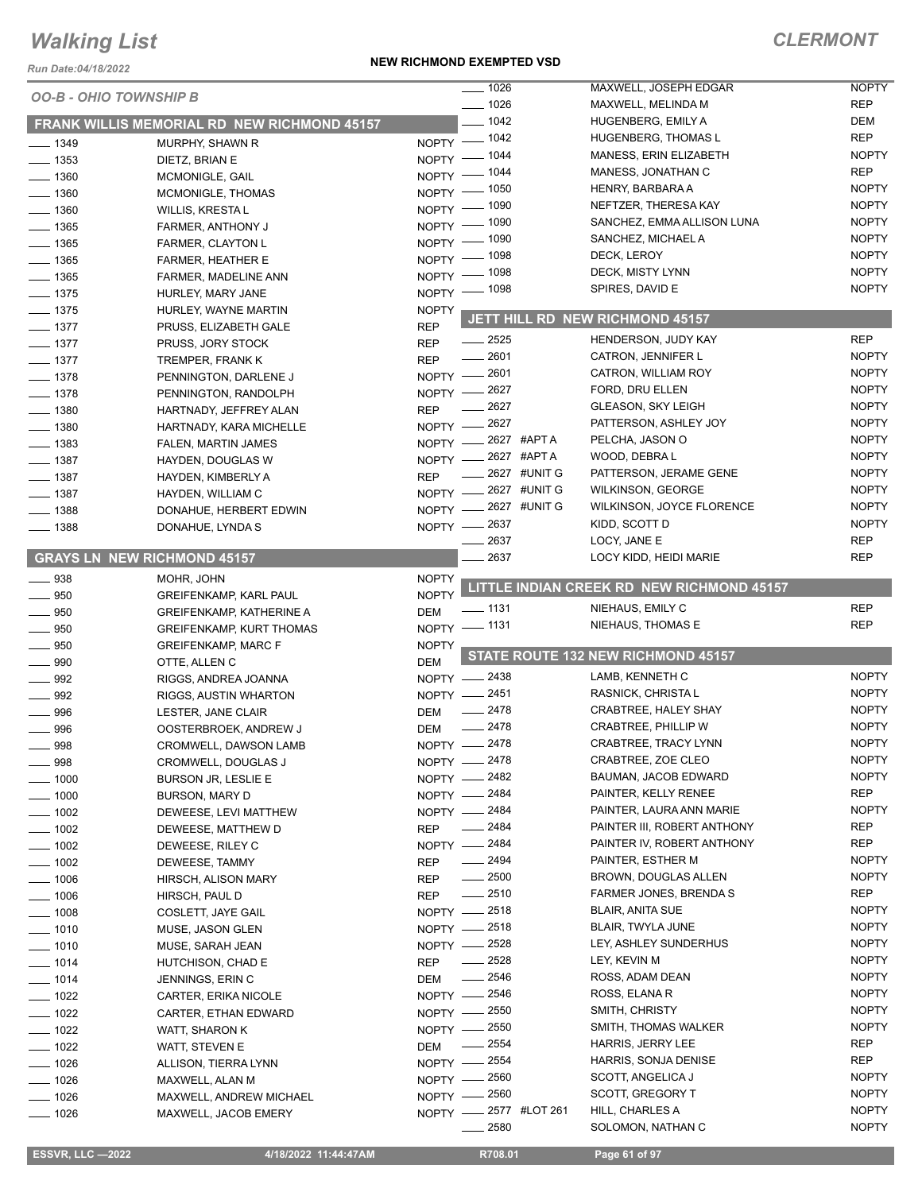#### *Run Date:04/18/2022*

#### **NEW RICHMOND EXEMPTED VSD**

|                    |                                                    |                           | $\frac{1}{2}$ 1026       | MAXWELL, JOSEPH EDGAR                     | <b>NOPTY</b> |
|--------------------|----------------------------------------------------|---------------------------|--------------------------|-------------------------------------------|--------------|
|                    | <b>OO-B - OHIO TOWNSHIP B</b>                      |                           |                          |                                           |              |
|                    |                                                    |                           | $- 1026$                 | MAXWELL, MELINDA M                        | <b>REP</b>   |
|                    | <b>FRANK WILLIS MEMORIAL RD NEW RICHMOND 45157</b> |                           | $-1042$                  | HUGENBERG, EMILY A                        | <b>DEM</b>   |
| $- 1349$           | MURPHY, SHAWN R                                    |                           | NOPTY - 1042             | <b>HUGENBERG, THOMAS L</b>                | <b>REP</b>   |
| $- 1353$           | DIETZ, BRIAN E                                     | NOPTY -                   | $-1044$                  | MANESS, ERIN ELIZABETH                    | <b>NOPTY</b> |
| $- 1360$           | MCMONIGLE, GAIL                                    | NOPTY -                   | _ 1044                   | MANESS, JONATHAN C                        | <b>REP</b>   |
| $- 1360$           | MCMONIGLE, THOMAS                                  | $NOPTY =$                 | 1050                     | HENRY, BARBARA A                          | <b>NOPTY</b> |
| $-1360$            | <b>WILLIS, KRESTAL</b>                             | $NOPTY =$                 | 1090                     | NEFTZER, THERESA KAY                      | <b>NOPTY</b> |
| $-1365$            | FARMER, ANTHONY J                                  |                           | NOPTY - 1090             | SANCHEZ, EMMA ALLISON LUNA                | <b>NOPTY</b> |
| $-1365$            | FARMER, CLAYTON L                                  | NOPTY -                   | 1090                     | SANCHEZ, MICHAEL A                        | <b>NOPTY</b> |
| $- 1365$           | <b>FARMER, HEATHER E</b>                           | NOPTY $-$                 | - 1098                   | DECK, LEROY                               | <b>NOPTY</b> |
| $\frac{1}{2}$ 1365 | FARMER, MADELINE ANN                               | NOPTY -                   | 1098                     | DECK, MISTY LYNN                          | <b>NOPTY</b> |
| $- 1375$           | HURLEY, MARY JANE                                  | $NOPTY$ -                 | 1098                     | SPIRES, DAVID E                           | <b>NOPTY</b> |
| $- 1375$           | HURLEY, WAYNE MARTIN                               | <b>NOPTY</b>              |                          |                                           |              |
| $- 1377$           | PRUSS, ELIZABETH GALE                              | <b>REP</b>                |                          | JETT HILL RD NEW RICHMOND 45157           |              |
| $- 1377$           | PRUSS, JORY STOCK                                  | <b>REP</b>                | $\frac{1}{2525}$         | HENDERSON, JUDY KAY                       | <b>REP</b>   |
| $\frac{1}{2}$ 1377 | TREMPER, FRANK K                                   | <b>REP</b>                | 2601                     | CATRON, JENNIFER L                        | <b>NOPTY</b> |
| $\frac{1}{2}$ 1378 | PENNINGTON, DARLENE J                              |                           | NOPTY -2601              | CATRON, WILLIAM ROY                       | <b>NOPTY</b> |
| $- 1378$           | PENNINGTON, RANDOLPH                               | $N$ OPTY $-$              | $-2627$                  | FORD, DRU ELLEN                           | <b>NOPTY</b> |
| $- 1380$           | HARTNADY, JEFFREY ALAN                             | <b>REP</b>                | 2627                     | <b>GLEASON, SKY LEIGH</b>                 | <b>NOPTY</b> |
| $-1380$            |                                                    | $NOPTY$ —                 | 2627                     | PATTERSON, ASHLEY JOY                     | <b>NOPTY</b> |
|                    | HARTNADY, KARA MICHELLE                            |                           | <sub>-</sub> 2627 #APT A | PELCHA, JASON O                           | <b>NOPTY</b> |
| $-1383$            | FALEN, MARTIN JAMES                                | $N$ OPTY $-$<br>$NOPTY$ - | 2627 #APTA               | WOOD, DEBRAL                              | <b>NOPTY</b> |
| $- 1387$           | HAYDEN, DOUGLAS W                                  |                           | 2627 #UNIT G             | PATTERSON, JERAME GENE                    | <b>NOPTY</b> |
| $- 1387$           | HAYDEN, KIMBERLY A                                 | <b>REP</b>                | NOPTY -2627 #UNIT G      | <b>WILKINSON, GEORGE</b>                  | <b>NOPTY</b> |
| $- 1387$           | HAYDEN, WILLIAM C                                  |                           | NOPTY -2627 #UNIT G      | WILKINSON, JOYCE FLORENCE                 | <b>NOPTY</b> |
| $- 1388$           | DONAHUE, HERBERT EDWIN                             |                           |                          | KIDD, SCOTT D                             | <b>NOPTY</b> |
| $- 1388$           | DONAHUE, LYNDA S                                   |                           | NOPTY -2637              |                                           | <b>REP</b>   |
|                    |                                                    |                           | 2637                     | LOCY, JANE E                              |              |
|                    | <b>GRAYS LN NEW RICHMOND 45157</b>                 |                           | 2637                     | LOCY KIDD, HEIDI MARIE                    | <b>REP</b>   |
| $\equiv$ 938       | MOHR, JOHN                                         | <b>NOPTY</b>              |                          | LITTLE INDIAN CREEK RD NEW RICHMOND 45157 |              |
| $- 950$            | <b>GREIFENKAMP, KARL PAUL</b>                      | <b>NOPTY</b>              |                          |                                           |              |
| $- 950$            | <b>GREIFENKAMP, KATHERINE A</b>                    | <b>DEM</b>                | ___ 1131                 | NIEHAUS, EMILY C                          | <b>REP</b>   |
| 950                | <b>GREIFENKAMP, KURT THOMAS</b>                    | $N$ OPTY $-$              | _ 1131                   | NIEHAUS, THOMAS E                         | <b>REP</b>   |
| 950                | <b>GREIFENKAMP, MARC F</b>                         | <b>NOPTY</b>              |                          |                                           |              |
| $\frac{1}{2}$ 990  | OTTE, ALLEN C                                      | <b>DEM</b>                |                          | STATE ROUTE 132 NEW RICHMOND 45157        |              |
| 992                | RIGGS, ANDREA JOANNA                               |                           | NOPTY -2438              | LAMB, KENNETH C                           | <b>NOPTY</b> |
| $\frac{1}{2}$ 992  | RIGGS, AUSTIN WHARTON                              |                           | NOPTY -2451              | RASNICK, CHRISTA L                        | <b>NOPTY</b> |
| 996                | LESTER, JANE CLAIR                                 | DEM                       | $-2478$                  | CRABTREE, HALEY SHAY                      | <b>NOPTY</b> |
| $\equiv$ 996       | OOSTERBROEK, ANDREW J                              | <b>DEM</b>                | $-2478$                  | CRABTREE, PHILLIP W                       | <b>NOPTY</b> |
| 998                | CROMWELL, DAWSON LAMB                              |                           | NOPTY -2478              | CRABTREE, TRACY LYNN                      | <b>NOPTY</b> |
| 998                | CROMWELL, DOUGLAS J                                |                           | NOPTY -2478              | CRABTREE, ZOE CLEO                        | <b>NOPTY</b> |
| $-1000$            | <b>BURSON JR, LESLIE E</b>                         |                           | NOPTY -2482              | BAUMAN, JACOB EDWARD                      | <b>NOPTY</b> |
| $-1000$            | BURSON, MARY D                                     |                           | NOPTY - 2484             | PAINTER, KELLY RENEE                      | <b>REP</b>   |
| $-1002$            | DEWEESE, LEVI MATTHEW                              | NOPTY -                   | 2484                     | PAINTER, LAURA ANN MARIE                  | <b>NOPTY</b> |
| $- 1002$           | DEWEESE, MATTHEW D                                 | <b>REP</b>                | 2484                     | PAINTER III, ROBERT ANTHONY               | REP          |
| $\frac{1}{2}$ 1002 | DEWEESE, RILEY C                                   |                           | NOPTY -2484              | PAINTER IV, ROBERT ANTHONY                | REP          |
| $\frac{1}{2}$ 1002 | DEWEESE, TAMMY                                     | <b>REP</b>                | $- 2494$                 | PAINTER, ESTHER M                         | <b>NOPTY</b> |
| $\frac{1}{2}$ 1006 | HIRSCH, ALISON MARY                                | <b>REP</b>                | $\frac{1}{2500}$         | BROWN, DOUGLAS ALLEN                      | <b>NOPTY</b> |
| ___ 1006           | HIRSCH, PAUL D                                     | <b>REP</b>                | $-2510$                  | <b>FARMER JONES, BRENDAS</b>              | REP          |
| $- 1008$           | COSLETT, JAYE GAIL                                 |                           | NOPTY - 2518             | <b>BLAIR, ANITA SUE</b>                   | <b>NOPTY</b> |
| $- 1010$           | MUSE, JASON GLEN                                   |                           | NOPTY - 2518             | BLAIR, TWYLA JUNE                         | <b>NOPTY</b> |
| $- 1010$           | MUSE, SARAH JEAN                                   |                           | NOPTY - 2528             | LEY, ASHLEY SUNDERHUS                     | <b>NOPTY</b> |
| $- 1014$           |                                                    | <b>REP</b>                | $-2528$                  | LEY, KEVIN M                              | <b>NOPTY</b> |
|                    | HUTCHISON, CHAD E                                  |                           | 2546                     | ROSS, ADAM DEAN                           | <b>NOPTY</b> |
| $- 1014$           | JENNINGS, ERIN C                                   | DEM                       | NOPTY - 2546             | ROSS, ELANA R                             | <b>NOPTY</b> |
| $- 1022$           | <b>CARTER, ERIKA NICOLE</b>                        |                           | 2550                     | SMITH, CHRISTY                            | <b>NOPTY</b> |
| $-1022$            | CARTER, ETHAN EDWARD                               | NOPTY -                   |                          |                                           |              |
| $- 1022$           | WATT, SHARON K                                     |                           | NOPTY -2550              | SMITH, THOMAS WALKER                      | <b>NOPTY</b> |
| $\frac{1}{2}$ 1022 | WATT, STEVEN E                                     | DEM                       | 2554                     | <b>HARRIS, JERRY LEE</b>                  | REP          |
| $- 1026$           | ALLISON, TIERRA LYNN                               | NOPTY -                   | 2554                     | HARRIS, SONJA DENISE                      | REP          |
| $- 1026$           | MAXWELL, ALAN M                                    |                           | NOPTY - 2560             | SCOTT, ANGELICA J                         | <b>NOPTY</b> |
| $-1026$            | MAXWELL, ANDREW MICHAEL                            |                           | NOPTY - 2560             | SCOTT, GREGORY T                          | <b>NOPTY</b> |
| $- 1026$           | MAXWELL, JACOB EMERY                               |                           | NOPTY -2577 #LOT 261     | HILL, CHARLES A                           | <b>NOPTY</b> |
|                    |                                                    |                           | 2580                     | SOLOMON, NATHAN C                         | <b>NOPTY</b> |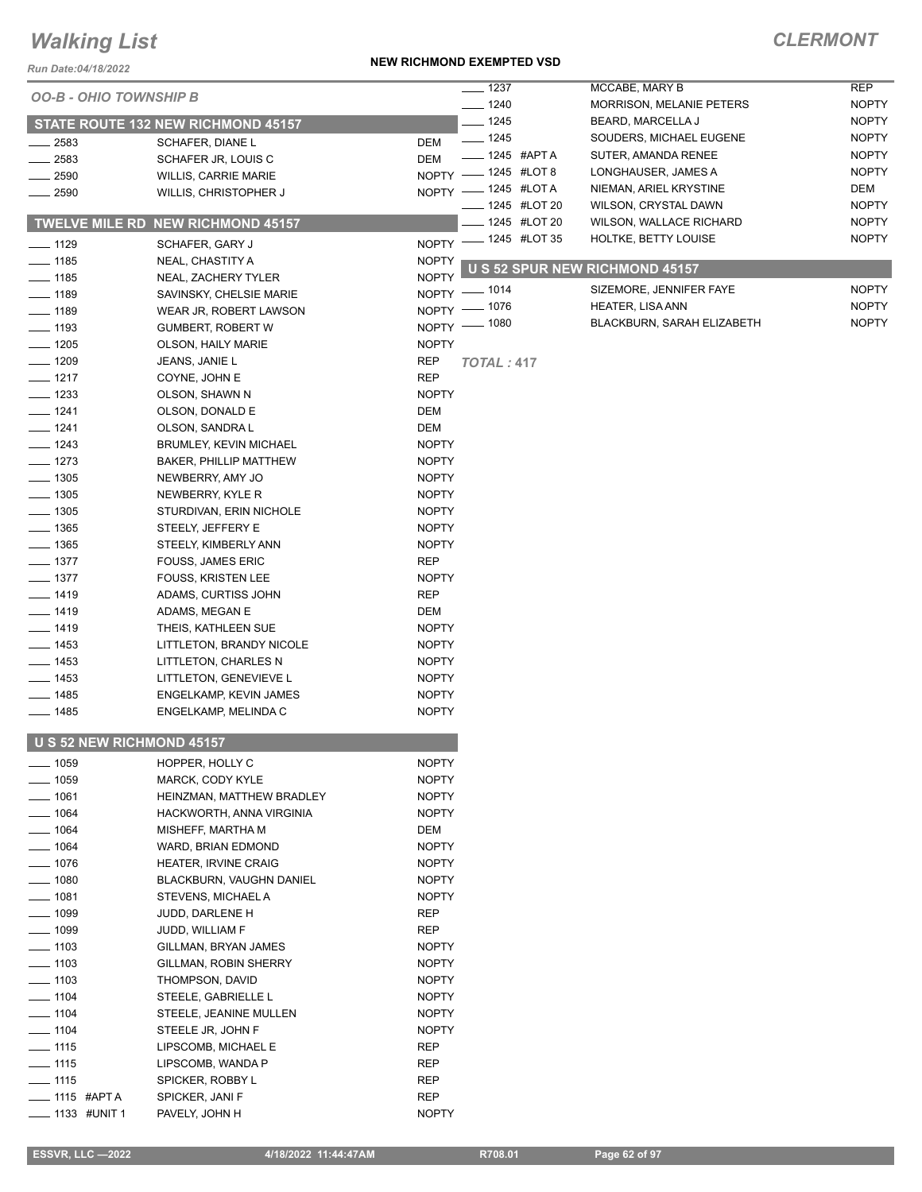#### *Run Date:04/18/2022*

#### **NEW RICHMOND EXEMPTED VSD**

| NUII DAIC.04/10/2022<br><b>OO-B - OHIO TOWNSHIP B</b> |                                          |              | $- 1237$                       | MCCABE, MARY B                                  | <b>REP</b>                   |
|-------------------------------------------------------|------------------------------------------|--------------|--------------------------------|-------------------------------------------------|------------------------------|
|                                                       |                                          |              | $- 1240$                       | <b>MORRISON, MELANIE PETERS</b>                 | <b>NOPTY</b>                 |
|                                                       | STATE ROUTE 132 NEW RICHMOND 45157       |              | $-1245$                        | BEARD, MARCELLA J                               | <b>NOPTY</b>                 |
| _ 2583                                                | SCHAFER, DIANE L                         | DEM          | $- 1245$                       | SOUDERS, MICHAEL EUGENE                         | <b>NOPTY</b>                 |
| $-2583$                                               | SCHAFER JR, LOUIS C                      | <b>DEM</b>   | $\frac{1}{2}$ 1245 #APTA       | SUTER, AMANDA RENEE                             | <b>NOPTY</b>                 |
| _ 2590                                                | <b>WILLIS, CARRIE MARIE</b>              |              | NOPTY - 1245 #LOT 8            | LONGHAUSER, JAMES A                             | <b>NOPTY</b>                 |
| $-2590$                                               | WILLIS, CHRISTOPHER J                    |              | NOPTY - 1245 #LOTA             | NIEMAN, ARIEL KRYSTINE                          | DEM                          |
|                                                       | <b>TWELVE MILE RD NEW RICHMOND 45157</b> |              | 1245 #LOT 20<br>_ 1245 #LOT 20 | WILSON, CRYSTAL DAWN<br>WILSON, WALLACE RICHARD | <b>NOPTY</b><br><b>NOPTY</b> |
| $- 1129$                                              | SCHAFER, GARY J                          |              | NOPTY - 1245 #LOT 35           | HOLTKE, BETTY LOUISE                            | <b>NOPTY</b>                 |
| $- 1185$                                              | NEAL, CHASTITY A                         | <b>NOPTY</b> |                                |                                                 |                              |
| $-1185$                                               | NEAL, ZACHERY TYLER                      | <b>NOPTY</b> |                                | U S 52 SPUR NEW RICHMOND 45157                  |                              |
| $-1189$                                               | SAVINSKY, CHELSIE MARIE                  |              | NOPTY - 1014                   | SIZEMORE, JENNIFER FAYE                         | <b>NOPTY</b>                 |
| $- 1189$                                              | WEAR JR, ROBERT LAWSON                   |              | NOPTY - 1076                   | <b>HEATER, LISA ANN</b>                         | <b>NOPTY</b>                 |
| $\frac{1}{2}$ 1193                                    | <b>GUMBERT, ROBERT W</b>                 |              | NOPTY - 1080                   | BLACKBURN, SARAH ELIZABETH                      | <b>NOPTY</b>                 |
| $- 1205$                                              | <b>OLSON, HAILY MARIE</b>                | <b>NOPTY</b> |                                |                                                 |                              |
| $- 1209$                                              | JEANS, JANIE L                           | <b>REP</b>   |                                |                                                 |                              |
| $- 1217$                                              |                                          | <b>REP</b>   | <b>TOTAL: 417</b>              |                                                 |                              |
| $- 1233$                                              | COYNE, JOHN E<br>OLSON, SHAWN N          | <b>NOPTY</b> |                                |                                                 |                              |
| $- 1241$                                              |                                          |              |                                |                                                 |                              |
|                                                       | OLSON, DONALD E                          | DEM          |                                |                                                 |                              |
| $- 1241$                                              | OLSON, SANDRA L                          | <b>DEM</b>   |                                |                                                 |                              |
| $- 1243$                                              | <b>BRUMLEY, KEVIN MICHAEL</b>            | <b>NOPTY</b> |                                |                                                 |                              |
| $- 1273$                                              | BAKER, PHILLIP MATTHEW                   | <b>NOPTY</b> |                                |                                                 |                              |
| $\frac{1}{2}$ 1305                                    | NEWBERRY, AMY JO                         | <b>NOPTY</b> |                                |                                                 |                              |
| $-1305$                                               | NEWBERRY, KYLE R                         | <b>NOPTY</b> |                                |                                                 |                              |
| $-1305$                                               | STURDIVAN, ERIN NICHOLE                  | <b>NOPTY</b> |                                |                                                 |                              |
| $-1365$                                               | STEELY, JEFFERY E                        | <b>NOPTY</b> |                                |                                                 |                              |
| $- 1365$                                              | STEELY, KIMBERLY ANN                     | <b>NOPTY</b> |                                |                                                 |                              |
| $- 1377$                                              | <b>FOUSS, JAMES ERIC</b>                 | <b>REP</b>   |                                |                                                 |                              |
| $\frac{1}{2}$ 1377                                    | <b>FOUSS, KRISTEN LEE</b>                | <b>NOPTY</b> |                                |                                                 |                              |
| $- 1419$                                              | ADAMS, CURTISS JOHN                      | <b>REP</b>   |                                |                                                 |                              |
| __ 1419                                               | ADAMS, MEGAN E                           | DEM          |                                |                                                 |                              |
| $- 1419$                                              | THEIS, KATHLEEN SUE                      | <b>NOPTY</b> |                                |                                                 |                              |
| $\frac{1}{2}$ 1453                                    | LITTLETON, BRANDY NICOLE                 | <b>NOPTY</b> |                                |                                                 |                              |
| $\frac{1}{2}$ 1453                                    | LITTLETON, CHARLES N                     | <b>NOPTY</b> |                                |                                                 |                              |
| $- 1453$                                              | LITTLETON, GENEVIEVE L                   | <b>NOPTY</b> |                                |                                                 |                              |
| __ 1485                                               | ENGELKAMP, KEVIN JAMES                   | <b>NOPTY</b> |                                |                                                 |                              |
| $- 1485$                                              | ENGELKAMP, MELINDA C                     | <b>NOPTY</b> |                                |                                                 |                              |
|                                                       | <b>U S 52 NEW RICHMOND 45157</b>         |              |                                |                                                 |                              |
| $\frac{1}{2}$ 1059                                    | HOPPER, HOLLY C                          | <b>NOPTY</b> |                                |                                                 |                              |
| $\frac{1}{1059}$                                      | MARCK, CODY KYLE                         | <b>NOPTY</b> |                                |                                                 |                              |
| $- 1061$                                              | HEINZMAN, MATTHEW BRADLEY                | <b>NOPTY</b> |                                |                                                 |                              |
| $- 1064$                                              | HACKWORTH, ANNA VIRGINIA                 | <b>NOPTY</b> |                                |                                                 |                              |
| $-1064$                                               | MISHEFF, MARTHA M                        | DEM          |                                |                                                 |                              |
| $-1064$                                               | WARD, BRIAN EDMOND                       | <b>NOPTY</b> |                                |                                                 |                              |
| $-1076$                                               | <b>HEATER, IRVINE CRAIG</b>              | <b>NOPTY</b> |                                |                                                 |                              |
| 1080                                                  | BLACKBURN, VAUGHN DANIEL                 | <b>NOPTY</b> |                                |                                                 |                              |
| $-1081$                                               | STEVENS, MICHAEL A                       | <b>NOPTY</b> |                                |                                                 |                              |
| $\frac{1099}{2}$                                      | JUDD, DARLENE H                          | REP          |                                |                                                 |                              |
| $- 1099$                                              | JUDD, WILLIAM F                          | REP          |                                |                                                 |                              |
| $\frac{1}{2}$ 1103                                    | GILLMAN, BRYAN JAMES                     | <b>NOPTY</b> |                                |                                                 |                              |
| $\frac{1}{2}$ 1103                                    | GILLMAN, ROBIN SHERRY                    | <b>NOPTY</b> |                                |                                                 |                              |
| $- 1103$                                              | THOMPSON, DAVID                          | <b>NOPTY</b> |                                |                                                 |                              |
| $\frac{1}{2}$ 1104                                    | STEELE, GABRIELLE L                      | <b>NOPTY</b> |                                |                                                 |                              |
| $- 1104$                                              | STEELE, JEANINE MULLEN                   | <b>NOPTY</b> |                                |                                                 |                              |
| $\frac{1}{2}$ 1104                                    | STEELE JR, JOHN F                        | <b>NOPTY</b> |                                |                                                 |                              |
| $- 1115$                                              | LIPSCOMB, MICHAEL E                      | REP          |                                |                                                 |                              |
| $-$ 1115                                              | LIPSCOMB, WANDA P                        | REP          |                                |                                                 |                              |
| $- 1115$                                              | SPICKER, ROBBY L                         | REP          |                                |                                                 |                              |
| __ 1115 #APT A                                        | SPICKER, JANI F                          | <b>REP</b>   |                                |                                                 |                              |
| _ 1133 #UNIT 1                                        | PAVELY, JOHN H                           | <b>NOPTY</b> |                                |                                                 |                              |
|                                                       |                                          |              |                                |                                                 |                              |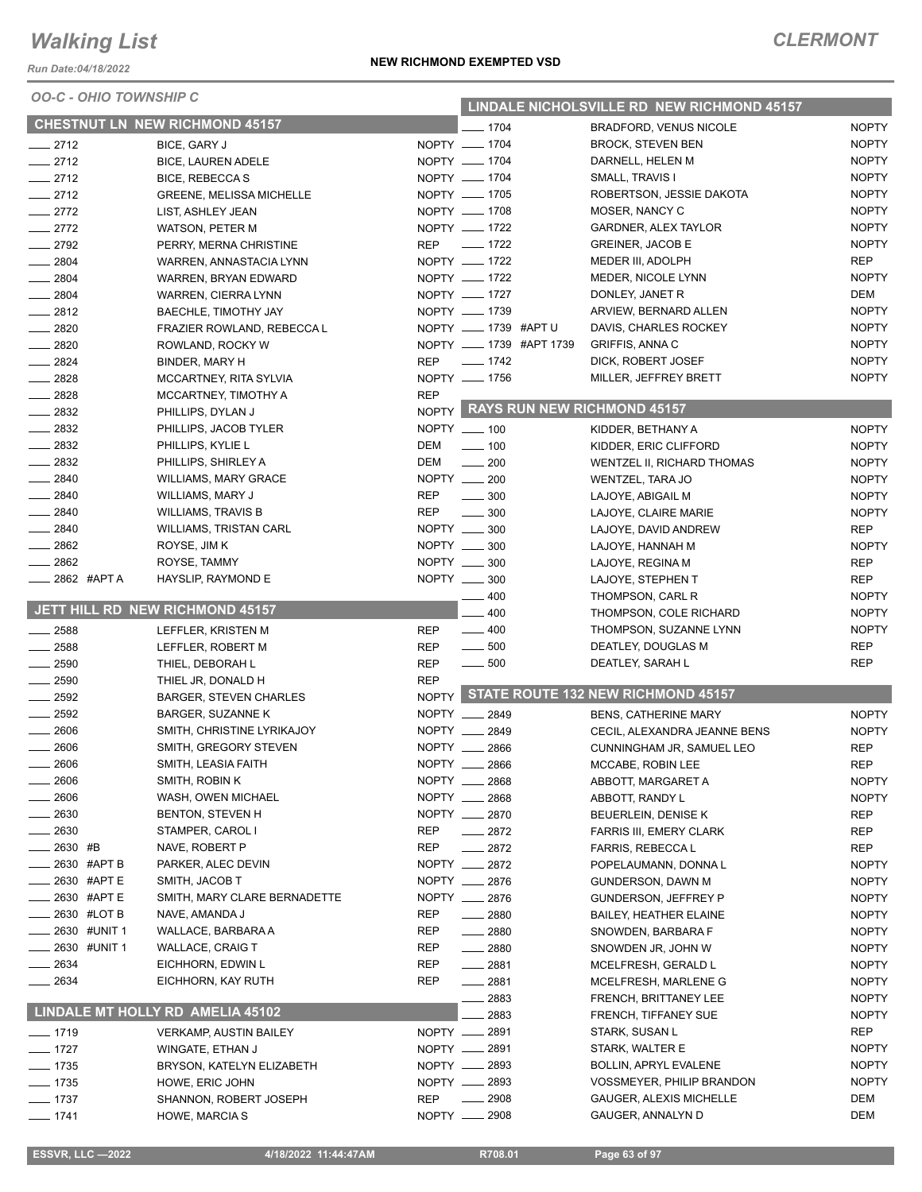*Run Date:04/18/2022*

*OO-C - OHIO TOWNSHIP C*

| NEW RICHMOND EXEMPTED VSD |  |
|---------------------------|--|
|---------------------------|--|

| <u> 500-01110 - 1011110 - 101111</u> |                                                |            |                                       |                         | LINDALE NICHOLSVILLE RD NEW RICHMOND 45157     |                              |
|--------------------------------------|------------------------------------------------|------------|---------------------------------------|-------------------------|------------------------------------------------|------------------------------|
|                                      | <b>CHESTNUT LN NEW RICHMOND 45157</b>          |            | $- 1704$                              |                         | BRADFORD, VENUS NICOLE                         | <b>NOPTY</b>                 |
| $-2712$                              | BICE, GARY J                                   |            | NOPTY __ 1704                         |                         | <b>BROCK, STEVEN BEN</b>                       | <b>NOPTY</b>                 |
| $-2712$                              | <b>BICE, LAUREN ADELE</b>                      |            | NOPTY __ 1704                         |                         | DARNELL, HELEN M                               | <b>NOPTY</b>                 |
| $-2712$                              | BICE, REBECCA S                                |            | NOPTY __ 1704                         |                         | SMALL, TRAVIS I                                | <b>NOPTY</b>                 |
| $-2712$                              | <b>GREENE, MELISSA MICHELLE</b>                |            | NOPTY __ 1705                         |                         | ROBERTSON, JESSIE DAKOTA                       | <b>NOPTY</b>                 |
| $-2772$                              | LIST, ASHLEY JEAN                              |            | NOPTY __ 1708                         |                         | MOSER, NANCY C                                 | <b>NOPTY</b>                 |
| $-2772$                              | WATSON, PETER M                                |            | NOPTY __ 1722                         |                         | <b>GARDNER, ALEX TAYLOR</b>                    | <b>NOPTY</b>                 |
| $-2792$                              | PERRY, MERNA CHRISTINE                         |            | REP __ 1722                           |                         | <b>GREINER, JACOB E</b>                        | <b>NOPTY</b>                 |
| $- 2804$                             | WARREN, ANNASTACIA LYNN                        |            | NOPTY __ 1722                         |                         | MEDER III, ADOLPH                              | <b>REP</b>                   |
| $-2804$                              | WARREN, BRYAN EDWARD                           |            | NOPTY __ 1722                         |                         | MEDER, NICOLE LYNN                             | <b>NOPTY</b>                 |
| $-2804$                              | WARREN, CIERRA LYNN                            |            | NOPTY __ 1727                         |                         | DONLEY, JANET R                                | DEM                          |
| $-2812$<br>$-2820$                   | BAECHLE, TIMOTHY JAY                           |            | NOPTY __ 1739<br>NOPTY __ 1739 #APT U |                         | ARVIEW, BERNARD ALLEN                          | <b>NOPTY</b><br><b>NOPTY</b> |
| $- 2820$                             | FRAZIER ROWLAND, REBECCA L                     |            |                                       | NOPTY __ 1739 #APT 1739 | DAVIS, CHARLES ROCKEY<br><b>GRIFFIS, ANNAC</b> | <b>NOPTY</b>                 |
| $-2824$                              | ROWLAND, ROCKY W<br>BINDER, MARY H             | <b>REP</b> | $- 1742$                              |                         | DICK, ROBERT JOSEF                             | <b>NOPTY</b>                 |
| $-2828$                              | MCCARTNEY, RITA SYLVIA                         |            | NOPTY __ 1756                         |                         | MILLER, JEFFREY BRETT                          | <b>NOPTY</b>                 |
| $-2828$                              | MCCARTNEY, TIMOTHY A                           | <b>REP</b> |                                       |                         |                                                |                              |
| $\frac{2832}{2}$                     | PHILLIPS, DYLAN J                              |            |                                       |                         | NOPTY RAYS RUN NEW RICHMOND 45157              |                              |
| $\frac{1}{2832}$                     | PHILLIPS, JACOB TYLER                          |            | NOPTY __ 100                          |                         | KIDDER, BETHANY A                              | <b>NOPTY</b>                 |
| $-2832$                              | PHILLIPS, KYLIE L                              | DEM        | $- 100$                               |                         | KIDDER, ERIC CLIFFORD                          | <b>NOPTY</b>                 |
| $\frac{2832}{2}$                     | PHILLIPS, SHIRLEY A                            | DEM        | $\frac{1}{200}$                       |                         | WENTZEL II, RICHARD THOMAS                     | <b>NOPTY</b>                 |
| $-2840$                              | <b>WILLIAMS, MARY GRACE</b>                    |            | NOPTY __ 200                          |                         | WENTZEL, TARA JO                               | <b>NOPTY</b>                 |
| $-2840$                              | WILLIAMS, MARY J                               | <b>REP</b> | $\frac{1}{2}$ 300                     |                         | LAJOYE, ABIGAIL M                              | <b>NOPTY</b>                 |
| $-2840$                              | <b>WILLIAMS, TRAVIS B</b>                      | <b>REP</b> | $\frac{1}{2}$ 300                     |                         | LAJOYE, CLAIRE MARIE                           | <b>NOPTY</b>                 |
| $-2840$                              | <b>WILLIAMS, TRISTAN CARL</b>                  |            | NOPTY __ 300                          |                         | LAJOYE, DAVID ANDREW                           | <b>REP</b>                   |
| $\frac{1}{2862}$                     | ROYSE, JIM K                                   |            | NOPTY __ 300                          |                         | LAJOYE, HANNAH M                               | <b>NOPTY</b>                 |
| $\frac{1}{2862}$                     | ROYSE, TAMMY                                   |            | NOPTY __ 300                          |                         | LAJOYE, REGINA M                               | <b>REP</b>                   |
| ____ 2862 #APTA                      | HAYSLIP, RAYMOND E                             |            | NOPTY __ 300                          |                         | LAJOYE, STEPHEN T                              | <b>REP</b>                   |
|                                      |                                                |            | $-400$                                |                         | THOMPSON, CARL R                               | <b>NOPTY</b>                 |
|                                      | JETT HILL RD NEW RICHMOND 45157                |            | 400                                   |                         | THOMPSON, COLE RICHARD                         | <b>NOPTY</b>                 |
| $-2588$                              | LEFFLER, KRISTEN M                             | <b>REP</b> | $-400$                                |                         | THOMPSON, SUZANNE LYNN                         | <b>NOPTY</b>                 |
| $-2588$                              | LEFFLER, ROBERT M                              | <b>REP</b> | $\frac{1}{2}$ 500                     |                         | DEATLEY, DOUGLAS M                             | <b>REP</b>                   |
| $\frac{1}{2590}$                     | THIEL, DEBORAH L                               | <b>REP</b> | $\frac{1}{2}$ 500                     |                         | DEATLEY, SARAH L                               | <b>REP</b>                   |
| $\frac{1}{2590}$                     | THIEL JR, DONALD H                             | <b>REP</b> |                                       |                         |                                                |                              |
| $-2592$                              | <b>BARGER, STEVEN CHARLES</b>                  | NOPTY      |                                       |                         | STATE ROUTE 132 NEW RICHMOND 45157             |                              |
| $-2592$                              | BARGER, SUZANNE K                              |            | NOPTY __ 2849                         |                         | <b>BENS, CATHERINE MARY</b>                    | <b>NOPTY</b>                 |
| $- 2606$                             | SMITH, CHRISTINE LYRIKAJOY                     |            | NOPTY __ 2849                         |                         | CECIL, ALEXANDRA JEANNE BENS                   | <b>NOPTY</b>                 |
| $- 2606$                             | SMITH, GREGORY STEVEN                          |            | NOPTY __ 2866                         |                         | CUNNINGHAM JR, SAMUEL LEO                      | <b>REP</b>                   |
| $- 2606$                             | SMITH, LEASIA FAITH                            |            | NOPTY __ 2866                         |                         | MCCABE, ROBIN LEE                              | <b>REP</b>                   |
| 2606                                 | SMITH, ROBIN K                                 |            | NOPTY __ 2868                         |                         | ABBOTT, MARGARET A                             | <b>NOPTY</b>                 |
| 2606                                 | WASH, OWEN MICHAEL                             | NOPTY __   | 2868                                  |                         | ABBOTT, RANDY L                                | <b>NOPTY</b>                 |
| - 2630                               | <b>BENTON, STEVEN H</b>                        |            | NOPTY __ 2870                         |                         | BEUERLEIN, DENISE K                            | REP                          |
| $-2630$                              | STAMPER, CAROL I                               | REP        | 2872                                  |                         | FARRIS III, EMERY CLARK                        | REP                          |
| $-2630$ #B                           | NAVE, ROBERT P                                 | REP        | 2872                                  |                         | FARRIS, REBECCA L                              | REP                          |
| _ 2630 #APT B                        | PARKER, ALEC DEVIN                             |            | NOPTY __ 2872                         |                         | POPELAUMANN, DONNA L                           | <b>NOPTY</b>                 |
| $-2630$ #APT E                       | SMITH, JACOB T                                 |            | NOPTY __ 2876                         |                         | GUNDERSON, DAWN M                              | <b>NOPTY</b>                 |
| _ 2630 #APT E<br>_ 2630 #LOT B       | SMITH, MARY CLARE BERNADETTE<br>NAVE, AMANDA J | REP        | NOPTY __ 2876<br>2880                 |                         | GUNDERSON, JEFFREY P                           | <b>NOPTY</b><br><b>NOPTY</b> |
| 2630 #UNIT 1                         | WALLACE, BARBARA A                             | REP        | 2880                                  |                         | BAILEY, HEATHER ELAINE<br>SNOWDEN, BARBARA F   | <b>NOPTY</b>                 |
| _ 2630   #UNIT 1                     | <b>WALLACE, CRAIG T</b>                        | REP        | $- 2880$                              |                         | SNOWDEN JR, JOHN W                             | <b>NOPTY</b>                 |
| $-2634$                              | EICHHORN, EDWIN L                              | REP        | $-2881$                               |                         | MCELFRESH, GERALD L                            | <b>NOPTY</b>                 |
| _ 2634                               | EICHHORN, KAY RUTH                             | REP        | $-2881$                               |                         | MCELFRESH, MARLENE G                           | <b>NOPTY</b>                 |
|                                      |                                                |            | 2883                                  |                         | FRENCH, BRITTANEY LEE                          | <b>NOPTY</b>                 |
|                                      | LINDALE MT HOLLY RD AMELIA 45102               |            | 2883                                  |                         | FRENCH, TIFFANEY SUE                           | <b>NOPTY</b>                 |
| $- 1719$                             | <b>VERKAMP, AUSTIN BAILEY</b>                  |            | NOPTY __ 2891                         |                         | STARK, SUSAN L                                 | REP                          |
| $- 1727$                             | WINGATE, ETHAN J                               | NOPTY __   | 2891                                  |                         | STARK, WALTER E                                | <b>NOPTY</b>                 |
| $- 1735$                             | BRYSON, KATELYN ELIZABETH                      |            | NOPTY __ 2893                         |                         | <b>BOLLIN, APRYL EVALENE</b>                   | <b>NOPTY</b>                 |
| $- 1735$                             | HOWE, ERIC JOHN                                |            | NOPTY __ 2893                         |                         | VOSSMEYER, PHILIP BRANDON                      | <b>NOPTY</b>                 |
| $- 1737$                             | SHANNON, ROBERT JOSEPH                         | REP        | 2908                                  |                         | <b>GAUGER, ALEXIS MICHELLE</b>                 | DEM                          |
| $- 1741$                             | <b>HOWE, MARCIA S</b>                          |            | NOPTY __ 2908                         |                         | GAUGER, ANNALYN D                              | DEM                          |
|                                      |                                                |            |                                       |                         |                                                |                              |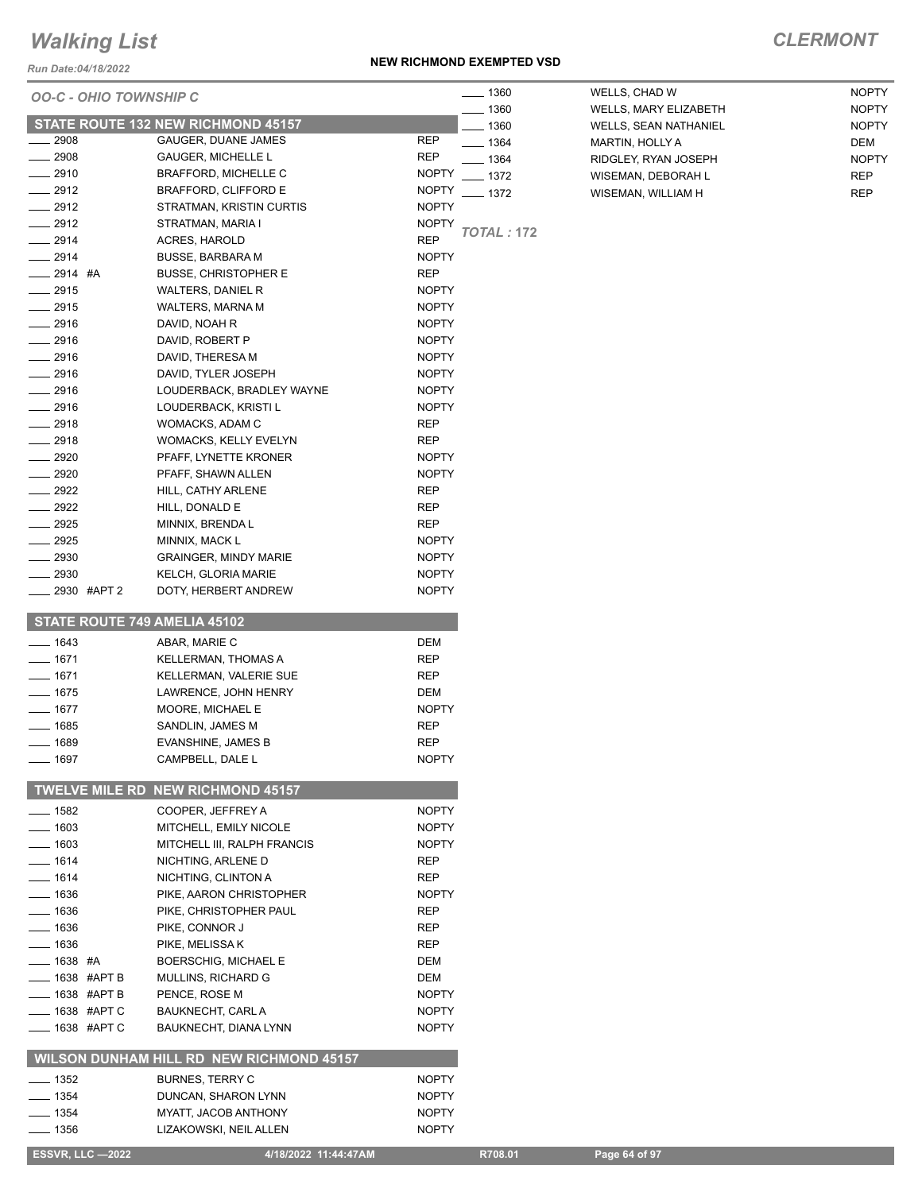#### *Run Date:04/18/2022*

#### **NEW RICHMOND EXEMPTED VSD**

| <b>OO-C - OHIO TOWNSHIP C</b>            |                                                     |                              | $- 1360$          | WELLS, CHAD W                                         | <b>NOPTY</b><br><b>NOPTY</b> |
|------------------------------------------|-----------------------------------------------------|------------------------------|-------------------|-------------------------------------------------------|------------------------------|
|                                          | STATE ROUTE 132 NEW RICHMOND 45157                  |                              | 1360<br>1360      | WELLS, MARY ELIZABETH<br><b>WELLS, SEAN NATHANIEL</b> | <b>NOPTY</b>                 |
| 2908                                     | GAUGER, DUANE JAMES                                 | <b>REP</b>                   | $- 1364$          | MARTIN, HOLLY A                                       | DEM                          |
| 2908                                     | <b>GAUGER, MICHELLE L</b>                           | <b>REP</b>                   | __ 1364           | RIDGLEY, RYAN JOSEPH                                  | <b>NOPTY</b>                 |
| $\frac{2910}{200}$                       | <b>BRAFFORD, MICHELLE C</b>                         | <b>NOPTY</b>                 | $-1372$           | WISEMAN, DEBORAH L                                    | <b>REP</b>                   |
| $-2912$                                  | BRAFFORD, CLIFFORD E                                | <b>NOPTY</b>                 | $-1372$           | WISEMAN, WILLIAM H                                    | <b>REP</b>                   |
| $-2912$                                  | STRATMAN, KRISTIN CURTIS                            | <b>NOPTY</b>                 |                   |                                                       |                              |
| 2912                                     | STRATMAN, MARIA I                                   | <b>NOPTY</b>                 |                   |                                                       |                              |
| $-2914$                                  | <b>ACRES, HAROLD</b>                                | <b>REP</b>                   | <b>TOTAL: 172</b> |                                                       |                              |
| $-2914$                                  | <b>BUSSE, BARBARA M</b>                             | <b>NOPTY</b>                 |                   |                                                       |                              |
| $-2914$ #A                               | <b>BUSSE, CHRISTOPHER E</b>                         | <b>REP</b>                   |                   |                                                       |                              |
| $-2915$                                  | <b>WALTERS, DANIEL R</b>                            | <b>NOPTY</b>                 |                   |                                                       |                              |
| 2915                                     | WALTERS, MARNA M                                    | <b>NOPTY</b>                 |                   |                                                       |                              |
| 2916                                     | DAVID, NOAH R                                       | <b>NOPTY</b>                 |                   |                                                       |                              |
| 2916                                     | DAVID, ROBERT P                                     | <b>NOPTY</b>                 |                   |                                                       |                              |
| $-2916$                                  | DAVID, THERESA M                                    | <b>NOPTY</b>                 |                   |                                                       |                              |
| $-2916$                                  | DAVID, TYLER JOSEPH                                 | <b>NOPTY</b>                 |                   |                                                       |                              |
| $-2916$                                  | LOUDERBACK, BRADLEY WAYNE                           | <b>NOPTY</b>                 |                   |                                                       |                              |
| 2916                                     | LOUDERBACK, KRISTI L                                | <b>NOPTY</b>                 |                   |                                                       |                              |
| 2918                                     | WOMACKS, ADAM C                                     | REP                          |                   |                                                       |                              |
| $-2918$                                  | WOMACKS, KELLY EVELYN                               | <b>REP</b>                   |                   |                                                       |                              |
| 2920                                     | PFAFF, LYNETTE KRONER                               | <b>NOPTY</b>                 |                   |                                                       |                              |
| 2920                                     | PFAFF, SHAWN ALLEN                                  | <b>NOPTY</b>                 |                   |                                                       |                              |
| 2922                                     | HILL, CATHY ARLENE                                  | <b>REP</b>                   |                   |                                                       |                              |
| 2922                                     | HILL, DONALD E                                      | REP                          |                   |                                                       |                              |
| 2925                                     | MINNIX, BRENDA L                                    | <b>REP</b>                   |                   |                                                       |                              |
| 2925<br>2930                             | MINNIX, MACK L                                      | <b>NOPTY</b><br><b>NOPTY</b> |                   |                                                       |                              |
| $-2930$                                  | <b>GRAINGER, MINDY MARIE</b><br>KELCH, GLORIA MARIE | <b>NOPTY</b>                 |                   |                                                       |                              |
| _____ 2930 #APT 2                        | DOTY, HERBERT ANDREW                                | <b>NOPTY</b>                 |                   |                                                       |                              |
|                                          |                                                     |                              |                   |                                                       |                              |
| STATE ROUTE 749 AMELIA 45102<br>$- 1643$ | ABAR, MARIE C                                       | DEM                          |                   |                                                       |                              |
| $- 1671$                                 | KELLERMAN, THOMAS A                                 | <b>REP</b>                   |                   |                                                       |                              |
| $- 1671$                                 | KELLERMAN, VALERIE SUE                              | <b>REP</b>                   |                   |                                                       |                              |
| $- 1675$                                 | LAWRENCE, JOHN HENRY                                | DEM                          |                   |                                                       |                              |
| $- 1677$                                 | MOORE, MICHAEL E                                    | <b>NOPTY</b>                 |                   |                                                       |                              |
| $-1685$                                  | SANDLIN, JAMES M                                    | <b>REP</b>                   |                   |                                                       |                              |
| 1689                                     | EVANSHINE, JAMES B                                  | <b>REP</b>                   |                   |                                                       |                              |
| $- 1697$                                 | CAMPBELL, DALE L                                    | <b>NOPTY</b>                 |                   |                                                       |                              |
|                                          | TWELVE MILE RD NEW RICHMOND 45157                   |                              |                   |                                                       |                              |
| $- 1582$                                 | COOPER, JEFFREY A                                   | <b>NOPTY</b>                 |                   |                                                       |                              |
| $-1603$                                  | MITCHELL, EMILY NICOLE                              | <b>NOPTY</b>                 |                   |                                                       |                              |
| $- 1603$                                 | MITCHELL III, RALPH FRANCIS                         | <b>NOPTY</b>                 |                   |                                                       |                              |
| $- 1614$                                 | NICHTING, ARLENE D                                  | <b>REP</b>                   |                   |                                                       |                              |
| $- 1614$                                 | NICHTING, CLINTON A                                 | REP                          |                   |                                                       |                              |
| $- 1636$                                 | PIKE, AARON CHRISTOPHER                             | <b>NOPTY</b>                 |                   |                                                       |                              |
| $- 1636$                                 | PIKE, CHRISTOPHER PAUL                              | REP                          |                   |                                                       |                              |
| $- 1636$                                 | PIKE, CONNOR J                                      | REP                          |                   |                                                       |                              |
| $- 1636$                                 | PIKE, MELISSA K                                     | <b>REP</b>                   |                   |                                                       |                              |
| $- 1638$ #A                              | <b>BOERSCHIG, MICHAEL E</b>                         | DEM                          |                   |                                                       |                              |
| ___ 1638 #APT B                          | MULLINS, RICHARD G                                  | DEM                          |                   |                                                       |                              |
| $\frac{1}{2}$ 1638 #APT B                | PENCE, ROSE M                                       | <b>NOPTY</b>                 |                   |                                                       |                              |
| <b>_____ 1638 #APT C</b>                 | BAUKNECHT, CARL A                                   | <b>NOPTY</b>                 |                   |                                                       |                              |
| $\frac{1}{2}$ 1638 #APT C                | BAUKNECHT, DIANA LYNN                               | <b>NOPTY</b>                 |                   |                                                       |                              |
|                                          | WILSON DUNHAM HILL RD NEW RICHMOND 45157            |                              |                   |                                                       |                              |
| $\frac{1}{2}$ 1352                       | <b>BURNES, TERRY C</b>                              | <b>NOPTY</b>                 |                   |                                                       |                              |
| $- 1354$                                 | DUNCAN, SHARON LYNN                                 | <b>NOPTY</b>                 |                   |                                                       |                              |
| $\frac{1}{2}$ 1354                       | MYATT, JACOB ANTHONY                                | <b>NOPTY</b>                 |                   |                                                       |                              |
| $- 1356$                                 | LIZAKOWSKI, NEIL ALLEN                              | <b>NOPTY</b>                 |                   |                                                       |                              |
| <b>ESSVR, LLC -2022</b>                  | 4/18/2022 11:44:47AM                                |                              | R708.01           | Page 64 of 97                                         |                              |
|                                          |                                                     |                              |                   |                                                       |                              |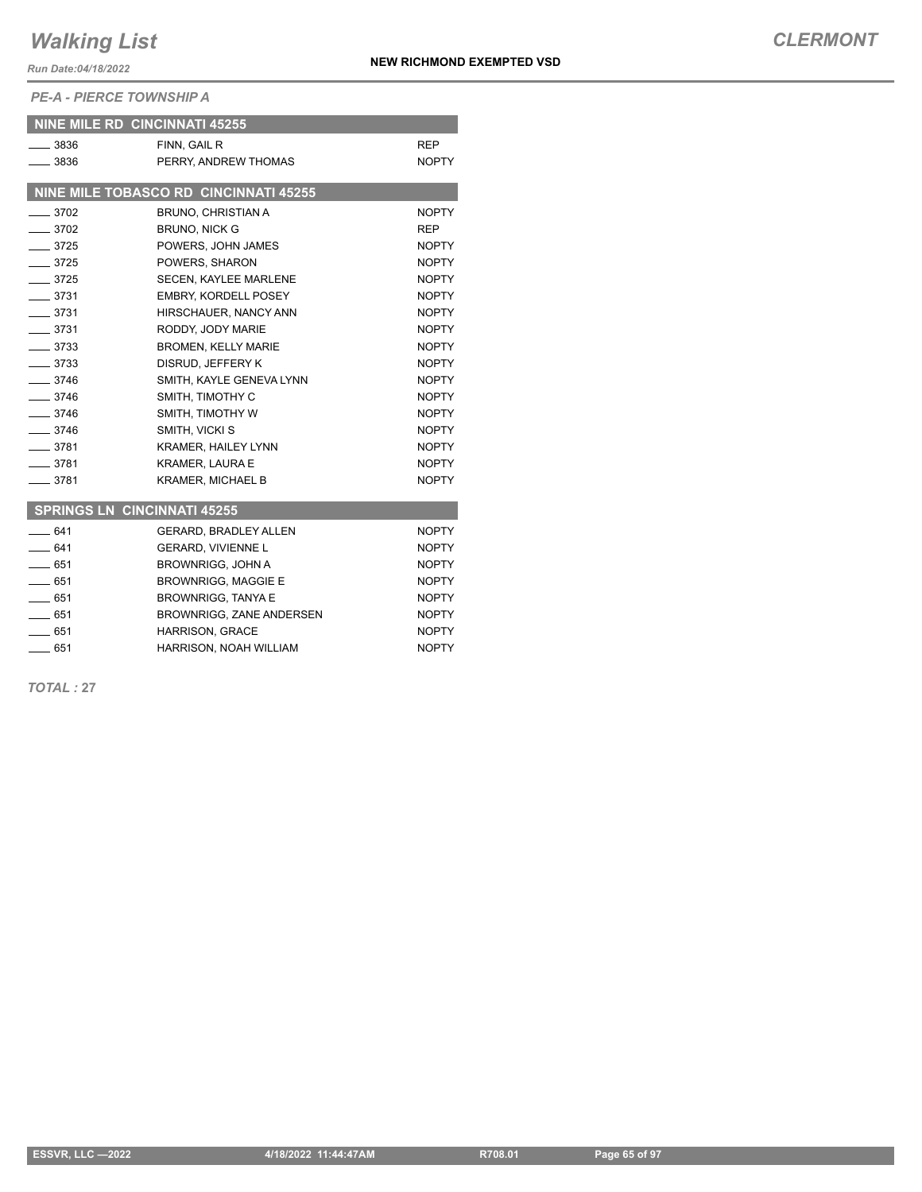*Run Date:04/18/2022*

*PE-A - PIERCE TOWNSHIP A*

|                    | <b>NINE MILE RD CINCINNATI 45255</b>  |              |
|--------------------|---------------------------------------|--------------|
| $- 3836$           | FINN, GAIL R                          | <b>REP</b>   |
| $\sim$ 3836        | PERRY, ANDREW THOMAS                  | <b>NOPTY</b> |
|                    |                                       |              |
|                    | NINE MILE TOBASCO RD CINCINNATI 45255 |              |
| $-3702$            | <b>BRUNO, CHRISTIAN A</b>             | <b>NOPTY</b> |
| $- 3702$           | <b>BRUNO, NICK G</b>                  | <b>REP</b>   |
| $-3725$            | POWERS, JOHN JAMES                    | <b>NOPTY</b> |
| $-3725$            | POWERS, SHARON                        | <b>NOPTY</b> |
| $-3725$            | <b>SECEN. KAYLEE MARLENE</b>          | <b>NOPTY</b> |
| $-3731$            | <b>EMBRY, KORDELL POSEY</b>           | <b>NOPTY</b> |
| $-3731$            | HIRSCHAUER, NANCY ANN                 | <b>NOPTY</b> |
| $-3731$            | RODDY, JODY MARIE                     | <b>NOPTY</b> |
| $- 3733$           | <b>BROMEN, KELLY MARIE</b>            | <b>NOPTY</b> |
| $- 3733$           | DISRUD, JEFFERY K                     | <b>NOPTY</b> |
| $-3746$            | SMITH, KAYLE GENEVA LYNN              | <b>NOPTY</b> |
| $- 3746$           | SMITH. TIMOTHY C                      | <b>NOPTY</b> |
| $\frac{1}{2}$ 3746 | SMITH, TIMOTHY W                      | <b>NOPTY</b> |
| $-3746$            | SMITH, VICKI S                        | <b>NOPTY</b> |
| $-3781$            | <b>KRAMER, HAILEY LYNN</b>            | <b>NOPTY</b> |
| $-3781$            | <b>KRAMER, LAURA E</b>                | <b>NOPTY</b> |
| $-3781$            | <b>KRAMER, MICHAEL B</b>              | <b>NOPTY</b> |
|                    |                                       |              |
|                    | <b>SPRINGS LN CINCINNATI 45255</b>    |              |
| $-641$             | <b>GERARD, BRADLEY ALLEN</b>          | NOPTY        |
| $-641$             | GERARD, VIVIENNE L                    | <b>NOPTY</b> |
| $-651$             | <b>BROWNRIGG, JOHN A</b>              | <b>NOPTY</b> |
| 651                | <b>BROWNRIGG, MAGGIE E</b>            | NOPTY        |
| $-651$             | <b>BROWNRIGG, TANYA E</b>             | <b>NOPTY</b> |
| $-651$             | BROWNRIGG, ZANE ANDERSEN              | <b>NOPTY</b> |
| $-651$             | HARRISON, GRACE                       | <b>NOPTY</b> |

**EXECUTE: 1951 120 HARRISON, NOAH WILLIAM 120 HARRISON, NOAH WILLIAM** 

*TOTAL :* **27**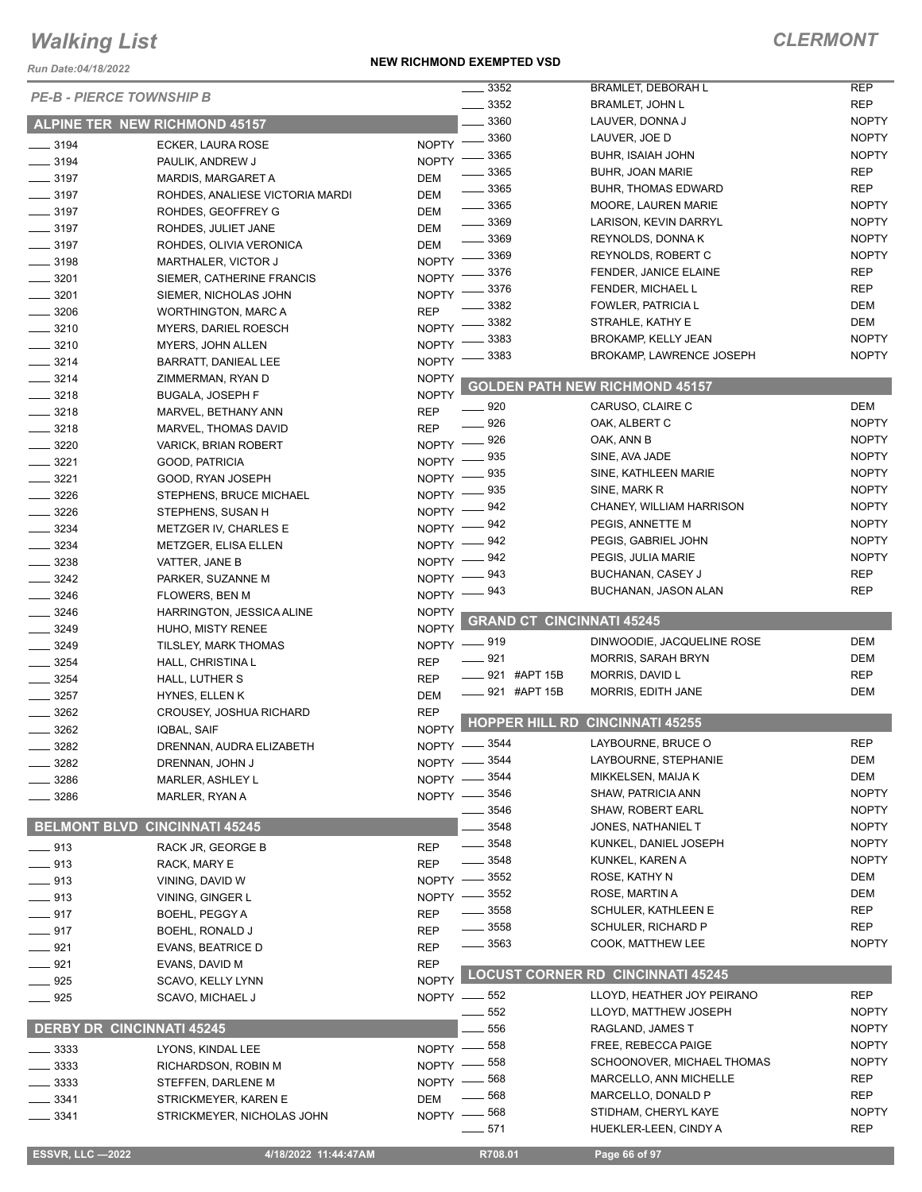*Run Date:04/18/2022*

#### **NEW RICHMOND EXEMPTED VSD**

| <b>PE-B - PIERCE TOWNSHIP B</b>  |                                           |              | 3352                             | <b>BRAMLET, DEBORAH L</b>                        | <b>REP</b>   |
|----------------------------------|-------------------------------------------|--------------|----------------------------------|--------------------------------------------------|--------------|
|                                  |                                           |              | 3352                             | <b>BRAMLET, JOHN L</b>                           | <b>REP</b>   |
|                                  | ALPINE TER NEW RICHMOND 45157             |              | 3360                             | LAUVER, DONNA J                                  | <b>NOPTY</b> |
| $\frac{1}{2}$ 3194               | ECKER, LAURA ROSE                         | <b>NOPTY</b> | 3360                             | LAUVER, JOE D                                    | <b>NOPTY</b> |
| $- 3194$                         | PAULIK, ANDREW J                          | <b>NOPTY</b> | 3365                             | <b>BUHR, ISAIAH JOHN</b>                         | <b>NOPTY</b> |
| $\frac{1}{2}$ 3197               | MARDIS, MARGARET A                        | <b>DEM</b>   | 3365                             | <b>BUHR, JOAN MARIE</b>                          | <b>REP</b>   |
| $\frac{1}{2}$ 3197               | ROHDES, ANALIESE VICTORIA MARDI           | <b>DEM</b>   | 3365                             | <b>BUHR, THOMAS EDWARD</b>                       | <b>REP</b>   |
| $\frac{1}{2}$ 3197               | ROHDES, GEOFFREY G                        | <b>DEM</b>   | 3365                             | MOORE, LAUREN MARIE                              | <b>NOPTY</b> |
| $\frac{1}{2}$ 3197               | ROHDES, JULIET JANE                       | <b>DEM</b>   | 3369                             | LARISON, KEVIN DARRYL                            | <b>NOPTY</b> |
| $\frac{1}{2}$ 3197               | ROHDES, OLIVIA VERONICA                   | DEM          | 3369                             | REYNOLDS, DONNAK                                 | <b>NOPTY</b> |
| $\frac{1}{2}$ 3198               | <b>MARTHALER, VICTOR J</b>                | <b>NOPTY</b> | 3369                             | REYNOLDS, ROBERT C                               | <b>NOPTY</b> |
| 3201                             | SIEMER, CATHERINE FRANCIS                 | <b>NOPTY</b> | 3376                             | FENDER, JANICE ELAINE                            | <b>REP</b>   |
| $\frac{1}{2}$ 3201               | SIEMER, NICHOLAS JOHN                     | <b>NOPTY</b> | 3376                             | FENDER, MICHAEL L                                | <b>REP</b>   |
| $- 3206$                         | <b>WORTHINGTON, MARC A</b>                | <b>REP</b>   | 3382                             | FOWLER, PATRICIA L                               | <b>DEM</b>   |
| $- 3210$                         | <b>MYERS, DARIEL ROESCH</b>               | <b>NOPTY</b> | 3382                             | STRAHLE, KATHY E                                 | DEM          |
| $- 3210$                         | MYERS, JOHN ALLEN                         | <b>NOPTY</b> | 3383                             | BROKAMP, KELLY JEAN                              | <b>NOPTY</b> |
| $-3214$                          | BARRATT, DANIEAL LEE                      | <b>NOPTY</b> | 3383                             | <b>BROKAMP, LAWRENCE JOSEPH</b>                  | <b>NOPTY</b> |
| $- 3214$                         | ZIMMERMAN, RYAN D                         | <b>NOPTY</b> |                                  |                                                  |              |
| $- 3218$                         | <b>BUGALA, JOSEPH F</b>                   | <b>NOPTY</b> |                                  | <b>GOLDEN PATH NEW RICHMOND 45157</b>            |              |
| $\frac{3218}{2}$                 | MARVEL, BETHANY ANN                       | <b>REP</b>   | _ 920                            | CARUSO, CLAIRE C                                 | <b>DEM</b>   |
| $- 3218$                         | MARVEL, THOMAS DAVID                      | <b>REP</b>   | 926                              | OAK, ALBERT C                                    | <b>NOPTY</b> |
| 3220                             | VARICK, BRIAN ROBERT                      | <b>NOPTY</b> | 926                              | OAK, ANN B                                       | <b>NOPTY</b> |
| 3221                             | GOOD, PATRICIA                            | <b>NOPTY</b> | 935                              | SINE, AVA JADE                                   | <b>NOPTY</b> |
| 3221                             | GOOD, RYAN JOSEPH                         | <b>NOPTY</b> | 935                              | SINE, KATHLEEN MARIE                             | <b>NOPTY</b> |
| 3226                             | STEPHENS, BRUCE MICHAEL                   | <b>NOPTY</b> | 935                              | SINE, MARK R                                     | <b>NOPTY</b> |
| $\frac{1}{2}$ 3226               | STEPHENS, SUSAN H                         | <b>NOPTY</b> | 942                              | CHANEY, WILLIAM HARRISON                         | <b>NOPTY</b> |
| 3234                             | METZGER IV, CHARLES E                     | <b>NOPTY</b> | 942                              | PEGIS, ANNETTE M                                 | <b>NOPTY</b> |
| 3234                             | <b>METZGER, ELISA ELLEN</b>               | <b>NOPTY</b> | 942                              | PEGIS, GABRIEL JOHN                              | <b>NOPTY</b> |
| $- 3238$                         | VATTER, JANE B                            | <b>NOPTY</b> | 942                              | PEGIS, JULIA MARIE                               | <b>NOPTY</b> |
| 3242                             | PARKER, SUZANNE M                         | <b>NOPTY</b> | 943                              | BUCHANAN, CASEY J                                | <b>REP</b>   |
| $- 3246$                         | <b>FLOWERS, BEN M</b>                     | $N$ OPTY $-$ | . 943                            | BUCHANAN, JASON ALAN                             | <b>REP</b>   |
| 3246                             | HARRINGTON, JESSICA ALINE                 | <b>NOPTY</b> |                                  |                                                  |              |
| $\frac{1}{2}$ 3249               | HUHO, MISTY RENEE                         | <b>NOPTY</b> | <b>GRAND CT CINCINNATI 45245</b> |                                                  |              |
| 3249                             |                                           | <b>NOPTY</b> | _ 919                            | DINWOODIE, JACQUELINE ROSE                       | <b>DEM</b>   |
| 3254                             | TILSLEY, MARK THOMAS                      | <b>REP</b>   | $-921$                           | <b>MORRIS, SARAH BRYN</b>                        | <b>DEM</b>   |
| 3254                             | HALL, CHRISTINA L                         | <b>REP</b>   | 921 #APT 15B                     | MORRIS, DAVID L                                  | <b>REP</b>   |
| 3257                             | HALL, LUTHER S                            | <b>DEM</b>   | _____ 921 #APT 15B               | MORRIS, EDITH JANE                               | DEM          |
| 3262                             | HYNES, ELLEN K<br>CROUSEY, JOSHUA RICHARD | <b>REP</b>   |                                  |                                                  |              |
| 3262                             |                                           | <b>NOPTY</b> | <b>HOPPER HILL RD</b>            | <b>CINCINNATI 45255</b>                          |              |
| $-3282$                          | IQBAL, SAIF                               |              | NOPTY -8544                      | LAYBOURNE, BRUCE O                               | <b>REP</b>   |
|                                  | DRENNAN, AUDRA ELIZABETH                  |              | NOPTY -8544                      | LAYBOURNE, STEPHANIE                             | <b>DEM</b>   |
| 3282                             | DRENNAN, JOHN J                           |              | NOPTY -8544                      | MIKKELSEN, MAIJA K                               | <b>DEM</b>   |
| 3286                             | MARLER, ASHLEY L                          |              | NOPTY -8546                      | <b>SHAW, PATRICIA ANN</b>                        | <b>NOPTY</b> |
| 3286                             | MARLER, RYAN A                            |              | 3546                             | SHAW, ROBERT EARL                                | <b>NOPTY</b> |
|                                  | <b>BELMONT BLVD CINCINNATI 45245</b>      |              | 3548                             | JONES, NATHANIEL T                               | <b>NOPTY</b> |
|                                  |                                           |              | 3548                             | KUNKEL, DANIEL JOSEPH                            | <b>NOPTY</b> |
| $- 913$                          | RACK JR, GEORGE B                         | <b>REP</b>   | 3548                             | KUNKEL, KAREN A                                  | <b>NOPTY</b> |
| $- 913$                          | RACK, MARY E                              | <b>REP</b>   | 3552                             | ROSE, KATHY N                                    | DEM          |
| $-913$                           | VINING, DAVID W                           | <b>NOPTY</b> |                                  |                                                  | <b>DEM</b>   |
| $- 913$                          | VINING, GINGER L                          | NOPTY -      | _ 3552                           | ROSE, MARTIN A                                   | <b>REP</b>   |
| $-917$                           | BOEHL, PEGGY A                            | <b>REP</b>   | 3558                             | SCHULER, KATHLEEN E<br><b>SCHULER, RICHARD P</b> | <b>REP</b>   |
| $- 917$                          | BOEHL, RONALD J                           | <b>REP</b>   | $-3558$                          |                                                  | <b>NOPTY</b> |
| $-921$                           | <b>EVANS, BEATRICE D</b>                  | <b>REP</b>   | ____ 3563                        | COOK, MATTHEW LEE                                |              |
| $-921$                           | EVANS, DAVID M                            | <b>REP</b>   |                                  | <b>LOCUST CORNER RD CINCINNATI 45245</b>         |              |
| $- 925$                          | SCAVO, KELLY LYNN                         | <b>NOPTY</b> |                                  |                                                  |              |
| $- 925$                          | SCAVO, MICHAEL J                          |              | NOPTY -852                       | LLOYD, HEATHER JOY PEIRANO                       | <b>REP</b>   |
|                                  |                                           |              | 552                              | LLOYD, MATTHEW JOSEPH                            | <b>NOPTY</b> |
| <b>DERBY DR CINCINNATI 45245</b> |                                           |              | 556                              | RAGLAND, JAMES T                                 | <b>NOPTY</b> |
| 3333                             | LYONS, KINDAL LEE                         | $NOPTY$ -    | $-558$                           | FREE, REBECCA PAIGE                              | <b>NOPTY</b> |
| 3333                             | RICHARDSON, ROBIN M                       | NOPTY -      | 558                              | SCHOONOVER, MICHAEL THOMAS                       | <b>NOPTY</b> |
| 3333                             | STEFFEN, DARLENE M                        | $NOPTY -$    | 568                              | MARCELLO, ANN MICHELLE                           | <b>REP</b>   |
| 3341                             | STRICKMEYER, KAREN E                      | <b>DEM</b>   | 568                              | MARCELLO, DONALD P                               | <b>REP</b>   |
| 3341                             | STRICKMEYER, NICHOLAS JOHN                |              | NOPTY -868                       | STIDHAM, CHERYL KAYE                             | <b>NOPTY</b> |
|                                  |                                           |              | $-571$                           | HUEKLER-LEEN, CINDY A                            | <b>REP</b>   |
|                                  | 4/18/2022 11:44:47AM                      |              | R708.01                          | Page 66 of 97                                    |              |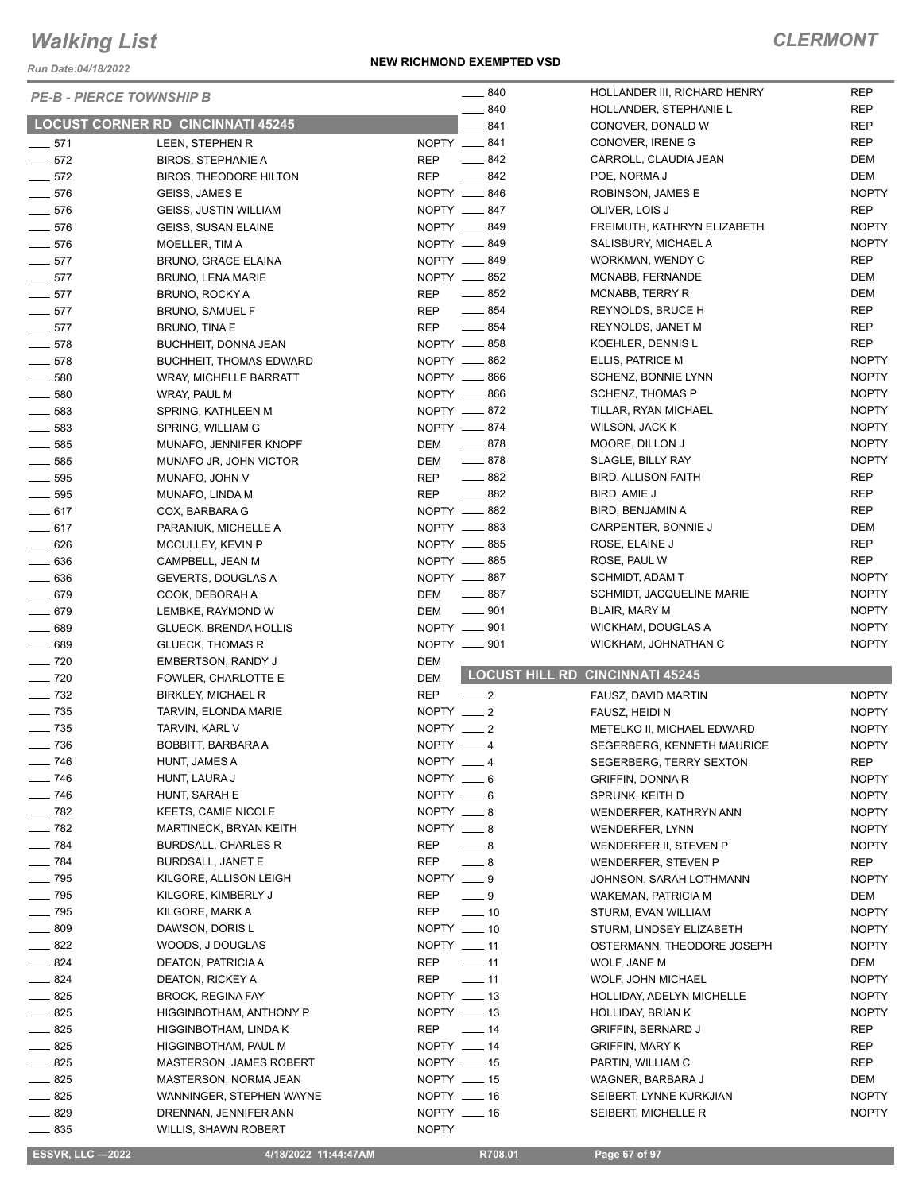*Run Date:04/18/2022*

#### **NEW RICHMOND EXEMPTED VSD**

|                              | <b>PE-B - PIERCE TOWNSHIP B</b>          | $\frac{1}{2}$ 840            | HOLLANDER III, RICHARD HENRY           | <b>REP</b>   |
|------------------------------|------------------------------------------|------------------------------|----------------------------------------|--------------|
|                              |                                          | 840                          | HOLLANDER, STEPHANIE L                 | <b>REP</b>   |
|                              | <b>LOCUST CORNER RD CINCINNATI 45245</b> | 841                          | CONOVER, DONALD W                      | REP          |
| $-571$                       | LEEN, STEPHEN R                          | NOPTY __ 841                 | CONOVER, IRENE G                       | <b>REP</b>   |
| $\frac{1}{2}$ 572            | <b>BIROS, STEPHANIE A</b>                | $-842$<br><b>REP</b>         | CARROLL, CLAUDIA JEAN                  | <b>DEM</b>   |
| $-572$                       | <b>BIROS, THEODORE HILTON</b>            | $-842$<br><b>REP</b>         | POE, NORMA J                           | <b>DEM</b>   |
| $- 576$                      | GEISS, JAMES E                           | NOPTY __ 846                 | ROBINSON, JAMES E                      | <b>NOPTY</b> |
| $- 576$                      | <b>GEISS, JUSTIN WILLIAM</b>             | NOPTY __ 847                 | OLIVER, LOIS J                         | <b>REP</b>   |
| $\frac{1}{2}$ 576            | <b>GEISS, SUSAN ELAINE</b>               | NOPTY __ 849                 | FREIMUTH, KATHRYN ELIZABETH            | <b>NOPTY</b> |
| $\frac{1}{2}$ 576            | MOELLER, TIM A                           | NOPTY __ 849                 | SALISBURY, MICHAEL A                   | <b>NOPTY</b> |
| $-577$                       | BRUNO, GRACE ELAINA                      | NOPTY __ 849                 | WORKMAN, WENDY C                       | <b>REP</b>   |
| $-577$                       | <b>BRUNO, LENA MARIE</b>                 | NOPTY __ 852                 | MCNABB, FERNANDE                       | <b>DEM</b>   |
| $\frac{1}{2}$ 577            | BRUNO, ROCKY A                           | $- 852$<br><b>REP</b>        | MCNABB, TERRY R                        | <b>DEM</b>   |
| $- 577$                      | BRUNO, SAMUEL F                          | $-854$<br>REP                | REYNOLDS, BRUCE H                      | <b>REP</b>   |
| $-577$                       | BRUNO, TINA E                            | $\frac{1}{2}$ 854<br>REP     | REYNOLDS, JANET M                      | <b>REP</b>   |
| $- 578$                      | BUCHHEIT, DONNA JEAN                     | NOPTY __ 858                 | KOEHLER, DENNIS L                      | <b>REP</b>   |
| $- 578$                      | <b>BUCHHEIT, THOMAS EDWARD</b>           | NOPTY __ 862                 | ELLIS, PATRICE M                       | <b>NOPTY</b> |
| $\frac{1}{2}$ 580            | WRAY, MICHELLE BARRATT                   | NOPTY __ 866                 | SCHENZ, BONNIE LYNN                    | <b>NOPTY</b> |
| $\frac{1}{2}$ 580            | WRAY, PAUL M                             | NOPTY __ 866                 | <b>SCHENZ, THOMAS P</b>                | <b>NOPTY</b> |
| $\frac{1}{2}$ 583            | SPRING, KATHLEEN M                       | NOPTY __ 872                 | TILLAR, RYAN MICHAEL                   | <b>NOPTY</b> |
| $\frac{1}{2}$ 583            | SPRING, WILLIAM G                        | NOPTY __ 874                 | <b>WILSON, JACK K</b>                  | <b>NOPTY</b> |
| $\frac{1}{2}$ 585            | MUNAFO, JENNIFER KNOPF                   | ______ 878<br>DEM            | MOORE, DILLON J                        | <b>NOPTY</b> |
| $\frac{1}{2}$ 585            | MUNAFO JR, JOHN VICTOR                   | $-878$<br>DEM                | SLAGLE, BILLY RAY                      | <b>NOPTY</b> |
| $\frac{1}{2}$ 595            | MUNAFO, JOHN V                           | $-882$<br>REP                | BIRD, ALLISON FAITH                    | <b>REP</b>   |
| $\frac{1}{2}$ 595            | MUNAFO, LINDA M                          | $-882$<br>REP                | BIRD, AMIE J                           | <b>REP</b>   |
| $-617$                       | COX, BARBARA G                           | NOPTY __ 882                 | BIRD, BENJAMIN A                       | <b>REP</b>   |
| $-617$                       | PARANIUK, MICHELLE A                     | NOPTY __ 883                 | CARPENTER, BONNIE J                    | <b>DEM</b>   |
| $- 626$                      | MCCULLEY, KEVIN P                        | NOPTY __ 885                 | ROSE, ELAINE J                         | <b>REP</b>   |
| $\frac{1}{2}$ 636            | CAMPBELL, JEAN M                         | NOPTY __ 885                 | ROSE, PAUL W                           | <b>REP</b>   |
|                              |                                          | NOPTY __ 887                 | SCHMIDT, ADAM T                        | <b>NOPTY</b> |
| $\frac{1}{2}$ 636            | GEVERTS, DOUGLAS A                       | $\sim$ 887                   |                                        | <b>NOPTY</b> |
| $- 679$                      | COOK, DEBORAH A                          | DEM                          | SCHMIDT, JACQUELINE MARIE              |              |
| $- 679$                      | LEMBKE, RAYMOND W                        | $\frac{1}{2}$ 901<br>DEM     | BLAIR, MARY M                          | <b>NOPTY</b> |
| $- 689$                      | GLUECK, BRENDA HOLLIS                    | NOPTY __ 901                 | WICKHAM, DOUGLAS A                     | <b>NOPTY</b> |
| $- 689$                      | GLUECK, THOMAS R                         | NOPTY __ 901                 | WICKHAM, JOHNATHAN C                   | <b>NOPTY</b> |
| $\frac{1}{2}$ 720            | EMBERTSON, RANDY J                       | DEM                          | <b>LOCUST HILL RD CINCINNATI 45245</b> |              |
| $\frac{1}{2}$ 720            | FOWLER, CHARLOTTE E                      | DEM                          |                                        |              |
| $\frac{1}{2}$ 732            | <b>BIRKLEY, MICHAEL R</b>                | <b>REP</b><br>$\frac{1}{2}$  | FAUSZ, DAVID MARTIN                    | <b>NOPTY</b> |
| $\frac{1}{2}$ 735            | TARVIN, ELONDA MARIE                     | $NOPTY$ ___ 2                | FAUSZ. HEIDI N                         | <b>NOPTY</b> |
| $\frac{1}{2}$ 735            | TARVIN, KARL V                           | NOPTY $-2$                   | METELKO II, MICHAEL EDWARD             | <b>NOPTY</b> |
| 736                          | BOBBITT, BARBARA A                       | NOPTY _<br>4                 | SEGERBERG, KENNETH MAURICE             | <b>NOPTY</b> |
| $\frac{1}{2}$ 746            | HUNT, JAMES A                            | NOPTY __ 4                   | SEGERBERG, TERRY SEXTON                | REP          |
| $\frac{1}{2}$ 746            | HUNT, LAURA J                            | NOPTY $-6$                   | <b>GRIFFIN, DONNA R</b>                | <b>NOPTY</b> |
| $\frac{1}{2}$ 746            | HUNT, SARAH E                            | NOPTY $-6$                   | SPRUNK, KEITH D                        | <b>NOPTY</b> |
| $\frac{1}{2}$ 782            | <b>KEETS, CAMIE NICOLE</b>               | NOPTY $-8$                   | WENDERFER, KATHRYN ANN                 | <b>NOPTY</b> |
| $\frac{1}{2}$ 782            | MARTINECK, BRYAN KEITH                   | $NOPTY = 8$                  | WENDERFER, LYNN                        | <b>NOPTY</b> |
| $- 784$                      | <b>BURDSALL, CHARLES R</b>               | $-8$<br>REP                  | WENDERFER II, STEVEN P                 | <b>NOPTY</b> |
| $- 784$                      | <b>BURDSALL, JANET E</b>                 | $-8$<br>REP                  | WENDERFER, STEVEN P                    | REP          |
| $\frac{1}{2}$ 795            | KILGORE, ALLISON LEIGH                   | $NOPTY = 9$                  | JOHNSON, SARAH LOTHMANN                | <b>NOPTY</b> |
| $\frac{1}{2}$ 795            | KILGORE, KIMBERLY J                      | REP<br>$-9$                  | <b>WAKEMAN, PATRICIA M</b>             | DEM          |
| $\frac{1}{2}$ 795            | KILGORE, MARK A                          | REP<br>$\sim$ 10             | STURM, EVAN WILLIAM                    | <b>NOPTY</b> |
| $- 809$                      | DAWSON, DORIS L                          | NOPTY __ 10                  | STURM, LINDSEY ELIZABETH               | <b>NOPTY</b> |
| $-822$                       | WOODS, J DOUGLAS                         | NOPTY __ 11                  | OSTERMANN, THEODORE JOSEPH             | <b>NOPTY</b> |
| $-824$                       | DEATON, PATRICIA A                       | $\frac{1}{2}$ 11<br>REP      | WOLF, JANE M                           | DEM          |
| $-824$                       | DEATON, RICKEY A                         | $\frac{1}{2}$ 11<br>REP      | WOLF, JOHN MICHAEL                     | <b>NOPTY</b> |
| $-825$                       | <b>BROCK, REGINA FAY</b>                 | NOPTY $-13$                  | HOLLIDAY, ADELYN MICHELLE              | <b>NOPTY</b> |
| $-825$                       | HIGGINBOTHAM, ANTHONY P                  | NOPTY $- 13$                 | HOLLIDAY, BRIAN K                      | <b>NOPTY</b> |
| $-825$                       | HIGGINBOTHAM, LINDA K                    | REP _____ 14                 | <b>GRIFFIN, BERNARD J</b>              | REP          |
| $-825$                       | HIGGINBOTHAM, PAUL M                     | NOPTY __ 14                  | <b>GRIFFIN, MARY K</b>                 | REP          |
| $= 825$                      | <b>MASTERSON, JAMES ROBERT</b>           | NOPTY __ 15                  | PARTIN, WILLIAM C                      | REP          |
| $-825$                       | MASTERSON, NORMA JEAN                    | NOPTY __ 15                  |                                        |              |
| $- 825$                      |                                          | NOPTY __ 16                  | WAGNER, BARBARA J                      | DEM          |
|                              | WANNINGER, STEPHEN WAYNE                 |                              | SEIBERT, LYNNE KURKJIAN                | <b>NOPTY</b> |
| $- 829$<br>$\frac{1}{2}$ 835 | DRENNAN, JENNIFER ANN                    | $NOPTY$ — 16<br><b>NOPTY</b> | SEIBERT, MICHELLE R                    | <b>NOPTY</b> |
|                              | <b>WILLIS, SHAWN ROBERT</b>              |                              |                                        |              |

**ESSVR, LLC -2022 4/18/2022 11:44:47AM R708.01 Page 67 of 97**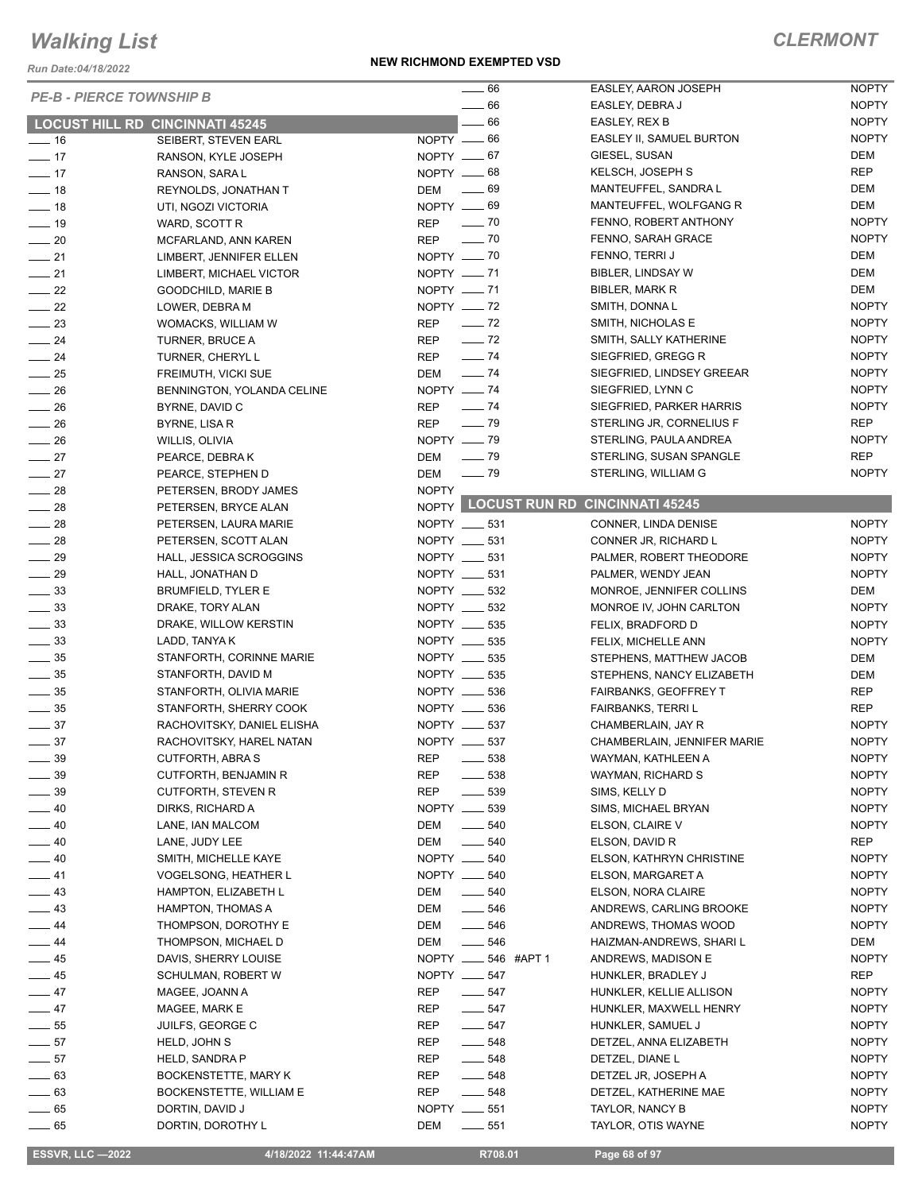*Run Date:04/18/2022*

|                                        |                             |              | $\sim$ 66                            | EASLEY, AARON JOSEPH        | <b>NOPTY</b> |
|----------------------------------------|-----------------------------|--------------|--------------------------------------|-----------------------------|--------------|
| <b>PE-B - PIERCE TOWNSHIP B</b>        |                             |              |                                      |                             |              |
|                                        |                             |              | $\frac{1}{2}$ 66                     | EASLEY, DEBRA J             | <b>NOPTY</b> |
| <b>LOCUST HILL RD CINCINNATI 45245</b> |                             |              | $-66$                                | EASLEY, REX B               | <b>NOPTY</b> |
| $-16$                                  | SEIBERT, STEVEN EARL        | NOPTY $-66$  |                                      | EASLEY II, SAMUEL BURTON    | <b>NOPTY</b> |
| $\frac{1}{2}$                          | RANSON, KYLE JOSEPH         | NOPTY $-67$  |                                      | GIESEL, SUSAN               | <b>DEM</b>   |
| $\frac{1}{2}$ 17                       | RANSON, SARA L              | $NOPTY = 68$ |                                      | KELSCH, JOSEPH S            | <b>REP</b>   |
| $-18$                                  | REYNOLDS, JONATHAN T        | DEM          | $\sim$ 69                            | MANTEUFFEL, SANDRA L        | DEM          |
| $\frac{1}{2}$ 18                       | UTI, NGOZI VICTORIA         | NOPTY -69    |                                      | MANTEUFFEL, WOLFGANG R      | DEM          |
| $-19$                                  | WARD, SCOTT R               | REP          | $\sim$ 70                            | FENNO, ROBERT ANTHONY       | <b>NOPTY</b> |
| $\sim$ 20                              | MCFARLAND, ANN KAREN        | REP          | $\frac{1}{2}$ 70                     | FENNO, SARAH GRACE          | <b>NOPTY</b> |
| $-21$                                  | LIMBERT, JENNIFER ELLEN     | NOPTY $- 70$ |                                      | FENNO, TERRI J              | DEM          |
| $\frac{1}{21}$                         | LIMBERT, MICHAEL VICTOR     | NOPTY -71    |                                      | BIBLER, LINDSAY W           | DEM          |
| $\frac{1}{22}$                         | <b>GOODCHILD, MARIE B</b>   | NOPTY -71    |                                      | <b>BIBLER, MARK R</b>       | DEM          |
| $\frac{1}{22}$                         | LOWER, DEBRA M              | NOPTY $-$ 72 |                                      | SMITH, DONNAL               | <b>NOPTY</b> |
| $\frac{1}{2}$                          | WOMACKS, WILLIAM W          | REP - 72     |                                      | SMITH, NICHOLAS E           | <b>NOPTY</b> |
| $-24$                                  | TURNER, BRUCE A             |              | REP - 72                             | SMITH, SALLY KATHERINE      | <b>NOPTY</b> |
| $\frac{1}{24}$                         | TURNER, CHERYL L            | <b>REP</b>   | $\frac{1}{2}$ 74                     | SIEGFRIED, GREGG R          | <b>NOPTY</b> |
| $\frac{1}{25}$                         | FREIMUTH, VICKI SUE         | DEM - 74     |                                      | SIEGFRIED, LINDSEY GREEAR   | <b>NOPTY</b> |
| $\frac{1}{26}$                         | BENNINGTON, YOLANDA CELINE  | NOPTY - 74   |                                      | SIEGFRIED, LYNN C           | <b>NOPTY</b> |
| $\frac{1}{26}$                         | BYRNE, DAVID C              | REP - 74     |                                      | SIEGFRIED, PARKER HARRIS    | <b>NOPTY</b> |
| $\frac{1}{26}$                         | BYRNE, LISA R               | <b>REP</b>   | $\frac{1}{2}$ 79                     | STERLING JR, CORNELIUS F    | <b>REP</b>   |
|                                        |                             | NOPTY -8     |                                      | STERLING, PAULA ANDREA      | <b>NOPTY</b> |
| $\frac{1}{26}$                         | WILLIS, OLIVIA              |              |                                      | STERLING, SUSAN SPANGLE     | <b>REP</b>   |
| $\frac{1}{27}$                         | PEARCE, DEBRAK              | DEM          | $\sim$ 79                            |                             | <b>NOPTY</b> |
| $-27$                                  | PEARCE, STEPHEN D           | DEM          | $\sim$ 79                            | STERLING, WILLIAM G         |              |
| $\sim$ 28                              | PETERSEN, BRODY JAMES       | <b>NOPTY</b> | NOPTY LOCUST RUN RD CINCINNATI 45245 |                             |              |
| $\frac{1}{28}$                         | PETERSEN, BRYCE ALAN        |              |                                      |                             |              |
| $\frac{1}{28}$                         | PETERSEN, LAURA MARIE       |              | NOPTY __ 531                         | CONNER, LINDA DENISE        | <b>NOPTY</b> |
| $\frac{1}{28}$                         | PETERSEN, SCOTT ALAN        |              | NOPTY __ 531                         | CONNER JR, RICHARD L        | <b>NOPTY</b> |
| $\frac{1}{29}$                         | HALL, JESSICA SCROGGINS     |              | NOPTY __ 531                         | PALMER, ROBERT THEODORE     | <b>NOPTY</b> |
| $\frac{1}{29}$                         | HALL, JONATHAN D            |              | NOPTY __ 531                         | PALMER, WENDY JEAN          | <b>NOPTY</b> |
| $\frac{1}{2}$ 33                       | <b>BRUMFIELD, TYLER E</b>   |              | NOPTY __ 532                         | MONROE, JENNIFER COLLINS    | DEM          |
| $\frac{33}{2}$                         | DRAKE, TORY ALAN            |              | NOPTY __ 532                         | MONROE IV, JOHN CARLTON     | <b>NOPTY</b> |
| $\frac{1}{2}$ 33                       | DRAKE, WILLOW KERSTIN       |              | NOPTY __ 535                         | FELIX, BRADFORD D           | <b>NOPTY</b> |
| $\frac{33}{2}$                         | LADD, TANYA K               |              | NOPTY __ 535                         | FELIX, MICHELLE ANN         | <b>NOPTY</b> |
| $\frac{1}{2}$ 35                       | STANFORTH, CORINNE MARIE    |              | NOPTY __ 535                         | STEPHENS, MATTHEW JACOB     | DEM          |
| $\frac{1}{2}$ 35                       | STANFORTH, DAVID M          |              | NOPTY __ 535                         | STEPHENS, NANCY ELIZABETH   | DEM          |
| $\frac{1}{2}$ 35                       | STANFORTH, OLIVIA MARIE     |              | NOPTY __ 536                         | FAIRBANKS, GEOFFREY T       | REP          |
| $\frac{1}{2}$ 35                       | STANFORTH, SHERRY COOK      |              | NOPTY __ 536                         | <b>FAIRBANKS, TERRIL</b>    | <b>REP</b>   |
| $\frac{1}{2}$ 37                       | RACHOVITSKY, DANIEL ELISHA  |              | NOPTY __ 537                         | CHAMBERLAIN, JAY R          | <b>NOPTY</b> |
| $\frac{1}{2}$ 37                       | RACHOVITSKY, HAREL NATAN    |              | NOPTY __ 537                         | CHAMBERLAIN, JENNIFER MARIE | <b>NOPTY</b> |
| $\frac{1}{2}$ 39                       | CUTFORTH, ABRA S            | REP          | 538                                  | WAYMAN, KATHLEEN A          | <b>NOPTY</b> |
| $\frac{1}{2}$ 39                       | <b>CUTFORTH, BENJAMIN R</b> | REP          | $\frac{1}{2}$ 538                    | WAYMAN, RICHARD S           | <b>NOPTY</b> |
| $\frac{1}{2}$ 39                       | <b>CUTFORTH, STEVEN R</b>   | REP          | $\frac{1}{2}$ 539                    | SIMS, KELLY D               | <b>NOPTY</b> |
| $-40$                                  | DIRKS, RICHARD A            |              | NOPTY __ 539                         | SIMS, MICHAEL BRYAN         | <b>NOPTY</b> |
| $\frac{1}{2}$ 40                       | LANE, IAN MALCOM            | DEM          | $- 540$                              | ELSON, CLAIRE V             | <b>NOPTY</b> |
|                                        |                             |              | $- 540$                              |                             |              |
| $\frac{1}{2}$ 40                       | LANE, JUDY LEE              | DEM          |                                      | ELSON, DAVID R              | REP          |
| $\_\_40$                               | SMITH, MICHELLE KAYE        |              | NOPTY __ 540                         | ELSON, KATHRYN CHRISTINE    | <b>NOPTY</b> |
| $-41$                                  | <b>VOGELSONG, HEATHER L</b> |              | NOPTY __ 540                         | ELSON, MARGARET A           | <b>NOPTY</b> |
| $\frac{1}{2}$ 43                       | HAMPTON, ELIZABETH L        | DEM          | $\frac{1}{2}$ 540                    | ELSON, NORA CLAIRE          | <b>NOPTY</b> |
| $-43$                                  | HAMPTON, THOMAS A           | DEM          | $\frac{1}{2}$ 546                    | ANDREWS, CARLING BROOKE     | <b>NOPTY</b> |
| $-44$                                  | THOMPSON, DOROTHY E         | DEM          | $\frac{1}{2}$ 546                    | ANDREWS, THOMAS WOOD        | <b>NOPTY</b> |
| $-44$                                  | THOMPSON, MICHAEL D         | DEM          | $\frac{1}{2}$ 546                    | HAIZMAN-ANDREWS, SHARI L    | DEM          |
| $\frac{1}{2}$ 45                       | DAVIS, SHERRY LOUISE        |              | NOPTY _____ 546 #APT 1               | ANDREWS, MADISON E          | <b>NOPTY</b> |
| $-45$                                  | SCHULMAN, ROBERT W          |              | NOPTY __ 547                         | HUNKLER, BRADLEY J          | REP          |
| $\frac{1}{2}$ 47                       | MAGEE, JOANN A              | REP          | $- 547$                              | HUNKLER, KELLIE ALLISON     | <b>NOPTY</b> |
| $-47$                                  | MAGEE, MARK E               | REP          | $- 547$                              | HUNKLER, MAXWELL HENRY      | <b>NOPTY</b> |
| $\frac{1}{2}$ 55                       | JUILFS, GEORGE C            | REP          | $- 547$                              | HUNKLER, SAMUEL J           | <b>NOPTY</b> |
| $\frac{1}{2}$ 57                       | HELD, JOHN S                | REP          | $\frac{1}{2}$ 548                    | DETZEL, ANNA ELIZABETH      | <b>NOPTY</b> |
| $-57$                                  | HELD, SANDRA P              | REP          | $\frac{1}{2}$ 548                    | DETZEL, DIANE L             | <b>NOPTY</b> |
| $\frac{1}{2}$ 63                       | BOCKENSTETTE, MARY K        | REP          | $\frac{1}{2}$ 548                    | DETZEL JR, JOSEPH A         | <b>NOPTY</b> |
| $\frac{1}{2}$ 63                       | BOCKENSTETTE, WILLIAM E     | REP          | $- 548$                              | DETZEL, KATHERINE MAE       | <b>NOPTY</b> |
| $\sim$ 65                              | DORTIN, DAVID J             |              | NOPTY __ 551                         | TAYLOR, NANCY B             | <b>NOPTY</b> |
| $\frac{1}{2}$ 65                       | DORTIN, DOROTHY L           | DEM          | ______ 551                           | TAYLOR, OTIS WAYNE          | <b>NOPTY</b> |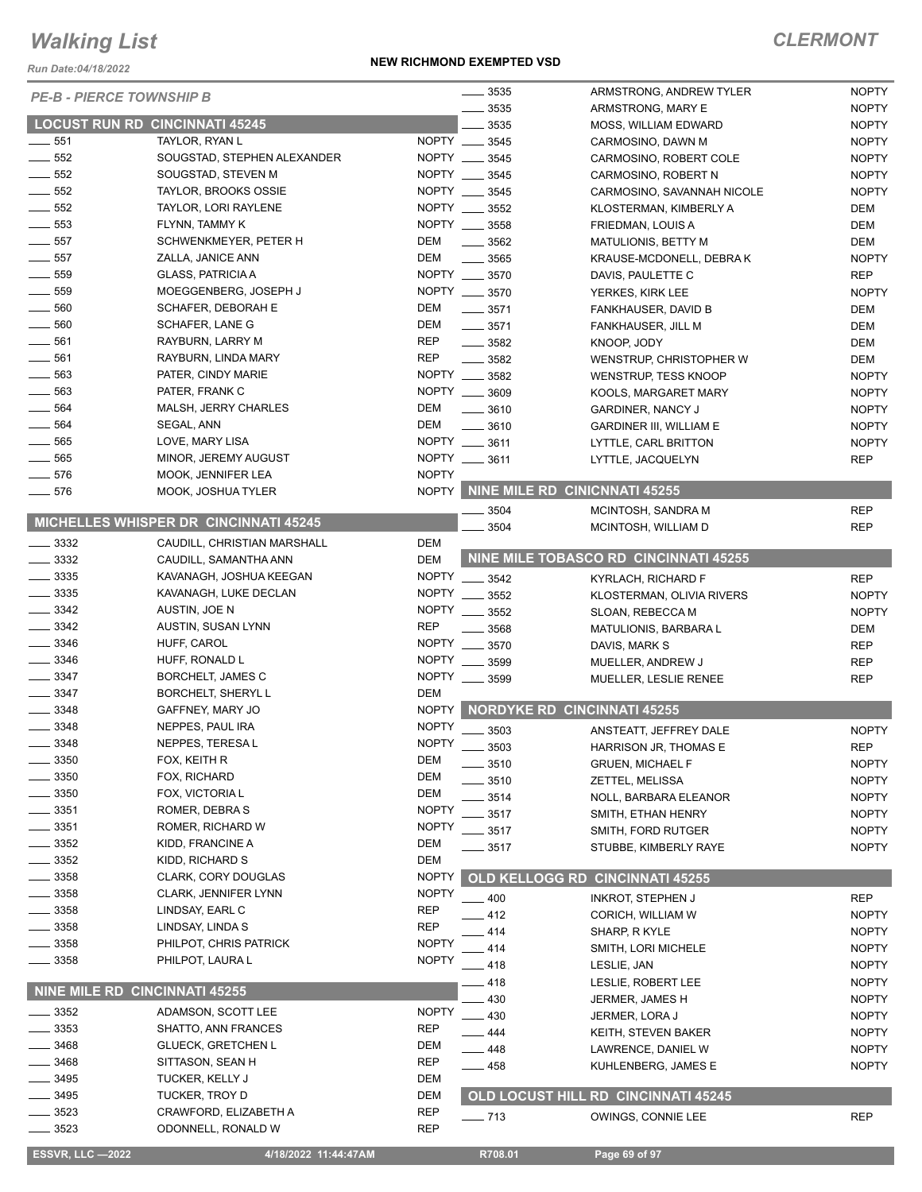*Run Date:04/18/2022*

#### **NEW RICHMOND EXEMPTED VSD**

| <b>PE-B - PIERCE TOWNSHIP B</b> |                                              |              | $\frac{1}{2}$ 3535 | ARMSTRONG, ANDREW TYLER               | <b>NOPTY</b> |
|---------------------------------|----------------------------------------------|--------------|--------------------|---------------------------------------|--------------|
|                                 |                                              |              | 3535               | ARMSTRONG, MARY E                     | <b>NOPTY</b> |
|                                 | <b>LOCUST RUN RD CINCINNATI 45245</b>        |              | 3535               | MOSS, WILLIAM EDWARD                  | <b>NOPTY</b> |
| 551                             | TAYLOR, RYAN L                               |              | NOPTY __ 3545      | CARMOSINO, DAWN M                     | <b>NOPTY</b> |
| 552                             | SOUGSTAD, STEPHEN ALEXANDER                  | NOPTY ____   | 3545               | CARMOSINO, ROBERT COLE                | <b>NOPTY</b> |
| $-552$                          | SOUGSTAD, STEVEN M                           | NOPTY __     | 3545               | CARMOSINO, ROBERT N                   | <b>NOPTY</b> |
| 552                             | <b>TAYLOR, BROOKS OSSIE</b>                  | <b>NOPTY</b> | 3545               | CARMOSINO, SAVANNAH NICOLE            | <b>NOPTY</b> |
| 552                             | TAYLOR, LORI RAYLENE                         |              | NOPTY __ 3552      | KLOSTERMAN, KIMBERLY A                | DEM          |
| 553                             | FLYNN, TAMMY K                               |              | NOPTY __ 3558      | FRIEDMAN, LOUIS A                     | <b>DEM</b>   |
| 557                             | SCHWENKMEYER, PETER H                        | DEM          | $\frac{1}{2}$ 3562 | MATULIONIS, BETTY M                   | DEM          |
| 557                             | ZALLA, JANICE ANN                            | DEM          | $\frac{1}{2}$ 3565 | KRAUSE-MCDONELL, DEBRA K              | <b>NOPTY</b> |
| 559                             | <b>GLASS, PATRICIA A</b>                     |              | NOPTY __ 3570      | DAVIS, PAULETTE C                     | <b>REP</b>   |
| 559                             | MOEGGENBERG, JOSEPH J                        |              | NOPTY __ 3570      | YERKES, KIRK LEE                      | <b>NOPTY</b> |
| 560                             | SCHAFER, DEBORAH E                           | DEM          | $\frac{1}{2}$ 3571 | FANKHAUSER, DAVID B                   | DEM          |
| 560                             | SCHAFER, LANE G                              | DEM          | $\frac{1}{2}$ 3571 | FANKHAUSER, JILL M                    | DEM          |
| $- 561$                         | RAYBURN, LARRY M                             | <b>REP</b>   | $\frac{1}{2}$ 3582 | KNOOP, JODY                           | DEM          |
| 561                             | RAYBURN, LINDA MARY                          | <b>REP</b>   | $\frac{1}{2}$ 3582 | WENSTRUP, CHRISTOPHER W               | DEM          |
| 563                             | PATER, CINDY MARIE                           |              | NOPTY __ 3582      | WENSTRUP, TESS KNOOP                  | <b>NOPTY</b> |
| 563                             | PATER, FRANK C                               |              | NOPTY __ 3609      | KOOLS, MARGARET MARY                  | <b>NOPTY</b> |
| 564                             | MALSH, JERRY CHARLES                         | DEM          | $\frac{1}{2}$ 3610 | <b>GARDINER, NANCY J</b>              | <b>NOPTY</b> |
| 564                             | SEGAL, ANN                                   | <b>DEM</b>   | $- 3610$           | <b>GARDINER III, WILLIAM E</b>        | <b>NOPTY</b> |
| 565                             | LOVE, MARY LISA                              |              | NOPTY __ 3611      | LYTTLE, CARL BRITTON                  | <b>NOPTY</b> |
| 565                             | MINOR, JEREMY AUGUST                         |              | NOPTY __ 3611      | LYTTLE, JACQUELYN                     | <b>REP</b>   |
| 576                             | MOOK, JENNIFER LEA                           | <b>NOPTY</b> |                    |                                       |              |
| 576                             | MOOK, JOSHUA TYLER                           | <b>NOPTY</b> |                    | NINE MILE RD CINICNNATI 45255         |              |
|                                 |                                              |              |                    |                                       | <b>REP</b>   |
|                                 | <b>MICHELLES WHISPER DR CINCINNATI 45245</b> |              | 3504               | MCINTOSH, SANDRA M                    |              |
| $\frac{1}{2}$ 3332              | CAUDILL, CHRISTIAN MARSHALL                  | DEM          | 3504               | MCINTOSH, WILLIAM D                   | <b>REP</b>   |
| $\frac{1}{2}$ 3332              |                                              | <b>DEM</b>   |                    | NINE MILE TOBASCO RD CINCINNATI 45255 |              |
| $\frac{1}{2}$ 3335              | CAUDILL, SAMANTHA ANN                        | <b>NOPTY</b> |                    |                                       |              |
| $\frac{1}{2}$ 3335              | KAVANAGH, JOSHUA KEEGAN                      | <b>NOPTY</b> | $- 3542$           | KYRLACH, RICHARD F                    | <b>REP</b>   |
| 3342                            | KAVANAGH, LUKE DECLAN                        |              | 3552               | KLOSTERMAN, OLIVIA RIVERS             | <b>NOPTY</b> |
|                                 | AUSTIN, JOE N                                | <b>NOPTY</b> | 3552               | SLOAN, REBECCA M                      | <b>NOPTY</b> |
| 3342                            | AUSTIN, SUSAN LYNN                           | <b>REP</b>   | 3568               | MATULIONIS, BARBARA L                 | DEM          |
| $-3346$                         | HUFF, CAROL                                  | <b>NOPTY</b> | 3570               | DAVIS, MARK S                         | <b>REP</b>   |
| $-3346$                         | HUFF, RONALD L                               | <b>NOPTY</b> | 3599               | MUELLER, ANDREW J                     | <b>REP</b>   |
| $\frac{1}{2}$ 3347              | BORCHELT, JAMES C                            | <b>NOPTY</b> | 3599               | MUELLER, LESLIE RENEE                 | <b>REP</b>   |
| 3347                            | <b>BORCHELT, SHERYL L</b>                    | <b>DEM</b>   |                    |                                       |              |
| 3348                            | GAFFNEY, MARY JO                             | NOPTY        |                    | <b>NORDYKE RD CINCINNATI 45255</b>    |              |
| 3348                            | NEPPES, PAUL IRA                             | <b>NOPTY</b> | 3503               | ANSTEATT, JEFFREY DALE                | <b>NOPTY</b> |
| $-3348$                         | NEPPES, TERESA L                             | <b>NOPTY</b> | 3503               | HARRISON JR, THOMAS E                 | <b>REP</b>   |
| 3350                            | FOX, KEITH R                                 | <b>DEM</b>   | _ 3510             | <b>GRUEN, MICHAEL F</b>               | <b>NOPTY</b> |
| 3350                            | FOX, RICHARD                                 | <b>DEM</b>   | 3510               | ZETTEL, MELISSA                       | <b>NOPTY</b> |
| 3350                            | FOX, VICTORIA L                              | <b>DEM</b>   | 3514               | NOLL, BARBARA ELEANOR                 | <b>NOPTY</b> |
| 3351                            | ROMER, DEBRA S                               | <b>NOPTY</b> | 3517               | SMITH, ETHAN HENRY                    | <b>NOPTY</b> |
| 3351                            | ROMER, RICHARD W                             | <b>NOPTY</b> | 3517               | SMITH, FORD RUTGER                    | <b>NOPTY</b> |
| 3352                            | KIDD, FRANCINE A                             | DEM          | .3517              | STUBBE, KIMBERLY RAYE                 | <b>NOPTY</b> |
| 3352                            | KIDD, RICHARD S                              | DEM          |                    |                                       |              |
| $= 3358$                        | CLARK, CORY DOUGLAS                          | <b>NOPTY</b> |                    | OLD KELLOGG RD CINCINNATI 45255       |              |
| 3358                            | CLARK, JENNIFER LYNN                         | <b>NOPTY</b> | 400                | <b>INKROT, STEPHEN J</b>              | <b>REP</b>   |
| 3358                            | LINDSAY, EARL C                              | <b>REP</b>   | .412               | CORICH, WILLIAM W                     | <b>NOPTY</b> |
| 3358                            | LINDSAY, LINDA S                             | <b>REP</b>   | 414                | SHARP, R KYLE                         | <b>NOPTY</b> |
| 3358                            | PHILPOT, CHRIS PATRICK                       | <b>NOPTY</b> | 414                | SMITH, LORI MICHELE                   | <b>NOPTY</b> |
| 3358                            | PHILPOT, LAURA L                             | <b>NOPTY</b> | $-418$             | LESLIE, JAN                           | <b>NOPTY</b> |
|                                 |                                              |              | .418               | LESLIE, ROBERT LEE                    | <b>NOPTY</b> |
| NINE MILE RD CINCINNATI 45255   |                                              |              | 430                | JERMER, JAMES H                       | <b>NOPTY</b> |
| 3352                            | ADAMSON, SCOTT LEE                           | <b>NOPTY</b> | 430                | JERMER, LORA J                        | <b>NOPTY</b> |
| 3353                            | SHATTO, ANN FRANCES                          | <b>REP</b>   | _ 444              | KEITH, STEVEN BAKER                   | <b>NOPTY</b> |
| 3468                            | <b>GLUECK, GRETCHEN L</b>                    | DEM          | $-448$             | LAWRENCE, DANIEL W                    | <b>NOPTY</b> |
| 3468                            | SITTASON, SEAN H                             | REP          | $-458$             | KUHLENBERG, JAMES E                   | <b>NOPTY</b> |
| 3495                            | TUCKER, KELLY J                              | DEM          |                    |                                       |              |
| 3495                            | <b>TUCKER, TROY D</b>                        | DEM          |                    | OLD LOCUST HILL RD CINCINNATI 45245   |              |
| 3523                            | CRAWFORD, ELIZABETH A                        | <b>REP</b>   |                    |                                       | <b>REP</b>   |
| 3523                            | ODONNELL, RONALD W                           | <b>REP</b>   | $- 713$            | OWINGS, CONNIE LEE                    |              |
|                                 |                                              |              |                    |                                       |              |
| <b>ESSVR, LLC-2022</b>          | 4/18/2022 11:44:47AM                         |              | R708.01            | Page 69 of 97                         |              |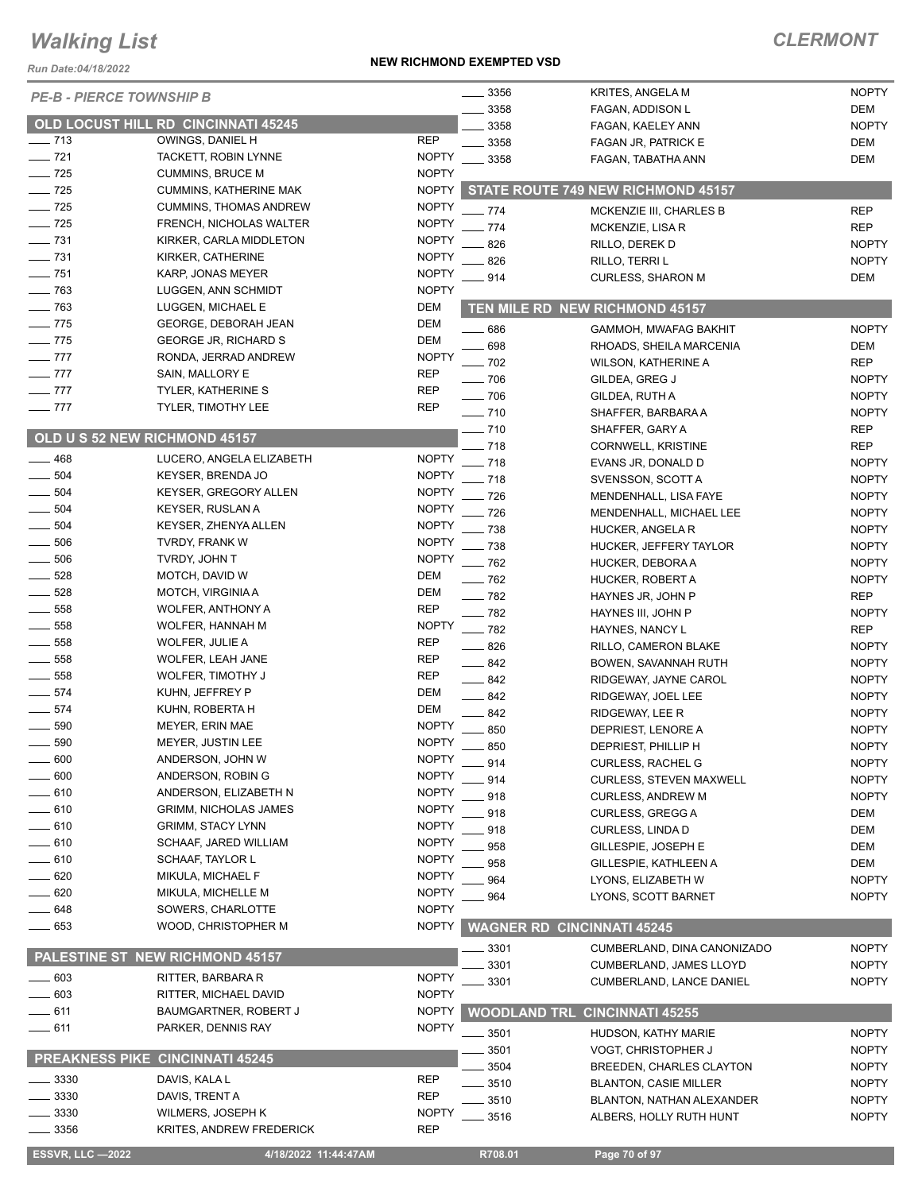*Run Date:04/18/2022*

#### **NEW RICHMOND EXEMPTED VSD**

| <b>ESSVR, LLC -2022</b>         | 4/18/2022 11:44:47AM                       |              | R708.01                           | Page 70 of 97                      |              |
|---------------------------------|--------------------------------------------|--------------|-----------------------------------|------------------------------------|--------------|
| 3356                            | KRITES, ANDREW FREDERICK                   | <b>REP</b>   |                                   |                                    |              |
| 3330                            | WILMERS, JOSEPH K                          | <b>NOPTY</b> | 3516                              | ALBERS, HOLLY RUTH HUNT            | <b>NOPTY</b> |
| 3330                            | DAVIS, TRENT A                             | <b>REP</b>   | 3510                              | BLANTON, NATHAN ALEXANDER          | <b>NOPTY</b> |
| 3330                            | DAVIS, KALA L                              | <b>REP</b>   | 3510                              | <b>BLANTON, CASIE MILLER</b>       | <b>NOPTY</b> |
|                                 |                                            |              | 3504                              | BREEDEN, CHARLES CLAYTON           | <b>NOPTY</b> |
|                                 | <b>PREAKNESS PIKE CINCINNATI 45245</b>     |              | 3501                              | VOGT, CHRISTOPHER J                | <b>NOPTY</b> |
|                                 |                                            |              | 3501                              | HUDSON, KATHY MARIE                | <b>NOPTY</b> |
| $=$ 611                         | PARKER, DENNIS RAY                         | <b>NOPTY</b> |                                   |                                    |              |
| $-611$                          | BAUMGARTNER, ROBERT J                      | <b>NOPTY</b> | <b>WOODLAND TRL</b>               | <b>CINCINNATI 45255</b>            |              |
| $-603$                          | RITTER, MICHAEL DAVID                      | <b>NOPTY</b> |                                   | <b>CUMBERLAND, LANCE DANIEL</b>    | <b>NOPTY</b> |
| $\equiv$ 603                    | RITTER, BARBARA R                          | <b>NOPTY</b> | 3301<br>3301                      | CUMBERLAND, JAMES LLOYD            | <b>NOPTY</b> |
|                                 | PALESTINE ST NEW RICHMOND 45157            |              | 3301                              | CUMBERLAND, DINA CANONIZADO        | <b>NOPTY</b> |
|                                 |                                            |              |                                   |                                    |              |
| $\frac{1}{2}$ 653               | WOOD, CHRISTOPHER M                        | <b>NOPTY</b> | <b>WAGNER RD CINCINNATI 45245</b> |                                    |              |
| __ 648                          | SOWERS, CHARLOTTE                          | <b>NOPTY</b> |                                   |                                    |              |
| __ 620                          | MIKULA, MICHELLE M                         | <b>NOPTY</b> | 964                               | LYONS, SCOTT BARNET                | <b>NOPTY</b> |
| $-620$                          | MIKULA, MICHAEL F                          | <b>NOPTY</b> | 964                               | LYONS, ELIZABETH W                 | <b>NOPTY</b> |
| $-610$                          | SCHAAF, TAYLOR L                           | <b>NOPTY</b> | 958                               | GILLESPIE, KATHLEEN A              | DEM          |
| _ 610                           | SCHAAF, JARED WILLIAM                      | <b>NOPTY</b> | 958                               | GILLESPIE, JOSEPH E                | <b>DEM</b>   |
| $- 610$                         | <b>GRIMM, STACY LYNN</b>                   | <b>NOPTY</b> | 918                               | CURLESS, LINDA D                   | DEM          |
| _ 610                           | <b>GRIMM, NICHOLAS JAMES</b>               | <b>NOPTY</b> | 918                               | <b>CURLESS, GREGG A</b>            | <b>DEM</b>   |
| 610                             | ANDERSON, ELIZABETH N                      | <b>NOPTY</b> | 918                               | <b>CURLESS, ANDREW M</b>           | <b>NOPTY</b> |
| 600                             | ANDERSON, ROBIN G                          | <b>NOPTY</b> | 914                               | CURLESS, STEVEN MAXWELL            | <b>NOPTY</b> |
| 600                             | ANDERSON, JOHN W                           | <b>NOPTY</b> | $-914$                            | <b>CURLESS, RACHEL G</b>           | <b>NOPTY</b> |
| 590                             | MEYER, JUSTIN LEE                          | <b>NOPTY</b> | 850                               | DEPRIEST, PHILLIP H                | <b>NOPTY</b> |
| 590                             | MEYER, ERIN MAE                            | <b>NOPTY</b> | 850                               | DEPRIEST, LENORE A                 | <b>NOPTY</b> |
| $- 574$                         | KUHN, ROBERTA H                            | <b>DEM</b>   | 842                               | RIDGEWAY, LEE R                    | <b>NOPTY</b> |
| $-574$                          | KUHN, JEFFREY P                            | <b>DEM</b>   | $\equiv$ 842                      | RIDGEWAY, JOEL LEE                 | <b>NOPTY</b> |
| 558                             | WOLFER, TIMOTHY J                          | <b>REP</b>   | $-842$                            | RIDGEWAY, JAYNE CAROL              | <b>NOPTY</b> |
| $\frac{1}{2}$ 558               | <b>WOLFER, LEAH JANE</b>                   | <b>REP</b>   | $\frac{1}{2}$ 842                 | BOWEN, SAVANNAH RUTH               | <b>NOPTY</b> |
| 558                             | WOLFER, JULIE A                            | <b>REP</b>   | $-826$                            | RILLO, CAMERON BLAKE               | <b>NOPTY</b> |
| 558                             | <b>WOLFER, HANNAH M</b>                    | <b>NOPTY</b> | $-$ 782                           | HAYNES, NANCY L                    | <b>REP</b>   |
| $\frac{1}{2}$ 558               | WOLFER, ANTHONY A                          | <b>REP</b>   | $-782$                            | HAYNES III, JOHN P                 | <b>NOPTY</b> |
| 528                             | MOTCH, VIRGINIA A                          | DEM          | $-782$                            | HAYNES JR, JOHN P                  | <b>REP</b>   |
| $- 528$                         | MOTCH, DAVID W                             | DEM          | $-762$                            | HUCKER, ROBERT A                   | <b>NOPTY</b> |
|                                 | TVRDY, JOHN T                              |              | $-762$                            | HUCKER, DEBORA A                   | <b>NOPTY</b> |
| $\frac{1}{2}$ 506               |                                            | <b>NOPTY</b> | 738                               | <b>HUCKER, JEFFERY TAYLOR</b>      | <b>NOPTY</b> |
| $\frac{1}{2}$ 506               | <b>TVRDY, FRANK W</b>                      | <b>NOPTY</b> | 738                               | HUCKER, ANGELA R                   | <b>NOPTY</b> |
| 504                             | KEYSER, ZHENYA ALLEN                       | <b>NOPTY</b> | $-726$                            | MENDENHALL, MICHAEL LEE            | <b>NOPTY</b> |
| 504                             | KEYSER, RUSLAN A                           | <b>NOPTY</b> | 726                               | MENDENHALL, LISA FAYE              | <b>NOPTY</b> |
| 504<br>$\frac{1}{1}$            | KEYSER, GREGORY ALLEN                      | <b>NOPTY</b> | $-718$                            | SVENSSON, SCOTT A                  | <b>NOPTY</b> |
| 504<br>$\frac{1}{1}$            | KEYSER, BRENDA JO                          | <b>NOPTY</b> |                                   |                                    |              |
| $-468$                          | LUCERO, ANGELA ELIZABETH                   | <b>NOPTY</b> | .718                              | EVANS JR, DONALD D                 | <b>NOPTY</b> |
| OLD U S 52 NEW RICHMOND 45157   |                                            |              | $-718$                            | CORNWELL, KRISTINE                 | <b>REP</b>   |
|                                 |                                            |              | $- 710$                           | SHAFFER, GARY A                    | <b>REP</b>   |
| $-777$                          | TYLER, TIMOTHY LEE                         | <b>REP</b>   | $- 710$                           | SHAFFER, BARBARA A                 | <b>NOPTY</b> |
| $-777$                          | <b>TYLER, KATHERINE S</b>                  | <b>REP</b>   | $-706$                            | GILDEA, RUTH A                     | <b>NOPTY</b> |
| $-777$                          | SAIN, MALLORY E                            | <b>REP</b>   | $- 706$                           | GILDEA, GREG J                     | <b>NOPTY</b> |
| $-777$                          | RONDA, JERRAD ANDREW                       | <b>NOPTY</b> | 702                               | <b>WILSON, KATHERINE A</b>         | <b>REP</b>   |
| $- 775$                         | <b>GEORGE JR, RICHARD S</b>                | <b>DEM</b>   | 698                               | RHOADS, SHEILA MARCENIA            | <b>DEM</b>   |
| $\frac{1}{2}$ 775               | GEORGE, DEBORAH JEAN                       | DEM          | 686                               | <b>GAMMOH, MWAFAG BAKHIT</b>       | <b>NOPTY</b> |
| $\frac{1}{2}$ 763               | LUGGEN, MICHAEL E                          | DEM          |                                   | TEN MILE RD NEW RICHMOND 45157     |              |
| $\frac{1}{2}$ 763               | LUGGEN, ANN SCHMIDT                        | <b>NOPTY</b> |                                   |                                    |              |
| $- 751$                         | KARP, JONAS MEYER                          | <b>NOPTY</b> | 914                               | <b>CURLESS, SHARON M</b>           | <b>DEM</b>   |
| $\frac{1}{2}$ 731               | KIRKER, CATHERINE                          | <b>NOPTY</b> | 826                               | RILLO, TERRI L                     | <b>NOPTY</b> |
| $\frac{1}{2}$ 731               | KIRKER, CARLA MIDDLETON                    | <b>NOPTY</b> | 826                               | RILLO, DEREK D                     | <b>NOPTY</b> |
| $\frac{1}{2}$ 725               | FRENCH, NICHOLAS WALTER                    | <b>NOPTY</b> | 774                               | MCKENZIE, LISA R                   | <b>REP</b>   |
| $\frac{1}{2}$ 725               | <b>CUMMINS, THOMAS ANDREW</b>              | <b>NOPTY</b> | $-774$                            | MCKENZIE III, CHARLES B            | <b>REP</b>   |
| $- 725$                         | <b>CUMMINS, KATHERINE MAK</b>              | <b>NOPTY</b> |                                   | STATE ROUTE 749 NEW RICHMOND 45157 |              |
| $\frac{1}{2}$ 725               | <b>CUMMINS, BRUCE M</b>                    | <b>NOPTY</b> |                                   |                                    |              |
| $\frac{1}{2}$ 721               | <b>TACKETT, ROBIN LYNNE</b>                | <b>NOPTY</b> | 3358                              | FAGAN, TABATHA ANN                 | <b>DEM</b>   |
| $\frac{1}{2}$ 713               | OWINGS, DANIEL H                           | <b>REP</b>   | 3358                              | FAGAN JR, PATRICK E                | DEM          |
|                                 | <b>OLD LOCUST HILL RD CINCINNATI 45245</b> |              | 3358                              | FAGAN, KAELEY ANN                  | <b>NOPTY</b> |
|                                 |                                            |              | 3358                              | FAGAN, ADDISON L                   | <b>DEM</b>   |
| <b>PE-B - PIERCE TOWNSHIP B</b> |                                            |              | 3356                              | KRITES, ANGELA M                   | <b>NOPTY</b> |
|                                 |                                            |              |                                   |                                    |              |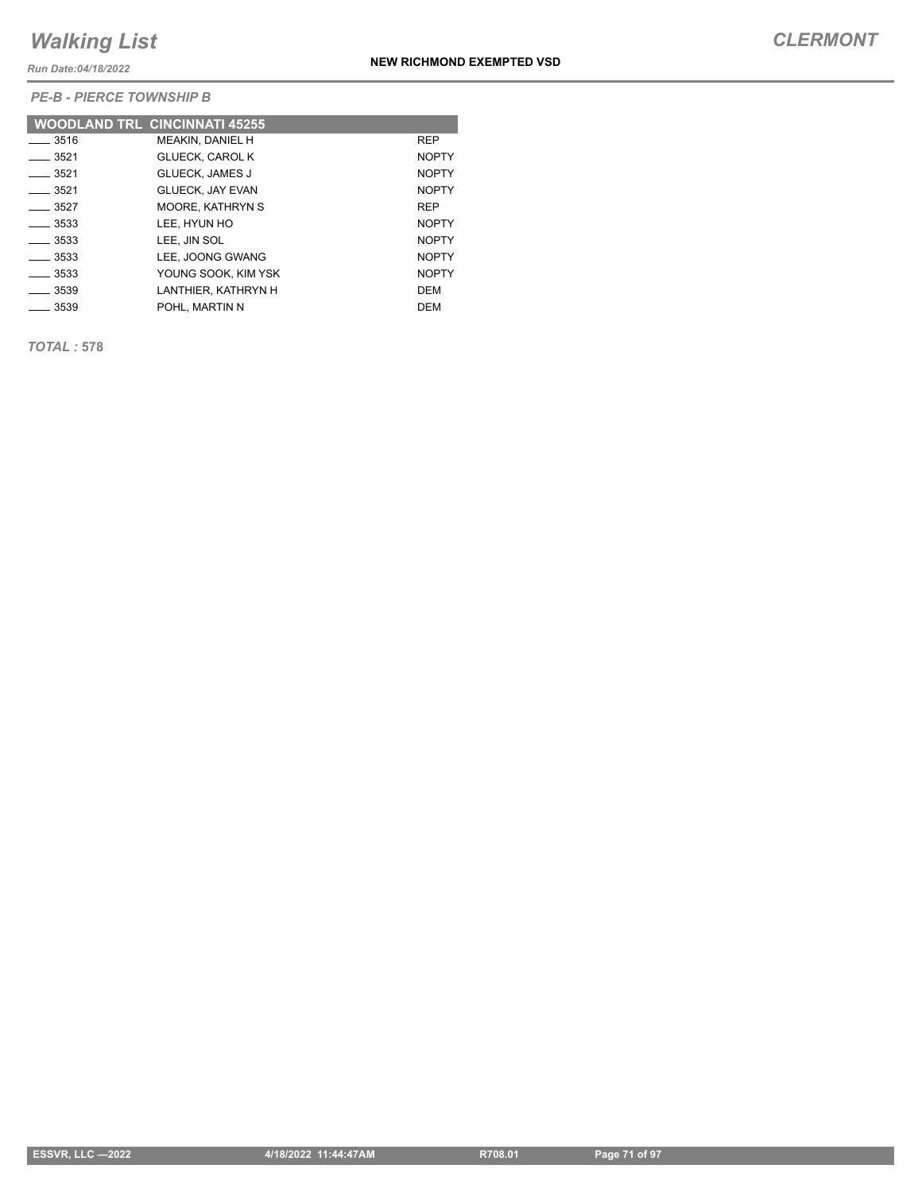*Run Date:04/18/2022*

*PE-B - PIERCE TOWNSHIP B*

|                    | <b>WOODLAND TRL CINCINNATI 45255</b> |              |
|--------------------|--------------------------------------|--------------|
| $\equiv$ 3516      | <b>MEAKIN, DANIEL H</b>              | <b>REP</b>   |
| $-3521$            | <b>GLUECK, CAROL K</b>               | <b>NOPTY</b> |
| $-3521$            | <b>GLUECK, JAMES J</b>               | <b>NOPTY</b> |
| $-3521$            | <b>GLUECK. JAY EVAN</b>              | <b>NOPTY</b> |
| $-3527$            | <b>MOORE, KATHRYN S</b>              | <b>REP</b>   |
| $\frac{1}{3533}$   | LEE. HYUN HO                         | <b>NOPTY</b> |
| $\frac{1}{2}$ 3533 | LEE. JIN SOL                         | <b>NOPTY</b> |
| $\frac{3533}{2}$   | LEE. JOONG GWANG                     | <b>NOPTY</b> |
| $-3533$            | YOUNG SOOK, KIM YSK                  | <b>NOPTY</b> |
| $-3539$            | LANTHIER, KATHRYN H                  | DEM          |
| ___ 3539           | POHL, MARTIN N                       | DEM          |

*TOTAL :* **578**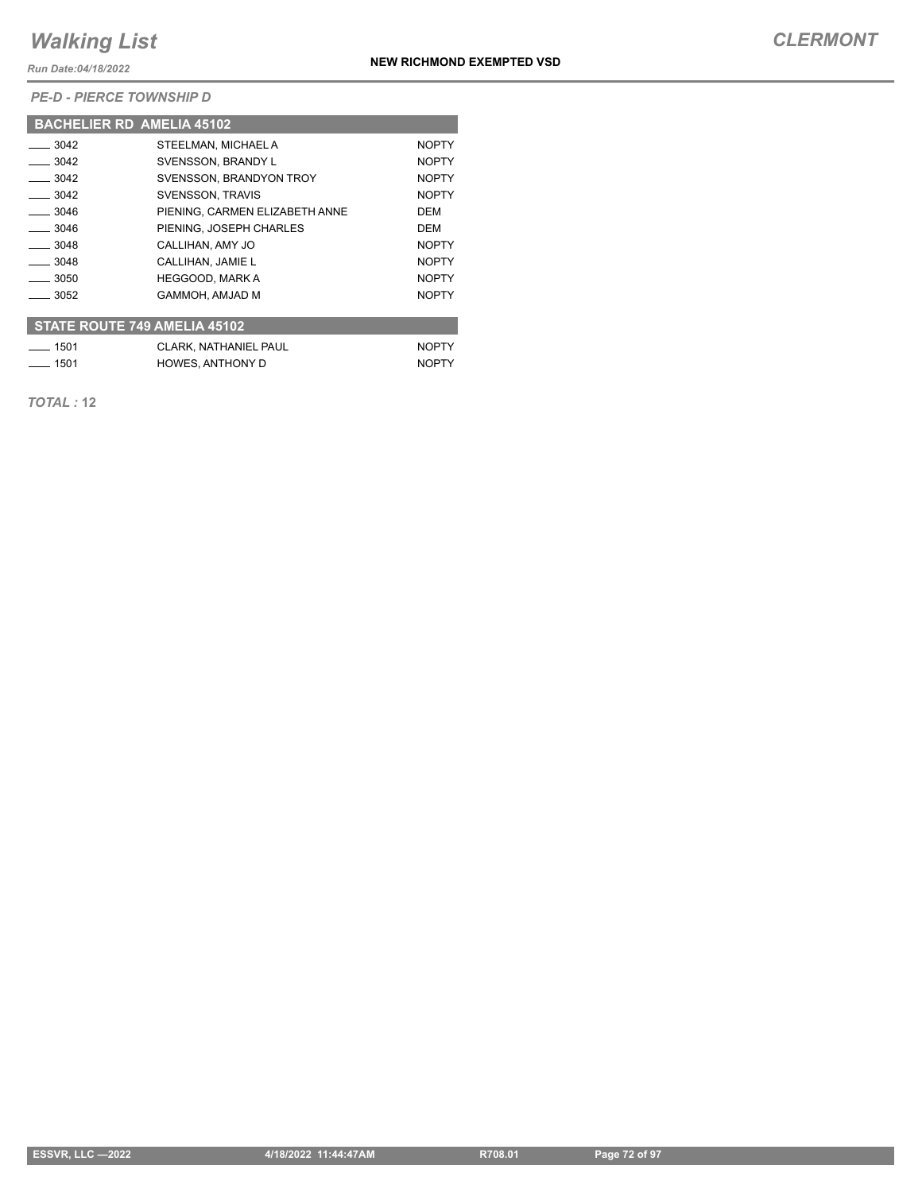*Run Date:04/18/2022*

*PE-D - PIERCE TOWNSHIP D*

|                                     | <b>BACHELIER RD AMELIA 45102</b> |              |  |  |
|-------------------------------------|----------------------------------|--------------|--|--|
| $\frac{1}{2}$ 3042                  | STEELMAN, MICHAEL A              | <b>NOPTY</b> |  |  |
| $-3042$                             | SVENSSON, BRANDY L               | <b>NOPTY</b> |  |  |
| $\frac{3042}{2}$                    | SVENSSON, BRANDYON TROY          | <b>NOPTY</b> |  |  |
| $-3042$                             | <b>SVENSSON, TRAVIS</b>          | <b>NOPTY</b> |  |  |
| $-3046$                             | PIENING. CARMEN ELIZABETH ANNE   | <b>DEM</b>   |  |  |
| $-3046$                             | PIENING. JOSEPH CHARLES          | DEM          |  |  |
| $-3048$                             | CALLIHAN, AMY JO                 | <b>NOPTY</b> |  |  |
| $-3048$                             | CALLIHAN, JAMIE L                | <b>NOPTY</b> |  |  |
| $\equiv$ 3050                       | <b>HEGGOOD, MARK A</b>           | <b>NOPTY</b> |  |  |
| $-3052$                             | GAMMOH. AMJAD M                  | <b>NOPTY</b> |  |  |
| <b>STATE ROUTE 749 AMELIA 45102</b> |                                  |              |  |  |
| $-1501$                             | <b>CLARK, NATHANIEL PAUL</b>     | <b>NOPTY</b> |  |  |
| $-1501$                             | <b>HOWES, ANTHONY D</b>          | <b>NOPTY</b> |  |  |

*TOTAL :* **12**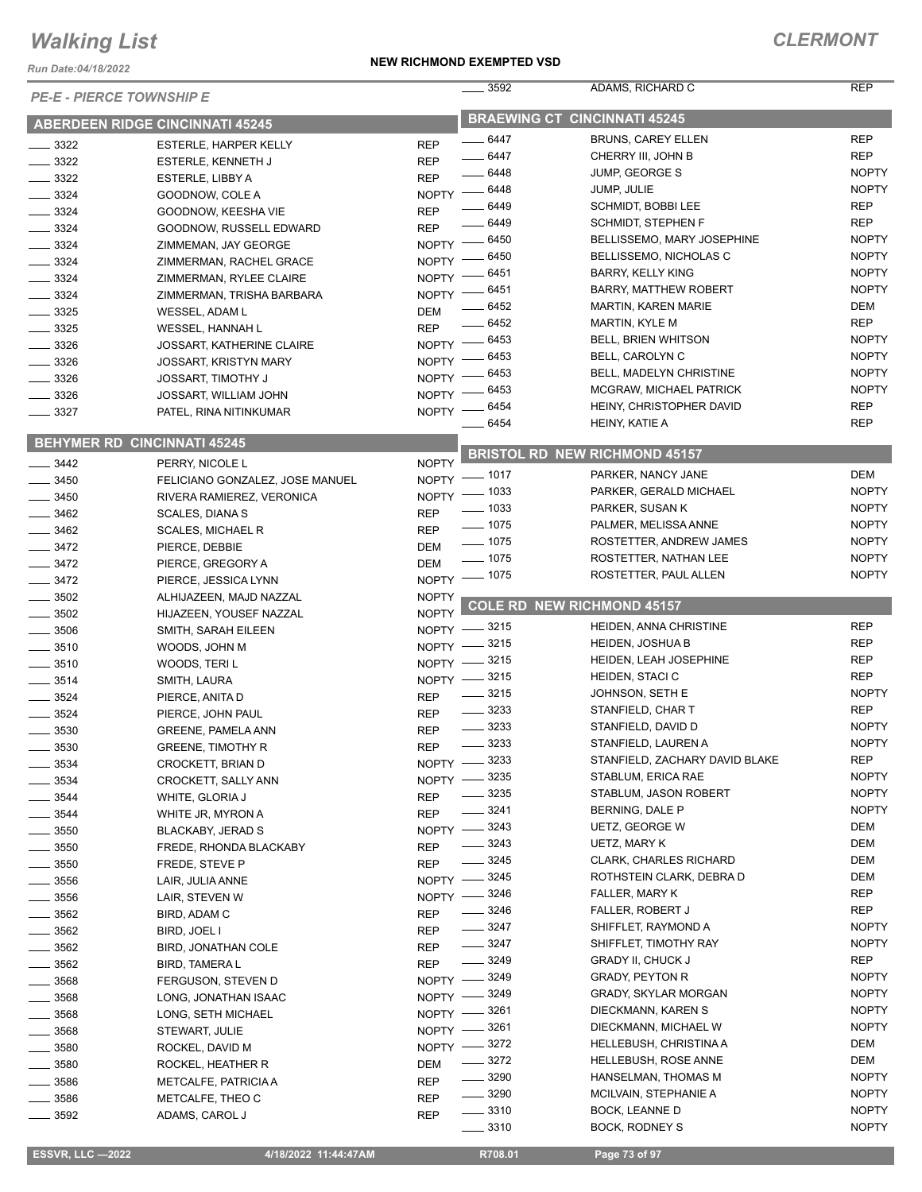*Run Date:04/18/2022*

| <b>PE-E - PIERCE TOWNSHIP E</b> |                                        |              | 3592                | ADAMS, RICHARD C                     | <b>REP</b>   |
|---------------------------------|----------------------------------------|--------------|---------------------|--------------------------------------|--------------|
|                                 | <b>ABERDEEN RIDGE CINCINNATI 45245</b> |              |                     | <b>BRAEWING CT CINCINNATI 45245</b>  |              |
| $\frac{1}{2}$ 3322              | ESTERLE, HARPER KELLY                  | <b>REP</b>   | $-6447$             | <b>BRUNS, CAREY ELLEN</b>            | <b>REP</b>   |
| $\frac{3322}{2}$                | ESTERLE, KENNETH J                     | <b>REP</b>   | $- 6447$            | CHERRY III, JOHN B                   | <b>REP</b>   |
| $\frac{1}{2}$ 3322              | ESTERLE, LIBBY A                       | <b>REP</b>   | $- 6448$            | <b>JUMP, GEORGE S</b>                | <b>NOPTY</b> |
| $-3324$                         | GOODNOW, COLE A                        |              | NOPTY - 6448        | JUMP, JULIE                          | <b>NOPTY</b> |
| $-3324$                         | GOODNOW, KEESHA VIE                    | <b>REP</b>   | $-6449$             | SCHMIDT, BOBBI LEE                   | <b>REP</b>   |
| $-3324$                         | GOODNOW, RUSSELL EDWARD                | <b>REP</b>   | $-6449$             | SCHMIDT, STEPHEN F                   | <b>REP</b>   |
| $-3324$                         | ZIMMEMAN, JAY GEORGE                   |              | NOPTY -6450         | BELLISSEMO, MARY JOSEPHINE           | <b>NOPTY</b> |
| $- 3324$                        | ZIMMERMAN, RACHEL GRACE                | $N$ OPTY $-$ | _ 6450              | BELLISSEMO, NICHOLAS C               | <b>NOPTY</b> |
| $-3324$                         | ZIMMERMAN, RYLEE CLAIRE                |              | NOPTY -6451         | <b>BARRY, KELLY KING</b>             | <b>NOPTY</b> |
|                                 | ZIMMERMAN, TRISHA BARBARA              | NOPTY -      | $-6451$             | <b>BARRY, MATTHEW ROBERT</b>         | <b>NOPTY</b> |
| $\frac{1}{2}$ 3324              |                                        |              | $- 6452$            | <b>MARTIN, KAREN MARIE</b>           | DEM          |
| $- 3325$                        | WESSEL, ADAM L                         | <b>DEM</b>   | $- 6452$            | <b>MARTIN, KYLE M</b>                | <b>REP</b>   |
| $\frac{1}{2}$ 3325              | WESSEL, HANNAH L                       | <b>REP</b>   | NOPTY - 6453        | <b>BELL, BRIEN WHITSON</b>           | <b>NOPTY</b> |
| $\frac{1}{2}$ 3326              | <b>JOSSART, KATHERINE CLAIRE</b>       |              | 6453                | BELL, CAROLYN C                      | <b>NOPTY</b> |
| $-3326$                         | JOSSART, KRISTYN MARY                  | NOPTY $-$    | 6453                | BELL, MADELYN CHRISTINE              | <b>NOPTY</b> |
| $\frac{3326}{2}$                | <b>JOSSART, TIMOTHY J</b>              | <b>NOPTY</b> | 6453                | MCGRAW, MICHAEL PATRICK              | <b>NOPTY</b> |
| $\frac{1}{2}$ 3326              | JOSSART, WILLIAM JOHN                  | NOPTY -      | 6454                | HEINY, CHRISTOPHER DAVID             | <b>REP</b>   |
| $\frac{3327}{2}$                | PATEL, RINA NITINKUMAR                 | NOPTY -      | 6454                | HEINY, KATIE A                       | <b>REP</b>   |
|                                 | <b>BEHYMER RD CINCINNATI 45245</b>     |              |                     |                                      |              |
| $-3442$                         | PERRY, NICOLE L                        | <b>NOPTY</b> |                     | <b>BRISTOL RD NEW RICHMOND 45157</b> |              |
| $-3450$                         | FELICIANO GONZALEZ, JOSE MANUEL        |              | NOPTY - 1017        | PARKER, NANCY JANE                   | DEM          |
| $-3450$                         | RIVERA RAMIEREZ, VERONICA              |              | NOPTY - 1033        | PARKER, GERALD MICHAEL               | <b>NOPTY</b> |
| $-3462$                         | <b>SCALES, DIANAS</b>                  | <b>REP</b>   | $\frac{1}{2}$ 1033  | PARKER, SUSAN K                      | <b>NOPTY</b> |
| $\frac{1}{2}$ 3462              | <b>SCALES, MICHAEL R</b>               | <b>REP</b>   | $- 1075$            | PALMER, MELISSA ANNE                 | <b>NOPTY</b> |
|                                 |                                        | DEM          | $- 1075$            | ROSTETTER, ANDREW JAMES              | <b>NOPTY</b> |
| $- 3472$                        | PIERCE, DEBBIE                         |              | $- 1075$            | ROSTETTER, NATHAN LEE                | <b>NOPTY</b> |
| $\frac{3472}{2}$                | PIERCE, GREGORY A                      | <b>DEM</b>   | NOPTY - 1075        | ROSTETTER, PAUL ALLEN                | <b>NOPTY</b> |
| $\frac{3472}{2}$                | PIERCE, JESSICA LYNN                   |              |                     |                                      |              |
| $\frac{1}{2}$ 3502              | ALHIJAZEEN, MAJD NAZZAL                | <b>NOPTY</b> |                     | <b>COLE RD NEW RICHMOND 45157</b>    |              |
| $\frac{1}{2}$ 3502              | HIJAZEEN, YOUSEF NAZZAL                | <b>NOPTY</b> | _ 3215              | HEIDEN, ANNA CHRISTINE               | <b>REP</b>   |
| $\frac{1}{2}$ 3506              | SMITH, SARAH EILEEN                    | $NOPTY -$    | $-3215$             | <b>HEIDEN, JOSHUA B</b>              | <b>REP</b>   |
| $- 3510$                        | WOODS, JOHN M                          | $N$ OPTY $-$ | 3215                | HEIDEN, LEAH JOSEPHINE               | <b>REP</b>   |
| $\frac{1}{2}$ 3510              | WOODS, TERIL                           | $NOPTY$ –    | NOPTY -8215         | <b>HEIDEN, STACI C</b>               | <b>REP</b>   |
| $-3514$                         | SMITH, LAURA                           |              | $- 3215$            | JOHNSON, SETH E                      | <b>NOPTY</b> |
| $- 3524$                        | PIERCE, ANITA D                        | <b>REP</b>   | $\frac{1}{2}$ 3233  | STANFIELD, CHAR T                    | <b>REP</b>   |
| $- 3524$                        | PIERCE, JOHN PAUL                      | <b>REP</b>   | $\frac{1}{2}$ 3233  | STANFIELD, DAVID D                   | <b>NOPTY</b> |
| $-3530$                         | <b>GREENE, PAMELA ANN</b>              | <b>REP</b>   | $\frac{1}{2}$ 3233  | STANFIELD, LAUREN A                  | <b>NOPTY</b> |
| 3530                            | <b>GREENE, TIMOTHY R</b>               | <b>REP</b>   |                     | STANFIELD, ZACHARY DAVID BLAKE       | <b>REP</b>   |
| 3534                            | CROCKETT, BRIAN D                      |              | NOPTY -8233<br>3235 | STABLUM, ERICA RAE                   | <b>NOPTY</b> |
| 3534                            | CROCKETT, SALLY ANN                    | <b>NOPTY</b> | 3235                | STABLUM, JASON ROBERT                | <b>NOPTY</b> |
| 3544                            | WHITE, GLORIA J                        | <b>REP</b>   |                     |                                      |              |
| - 3544                          | WHITE JR, MYRON A                      | <b>REP</b>   | 3241                | BERNING, DALE P                      | <b>NOPTY</b> |
| 3550                            | BLACKABY, JERAD S                      | $N$ OPTY $-$ | $-3243$             | UETZ, GEORGE W                       | DEM          |
| _ 3550                          | FREDE, RHONDA BLACKABY                 | <b>REP</b>   | - 3243              | UETZ, MARY K                         | DEM          |
| 3550                            | FREDE, STEVE P                         | <b>REP</b>   | $-3245$             | <b>CLARK, CHARLES RICHARD</b>        | DEM          |
| _ 3556                          | LAIR, JULIA ANNE                       | $NOPTY =$    | $-3245$             | ROTHSTEIN CLARK, DEBRA D             | DEM          |
| _ 3556                          | LAIR, STEVEN W                         | $N$ OPTY $-$ | 3246                | FALLER, MARY K                       | <b>REP</b>   |
| $-3562$                         | BIRD, ADAM C                           | <b>REP</b>   | $\frac{1}{2}$ 3246  | FALLER, ROBERT J                     | REP          |
| $=$ 3562                        | BIRD, JOEL I                           | <b>REP</b>   | $\frac{1}{2}$ 3247  | SHIFFLET, RAYMOND A                  | <b>NOPTY</b> |
| $-3562$                         | <b>BIRD, JONATHAN COLE</b>             | <b>REP</b>   | $- 3247$            | SHIFFLET, TIMOTHY RAY                | <b>NOPTY</b> |
| $=$ 3562                        | <b>BIRD, TAMERA L</b>                  | <b>REP</b>   | $- 3249$            | <b>GRADY II, CHUCK J</b>             | REP          |
| 3568                            | FERGUSON, STEVEN D                     | $NOPTY -$    | $-3249$             | <b>GRADY, PEYTON R</b>               | <b>NOPTY</b> |
| 3568                            | LONG, JONATHAN ISAAC                   | NOPTY -      | 3249                | GRADY, SKYLAR MORGAN                 | <b>NOPTY</b> |
| . 3568                          | LONG, SETH MICHAEL                     | NOPTY -      | 3261                | DIECKMANN, KAREN S                   | <b>NOPTY</b> |
| $-3568$                         | STEWART, JULIE                         | $N$ OPTY $-$ | 3261                | DIECKMANN, MICHAEL W                 | <b>NOPTY</b> |
| 3580                            | ROCKEL, DAVID M                        | $NOPTY =$    | _ 3272              | <b>HELLEBUSH, CHRISTINA A</b>        | DEM          |
| - 3580                          | ROCKEL, HEATHER R                      | DEM          | $- 3272$            | HELLEBUSH, ROSE ANNE                 | DEM          |
| 3586                            | METCALFE, PATRICIA A                   | <b>REP</b>   | $- 3290$            | HANSELMAN, THOMAS M                  | <b>NOPTY</b> |
| 3586                            | METCALFE, THEO C                       | REP          | $\frac{1}{2}$ 3290  | MCILVAIN, STEPHANIE A                | <b>NOPTY</b> |
| 3592                            | ADAMS, CAROL J                         | REP          | $\frac{1}{2}$ 3310  | BOCK, LEANNE D                       | <b>NOPTY</b> |
|                                 |                                        |              | $\frac{1}{2}$ 3310  | BOCK, RODNEY S                       | <b>NOPTY</b> |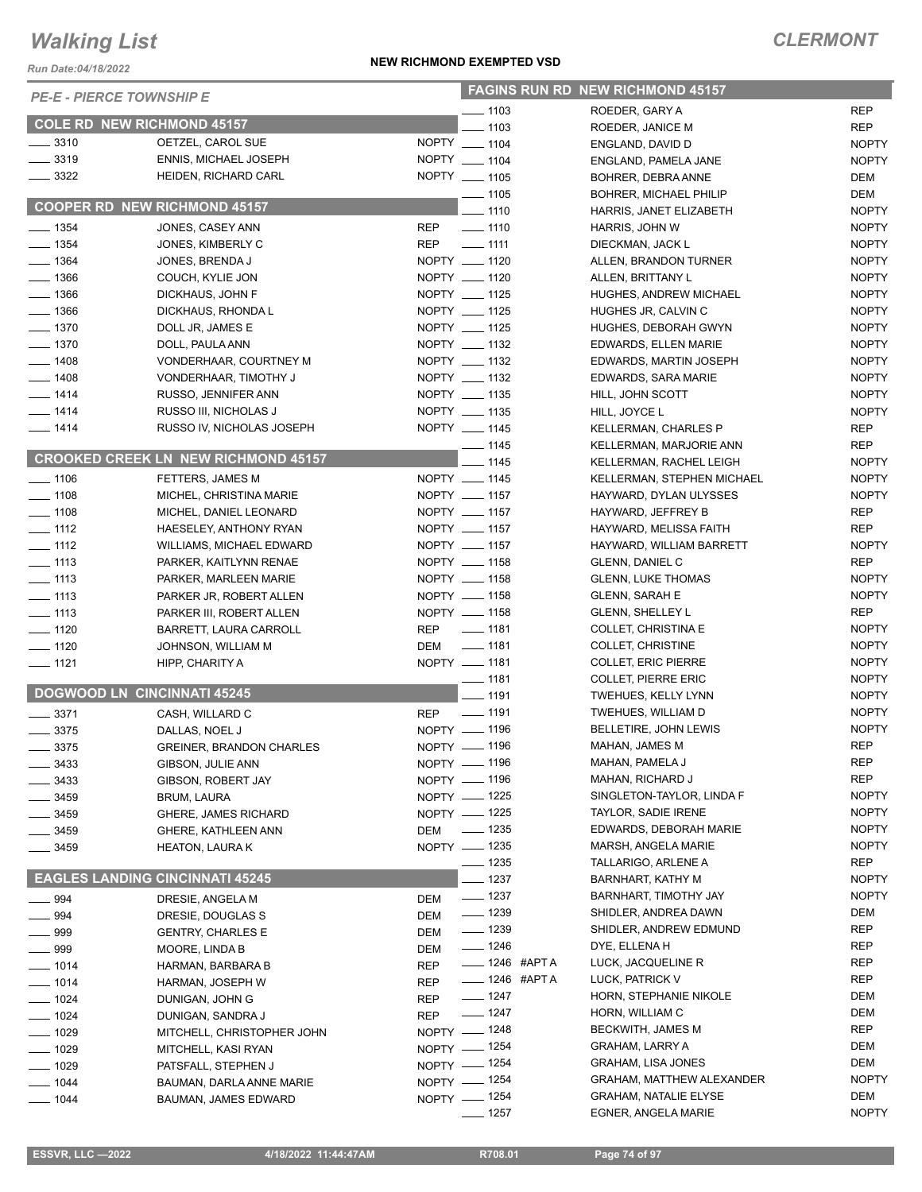*Run Date:04/18/2022*

| <b>PE-E - PIERCE TOWNSHIP E</b> |                                               |                                  | <b>FAGINS RUN RD NEW RICHMOND 45157</b> |              |  |  |
|---------------------------------|-----------------------------------------------|----------------------------------|-----------------------------------------|--------------|--|--|
|                                 |                                               | $-1103$                          | ROEDER, GARY A                          | <b>REP</b>   |  |  |
|                                 | <b>COLE RD NEW RICHMOND 45157</b>             | $-1103$                          | ROEDER, JANICE M                        | <b>REP</b>   |  |  |
| $- 3310$                        | OETZEL, CAROL SUE                             | NOPTY __ 1104                    | ENGLAND, DAVID D                        | <b>NOPTY</b> |  |  |
| $\frac{1}{2}$ 3319              | ENNIS, MICHAEL JOSEPH                         | NOPTY __ 1104                    | ENGLAND, PAMELA JANE                    | <b>NOPTY</b> |  |  |
| $\frac{1}{2}$ 3322              | HEIDEN, RICHARD CARL                          | NOPTY __ 1105                    | BOHRER, DEBRA ANNE                      | DEM          |  |  |
|                                 |                                               | $\frac{1}{2}$ 1105               | <b>BOHRER, MICHAEL PHILIP</b>           | DEM          |  |  |
|                                 | <b>COOPER RD NEW RICHMOND 45157</b>           | $- 1110$                         | HARRIS, JANET ELIZABETH                 | <b>NOPTY</b> |  |  |
| $- 1354$                        | JONES, CASEY ANN                              | <b>REP</b><br>$\frac{1}{2}$ 1110 | HARRIS, JOHN W                          | <b>NOPTY</b> |  |  |
| $- 1354$                        | JONES, KIMBERLY C                             | <b>REP</b><br>$- 1111$           | DIECKMAN, JACK L                        | <b>NOPTY</b> |  |  |
| $- 1364$                        | JONES, BRENDA J                               | NOPTY __ 1120                    | ALLEN, BRANDON TURNER                   | <b>NOPTY</b> |  |  |
| $- 1366$                        | COUCH, KYLIE JON                              | NOPTY __ 1120                    | ALLEN, BRITTANY L                       | <b>NOPTY</b> |  |  |
| $- 1366$                        | DICKHAUS, JOHN F                              | NOPTY __ 1125                    | HUGHES, ANDREW MICHAEL                  | <b>NOPTY</b> |  |  |
| $- 1366$                        | DICKHAUS, RHONDA L                            | NOPTY __ 1125                    | HUGHES JR, CALVIN C                     | <b>NOPTY</b> |  |  |
| $- 1370$                        | DOLL JR, JAMES E                              | NOPTY __ 1125                    | HUGHES, DEBORAH GWYN                    | <b>NOPTY</b> |  |  |
| $- 1370$                        | DOLL, PAULA ANN                               | NOPTY __ 1132                    | EDWARDS, ELLEN MARIE                    | <b>NOPTY</b> |  |  |
| $- 1408$                        | VONDERHAAR, COURTNEY M                        | NOPTY __ 1132                    | EDWARDS, MARTIN JOSEPH                  | <b>NOPTY</b> |  |  |
| $- 1408$                        | VONDERHAAR, TIMOTHY J                         | NOPTY __ 1132                    | EDWARDS, SARA MARIE                     | <b>NOPTY</b> |  |  |
| $- 1414$                        | RUSSO, JENNIFER ANN                           | NOPTY __ 1135                    | HILL, JOHN SCOTT                        | <b>NOPTY</b> |  |  |
| $- 1414$                        | RUSSO III, NICHOLAS J                         | NOPTY __ 1135                    | HILL, JOYCE L                           | <b>NOPTY</b> |  |  |
| $- 1414$                        | RUSSO IV, NICHOLAS JOSEPH                     | NOPTY __ 1145                    | <b>KELLERMAN, CHARLES P</b>             | REP          |  |  |
|                                 |                                               | $\frac{1}{1145}$                 | KELLERMAN, MARJORIE ANN                 | <b>REP</b>   |  |  |
|                                 | <b>CROOKED CREEK LN NEW RICHMOND 45157</b>    | $-1145$                          | KELLERMAN, RACHEL LEIGH                 | <b>NOPTY</b> |  |  |
| $- 1106$                        | FETTERS, JAMES M                              | NOPTY __ 1145                    | KELLERMAN, STEPHEN MICHAEL              | <b>NOPTY</b> |  |  |
| $\frac{1}{2}$ 1108              | MICHEL, CHRISTINA MARIE                       | NOPTY __ 1157                    | HAYWARD, DYLAN ULYSSES                  | <b>NOPTY</b> |  |  |
| $- 1108$                        | MICHEL, DANIEL LEONARD                        | NOPTY __ 1157                    | HAYWARD, JEFFREY B                      | REP          |  |  |
| $\frac{1}{2}$ 1112              | HAESELEY, ANTHONY RYAN                        | NOPTY __ 1157                    | HAYWARD, MELISSA FAITH                  | <b>REP</b>   |  |  |
| $- 1112$                        | WILLIAMS, MICHAEL EDWARD                      | NOPTY __ 1157                    | HAYWARD, WILLIAM BARRETT                | <b>NOPTY</b> |  |  |
| $\frac{1}{113}$                 | PARKER, KAITLYNN RENAE                        | NOPTY __ 1158                    | <b>GLENN, DANIEL C</b>                  | <b>REP</b>   |  |  |
| $\frac{1}{2}$ 1113              | PARKER, MARLEEN MARIE                         | NOPTY __ 1158                    | <b>GLENN, LUKE THOMAS</b>               | <b>NOPTY</b> |  |  |
| $- 1113$                        | PARKER JR, ROBERT ALLEN                       | NOPTY __ 1158                    | <b>GLENN, SARAH E</b>                   | <b>NOPTY</b> |  |  |
| $\frac{1}{2}$ 1113              | PARKER III, ROBERT ALLEN                      | NOPTY __ 1158                    | <b>GLENN, SHELLEY L</b>                 | <b>REP</b>   |  |  |
| $- 1120$                        | <b>BARRETT, LAURA CARROLL</b>                 | $\frac{1}{2}$ 1181<br><b>REP</b> | COLLET, CHRISTINA E                     | <b>NOPTY</b> |  |  |
| $\frac{1}{2}$ 1120              | JOHNSON, WILLIAM M                            | $\frac{1}{2}$ 1181<br>DEM        | <b>COLLET, CHRISTINE</b>                | <b>NOPTY</b> |  |  |
| $- 1121$                        | HIPP, CHARITY A                               | NOPTY __ 1181                    | <b>COLLET, ERIC PIERRE</b>              | <b>NOPTY</b> |  |  |
|                                 |                                               | $- 1181$                         | COLLET, PIERRE ERIC                     | <b>NOPTY</b> |  |  |
|                                 | <b>DOGWOOD LN CINCINNATI 45245</b>            | $-1191$                          | TWEHUES, KELLY LYNN                     | <b>NOPTY</b> |  |  |
| $\frac{1}{2}$ 3371              | CASH, WILLARD C                               | $\frac{1}{2}$ 1191<br><b>REP</b> | TWEHUES, WILLIAM D                      | <b>NOPTY</b> |  |  |
| $- 3375$                        | DALLAS, NOEL J                                | NOPTY - 1196                     | BELLETIRE, JOHN LEWIS                   | <b>NOPTY</b> |  |  |
| $= 3375$                        | <b>GREINER, BRANDON CHARLES</b>               | NOPTY - 1196                     | MAHAN, JAMES M                          | <b>REP</b>   |  |  |
| __ 3433                         | GIBSON, JULIE ANN                             | NOPTY - 1196                     | MAHAN, PAMELA J                         | REP          |  |  |
| $= 3433$                        | GIBSON, ROBERT JAY                            | NOPTY - 1196                     | MAHAN, RICHARD J                        | REP          |  |  |
| _ 3459                          | BRUM, LAURA                                   | NOPTY - 1225                     | SINGLETON-TAYLOR, LINDA F               | <b>NOPTY</b> |  |  |
| __ 3459                         | <b>GHERE, JAMES RICHARD</b>                   | NOPTY - 1225                     | TAYLOR, SADIE IRENE                     | <b>NOPTY</b> |  |  |
| _ 3459                          | <b>GHERE, KATHLEEN ANN</b>                    | $\frac{1}{2}$ 1235<br>DEM        | EDWARDS, DEBORAH MARIE                  | <b>NOPTY</b> |  |  |
| 3459                            | <b>HEATON, LAURA K</b>                        | NOPTY - 1235                     | MARSH, ANGELA MARIE                     | <b>NOPTY</b> |  |  |
|                                 |                                               | _ 1235                           | TALLARIGO, ARLENE A                     | REP          |  |  |
|                                 | <b>EAGLES LANDING CINCINNATI 45245</b>        | $-1237$                          | BARNHART, KATHY M                       | <b>NOPTY</b> |  |  |
| ____ 994                        | DRESIE, ANGELA M                              | $- 1237$<br>DEM                  | BARNHART, TIMOTHY JAY                   | <b>NOPTY</b> |  |  |
| $\frac{1}{2}$ 994               |                                               | $\frac{1}{2}$ 1239<br><b>DEM</b> | SHIDLER, ANDREA DAWN                    | DEM          |  |  |
| ___ 999                         | DRESIE, DOUGLAS S<br><b>GENTRY, CHARLES E</b> | $- 1239$<br>DEM                  | SHIDLER, ANDREW EDMUND                  | REP          |  |  |
| $\_\_999$                       | MOORE, LINDA B                                | $- 1246$<br>DEM                  | DYE, ELLENA H                           | REP          |  |  |
| ___ 1014                        | HARMAN, BARBARA B                             | ____ 1246 #APT A<br><b>REP</b>   | LUCK, JACQUELINE R                      | REP          |  |  |
| — 1014                          | HARMAN, JOSEPH W                              | ____ 1246 #APT A<br>REP          | LUCK, PATRICK V                         | REP          |  |  |
|                                 |                                               | $- 1247$                         | HORN, STEPHANIE NIKOLE                  | DEM          |  |  |
| $- 1024$                        | DUNIGAN, JOHN G                               | REP<br>$- 1247$<br><b>REP</b>    | HORN, WILLIAM C                         | DEM          |  |  |
| __ 1024                         | DUNIGAN, SANDRA J                             | NOPTY - 1248                     | <b>BECKWITH, JAMES M</b>                | REP          |  |  |
| $- 1029$                        | MITCHELL, CHRISTOPHER JOHN                    | NOPTY - 1254                     | GRAHAM, LARRY A                         | DEM          |  |  |
| $- 1029$                        | MITCHELL, KASI RYAN                           | NOPTY - 1254                     | GRAHAM, LISA JONES                      | DEM          |  |  |
| $- 1029$                        | PATSFALL, STEPHEN J                           | NOPTY - 1254                     | GRAHAM, MATTHEW ALEXANDER               | <b>NOPTY</b> |  |  |
| $- 1044$                        | BAUMAN, DARLA ANNE MARIE                      | NOPTY - 1254                     | <b>GRAHAM, NATALIE ELYSE</b>            | DEM          |  |  |
| ___ 1044                        | BAUMAN, JAMES EDWARD                          | —— 1257                          | EGNER, ANGELA MARIE                     | <b>NOPTY</b> |  |  |
|                                 |                                               |                                  |                                         |              |  |  |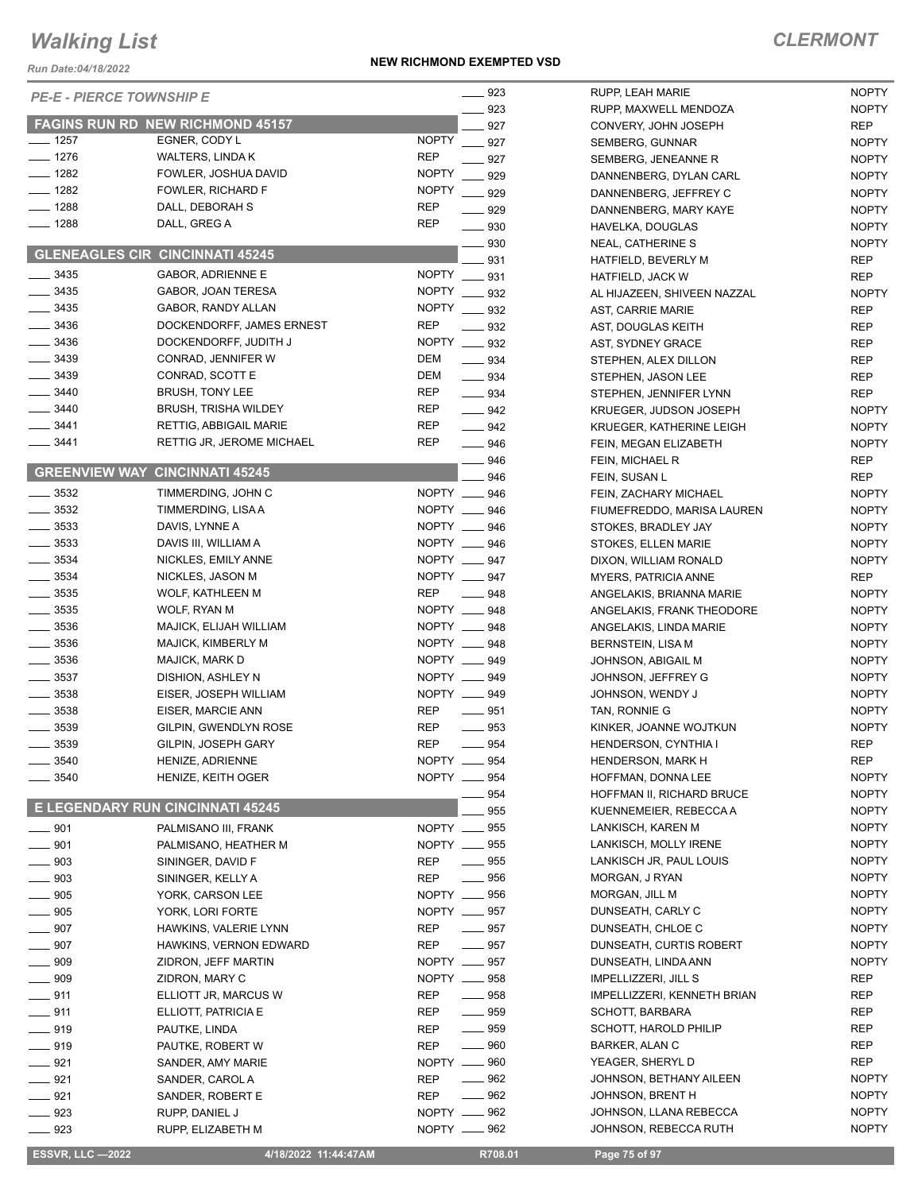*Run Date:04/18/2022*

#### **NEW RICHMOND EXEMPTED VSD**

## *CLERMONT*

| KUII DAIE.04/10/ZUZZ | <b>PE-E - PIERCE TOWNSHIP E</b>                   |                                 | 923        | RUPP, LEAH                |
|----------------------|---------------------------------------------------|---------------------------------|------------|---------------------------|
|                      |                                                   |                                 | 923        | RUPP, MAX                 |
| $\frac{1}{2}$ 1257   | FAGINS RUN RD NEW RICHMOND 45157<br>EGNER, CODY L | <b>NOPTY</b>                    | 927        | CONVERY,                  |
| $- 1276$             | <b>WALTERS, LINDA K</b>                           | <b>REP</b>                      | 927        | SEMBERG,                  |
| $- 1282$             | FOWLER, JOSHUA DAVID                              | <b>NOPTY</b>                    | 927        | SEMBERG,                  |
| $- 1282$             | FOWLER, RICHARD F                                 | <b>NOPTY</b>                    | 929        | <b>DANNENBE</b>           |
| $- 1288$             | DALL, DEBORAH S                                   | REP                             | 929        | <b>DANNENBE</b>           |
| $- 1288$             | DALL, GREG A                                      | REP                             | 929<br>930 | <b>DANNENBE</b>           |
|                      |                                                   |                                 |            | HAVELKA, D                |
|                      | <b>GLENEAGLES CIR CINCINNATI 45245</b>            |                                 | 930<br>931 | NEAL, CATH<br>HATFIELD, I |
| $\frac{1}{2}$ 3435   | <b>GABOR, ADRIENNE E</b>                          | NOPTY __ 931                    |            | HATFIELD,                 |
| $- 3435$             | GABOR, JOAN TERESA                                | <b>NOPTY</b>                    | 932        | AL HIJAZEE                |
| $\frac{1}{2}$ 3435   | GABOR, RANDY ALLAN                                | <b>NOPTY</b>                    | 932        | AST, CARRI                |
| $\frac{1}{2}$ 3436   | DOCKENDORFF, JAMES ERNEST                         | <b>REP</b>                      | 932        | AST, DOUG                 |
| $- 3436$             | DOCKENDORFF, JUDITH J                             | <b>NOPTY</b><br>$\frac{1}{2}$   | 932        | <b>AST, SYDNE</b>         |
| $- 3439$             | CONRAD, JENNIFER W                                | DEM<br>$\overline{\phantom{0}}$ | 934        | STEPHEN, A                |
| $- 3439$             | CONRAD, SCOTT E                                   | DEM<br>$\equiv$ 934             |            | STEPHEN,                  |
| $- 3440$             | <b>BRUSH, TONY LEE</b>                            | REP<br>$\equiv$ 934             |            | STEPHEN,                  |
| $- 3440$             | <b>BRUSH, TRISHA WILDEY</b>                       | REP<br>$-942$                   |            | KRUEGER,                  |
| $- 3441$             | RETTIG, ABBIGAIL MARIE                            | REP<br>$-942$                   |            | <b>KRUEGER,</b>           |
| ____ 3441            | RETTIG JR, JEROME MICHAEL                         | REP<br>$\overline{\phantom{a}}$ | 946        | FEIN, MEGA                |
|                      |                                                   |                                 | 946        | FEIN, MICH                |
|                      | <b>GREENVIEW WAY CINCINNATI 45245</b>             |                                 | 946        | FEIN, SUSA                |
| $- 3532$             | TIMMERDING, JOHN C                                | NOPTY __ 946                    |            | FEIN, ZACH                |
| $-3532$              | TIMMERDING, LISA A                                | NOPTY __ 946                    |            | <b>FIUMEFRED</b>          |
| $\frac{1}{2}$ 3533   | DAVIS, LYNNE A                                    | NOPTY __ 946                    |            | STOKES, BI                |
| $- 3533$             | DAVIS III, WILLIAM A                              | NOPTY __ 946                    |            | STOKES, EI                |
| $\frac{1}{2}$ 3534   | NICKLES, EMILY ANNE                               | NOPTY __ 947                    |            | DIXON, WIL                |
| $\frac{1}{2}$ 3534   | NICKLES, JASON M                                  | NOPTY __ 947                    |            | MYERS, PA                 |
| $-3535$              | WOLF, KATHLEEN M                                  | <b>REP</b>                      | 948        | ANGELAKIS                 |
| $\frac{1}{2}$ 3535   | WOLF, RYAN M                                      | NOPTY _                         | __ 948     | ANGELAKIS                 |
| $\frac{1}{2}$ 3536   | MAJICK, ELIJAH WILLIAM                            | NOPTY __ 948                    |            | ANGELAKIS                 |
| $- 3536$             | MAJICK, KIMBERLY M                                | NOPTY __                        | 948        | <b>BERNSTEIN</b>          |
| $\frac{1}{2}$ 3536   | MAJICK, MARK D                                    | NOPTY __ 949                    |            | JOHNSON,                  |
| $- 3537$             | DISHION, ASHLEY N                                 | NOPTY __ 949                    |            | JOHNSON,                  |
| $\frac{1}{2}$ 3538   | EISER, JOSEPH WILLIAM                             | NOPTY __ 949                    |            | JOHNSON,                  |
| $- 3538$             | EISER, MARCIE ANN                                 | REP                             | 951        | TAN, RONN                 |
| $-3539$              | GILPIN, GWENDLYN ROSE                             | <b>REP</b>                      | 953        | KINKER, JO                |
| $-3539$              | GILPIN, JOSEPH GARY                               | <b>REP</b>                      | $-954$     | <b>HENDERSC</b>           |
| _ 3540               | HENIZE, ADRIENNE                                  | NOPTY __ 954                    |            | <b>HENDERSC</b>           |
| 3540                 | HENIZE, KEITH OGER                                | NOPTY __ 954                    |            | HOFFMAN,                  |
|                      |                                                   |                                 | 954        | <b>HOFFMAN I</b>          |
|                      | E LEGENDARY RUN CINCINNATI 45245                  |                                 | 955        | <b>KUENNEME</b>           |
| $\equiv$ 901         | PALMISANO III, FRANK                              | NOPTY __ 955                    |            | LANKISCH,                 |
| $-901$               | PALMISANO, HEATHER M                              | NOPTY __ 955                    |            | LANKISCH,                 |
| $\frac{1}{2}$ 903    | SININGER, DAVID F                                 | $-955$<br>REP                   |            | LANKISCH,                 |
| $\frac{1}{2}$ 903    | SININGER, KELLY A                                 | $\overline{\phantom{a}}$<br>REP | 956        | MORGAN, J                 |
| $- 905$              | YORK, CARSON LEE                                  | NOPTY __ 956                    |            | MORGAN, J                 |
| $\frac{1}{2}$ 905    | YORK, LORI FORTE                                  | NOPTY __ 957                    |            | <b>DUNSEATH</b>           |
| $\equiv$ 907         | HAWKINS, VALERIE LYNN                             | $\frac{1}{2}$ 957<br>REP        |            | <b>DUNSEATH</b>           |
| $\equiv$ 907         | HAWKINS, VERNON EDWARD                            | $\_\_$ 957<br>REP               |            | <b>DUNSEATH</b>           |
| $\_\_909$            | ZIDRON, JEFF MARTIN                               | NOPTY __ 957                    |            | <b>DUNSEATH</b>           |
| $-909$               | ZIDRON, MARY C                                    | NOPTY -                         | 958        | <b>IMPELLIZZE</b>         |
| $-911$               | ELLIOTT JR, MARCUS W                              | $\frac{1}{2}$ 958<br>REP        |            | <b>IMPELLIZZE</b>         |
| $-911$               | ELLIOTT, PATRICIA E                               | $\frac{1}{2}$ 959<br>REP        |            | SCHOTT, BA                |
| $-919$               | PAUTKE, LINDA                                     | $\_\_$ 959<br>REP               |            | SCHOTT, H                 |
| ____ 919             | PAUTKE, ROBERT W                                  | <b>REP</b><br>_____ 960         |            | <b>BARKER, AI</b>         |
| $-921$               | SANDER, AMY MARIE                                 | NOPTY __ 960                    |            | YEAGER, SI                |
| $-921$               | SANDER, CAROL A                                   | $\frac{1}{2}$ 962<br>REP        |            | JOHNSON,                  |
| $-921$               | SANDER, ROBERT E                                  | REP                             | 962        | JOHNSON,                  |
| $\frac{1}{2}$ 923    | RUPP, DANIEL J                                    | NOPTY __ 962                    |            | JOHNSON,                  |
| $\equiv$ 923         | RUPP, ELIZABETH M                                 | NOPTY <u>__</u> 962             |            | JOHNSON,                  |

| 923        | RUPP, LEAH MARIE                               | NOPTY        |
|------------|------------------------------------------------|--------------|
| 923        | RUPP, MAXWELL MENDOZA                          | <b>NOPTY</b> |
| 927        | CONVERY, JOHN JOSEPH                           | REP          |
| 927        | SEMBERG, GUNNAR                                | <b>NOPTY</b> |
| 927        | SEMBERG, JENEANNE R                            | <b>NOPTY</b> |
| 929        | DANNENBERG, DYLAN CARL                         | <b>NOPTY</b> |
| 929        | DANNENBERG, JEFFREY C                          | <b>NOPTY</b> |
| 929        | DANNENBERG, MARY KAYE                          | <b>NOPTY</b> |
| 930        | HAVELKA, DOUGLAS                               | <b>NOPTY</b> |
| 930        | NEAL, CATHERINE S                              | <b>NOPTY</b> |
| 931        | HATFIELD, BEVERLY M                            | REP          |
| 931        | <b>HATFIELD, JACK W</b>                        | <b>REP</b>   |
| 932        | AL HIJAZEEN, SHIVEEN NAZZAL                    | <b>NOPTY</b> |
| 932        | AST, CARRIE MARIE                              | REP          |
| 932        | AST, DOUGLAS KEITH                             | REP          |
| 932        | AST, SYDNEY GRACE                              | REP          |
| 934        | STEPHEN, ALEX DILLON                           | REP          |
| 934        | STEPHEN, JASON LEE                             | REP          |
| 934        | STEPHEN, JENNIFER LYNN                         | REP          |
| 942        | KRUEGER, JUDSON JOSEPH                         | <b>NOPTY</b> |
| 942        | KRUEGER, KATHERINE LEIGH                       | <b>NOPTY</b> |
| 946        | FEIN, MEGAN ELIZABETH                          | <b>NOPTY</b> |
| 946        | FEIN, MICHAEL R                                | REP          |
| 946        | FEIN, SUSAN L                                  | REP          |
| 946        | FEIN. ZACHARY MICHAEL                          | <b>NOPTY</b> |
| 946        | FIUMEFREDDO, MARISA LAUREN                     | <b>NOPTY</b> |
| 946        | STOKES, BRADLEY JAY                            | <b>NOPTY</b> |
| 946        | STOKES, ELLEN MARIE                            | <b>NOPTY</b> |
| 947        | DIXON, WILLIAM RONALD                          | <b>NOPTY</b> |
| 947        | <b>MYERS, PATRICIA ANNE</b>                    | REP          |
| 948        | ANGELAKIS, BRIANNA MARIE                       | <b>NOPTY</b> |
| 948        | ANGELAKIS, FRANK THEODORE                      | <b>NOPTY</b> |
| 948        | ANGELAKIS, LINDA MARIE                         | <b>NOPTY</b> |
| 948        | BERNSTEIN, LISA M                              | <b>NOPTY</b> |
| 949        | JOHNSON, ABIGAIL M                             | <b>NOPTY</b> |
| 949        | JOHNSON, JEFFREY G                             | <b>NOPTY</b> |
| 949        | JOHNSON, WENDY J                               | <b>NOPTY</b> |
| 951        | TAN, RONNIE G                                  | <b>NOPTY</b> |
| 953        | KINKER, JOANNE WOJTKUN                         | NOPTY        |
| 954        | <b>HENDERSON, CYNTHIA I</b>                    | <b>REP</b>   |
| 954        | HENDERSON, MARK H                              | <b>REP</b>   |
| 954        | HOFFMAN, DONNA LEE                             | NOPTY        |
| 954        | HOFFMAN II, RICHARD BRUCE                      | <b>NOPTY</b> |
| 955        | KUENNEMEIER, REBECCA A                         | NOPTY        |
| 955        | LANKISCH, KAREN M                              | <b>NOPTY</b> |
| 955        | LANKISCH, MOLLY IRENE                          | NOPTY        |
| 955        | LANKISCH JR, PAUL LOUIS                        | <b>NOPTY</b> |
|            | MORGAN, J RYAN                                 | <b>NOPTY</b> |
| 956<br>956 | MORGAN, JILL M                                 | NOPTY        |
|            | DUNSEATH, CARLY C                              | <b>NOPTY</b> |
| 957        | DUNSEATH, CHLOE C                              | NOPTY        |
| 957<br>957 |                                                |              |
|            | DUNSEATH, CURTIS ROBERT<br>DUNSEATH, LINDA ANN | NOPTY        |
| 957        | IMPELLIZZERI, JILL S                           | <b>NOPTY</b> |
| 958        |                                                | REP          |
| 958        | <b>IMPELLIZZERI, KENNETH BRIAN</b>             | REP          |
| 959        | SCHOTT, BARBARA                                | <b>REP</b>   |
| 959        | SCHOTT, HAROLD PHILIP                          | <b>REP</b>   |
| 960        | <b>BARKER, ALAN C</b>                          | <b>REP</b>   |
| 960        | YEAGER, SHERYL D                               | REP          |
| 962        | JOHNSON, BETHANY AILEEN                        | <b>NOPTY</b> |
| 962        | JOHNSON, BRENT H                               | NOPTY        |
| 962        | JOHNSON, LLANA REBECCA                         | NOPTY        |
| 962        | JOHNSON, REBECCA RUTH                          | <b>NOPTY</b> |

 **ESSVR, LLC —2022 4/18/2022 11:44:47AM R708.01 Page 75 of 97**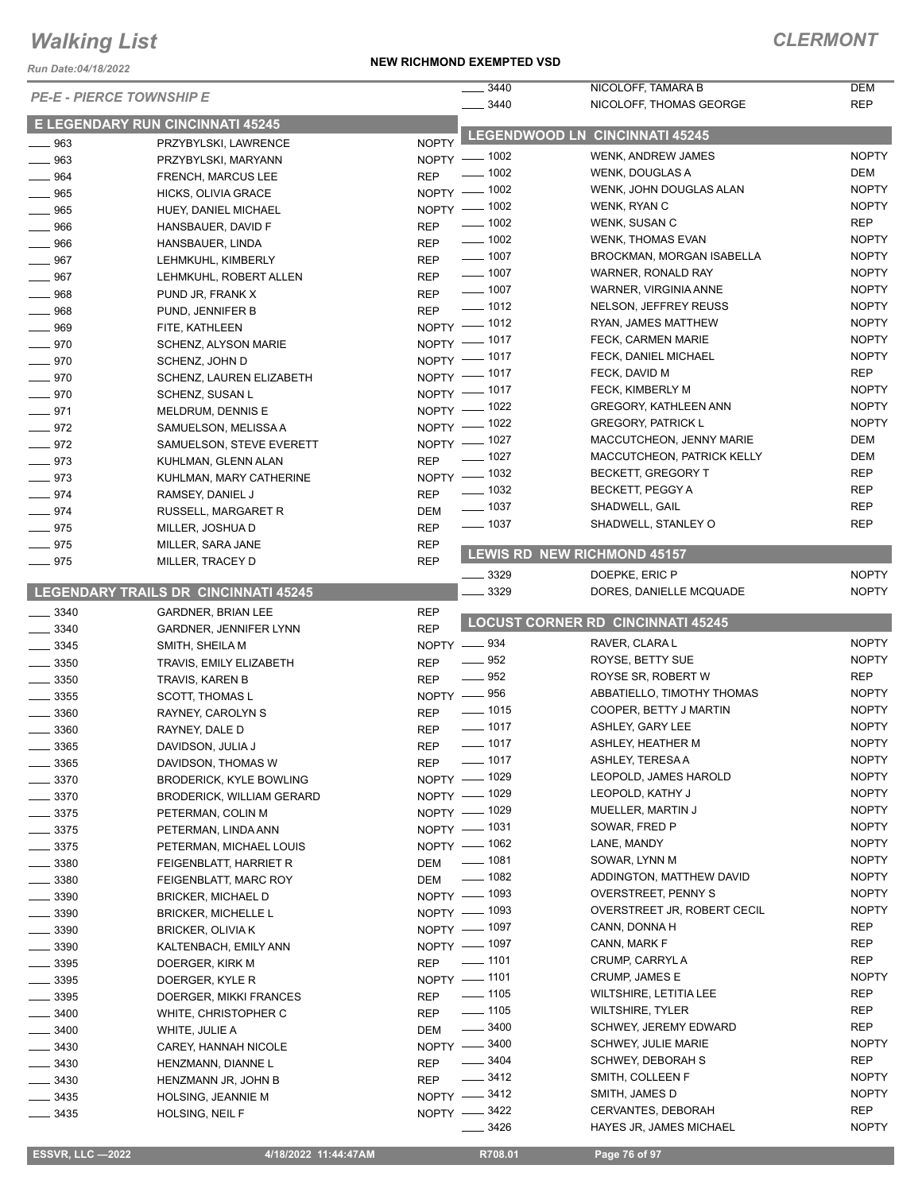*Run Date:04/18/2022*

#### **NEW RICHMOND EXEMPTED VSD**

| Run Date:04/18/2022             |                                         |                                                |                                          |              |
|---------------------------------|-----------------------------------------|------------------------------------------------|------------------------------------------|--------------|
| <b>PE-E - PIERCE TOWNSHIP E</b> |                                         | 3440                                           | NICOLOFF, TAMARA B                       | <b>DEM</b>   |
|                                 |                                         | 3440                                           | NICOLOFF, THOMAS GEORGE                  | <b>REP</b>   |
|                                 | <b>E LEGENDARY RUN CINCINNATI 45245</b> |                                                | <b>LEGENDWOOD LN CINCINNATI 45245</b>    |              |
| $\frac{1}{2}$ 963               | PRZYBYLSKI, LAWRENCE                    | <b>NOPTY</b><br>NOPTY - 1002                   | <b>WENK, ANDREW JAMES</b>                | <b>NOPTY</b> |
| $\frac{1}{2}$ 963               | PRZYBYLSKI, MARYANN                     | $- 1002$                                       | WENK, DOUGLAS A                          | DEM          |
| $- 964$                         | FRENCH, MARCUS LEE                      | <b>REP</b><br>NOPTY - 1002                     | WENK, JOHN DOUGLAS ALAN                  | <b>NOPTY</b> |
| $\frac{1}{2}$ 965               | HICKS, OLIVIA GRACE                     | NOPTY - 1002                                   | WENK, RYAN C                             | <b>NOPTY</b> |
| $\frac{1}{2}$ 965               | HUEY, DANIEL MICHAEL                    | $- 1002$                                       | WENK, SUSAN C                            | REP          |
| $- 966$                         | HANSBAUER, DAVID F                      | <b>REP</b><br>$\frac{1}{2}$ 1002<br><b>REP</b> | <b>WENK, THOMAS EVAN</b>                 | <b>NOPTY</b> |
| $- 966$<br>$- 967$              | HANSBAUER, LINDA<br>LEHMKUHL, KIMBERLY  | $- 1007$<br><b>REP</b>                         | BROCKMAN, MORGAN ISABELLA                | <b>NOPTY</b> |
| $- 967$                         | LEHMKUHL, ROBERT ALLEN                  | $\frac{1}{2}$ 1007<br><b>REP</b>               | WARNER, RONALD RAY                       | <b>NOPTY</b> |
| $- 968$                         | PUND JR, FRANK X                        | $\frac{1}{2}$ 1007<br><b>REP</b>               | WARNER, VIRGINIA ANNE                    | <b>NOPTY</b> |
| $- 968$                         | PUND, JENNIFER B                        | $\frac{1}{2}$ 1012<br><b>REP</b>               | NELSON, JEFFREY REUSS                    | <b>NOPTY</b> |
| $- 969$                         | FITE, KATHLEEN                          | NOPTY - 1012                                   | RYAN, JAMES MATTHEW                      | <b>NOPTY</b> |
| $- 970$                         | SCHENZ, ALYSON MARIE                    | NOPTY - 1017                                   | FECK, CARMEN MARIE                       | <b>NOPTY</b> |
| $- 970$                         | SCHENZ, JOHN D                          | NOPTY - 1017                                   | FECK, DANIEL MICHAEL                     | <b>NOPTY</b> |
| $- 970$                         | SCHENZ, LAUREN ELIZABETH                | NOPTY - 1017                                   | FECK, DAVID M                            | REP          |
| $- 970$                         | SCHENZ, SUSAN L                         | NOPTY - 1017                                   | FECK, KIMBERLY M                         | <b>NOPTY</b> |
| $-971$                          | MELDRUM, DENNIS E                       | NOPTY - 1022                                   | <b>GREGORY, KATHLEEN ANN</b>             | <b>NOPTY</b> |
| $- 972$                         | SAMUELSON, MELISSA A                    | NOPTY - 1022                                   | <b>GREGORY, PATRICK L</b>                | <b>NOPTY</b> |
| $-972$                          | SAMUELSON, STEVE EVERETT                | NOPTY - 1027                                   | MACCUTCHEON, JENNY MARIE                 | DEM          |
| $- 973$                         | KUHLMAN, GLENN ALAN                     | $\frac{1}{2}$ 1027<br><b>REP</b>               | MACCUTCHEON, PATRICK KELLY               | DEM          |
| $- 973$                         | KUHLMAN, MARY CATHERINE                 | NOPTY - 1032                                   | <b>BECKETT, GREGORY T</b>                | <b>REP</b>   |
| $-974$                          | RAMSEY, DANIEL J                        | $\frac{1}{2}$ 1032<br><b>REP</b>               | BECKETT, PEGGY A                         | <b>REP</b>   |
| $- 974$                         | RUSSELL, MARGARET R                     | $\frac{1}{2}$ 1037<br><b>DEM</b>               | SHADWELL, GAIL                           | <b>REP</b>   |
| $- 975$                         | MILLER, JOSHUA D                        | $\frac{1}{2}$ 1037<br><b>REP</b>               | SHADWELL, STANLEY O                      | <b>REP</b>   |
| $- 975$                         | MILLER, SARA JANE                       | <b>REP</b>                                     |                                          |              |
| $- 975$                         | MILLER, TRACEY D                        | <b>REP</b>                                     | <b>LEWIS RD NEW RICHMOND 45157</b>       |              |
|                                 |                                         | 3329                                           | DOEPKE, ERIC P                           | <b>NOPTY</b> |
|                                 | LEGENDARY TRAILS DR CINCINNATI 45245    | 3329                                           | DORES, DANIELLE MCQUADE                  | <b>NOPTY</b> |
| 3340<br>$\frac{1}{2}$           | <b>GARDNER, BRIAN LEE</b>               | <b>REP</b>                                     |                                          |              |
| $\frac{1}{2}$ 3340              | GARDNER, JENNIFER LYNN                  | <b>REP</b>                                     | <b>LOCUST CORNER RD CINCINNATI 45245</b> |              |
| $\frac{1}{2}$ 3345              | SMITH, SHEILA M                         | NOPTY -834                                     | RAVER, CLARA L                           | <b>NOPTY</b> |
| $\frac{1}{2}$ 3350              | TRAVIS, EMILY ELIZABETH                 | $- 952$<br><b>REP</b>                          | ROYSE, BETTY SUE                         | <b>NOPTY</b> |
| $\frac{1}{2}$ 3350              | TRAVIS, KAREN B                         | $\frac{1}{2}$ 952<br><b>REP</b>                | ROYSE SR, ROBERT W                       | REP          |
| 3355                            | <b>SCOTT, THOMAS L</b>                  | NOPTY -856                                     | ABBATIELLO, TIMOTHY THOMAS               | <b>NOPTY</b> |
| 3360                            | RAYNEY, CAROLYN S                       | $- 1015$<br><b>REP</b>                         | COOPER, BETTY J MARTIN                   | <b>NOPTY</b> |
| 3360<br>$\frac{1}{1}$           | RAYNEY, DALE D                          | $- 1017$<br><b>REP</b>                         | ASHLEY, GARY LEE                         | <b>NOPTY</b> |
| ____ 3365                       | DAVIDSON, JULIA J                       | $\frac{1}{2}$ 1017<br>REP                      | ASHLEY, HEATHER M                        | <b>NOPTY</b> |
| $\frac{1}{2}$ 3365              | DAVIDSON, THOMAS W                      | $\frac{1}{2}$ 1017<br><b>REP</b>               | ASHLEY, TERESA A                         | <b>NOPTY</b> |
| $-3370$                         | <b>BRODERICK, KYLE BOWLING</b>          | NOPTY - 1029                                   | LEOPOLD, JAMES HAROLD                    | <b>NOPTY</b> |
| $\frac{1}{2}$ 3370              | <b>BRODERICK, WILLIAM GERARD</b>        | NOPTY - 1029                                   | LEOPOLD, KATHY J                         | <b>NOPTY</b> |
| $\frac{1}{2}$ 3375              | PETERMAN, COLIN M                       | NOPTY - 1029                                   | MUELLER, MARTIN J                        | <b>NOPTY</b> |
| $\frac{1}{2}$ 3375              | PETERMAN, LINDA ANN                     | NOPTY - 1031                                   | SOWAR, FRED P                            | <b>NOPTY</b> |
| $\frac{1}{2}$ 3375              | PETERMAN, MICHAEL LOUIS                 | NOPTY - 1062                                   | LANE, MANDY                              | <b>NOPTY</b> |
| $\frac{1}{2}$ 3380              | FEIGENBLATT, HARRIET R                  | $- 1081$<br><b>DEM</b>                         | SOWAR, LYNN M                            | <b>NOPTY</b> |
| $\frac{1}{2}$ 3380              | FEIGENBLATT, MARC ROY                   | $- 1082$<br><b>DEM</b>                         | ADDINGTON, MATTHEW DAVID                 | <b>NOPTY</b> |
| $- 3390$                        | <b>BRICKER, MICHAEL D</b>               | NOPTY - 1093                                   | <b>OVERSTREET, PENNY S</b>               | <b>NOPTY</b> |
| $\frac{1}{2}$ 3390              | <b>BRICKER, MICHELLE L</b>              | NOPTY - 1093                                   | OVERSTREET JR, ROBERT CECIL              | <b>NOPTY</b> |
| $\frac{1}{2}$ 3390              | <b>BRICKER, OLIVIA K</b>                | NOPTY - 1097                                   | CANN, DONNA H                            | REP          |
| $\frac{1}{2}$ 3390              | KALTENBACH, EMILY ANN                   | NOPTY - 1097                                   | CANN, MARK F                             | REP          |
| $\frac{1}{2}$ 3395              | DOERGER, KIRK M                         | $- 1101$<br><b>REP</b>                         | CRUMP, CARRYL A                          | REP          |
| $\frac{1}{2}$ 3395              | DOERGER, KYLE R                         | NOPTY - 1101                                   | CRUMP, JAMES E                           | <b>NOPTY</b> |
| $\frac{1}{2}$ 3395              | DOERGER, MIKKI FRANCES                  | $\frac{1}{2}$ 1105<br><b>REP</b>               | <b>WILTSHIRE, LETITIA LEE</b>            | REP          |
| $\frac{1}{2}$ 3400              | WHITE, CHRISTOPHER C                    | $\frac{1}{2}$ 1105<br><b>REP</b>               | <b>WILTSHIRE, TYLER</b>                  | REP          |
| _ 3400                          | WHITE, JULIE A                          | $\frac{1}{2}$ 3400<br><b>DEM</b>               | <b>SCHWEY, JEREMY EDWARD</b>             | <b>REP</b>   |
| $\frac{1}{2}$ 3430              | CAREY, HANNAH NICOLE                    | NOPTY -8400                                    | <b>SCHWEY, JULIE MARIE</b>               | <b>NOPTY</b> |
| _ 3430                          | HENZMANN, DIANNE L                      | $\frac{1}{2}$ 3404<br><b>REP</b>               | SCHWEY, DEBORAH S                        | REP          |
| $\frac{1}{2}$ 3430              | HENZMANN JR, JOHN B                     | 3412<br><b>REP</b>                             | SMITH, COLLEEN F                         | <b>NOPTY</b> |
| $\frac{1}{2}$ 3435              | HOLSING, JEANNIE M                      | NOPTY -8412                                    | SMITH, JAMES D                           | <b>NOPTY</b> |
| 3435                            | HOLSING, NEIL F                         | NOPTY -8422                                    | CERVANTES, DEBORAH                       | REP          |

\_\_ 3426 **HAYES JR, JAMES MICHAEL** NOPTY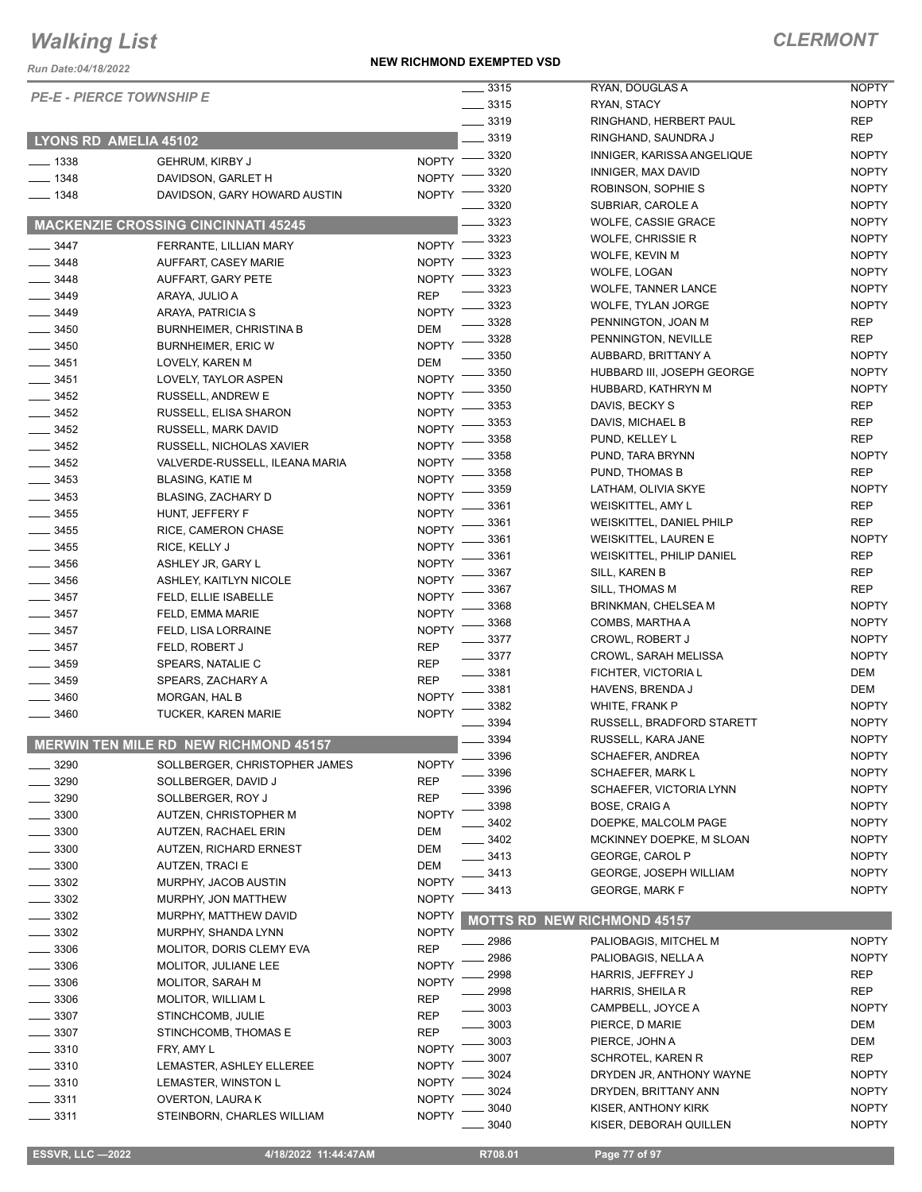*Run Date:04/18/2022*

#### **NEW RICHMOND EXEMPTED VSD**

## *CLERMONT*

|                    |                                              | $\overline{\phantom{0}}$ 3315 |                                    | <b>NOPTY</b> |
|--------------------|----------------------------------------------|-------------------------------|------------------------------------|--------------|
|                    | <b>PE-E - PIERCE TOWNSHIP E</b>              |                               | RYAN, DOUGLAS A                    |              |
|                    |                                              | $\frac{1}{2}$ 3315            | RYAN, STACY                        | <b>NOPTY</b> |
|                    |                                              | $-3319$                       | RINGHAND, HERBERT PAUL             | <b>REP</b>   |
|                    | LYONS RD AMELIA 45102                        | 3319                          | RINGHAND, SAUNDRA J                | <b>REP</b>   |
| $\frac{1}{2}$ 1338 | <b>GEHRUM, KIRBY J</b>                       | 3320<br><b>NOPTY</b>          | INNIGER, KARISSA ANGELIQUE         | <b>NOPTY</b> |
| $- 1348$           | DAVIDSON, GARLET H                           | 3320<br><b>NOPTY</b>          | INNIGER, MAX DAVID                 | <b>NOPTY</b> |
| $- 1348$           | DAVIDSON, GARY HOWARD AUSTIN                 | 3320<br><b>NOPTY</b>          | ROBINSON, SOPHIE S                 | <b>NOPTY</b> |
|                    |                                              | 3320                          | SUBRIAR, CAROLE A                  | <b>NOPTY</b> |
|                    | <b>MACKENZIE CROSSING CINCINNATI 45245</b>   | 3323                          | <b>WOLFE, CASSIE GRACE</b>         | <b>NOPTY</b> |
| $-3447$            | FERRANTE, LILLIAN MARY                       | 3323<br><b>NOPTY</b>          | WOLFE, CHRISSIE R                  | <b>NOPTY</b> |
| 3448               | AUFFART, CASEY MARIE                         | 3323<br><b>NOPTY</b>          | WOLFE, KEVIN M                     | <b>NOPTY</b> |
| $-3448$            | AUFFART, GARY PETE                           | 3323<br><b>NOPTY</b>          | WOLFE, LOGAN                       | <b>NOPTY</b> |
| 3449               |                                              | 3323<br><b>REP</b>            | <b>WOLFE, TANNER LANCE</b>         | <b>NOPTY</b> |
|                    | ARAYA, JULIO A                               | 3323<br><b>NOPTY</b>          | WOLFE, TYLAN JORGE                 | <b>NOPTY</b> |
| 3449               | ARAYA, PATRICIA S                            | 3328                          | PENNINGTON, JOAN M                 | <b>REP</b>   |
| $-3450$            | <b>BURNHEIMER, CHRISTINA B</b>               | <b>DEM</b><br>3328            | PENNINGTON, NEVILLE                | <b>REP</b>   |
| $-3450$            | <b>BURNHEIMER, ERIC W</b>                    | <b>NOPTY</b><br>3350          | AUBBARD, BRITTANY A                | <b>NOPTY</b> |
| $\frac{1}{2}$ 3451 | LOVELY, KAREN M                              | <b>DEM</b><br>3350            | HUBBARD III, JOSEPH GEORGE         | <b>NOPTY</b> |
| $- 3451$           | LOVELY, TAYLOR ASPEN                         | <b>NOPTY</b><br>3350          | HUBBARD, KATHRYN M                 | <b>NOPTY</b> |
| 3452               | RUSSELL, ANDREW E                            | <b>NOPTY</b><br>3353          | DAVIS, BECKY S                     | <b>REP</b>   |
| $-3452$            | RUSSELL, ELISA SHARON                        | <b>NOPTY</b><br>3353          | DAVIS, MICHAEL B                   | <b>REP</b>   |
| _ 3452             | RUSSELL, MARK DAVID                          | <b>NOPTY</b><br>3358          | PUND, KELLEY L                     | <b>REP</b>   |
| $-3452$            | RUSSELL, NICHOLAS XAVIER                     | <b>NOPTY</b><br>3358          | PUND, TARA BRYNN                   | <b>NOPTY</b> |
| $-3452$            | VALVERDE-RUSSELL, ILEANA MARIA               | <b>NOPTY</b><br>3358          | PUND, THOMAS B                     | <b>REP</b>   |
| $-3453$            | <b>BLASING, KATIE M</b>                      | <b>NOPTY</b><br>3359          |                                    |              |
| $-3453$            | <b>BLASING, ZACHARY D</b>                    | <b>NOPTY</b>                  | LATHAM, OLIVIA SKYE                | <b>NOPTY</b> |
| $=$ 3455           | HUNT, JEFFERY F                              | 3361<br><b>NOPTY</b>          | WEISKITTEL, AMY L                  | <b>REP</b>   |
| $-3455$            | RICE, CAMERON CHASE                          | 3361<br><b>NOPTY</b>          | <b>WEISKITTEL, DANIEL PHILP</b>    | <b>REP</b>   |
| $= 3455$           | RICE, KELLY J                                | 3361<br><b>NOPTY</b>          | WEISKITTEL, LAUREN E               | <b>NOPTY</b> |
| $-3456$            | ASHLEY JR, GARY L                            | 3361<br><b>NOPTY</b>          | WEISKITTEL, PHILIP DANIEL          | <b>REP</b>   |
| $-3456$            | ASHLEY, KAITLYN NICOLE                       | 3367<br><b>NOPTY</b>          | SILL, KAREN B                      | <b>REP</b>   |
| $= 3457$           | FELD, ELLIE ISABELLE                         | 3367<br><b>NOPTY</b>          | SILL, THOMAS M                     | <b>REP</b>   |
| $-3457$            | FELD, EMMA MARIE                             | 3368<br><b>NOPTY</b>          | BRINKMAN, CHELSEA M                | <b>NOPTY</b> |
| $-3457$            | FELD, LISA LORRAINE                          | 3368<br><b>NOPTY</b>          | COMBS, MARTHA A                    | <b>NOPTY</b> |
| 3457               | FELD, ROBERT J                               | 3377<br><b>REP</b>            | CROWL, ROBERT J                    | <b>NOPTY</b> |
| .3459              | SPEARS, NATALIE C                            | 3377<br><b>REP</b>            | CROWL, SARAH MELISSA               | <b>NOPTY</b> |
| 3459               | SPEARS, ZACHARY A                            | 3381<br><b>REP</b>            | FICHTER, VICTORIA L                | DEM          |
| 3460               | MORGAN, HAL B                                | 3381<br><b>NOPTY</b>          | HAVENS, BRENDA J                   | DEM          |
| $-3460$            |                                              | 3382<br><b>NOPTY</b>          | WHITE, FRANK P                     | <b>NOPTY</b> |
|                    | TUCKER, KAREN MARIE                          | 3394                          | RUSSELL, BRADFORD STARETT          | <b>NOPTY</b> |
|                    | <b>MERWIN TEN MILE RD NEW RICHMOND 45157</b> | 3394                          | RUSSELL, KARA JANE                 | <b>NOPTY</b> |
|                    |                                              | 3396                          | SCHAEFER, ANDREA                   | <b>NOPTY</b> |
| 3290               | SOLLBERGER, CHRISTOPHER JAMES                | <b>NOPTY</b><br>3396          | SCHAEFER, MARK L                   | <b>NOPTY</b> |
| 3290               | SOLLBERGER, DAVID J                          | <b>REP</b><br>3396            | SCHAEFER, VICTORIA LYNN            | <b>NOPTY</b> |
| 3290               | SOLLBERGER, ROY J                            | <b>REP</b><br>3398            | BOSE, CRAIG A                      | <b>NOPTY</b> |
| 3300               | AUTZEN, CHRISTOPHER M                        | <b>NOPTY</b><br>3402          | DOEPKE, MALCOLM PAGE               | <b>NOPTY</b> |
| 3300               | AUTZEN, RACHAEL ERIN                         | <b>DEM</b><br>3402            | MCKINNEY DOEPKE, M SLOAN           | <b>NOPTY</b> |
| 3300               | AUTZEN, RICHARD ERNEST                       | <b>DEM</b><br>3413            | GEORGE, CAROL P                    | <b>NOPTY</b> |
| 3300               | <b>AUTZEN, TRACI E</b>                       | DEM<br>3413                   | GEORGE, JOSEPH WILLIAM             | <b>NOPTY</b> |
| 3302               | MURPHY, JACOB AUSTIN                         | <b>NOPTY</b><br>3413          | GEORGE, MARK F                     | <b>NOPTY</b> |
| - 3302             | MURPHY, JON MATTHEW                          | <b>NOPTY</b>                  |                                    |              |
| _ 3302             | MURPHY, MATTHEW DAVID                        | <b>NOPTY</b>                  | <b>MOTTS RD NEW RICHMOND 45157</b> |              |
| $-3302$            | MURPHY, SHANDA LYNN                          | <b>NOPTY</b>                  |                                    |              |
| 3306               | MOLITOR, DORIS CLEMY EVA                     | 2986<br><b>REP</b>            | PALIOBAGIS, MITCHEL M              | <b>NOPTY</b> |
| 3306               | MOLITOR, JULIANE LEE                         | 2986<br><b>NOPTY</b>          | PALIOBAGIS, NELLA A                | <b>NOPTY</b> |
| 3306               | <b>MOLITOR, SARAH M</b>                      | 2998<br><b>NOPTY</b>          | HARRIS, JEFFREY J                  | REP          |
| 3306               | MOLITOR, WILLIAM L                           | 2998<br><b>REP</b>            | HARRIS, SHEILA R                   | <b>REP</b>   |
| 3307               | STINCHCOMB, JULIE                            | 3003<br><b>REP</b>            | CAMPBELL, JOYCE A                  | <b>NOPTY</b> |
| 3307               | STINCHCOMB, THOMAS E                         | 3003<br><b>REP</b>            | PIERCE, D MARIE                    | DEM          |
| 3310               | FRY, AMY L                                   | 3003<br><b>NOPTY</b>          | PIERCE, JOHN A                     | DEM          |
| _ 3310             | LEMASTER, ASHLEY ELLEREE                     | 3007<br><b>NOPTY</b>          | SCHROTEL, KAREN R                  | <b>REP</b>   |
|                    |                                              | 3024<br><b>NOPTY</b>          | DRYDEN JR, ANTHONY WAYNE           | <b>NOPTY</b> |
| 3310               | LEMASTER, WINSTON L                          | 3024                          | DRYDEN, BRITTANY ANN               | <b>NOPTY</b> |
| $-3311$            | <b>OVERTON, LAURA K</b>                      | <b>NOPTY</b><br>3040          | KISER, ANTHONY KIRK                | <b>NOPTY</b> |
| $-3311$            | STEINBORN, CHARLES WILLIAM                   | <b>NOPTY</b><br>3040          | KISER, DEBORAH QUILLEN             | <b>NOPTY</b> |
|                    |                                              |                               |                                    |              |

 **ESSVR, LLC —2022 4/18/2022 11:44:47AM R708.01 Page 77 of 97**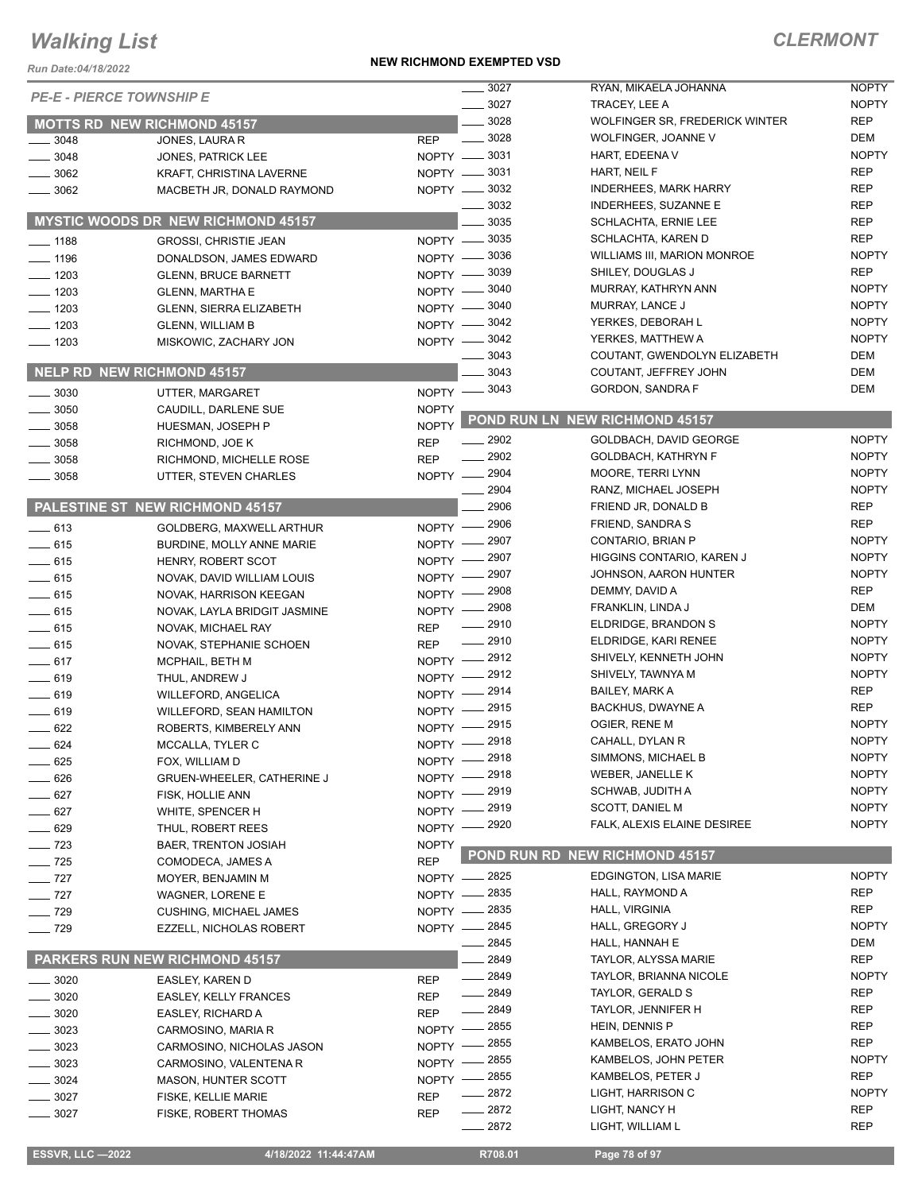#### *Run Date:04/18/2022*

#### **NEW RICHMOND EXEMPTED VSD**

| <b>PE-E - PIERCE TOWNSHIP E</b>   |                                           |              | $\frac{1}{2}$ 3027<br>$- 3027$ | RYAN, MIKAELA JOHANNA<br>TRACEY, LEE A | <b>NOPTY</b><br><b>NOPTY</b> |
|-----------------------------------|-------------------------------------------|--------------|--------------------------------|----------------------------------------|------------------------------|
|                                   |                                           |              | 3028                           | WOLFINGER SR, FREDERICK WINTER         | <b>REP</b>                   |
|                                   | <b>MOTTS RD NEW RICHMOND 45157</b>        |              | $\frac{1}{2}$ 3028             | WOLFINGER, JOANNE V                    | <b>DEM</b>                   |
| 3048                              | JONES, LAURA R                            | <b>REP</b>   | NOPTY -8031                    | HART, EDEENA V                         | <b>NOPTY</b>                 |
| $- 3048$                          | JONES, PATRICK LEE                        |              | NOPTY -8031                    | HART, NEIL F                           | <b>REP</b>                   |
| $-3062$                           | KRAFT, CHRISTINA LAVERNE                  |              | NOPTY -8032                    | <b>INDERHEES, MARK HARRY</b>           | <b>REP</b>                   |
| $\frac{1}{2}$ 3062                | MACBETH JR, DONALD RAYMOND                |              | 3032                           | INDERHEES, SUZANNE E                   | <b>REP</b>                   |
|                                   | <b>MYSTIC WOODS DR NEW RICHMOND 45157</b> |              | 3035                           | <b>SCHLACHTA, ERNIE LEE</b>            | <b>REP</b>                   |
|                                   |                                           |              |                                | SCHLACHTA, KAREN D                     | <b>REP</b>                   |
| $- 1188$                          | GROSSI, CHRISTIE JEAN                     |              | NOPTY -8035                    | WILLIAMS III, MARION MONROE            | <b>NOPTY</b>                 |
| $- 1196$                          | DONALDSON, JAMES EDWARD                   |              | NOPTY -8036                    | SHILEY, DOUGLAS J                      | <b>REP</b>                   |
| $- 1203$                          | <b>GLENN, BRUCE BARNETT</b>               |              | NOPTY -8039                    | MURRAY, KATHRYN ANN                    | <b>NOPTY</b>                 |
| $- 1203$                          | <b>GLENN, MARTHA E</b>                    |              | NOPTY - 3040                   | MURRAY, LANCE J                        | <b>NOPTY</b>                 |
| $- 1203$                          | <b>GLENN, SIERRA ELIZABETH</b>            |              | NOPTY - 3040                   | YERKES, DEBORAH L                      | <b>NOPTY</b>                 |
| $- 1203$                          | <b>GLENN, WILLIAM B</b>                   |              | NOPTY -8042                    | YERKES, MATTHEW A                      | <b>NOPTY</b>                 |
| $- 1203$                          | MISKOWIC, ZACHARY JON                     |              | NOPTY -8042<br>3043            |                                        | DEM                          |
|                                   |                                           |              | 3043                           | COUTANT, GWENDOLYN ELIZABETH           | <b>DEM</b>                   |
| <b>NELP RD NEW RICHMOND 45157</b> |                                           |              |                                | COUTANT, JEFFREY JOHN                  | <b>DEM</b>                   |
| $-3030$                           | UTTER. MARGARET                           | $N$ OPTY $-$ | _ 3043                         | GORDON, SANDRA F                       |                              |
| $\frac{1}{2}$ 3050                | CAUDILL, DARLENE SUE                      | <b>NOPTY</b> |                                | POND RUN LN NEW RICHMOND 45157         |                              |
| $- 3058$                          | HUESMAN, JOSEPH P                         | <b>NOPTY</b> |                                |                                        |                              |
| $\equiv$ 3058                     | RICHMOND, JOE K                           | <b>REP</b>   | $-2902$                        | GOLDBACH, DAVID GEORGE                 | <b>NOPTY</b>                 |
| . 3058                            | RICHMOND, MICHELLE ROSE                   | <b>REP</b>   | 2902                           | GOLDBACH, KATHRYN F                    | <b>NOPTY</b>                 |
| 3058                              | UTTER, STEVEN CHARLES                     |              | NOPTY -2904                    | MOORE, TERRI LYNN                      | <b>NOPTY</b>                 |
|                                   |                                           |              | 2904                           | RANZ, MICHAEL JOSEPH                   | <b>NOPTY</b>                 |
|                                   | PALESTINE ST NEW RICHMOND 45157           |              | 2906                           | FRIEND JR, DONALD B                    | <b>REP</b>                   |
| $-613$                            | GOLDBERG, MAXWELL ARTHUR                  | $N$ OPTY $-$ | 2906                           | FRIEND, SANDRA S                       | <b>REP</b>                   |
| $-615$                            | BURDINE, MOLLY ANNE MARIE                 | $NOPTY -$    | $=2907$                        | CONTARIO, BRIAN P                      | <b>NOPTY</b>                 |
| $-615$                            | HENRY, ROBERT SCOT                        | $N$ OPTY $-$ | 2907                           | HIGGINS CONTARIO, KAREN J              | <b>NOPTY</b>                 |
| $-615$                            | NOVAK, DAVID WILLIAM LOUIS                | NOPTY -      | 2907                           | JOHNSON, AARON HUNTER                  | <b>NOPTY</b>                 |
| $-615$                            | NOVAK, HARRISON KEEGAN                    | $N$ OPTY $-$ | 2908                           | DEMMY, DAVID A                         | <b>REP</b>                   |
| $-615$                            | NOVAK, LAYLA BRIDGIT JASMINE              | $NOPTY$ -    | 2908                           | FRANKLIN, LINDA J                      | <b>DEM</b>                   |
| $\frac{1}{2}$ 615                 | NOVAK, MICHAEL RAY                        | <b>REP</b>   | 2910                           | ELDRIDGE, BRANDON S                    | <b>NOPTY</b>                 |
| $- 615$                           | NOVAK, STEPHANIE SCHOEN                   | <b>REP</b>   | $\frac{1}{2910}$               | ELDRIDGE, KARI RENEE                   | <b>NOPTY</b>                 |
| $-617$                            | MCPHAIL, BETH M                           | $NOPTY =$    | _ 2912                         | SHIVELY, KENNETH JOHN                  | <b>NOPTY</b>                 |
| $-619$                            | THUL, ANDREW J                            | $NOPTY -$    | 2912                           | SHIVELY, TAWNYA M                      | <b>NOPTY</b>                 |
| $-619$                            | <b>WILLEFORD, ANGELICA</b>                | NOPTY $-$    | 2914                           | <b>BAILEY, MARK A</b>                  | <b>REP</b>                   |
| $-619$                            | WILLEFORD, SEAN HAMILTON                  | $N$ OPTY $-$ | 2915                           | <b>BACKHUS, DWAYNE A</b>               | <b>REP</b>                   |
| $-622$                            | ROBERTS, KIMBERELY ANN                    | $NOPTY$ –    | 2915                           | OGIER, RENE M                          | <b>NOPTY</b>                 |
| $-624$                            | MCCALLA, TYLER C                          | $NOPTY$ -    | 2918                           | CAHALL, DYLAN R                        | <b>NOPTY</b>                 |
| $\rule{1em}{0.15mm}$ 625          | FOX, WILLIAM D                            |              | NOPTY -2918                    | SIMMONS, MICHAEL B                     | <b>NOPTY</b>                 |
| $-626$                            | GRUEN-WHEELER, CATHERINE J                | NOPTY -      | 2918                           | WEBER, JANELLE K                       | <b>NOPTY</b>                 |
| $-627$                            | FISK, HOLLIE ANN                          | $NOPTY -$    | 2919                           | SCHWAB, JUDITH A                       | <b>NOPTY</b>                 |
| $-627$                            | WHITE, SPENCER H                          | $NOPTY -$    | 2919                           | <b>SCOTT, DANIEL M</b>                 | <b>NOPTY</b>                 |
| 629                               | THUL, ROBERT REES                         |              | NOPTY -2920                    | FALK, ALEXIS ELAINE DESIREE            | <b>NOPTY</b>                 |
| $-723$                            | <b>BAER, TRENTON JOSIAH</b>               | <b>NOPTY</b> |                                |                                        |                              |
| $- 725$                           | COMODECA, JAMES A                         | <b>REP</b>   |                                | POND RUN RD NEW RICHMOND 45157         |                              |
| $-$ 727                           | MOYER, BENJAMIN M                         |              | NOPTY - 2825                   | EDGINGTON, LISA MARIE                  | <b>NOPTY</b>                 |
| $\frac{1}{2}$ 727                 | <b>WAGNER, LORENE E</b>                   |              | NOPTY - 2835                   | HALL, RAYMOND A                        | <b>REP</b>                   |
| $- 729$                           | <b>CUSHING, MICHAEL JAMES</b>             |              | NOPTY - 2835                   | HALL, VIRGINIA                         | <b>REP</b>                   |
| $\frac{1}{2}$ 729                 | EZZELL, NICHOLAS ROBERT                   |              | NOPTY - 2845                   | HALL, GREGORY J                        | <b>NOPTY</b>                 |
|                                   |                                           |              | . 2845                         | HALL, HANNAH E                         | <b>DEM</b>                   |
|                                   | <b>PARKERS RUN NEW RICHMOND 45157</b>     |              | 2849                           | TAYLOR, ALYSSA MARIE                   | <b>REP</b>                   |
| _ 3020                            | EASLEY, KAREN D                           | <b>REP</b>   | $- 2849$                       | <b>TAYLOR, BRIANNA NICOLE</b>          | <b>NOPTY</b>                 |
| $-3020$                           | <b>EASLEY, KELLY FRANCES</b>              | <b>REP</b>   | $-2849$                        | TAYLOR, GERALD S                       | <b>REP</b>                   |
| 3020                              | EASLEY, RICHARD A                         | <b>REP</b>   | 2849                           | TAYLOR, JENNIFER H                     | <b>REP</b>                   |
| 3023                              | CARMOSINO, MARIA R                        | $NOPTY$ -    | $-2855$                        | HEIN, DENNIS P                         | <b>REP</b>                   |
| 3023                              | CARMOSINO, NICHOLAS JASON                 | NOPTY -      | 2855                           | KAMBELOS, ERATO JOHN                   | <b>REP</b>                   |
| 3023                              | CARMOSINO, VALENTENA R                    | NOPTY -      | 2855                           | KAMBELOS, JOHN PETER                   | <b>NOPTY</b>                 |
| 3024                              | <b>MASON, HUNTER SCOTT</b>                | $NOPTY -$    | 2855                           | KAMBELOS, PETER J                      | <b>REP</b>                   |
| 3027                              | FISKE, KELLIE MARIE                       | <b>REP</b>   | 2872                           | LIGHT, HARRISON C                      | <b>NOPTY</b>                 |
| $-3027$                           | FISKE, ROBERT THOMAS                      | <b>REP</b>   | $-2872$                        | LIGHT, NANCY H                         | <b>REP</b>                   |
|                                   |                                           |              | 2872                           | LIGHT, WILLIAM L                       | <b>REP</b>                   |
|                                   |                                           |              |                                |                                        |                              |
| <b>ESSVR, LLC-2022</b>            | 4/18/2022 11:44:47AM                      |              | R708.01                        | Page 78 of 97                          |                              |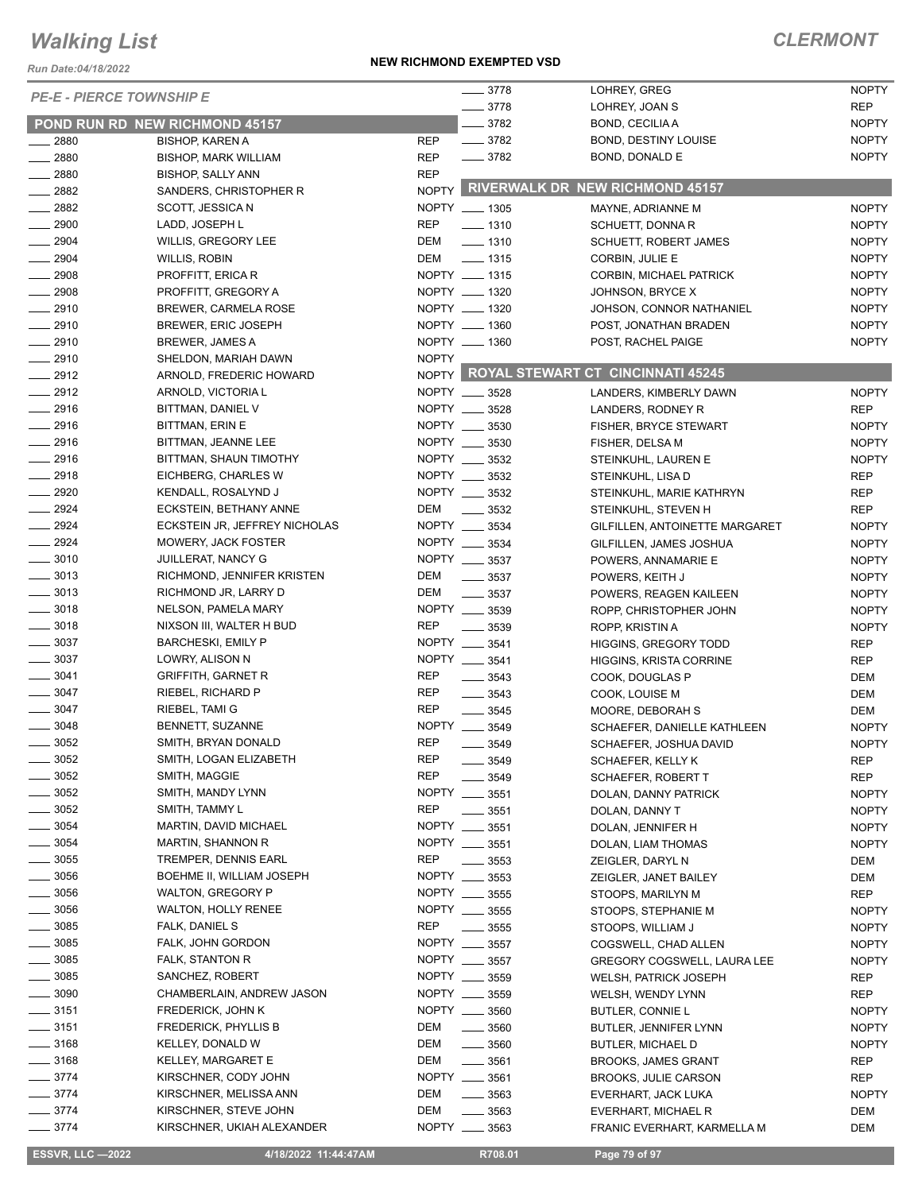*Run Date:04/18/2022*

#### **NEW RICHMOND EXEMPTED VSD**

| <b>PE-E - PIERCE TOWNSHIP E</b> |                                       |              | $- 3778$           | LOHREY, GREG                            | <b>NOPTY</b> |
|---------------------------------|---------------------------------------|--------------|--------------------|-----------------------------------------|--------------|
|                                 |                                       |              | $- 3778$           | LOHREY, JOAN S                          | <b>REP</b>   |
|                                 | <b>POND RUN RD NEW RICHMOND 45157</b> |              | $- 3782$           | BOND, CECILIA A                         | <b>NOPTY</b> |
| $\frac{1}{2880}$                | <b>BISHOP, KAREN A</b>                | <b>REP</b>   | $\frac{1}{2}$ 3782 | <b>BOND, DESTINY LOUISE</b>             | <b>NOPTY</b> |
| $-2880$                         | <b>BISHOP, MARK WILLIAM</b>           | <b>REP</b>   | $- 3782$           | BOND, DONALD E                          | <b>NOPTY</b> |
| $- 2880$                        | <b>BISHOP, SALLY ANN</b>              | <b>REP</b>   |                    |                                         |              |
| $\frac{2882}{2}$                | SANDERS, CHRISTOPHER R                |              |                    | NOPTY RIVERWALK DR NEW RICHMOND 45157   |              |
| $\frac{1}{2882}$                | SCOTT, JESSICA N                      |              | NOPTY __ 1305      | MAYNE, ADRIANNE M                       | <b>NOPTY</b> |
| $\frac{1}{2900}$                | LADD, JOSEPH L                        | <b>REP</b>   | $- 1310$           | SCHUETT, DONNA R                        | <b>NOPTY</b> |
| $\frac{1}{2904}$                | WILLIS, GREGORY LEE                   | DEM          | $\frac{1}{2}$ 1310 | <b>SCHUETT, ROBERT JAMES</b>            | <b>NOPTY</b> |
| $\frac{1}{2904}$                | WILLIS, ROBIN                         | DEM          | $\frac{1}{2}$ 1315 | CORBIN, JULIE E                         | <b>NOPTY</b> |
| $\frac{2908}{2000}$             | PROFFITT, ERICA R                     |              | NOPTY __ 1315      | CORBIN, MICHAEL PATRICK                 | <b>NOPTY</b> |
| $-2908$                         | PROFFITT, GREGORY A                   |              | NOPTY __ 1320      | JOHNSON, BRYCE X                        | <b>NOPTY</b> |
| $-2910$                         | <b>BREWER, CARMELA ROSE</b>           |              | NOPTY __ 1320      | JOHSON, CONNOR NATHANIEL                | <b>NOPTY</b> |
| $-2910$                         | BREWER, ERIC JOSEPH                   |              | NOPTY __ 1360      | POST, JONATHAN BRADEN                   | <b>NOPTY</b> |
| $-2910$                         | <b>BREWER, JAMES A</b>                |              | NOPTY __ 1360      | POST, RACHEL PAIGE                      | <b>NOPTY</b> |
| $-2910$                         | SHELDON, MARIAH DAWN                  | <b>NOPTY</b> |                    |                                         |              |
| $-2912$                         | ARNOLD, FREDERIC HOWARD               |              |                    | NOPTY ROYAL STEWART CT CINCINNATI 45245 |              |
| $-2912$                         | ARNOLD, VICTORIA L                    |              | NOPTY __ 3528      | LANDERS, KIMBERLY DAWN                  | <b>NOPTY</b> |
| $-2916$                         | BITTMAN, DANIEL V                     |              | NOPTY __ 3528      | LANDERS, RODNEY R                       |              |
| $-2916$                         |                                       |              | NOPTY __ 3530      |                                         | REP          |
|                                 | <b>BITTMAN, ERIN E</b>                |              |                    | <b>FISHER, BRYCE STEWART</b>            | <b>NOPTY</b> |
| $-2916$                         | BITTMAN, JEANNE LEE                   |              | NOPTY __ 3530      | FISHER, DELSA M                         | <b>NOPTY</b> |
| $-2916$                         | BITTMAN, SHAUN TIMOTHY                |              | NOPTY __ 3532      | STEINKUHL, LAUREN E                     | <b>NOPTY</b> |
| $-2918$                         | EICHBERG, CHARLES W                   |              | NOPTY __ 3532      | STEINKUHL, LISA D                       | <b>REP</b>   |
| $- 2920$                        | KENDALL, ROSALYND J                   |              | NOPTY __ 3532      | STEINKUHL, MARIE KATHRYN                | <b>REP</b>   |
| $-2924$                         | ECKSTEIN, BETHANY ANNE                | DEM          | 3532               | STEINKUHL, STEVEN H                     | <b>REP</b>   |
| $-2924$                         | ECKSTEIN JR, JEFFREY NICHOLAS         |              | NOPTY __ 3534      | GILFILLEN, ANTOINETTE MARGARET          | <b>NOPTY</b> |
| $-2924$                         | <b>MOWERY, JACK FOSTER</b>            |              | NOPTY __ 3534      | GILFILLEN, JAMES JOSHUA                 | <b>NOPTY</b> |
| $\frac{1}{2}$ 3010              | <b>JUILLERAT, NANCY G</b>             |              | NOPTY __ 3537      | POWERS, ANNAMARIE E                     | <b>NOPTY</b> |
| $\frac{1}{2}$ 3013              | RICHMOND, JENNIFER KRISTEN            | DEM          | $\frac{1}{2}$ 3537 | POWERS, KEITH J                         | <b>NOPTY</b> |
| $\frac{1}{2}$ 3013              | RICHMOND JR, LARRY D                  | DEM          | $\frac{1}{2}$ 3537 | POWERS, REAGEN KAILEEN                  | <b>NOPTY</b> |
| $\frac{1}{2}$ 3018              | NELSON, PAMELA MARY                   | <b>NOPTY</b> | $\frac{1}{2}$ 3539 | ROPP, CHRISTOPHER JOHN                  | <b>NOPTY</b> |
| $\frac{1}{2}$ 3018              | NIXSON III, WALTER H BUD              | <b>REP</b>   | 3539               | ROPP, KRISTIN A                         | <b>NOPTY</b> |
| $\frac{1}{2}$ 3037              | <b>BARCHESKI, EMILY P</b>             |              | NOPTY __ 3541      | <b>HIGGINS, GREGORY TODD</b>            | <b>REP</b>   |
| $\frac{1}{2}$ 3037              | LOWRY, ALISON N                       |              | NOPTY __ 3541      | <b>HIGGINS, KRISTA CORRINE</b>          | <b>REP</b>   |
| $\frac{1}{2}$ 3041              | <b>GRIFFITH, GARNET R</b>             | <b>REP</b>   | $- 3543$           | COOK, DOUGLAS P                         | DEM          |
| $\frac{1}{2}$ 3047              | RIEBEL, RICHARD P                     | <b>REP</b>   | $- 3543$           | COOK, LOUISE M                          | DEM          |
| $- 3047$                        | RIEBEL, TAMI G                        | <b>REP</b>   | $\frac{1}{2}$ 3545 | MOORE, DEBORAH S                        | DEM          |
| $-3048$                         | BENNETT, SUZANNE                      |              | NOPTY __ 3549      | SCHAEFER, DANIELLE KATHLEEN             | <b>NOPTY</b> |
| $= 3052$                        | SMITH, BRYAN DONALD                   | <b>REP</b>   | - 3549             | SCHAEFER, JOSHUA DAVID                  | <b>NOPTY</b> |
| .3052                           | SMITH, LOGAN ELIZABETH                | REP          | $\frac{1}{2}$ 3549 | SCHAEFER, KELLY K                       | <b>REP</b>   |
| 3052                            | SMITH, MAGGIE                         | <b>REP</b>   | 3549               |                                         | <b>REP</b>   |
| $=$ 3052                        | SMITH, MANDY LYNN                     |              | NOPTY __ 3551      | SCHAEFER, ROBERT T                      |              |
| $=$ 3052                        | SMITH, TAMMY L                        | REP          |                    | DOLAN, DANNY PATRICK                    | <b>NOPTY</b> |
| $- 3054$                        |                                       |              | $\frac{1}{2}$ 3551 | DOLAN, DANNY T                          | <b>NOPTY</b> |
|                                 | MARTIN, DAVID MICHAEL                 |              | NOPTY __ 3551      | DOLAN, JENNIFER H                       | <b>NOPTY</b> |
| $=$ 3054                        | MARTIN, SHANNON R                     |              | NOPTY __ 3551      | DOLAN, LIAM THOMAS                      | <b>NOPTY</b> |
| $\frac{1}{2}$ 3055              | <b>TREMPER, DENNIS EARL</b>           | REP          | 3553               | ZEIGLER, DARYL N                        | DEM          |
| $\frac{1}{2}$ 3056              | BOEHME II, WILLIAM JOSEPH             |              | NOPTY __ 3553      | ZEIGLER, JANET BAILEY                   | DEM          |
| $\frac{1}{2}$ 3056              | <b>WALTON, GREGORY P</b>              | <b>NOPTY</b> | 3555               | STOOPS, MARILYN M                       | <b>REP</b>   |
| $\frac{1}{2}$ 3056              | WALTON, HOLLY RENEE                   |              | NOPTY __ 3555      | STOOPS, STEPHANIE M                     | <b>NOPTY</b> |
| $=$ 3085                        | FALK, DANIEL S                        | REP          | 3555               | STOOPS, WILLIAM J                       | <b>NOPTY</b> |
| $\frac{1}{2}$ 3085              | FALK, JOHN GORDON                     | NOPTY ___    | 3557               | COGSWELL, CHAD ALLEN                    | <b>NOPTY</b> |
| $\frac{1}{2}$ 3085              | FALK, STANTON R                       |              | NOPTY __ 3557      | <b>GREGORY COGSWELL, LAURA LEE</b>      | <b>NOPTY</b> |
| $\frac{1}{2}$ 3085              | SANCHEZ, ROBERT                       |              | NOPTY __ 3559      | <b>WELSH, PATRICK JOSEPH</b>            | REP          |
| $\frac{1}{2}$ 3090              | CHAMBERLAIN, ANDREW JASON             |              | NOPTY __ 3559      | WELSH, WENDY LYNN                       | REP          |
| $\frac{1}{2}$ 3151              | <b>FREDERICK, JOHN K</b>              |              | NOPTY __ 3560      | BUTLER, CONNIE L                        | <b>NOPTY</b> |
| $\frac{1}{2}$ 3151              | <b>FREDERICK, PHYLLIS B</b>           | DEM          | $- 3560$           | <b>BUTLER, JENNIFER LYNN</b>            | <b>NOPTY</b> |
| $\frac{1}{2}$ 3168              | KELLEY, DONALD W                      | DEM          | $\frac{1}{2}$ 3560 | <b>BUTLER, MICHAEL D</b>                | <b>NOPTY</b> |
| $\frac{1}{2}$ 3168              | KELLEY, MARGARET E                    | DEM          | $\frac{1}{2}$ 3561 | <b>BROOKS, JAMES GRANT</b>              | <b>REP</b>   |
| $- 3774$                        | KIRSCHNER, CODY JOHN                  |              | NOPTY __ 3561      | <b>BROOKS, JULIE CARSON</b>             | REP          |
| $-3774$                         | KIRSCHNER, MELISSA ANN                | DEM          | $\frac{1}{2}$ 3563 | EVERHART, JACK LUKA                     | <b>NOPTY</b> |
| $-3774$                         | KIRSCHNER, STEVE JOHN                 | DEM          | $\frac{1}{2}$ 3563 | EVERHART, MICHAEL R                     | DEM          |
| $- 3774$                        | KIRSCHNER, UKIAH ALEXANDER            |              | NOPTY __ 3563      | FRANIC EVERHART, KARMELLA M             | DEM          |
|                                 |                                       |              |                    |                                         |              |

 **ESSVR, LLC —2022 4/18/2022 11:44:47AM R708.01 Page 79 of 97**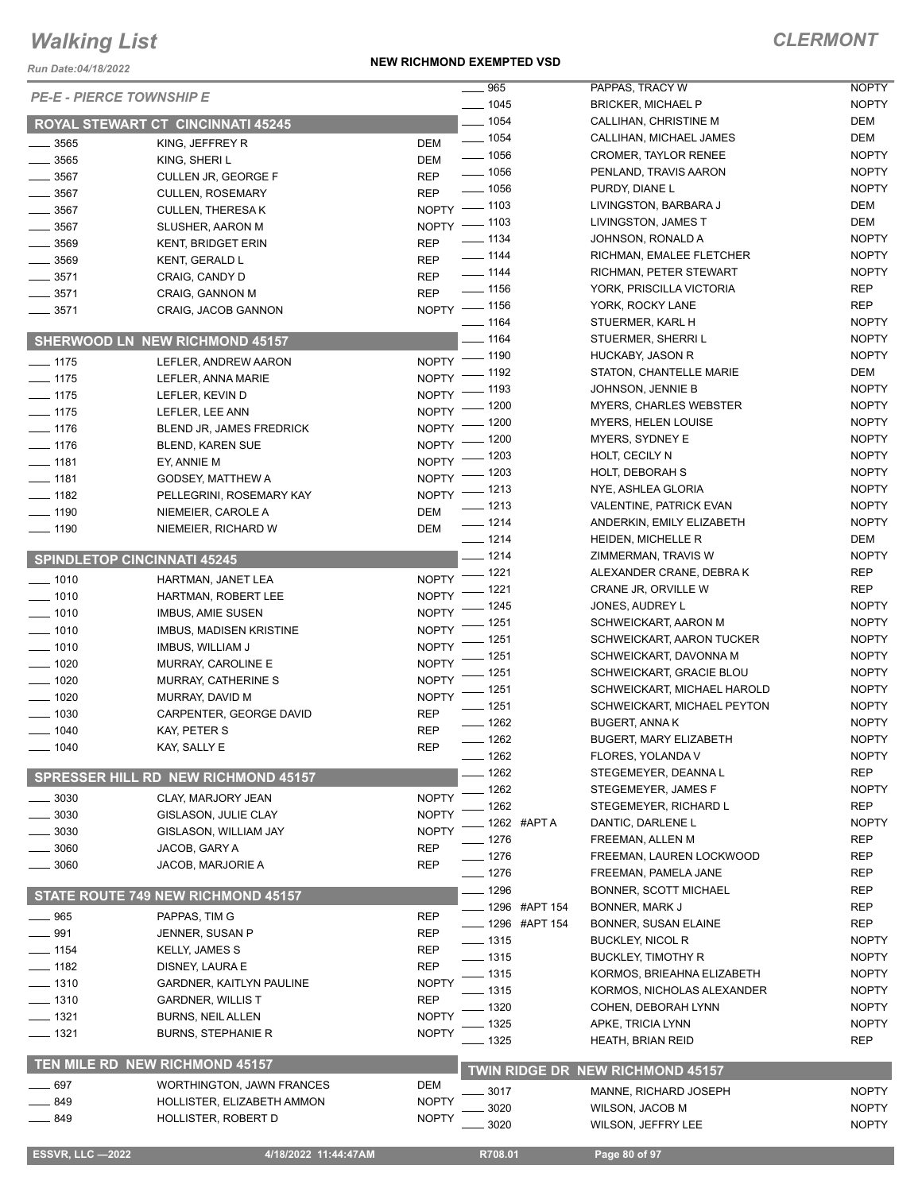*Run Date:04/18/2022*

#### **NEW RICHMOND EXEMPTED VSD**

|                                    |                                          |                    | 965<br>$\overline{\phantom{a}}$ | PAPPAS, TRACY W                  | <b>NOPTY</b> |
|------------------------------------|------------------------------------------|--------------------|---------------------------------|----------------------------------|--------------|
| <b>PE-E - PIERCE TOWNSHIP E</b>    |                                          |                    | $- 1045$                        | <b>BRICKER, MICHAEL P</b>        | <b>NOPTY</b> |
|                                    | <b>ROYAL STEWART CT CINCINNATI 45245</b> |                    | $- 1054$                        | CALLIHAN, CHRISTINE M            | <b>DEM</b>   |
|                                    |                                          |                    | $- 1054$                        | CALLIHAN, MICHAEL JAMES          | <b>DEM</b>   |
| $\frac{1}{2}$ 3565                 | KING, JEFFREY R                          | <b>DEM</b>         | $\frac{1}{2}$ 1056              | <b>CROMER, TAYLOR RENEE</b>      | <b>NOPTY</b> |
| $\frac{1}{2}$ 3565                 | KING, SHERI L                            | <b>DEM</b>         | $- 1056$                        | PENLAND, TRAVIS AARON            | <b>NOPTY</b> |
| $\frac{1}{2}$ 3567                 | CULLEN JR, GEORGE F                      | <b>REP</b>         | $- 1056$                        | PURDY, DIANE L                   | <b>NOPTY</b> |
| $\frac{1}{2}$ 3567                 | <b>CULLEN, ROSEMARY</b>                  | <b>REP</b>         | NOPTY - 1103                    | LIVINGSTON, BARBARA J            | <b>DEM</b>   |
| $\frac{1}{2}$ 3567                 | <b>CULLEN, THERESAK</b>                  |                    | NOPTY - 1103                    | LIVINGSTON, JAMES T              | <b>DEM</b>   |
| $- 3567$                           | SLUSHER, AARON M                         |                    | $\frac{1}{2}$ 1134              | JOHNSON, RONALD A                | <b>NOPTY</b> |
| $\frac{1}{2}$ 3569                 | <b>KENT, BRIDGET ERIN</b>                | <b>REP</b>         | $\frac{1}{2}$ 1144              | RICHMAN, EMALEE FLETCHER         | <b>NOPTY</b> |
| $\frac{1}{2}$ 3569                 | KENT, GERALD L                           | <b>REP</b>         | $\frac{1}{2}$ 1144              | RICHMAN, PETER STEWART           | <b>NOPTY</b> |
| $\frac{1}{2}$ 3571                 | CRAIG, CANDY D                           | <b>REP</b>         | $- 1156$                        | YORK, PRISCILLA VICTORIA         | <b>REP</b>   |
| $\frac{1}{2}$ 3571                 | CRAIG, GANNON M                          | <b>REP</b>         |                                 |                                  | <b>REP</b>   |
| $- 3571$                           | CRAIG, JACOB GANNON                      |                    | NOPTY - 1156                    | YORK, ROCKY LANE                 |              |
|                                    |                                          |                    | $- 1164$                        | STUERMER, KARL H                 | <b>NOPTY</b> |
|                                    | <b>SHERWOOD LN NEW RICHMOND 45157</b>    |                    | $- 1164$                        | STUERMER, SHERRIL                | <b>NOPTY</b> |
| $- 1175$                           | LEFLER, ANDREW AARON                     |                    | NOPTY - 1190                    | HUCKABY, JASON R                 | <b>NOPTY</b> |
| $\frac{1}{2}$ 1175                 | LEFLER, ANNA MARIE                       | NOPTY -            | _ 1192                          | STATON, CHANTELLE MARIE          | <b>DEM</b>   |
| $- 1175$                           | LEFLER, KEVIN D                          | NOPTY <sup>-</sup> | $-1193$                         | JOHNSON, JENNIE B                | <b>NOPTY</b> |
| $\frac{1}{2}$ 1175                 | LEFLER, LEE ANN                          | NOPTY <sup>-</sup> | $-1200$                         | <b>MYERS, CHARLES WEBSTER</b>    | <b>NOPTY</b> |
| $- 1176$                           | BLEND JR, JAMES FREDRICK                 | NOPTY -            | 1200                            | MYERS, HELEN LOUISE              | <b>NOPTY</b> |
| $- 1176$                           | BLEND, KAREN SUE                         |                    | NOPTY - 1200                    | MYERS, SYDNEY E                  | <b>NOPTY</b> |
| $- 1181$                           | EY, ANNIE M                              | $N$ OPTY $-$       | _ 1203                          | HOLT, CECILY N                   | <b>NOPTY</b> |
| $- 1181$                           | GODSEY, MATTHEW A                        | $N$ OPTY -         | _ 1203                          | HOLT, DEBORAH S                  | <b>NOPTY</b> |
| $- 1182$                           | PELLEGRINI, ROSEMARY KAY                 | NOPTY -            | $-1213$                         | NYE, ASHLEA GLORIA               | <b>NOPTY</b> |
| $- 1190$                           | NIEMEIER, CAROLE A                       | <b>DEM</b>         | $- 1213$                        | VALENTINE, PATRICK EVAN          | <b>NOPTY</b> |
| $- 1190$                           | NIEMEIER, RICHARD W                      | DEM                | $- 1214$                        | ANDERKIN, EMILY ELIZABETH        | <b>NOPTY</b> |
|                                    |                                          |                    | $- 1214$                        | HEIDEN, MICHELLE R               | <b>DEM</b>   |
| <b>SPINDLETOP CINCINNATI 45245</b> |                                          |                    | $- 1214$                        | ZIMMERMAN, TRAVIS W              | <b>NOPTY</b> |
|                                    |                                          |                    | NOPTY - 1221                    | ALEXANDER CRANE, DEBRA K         | <b>REP</b>   |
| $- 1010$                           | HARTMAN, JANET LEA                       | <b>NOPTY</b>       | - 1221                          | CRANE JR, ORVILLE W              | <b>REP</b>   |
| $- 1010$                           | HARTMAN, ROBERT LEE                      |                    | 1245                            | JONES, AUDREY L                  | <b>NOPTY</b> |
| $- 1010$                           | <b>IMBUS, AMIE SUSEN</b>                 | <b>NOPTY</b>       | 1251                            | SCHWEICKART, AARON M             | <b>NOPTY</b> |
| $\frac{1}{2}$ 1010                 | <b>IMBUS, MADISEN KRISTINE</b>           | <b>NOPTY</b>       | - 1251                          | SCHWEICKART, AARON TUCKER        | <b>NOPTY</b> |
| $- 1010$                           | IMBUS, WILLIAM J                         | <b>NOPTY</b>       | - 1251                          | SCHWEICKART, DAVONNA M           | <b>NOPTY</b> |
| $- 1020$                           | <b>MURRAY, CAROLINE E</b>                | <b>NOPTY</b>       | _ 1251                          | SCHWEICKART, GRACIE BLOU         | <b>NOPTY</b> |
| $- 1020$                           | MURRAY, CATHERINE S                      | <b>NOPTY</b>       | $-1251$                         | SCHWEICKART, MICHAEL HAROLD      | <b>NOPTY</b> |
| $- 1020$                           | MURRAY, DAVID M                          | $N$ OPTY $-$       | $-1251$                         | SCHWEICKART, MICHAEL PEYTON      | <b>NOPTY</b> |
| $- 1030$                           | CARPENTER, GEORGE DAVID                  | <b>REP</b>         | $- 1262$                        | <b>BUGERT, ANNAK</b>             | <b>NOPTY</b> |
| $- 1040$                           | KAY, PETER S                             | <b>REP</b>         | $- 1262$                        |                                  | <b>NOPTY</b> |
| $-1040$                            | KAY, SALLY E                             | <b>REP</b>         |                                 | <b>BUGERT, MARY ELIZABETH</b>    |              |
|                                    |                                          |                    | _ 1262                          | FLORES, YOLANDA V                | <b>NOPTY</b> |
|                                    | SPRESSER HILL RD NEW RICHMOND 45157      |                    | 1262                            | STEGEMEYER, DEANNA L             | <b>REP</b>   |
| 3030                               | CLAY, MARJORY JEAN                       | <b>NOPTY</b>       | 1262                            | STEGEMEYER, JAMES F              | <b>NOPTY</b> |
| 3030                               | GISLASON, JULIE CLAY                     | <b>NOPTY</b>       | 1262                            | STEGEMEYER, RICHARD L            | <b>REP</b>   |
| 3030                               | GISLASON, WILLIAM JAY                    | <b>NOPTY</b>       | 1262 #APT A                     | DANTIC, DARLENE L                | <b>NOPTY</b> |
| 3060                               | JACOB, GARY A                            | <b>REP</b>         | 1276                            | FREEMAN, ALLEN M                 | REP          |
| 3060                               | JACOB, MARJORIE A                        | <b>REP</b>         | $-1276$                         | FREEMAN, LAUREN LOCKWOOD         | <b>REP</b>   |
|                                    |                                          |                    | $-1276$                         | FREEMAN, PAMELA JANE             | REP          |
|                                    | STATE ROUTE 749 NEW RICHMOND 45157       |                    | $- 1296$                        | <b>BONNER, SCOTT MICHAEL</b>     | REP          |
|                                    |                                          |                    | 1296 #APT 154                   | <b>BONNER, MARK J</b>            | <b>REP</b>   |
| __ 965                             | PAPPAS, TIM G                            | <b>REP</b>         | _ 1296 #APT 154                 | BONNER, SUSAN ELAINE             | <b>REP</b>   |
| $-991$                             | JENNER, SUSAN P                          | <b>REP</b>         | $-1315$                         | <b>BUCKLEY, NICOL R</b>          | <b>NOPTY</b> |
| $-1154$                            | KELLY, JAMES S                           | <b>REP</b>         | $-1315$                         | BUCKLEY, TIMOTHY R               | <b>NOPTY</b> |
| $- 1182$                           | DISNEY, LAURA E                          | <b>REP</b>         | $-1315$                         | KORMOS, BRIEAHNA ELIZABETH       | <b>NOPTY</b> |
| $- 1310$                           | GARDNER, KAITLYN PAULINE                 | <b>NOPTY</b>       | 1315                            | KORMOS, NICHOLAS ALEXANDER       | <b>NOPTY</b> |
| $\frac{1}{2}$ 1310                 | <b>GARDNER, WILLIS T</b>                 | <b>REP</b>         | 1320                            | COHEN, DEBORAH LYNN              | <b>NOPTY</b> |
| $- 1321$                           | <b>BURNS, NEIL ALLEN</b>                 | <b>NOPTY</b>       | 1325                            | APKE, TRICIA LYNN                | <b>NOPTY</b> |
| $- 1321$                           | <b>BURNS, STEPHANIE R</b>                | <b>NOPTY</b>       | 1325                            | <b>HEATH, BRIAN REID</b>         | <b>REP</b>   |
|                                    |                                          |                    |                                 |                                  |              |
|                                    | TEN MILE RD NEW RICHMOND 45157           |                    |                                 | TWIN RIDGE DR NEW RICHMOND 45157 |              |
| 697                                | WORTHINGTON, JAWN FRANCES                | <b>DEM</b>         | 3017                            |                                  | <b>NOPTY</b> |
| 849                                | HOLLISTER, ELIZABETH AMMON               | <b>NOPTY</b>       |                                 | MANNE, RICHARD JOSEPH            |              |
| 849                                | <b>HOLLISTER, ROBERT D</b>               | <b>NOPTY</b>       | 3020                            | <b>WILSON, JACOB M</b>           | <b>NOPTY</b> |
|                                    |                                          |                    | 3020                            | <b>WILSON, JEFFRY LEE</b>        | <b>NOPTY</b> |
| <b>ESSVR, LLC -2022</b>            | 4/18/2022 11:44:47AM                     |                    | R708.01                         | Page 80 of 97                    |              |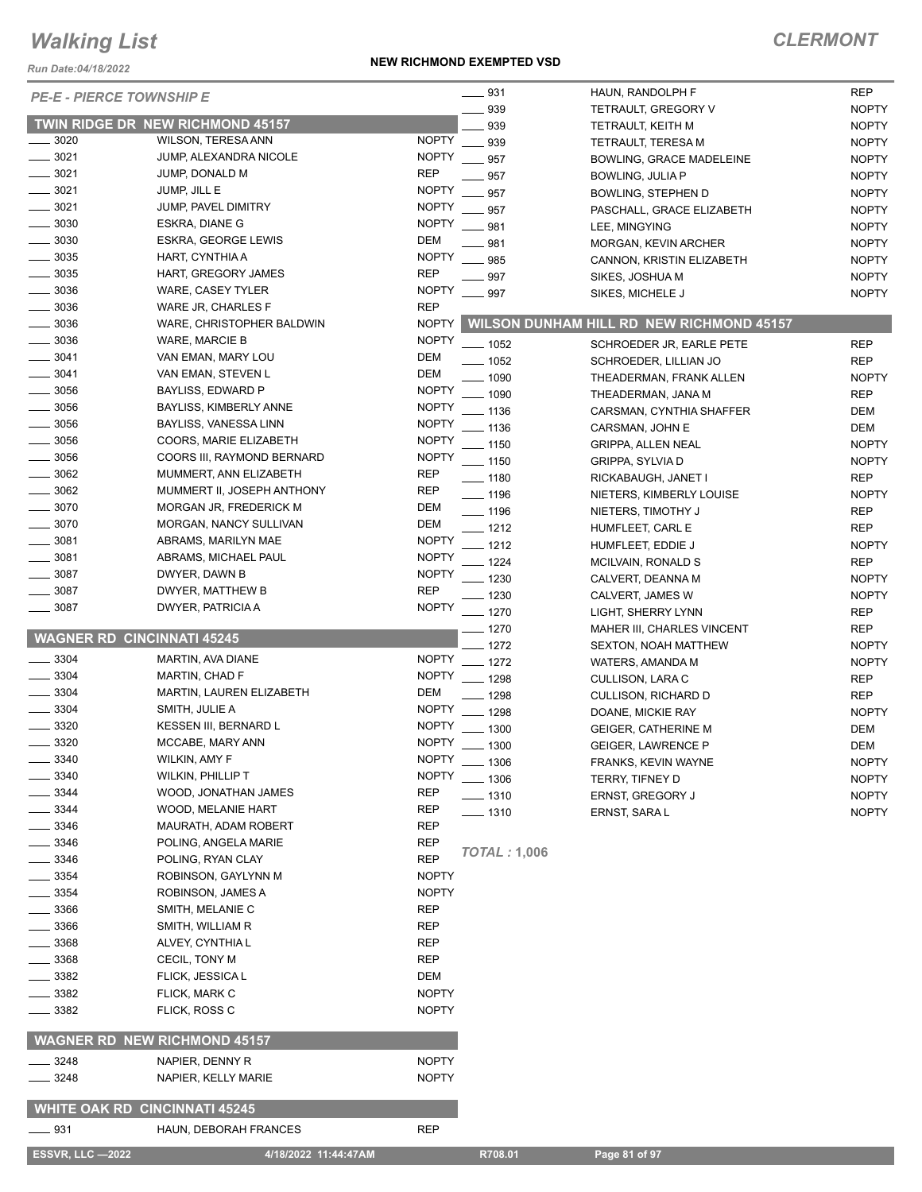*Run Date:04/18/2022*

#### **NEW RICHMOND EXEMPTED VSD**

| <b>PE-E - PIERCE TOWNSHIP E</b>      |                                     |              | $\equiv$ 931        | HAUN, RANDOLPH F                                | <b>REP</b>   |
|--------------------------------------|-------------------------------------|--------------|---------------------|-------------------------------------------------|--------------|
|                                      |                                     |              | 939                 | TETRAULT, GREGORY V                             | <b>NOPTY</b> |
|                                      | TWIN RIDGE DR NEW RICHMOND 45157    |              | 939                 | TETRAULT, KEITH M                               | <b>NOPTY</b> |
| 3020                                 | WILSON, TERESA ANN                  | <b>NOPTY</b> | 939                 | <b>TETRAULT, TERESA M</b>                       | <b>NOPTY</b> |
| $-3021$                              | JUMP, ALEXANDRA NICOLE              | <b>NOPTY</b> | 957                 | <b>BOWLING, GRACE MADELEINE</b>                 | <b>NOPTY</b> |
| $- 3021$                             | JUMP, DONALD M                      | <b>REP</b>   | 957                 | BOWLING, JULIA P                                | <b>NOPTY</b> |
| $- 3021$                             | JUMP, JILL E                        | <b>NOPTY</b> | 957                 | BOWLING, STEPHEN D                              | <b>NOPTY</b> |
| $\frac{1}{2}$ 3021                   | JUMP, PAVEL DIMITRY                 | <b>NOPTY</b> | 957                 | PASCHALL, GRACE ELIZABETH                       | <b>NOPTY</b> |
| 3030                                 | ESKRA, DIANE G                      | <b>NOPTY</b> | 981                 | LEE, MINGYING                                   | <b>NOPTY</b> |
| $\frac{1}{2}$ 3030                   | ESKRA, GEORGE LEWIS                 | DEM          | 981                 | MORGAN, KEVIN ARCHER                            | <b>NOPTY</b> |
| $\frac{1}{2}$ 3035                   | HART, CYNTHIA A                     | <b>NOPTY</b> | 985                 | CANNON, KRISTIN ELIZABETH                       | <b>NOPTY</b> |
| $\frac{1}{2}$ 3035                   | HART, GREGORY JAMES                 | <b>REP</b>   | 997                 | SIKES, JOSHUA M                                 | <b>NOPTY</b> |
| 3036                                 | WARE, CASEY TYLER                   | <b>NOPTY</b> | 997                 | SIKES, MICHELE J                                | <b>NOPTY</b> |
| $\frac{1}{2}$ 3036                   | WARE JR, CHARLES F                  | <b>REP</b>   |                     |                                                 |              |
| $\frac{1}{2}$ 3036                   | WARE, CHRISTOPHER BALDWIN           | <b>NOPTY</b> |                     | <b>WILSON DUNHAM HILL RD NEW RICHMOND 45157</b> |              |
| 3036                                 | WARE, MARCIE B                      | <b>NOPTY</b> |                     |                                                 |              |
| 3041                                 | VAN EMAN, MARY LOU                  | DEM          | $- 1052$            | SCHROEDER JR, EARLE PETE                        | <b>REP</b>   |
| $- 3041$                             | VAN EMAN, STEVEN L                  | DEM          | $- 1052$            | SCHROEDER, LILLIAN JO                           | <b>REP</b>   |
|                                      |                                     |              | $- 1090$            | THEADERMAN, FRANK ALLEN                         | <b>NOPTY</b> |
| 3056                                 | BAYLISS, EDWARD P                   | <b>NOPTY</b> | $-1090$             | THEADERMAN, JANA M                              | <b>REP</b>   |
| $\frac{1}{2}$ 3056                   | BAYLISS, KIMBERLY ANNE              | <b>NOPTY</b> | $-1136$             | CARSMAN, CYNTHIA SHAFFER                        | DEM          |
| $- 3056$                             | BAYLISS, VANESSA LINN               | <b>NOPTY</b> | $-1136$             | CARSMAN, JOHN E                                 | <b>DEM</b>   |
| 3056                                 | COORS, MARIE ELIZABETH              | <b>NOPTY</b> | $-1150$             | <b>GRIPPA, ALLEN NEAL</b>                       | <b>NOPTY</b> |
| $\frac{1}{2}$ 3056                   | COORS III, RAYMOND BERNARD          | <b>NOPTY</b> | $- 1150$            | <b>GRIPPA, SYLVIA D</b>                         | <b>NOPTY</b> |
| 3062                                 | MUMMERT, ANN ELIZABETH              | <b>REP</b>   | $- 1180$            | RICKABAUGH, JANET I                             | <b>REP</b>   |
| $-3062$                              | MUMMERT II, JOSEPH ANTHONY          | <b>REP</b>   | $- 1196$            | NIETERS, KIMBERLY LOUISE                        | <b>NOPTY</b> |
| $-3070$                              | MORGAN JR, FREDERICK M              | DEM          | $- 1196$            | NIETERS, TIMOTHY J                              | <b>REP</b>   |
| 3070                                 | MORGAN, NANCY SULLIVAN              | <b>DEM</b>   | $-1212$             | HUMFLEET, CARL E                                | <b>REP</b>   |
| $- 3081$                             | ABRAMS, MARILYN MAE                 | <b>NOPTY</b> | $-1212$             | HUMFLEET, EDDIE J                               | <b>NOPTY</b> |
| 3081                                 | ABRAMS, MICHAEL PAUL                | <b>NOPTY</b> | $-1224$             | MCILVAIN, RONALD S                              | <b>REP</b>   |
| 3087                                 | DWYER, DAWN B                       | <b>NOPTY</b> | $-1230$             | CALVERT, DEANNA M                               | <b>NOPTY</b> |
| 3087                                 | DWYER, MATTHEW B                    | <b>REP</b>   | $-1230$             | CALVERT, JAMES W                                | <b>NOPTY</b> |
| 3087                                 | DWYER, PATRICIA A                   | <b>NOPTY</b> | $- 1270$            | LIGHT, SHERRY LYNN                              | <b>REP</b>   |
|                                      |                                     |              | $- 1270$            | MAHER III, CHARLES VINCENT                      | <b>REP</b>   |
| <b>WAGNER RD CINCINNATI 45245</b>    |                                     |              | $-1272$             | <b>SEXTON, NOAH MATTHEW</b>                     | <b>NOPTY</b> |
| 3304                                 | MARTIN, AVA DIANE                   |              | NOPTY __ 1272       | WATERS, AMANDA M                                | <b>NOPTY</b> |
| $\frac{1}{2}$ 3304                   | <b>MARTIN, CHAD F</b>               |              | NOPTY __ 1298       | CULLISON, LARA C                                | <b>REP</b>   |
| $\frac{1}{2}$ 3304                   | MARTIN, LAUREN ELIZABETH            | DEM          | $- 1298$            | CULLISON, RICHARD D                             | <b>REP</b>   |
| $\frac{1}{2}$ 3304                   | SMITH, JULIE A                      | <b>NOPTY</b> | $- 1298$            | DOANE, MICKIE RAY                               | <b>NOPTY</b> |
| 3320                                 | KESSEN III, BERNARD L               | <b>NOPTY</b> | $- 1300$            | <b>GEIGER, CATHERINE M</b>                      | <b>DEM</b>   |
| 3320                                 | MCCABE, MARY ANN                    | <b>NOPTY</b> | 1300                | <b>GEIGER, LAWRENCE P</b>                       | <b>DEM</b>   |
| 3340                                 | WILKIN, AMY F                       |              | NOPTY __ 1306       | FRANKS, KEVIN WAYNE                             | <b>NOPTY</b> |
| 3340                                 | WILKIN, PHILLIP T                   | <b>NOPTY</b> | $\frac{1}{2}$ 1306  | TERRY, TIFNEY D                                 | <b>NOPTY</b> |
| 3344                                 | WOOD, JONATHAN JAMES                | <b>REP</b>   | $- 1310$            | <b>ERNST, GREGORY J</b>                         | <b>NOPTY</b> |
| 3344                                 | WOOD, MELANIE HART                  | REP          | $- 1310$            | ERNST, SARA L                                   | <b>NOPTY</b> |
| 3346                                 | MAURATH, ADAM ROBERT                | <b>REP</b>   |                     |                                                 |              |
| 3346                                 | POLING, ANGELA MARIE                | <b>REP</b>   |                     |                                                 |              |
| 3346                                 | POLING, RYAN CLAY                   | <b>REP</b>   | <b>TOTAL: 1,006</b> |                                                 |              |
| _ 3354                               | ROBINSON, GAYLYNN M                 | <b>NOPTY</b> |                     |                                                 |              |
| 3354                                 | ROBINSON, JAMES A                   | <b>NOPTY</b> |                     |                                                 |              |
| 3366                                 | SMITH, MELANIE C                    | REP          |                     |                                                 |              |
| 3366                                 | SMITH, WILLIAM R                    | REP          |                     |                                                 |              |
| 3368                                 |                                     | <b>REP</b>   |                     |                                                 |              |
|                                      | ALVEY, CYNTHIA L                    |              |                     |                                                 |              |
| 3368                                 | CECIL, TONY M                       | REP          |                     |                                                 |              |
| 3382                                 | FLICK, JESSICA L                    | DEM          |                     |                                                 |              |
| 3382                                 | FLICK, MARK C                       | <b>NOPTY</b> |                     |                                                 |              |
| 3382                                 | FLICK, ROSS C                       | <b>NOPTY</b> |                     |                                                 |              |
|                                      | <b>WAGNER RD NEW RICHMOND 45157</b> |              |                     |                                                 |              |
| _ 3248                               | NAPIER, DENNY R                     | <b>NOPTY</b> |                     |                                                 |              |
| 3248                                 | NAPIER, KELLY MARIE                 | <b>NOPTY</b> |                     |                                                 |              |
|                                      |                                     |              |                     |                                                 |              |
| <b>WHITE OAK RD CINCINNATI 45245</b> |                                     |              |                     |                                                 |              |
| <u>—</u> — 931                       | HAUN, DEBORAH FRANCES               | <b>REP</b>   |                     |                                                 |              |
| <b>ESSVR, LLC -2022</b>              | 4/18/2022 11:44:47AM                |              | R708.01             | Page 81 of 97                                   |              |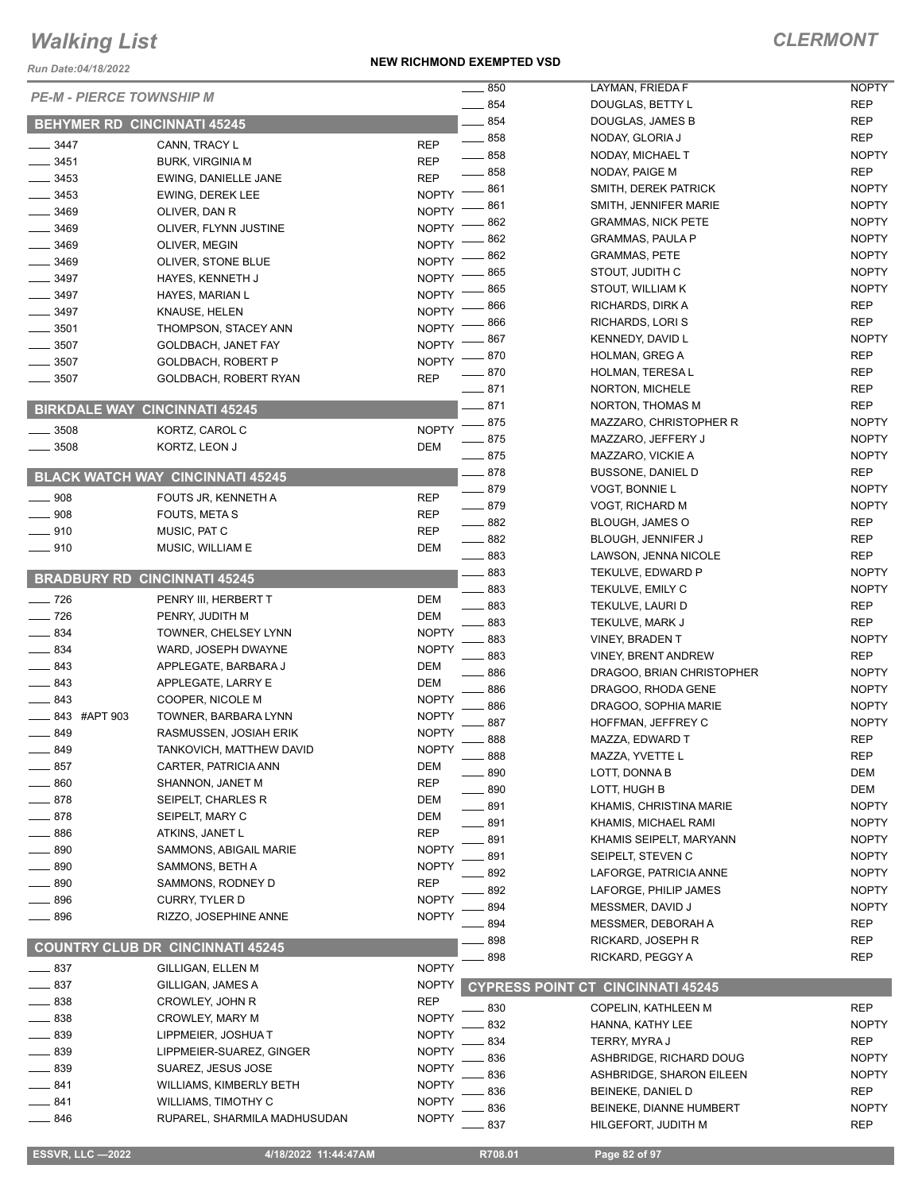*Run Date:04/18/2022*

#### **NEW RICHMOND EXEMPTED VSD**

|                                      |                                         |              | 850               | LAYMAN, FRIEDA F                         | <b>NOPTY</b>                 |
|--------------------------------------|-----------------------------------------|--------------|-------------------|------------------------------------------|------------------------------|
| <b>PE-M - PIERCE TOWNSHIP M</b>      |                                         |              | 854               | DOUGLAS, BETTY L                         | <b>REP</b>                   |
| <b>BEHYMER RD CINCINNATI 45245</b>   |                                         |              | $-854$            | DOUGLAS, JAMES B                         | <b>REP</b>                   |
| 3447                                 | CANN, TRACY L                           | <b>REP</b>   | $\frac{1}{2}$ 858 | NODAY, GLORIA J                          | <b>REP</b>                   |
| 3451                                 | <b>BURK, VIRGINIA M</b>                 | <b>REP</b>   | $- 858$           | NODAY, MICHAEL T                         | <b>NOPTY</b>                 |
| 3453                                 | EWING, DANIELLE JANE                    | <b>REP</b>   | 858               | NODAY, PAIGE M                           | <b>REP</b>                   |
| 3453                                 | <b>EWING, DEREK LEE</b>                 | <b>NOPTY</b> | 861               | SMITH, DEREK PATRICK                     | <b>NOPTY</b>                 |
| 3469                                 | OLIVER, DAN R                           | <b>NOPTY</b> | 861               | SMITH, JENNIFER MARIE                    | <b>NOPTY</b>                 |
| 3469                                 | OLIVER, FLYNN JUSTINE                   | <b>NOPTY</b> | 862               | <b>GRAMMAS, NICK PETE</b>                | <b>NOPTY</b>                 |
| 3469                                 | OLIVER, MEGIN                           | <b>NOPTY</b> | 862               | <b>GRAMMAS, PAULA P</b>                  | <b>NOPTY</b>                 |
| $- 3469$                             | OLIVER, STONE BLUE                      | <b>NOPTY</b> | 862               | <b>GRAMMAS, PETE</b>                     | <b>NOPTY</b>                 |
| 3497                                 | HAYES, KENNETH J                        | <b>NOPTY</b> | 865               | STOUT, JUDITH C                          | <b>NOPTY</b>                 |
| $\frac{1}{2}$ 3497                   | HAYES, MARIAN L                         | <b>NOPTY</b> | 865               | STOUT, WILLIAM K                         | <b>NOPTY</b>                 |
| 3497                                 | KNAUSE, HELEN                           | <b>NOPTY</b> | 866               | RICHARDS, DIRK A                         | <b>REP</b>                   |
| $-3501$                              | THOMPSON, STACEY ANN                    | <b>NOPTY</b> | 866               | RICHARDS, LORI S                         | <b>REP</b>                   |
| 3507                                 | GOLDBACH, JANET FAY                     | <b>NOPTY</b> | 867               | KENNEDY, DAVID L                         | <b>NOPTY</b>                 |
| 3507                                 | GOLDBACH, ROBERT P                      | <b>NOPTY</b> | 870               | HOLMAN, GREG A                           | <b>REP</b>                   |
| $-3507$                              | GOLDBACH, ROBERT RYAN                   | <b>REP</b>   | 870               | <b>HOLMAN, TERESA L</b>                  | <b>REP</b>                   |
|                                      |                                         |              | $-871$            | NORTON, MICHELE                          | <b>REP</b>                   |
| <b>BIRKDALE WAY CINCINNATI 45245</b> |                                         |              | 871               | NORTON, THOMAS M                         | <b>REP</b>                   |
| $-3508$                              | KORTZ, CAROL C                          | <b>NOPTY</b> | 875               | MAZZARO, CHRISTOPHER R                   | <b>NOPTY</b>                 |
| $- 3508$                             | KORTZ, LEON J                           | DEM          | $-875$            | MAZZARO, JEFFERY J                       | <b>NOPTY</b>                 |
|                                      |                                         |              | $-875$            | MAZZARO, VICKIE A                        | <b>NOPTY</b>                 |
|                                      | <b>BLACK WATCH WAY CINCINNATI 45245</b> |              | $-878$            | <b>BUSSONE, DANIEL D</b>                 | <b>REP</b>                   |
| $\frac{1}{2}$ 908                    | FOUTS JR, KENNETH A                     | <b>REP</b>   | $-879$            | <b>VOGT, BONNIE L</b>                    | <b>NOPTY</b>                 |
| $\frac{1}{2}$ 908                    | FOUTS, META S                           | <b>REP</b>   | $-879$            | <b>VOGT, RICHARD M</b>                   | <b>NOPTY</b>                 |
| $- 910$                              | MUSIC, PAT C                            | <b>REP</b>   | $-882$            | <b>BLOUGH, JAMES O</b>                   | <b>REP</b>                   |
| $-910$                               | MUSIC, WILLIAM E                        | DEM          | $\frac{1}{2}$ 882 | BLOUGH, JENNIFER J                       | <b>REP</b>                   |
|                                      |                                         |              | $\frac{1}{2}$ 883 | LAWSON, JENNA NICOLE                     | <b>REP</b>                   |
| <b>BRADBURY RD CINCINNATI 45245</b>  |                                         |              | 883<br>883        | TEKULVE, EDWARD P                        | <b>NOPTY</b><br><b>NOPTY</b> |
| $\frac{1}{2}$ 726                    | PENRY III, HERBERT T                    | DEM          | 883               | TEKULVE, EMILY C<br>TEKULVE, LAURI D     | <b>REP</b>                   |
| $\frac{1}{2}$ 726                    | PENRY, JUDITH M                         | DEM          | 883               | TEKULVE, MARK J                          | <b>REP</b>                   |
| $-834$                               | TOWNER, CHELSEY LYNN                    | <b>NOPTY</b> | 883               | <b>VINEY, BRADEN T</b>                   | <b>NOPTY</b>                 |
| $- 834$                              | WARD, JOSEPH DWAYNE                     | <b>NOPTY</b> | 883               | <b>VINEY, BRENT ANDREW</b>               | <b>REP</b>                   |
| $-843$                               | APPLEGATE, BARBARA J                    | <b>DEM</b>   | 886               | DRAGOO, BRIAN CHRISTOPHER                | <b>NOPTY</b>                 |
| $\frac{1}{2}$ 843                    | APPLEGATE, LARRY E                      | DEM          | 886               | DRAGOO, RHODA GENE                       | <b>NOPTY</b>                 |
| $\sim$ 843                           | COOPER, NICOLE M                        | <b>NOPTY</b> | 886               | DRAGOO, SOPHIA MARIE                     | <b>NOPTY</b>                 |
| 843 #APT 903                         | TOWNER, BARBARA LYNN                    | <b>NOPTY</b> | 887               | HOFFMAN, JEFFREY C                       | <b>NOPTY</b>                 |
| $-849$                               | RASMUSSEN, JOSIAH ERIK                  | <b>NOPTY</b> | 888               | MAZZA, EDWARD T                          | <b>REP</b>                   |
| 849                                  | TANKOVICH, MATTHEW DAVID                | <b>NOPTY</b> | $\equiv$ 888      | MAZZA, YVETTE L                          | <b>REP</b>                   |
| $\_\_\_\$ 857                        | CARTER, PATRICIA ANN                    | <b>DEM</b>   | 890               | LOTT, DONNA B                            | <b>DEM</b>                   |
| 860                                  | SHANNON, JANET M                        | <b>REP</b>   | 890               | LOTT, HUGH B                             | <b>DEM</b>                   |
| 878                                  | SEIPELT, CHARLES R                      | DEM          | .891              | KHAMIS, CHRISTINA MARIE                  | <b>NOPTY</b>                 |
| 878                                  | SEIPELT, MARY C                         | DEM          | . 891             | KHAMIS, MICHAEL RAMI                     | <b>NOPTY</b>                 |
| 886                                  | ATKINS, JANET L                         | <b>REP</b>   | 891               | KHAMIS SEIPELT, MARYANN                  | <b>NOPTY</b>                 |
| 890                                  | SAMMONS, ABIGAIL MARIE                  | <b>NOPTY</b> | 891               | SEIPELT, STEVEN C                        | <b>NOPTY</b>                 |
| 890                                  | SAMMONS, BETH A                         | <b>NOPTY</b> | 892               | LAFORGE, PATRICIA ANNE                   | <b>NOPTY</b>                 |
| 890                                  | SAMMONS, RODNEY D                       | <b>REP</b>   | 892               | LAFORGE, PHILIP JAMES                    | <b>NOPTY</b>                 |
| $-896$                               | <b>CURRY, TYLER D</b>                   | <b>NOPTY</b> | 894               | MESSMER, DAVID J                         | <b>NOPTY</b>                 |
| $- 896$                              | RIZZO, JOSEPHINE ANNE                   | <b>NOPTY</b> | 894               | MESSMER, DEBORAH A                       | <b>REP</b>                   |
|                                      |                                         |              | 898               | RICKARD, JOSEPH R                        | REP                          |
|                                      | <b>COUNTRY CLUB DR CINCINNATI 45245</b> |              | 898               | RICKARD, PEGGY A                         | REP                          |
| $-837$                               | GILLIGAN, ELLEN M                       | <b>NOPTY</b> |                   |                                          |                              |
| $-837$                               | GILLIGAN, JAMES A                       | <b>NOPTY</b> |                   | <b>CYPRESS POINT CT CINCINNATI 45245</b> |                              |
| 838                                  | CROWLEY, JOHN R                         | <b>REP</b>   | 830               | COPELIN, KATHLEEN M                      | <b>REP</b>                   |
| $-838$                               | CROWLEY, MARY M                         | <b>NOPTY</b> | 832               | HANNA, KATHY LEE                         | <b>NOPTY</b>                 |
| _ 839                                | LIPPMEIER, JOSHUAT                      | <b>NOPTY</b> | 834               | TERRY, MYRA J                            | <b>REP</b>                   |
| 839                                  | LIPPMEIER-SUAREZ, GINGER                | <b>NOPTY</b> | 836               | ASHBRIDGE, RICHARD DOUG                  | <b>NOPTY</b>                 |
| 839                                  | SUAREZ, JESUS JOSE                      | <b>NOPTY</b> | 836               | ASHBRIDGE, SHARON EILEEN                 | <b>NOPTY</b>                 |
| $-841$                               | WILLIAMS, KIMBERLY BETH                 | <b>NOPTY</b> | 836               | BEINEKE, DANIEL D                        | REP                          |
| 841                                  | WILLIAMS, TIMOTHY C                     | <b>NOPTY</b> | 836               | BEINEKE, DIANNE HUMBERT                  | <b>NOPTY</b>                 |
| _ 846                                | RUPAREL, SHARMILA MADHUSUDAN            | <b>NOPTY</b> | 837               | HILGEFORT, JUDITH M                      | <b>REP</b>                   |
|                                      |                                         |              |                   |                                          |                              |
| <b>ESSVR, LLC -2022</b>              | 4/18/2022 11:44:47AM                    |              | R708.01           | Page 82 of 97                            |                              |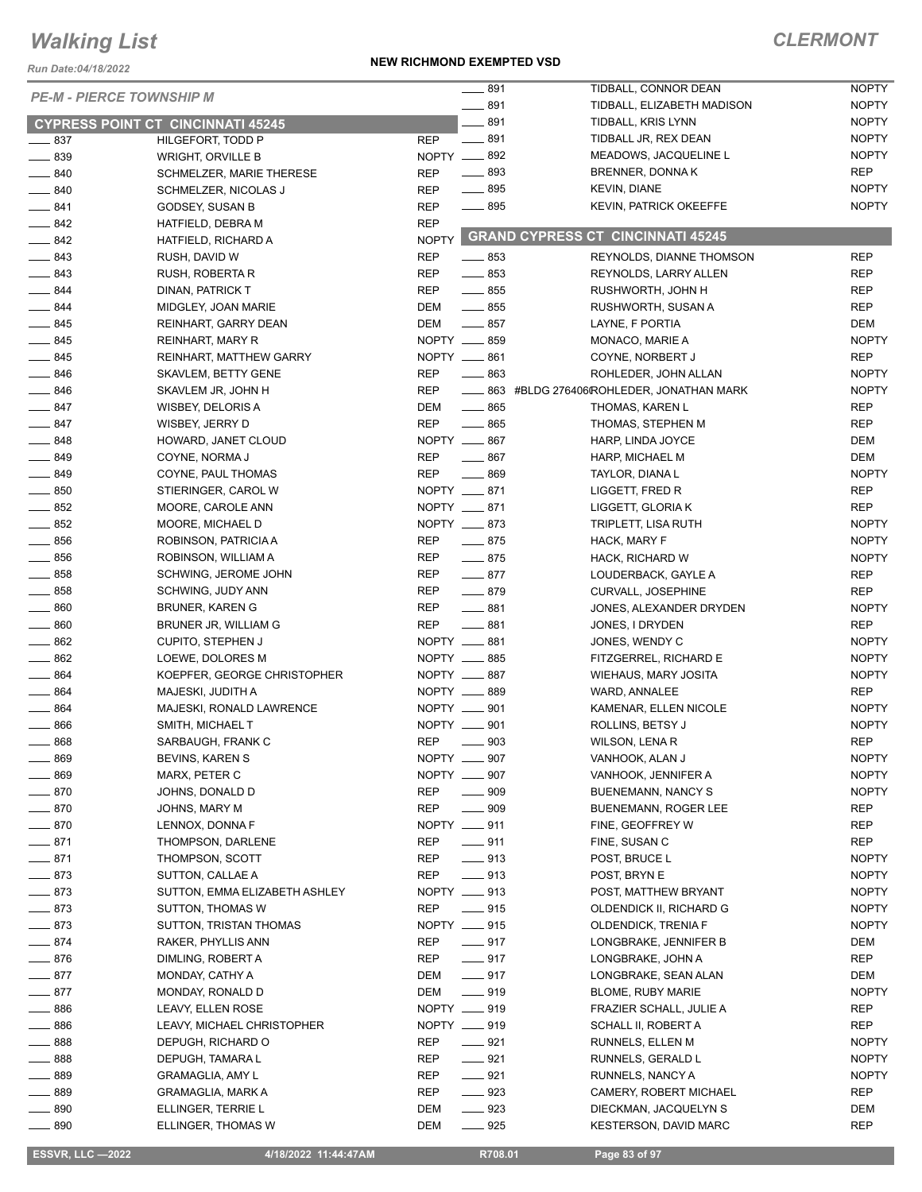*Run Date:04/18/2022*

#### **NEW RICHMOND EXEMPTED VSD**

### *CLERMONT*

|                                          |                               |                   | $-891$                     | TIDBALL, CONNOR DEAN                          | <b>NOPTY</b> |
|------------------------------------------|-------------------------------|-------------------|----------------------------|-----------------------------------------------|--------------|
| <b>PE-M - PIERCE TOWNSHIP M</b>          |                               | $\frac{1}{2}$ 891 | TIDBALL, ELIZABETH MADISON | <b>NOPTY</b>                                  |              |
| <b>CYPRESS POINT CT CINCINNATI 45245</b> |                               | $-891$            | TIDBALL, KRIS LYNN         | <b>NOPTY</b>                                  |              |
| $\frac{1}{2}$ 837                        | HILGEFORT, TODD P             | <b>REP</b>        | $-891$                     | TIDBALL JR, REX DEAN                          | <b>NOPTY</b> |
| $- 839$                                  | <b>WRIGHT, ORVILLE B</b>      |                   | NOPTY -892                 | MEADOWS, JACQUELINE L                         | <b>NOPTY</b> |
| $- 840$                                  | SCHMELZER, MARIE THERESE      | <b>REP</b>        | $- 893$                    | BRENNER, DONNAK                               | <b>REP</b>   |
| $- 840$                                  | SCHMELZER, NICOLAS J          | <b>REP</b>        | $\frac{1}{2}$ 895          | <b>KEVIN, DIANE</b>                           | <b>NOPTY</b> |
| $-841$                                   | GODSEY, SUSAN B               | <b>REP</b>        | $- 895$                    | <b>KEVIN, PATRICK OKEEFFE</b>                 | <b>NOPTY</b> |
| $\frac{1}{2}$ 842                        | HATFIELD, DEBRA M             | <b>REP</b>        |                            |                                               |              |
| $\frac{1}{2}$ 842                        | HATFIELD, RICHARD A           |                   |                            | NOPTY GRAND CYPRESS CT CINCINNATI 45245       |              |
| $\frac{1}{2}$ 843                        | RUSH, DAVID W                 | <b>REP</b>        | $- 853$                    | REYNOLDS, DIANNE THOMSON                      | <b>REP</b>   |
| $\frac{1}{2}$ 843                        | RUSH, ROBERTA R               | <b>REP</b>        | $-853$                     | REYNOLDS, LARRY ALLEN                         | <b>REP</b>   |
| $-844$                                   | DINAN, PATRICK T              | <b>REP</b>        | $\frac{1}{2}$ 855          | RUSHWORTH, JOHN H                             | <b>REP</b>   |
| $-844$                                   | MIDGLEY, JOAN MARIE           | DEM               | $\frac{1}{2}$ 855          | RUSHWORTH, SUSAN A                            | <b>REP</b>   |
| $- 845$                                  |                               | DEM               | $-857$                     |                                               | DEM          |
|                                          | REINHART, GARRY DEAN          |                   |                            | LAYNE, F PORTIA                               |              |
| $- 845$                                  | REINHART, MARY R              |                   | NOPTY __ 859               | MONACO, MARIE A                               | <b>NOPTY</b> |
| $- 845$                                  | REINHART, MATTHEW GARRY       |                   | NOPTY __ 861               | COYNE, NORBERT J                              | <b>REP</b>   |
| $\frac{1}{2}$ 846                        | <b>SKAVLEM, BETTY GENE</b>    | <b>REP</b>        | $-863$                     | ROHLEDER, JOHN ALLAN                          | <b>NOPTY</b> |
| $\frac{1}{2}$ 846                        | SKAVLEM JR, JOHN H            | <b>REP</b>        |                            | ____ 863 #BLDG 276406(ROHLEDER, JONATHAN MARK | <b>NOPTY</b> |
| $-847$                                   | WISBEY, DELORIS A             | <b>DEM</b>        | $\frac{1}{2}$ 865          | THOMAS, KAREN L                               | <b>REP</b>   |
| $-847$                                   | WISBEY, JERRY D               | <b>REP</b>        | $-865$                     | THOMAS, STEPHEN M                             | <b>REP</b>   |
| $\frac{1}{2}$ 848                        | HOWARD, JANET CLOUD           |                   | NOPTY __ 867               | HARP, LINDA JOYCE                             | DEM          |
| $\frac{1}{2}$ 849                        | COYNE, NORMA J                | <b>REP</b>        | $\frac{1}{2}$ 867          | HARP, MICHAEL M                               | DEM          |
| $- 849$                                  | COYNE, PAUL THOMAS            | <b>REP</b>        | $-869$                     | TAYLOR, DIANA L                               | <b>NOPTY</b> |
| $\frac{1}{2}$ 850                        | STIERINGER, CAROL W           |                   | NOPTY __ 871               | LIGGETT, FRED R                               | <b>REP</b>   |
| $- 852$                                  | MOORE, CAROLE ANN             |                   | NOPTY __ 871               | LIGGETT, GLORIA K                             | <b>REP</b>   |
| $\frac{1}{2}$ 852                        | MOORE, MICHAEL D              |                   | NOPTY __ 873               | TRIPLETT, LISA RUTH                           | <b>NOPTY</b> |
| $\frac{1}{2}$ 856                        | ROBINSON, PATRICIA A          | REP               | $-875$                     | HACK, MARY F                                  | <b>NOPTY</b> |
| $\frac{1}{2}$ 856                        | ROBINSON, WILLIAM A           | <b>REP</b>        | $-875$                     | HACK, RICHARD W                               | <b>NOPTY</b> |
| $\frac{1}{2}$ 858                        | SCHWING, JEROME JOHN          | REP               | $-877$                     | LOUDERBACK, GAYLE A                           | <b>REP</b>   |
| $- 858$                                  | SCHWING, JUDY ANN             | <b>REP</b>        | $-879$                     | <b>CURVALL, JOSEPHINE</b>                     | <b>REP</b>   |
| $- 860$                                  | BRUNER, KAREN G               | <b>REP</b>        | $-881$                     | JONES, ALEXANDER DRYDEN                       | <b>NOPTY</b> |
| $- 860$                                  | BRUNER JR, WILLIAM G          | REP               | $\frac{1}{2}$ 881          | JONES, I DRYDEN                               | <b>REP</b>   |
| $-862$                                   | <b>CUPITO, STEPHEN J</b>      |                   | NOPTY __ 881               | JONES, WENDY C                                | <b>NOPTY</b> |
| $\frac{1}{2}$ 862                        | LOEWE, DOLORES M              |                   | NOPTY __ 885               | FITZGERREL, RICHARD E                         | <b>NOPTY</b> |
| $- 864$                                  | KOEPFER, GEORGE CHRISTOPHER   |                   | NOPTY __ 887               | WIEHAUS, MARY JOSITA                          | <b>NOPTY</b> |
| $- 864$                                  | MAJESKI, JUDITH A             |                   | NOPTY __ 889               | WARD, ANNALEE                                 | <b>REP</b>   |
| $- 864$                                  | MAJESKI, RONALD LAWRENCE      |                   | NOPTY __ 901               | KAMENAR, ELLEN NICOLE                         | <b>NOPTY</b> |
| 866                                      | SMITH, MICHAEL T              |                   | NOPTY __ 901               | ROLLINS, BETSY J                              | <b>NOPTY</b> |
| $- 868$                                  |                               | <b>REP</b>        | $\frac{1}{2}$ 903          |                                               | <b>REP</b>   |
|                                          | SARBAUGH, FRANK C             |                   |                            | WILSON, LENA R                                |              |
| ____ 869                                 | BEVINS, KAREN S               |                   | NOPTY <u>_</u> 907         | VANHOOK, ALAN J                               | <b>NOPTY</b> |
| $-869$                                   | MARX, PETER C                 |                   | NOPTY __ 907               | VANHOOK, JENNIFER A                           | <b>NOPTY</b> |
| $- 870$                                  | JOHNS, DONALD D               | REP               | $\frac{1}{2}$ 909          | <b>BUENEMANN, NANCY S</b>                     | <b>NOPTY</b> |
| $-870$                                   | JOHNS, MARY M                 | <b>REP</b>        | $\rule{1em}{0.15mm}$ 909   | BUENEMANN, ROGER LEE                          | <b>REP</b>   |
| $- 870$                                  | LENNOX, DONNA F               |                   | NOPTY __ 911               | FINE, GEOFFREY W                              | REP          |
| $-871$                                   | THOMPSON, DARLENE             | REP               | $- 911$                    | FINE, SUSAN C                                 | REP          |
| $-871$                                   | THOMPSON, SCOTT               | REP               | $-913$                     | POST, BRUCE L                                 | <b>NOPTY</b> |
| $-873$                                   | SUTTON, CALLAE A              | <b>REP</b>        | $- 913$                    | POST, BRYN E                                  | <b>NOPTY</b> |
| $-873$                                   | SUTTON, EMMA ELIZABETH ASHLEY |                   | NOPTY __ 913               | POST, MATTHEW BRYANT                          | <b>NOPTY</b> |
| $-873$                                   | SUTTON, THOMAS W              | <b>REP</b>        | $-915$                     | OLDENDICK II, RICHARD G                       | <b>NOPTY</b> |
| $-873$                                   | SUTTON, TRISTAN THOMAS        |                   | NOPTY __ 915               | OLDENDICK, TRENIA F                           | <b>NOPTY</b> |
| $-874$                                   | RAKER, PHYLLIS ANN            | REP               | $-917$                     | LONGBRAKE, JENNIFER B                         | DEM          |
| $- 876$                                  | DIMLING, ROBERT A             | REP               | $- 917$                    | LONGBRAKE, JOHN A                             | <b>REP</b>   |
| $-877$                                   | MONDAY, CATHY A               | DEM               | $-917$                     | LONGBRAKE, SEAN ALAN                          | DEM          |
| $-877$                                   | MONDAY, RONALD D              | DEM               | $- 919$                    | <b>BLOME, RUBY MARIE</b>                      | <b>NOPTY</b> |
| $- 886$                                  | LEAVY, ELLEN ROSE             |                   | NOPTY __ 919               | FRAZIER SCHALL, JULIE A                       | REP          |
| ____ 886                                 | LEAVY, MICHAEL CHRISTOPHER    |                   | NOPTY __ 919               | SCHALL II, ROBERT A                           | <b>REP</b>   |
| $- 888$                                  | DEPUGH, RICHARD O             | REP               | $-921$                     | RUNNELS, ELLEN M                              | <b>NOPTY</b> |
| $-888$                                   | DEPUGH, TAMARA L              | REP               | $- 921$                    | RUNNELS, GERALD L                             | <b>NOPTY</b> |
| $- 889$                                  | <b>GRAMAGLIA, AMY L</b>       | REP               | $- 921$                    | RUNNELS, NANCY A                              | <b>NOPTY</b> |
| $-889$                                   | <b>GRAMAGLIA, MARK A</b>      | <b>REP</b>        | $- 923$                    | CAMERY, ROBERT MICHAEL                        | <b>REP</b>   |
| $-890$                                   | ELLINGER, TERRIE L            | DEM               | $\equiv$ 923               | DIECKMAN, JACQUELYN S                         | DEM          |
| $- 890$                                  | ELLINGER, THOMAS W            | <b>DEM</b>        | $- 925$                    | KESTERSON, DAVID MARC                         | <b>REP</b>   |
|                                          |                               |                   |                            |                                               |              |

**ESSVR, LLC -2022 4/18/2022 11:44:47AM R708.01 Page 83 of 97**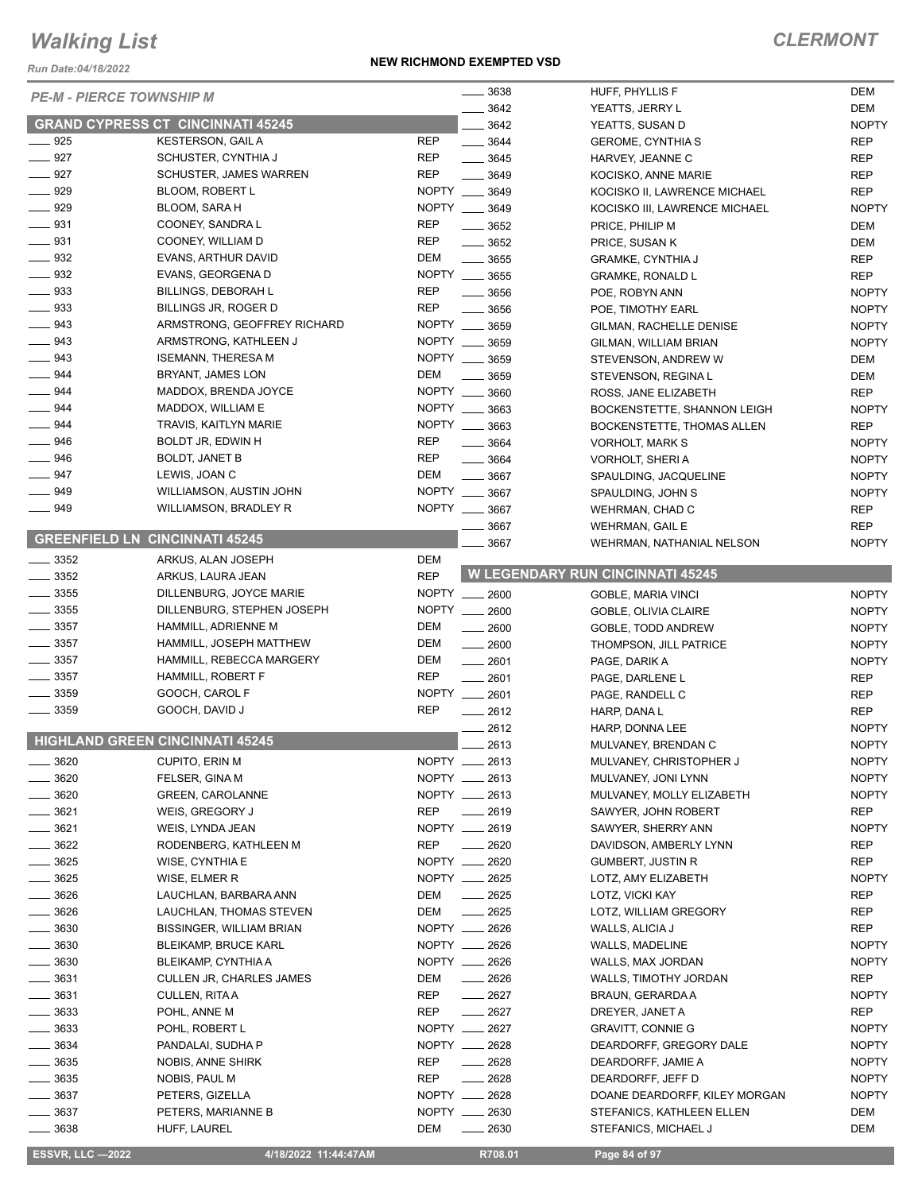*Run Date:04/18/2022*

#### **NEW RICHMOND EXEMPTED VSD**

## *CLERMONT*

| NUII DAIC.04/10/2022            |                                          |                   |                                |                                              |              |
|---------------------------------|------------------------------------------|-------------------|--------------------------------|----------------------------------------------|--------------|
| <b>PE-M - PIERCE TOWNSHIP M</b> |                                          |                   | 3638                           | HUFF, PHYLLIS F                              | DEM<br>DEM   |
|                                 | <b>GRAND CYPRESS CT CINCINNATI 45245</b> |                   | 3642<br>3642                   | YEATTS, JERRY L                              | <b>NOPTY</b> |
| $\frac{1}{2}$ 925               | <b>KESTERSON, GAIL A</b>                 | <b>REP</b>        | $- 3644$                       | YEATTS, SUSAN D                              | <b>REP</b>   |
| $-927$                          | SCHUSTER, CYNTHIA J                      | <b>REP</b>        | $- 3645$                       | <b>GEROME, CYNTHIA S</b><br>HARVEY, JEANNE C | <b>REP</b>   |
| $- 927$                         | <b>SCHUSTER, JAMES WARREN</b>            | <b>REP</b>        | 3649                           | KOCISKO, ANNE MARIE                          | <b>REP</b>   |
| 929                             | <b>BLOOM, ROBERT L</b>                   | NOPTY __ 3649     |                                | KOCISKO II, LAWRENCE MICHAEL                 | <b>REP</b>   |
| 929                             | BLOOM, SARA H                            | NOPTY __ 3649     |                                | KOCISKO III, LAWRENCE MICHAEL                | <b>NOPTY</b> |
| $\frac{1}{2}$ 931               | COONEY, SANDRA L                         | <b>REP</b>        | $\frac{1}{2}$ 3652             | PRICE, PHILIP M                              | DEM          |
| $-931$                          | COONEY, WILLIAM D                        | <b>REP</b>        | $- 3652$                       | PRICE, SUSAN K                               | DEM          |
| $\equiv$ 932                    | EVANS, ARTHUR DAVID                      | DEM               | $- 3655$                       | <b>GRAMKE, CYNTHIA J</b>                     | <b>REP</b>   |
| $\frac{1}{2}$ 932               | EVANS, GEORGENA D                        | NOPTY __ 3655     |                                | <b>GRAMKE, RONALD L</b>                      | <b>REP</b>   |
| $\equiv$ 933                    | <b>BILLINGS, DEBORAH L</b>               | <b>REP</b>        | $\frac{1}{2}$ 3656             | POE, ROBYN ANN                               | <b>NOPTY</b> |
| $\equiv$ 933                    | BILLINGS JR, ROGER D                     | <b>REP</b>        | $\frac{1}{2}$ 3656             | POE, TIMOTHY EARL                            | <b>NOPTY</b> |
| 943                             | ARMSTRONG, GEOFFREY RICHARD              | NOPTY __ 3659     |                                | GILMAN, RACHELLE DENISE                      | <b>NOPTY</b> |
| $\equiv$ 943                    | ARMSTRONG, KATHLEEN J                    | NOPTY __ 3659     |                                | GILMAN, WILLIAM BRIAN                        | <b>NOPTY</b> |
| $\equiv$ 943                    | <b>ISEMANN, THERESA M</b>                | NOPTY __ 3659     |                                | STEVENSON, ANDREW W                          | DEM          |
| $- 944$                         | BRYANT, JAMES LON                        | DEM               | $\frac{1}{2}$ 3659             | STEVENSON, REGINA L                          | DEM          |
| $\frac{1}{2}$ 944               | MADDOX, BRENDA JOYCE                     | NOPTY __ 3660     |                                | ROSS, JANE ELIZABETH                         | <b>REP</b>   |
| $-944$                          | MADDOX, WILLIAM E                        | NOPTY __ 3663     |                                | BOCKENSTETTE, SHANNON LEIGH                  | <b>NOPTY</b> |
| 944                             | TRAVIS, KAITLYN MARIE                    | NOPTY __ 3663     |                                | BOCKENSTETTE, THOMAS ALLEN                   | <b>REP</b>   |
| 946                             | BOLDT JR, EDWIN H                        | <b>REP</b>        |                                |                                              |              |
| 946                             | <b>BOLDT, JANET B</b>                    | <b>REP</b>        | $- 3664$<br>$\frac{1}{2}$ 3664 | <b>VORHOLT, MARK S</b>                       | <b>NOPTY</b> |
| $-947$                          | LEWIS, JOAN C                            | DEM               | $- 3667$                       | VORHOLT, SHERI A                             | <b>NOPTY</b> |
| 949                             | WILLIAMSON, AUSTIN JOHN                  | NOPTY __ 3667     |                                | SPAULDING, JACQUELINE                        | <b>NOPTY</b> |
| $- 949$                         |                                          | NOPTY __ 3667     |                                | SPAULDING, JOHN S                            | <b>NOPTY</b> |
|                                 | WILLIAMSON, BRADLEY R                    |                   |                                | WEHRMAN, CHAD C                              | <b>REP</b>   |
|                                 | <b>GREENFIELD LN CINCINNATI 45245</b>    |                   | 3667                           | WEHRMAN, GAIL E                              | <b>REP</b>   |
|                                 |                                          |                   | 3667                           | WEHRMAN, NATHANIAL NELSON                    | <b>NOPTY</b> |
| $=$ 3352                        | ARKUS, ALAN JOSEPH                       | DEM<br><b>REP</b> |                                | <b>W LEGENDARY RUN CINCINNATI 45245</b>      |              |
| $\frac{1}{2}$ 3352              | ARKUS, LAURA JEAN                        |                   |                                |                                              |              |
| $\frac{1}{2}$ 3355              | DILLENBURG, JOYCE MARIE                  | NOPTY __ 2600     |                                | GOBLE, MARIA VINCI                           | <b>NOPTY</b> |
| $\frac{1}{2}$ 3355              | DILLENBURG, STEPHEN JOSEPH               | NOPTY __ 2600     |                                | GOBLE, OLIVIA CLAIRE                         | <b>NOPTY</b> |
| $\frac{1}{2}$ 3357              | HAMMILL, ADRIENNE M                      | DEM               | $- 2600$                       | GOBLE, TODD ANDREW                           | <b>NOPTY</b> |
| $\frac{1}{2}$ 3357              | HAMMILL, JOSEPH MATTHEW                  | DEM               | $- 2600$                       | THOMPSON, JILL PATRICE                       | <b>NOPTY</b> |
| $\frac{1}{2}$ 3357              | HAMMILL, REBECCA MARGERY                 | DEM               | $- 2601$                       | PAGE, DARIK A                                | <b>NOPTY</b> |
| 3357                            | <b>HAMMILL, ROBERT F</b>                 | <b>REP</b>        | $-2601$                        | PAGE, DARLENE L                              | <b>REP</b>   |
| 3359                            | GOOCH, CAROL F                           | NOPTY __ 2601     |                                | PAGE, RANDELL C                              | <b>REP</b>   |
| 3359                            | GOOCH, DAVID J                           | <b>REP</b>        | $\frac{1}{2612}$               | HARP, DANA L                                 | <b>REP</b>   |
|                                 | <b>HIGHLAND GREEN CINCINNATI 45245</b>   |                   | 2612                           | HARP, DONNA LEE                              | <b>NOPTY</b> |
|                                 |                                          |                   | $\frac{1}{2613}$               | MULVANEY, BRENDAN C                          | <b>NOPTY</b> |
| 3620                            | CUPITO, ERIN M                           | NOPTY __ 2613     |                                | MULVANEY, CHRISTOPHER J                      | <b>NOPTY</b> |
| 3620                            | FELSER, GINA M                           | NOPTY __ 2613     |                                | MULVANEY, JONI LYNN                          | <b>NOPTY</b> |
| 3620                            | <b>GREEN, CAROLANNE</b>                  | NOPTY __ 2613     |                                | MULVANEY, MOLLY ELIZABETH                    | <b>NOPTY</b> |
| 3621                            | WEIS, GREGORY J                          | <b>REP</b>        | $-2619$                        | SAWYER, JOHN ROBERT                          | REP          |
| 3621                            | WEIS, LYNDA JEAN                         | NOPTY __ 2619     |                                | SAWYER, SHERRY ANN                           | <b>NOPTY</b> |
| 3622                            | RODENBERG, KATHLEEN M                    | <b>REP</b>        | 2620                           | DAVIDSON, AMBERLY LYNN                       | <b>REP</b>   |
| 3625                            | WISE, CYNTHIA E                          | NOPTY __ 2620     |                                | <b>GUMBERT, JUSTIN R</b>                     | <b>REP</b>   |
| 3625                            | WISE, ELMER R                            | NOPTY __ 2625     |                                | LOTZ, AMY ELIZABETH                          | <b>NOPTY</b> |
| 3626                            | LAUCHLAN, BARBARA ANN                    | DEM               | $-2625$                        | LOTZ, VICKI KAY                              | REP          |
| 3626                            | LAUCHLAN, THOMAS STEVEN                  | DEM               | 2625                           | LOTZ, WILLIAM GREGORY                        | REP          |
| __ 3630                         | <b>BISSINGER, WILLIAM BRIAN</b>          | NOPTY __ 2626     |                                | WALLS, ALICIA J                              | <b>REP</b>   |
| $=$ 3630                        | <b>BLEIKAMP, BRUCE KARL</b>              | NOPTY __ 2626     |                                | WALLS, MADELINE                              | <b>NOPTY</b> |
| __ 3630                         | BLEIKAMP, CYNTHIA A                      | NOPTY __ 2626     |                                | WALLS, MAX JORDAN                            | <b>NOPTY</b> |
| $\frac{1}{2}$ 3631              | <b>CULLEN JR, CHARLES JAMES</b>          | DEM               | $\frac{1}{2626}$               | WALLS, TIMOTHY JORDAN                        | REP          |
| _ 3631                          | CULLEN, RITA A                           | <b>REP</b>        | $-2627$                        | BRAUN, GERARDA A                             | <b>NOPTY</b> |
| 3633                            | POHL, ANNE M                             | <b>REP</b>        | $-2627$                        | DREYER, JANET A                              | <b>REP</b>   |
| 3633                            | POHL, ROBERT L                           | NOPTY __ 2627     |                                | <b>GRAVITT, CONNIE G</b>                     | <b>NOPTY</b> |
| 3634                            | PANDALAI, SUDHA P                        | NOPTY __ 2628     |                                | DEARDORFF, GREGORY DALE                      | <b>NOPTY</b> |
| $=$ 3635                        | NOBIS, ANNE SHIRK                        | <b>REP</b>        | $-2628$                        | DEARDORFF, JAMIE A                           | <b>NOPTY</b> |
| 3635                            | NOBIS, PAUL M                            | <b>REP</b>        | $-2628$                        | DEARDORFF, JEFF D                            | <b>NOPTY</b> |
| 3637                            | PETERS, GIZELLA                          | NOPTY __ 2628     |                                | DOANE DEARDORFF, KILEY MORGAN                | <b>NOPTY</b> |
| 3637                            | PETERS, MARIANNE B                       | NOPTY __ 2630     |                                | STEFANICS, KATHLEEN ELLEN                    | DEM          |
| 3638                            | HUFF, LAUREL                             | DEM               | 2630                           | STEFANICS, MICHAEL J                         | DEM          |

 **ESSVR, LLC —2022 4/18/2022 11:44:47AM R708.01 Page 84 of 97**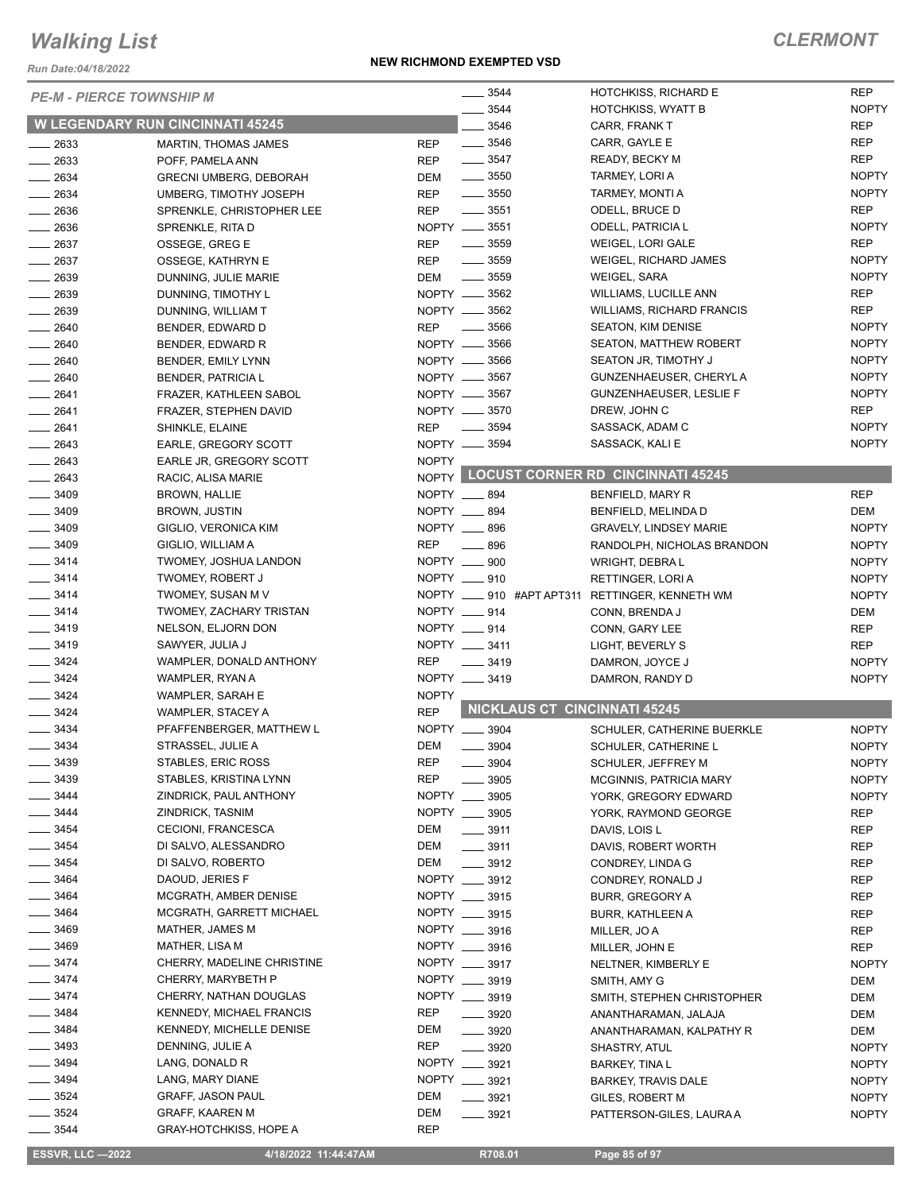*Run Date:04/18/2022*

| <b>PE-M - PIERCE TOWNSHIP M</b> |                                         |              | 3544                                | HOTCHKISS, RICHARD E                    | <b>REP</b>   |
|---------------------------------|-----------------------------------------|--------------|-------------------------------------|-----------------------------------------|--------------|
|                                 |                                         |              | 3544                                | <b>HOTCHKISS, WYATT B</b>               | <b>NOPTY</b> |
|                                 | <b>W LEGENDARY RUN CINCINNATI 45245</b> |              | 3546                                | CARR, FRANK T                           | <b>REP</b>   |
| $\frac{1}{2633}$                | MARTIN, THOMAS JAMES                    | <b>REP</b>   | $\frac{1}{2}$ 3546                  | CARR, GAYLE E                           | REP          |
| $-2633$                         | POFF, PAMELA ANN                        | <b>REP</b>   | $\frac{1}{2}$ 3547                  | READY, BECKY M                          | <b>REP</b>   |
| $\frac{1}{2634}$                | <b>GRECNI UMBERG, DEBORAH</b>           | <b>DEM</b>   | $\frac{1}{2}$ 3550                  | TARMEY, LORI A                          | <b>NOPTY</b> |
| $-2634$                         | UMBERG, TIMOTHY JOSEPH                  | <b>REP</b>   | $\frac{1}{2}$ 3550                  | TARMEY, MONTI A                         | <b>NOPTY</b> |
| $\frac{1}{2636}$                | SPRENKLE, CHRISTOPHER LEE               | <b>REP</b>   | $\frac{1}{2}$ 3551                  | ODELL, BRUCE D                          | <b>REP</b>   |
| $\frac{1}{2636}$                | SPRENKLE, RITA D                        |              | NOPTY __ 3551                       | ODELL, PATRICIA L                       | <b>NOPTY</b> |
| $-2637$                         | OSSEGE, GREG E                          | <b>REP</b>   | $\frac{1}{2}$ 3559                  | WEIGEL, LORI GALE                       | <b>REP</b>   |
| $-2637$                         | OSSEGE, KATHRYN E                       | <b>REP</b>   | $\frac{1}{2}$ 3559                  | WEIGEL, RICHARD JAMES                   | <b>NOPTY</b> |
| $-2639$                         | DUNNING, JULIE MARIE                    | DEM          | $\frac{1}{2}$ 3559                  | WEIGEL, SARA                            | <b>NOPTY</b> |
| $-2639$                         | DUNNING, TIMOTHY L                      |              | NOPTY -8562                         | WILLIAMS, LUCILLE ANN                   | <b>REP</b>   |
| $\frac{1}{2639}$                | DUNNING, WILLIAM T                      |              | NOPTY __ 3562                       | <b>WILLIAMS, RICHARD FRANCIS</b>        | <b>REP</b>   |
| $-2640$                         | BENDER, EDWARD D                        | <b>REP</b>   | $\frac{1}{2}$ 3566                  | <b>SEATON, KIM DENISE</b>               | <b>NOPTY</b> |
| $-2640$                         | BENDER, EDWARD R                        |              | NOPTY __ 3566                       | <b>SEATON, MATTHEW ROBERT</b>           | <b>NOPTY</b> |
| $-2640$                         | BENDER, EMILY LYNN                      |              | NOPTY __ 3566                       | SEATON JR, TIMOTHY J                    | <b>NOPTY</b> |
| $- 2640$                        | <b>BENDER, PATRICIA L</b>               |              | NOPTY __ 3567                       | GUNZENHAEUSER, CHERYL A                 | <b>NOPTY</b> |
| $-2641$                         | FRAZER, KATHLEEN SABOL                  |              | NOPTY __ 3567                       | <b>GUNZENHAEUSER, LESLIE F</b>          | <b>NOPTY</b> |
| $-2641$                         | FRAZER, STEPHEN DAVID                   |              | NOPTY -8570                         | DREW, JOHN C                            | <b>REP</b>   |
| $-2641$                         | SHINKLE, ELAINE                         | <b>REP</b>   | $\frac{1}{2}$ 3594                  | SASSACK, ADAM C                         | <b>NOPTY</b> |
| $-2643$                         | EARLE, GREGORY SCOTT                    |              | NOPTY __ 3594                       | SASSACK, KALI E                         | <b>NOPTY</b> |
| $-2643$                         | EARLE JR, GREGORY SCOTT                 | <b>NOPTY</b> |                                     |                                         |              |
| $-2643$                         | RACIC, ALISA MARIE                      |              |                                     | NOPTY LOCUST CORNER RD CINCINNATI 45245 |              |
| $\frac{1}{2}$ 3409              | <b>BROWN, HALLIE</b>                    |              | NOPTY __ 894                        | BENFIELD, MARY R                        | <b>REP</b>   |
| $\frac{1}{2}$ 3409              | <b>BROWN, JUSTIN</b>                    |              | NOPTY __ 894                        | BENFIELD, MELINDA D                     | DEM          |
| $\frac{1}{2}$ 3409              | GIGLIO, VERONICA KIM                    |              | NOPTY __ 896                        | <b>GRAVELY, LINDSEY MARIE</b>           | <b>NOPTY</b> |
| $\frac{1}{2}$ 3409              | GIGLIO, WILLIAM A                       | <b>REP</b>   | $\frac{1}{2}$ 896                   | RANDOLPH, NICHOLAS BRANDON              | <b>NOPTY</b> |
| $\frac{3414}{2}$                | TWOMEY, JOSHUA LANDON                   |              | NOPTY __ 900                        | WRIGHT, DEBRA L                         | <b>NOPTY</b> |
| $\frac{3414}{2}$                | TWOMEY, ROBERT J                        |              | NOPTY __ 910                        | RETTINGER, LORI A                       | <b>NOPTY</b> |
| $- 3414$                        | TWOMEY, SUSAN M V                       |              | NOPTY _____ 910 #APT APT311         | <b>RETTINGER, KENNETH WM</b>            | <b>NOPTY</b> |
| $\frac{3414}{2}$                | TWOMEY, ZACHARY TRISTAN                 |              | NOPTY __ 914                        | CONN, BRENDA J                          | DEM          |
| $\frac{1}{2}$ 3419              | NELSON, ELJORN DON                      |              | NOPTY __ 914                        | CONN, GARY LEE                          | <b>REP</b>   |
| $\frac{1}{2}$ 3419              | SAWYER, JULIA J                         |              | NOPTY __ 3411                       | LIGHT, BEVERLY S                        | <b>REP</b>   |
| $- 3424$                        | WAMPLER, DONALD ANTHONY                 | <b>REP</b>   | $\frac{1}{2}$ 3419                  | DAMRON, JOYCE J                         | <b>NOPTY</b> |
| $\frac{3424}{5}$                | WAMPLER, RYAN A                         |              | NOPTY __ 3419                       | DAMRON, RANDY D                         | <b>NOPTY</b> |
| $- 3424$                        | WAMPLER, SARAH E                        | <b>NOPTY</b> |                                     |                                         |              |
| $- 3424$                        | WAMPLER, STACEY A                       | <b>REP</b>   |                                     | <b>NICKLAUS CT CINCINNATI 45245</b>     |              |
| $-3434$                         | PFAFFENBERGER, MATTHEW L                |              | NOPTY __ 3904                       | SCHULER, CATHERINE BUERKLE              | <b>NOPTY</b> |
| - 3434                          | STRASSEL, JULIE A                       | <b>DEM</b>   | 3904                                | SCHULER, CATHERINE L                    | <b>NOPTY</b> |
| $-3439$                         | STABLES, ERIC ROSS                      | <b>REP</b>   | 3904                                | <b>SCHULER, JEFFREY M</b>               | <b>NOPTY</b> |
| $-3439$                         | STABLES, KRISTINA LYNN                  | <b>REP</b>   | 3905                                | MCGINNIS, PATRICIA MARY                 | <b>NOPTY</b> |
| $-3444$                         | ZINDRICK, PAUL ANTHONY                  |              | NOPTY __ 3905                       |                                         | <b>NOPTY</b> |
| $\frac{1}{2}$ 3444              | ZINDRICK, TASNIM                        |              | NOPTY __ 3905                       | YORK, GREGORY EDWARD                    |              |
| $\frac{1}{2}$ 3454              | CECIONI, FRANCESCA                      | DEM          | $\frac{1}{2}$ 3911                  | YORK, RAYMOND GEORGE                    | <b>REP</b>   |
| $\frac{1}{2}$ 3454              | DI SALVO, ALESSANDRO                    | DEM          |                                     | DAVIS, LOIS L                           | REP          |
| $- 3454$                        | DI SALVO, ROBERTO                       | <b>DEM</b>   | $\frac{1}{2}$ 3911                  | DAVIS, ROBERT WORTH                     | REP          |
| $\frac{1}{2}$ 3464              | DAOUD, JERIES F                         |              | $\frac{1}{2}$ 3912<br>NOPTY __ 3912 | CONDREY, LINDA G                        | REP          |
| $- 3464$                        |                                         |              | NOPTY __ 3915                       | CONDREY, RONALD J                       | REP          |
|                                 | MCGRATH, AMBER DENISE                   |              | NOPTY __ 3915                       | <b>BURR, GREGORY A</b>                  | REP          |
| $- 3464$                        | MCGRATH, GARRETT MICHAEL                |              |                                     | <b>BURR, KATHLEEN A</b>                 | <b>REP</b>   |
| $\frac{1}{2}$ 3469              | MATHER, JAMES M                         |              | NOPTY __ 3916                       | MILLER, JO A                            | REP          |
| $- 3469$                        | MATHER, LISA M                          |              | NOPTY __ 3916                       | MILLER, JOHN E                          | <b>REP</b>   |
| $\frac{3474}{5}$                | CHERRY, MADELINE CHRISTINE              |              | NOPTY __ 3917                       | NELTNER, KIMBERLY E                     | <b>NOPTY</b> |
| $- 3474$                        | CHERRY, MARYBETH P                      |              | NOPTY __ 3919                       | SMITH, AMY G                            | DEM          |
| $- 3474$                        | CHERRY, NATHAN DOUGLAS                  |              | NOPTY __ 3919                       | SMITH, STEPHEN CHRISTOPHER              | DEM          |
| $- 3484$                        | KENNEDY, MICHAEL FRANCIS                | REP          | $- 3920$                            | ANANTHARAMAN, JALAJA                    | DEM          |
| $\frac{1}{2}$ 3484              | KENNEDY, MICHELLE DENISE                | DEM          | $\frac{1}{2}$ 3920                  | ANANTHARAMAN, KALPATHY R                | DEM          |
| $\frac{1}{2}$ 3493              | DENNING, JULIE A                        | REP          | $\frac{1}{2}$ 3920                  | SHASTRY, ATUL                           | <b>NOPTY</b> |
| $- 3494$                        | LANG, DONALD R                          |              | NOPTY __ 3921                       | BARKEY, TINA L                          | <b>NOPTY</b> |
| ____ 3494                       | LANG, MARY DIANE                        |              | NOPTY __ 3921                       | BARKEY, TRAVIS DALE                     | <b>NOPTY</b> |
| $\frac{1}{2}$ 3524              | <b>GRAFF, JASON PAUL</b>                | DEM          | $\frac{1}{2}$ 3921                  | GILES, ROBERT M                         | <b>NOPTY</b> |
| $\frac{1}{2}$ 3524              | <b>GRAFF, KAAREN M</b>                  | DEM          | $\frac{1}{2}$ 3921                  | PATTERSON-GILES, LAURA A                | <b>NOPTY</b> |
| $-3544$                         | <b>GRAY-HOTCHKISS, HOPE A</b>           | <b>REP</b>   |                                     |                                         |              |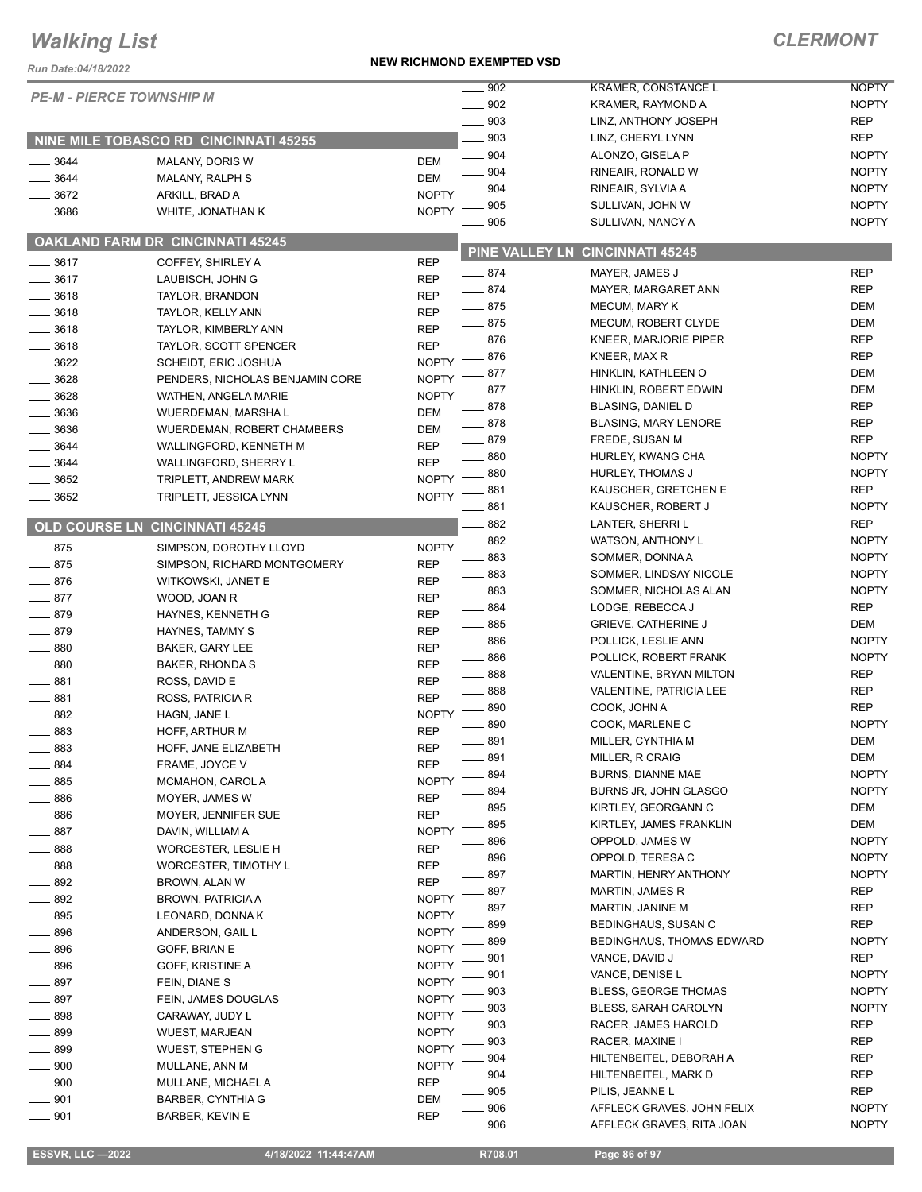#### **NEW RICHMOND EXEMPTED VSD**

| Run Date: 04/18/2022 |                                       |                            | <b>NEW RIGHMOND EVENLIED ASD</b> |                                           |                              |
|----------------------|---------------------------------------|----------------------------|----------------------------------|-------------------------------------------|------------------------------|
|                      | <b>PE-M - PIERCE TOWNSHIP M</b>       |                            | $-902$                           | KRAMER, CONSTANCE L                       | <b>NOPTY</b>                 |
|                      |                                       |                            | 902                              | KRAMER, RAYMOND A                         | <b>NOPTY</b>                 |
|                      |                                       |                            | 903                              | LINZ, ANTHONY JOSEPH                      | <b>REP</b>                   |
|                      | NINE MILE TOBASCO RD CINCINNATI 45255 |                            | .903                             | LINZ, CHERYL LYNN                         | <b>REP</b>                   |
| 3644                 | MALANY, DORIS W                       | <b>DEM</b>                 | 904                              | ALONZO, GISELA P                          | <b>NOPTY</b><br><b>NOPTY</b> |
| 3644                 | MALANY, RALPH S                       | <b>DEM</b>                 | 904<br>904                       | RINEAIR, RONALD W                         | <b>NOPTY</b>                 |
| $- 3672$             | ARKILL, BRAD A                        | <b>NOPTY</b>               | 905                              | RINEAIR, SYLVIA A<br>SULLIVAN, JOHN W     | <b>NOPTY</b>                 |
| 3686                 | WHITE, JONATHAN K                     | <b>NOPTY</b>               | 905                              | SULLIVAN, NANCY A                         | <b>NOPTY</b>                 |
|                      | OAKLAND FARM DR CINCINNATI 45245      |                            |                                  |                                           |                              |
| $\frac{1}{2}$ 3617   | COFFEY, SHIRLEY A                     | <b>REP</b>                 |                                  | PINE VALLEY LN CINCINNATI 45245           |                              |
| $\frac{1}{2}$ 3617   | LAUBISCH, JOHN G                      | <b>REP</b>                 | $-874$                           | MAYER, JAMES J                            | <b>REP</b>                   |
| $\frac{1}{2}$ 3618   | TAYLOR, BRANDON                       | <b>REP</b>                 | $-874$                           | MAYER, MARGARET ANN                       | <b>REP</b>                   |
| 3618                 | TAYLOR, KELLY ANN                     | <b>REP</b>                 | $-875$                           | MECUM, MARY K                             | <b>DEM</b>                   |
| $\frac{1}{2}$ 3618   | TAYLOR, KIMBERLY ANN                  | <b>REP</b>                 | $-875$                           | MECUM, ROBERT CLYDE                       | DEM                          |
| 3618                 | <b>TAYLOR, SCOTT SPENCER</b>          | <b>REP</b>                 | $-876$                           | KNEER, MARJORIE PIPER                     | <b>REP</b>                   |
| 3622                 | <b>SCHEIDT, ERIC JOSHUA</b>           | <b>NOPTY</b>               | - 876                            | KNEER, MAX R                              | <b>REP</b>                   |
| $- 3628$             | PENDERS, NICHOLAS BENJAMIN CORE       | <b>NOPTY</b>               | 877                              | HINKLIN, KATHLEEN O                       | <b>DEM</b>                   |
| 3628                 | WATHEN, ANGELA MARIE                  | <b>NOPTY</b>               | 877                              | HINKLIN, ROBERT EDWIN                     | DEM                          |
| $\frac{1}{2}$ 3636   | WUERDEMAN, MARSHA L                   | <b>DEM</b>                 | - 878                            | <b>BLASING, DANIEL D</b>                  | <b>REP</b>                   |
| 3636                 | <b>WUERDEMAN, ROBERT CHAMBERS</b>     | <b>DEM</b>                 | $-878$                           | <b>BLASING, MARY LENORE</b>               | <b>REP</b>                   |
| 3644                 | WALLINGFORD, KENNETH M                | <b>REP</b>                 | $-879$                           | FREDE, SUSAN M                            | <b>REP</b>                   |
| 3644                 | WALLINGFORD, SHERRY L                 | <b>REP</b>                 | $\frac{1}{2}$ 880                | HURLEY, KWANG CHA                         | <b>NOPTY</b>                 |
| 3652                 | TRIPLETT, ANDREW MARK                 | $N$ OPTY $-$               | _ 880                            | <b>HURLEY, THOMAS J</b>                   | <b>NOPTY</b>                 |
| 3652                 | TRIPLETT, JESSICA LYNN                | <b>NOPTY</b>               | - 881                            | KAUSCHER, GRETCHEN E                      | <b>REP</b>                   |
|                      |                                       |                            | 881                              | KAUSCHER, ROBERT J                        | <b>NOPTY</b>                 |
|                      | <b>OLD COURSE LN CINCINNATI 45245</b> |                            | 882                              | LANTER, SHERRI L                          | <b>REP</b>                   |
| $-875$               | SIMPSON, DOROTHY LLOYD                | <b>NOPTY</b>               | $-882$<br>$\frac{1}{2}$ 883      | WATSON, ANTHONY L                         | <b>NOPTY</b><br><b>NOPTY</b> |
| $-875$               | SIMPSON, RICHARD MONTGOMERY           | <b>REP</b>                 | $-883$                           | SOMMER, DONNA A<br>SOMMER, LINDSAY NICOLE | <b>NOPTY</b>                 |
| $-876$               | WITKOWSKI, JANET E                    | <b>REP</b>                 | $\frac{1}{2}$ 883                | SOMMER, NICHOLAS ALAN                     | <b>NOPTY</b>                 |
| $-877$               | WOOD, JOAN R                          | <b>REP</b>                 | $\frac{1}{2}$ 884                | LODGE, REBECCA J                          | <b>REP</b>                   |
| $-879$               | HAYNES, KENNETH G                     | <b>REP</b>                 | $-885$                           | <b>GRIEVE, CATHERINE J</b>                | DEM                          |
| $-879$               | HAYNES, TAMMY S                       | <b>REP</b>                 | $\frac{1}{2}$ 886                | POLLICK, LESLIE ANN                       | <b>NOPTY</b>                 |
| $- 880$              | <b>BAKER, GARY LEE</b>                | <b>REP</b>                 | $\equiv$ 886                     | POLLICK, ROBERT FRANK                     | <b>NOPTY</b>                 |
| $- 880$              | <b>BAKER, RHONDA S</b>                | <b>REP</b>                 | $\frac{1}{2}$ 888                | VALENTINE, BRYAN MILTON                   | <b>REP</b>                   |
| $- 881$              | ROSS, DAVID E                         | <b>REP</b>                 | $-888$                           | VALENTINE, PATRICIA LEE                   | <b>REP</b>                   |
| $-881$               | ROSS, PATRICIA R                      | <b>REP</b>                 | 890                              | COOK, JOHN A                              | <b>REP</b>                   |
| $- 882$              | HAGN, JANE L                          | <b>NOPTY</b>               | . 890                            | COOK, MARLENE C                           | <b>NOPTY</b>                 |
| $-883$               | HOFF, ARTHUR M                        | <b>REP</b>                 | _ 891                            | MILLER, CYNTHIA M                         | DEM                          |
| 883                  | HOFF, JANE ELIZABETH                  | <b>REP</b>                 | 891                              | MILLER, R CRAIG                           | DEM                          |
| 884                  | FRAME, JOYCE V                        | <b>REP</b>                 | 894                              | <b>BURNS, DIANNE MAE</b>                  | <b>NOPTY</b>                 |
| 885                  | MCMAHON, CAROL A                      | <b>NOPTY</b>               | 894                              | <b>BURNS JR, JOHN GLASGO</b>              | <b>NOPTY</b>                 |
| $-886$               | MOYER, JAMES W<br>MOYER, JENNIFER SUE | <b>REP</b>                 | 895                              | KIRTLEY, GEORGANN C                       | DEM                          |
| 886<br>887           | DAVIN, WILLIAM A                      | <b>REP</b><br><b>NOPTY</b> | 895                              | KIRTLEY, JAMES FRANKLIN                   | DEM                          |
| 888                  | <b>WORCESTER, LESLIE H</b>            | <b>REP</b>                 | 896                              | OPPOLD, JAMES W                           | <b>NOPTY</b>                 |
| $-888$               | <b>WORCESTER, TIMOTHY L</b>           | <b>REP</b>                 | 896                              | OPPOLD, TERESA C                          | <b>NOPTY</b>                 |
| _ 892                | BROWN, ALAN W                         | <b>REP</b>                 | 897                              | MARTIN, HENRY ANTHONY                     | <b>NOPTY</b>                 |
| $-892$               | <b>BROWN, PATRICIA A</b>              | <b>NOPTY</b>               | 897                              | <b>MARTIN, JAMES R</b>                    | REP                          |
| 895                  | LEONARD, DONNA K                      | <b>NOPTY</b>               | 897                              | MARTIN, JANINE M                          | <b>REP</b>                   |
| $-896$               | ANDERSON, GAIL L                      | <b>NOPTY</b>               | 899                              | BEDINGHAUS, SUSAN C                       | REP                          |
| 896                  | GOFF, BRIAN E                         | <b>NOPTY</b>               | 899                              | <b>BEDINGHAUS, THOMAS EDWARD</b>          | <b>NOPTY</b>                 |
| $-896$               | GOFF, KRISTINE A                      | <b>NOPTY</b>               | 901                              | VANCE, DAVID J                            | <b>REP</b>                   |
| $-897$               | FEIN, DIANE S                         | <b>NOPTY</b>               | 901                              | VANCE, DENISE L                           | <b>NOPTY</b>                 |
| 897                  | FEIN, JAMES DOUGLAS                   | <b>NOPTY</b>               | 903                              | <b>BLESS, GEORGE THOMAS</b>               | <b>NOPTY</b>                 |
| 898                  | CARAWAY, JUDY L                       | <b>NOPTY</b>               | 903                              | BLESS, SARAH CAROLYN                      | <b>NOPTY</b>                 |
| 899                  | WUEST, MARJEAN                        | <b>NOPTY</b>               | 903                              | RACER, JAMES HAROLD                       | <b>REP</b>                   |
| _ 899                | WUEST, STEPHEN G                      | <b>NOPTY</b>               | 903                              | RACER, MAXINE I                           | REP                          |
| $-900$               | MULLANE, ANN M                        | <b>NOPTY</b>               | 904                              | HILTENBEITEL, DEBORAH A                   | REP                          |
| $-900$               | MULLANE, MICHAEL A                    | <b>REP</b>                 | 904                              | HILTENBEITEL, MARK D                      | REP                          |
| $- 901$              | <b>BARBER, CYNTHIA G</b>              | DEM                        | 905                              | PILIS, JEANNE L                           | <b>REP</b>                   |
| $- 901$              | BARBER, KEVIN E                       | <b>REP</b>                 | 906                              | AFFLECK GRAVES, JOHN FELIX                | <b>NOPTY</b>                 |
|                      |                                       |                            | 906                              | AFFLECK GRAVES, RITA JOAN                 | <b>NOPTY</b>                 |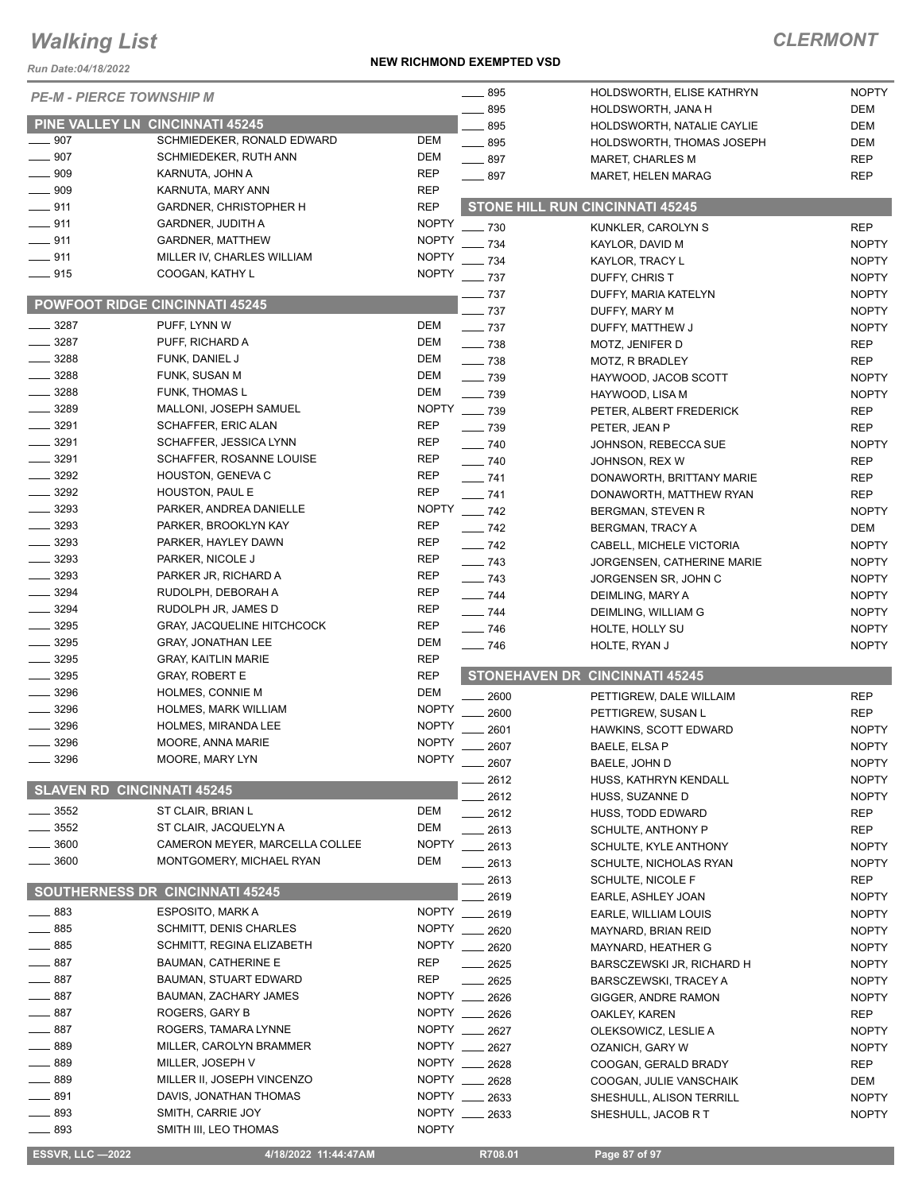*Run Date:04/18/2022*

#### **NEW RICHMOND EXEMPTED VSD**

| <b>PE-M - PIERCE TOWNSHIP M</b>   |                                        |              | $- 895$           | HOLDSWORTH, ELISE KATHRYN              | <b>NOPTY</b> |
|-----------------------------------|----------------------------------------|--------------|-------------------|----------------------------------------|--------------|
|                                   |                                        |              | 895               | HOLDSWORTH, JANA H                     | DEM          |
| $\_\_$ 907                        | <b>PINE VALLEY LN CINCINNATI 45245</b> | <b>DEM</b>   | 895               | HOLDSWORTH, NATALIE CAYLIE             | <b>DEM</b>   |
|                                   | SCHMIEDEKER, RONALD EDWARD             |              | $\frac{1}{2}$ 895 | HOLDSWORTH, THOMAS JOSEPH              | <b>DEM</b>   |
| 907                               | SCHMIEDEKER, RUTH ANN                  | DEM          | $-897$            | MARET, CHARLES M                       | <b>REP</b>   |
| 909                               | KARNUTA, JOHN A                        | <b>REP</b>   | $-897$            | <b>MARET, HELEN MARAG</b>              | <b>REP</b>   |
| 909                               | KARNUTA, MARY ANN                      | <b>REP</b>   |                   |                                        |              |
| $- 911$                           | <b>GARDNER, CHRISTOPHER H</b>          | <b>REP</b>   |                   | <b>STONE HILL RUN CINCINNATI 45245</b> |              |
| $-911$                            | <b>GARDNER, JUDITH A</b>               | <b>NOPTY</b> | $-730$            | KUNKLER, CAROLYN S                     | <b>REP</b>   |
| $-911$                            | <b>GARDNER, MATTHEW</b>                | <b>NOPTY</b> | $-734$            | KAYLOR, DAVID M                        | <b>NOPTY</b> |
| $-911$                            | MILLER IV, CHARLES WILLIAM             | <b>NOPTY</b> | 734               | KAYLOR, TRACY L                        | <b>NOPTY</b> |
| $-915$                            | COOGAN, KATHY L                        | <b>NOPTY</b> | $-737$            | DUFFY, CHRIS T                         | <b>NOPTY</b> |
|                                   |                                        |              | $-737$            | DUFFY, MARIA KATELYN                   | <b>NOPTY</b> |
|                                   | <b>POWFOOT RIDGE CINCINNATI 45245</b>  |              | $-737$            | DUFFY, MARY M                          | <b>NOPTY</b> |
| $- 3287$                          | PUFF, LYNN W                           | DEM          | $-737$            | DUFFY, MATTHEW J                       | <b>NOPTY</b> |
| $-3287$                           | PUFF, RICHARD A                        | DEM          | $\frac{1}{2}$ 738 | MOTZ, JENIFER D                        | <b>REP</b>   |
| 3288                              | FUNK, DANIEL J                         | DEM          | $\frac{1}{2}$ 738 |                                        | <b>REP</b>   |
| 3288                              | FUNK, SUSAN M                          | DEM          |                   | MOTZ, R BRADLEY                        |              |
| 3288                              | <b>FUNK, THOMAS L</b>                  | DEM          | $\frac{1}{2}$ 739 | HAYWOOD, JACOB SCOTT                   | <b>NOPTY</b> |
|                                   |                                        |              | $-739$            | HAYWOOD, LISA M                        | <b>NOPTY</b> |
| $-3289$                           | MALLONI, JOSEPH SAMUEL                 | <b>NOPTY</b> | $\frac{1}{2}$ 739 | PETER, ALBERT FREDERICK                | <b>REP</b>   |
| 3291                              | SCHAFFER, ERIC ALAN                    | <b>REP</b>   | $\sim$ 739        | PETER, JEAN P                          | <b>REP</b>   |
| $- 3291$                          | SCHAFFER, JESSICA LYNN                 | <b>REP</b>   | $\frac{1}{2}$ 740 | JOHNSON, REBECCA SUE                   | <b>NOPTY</b> |
| $- 3291$                          | SCHAFFER, ROSANNE LOUISE               | <b>REP</b>   | $- 740$           | JOHNSON, REX W                         | <b>REP</b>   |
| $\frac{1}{2}$ 3292                | HOUSTON, GENEVA C                      | <b>REP</b>   | $- 741$           | DONAWORTH, BRITTANY MARIE              | <b>REP</b>   |
| $- 3292$                          | HOUSTON, PAUL E                        | <b>REP</b>   | $\frac{1}{2}$ 741 | DONAWORTH, MATTHEW RYAN                | <b>REP</b>   |
| $- 3293$                          | PARKER, ANDREA DANIELLE                | <b>NOPTY</b> | $\frac{1}{2}$ 742 | BERGMAN, STEVEN R                      | <b>NOPTY</b> |
| $\frac{1}{2}$ 3293                | PARKER, BROOKLYN KAY                   | <b>REP</b>   | $- 742$           | <b>BERGMAN, TRACY A</b>                | <b>DEM</b>   |
| $-3293$                           | PARKER, HAYLEY DAWN                    | <b>REP</b>   | $-742$            | CABELL, MICHELE VICTORIA               | <b>NOPTY</b> |
| 3293                              | PARKER, NICOLE J                       | <b>REP</b>   | $\frac{1}{2}$ 743 | <b>JORGENSEN, CATHERINE MARIE</b>      | <b>NOPTY</b> |
| 3293                              | PARKER JR, RICHARD A                   | <b>REP</b>   | $\frac{1}{2}$ 743 |                                        |              |
| 3294                              | RUDOLPH, DEBORAH A                     | REP          |                   | JORGENSEN SR, JOHN C                   | <b>NOPTY</b> |
| $-3294$                           | RUDOLPH JR, JAMES D                    | <b>REP</b>   | $\frac{1}{2}$ 744 | DEIMLING, MARY A                       | <b>NOPTY</b> |
|                                   |                                        |              | $\frac{1}{2}$ 744 | DEIMLING, WILLIAM G                    | <b>NOPTY</b> |
| $-3295$                           | <b>GRAY, JACQUELINE HITCHCOCK</b>      | <b>REP</b>   | $\frac{1}{2}$ 746 | HOLTE, HOLLY SU                        | <b>NOPTY</b> |
| $-3295$                           | <b>GRAY, JONATHAN LEE</b>              | <b>DEM</b>   | $\frac{1}{2}$ 746 | HOLTE, RYAN J                          | <b>NOPTY</b> |
| $- 3295$                          | <b>GRAY, KAITLIN MARIE</b>             | <b>REP</b>   |                   |                                        |              |
| 3295                              | <b>GRAY, ROBERT E</b>                  | <b>REP</b>   |                   | <b>STONEHAVEN DR CINCINNATI 45245</b>  |              |
| 3296                              | HOLMES, CONNIE M                       | <b>DEM</b>   | 2600              | PETTIGREW, DALE WILLAIM                | <b>REP</b>   |
| 3296                              | <b>HOLMES, MARK WILLIAM</b>            | <b>NOPTY</b> | 2600              | PETTIGREW, SUSAN L                     | <b>REP</b>   |
| 3296                              | HOLMES, MIRANDA LEE                    | <b>NOPTY</b> | 2601              | HAWKINS, SCOTT EDWARD                  | <b>NOPTY</b> |
| 3296                              | MOORE, ANNA MARIE                      | <b>NOPTY</b> | 2607              | BAELE, ELSA P                          | <b>NOPTY</b> |
| 3296                              | MOORE, MARY LYN                        | <b>NOPTY</b> | $-2607$           | BAELE, JOHN D                          | <b>NOPTY</b> |
|                                   |                                        |              | 2612              | HUSS, KATHRYN KENDALL                  | <b>NOPTY</b> |
| <b>SLAVEN RD CINCINNATI 45245</b> |                                        |              | 2612              | HUSS, SUZANNE D                        | <b>NOPTY</b> |
| 3552                              | ST CLAIR, BRIAN L                      | DEM          |                   |                                        |              |
| 3552                              | ST CLAIR, JACQUELYN A                  | DEM          | 2612              | HUSS, TODD EDWARD                      | <b>REP</b>   |
| 3600                              | CAMERON MEYER, MARCELLA COLLEE         | <b>NOPTY</b> | . 2613            | SCHULTE, ANTHONY P                     | <b>REP</b>   |
| 3600                              | MONTGOMERY, MICHAEL RYAN               |              | 2613              | SCHULTE, KYLE ANTHONY                  | <b>NOPTY</b> |
|                                   |                                        | DEM          | $-2613$           | SCHULTE, NICHOLAS RYAN                 | <b>NOPTY</b> |
|                                   | <b>SOUTHERNESS DR CINCINNATI 45245</b> |              | 2613              | SCHULTE, NICOLE F                      | <b>REP</b>   |
|                                   |                                        |              | 2619              | EARLE, ASHLEY JOAN                     | <b>NOPTY</b> |
| $\equiv$ 883                      | <b>ESPOSITO, MARK A</b>                |              | NOPTY __ 2619     | EARLE, WILLIAM LOUIS                   | <b>NOPTY</b> |
| ____ 885                          | <b>SCHMITT, DENIS CHARLES</b>          |              | NOPTY __ 2620     | MAYNARD, BRIAN REID                    | <b>NOPTY</b> |
| $-885$                            | SCHMITT, REGINA ELIZABETH              |              | NOPTY __ 2620     | MAYNARD, HEATHER G                     | <b>NOPTY</b> |
| 887                               | <b>BAUMAN, CATHERINE E</b>             | <b>REP</b>   | 2625              | BARSCZEWSKI JR, RICHARD H              | <b>NOPTY</b> |
| 887                               | <b>BAUMAN, STUART EDWARD</b>           | <b>REP</b>   | 2625              | <b>BARSCZEWSKI, TRACEY A</b>           | <b>NOPTY</b> |
| 887                               | BAUMAN, ZACHARY JAMES                  | <b>NOPTY</b> | 2626              | GIGGER, ANDRE RAMON                    | <b>NOPTY</b> |
| 887                               | ROGERS, GARY B                         |              | NOPTY __ 2626     | OAKLEY, KAREN                          | <b>REP</b>   |
| 887                               | ROGERS, TAMARA LYNNE                   |              | NOPTY __ 2627     | OLEKSOWICZ, LESLIE A                   | <b>NOPTY</b> |
| 889                               | MILLER, CAROLYN BRAMMER                |              | NOPTY __ 2627     |                                        | <b>NOPTY</b> |
| . 889                             | MILLER, JOSEPH V                       |              | NOPTY __ 2628     | OZANICH, GARY W                        |              |
| 889                               |                                        | NOPTY ___    |                   | COOGAN, GERALD BRADY                   | <b>REP</b>   |
|                                   | MILLER II, JOSEPH VINCENZO             |              | 2628              | COOGAN, JULIE VANSCHAIK                | DEM          |
| $-891$                            | DAVIS, JONATHAN THOMAS                 | NOPTY _      | 2633              | SHESHULL, ALISON TERRILL               | <b>NOPTY</b> |
| $-893$                            | SMITH, CARRIE JOY                      | NOPTY _      | 2633              | SHESHULL, JACOB R T                    | <b>NOPTY</b> |
| $-893$                            | SMITH III, LEO THOMAS                  | <b>NOPTY</b> |                   |                                        |              |
| <b>ESSVR, LLC -2022</b>           | 4/18/2022 11:44:47AM                   |              | R708.01           | Page 87 of 97                          |              |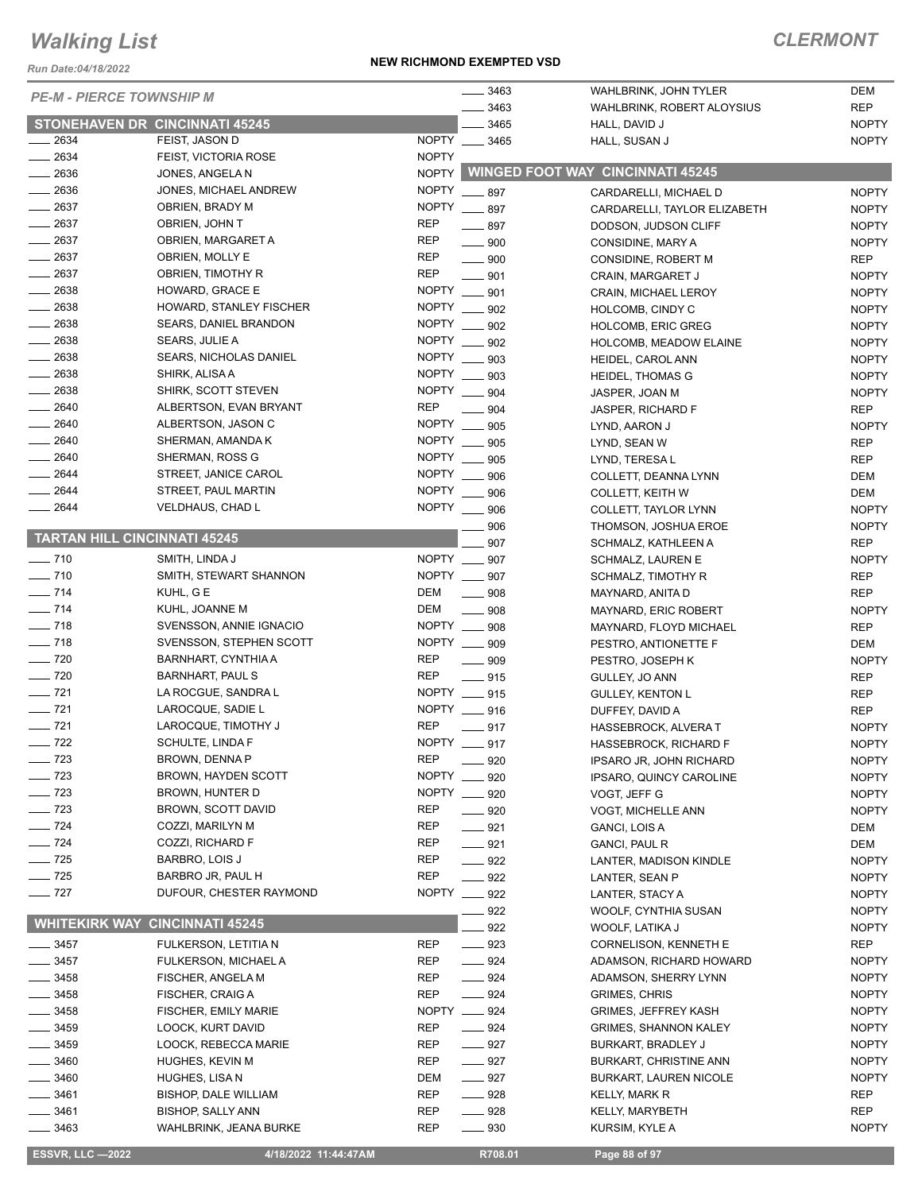*Run Date:04/18/2022*

#### **NEW RICHMOND EXEMPTED VSD**

## *CLERMONT*

|                      |                                       |              | 3463                               | WAHLBRINK, JOHN TYLER                   | <b>DEM</b>   |
|----------------------|---------------------------------------|--------------|------------------------------------|-----------------------------------------|--------------|
|                      | <b>PE-M - PIERCE TOWNSHIP M</b>       |              | 3463                               | WAHLBRINK, ROBERT ALOYSIUS              | <b>REP</b>   |
|                      | <b>STONEHAVEN DR CINCINNATI 45245</b> |              | 3465                               | HALL, DAVID J                           | <b>NOPTY</b> |
| $-2634$              | FEIST, JASON D                        | NOPTY __     | 3465                               | HALL, SUSAN J                           | <b>NOPTY</b> |
| $-2634$              | FEIST, VICTORIA ROSE                  | <b>NOPTY</b> |                                    |                                         |              |
| $\frac{1}{2636}$     | JONES, ANGELA N                       | <b>NOPTY</b> |                                    | <b>WINGED FOOT WAY CINCINNATI 45245</b> |              |
| $\frac{1}{2636}$     | JONES, MICHAEL ANDREW                 | <b>NOPTY</b> |                                    |                                         |              |
| $-2637$              |                                       |              | $\frac{1}{2}$ 897<br>NOPTY ___ 897 | CARDARELLI, MICHAEL D                   | <b>NOPTY</b> |
| $\frac{1}{2637}$     | OBRIEN, BRADY M                       |              |                                    | CARDARELLI, TAYLOR ELIZABETH            | <b>NOPTY</b> |
|                      | OBRIEN, JOHN T                        | REP          | $-897$                             | DODSON, JUDSON CLIFF                    | <b>NOPTY</b> |
| $-2637$              | OBRIEN, MARGARET A                    | <b>REP</b>   | $\frac{1}{2}$ 900                  | CONSIDINE, MARY A                       | <b>NOPTY</b> |
| $-2637$              | OBRIEN, MOLLY E                       | <b>REP</b>   | $\frac{1}{2}$ 900                  | CONSIDINE, ROBERT M                     | <b>REP</b>   |
| $\frac{1}{2637}$     | OBRIEN, TIMOTHY R                     | <b>REP</b>   | $\equiv$ 901                       | CRAIN, MARGARET J                       | <b>NOPTY</b> |
| $- 2638$             | HOWARD, GRACE E                       | <b>NOPTY</b> | 901                                | CRAIN, MICHAEL LEROY                    | <b>NOPTY</b> |
| $-2638$              | HOWARD, STANLEY FISCHER               | <b>NOPTY</b> | 902                                | HOLCOMB, CINDY C                        | <b>NOPTY</b> |
| $\frac{1}{2638}$     | <b>SEARS, DANIEL BRANDON</b>          | <b>NOPTY</b> | 902                                | <b>HOLCOMB, ERIC GREG</b>               | <b>NOPTY</b> |
| $\frac{1}{2638}$     | SEARS, JULIE A                        | <b>NOPTY</b> | 902                                | HOLCOMB, MEADOW ELAINE                  | <b>NOPTY</b> |
| $-2638$              | <b>SEARS, NICHOLAS DANIEL</b>         | <b>NOPTY</b> | 903                                | HEIDEL, CAROL ANN                       | <b>NOPTY</b> |
| $\frac{1}{2638}$     | SHIRK, ALISA A                        | <b>NOPTY</b> | 903                                | HEIDEL, THOMAS G                        | <b>NOPTY</b> |
| $\frac{1}{2638}$     | SHIRK, SCOTT STEVEN                   | <b>NOPTY</b> | 904                                | JASPER, JOAN M                          | <b>NOPTY</b> |
| $- 2640$             | ALBERTSON, EVAN BRYANT                | <b>REP</b>   | 904                                | JASPER, RICHARD F                       | <b>REP</b>   |
| $- 2640$             | ALBERTSON, JASON C                    | <b>NOPTY</b> | 905                                | LYND, AARON J                           | <b>NOPTY</b> |
| $-2640$              | SHERMAN, AMANDA K                     | NOPTY __     | 905                                | LYND, SEAN W                            | <b>REP</b>   |
| $-2640$              | SHERMAN, ROSS G                       | <b>NOPTY</b> | 905                                | LYND, TERESA L                          | <b>REP</b>   |
| $-2644$              | STREET, JANICE CAROL                  | <b>NOPTY</b> | 906                                | COLLETT, DEANNA LYNN                    | <b>DEM</b>   |
| $-2644$              | STREET, PAUL MARTIN                   | <b>NOPTY</b> | 906                                | COLLETT, KEITH W                        | <b>DEM</b>   |
| $-2644$              | <b>VELDHAUS, CHAD L</b>               | <b>NOPTY</b> | 906                                | COLLETT, TAYLOR LYNN                    | <b>NOPTY</b> |
|                      |                                       |              | 906                                | THOMSON, JOSHUA EROE                    | <b>NOPTY</b> |
|                      | <b>TARTAN HILL CINCINNATI 45245</b>   |              | 907                                | SCHMALZ, KATHLEEN A                     | <b>REP</b>   |
| $- 710$              | SMITH, LINDA J                        |              | NOPTY __ 907                       | <b>SCHMALZ, LAUREN E</b>                | <b>NOPTY</b> |
| $- 710$              | SMITH, STEWART SHANNON                |              | NOPTY __ 907                       | SCHMALZ, TIMOTHY R                      | <b>REP</b>   |
| $- 714$              | KUHL, G E                             | DEM          | 908                                | MAYNARD, ANITA D                        | <b>REP</b>   |
| $- 714$              | KUHL, JOANNE M                        | DEM          | 908                                | MAYNARD, ERIC ROBERT                    | <b>NOPTY</b> |
| $\frac{1}{2}$ 718    | SVENSSON, ANNIE IGNACIO               |              | NOPTY __ 908                       | MAYNARD, FLOYD MICHAEL                  | <b>REP</b>   |
| $\frac{1}{2}$ 718    | SVENSSON, STEPHEN SCOTT               |              | NOPTY __ 909                       |                                         | <b>DEM</b>   |
| $\frac{1}{2}$ 720    | BARNHART, CYNTHIA A                   | <b>REP</b>   | $\frac{1}{2}$ 909                  | PESTRO, ANTIONETTE F                    | <b>NOPTY</b> |
| $- 720$              | <b>BARNHART, PAUL S</b>               | <b>REP</b>   |                                    | PESTRO, JOSEPH K                        |              |
| $- 721$              |                                       |              | $-915$<br>NOPTY __ 915             | GULLEY, JO ANN                          | <b>REP</b>   |
| $- 721$              | LA ROCGUE, SANDRA L                   |              |                                    | <b>GULLEY, KENTON L</b>                 | <b>REP</b>   |
| $- 721$              | LAROCQUE, SADIE L                     |              | NOPTY __ 916                       | DUFFEY, DAVID A                         | <b>REP</b>   |
|                      | LAROCQUE, TIMOTHY J                   | <b>REP</b>   | $-917$                             | HASSEBROCK, ALVERA T                    | <b>NOPTY</b> |
| $- 722$              | SCHULTE, LINDA F                      |              | NOPTY __ 917                       | <b>HASSEBROCK, RICHARD F</b>            | <b>NOPTY</b> |
| $\frac{1}{2}$ 723    | BROWN, DENNA P                        | <b>REP</b>   | 920                                | IPSARO JR, JOHN RICHARD                 | <b>NOPTY</b> |
| $\frac{1}{2}$ 723    | BROWN, HAYDEN SCOTT                   | <b>NOPTY</b> | 920                                | IPSARO, QUINCY CAROLINE                 | <b>NOPTY</b> |
| $\frac{1}{2}$ 723    | BROWN, HUNTER D                       | NOPTY ___    | 920                                | VOGT, JEFF G                            | <b>NOPTY</b> |
| $\frac{1}{2}$ 723    | BROWN, SCOTT DAVID                    | REP          | $- 920$                            | VOGT, MICHELLE ANN                      | <b>NOPTY</b> |
| $- 724$              | COZZI, MARILYN M                      | REP          | $- 921$                            | GANCI, LOIS A                           | <b>DEM</b>   |
| $\frac{1}{2}$ 724    | COZZI, RICHARD F                      | REP          | $-921$                             | <b>GANCI, PAUL R</b>                    | DEM          |
| $\frac{1}{2}$ 725    | BARBRO, LOIS J                        | <b>REP</b>   | $\frac{922}{2}$                    | LANTER, MADISON KINDLE                  | <b>NOPTY</b> |
| $\frac{1}{2}$ 725    | BARBRO JR, PAUL H                     | <b>REP</b>   | $-922$                             | LANTER, SEAN P                          | <b>NOPTY</b> |
| $- 727$              | DUFOUR, CHESTER RAYMOND               |              | NOPTY __ 922                       | LANTER, STACY A                         | <b>NOPTY</b> |
|                      |                                       |              | 922                                | WOOLF, CYNTHIA SUSAN                    | <b>NOPTY</b> |
| <b>WHITEKIRK WAY</b> | <b>CINCINNATI 45245</b>               |              | 922                                | WOOLF, LATIKA J                         | <b>NOPTY</b> |
| $\frac{1}{2}$ 3457   | FULKERSON, LETITIA N                  | REP          | $\frac{1}{2}$ 923                  | CORNELISON, KENNETH E                   | REP          |
| $- 3457$             | FULKERSON, MICHAEL A                  | REP          | $- 924$                            | ADAMSON, RICHARD HOWARD                 | <b>NOPTY</b> |
| $\frac{1}{2}$ 3458   | FISCHER, ANGELA M                     | REP          | $- 924$                            | ADAMSON, SHERRY LYNN                    | <b>NOPTY</b> |
| $\frac{1}{2}$ 3458   | FISCHER, CRAIG A                      | <b>REP</b>   | $- 924$                            | GRIMES, CHRIS                           | <b>NOPTY</b> |
| $- 3458$             | FISCHER, EMILY MARIE                  |              | NOPTY __ 924                       | <b>GRIMES, JEFFREY KASH</b>             | <b>NOPTY</b> |
| $\frac{1}{2}$ 3459   | LOOCK, KURT DAVID                     | REP          | $- 924$                            | GRIMES, SHANNON KALEY                   | <b>NOPTY</b> |
| _ 3459               | LOOCK, REBECCA MARIE                  | REP          | $- 927$                            | BURKART, BRADLEY J                      | <b>NOPTY</b> |
| $-3460$              | HUGHES, KEVIN M                       | REP          | $-927$                             | <b>BURKART, CHRISTINE ANN</b>           | <b>NOPTY</b> |
| $- 3460$             | HUGHES, LISA N                        | DEM          | $\frac{1}{2}$ 927                  | BURKART, LAUREN NICOLE                  | <b>NOPTY</b> |
| _ 3461               | <b>BISHOP, DALE WILLIAM</b>           | REP          | $- 928$                            | KELLY, MARK R                           | REP          |
| $-3461$              | <b>BISHOP, SALLY ANN</b>              | REP          | $\frac{1}{2}$ 928                  | KELLY, MARYBETH                         | <b>REP</b>   |
| $-3463$              | <b>WAHLBRINK, JEANA BURKE</b>         | REP          | $\frac{1}{2}$ 930                  | KURSIM, KYLE A                          | <b>NOPTY</b> |
|                      |                                       |              |                                    |                                         |              |

**ESSVR, LLC -2022 4/18/2022 11:44:47AM R708.01 Page 88 of 97**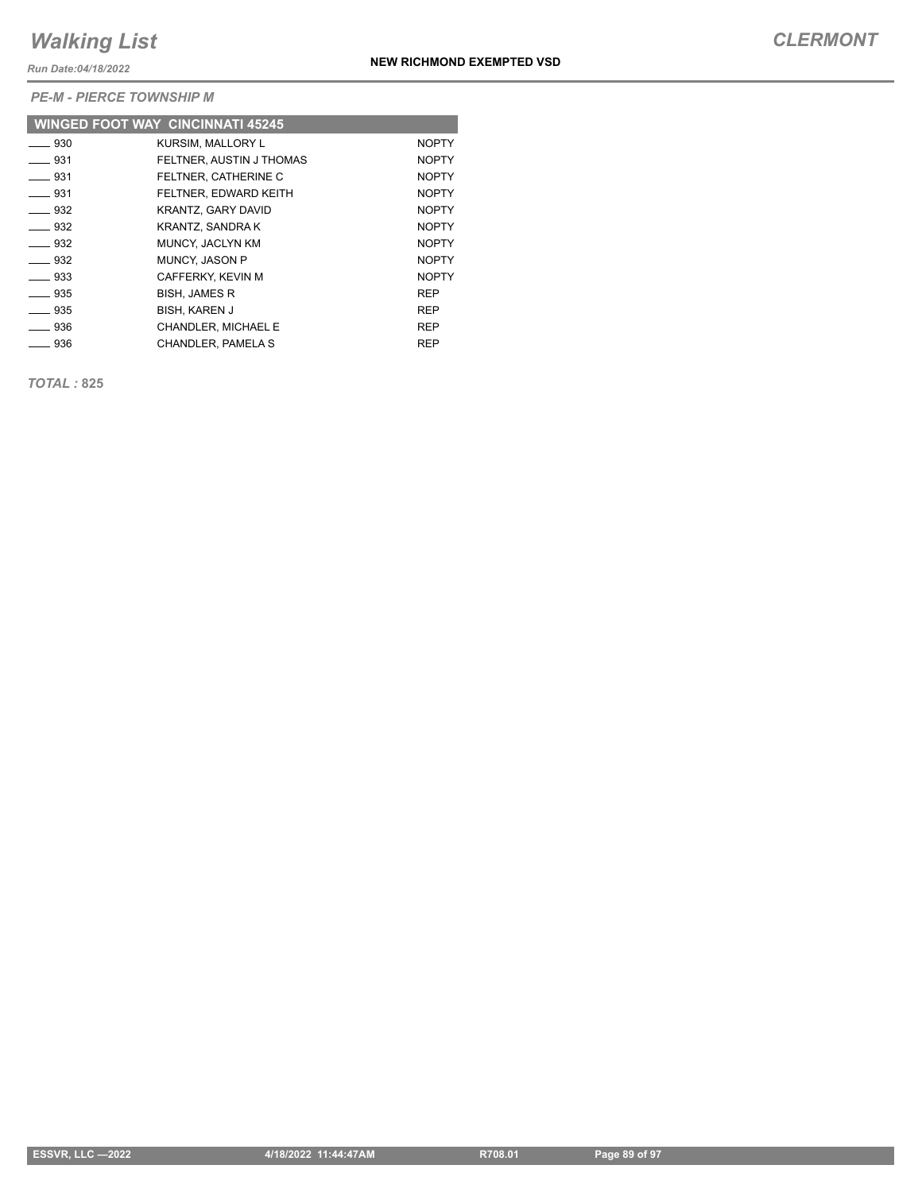*Run Date:04/18/2022*

*PE-M - PIERCE TOWNSHIP M*

|                          | <b>WINGED FOOT WAY CINCINNATI 45245</b> |              |
|--------------------------|-----------------------------------------|--------------|
| $\frac{1}{2}$ 930        | <b>KURSIM, MALLORY L</b>                | <b>NOPTY</b> |
| ___ 931                  | FELTNER, AUSTIN J THOMAS                | <b>NOPTY</b> |
| $\equiv$ 931             | FELTNER. CATHERINE C                    | <b>NOPTY</b> |
| $\frac{1}{2}$ 931        | FELTNER, EDWARD KEITH                   | <b>NOPTY</b> |
| $\sim$ 932               | <b>KRANTZ, GARY DAVID</b>               | <b>NOPTY</b> |
| $\equiv$ 932             | KRANTZ, SANDRA K                        | <b>NOPTY</b> |
| $\rule{1em}{0.15mm}$ 932 | MUNCY, JACLYN KM                        | <b>NOPTY</b> |
| $\rule{1em}{0.15mm}$ 932 | <b>MUNCY, JASON P</b>                   | <b>NOPTY</b> |
| $\equiv$ 933             | CAFFERKY, KEVIN M                       | <b>NOPTY</b> |
| $\sim$ 935               | <b>BISH. JAMES R</b>                    | <b>REP</b>   |
| $-935$                   | <b>BISH, KAREN J</b>                    | <b>REP</b>   |
| ___ 936                  | CHANDLER, MICHAEL E                     | <b>REP</b>   |
| ____ 936                 | CHANDLER, PAMELA S                      | <b>REP</b>   |

*TOTAL :* **825**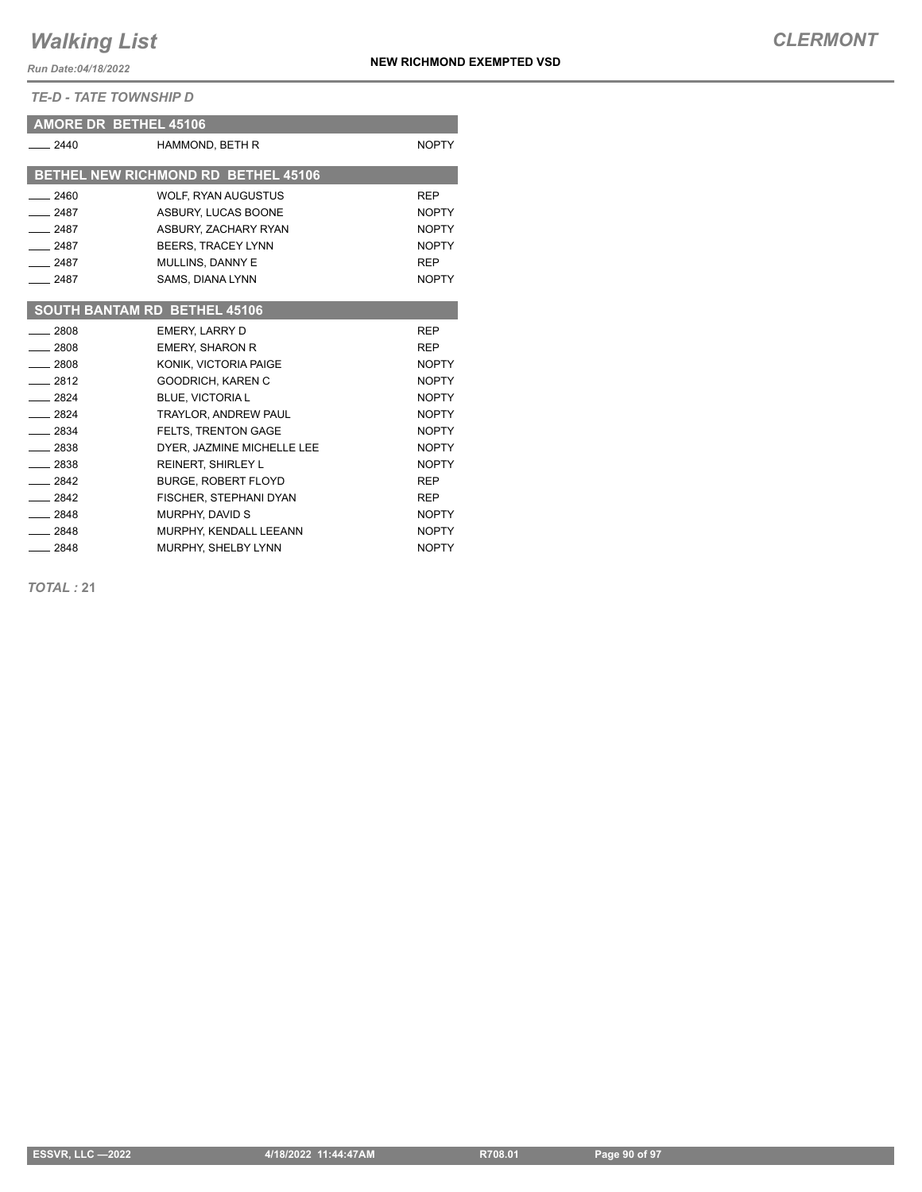*TE-D - TATE TOWNSHIP D*

| <b>AMORE DR BETHEL 45106</b> |                                     |              |
|------------------------------|-------------------------------------|--------------|
| 2440                         | HAMMOND, BETH R                     | <b>NOPTY</b> |
|                              | BETHEL NEW RICHMOND RD BETHEL 45106 |              |
| $-2460$                      | <b>WOLF, RYAN AUGUSTUS</b>          | <b>REP</b>   |
| $-2487$                      | ASBURY, LUCAS BOONE                 | <b>NOPTY</b> |
| 2487                         | ASBURY, ZACHARY RYAN                | <b>NOPTY</b> |
| $-2487$                      | BEERS, TRACEY LYNN                  | <b>NOPTY</b> |
| $-2487$                      | <b>MULLINS, DANNY E</b>             | <b>REP</b>   |
| $-2487$                      | SAMS, DIANA LYNN                    | <b>NOPTY</b> |
|                              |                                     |              |
|                              | <b>SOUTH BANTAM RD BETHEL 45106</b> |              |
| $-2808$                      | <b>EMERY, LARRY D</b>               | <b>REP</b>   |
| $-2808$                      | <b>EMERY, SHARON R</b>              | <b>REP</b>   |
| $-2808$                      | KONIK, VICTORIA PAIGE               | <b>NOPTY</b> |
| $-2812$                      | GOODRICH, KAREN C                   | <b>NOPTY</b> |
| $-2824$                      | <b>BLUE, VICTORIA L</b>             | <b>NOPTY</b> |
| 2824                         | TRAYLOR, ANDREW PAUL                | <b>NOPTY</b> |
| $-2834$                      | <b>FELTS, TRENTON GAGE</b>          | <b>NOPTY</b> |
| $-2838$                      | DYER. JAZMINE MICHELLE LEE          | <b>NOPTY</b> |
| $-2838$                      | REINERT, SHIRLEY L                  | <b>NOPTY</b> |
| $-2842$                      | <b>BURGE, ROBERT FLOYD</b>          | <b>REP</b>   |
| $-2842$                      | FISCHER, STEPHANI DYAN              | <b>REP</b>   |
| $-2848$                      | MURPHY, DAVID S                     | <b>NOPTY</b> |
| $-2848$                      | MURPHY, KENDALL LEEANN              | <b>NOPTY</b> |
| $-2848$                      | MURPHY, SHELBY LYNN                 | <b>NOPTY</b> |

*TOTAL :* **21**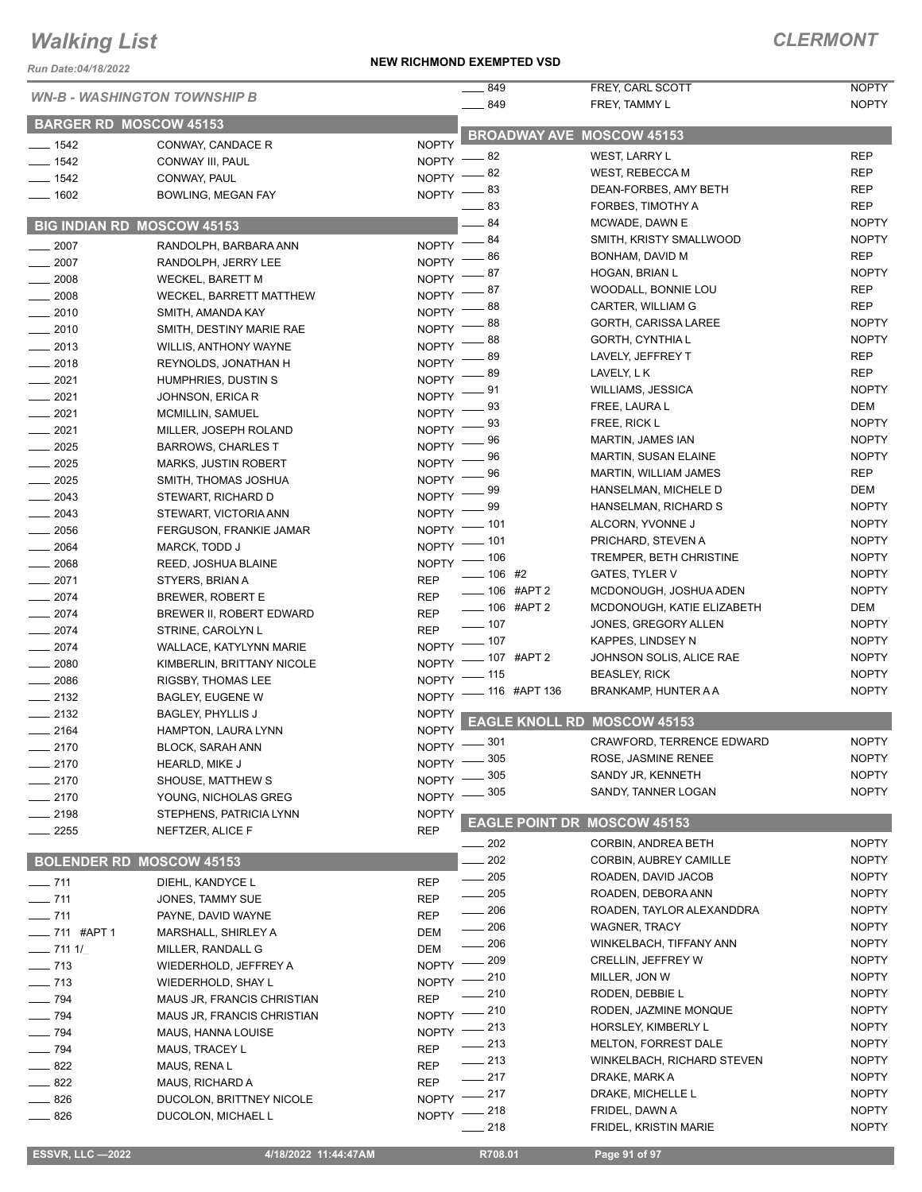#### *Run Date:04/18/2022*

|                                     |                              |              | $-849$                 | FREY, CARL SCOTT                          | <b>NOPTY</b>                 |
|-------------------------------------|------------------------------|--------------|------------------------|-------------------------------------------|------------------------------|
| <b>WN-B - WASHINGTON TOWNSHIP B</b> |                              | $- 849$      | FREY, TAMMY L          | <b>NOPTY</b>                              |                              |
| <b>BARGER RD MOSCOW 45153</b>       |                              |              |                        |                                           |                              |
| $- 1542$                            | CONWAY, CANDACE R            | <b>NOPTY</b> |                        | <b>BROADWAY AVE MOSCOW 45153</b>          |                              |
| $- 1542$                            | CONWAY III, PAUL             | <b>NOPTY</b> | - 82                   | <b>WEST, LARRY L</b>                      | <b>REP</b>                   |
| $- 1542$                            | CONWAY, PAUL                 | <b>NOPTY</b> | 82                     | <b>WEST, REBECCA M</b>                    | <b>REP</b>                   |
| $- 1602$                            | <b>BOWLING, MEGAN FAY</b>    | NOPTY -      | - 83                   | DEAN-FORBES, AMY BETH                     | <b>REP</b>                   |
|                                     |                              |              | 83                     | FORBES, TIMOTHY A                         | <b>REP</b>                   |
| <b>BIG INDIAN RD MOSCOW 45153</b>   |                              |              | 84                     | MCWADE, DAWN E                            | <b>NOPTY</b>                 |
| $\frac{1}{2007}$                    | RANDOLPH, BARBARA ANN        | <b>NOPTY</b> | 84                     | SMITH, KRISTY SMALLWOOD                   | <b>NOPTY</b>                 |
| $-2007$                             | RANDOLPH, JERRY LEE          | <b>NOPTY</b> | 86                     | BONHAM, DAVID M                           | <b>REP</b>                   |
| $\frac{1}{2008}$                    | <b>WECKEL, BARETT M</b>      | <b>NOPTY</b> | 87                     | HOGAN, BRIAN L                            | <b>NOPTY</b>                 |
| $\frac{2008}{2000}$                 | WECKEL, BARRETT MATTHEW      | <b>NOPTY</b> | 87                     | WOODALL, BONNIE LOU                       | <b>REP</b>                   |
| $\frac{1}{2010}$                    | SMITH, AMANDA KAY            | <b>NOPTY</b> | 88                     | CARTER, WILLIAM G                         | <b>REP</b>                   |
| $\frac{1}{2010}$                    | SMITH, DESTINY MARIE RAE     | <b>NOPTY</b> | 88                     | GORTH, CARISSA LAREE                      | <b>NOPTY</b>                 |
| $\frac{1}{2013}$                    | <b>WILLIS, ANTHONY WAYNE</b> | <b>NOPTY</b> | 88                     | GORTH, CYNTHIA L                          | <b>NOPTY</b>                 |
| $-2018$                             | REYNOLDS, JONATHAN H         | <b>NOPTY</b> | 89                     | LAVELY, JEFFREY T                         | <b>REP</b>                   |
| $-2021$                             | HUMPHRIES, DUSTIN S          | <b>NOPTY</b> | 89                     | LAVELY, LK                                | <b>REP</b>                   |
| $-2021$                             | JOHNSON, ERICA R             | <b>NOPTY</b> | 91                     | <b>WILLIAMS, JESSICA</b>                  | <b>NOPTY</b>                 |
| $-2021$                             | MCMILLIN, SAMUEL             | <b>NOPTY</b> | 93                     | FREE, LAURA L                             | DEM                          |
| $-2021$                             | MILLER, JOSEPH ROLAND        | <b>NOPTY</b> | 93                     | FREE, RICK L                              | <b>NOPTY</b>                 |
| $-2025$                             | <b>BARROWS, CHARLES T</b>    | <b>NOPTY</b> | 96                     | MARTIN, JAMES IAN                         | <b>NOPTY</b>                 |
| $-2025$                             | <b>MARKS, JUSTIN ROBERT</b>  | <b>NOPTY</b> | 96                     | <b>MARTIN, SUSAN ELAINE</b>               | <b>NOPTY</b>                 |
| $-2025$                             | SMITH, THOMAS JOSHUA         | <b>NOPTY</b> | 96                     | MARTIN, WILLIAM JAMES                     | <b>REP</b>                   |
| $-2043$                             | STEWART, RICHARD D           | <b>NOPTY</b> | 99                     | HANSELMAN, MICHELE D                      | DEM                          |
| $-2043$                             | STEWART, VICTORIA ANN        | <b>NOPTY</b> | 99                     | HANSELMAN, RICHARD S                      | <b>NOPTY</b>                 |
| $- 2056$                            | FERGUSON, FRANKIE JAMAR      | <b>NOPTY</b> | 101                    | ALCORN, YVONNE J                          | <b>NOPTY</b>                 |
| $\frac{1}{2064}$                    | MARCK, TODD J                | NOPTY - 101  |                        | PRICHARD, STEVEN A                        | <b>NOPTY</b>                 |
| $- 2068$                            | REED, JOSHUA BLAINE          |              | NOPTY - 106            | TREMPER, BETH CHRISTINE                   | <b>NOPTY</b>                 |
| $-2071$                             | STYERS, BRIAN A              | <b>REP</b>   | $\frac{1}{2}$ 106 #2   | <b>GATES, TYLER V</b>                     | <b>NOPTY</b>                 |
| $-2074$                             | BREWER, ROBERT E             | <b>REP</b>   | ___ 106 #APT 2         | MCDONOUGH, JOSHUA ADEN                    | <b>NOPTY</b>                 |
| $-2074$                             | BREWER II, ROBERT EDWARD     | <b>REP</b>   | -06 #APT 2             | MCDONOUGH, KATIE ELIZABETH                | DEM                          |
| $-2074$                             | STRINE, CAROLYN L            | <b>REP</b>   | $\frac{1}{2}$ 107      | JONES, GREGORY ALLEN                      | <b>NOPTY</b>                 |
| $-2074$                             | WALLACE, KATYLYNN MARIE      |              | $NOPTY$ -- 107         | KAPPES, LINDSEY N                         | <b>NOPTY</b>                 |
| $\frac{1}{2080}$                    | KIMBERLIN, BRITTANY NICOLE   | <b>NOPTY</b> | _ 107 #APT 2           | JOHNSON SOLIS, ALICE RAE                  | <b>NOPTY</b>                 |
| $-2086$                             | RIGSBY, THOMAS LEE           | <b>NOPTY</b> | 115                    | <b>BEASLEY, RICK</b>                      | <b>NOPTY</b>                 |
| $-2132$                             | <b>BAGLEY, EUGENE W</b>      |              | NOPTY - 116 #APT 136   | BRANKAMP, HUNTER A A                      | <b>NOPTY</b>                 |
| $\frac{1}{2132}$                    | <b>BAGLEY, PHYLLIS J</b>     | <b>NOPTY</b> |                        | <b>EAGLE KNOLL RD MOSCOW 45153</b>        |                              |
| $-2164$                             | HAMPTON, LAURA LYNN          | <b>NOPTY</b> |                        |                                           | <b>NOPTY</b>                 |
| $-2170$                             | <b>BLOCK, SARAH ANN</b>      | NOPTY -801   |                        | CRAWFORD, TERRENCE EDWARD                 |                              |
| $-2170$                             | <b>HEARLD, MIKE J</b>        | $N$ OPTY $-$ | 305<br>305             | ROSE, JASMINE RENEE                       | <b>NOPTY</b><br><b>NOPTY</b> |
| $-2170$                             | SHOUSE, MATTHEW S            | <b>NOPTY</b> |                        | SANDY JR, KENNETH                         |                              |
| $-2170$                             | YOUNG, NICHOLAS GREG         | <b>NOPTY</b> | 305                    | SANDY, TANNER LOGAN                       | <b>NOPTY</b>                 |
| $-2198$                             | STEPHENS, PATRICIA LYNN      | <b>NOPTY</b> |                        | <b>EAGLE POINT DR MOSCOW 45153</b>        |                              |
| $\frac{1}{2255}$                    | NEFTZER, ALICE F             | <b>REP</b>   |                        |                                           |                              |
|                                     |                              |              | $-202$<br>$-202$       | <b>CORBIN, ANDREA BETH</b>                | <b>NOPTY</b><br><b>NOPTY</b> |
| <b>BOLENDER RD MOSCOW 45153</b>     |                              |              | $\frac{1}{205}$        | CORBIN, AUBREY CAMILLE                    | <b>NOPTY</b>                 |
| $- 711$                             | DIEHL, KANDYCE L             | <b>REP</b>   | 205                    | ROADEN, DAVID JACOB<br>ROADEN, DEBORA ANN | <b>NOPTY</b>                 |
| $- 711$                             | JONES, TAMMY SUE             | <b>REP</b>   | $\frac{1}{206}$        | ROADEN, TAYLOR ALEXANDDRA                 | <b>NOPTY</b>                 |
| $- 711$                             | PAYNE, DAVID WAYNE           | <b>REP</b>   | 206                    | <b>WAGNER, TRACY</b>                      | <b>NOPTY</b>                 |
| $\frac{1}{2}$ 711 #APT 1            | MARSHALL, SHIRLEY A          | DEM          | $=206$                 | WINKELBACH, TIFFANY ANN                   | <b>NOPTY</b>                 |
| $- 7111/$                           | MILLER, RANDALL G            | DEM          |                        | <b>CRELLIN, JEFFREY W</b>                 | <b>NOPTY</b>                 |
| $- 713$                             | WIEDERHOLD, JEFFREY A        | NOPTY - 209  | _ 210                  | MILLER, JON W                             | <b>NOPTY</b>                 |
| $- 713$                             | WIEDERHOLD, SHAY L           | $NOPTY =$    | 210                    |                                           | <b>NOPTY</b>                 |
| $\frac{1}{2}$ 794                   | MAUS JR, FRANCIS CHRISTIAN   | <b>REP</b>   |                        | RODEN, DEBBIE L<br>RODEN, JAZMINE MONQUE  | <b>NOPTY</b>                 |
| $\frac{1}{2}$ 794                   | MAUS JR, FRANCIS CHRISTIAN   | NOPTY - 210  |                        | HORSLEY, KIMBERLY L                       | <b>NOPTY</b>                 |
| $\frac{1}{2}$ 794                   | MAUS, HANNA LOUISE           | NOPTY -213   |                        | <b>MELTON, FORREST DALE</b>               | <b>NOPTY</b>                 |
| $\frac{1}{2}$ 794                   | MAUS, TRACEY L               | <b>REP</b>   | $\equiv$ 213<br>$-213$ | WINKELBACH, RICHARD STEVEN                | NOPTY                        |
| $\frac{1}{2}$ 822                   | MAUS, RENA L                 | <b>REP</b>   | $-217$                 | DRAKE, MARK A                             | <b>NOPTY</b>                 |
| $-822$                              | MAUS, RICHARD A              | <b>REP</b>   |                        |                                           | <b>NOPTY</b>                 |
| $- 826$                             | DUCOLON, BRITTNEY NICOLE     | NOPTY -217   |                        | DRAKE, MICHELLE L                         | <b>NOPTY</b>                 |
| $-826$                              | DUCOLON, MICHAEL L           | NOPTY -218   | 218                    | FRIDEL, DAWN A                            | <b>NOPTY</b>                 |
|                                     |                              |              |                        | FRIDEL, KRISTIN MARIE                     |                              |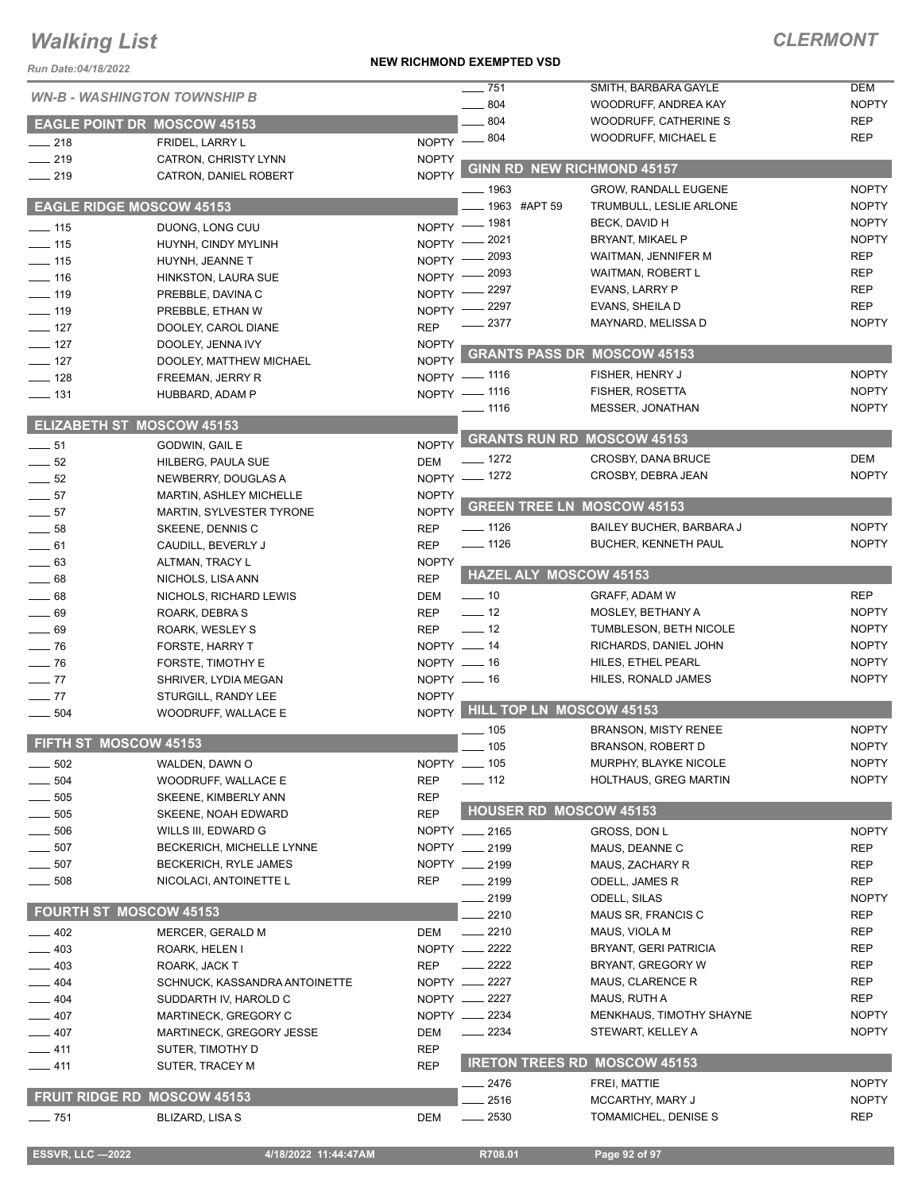#### *Run Date:04/18/2022*

#### **NEW RICHMOND EXEMPTED VSD**

|                                  | <b>WN-B - WASHINGTON TOWNSHIP B</b>        |                              | $- 751$             | SMITH, BARBARA GAYLE                     | <b>DEM</b>                   |
|----------------------------------|--------------------------------------------|------------------------------|---------------------|------------------------------------------|------------------------------|
|                                  |                                            |                              | 804                 | WOODRUFF, ANDREA KAY                     | <b>NOPTY</b>                 |
|                                  | <b>EAGLE POINT DR MOSCOW 45153</b>         |                              | 804                 | <b>WOODRUFF, CATHERINE S</b>             | <b>REP</b>                   |
| $\frac{1}{218}$                  | FRIDEL, LARRY L                            |                              | NOPTY -804          | <b>WOODRUFF, MICHAEL E</b>               | <b>REP</b>                   |
| $\frac{1}{219}$                  | CATRON, CHRISTY LYNN                       | <b>NOPTY</b>                 |                     | <b>GINN RD NEW RICHMOND 45157</b>        |                              |
| $-219$                           | CATRON, DANIEL ROBERT                      | <b>NOPTY</b>                 |                     |                                          |                              |
|                                  |                                            |                              | _ 1963              | GROW, RANDALL EUGENE                     | <b>NOPTY</b>                 |
| <b>EAGLE RIDGE MOSCOW 45153</b>  |                                            |                              | 1963 #APT 59        | TRUMBULL, LESLIE ARLONE                  | <b>NOPTY</b>                 |
| $\frac{1}{2}$ 115                | DUONG, LONG CUU                            |                              | NOPTY - 1981        | BECK, DAVID H<br><b>BRYANT, MIKAEL P</b> | <b>NOPTY</b><br><b>NOPTY</b> |
| $\frac{1}{2}$ 115                | HUYNH, CINDY MYLINH                        | NOPTY -                      | 2021<br>2093        | WAITMAN, JENNIFER M                      | <b>REP</b>                   |
| $-115$                           | HUYNH, JEANNE T                            | NOPTY -                      | 2093                | WAITMAN, ROBERT L                        | <b>REP</b>                   |
| $-116$                           | HINKSTON, LAURA SUE                        | NOPTY -                      | 2297                | EVANS, LARRY P                           | <b>REP</b>                   |
| $-119$<br>$- 119$                | PREBBLE, DAVINA C                          | <b>NOPTY</b><br><b>NOPTY</b> | 2297                | EVANS, SHEILA D                          | <b>REP</b>                   |
| $\frac{1}{2}$ 127                | PREBBLE, ETHAN W<br>DOOLEY, CAROL DIANE    | <b>REP</b>                   | 2377                | MAYNARD, MELISSA D                       | <b>NOPTY</b>                 |
| $\frac{1}{2}$ 127                | DOOLEY, JENNA IVY                          | <b>NOPTY</b>                 |                     |                                          |                              |
| $\frac{1}{2}$ 127                | DOOLEY, MATTHEW MICHAEL                    | <b>NOPTY</b>                 |                     | <b>GRANTS PASS DR MOSCOW 45153</b>       |                              |
| $-$ 128                          | FREEMAN, JERRY R                           |                              | NOPTY - 1116        | FISHER, HENRY J                          | <b>NOPTY</b>                 |
| $\frac{1}{2}$ 131                | HUBBARD, ADAM P                            |                              | NOPTY - 1116        | FISHER, ROSETTA                          | <b>NOPTY</b>                 |
|                                  |                                            |                              | $- 1116$            | MESSER, JONATHAN                         | <b>NOPTY</b>                 |
| <b>ELIZABETH ST MOSCOW 45153</b> |                                            |                              |                     |                                          |                              |
| $\frac{1}{2}$ 51                 | GODWIN, GAIL E                             | <b>NOPTY</b>                 |                     | <b>GRANTS RUN RD MOSCOW 45153</b>        |                              |
| $\frac{1}{2}$ 52                 | HILBERG, PAULA SUE                         | <b>DEM</b>                   | _ 1272              | CROSBY, DANA BRUCE                       | DEM                          |
| 52                               | NEWBERRY, DOUGLAS A                        | $NOPTY -$                    | _ 1272              | CROSBY, DEBRA JEAN                       | <b>NOPTY</b>                 |
| $-57$                            | MARTIN, ASHLEY MICHELLE                    | <b>NOPTY</b>                 |                     |                                          |                              |
| $-57$                            | MARTIN, SYLVESTER TYRONE                   | <b>NOPTY</b>                 |                     | <b>GREEN TREE LN MOSCOW 45153</b>        |                              |
| 58                               | SKEENE, DENNIS C                           | <b>REP</b>                   | $- 1126$            | <b>BAILEY BUCHER, BARBARA J</b>          | <b>NOPTY</b>                 |
| $-61$                            | CAUDILL, BEVERLY J                         | <b>REP</b>                   | $- 1126$            | <b>BUCHER, KENNETH PAUL</b>              | <b>NOPTY</b>                 |
| $-63$                            | ALTMAN, TRACY L                            | <b>NOPTY</b>                 |                     |                                          |                              |
| $\frac{1}{2}$ 68                 | NICHOLS, LISA ANN                          | <b>REP</b>                   |                     | <b>HAZEL ALY MOSCOW 45153</b>            |                              |
| $\frac{1}{2}$ 68                 | NICHOLS, RICHARD LEWIS                     | DEM                          | $\equiv$ 10         | GRAFF, ADAM W                            | <b>REP</b>                   |
| $-69$                            | ROARK, DEBRA S                             | <b>REP</b>                   | $\frac{1}{2}$ 12    | MOSLEY, BETHANY A                        | <b>NOPTY</b>                 |
| $-69$                            | ROARK, WESLEY S                            | <b>REP</b>                   | $\frac{1}{2}$ 12    | TUMBLESON, BETH NICOLE                   | <b>NOPTY</b>                 |
| $\frac{1}{2}$ 76                 | FORSTE, HARRY T                            |                              | NOPTY __ 14         | RICHARDS, DANIEL JOHN                    | <b>NOPTY</b>                 |
| $\frac{1}{2}$ 76                 | FORSTE, TIMOTHY E                          |                              | NOPTY __ 16         | HILES, ETHEL PEARL                       | <b>NOPTY</b>                 |
| $-77$                            | SHRIVER, LYDIA MEGAN                       |                              | $NOPTY = 16$        | HILES, RONALD JAMES                      | <b>NOPTY</b>                 |
| $-77$<br>$\equiv$ 504            | STURGILL, RANDY LEE<br>WOODRUFF, WALLACE E | <b>NOPTY</b><br><b>NOPTY</b> |                     | HILL TOP LN MOSCOW 45153                 |                              |
|                                  |                                            |                              |                     | <b>BRANSON, MISTY RENEE</b>              | <b>NOPTY</b>                 |
| FIFTH ST MOSCOW 45153            |                                            |                              | - 105<br>$\sim$ 105 | BRANSON, ROBERT D                        | <b>NOPTY</b>                 |
| $\equiv$ 502                     | WALDEN, DAWN O                             |                              | NOPTY __ 105        | MURPHY, BLAYKE NICOLE                    | <b>NOPTY</b>                 |
| 504                              | WOODRUFF, WALLACE E                        | <b>REP</b>                   | $\frac{1}{2}$ 112   | <b>HOLTHAUS, GREG MARTIN</b>             | <b>NOPTY</b>                 |
| 505                              | SKEENE, KIMBERLY ANN                       | <b>REP</b>                   |                     |                                          |                              |
| 505                              | SKEENE, NOAH EDWARD                        | <b>REP</b>                   |                     | <b>HOUSER RD MOSCOW 45153</b>            |                              |
| 506                              | WILLS III, EDWARD G                        |                              | NOPTY __ 2165       | GROSS, DON L                             | <b>NOPTY</b>                 |
| 507                              | BECKERICH, MICHELLE LYNNE                  |                              | NOPTY __ 2199       | MAUS, DEANNE C                           | REP                          |
| 507                              | BECKERICH, RYLE JAMES                      |                              | NOPTY __ 2199       | MAUS, ZACHARY R                          | REP                          |
| 508                              | NICOLACI, ANTOINETTE L                     | <b>REP</b>                   | $-2199$             | ODELL, JAMES R                           | <b>REP</b>                   |
|                                  |                                            |                              | 2199                | ODELL, SILAS                             | <b>NOPTY</b>                 |
| <b>FOURTH ST MOSCOW 45153</b>    |                                            |                              | 2210                | MAUS SR, FRANCIS C                       | REP                          |
| $-402$                           | MERCER, GERALD M                           | DEM                          | $-2210$             | MAUS, VIOLA M                            | <b>REP</b>                   |
| $-403$                           | ROARK, HELEN I                             |                              | NOPTY __ 2222       | BRYANT, GERI PATRICIA                    | REP                          |
| $-403$                           | ROARK, JACK T                              | <b>REP</b>                   | _ 2222              | BRYANT, GREGORY W                        | REP                          |
| $-404$                           | SCHNUCK, KASSANDRA ANTOINETTE              |                              | NOPTY __ 2227       | MAUS, CLARENCE R                         | <b>REP</b>                   |
| $-404$                           | SUDDARTH IV, HAROLD C                      |                              | NOPTY __ 2227       | MAUS, RUTH A                             | REP                          |
| $-407$                           | MARTINECK, GREGORY C                       |                              | NOPTY __ 2234       | MENKHAUS, TIMOTHY SHAYNE                 | <b>NOPTY</b>                 |
| —— 407                           | MARTINECK, GREGORY JESSE                   | DEM                          | $- 2234$            | STEWART, KELLEY A                        | <b>NOPTY</b>                 |
| $-411$                           | SUTER, TIMOTHY D                           | <b>REP</b>                   |                     |                                          |                              |
| $-411$                           | SUTER, TRACEY M                            | <b>REP</b>                   |                     | <b>IRETON TREES RD MOSCOW 45153</b>      |                              |
|                                  |                                            |                              | . 2476              | FREI, MATTIE                             | <b>NOPTY</b>                 |
|                                  | <b>FRUIT RIDGE RD MOSCOW 45153</b>         |                              | 2516                | MCCARTHY, MARY J                         | <b>NOPTY</b>                 |
| $- 751$                          | BLIZARD, LISA S                            | <b>DEM</b>                   | $\frac{1}{2530}$    | TOMAMICHEL, DENISE S                     | REP                          |
|                                  |                                            |                              |                     |                                          |                              |
| <b>ESSVR, LLC-2022</b>           | 4/18/2022 11:44:47AM                       |                              | R708.01             | Page 92 of 97                            |                              |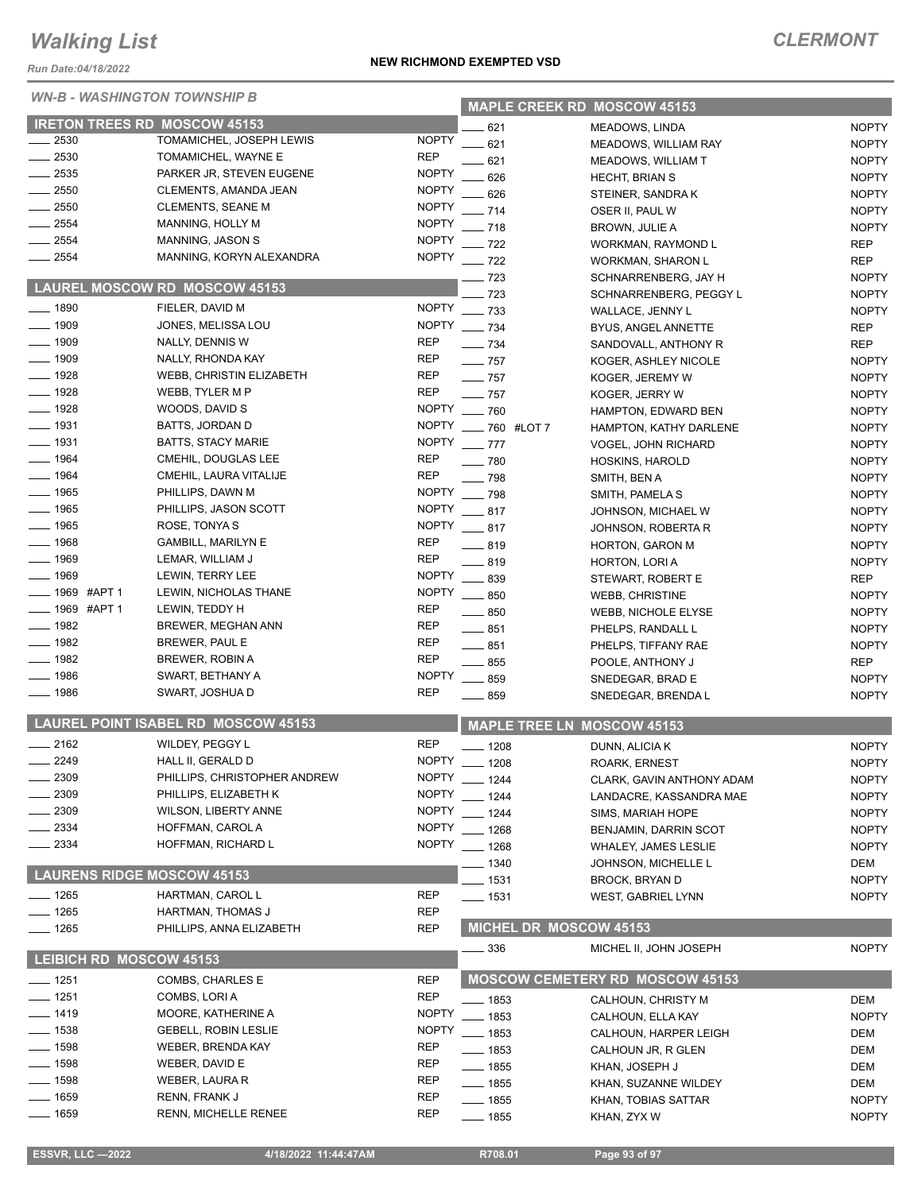*Run Date:04/18/2022*

### *WN-B - WASHINGTON TOWNSHIP B*

|                                |                                            |                          |                     | <b>MAPLE CREEK RD MOSCOW 45153</b>          |                     |
|--------------------------------|--------------------------------------------|--------------------------|---------------------|---------------------------------------------|---------------------|
|                                | <b>IRETON TREES RD MOSCOW 45153</b>        |                          | 621                 | <b>MEADOWS, LINDA</b>                       | <b>NOPTY</b>        |
| $\sim$ 2530                    | TOMAMICHEL, JOSEPH LEWIS                   | <b>NOPTY</b>             | 621                 | <b>MEADOWS, WILLIAM RAY</b>                 | <b>NOPTY</b>        |
| $-2530$                        | TOMAMICHEL, WAYNE E                        | <b>REP</b>               | 621                 | <b>MEADOWS, WILLIAM T</b>                   | <b>NOPTY</b>        |
| $\frac{1}{2535}$               | PARKER JR, STEVEN EUGENE                   | <b>NOPTY</b>             | 626                 | <b>HECHT, BRIAN S</b>                       | <b>NOPTY</b>        |
| $\frac{1}{2550}$               | CLEMENTS, AMANDA JEAN                      | <b>NOPTY</b>             | .626                | STEINER, SANDRAK                            | <b>NOPTY</b>        |
| $-2550$                        | <b>CLEMENTS, SEANE M</b>                   | <b>NOPTY</b>             | $-714$              | OSER II, PAUL W                             | <b>NOPTY</b>        |
| $-2554$                        | MANNING, HOLLY M                           | <b>NOPTY</b>             | $-718$              | <b>BROWN, JULIE A</b>                       | <b>NOPTY</b>        |
| $-2554$                        | MANNING, JASON S                           | <b>NOPTY</b>             | $-722$              | WORKMAN, RAYMOND L                          | <b>REP</b>          |
| $-2554$                        | MANNING, KORYN ALEXANDRA                   | <b>NOPTY</b>             | $-722$              | <b>WORKMAN, SHARON L</b>                    | <b>REP</b>          |
|                                |                                            |                          | $-723$              | SCHNARRENBERG, JAY H                        | <b>NOPTY</b>        |
|                                | <b>LAUREL MOSCOW RD MOSCOW 45153</b>       |                          | $-723$              | SCHNARRENBERG, PEGGY L                      | <b>NOPTY</b>        |
| $- 1890$                       | FIELER, DAVID M                            | <b>NOPTY</b>             | $- 733$             | WALLACE, JENNY L                            | <b>NOPTY</b>        |
| $\frac{1}{2}$ 1909             | JONES, MELISSA LOU                         | <b>NOPTY</b>             | $\frac{1}{2}$ 734   | BYUS, ANGEL ANNETTE                         | <b>REP</b>          |
| $\frac{1}{2}$ 1909             | NALLY, DENNIS W                            | <b>REP</b>               | $\frac{1}{2}$ 734   | SANDOVALL, ANTHONY R                        | <b>REP</b>          |
| $- 1909$                       | NALLY, RHONDA KAY                          | <b>REP</b>               | $-757$              | KOGER, ASHLEY NICOLE                        | <b>NOPTY</b>        |
| $- 1928$                       | WEBB, CHRISTIN ELIZABETH                   | <b>REP</b>               | $-$ 757             | KOGER, JEREMY W                             | <b>NOPTY</b>        |
| $- 1928$                       | WEBB, TYLER M P                            | <b>REP</b>               | $-757$              | KOGER, JERRY W                              | <b>NOPTY</b>        |
| $- 1928$                       | WOODS, DAVID S                             | <b>NOPTY</b>             | $-760$              | <b>HAMPTON, EDWARD BEN</b>                  | <b>NOPTY</b>        |
| $\frac{1}{2}$ 1931             | <b>BATTS, JORDAN D</b>                     | <b>NOPTY</b>             | -60 #LOT7           | HAMPTON, KATHY DARLENE                      | <b>NOPTY</b>        |
| $\frac{1}{2}$ 1931             | <b>BATTS, STACY MARIE</b>                  | <b>NOPTY</b>             | $-777$              | <b>VOGEL, JOHN RICHARD</b>                  | <b>NOPTY</b>        |
| $- 1964$                       | CMEHIL, DOUGLAS LEE                        | <b>REP</b>               | $\equiv$ 780        | HOSKINS, HAROLD                             | <b>NOPTY</b>        |
| $- 1964$                       | CMEHIL, LAURA VITALIJE                     | <b>REP</b>               | $-798$              | SMITH, BEN A                                | <b>NOPTY</b>        |
| $- 1965$                       | PHILLIPS, DAWN M                           | <b>NOPTY</b>             | $-798$              | SMITH, PAMELA S                             | <b>NOPTY</b>        |
| $- 1965$                       | PHILLIPS, JASON SCOTT                      | <b>NOPTY</b>             | $-817$              | JOHNSON, MICHAEL W                          | <b>NOPTY</b>        |
| $- 1965$                       | ROSE, TONYA S                              | <b>NOPTY</b>             | $-817$              | JOHNSON, ROBERTA R                          | <b>NOPTY</b>        |
| $- 1968$                       | <b>GAMBILL, MARILYN E</b>                  | REP                      | $-819$              | HORTON, GARON M                             | <b>NOPTY</b>        |
| $- 1969$                       | LEMAR, WILLIAM J                           | <b>REP</b>               | $- 819$             | HORTON, LORI A                              | <b>NOPTY</b>        |
| $- 1969$                       | LEWIN, TERRY LEE                           | <b>NOPTY</b>             | $\frac{1}{2}$ 839   | STEWART, ROBERT E                           | <b>REP</b>          |
| ____ 1969 #APT 1               | LEWIN, NICHOLAS THANE                      | <b>NOPTY</b>             | $-850$              | <b>WEBB, CHRISTINE</b>                      | <b>NOPTY</b>        |
| ____ 1969 #APT 1               | LEWIN, TEDDY H                             | <b>REP</b>               | $\frac{1}{2}$ 850   | WEBB, NICHOLE ELYSE                         | <b>NOPTY</b>        |
| $- 1982$<br>$\frac{1}{2}$ 1982 | BREWER, MEGHAN ANN                         | <b>REP</b><br><b>REP</b> | $-851$              | PHELPS, RANDALL L                           | <b>NOPTY</b>        |
| $- 1982$                       | BREWER, PAUL E                             | <b>REP</b>               | $- 851$             | PHELPS, TIFFANY RAE                         | <b>NOPTY</b>        |
| $- 1986$                       | BREWER, ROBIN A<br>SWART, BETHANY A        | <b>NOPTY</b>             | $\frac{1}{2}$ 855   | POOLE, ANTHONY J                            | <b>REP</b>          |
| $- 1986$                       | SWART, JOSHUA D                            | <b>REP</b>               | $\frac{1}{2}$ 859   | SNEDEGAR, BRAD E                            | <b>NOPTY</b>        |
|                                |                                            |                          | $-859$              | SNEDEGAR, BRENDA L                          | <b>NOPTY</b>        |
|                                | <b>LAUREL POINT ISABEL RD MOSCOW 45153</b> |                          |                     | <b>MAPLE TREE LN MOSCOW 45153</b>           |                     |
| $-2162$                        | WILDEY, PEGGY L                            | <b>REP</b>               | $- 1208$            | DUNN, ALICIA K                              | <b>NOPTY</b>        |
| $-2249$                        | HALL II, GERALD D                          | <b>NOPTY</b>             | $- 1208$            | <b>ROARK, ERNEST</b>                        | <b>NOPTY</b>        |
| _ 2309                         | PHILLIPS, CHRISTOPHER ANDREW               |                          | NOPTY __ 1244       | CLARK, GAVIN ANTHONY ADAM                   | <b>NOPTY</b>        |
| 2309                           | PHILLIPS, ELIZABETH K                      | <b>NOPTY</b>             | $- 1244$            | LANDACRE, KASSANDRA MAE                     | <b>NOPTY</b>        |
| 2309                           | <b>WILSON, LIBERTY ANNE</b>                | <b>NOPTY</b>             | $-1244$             | SIMS, MARIAH HOPE                           | <b>NOPTY</b>        |
| $-2334$                        | HOFFMAN, CAROL A                           | <b>NOPTY</b>             | $-1268$             | BENJAMIN, DARRIN SCOT                       | <b>NOPTY</b>        |
| $= 2334$                       | HOFFMAN, RICHARD L                         | <b>NOPTY</b>             | $-1268$             | <b>WHALEY, JAMES LESLIE</b>                 | <b>NOPTY</b>        |
|                                |                                            |                          | _ 1340              | JOHNSON, MICHELLE L                         | DEM                 |
|                                | <b>LAURENS RIDGE MOSCOW 45153</b>          |                          | _ 1531              | <b>BROCK, BRYAN D</b>                       | <b>NOPTY</b>        |
| $- 1265$                       | HARTMAN, CAROL L                           | REP                      | ___ 1531            | <b>WEST, GABRIEL LYNN</b>                   | <b>NOPTY</b>        |
| $- 1265$                       | HARTMAN, THOMAS J                          | REP                      |                     |                                             |                     |
| $- 1265$                       | PHILLIPS, ANNA ELIZABETH                   | <b>REP</b>               |                     | <b>MICHEL DR MOSCOW 45153</b>               |                     |
|                                | <b>LEIBICH RD MOSCOW 45153</b>             |                          | _ 336               | MICHEL II, JOHN JOSEPH                      | <b>NOPTY</b>        |
| —— 1251                        | COMBS, CHARLES E                           | <b>REP</b>               |                     | <b>MOSCOW CEMETERY RD MOSCOW 45153</b>      |                     |
| $- 1251$                       | COMBS, LORIA                               | <b>REP</b>               |                     |                                             |                     |
| — 1419                         | MOORE, KATHERINE A                         | <b>NOPTY</b>             | — 1853              | CALHOUN, CHRISTY M                          | <b>DEM</b>          |
| $\frac{1}{2}$ 1538             | <b>GEBELL, ROBIN LESLIE</b>                | <b>NOPTY</b>             | __ 1853<br>$- 1853$ | CALHOUN, ELLA KAY                           | <b>NOPTY</b><br>DEM |
| $- 1598$                       | WEBER, BRENDA KAY                          | REP                      | ___ 1853            | CALHOUN, HARPER LEIGH<br>CALHOUN JR, R GLEN | DEM                 |
| —— 1598                        | WEBER, DAVID E                             | REP                      | $- 1855$            | KHAN, JOSEPH J                              | DEM                 |
| ___ 1598                       | WEBER, LAURA R                             | REP                      | —— 1855             | KHAN, SUZANNE WILDEY                        | DEM                 |
| $- 1659$                       | RENN, FRANK J                              | <b>REP</b>               | __ 1855             | KHAN, TOBIAS SATTAR                         | <b>NOPTY</b>        |
|                                |                                            |                          |                     |                                             |                     |
| ___ 1659                       | <b>RENN, MICHELLE RENEE</b>                | <b>REP</b>               | —— 1855             | KHAN, ZYX W                                 | <b>NOPTY</b>        |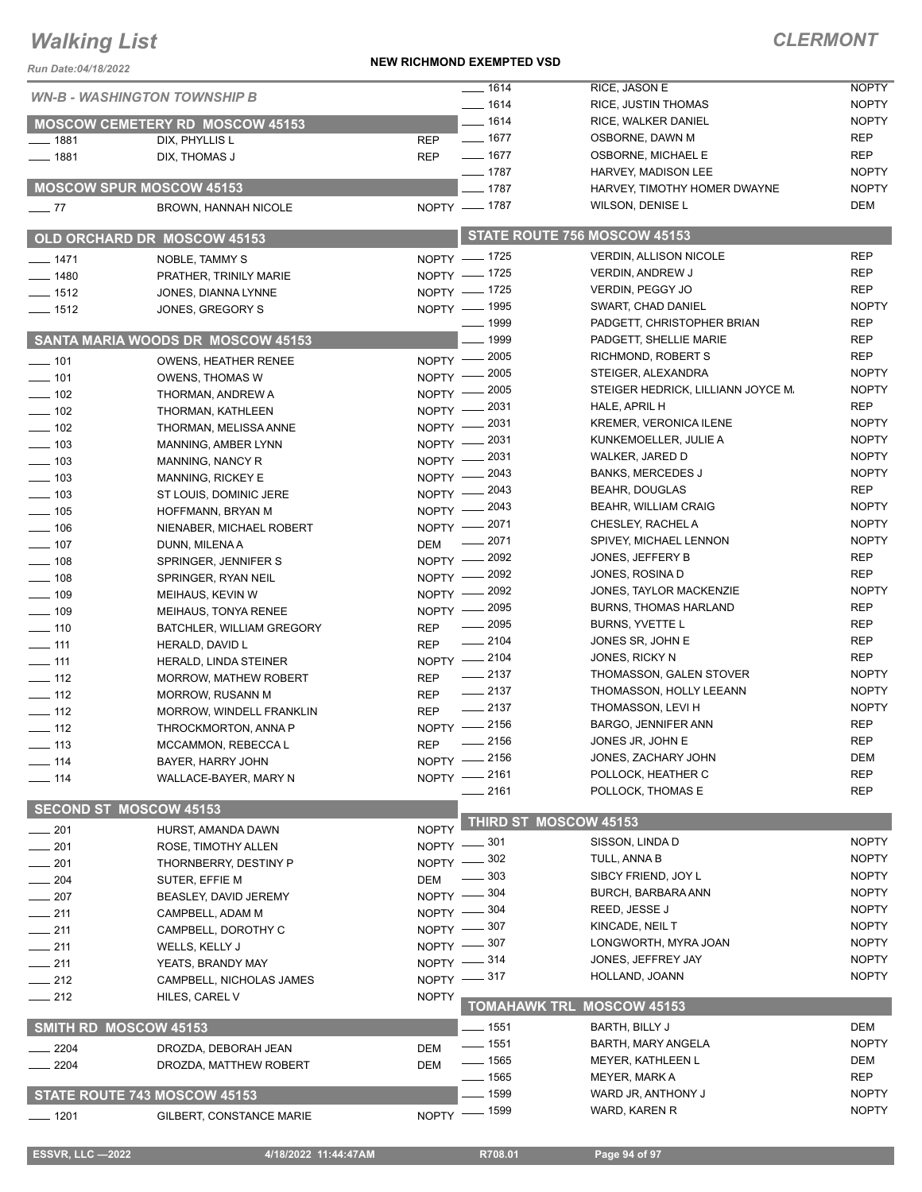#### **NEW RICHMOND EXEMPTED VSD**

| ERMONT<br>◡ |  |  |  |  |  |  |
|-------------|--|--|--|--|--|--|
|-------------|--|--|--|--|--|--|

| Run Date:04/18/2022                 |                                                       |                            |                       |                                                  |                            |  |
|-------------------------------------|-------------------------------------------------------|----------------------------|-----------------------|--------------------------------------------------|----------------------------|--|
| <b>WN-B - WASHINGTON TOWNSHIP B</b> |                                                       |                            | $- 1614$              | RICE, JASON E                                    | <b>NOPTY</b>               |  |
|                                     |                                                       |                            | $- 1614$              | <b>RICE, JUSTIN THOMAS</b>                       | <b>NOPTY</b>               |  |
|                                     | <b>MOSCOW CEMETERY RD MOSCOW 45153</b>                |                            | $- 1614$              | RICE, WALKER DANIEL                              | <b>NOPTY</b>               |  |
| $- 1881$                            | DIX, PHYLLIS L                                        | <b>REP</b>                 | $- 1677$              | OSBORNE, DAWN M                                  | <b>REP</b>                 |  |
| $- 1881$                            | DIX, THOMAS J                                         | <b>REP</b>                 | $- 1677$<br>$- 1787$  | OSBORNE, MICHAEL E                               | <b>REP</b><br><b>NOPTY</b> |  |
|                                     | <b>MOSCOW SPUR MOSCOW 45153</b>                       |                            | $- 1787$              | HARVEY, MADISON LEE                              | <b>NOPTY</b>               |  |
|                                     |                                                       |                            | NOPTY - 1787          | HARVEY, TIMOTHY HOMER DWAYNE<br>WILSON, DENISE L | <b>DEM</b>                 |  |
| $\sim$ 77                           | <b>BROWN, HANNAH NICOLE</b>                           |                            |                       |                                                  |                            |  |
|                                     | <b>OLD ORCHARD DR MOSCOW 45153</b>                    |                            |                       | STATE ROUTE 756 MOSCOW 45153                     |                            |  |
| $- 1471$                            | <b>NOBLE, TAMMY S</b>                                 |                            | NOPTY - 1725          | <b>VERDIN, ALLISON NICOLE</b>                    | <b>REP</b>                 |  |
| $- 1480$                            | PRATHER, TRINILY MARIE                                |                            | NOPTY - 1725          | <b>VERDIN, ANDREW J</b>                          | <b>REP</b>                 |  |
| $- 1512$                            | JONES, DIANNA LYNNE                                   |                            | NOPTY - 1725          | VERDIN, PEGGY JO                                 | <b>REP</b>                 |  |
| $- 1512$                            | JONES, GREGORY S                                      |                            | NOPTY - 1995          | SWART, CHAD DANIEL                               | <b>NOPTY</b>               |  |
|                                     |                                                       |                            | $- 1999$              | PADGETT, CHRISTOPHER BRIAN                       | <b>REP</b>                 |  |
|                                     | SANTA MARIA WOODS DR MOSCOW 45153                     |                            | 1999                  | PADGETT, SHELLIE MARIE                           | <b>REP</b>                 |  |
| $- 101$                             | <b>OWENS, HEATHER RENEE</b>                           |                            | NOPTY -2005           | RICHMOND, ROBERT S                               | <b>REP</b>                 |  |
| $- 101$                             | <b>OWENS, THOMAS W</b>                                | $N$ OPTY $-$               | 2005                  | STEIGER, ALEXANDRA                               | <b>NOPTY</b>               |  |
| $\frac{1}{2}$ 102                   | THORMAN, ANDREW A                                     | $N$ OPTY $-$               | _ 2005                | STEIGER HEDRICK, LILLIANN JOYCE M.               | <b>NOPTY</b>               |  |
| $\frac{1}{2}$ 102                   | THORMAN, KATHLEEN                                     |                            | NOPTY -2031           | HALE, APRIL H                                    | <b>REP</b>                 |  |
| $\frac{1}{2}$ 102                   | THORMAN, MELISSA ANNE                                 | $NOPTY -$                  | 2031                  | <b>KREMER, VERONICA ILENE</b>                    | <b>NOPTY</b>               |  |
| $\frac{1}{2}$ 103                   | MANNING, AMBER LYNN                                   | NOPTY -2031                |                       | KUNKEMOELLER, JULIE A                            | <b>NOPTY</b>               |  |
| $\frac{1}{2}$ 103                   | MANNING, NANCY R                                      | NOPTY -2031                |                       | WALKER, JARED D                                  | <b>NOPTY</b>               |  |
| $\equiv$ 103                        | MANNING, RICKEY E                                     | $N$ OPTY $-$               | $-2043$               | <b>BANKS, MERCEDES J</b>                         | <b>NOPTY</b>               |  |
| $\frac{1}{2}$ 103                   | ST LOUIS, DOMINIC JERE                                | $NOPTY =$                  | - 2043                | <b>BEAHR, DOUGLAS</b>                            | <b>REP</b><br><b>NOPTY</b> |  |
| $\frac{1}{2}$ 105                   | HOFFMANN, BRYAN M                                     | $NOPTY -$                  | - 2043                | <b>BEAHR, WILLIAM CRAIG</b><br>CHESLEY, RACHEL A | <b>NOPTY</b>               |  |
| $\frac{1}{2}$ 106                   | NIENABER, MICHAEL ROBERT                              |                            | NOPTY -2071<br>2071   | SPIVEY, MICHAEL LENNON                           | <b>NOPTY</b>               |  |
| $- 107$                             | DUNN, MILENA A                                        | <b>DEM</b>                 |                       | JONES, JEFFERY B                                 | <b>REP</b>                 |  |
| $-108$                              | SPRINGER, JENNIFER S                                  |                            | NOPTY - 2092          | JONES, ROSINA D                                  | <b>REP</b>                 |  |
| $\frac{1}{2}$ 108                   | SPRINGER, RYAN NEIL                                   |                            | NOPTY - 2092<br>2092  | JONES, TAYLOR MACKENZIE                          | <b>NOPTY</b>               |  |
| $\frac{109}{109}$                   | MEIHAUS, KEVIN W                                      | $N$ OPTY $-$               | NOPTY -2095           | <b>BURNS, THOMAS HARLAND</b>                     | <b>REP</b>                 |  |
| $- 109$                             | MEIHAUS, TONYA RENEE                                  |                            | $\frac{1}{2095}$      | BURNS, YVETTE L                                  | <b>REP</b>                 |  |
| $\frac{1}{2}$ 110                   | BATCHLER, WILLIAM GREGORY                             | <b>REP</b>                 | $-2104$               | JONES SR, JOHN E                                 | REP                        |  |
| $- 111$<br>$-111$                   | HERALD, DAVID L                                       | <b>REP</b>                 | NOPTY -2104           | JONES, RICKY N                                   | <b>REP</b>                 |  |
| $- 112$                             | HERALD, LINDA STEINER<br><b>MORROW, MATHEW ROBERT</b> | <b>REP</b>                 | $\frac{1}{2137}$      | THOMASSON, GALEN STOVER                          | <b>NOPTY</b>               |  |
| $\frac{1}{2}$ 112                   | MORROW, RUSANN M                                      | <b>REP</b>                 | $\frac{1}{2137}$      | THOMASSON, HOLLY LEEANN                          | <b>NOPTY</b>               |  |
| $\frac{1}{2}$ 112                   | MORROW, WINDELL FRANKLIN                              | <b>REP</b>                 | $-2137$               | THOMASSON, LEVI H                                | <b>NOPTY</b>               |  |
| $\frac{1}{2}$ 112                   | THROCKMORTON, ANNA P                                  |                            | NOPTY -2156           | BARGO, JENNIFER ANN                              | <b>REP</b>                 |  |
| ___ 113                             | MCCAMMON, REBECCA L                                   | REP                        | $\frac{1}{2156}$      | JONES JR, JOHN E                                 | <b>REP</b>                 |  |
| —— 114                              | BAYER, HARRY JOHN                                     |                            | NOPTY -2156           | JONES, ZACHARY JOHN                              | <b>DEM</b>                 |  |
| $- 114$                             | WALLACE-BAYER, MARY N                                 | NOPTY -2161                |                       | POLLOCK, HEATHER C                               | <b>REP</b>                 |  |
|                                     |                                                       |                            | ____ 2161             | POLLOCK, THOMAS E                                | <b>REP</b>                 |  |
|                                     | <b>SECOND ST MOSCOW 45153</b>                         |                            | THIRD ST MOSCOW 45153 |                                                  |                            |  |
| $-201$                              | HURST, AMANDA DAWN                                    | <b>NOPTY</b>               | _ 301                 | SISSON, LINDA D                                  | <b>NOPTY</b>               |  |
| $-201$                              | ROSE, TIMOTHY ALLEN                                   | <b>NOPTY</b>               | - 302                 | TULL, ANNA B                                     | <b>NOPTY</b>               |  |
| $-201$                              | THORNBERRY, DESTINY P                                 | <b>NOPTY</b>               | 303                   | SIBCY FRIEND, JOY L                              | <b>NOPTY</b>               |  |
| 204                                 | SUTER, EFFIE M                                        | <b>DEM</b>                 | . 304                 | BURCH, BARBARA ANN                               | <b>NOPTY</b>               |  |
| $-207$                              | BEASLEY, DAVID JEREMY                                 | $NOPTY -$                  | _ 304                 | REED, JESSE J                                    | <b>NOPTY</b>               |  |
| 211                                 | CAMPBELL, ADAM M                                      | $N$ OPTY $-$<br>NOPTY -807 |                       | KINCADE, NEIL T                                  | <b>NOPTY</b>               |  |
| $-211$                              | CAMPBELL, DOROTHY C                                   | NOPTY $-$ 307              |                       | LONGWORTH, MYRA JOAN                             | <b>NOPTY</b>               |  |
| $-211$                              | WELLS, KELLY J                                        | NOPTY $-314$               |                       | JONES, JEFFREY JAY                               | <b>NOPTY</b>               |  |
| $-211$                              | YEATS, BRANDY MAY                                     | NOPTY $-317$               |                       | HOLLAND, JOANN                                   | <b>NOPTY</b>               |  |
| $-212$                              | CAMPBELL, NICHOLAS JAMES                              |                            |                       |                                                  |                            |  |
| $-212$                              | HILES, CAREL V                                        | <b>NOPTY</b>               | <b>TOMAHAWK TRL</b>   | <b>MOSCOW 45153</b>                              |                            |  |
|                                     | SMITH RD MOSCOW 45153                                 |                            | $-1551$               | BARTH, BILLY J                                   | <b>DEM</b>                 |  |
| 2204                                | DROZDA, DEBORAH JEAN                                  | <b>DEM</b>                 | $- 1551$              | BARTH, MARY ANGELA                               | <b>NOPTY</b>               |  |
| $-2204$                             | DROZDA, MATTHEW ROBERT                                | <b>DEM</b>                 | ___ 1565              | MEYER, KATHLEEN L                                | DEM                        |  |
|                                     |                                                       |                            | $- 1565$              | MEYER, MARK A                                    | <b>REP</b>                 |  |
|                                     | STATE ROUTE 743 MOSCOW 45153                          |                            | . 1599                | WARD JR, ANTHONY J                               | <b>NOPTY</b>               |  |
| $- 1201$                            | GILBERT, CONSTANCE MARIE                              |                            | NOPTY - 1599          | WARD, KAREN R                                    | <b>NOPTY</b>               |  |
|                                     |                                                       |                            |                       |                                                  |                            |  |

 **ESSVR, LLC —2022 4/18/2022 11:44:47AM R708.01 Page 94 of 97**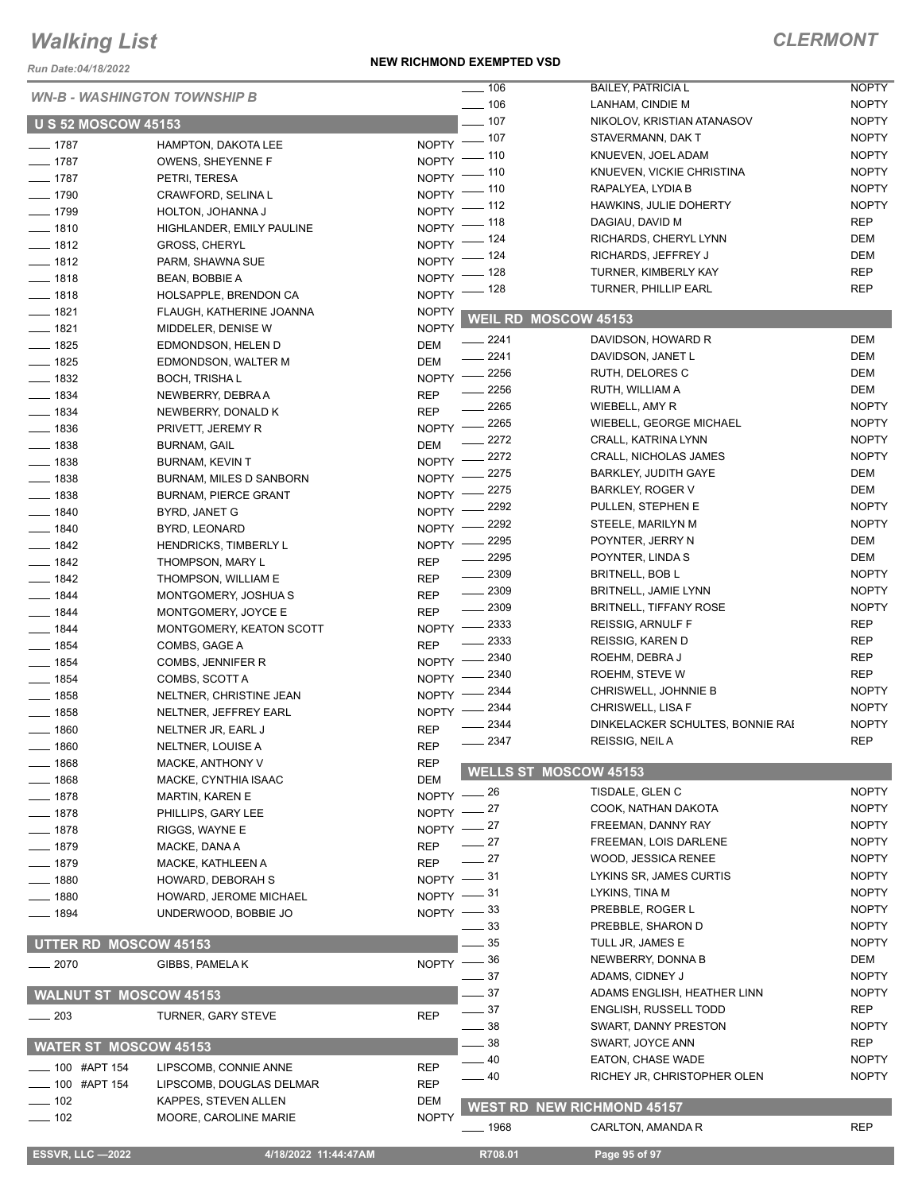*Run Date:04/18/2022*

#### **NEW RICHMOND EXEMPTED VSD**

|                                     |                              |                    | $\frac{1}{2}$ 106    | <b>BAILEY, PATRICIA L</b>         | <b>NOPTY</b> |
|-------------------------------------|------------------------------|--------------------|----------------------|-----------------------------------|--------------|
| <b>WN-B - WASHINGTON TOWNSHIP B</b> |                              |                    | $\frac{1}{2}$ 106    | LANHAM, CINDIE M                  | <b>NOPTY</b> |
| <b>U S 52 MOSCOW 45153</b>          |                              |                    | $-107$               | NIKOLOV, KRISTIAN ATANASOV        | <b>NOPTY</b> |
|                                     |                              |                    | NOPTY - 107          | STAVERMANN, DAK T                 | <b>NOPTY</b> |
| $- 1787$<br>$- 1787$                | <b>HAMPTON, DAKOTA LEE</b>   | NOPTY <sup>-</sup> | _ 110                | KNUEVEN, JOEL ADAM                | <b>NOPTY</b> |
|                                     | OWENS, SHEYENNE F            | NOPTY <sup>-</sup> | - 110                | KNUEVEN, VICKIE CHRISTINA         | <b>NOPTY</b> |
| $\frac{1}{2}$ 1787                  | PETRI, TERESA                | NOPTY -            | _ 110                | RAPALYEA, LYDIA B                 | <b>NOPTY</b> |
| $- 1790$                            | CRAWFORD, SELINA L           | $NOPTY$ -          | $-112$               | HAWKINS, JULIE DOHERTY            | <b>NOPTY</b> |
| $- 1799$                            | HOLTON, JOHANNA J            | NOPTY -            | _ 118                | DAGIAU, DAVID M                   | <b>REP</b>   |
| $- 1810$                            | HIGHLANDER, EMILY PAULINE    | NOPTY <sup>-</sup> | _ 124                | RICHARDS, CHERYL LYNN             | <b>DEM</b>   |
| $- 1812$                            | <b>GROSS, CHERYL</b>         | <b>NOPTY</b>       | $-124$               | RICHARDS, JEFFREY J               | DEM          |
| $- 1812$                            | PARM, SHAWNA SUE             | <b>NOPTY</b>       | - 128                | TURNER, KIMBERLY KAY              | <b>REP</b>   |
| $- 1818$                            | BEAN, BOBBIE A               | $NOPTY =$          | _ 128                | <b>TURNER, PHILLIP EARL</b>       | <b>REP</b>   |
| $- 1818$                            | HOLSAPPLE, BRENDON CA        |                    |                      |                                   |              |
| $- 1821$                            | FLAUGH, KATHERINE JOANNA     | <b>NOPTY</b>       | WEIL RD MOSCOW 45153 |                                   |              |
| $- 1821$                            | MIDDELER, DENISE W           | <b>NOPTY</b>       | $-2241$              | DAVIDSON, HOWARD R                | <b>DEM</b>   |
| $- 1825$                            | EDMONDSON, HELEN D           | DEM                | 2241                 | DAVIDSON, JANET L                 | DEM          |
| $- 1825$                            | EDMONDSON, WALTER M          | <b>DEM</b>         | NOPTY -2256          | RUTH, DELORES C                   | DEM          |
| $- 1832$                            | <b>BOCH, TRISHAL</b>         |                    | 2256                 | RUTH, WILLIAM A                   | <b>DEM</b>   |
| $- 1834$                            | NEWBERRY, DEBRA A            | <b>REP</b>         | 2265                 | WIEBELL, AMY R                    | <b>NOPTY</b> |
| $- 1834$                            | NEWBERRY, DONALD K           | <b>REP</b>         | 2265                 | WIEBELL, GEORGE MICHAEL           | <b>NOPTY</b> |
| $- 1836$                            | PRIVETT, JEREMY R            | $NOPTY$ -          | 2272                 | CRALL, KATRINA LYNN               | <b>NOPTY</b> |
| $\frac{1}{2}$ 1838                  | <b>BURNAM, GAIL</b>          | DEM                | 2272                 | <b>CRALL, NICHOLAS JAMES</b>      | <b>NOPTY</b> |
| $- 1838$                            | <b>BURNAM, KEVIN T</b>       | $NOPTY$ –          | 2275                 | <b>BARKLEY, JUDITH GAYE</b>       | DEM          |
| $- 1838$                            | BURNAM, MILES D SANBORN      | <b>NOPTY</b>       | 2275                 | <b>BARKLEY, ROGER V</b>           | DEM          |
| $- 1838$                            | <b>BURNAM, PIERCE GRANT</b>  | NOPTY -            | 2292                 | PULLEN, STEPHEN E                 | <b>NOPTY</b> |
| $- 1840$                            | BYRD, JANET G                | NOPTY -            | 2292                 | STEELE, MARILYN M                 | <b>NOPTY</b> |
| $- 1840$                            | BYRD, LEONARD                | $NOPTY$ -          | 2295                 | POYNTER, JERRY N                  | DEM          |
| $- 1842$                            | <b>HENDRICKS, TIMBERLY L</b> | $NOPTY$ -          | 2295                 | POYNTER, LINDA S                  | <b>DEM</b>   |
| $- 1842$                            | THOMPSON, MARY L             | <b>REP</b>         | $-2309$              | <b>BRITNELL, BOB L</b>            | <b>NOPTY</b> |
| $- 1842$                            | THOMPSON, WILLIAM E          | <b>REP</b>         | $\frac{1}{2}$ 2309   | BRITNELL, JAMIE LYNN              | <b>NOPTY</b> |
| $- 1844$                            | MONTGOMERY, JOSHUA S         | <b>REP</b>         | 2309                 | <b>BRITNELL, TIFFANY ROSE</b>     | <b>NOPTY</b> |
| $- 1844$                            | MONTGOMERY, JOYCE E          | <b>REP</b>         |                      | <b>REISSIG, ARNULF F</b>          | <b>REP</b>   |
| $- 1844$                            | MONTGOMERY, KEATON SCOTT     |                    | NOPTY -2333<br>2333  | REISSIG, KAREN D                  | <b>REP</b>   |
| $- 1854$                            | COMBS, GAGE A                | <b>REP</b>         | 2340                 | ROEHM, DEBRA J                    | <b>REP</b>   |
| $- 1854$                            | COMBS, JENNIFER R            | NOPTY -            | 2340                 | ROEHM, STEVE W                    | <b>REP</b>   |
| $- 1854$                            | COMBS, SCOTT A               | $N$ OPTY $-$       | 2344                 | CHRISWELL, JOHNNIE B              | <b>NOPTY</b> |
| $- 1858$                            | NELTNER, CHRISTINE JEAN      | <b>NOPTY</b>       | 2344                 | CHRISWELL, LISA F                 | <b>NOPTY</b> |
| $- 1858$                            | NELTNER, JEFFREY EARL        | <b>NOPTY</b>       | 2344                 | DINKELACKER SCHULTES, BONNIE RAI  | <b>NOPTY</b> |
| $- 1860$                            | NELTNER JR, EARL J           | <b>REP</b>         | 2347                 |                                   | <b>REP</b>   |
| $- 1860$                            | NELTNER, LOUISE A            | <b>REP</b>         |                      | REISSIG, NEIL A                   |              |
| _ 1868                              | MACKE, ANTHONY V             | <b>REP</b>         |                      | <b>WELLS ST MOSCOW 45153</b>      |              |
| 1868                                | MACKE, CYNTHIA ISAAC         | DEM                |                      |                                   |              |
| 1878                                | <b>MARTIN, KAREN E</b>       | NOPTY $-26$        |                      | TISDALE, GLEN C                   | <b>NOPTY</b> |
| $-1878$                             | PHILLIPS, GARY LEE           | NOPTY $-27$        |                      | COOK, NATHAN DAKOTA               | <b>NOPTY</b> |
| $-1878$                             | RIGGS, WAYNE E               | NOPTY $-27$        |                      | FREEMAN, DANNY RAY                | <b>NOPTY</b> |
| $- 1879$                            | MACKE, DANA A                | <b>REP</b>         | $-27$                | FREEMAN, LOIS DARLENE             | <b>NOPTY</b> |
| $- 1879$                            | MACKE, KATHLEEN A            | <b>REP</b>         | $\frac{1}{27}$       | WOOD, JESSICA RENEE               | <b>NOPTY</b> |
| $- 1880$                            | HOWARD, DEBORAH S            | NOPTY -31          |                      | LYKINS SR, JAMES CURTIS           | <b>NOPTY</b> |
| $-1880$                             | HOWARD, JEROME MICHAEL       | NOPTY $-$ 31       |                      | LYKINS, TINA M                    | <b>NOPTY</b> |
| $- 1894$                            | UNDERWOOD, BOBBIE JO         | NOPTY $-33$        |                      | PREBBLE, ROGER L                  | <b>NOPTY</b> |
|                                     |                              |                    | 33                   | PREBBLE, SHARON D                 | <b>NOPTY</b> |
| UTTER RD MOSCOW 45153               |                              |                    | 35                   | TULL JR, JAMES E                  | <b>NOPTY</b> |
| $-2070$                             | GIBBS, PAMELA K              | <b>NOPTY</b>       | $-36$                | NEWBERRY, DONNA B                 | DEM          |
|                                     |                              |                    | 37                   | ADAMS, CIDNEY J                   | <b>NOPTY</b> |
| <b>WALNUT ST MOSCOW 45153</b>       |                              |                    | .37                  | ADAMS ENGLISH, HEATHER LINN       | <b>NOPTY</b> |
| $\frac{1}{203}$                     | <b>TURNER, GARY STEVE</b>    | <b>REP</b>         | 37                   | ENGLISH, RUSSELL TODD             | <b>REP</b>   |
|                                     |                              |                    | 38                   | SWART, DANNY PRESTON              | <b>NOPTY</b> |
| <b>WATER ST MOSCOW 45153</b>        |                              |                    | 38                   | SWART, JOYCE ANN                  | <b>REP</b>   |
| 100 #APT 154                        | LIPSCOMB, CONNIE ANNE        | <b>REP</b>         | 40                   | EATON, CHASE WADE                 | <b>NOPTY</b> |
| $-100$ #APT 154                     | LIPSCOMB, DOUGLAS DELMAR     | <b>REP</b>         | 40                   | RICHEY JR, CHRISTOPHER OLEN       | <b>NOPTY</b> |
| $\frac{1}{2}$ 102                   | KAPPES, STEVEN ALLEN         | DEM                |                      |                                   |              |
| $\frac{1}{2}$ 102                   | MOORE, CAROLINE MARIE        | <b>NOPTY</b>       |                      | <b>WEST RD NEW RICHMOND 45157</b> |              |
|                                     |                              |                    | —— 1968              | CARLTON, AMANDA R                 | <b>REP</b>   |
| <b>ESSVR, LLC -2022</b>             | 4/18/2022 11:44:47AM         |                    | R708.01              | Page 95 of 97                     |              |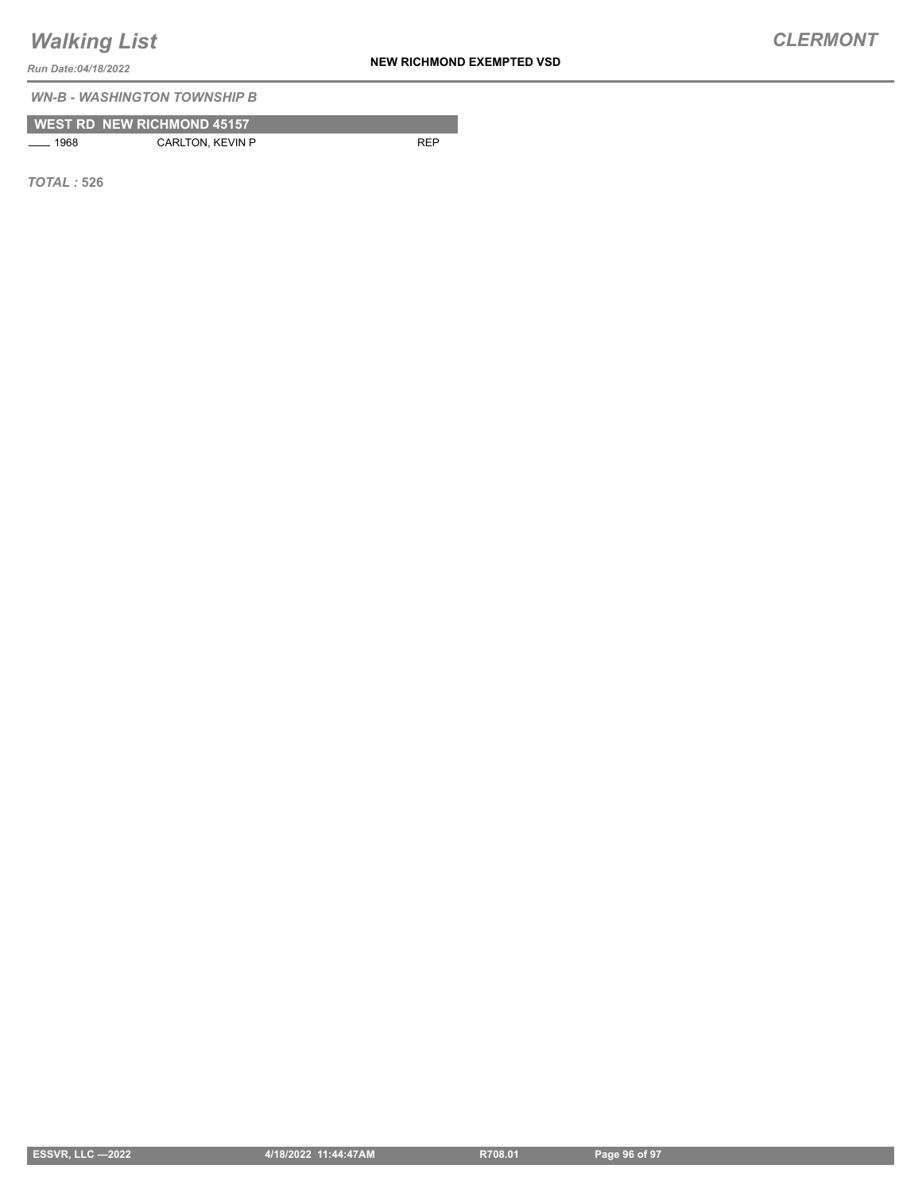**NEW RICHMOND EXEMPTED VSD**

*CLERMONT*

*Run Date:04/18/2022*

*WN-B - WASHINGTON TOWNSHIP B*

|                                  | <b>WEST RD NEW RICHMOND 45157</b> |            |
|----------------------------------|-----------------------------------|------------|
| 1968<br>$\overline{\phantom{a}}$ | CARLTON, KEVIN P                  | <b>RFP</b> |

*TOTAL :* **526**